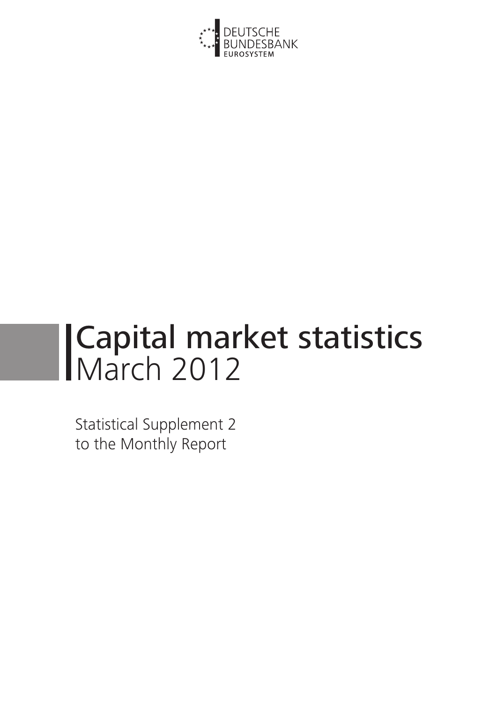

# Capital market statistics March 2012

Statistical Supplement 2 to the Monthly Report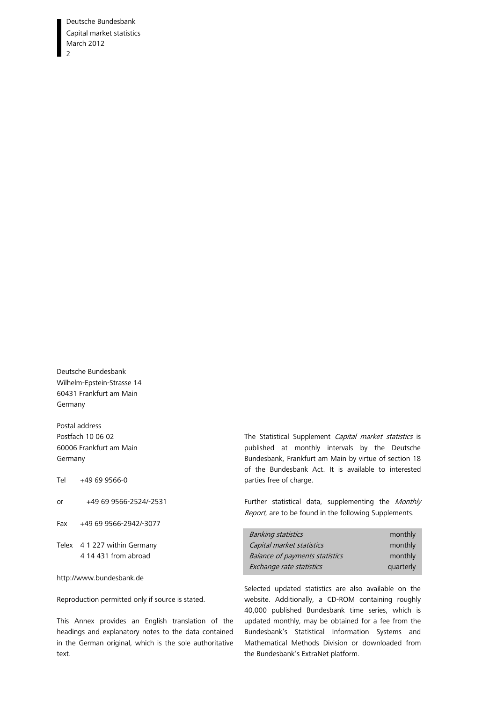Deutsche Bundesbank Capital market statistics March 2012  $\overline{2}$ 

Deutsche Bundesbank Wilhelm-Epstein-Strasse 14 60431 Frankfurt am Main Germany

Postal address Postfach 10 06 02 60006 Frankfurt am Main Germany

Tel +49 69 9566-0

or +49 69 9566-2524/-2531

Fax +49 69 9566-2942/-3077

Telex 4 1 227 within Germany 4 14 431 from abroad

http://www.bundesbank.de

Reproduction permitted only if source is stated.

This Annex provides an English translation of the headings and explanatory notes to the data contained in the German original, which is the sole authoritative text.

The Statistical Supplement Capital market statistics is published at monthly intervals by the Deutsche Bundesbank, Frankfurt am Main by virtue of section 18 of the Bundesbank Act. It is available to interested parties free of charge.

Further statistical data, supplementing the Monthly Report, are to be found in the following Supplements.

| <b>Banking statistics</b>             | monthly   |
|---------------------------------------|-----------|
| Capital market statistics             | monthly   |
| <b>Balance of payments statistics</b> | monthly   |
| Exchange rate statistics              | quarterly |

Selected updated statistics are also available on the website. Additionally, a CD-ROM containing roughly 40,000 published Bundesbank time series, which is updated monthly, may be obtained for a fee from the Bundesbank's Statistical Information Systems and Mathematical Methods Division or downloaded from the Bundesbank's ExtraNet platform.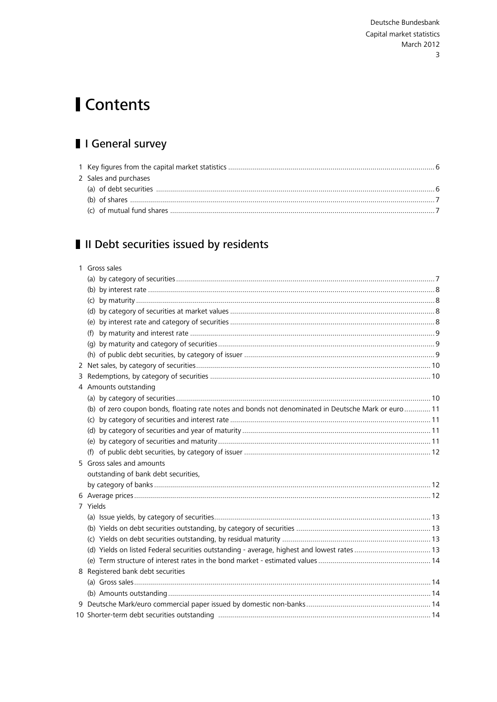# <span id="page-2-1"></span><span id="page-2-0"></span>Contents

### I General survey

| 2 Sales and purchases |  |
|-----------------------|--|
|                       |  |
|                       |  |
|                       |  |

### II Debt securities issued by residents

| 1 Gross sales                                                                                       |  |
|-----------------------------------------------------------------------------------------------------|--|
|                                                                                                     |  |
|                                                                                                     |  |
|                                                                                                     |  |
|                                                                                                     |  |
|                                                                                                     |  |
|                                                                                                     |  |
|                                                                                                     |  |
|                                                                                                     |  |
|                                                                                                     |  |
|                                                                                                     |  |
| 4 Amounts outstanding                                                                               |  |
|                                                                                                     |  |
| (b) of zero coupon bonds, floating rate notes and bonds not denominated in Deutsche Mark or euro 11 |  |
|                                                                                                     |  |
|                                                                                                     |  |
|                                                                                                     |  |
|                                                                                                     |  |
| 5 Gross sales and amounts                                                                           |  |
| outstanding of bank debt securities,                                                                |  |
|                                                                                                     |  |
|                                                                                                     |  |
| 7 Yields                                                                                            |  |
|                                                                                                     |  |
|                                                                                                     |  |
|                                                                                                     |  |
| (d) Yields on listed Federal securities outstanding - average, highest and lowest rates  13         |  |
|                                                                                                     |  |
| 8 Registered bank debt securities                                                                   |  |
|                                                                                                     |  |
|                                                                                                     |  |
|                                                                                                     |  |
|                                                                                                     |  |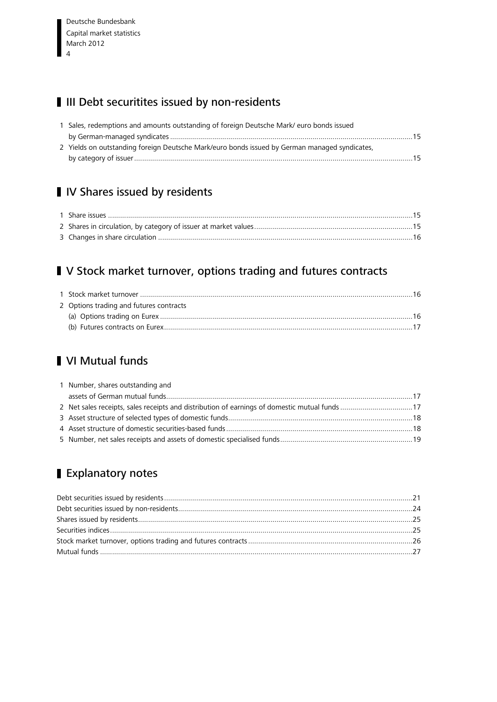### <span id="page-3-2"></span><span id="page-3-1"></span><span id="page-3-0"></span>III Debt securitites issued by non-residents

| 1 Sales, redemptions and amounts outstanding of foreign Deutsche Mark/ euro bonds issued      |  |
|-----------------------------------------------------------------------------------------------|--|
|                                                                                               |  |
| 2 Yields on outstanding foreign Deutsche Mark/euro bonds issued by German managed syndicates, |  |
|                                                                                               |  |

### IV Shares issued by residents

### [V Stock market turnover, options trading and futures contracts](#page-15-0)

| 2 Options trading and futures contracts |  |
|-----------------------------------------|--|
|                                         |  |
|                                         |  |

### **VI Mutual funds**

| 1 Number, shares outstanding and |  |
|----------------------------------|--|
|                                  |  |
|                                  |  |
|                                  |  |
|                                  |  |
|                                  |  |

### Explanatory notes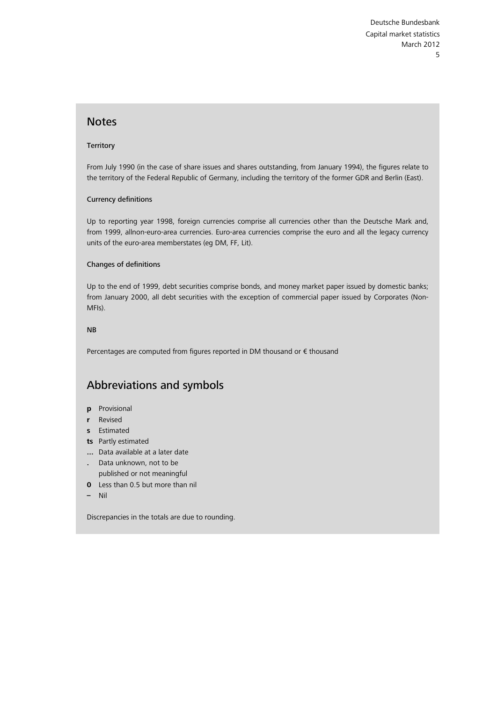### **Notes**

#### **Territory**

From July 1990 (in the case of share issues and shares outstanding, from January 1994), the figures relate to the territory of the Federal Republic of Germany, including the territory of the former GDR and Berlin (East).

#### Currency definitions

Up to reporting year 1998, foreign currencies comprise all currencies other than the Deutsche Mark and, from 1999, allnon-euro-area currencies. Euro-area currencies comprise the euro and all the legacy currency units of the euro-area memberstates (eg DM, FF, Lit).

#### Changes of definitions

Up to the end of 1999, debt securities comprise bonds, and money market paper issued by domestic banks; from January 2000, all debt securities with the exception of commercial paper issued by Corporates (Non-MFIs).

#### NB

Percentages are computed from figures reported in DM thousand or € thousand

### Abbreviations and symbols

- **p** Provisional
- **r** Revised
- **s** Estimated
- **ts** Partly estimated
- **...** Data available at a later date
- **.** Data unknown, not to be published or not meaningful
- **0** Less than 0.5 but more than nil
- **–** Nil

Discrepancies in the totals are due to rounding.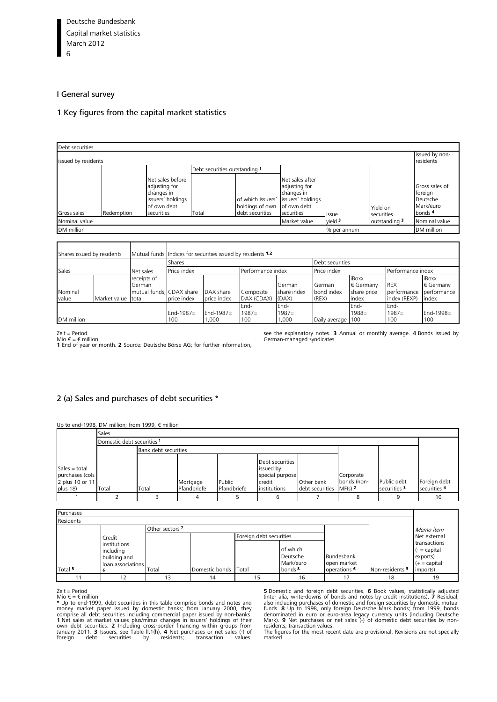#### <span id="page-5-0"></span>I General survey

#### [1 Key figures from the capital market statistics](#page-27-0)

| Debt securities     |            |                                                                                                   |       |                                                         |                                                                                                  |                    |                          |                                                                          |
|---------------------|------------|---------------------------------------------------------------------------------------------------|-------|---------------------------------------------------------|--------------------------------------------------------------------------------------------------|--------------------|--------------------------|--------------------------------------------------------------------------|
| issued by residents |            |                                                                                                   |       |                                                         |                                                                                                  |                    |                          | issued by non-<br>residents                                              |
|                     |            |                                                                                                   |       | Debt securities outstanding 1                           |                                                                                                  |                    |                          |                                                                          |
| Gross sales         | Redemption | Net sales before<br>adjusting for<br>changes in<br>issuers' holdings<br>of own debt<br>securities | Total | of which Issuers'<br>holdings of own<br>debt securities | Net sales after<br>adjusting for<br>changes in<br>issuers' holdings<br>of own debt<br>securities | <b>_Issue</b>      | Yield on<br>securities   | Gross sales of<br>foreign<br>Deutsche<br>Mark/euro<br>bonds <sup>4</sup> |
| Nominal value       |            |                                                                                                   |       |                                                         | Market value                                                                                     | yield <sup>3</sup> | outstanding <sup>3</sup> | Nominal value                                                            |
| DM million          |            |                                                                                                   |       |                                                         | % per annum                                                                                      |                    | DM million               |                                                                          |

| Shares issued by residents |                     | Mutual funds Indices for securities issued by residents 1.2 |                    |                          |                         |                                |                               |                                                     |                                           |                                                       |
|----------------------------|---------------------|-------------------------------------------------------------|--------------------|--------------------------|-------------------------|--------------------------------|-------------------------------|-----------------------------------------------------|-------------------------------------------|-------------------------------------------------------|
|                            |                     |                                                             | Shares             |                          |                         |                                | Debt securities               |                                                     |                                           |                                                       |
| Sales                      |                     | Net sales                                                   | Price index        |                          | Performance index       |                                | Price index                   |                                                     | Performance index                         |                                                       |
| Nominal<br>value           | Market value Itotal | receipts of<br>German<br>mutual funds, CDAX share           | price index        | DAX share<br>price index | Composite<br>DAX (CDAX) | German<br>share index<br>(DAX) | German<br>bond index<br>(REX) | iBoxx<br>$\epsilon$ Germany<br>share price<br>index | <b>REX</b><br>performance<br>index (REXP) | iBoxx<br>$\epsilon$ Germany<br>Iperformance<br>lindex |
| DM million                 |                     |                                                             | $End-1987=$<br>100 | End-1987=<br>000.        | End-<br>$1987=$<br>100  | End-<br>$1987=$<br>000,        | Daily average 100             | End-<br>$1988 =$                                    | End-<br>$1987=$<br>100                    | End-1998=<br>100                                      |

Zeit = Period<br>Mio € = € million<br>**1** End of year or month. **2** Source: Deutsche Börse AG; for further information,

see the explanatory notes. **3** Annual or monthly average. **4** Bonds issued by German-managed syndicates.

#### [2](#page-2-0) [\(a\) Sales and purchases of debt securities \\*](#page-29-0)

Up to end-1998, DM million; from 1999, € million

|          |                 | Sales                                 |                      |             |             |                 |                 |                      |                         |              |  |  |
|----------|-----------------|---------------------------------------|----------------------|-------------|-------------|-----------------|-----------------|----------------------|-------------------------|--------------|--|--|
|          |                 | Domestic debt securities <sup>1</sup> |                      |             |             |                 |                 |                      |                         |              |  |  |
|          |                 |                                       | Bank debt securities |             |             |                 |                 |                      |                         |              |  |  |
|          |                 |                                       |                      |             |             | Debt securities |                 |                      |                         |              |  |  |
|          | Sales $=$ total |                                       |                      |             |             | issued by       |                 |                      |                         |              |  |  |
|          | purchases (cols |                                       |                      |             |             | special purpose |                 | Corporate            |                         |              |  |  |
|          | 2 plus 10 or 11 |                                       |                      | Mortgage    | Public      | credit          | Other bank      | bonds (non-          | Public debt             | Foreign debt |  |  |
| plus 18) |                 | Total                                 | Total                | Pfandbriefe | Pfandbriefe | institutions    | debt securities | $MF(s)$ <sup>2</sup> | securities <sup>3</sup> | securities 4 |  |  |
|          |                 |                                       |                      |             |             |                 |                 |                      |                         |              |  |  |

| Purchases          |                            |       |                         |    |                    |              |                            |                           |  |  |
|--------------------|----------------------------|-------|-------------------------|----|--------------------|--------------|----------------------------|---------------------------|--|--|
| Residents          |                            |       |                         |    |                    |              |                            |                           |  |  |
|                    | Other sectors <sup>7</sup> |       |                         |    |                    |              |                            |                           |  |  |
| Credit             |                            |       | Foreign debt securities |    |                    |              |                            | Net external              |  |  |
|                    | institutions               |       |                         |    |                    |              |                            | transactions              |  |  |
|                    | including                  |       |                         |    | of which           |              |                            | $( - \epsilon)$ = capital |  |  |
|                    | building and               |       |                         |    | Deutsche           | Bundesbank   |                            | exports)                  |  |  |
|                    | loan associations          |       |                         |    | Mark/euro          | open market  |                            | $(+)$ = capital           |  |  |
| Total <sup>5</sup> |                            | Total | Domestic bonds Total    |    | bonds <sup>8</sup> | operations 6 | Non-residents <sup>9</sup> | imports)                  |  |  |
|                    | 12                         | 13    | 14                      | 15 | 16                 |              | 18                         | 19                        |  |  |

Zeit = Period<br>  $\mathbf{M} \circ \mathbf{E} = \mathbf{F}$  million<br>  $\mathbf{M} \circ \mathbf{E} = \mathbf{E}$  million<br>  $\mathbf{M} \circ \mathbf{E} = \mathbf{E}$  million<br>  $\mathbf{M} \circ \mathbf{D} = \mathbf{M} \circ \mathbf{D}$  and the securities in this table comprise bonds and notes and<br>
money market

**5** Domestic and foreign debt securities. **6** Book values, statistically adjusted (inter alia, write-downs of bonds and notes by credit institutions). **7** Residual; also including purchases of domestic and foreign securiti residents; transaction values. The figures for the most recent date are provisional. Revisions are not specially

marked.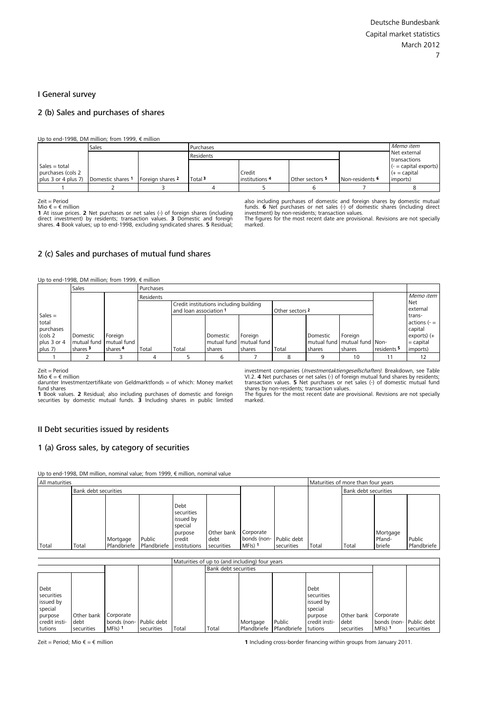#### <span id="page-6-2"></span><span id="page-6-1"></span><span id="page-6-0"></span>I General survey

#### 2 (b) Sales and purchases of shares

Up to end-1998, DM million; from 1999, € million

|                     | Sales             |                             | Purchases                    |                           |                 |                            | Memo item               |
|---------------------|-------------------|-----------------------------|------------------------------|---------------------------|-----------------|----------------------------|-------------------------|
|                     |                   |                             | Net external<br>transactions |                           |                 |                            |                         |
| $Sales = total$     |                   |                             |                              |                           |                 |                            | $(-$ = capital exports) |
| purchases (cols 2   |                   |                             |                              | Credit                    |                 |                            | $(+)$ = capital         |
| plus 3 or 4 plus 7) | Domestic shares 1 | Foreign shares <sup>2</sup> | Total <sup>3</sup>           | institutions <sup>4</sup> | Other sectors 5 | Non-residents <sup>6</sup> | (imports)               |
|                     |                   |                             |                              |                           |                 |                            |                         |

Zeit = Period Mio € = € million

1 At issue prices. 2 Net purchases or net sales (-) of foreign shares (including<br>direct investment) by residents; transaction values. 3 Domestic and foreign<br>shares. 4 Book values; up to end-1998, excluding syndicated share

also including purchases of domestic and foreign shares by domestic mutual<br>funds. **6** Net purchases or net sales (-) of domestic shares (including direct<br>investment) by non-residents; transaction values.

The figures for the most recent date are provisional. Revisions are not specially marked.

#### 2 (c) Sales and purchases of mutual fund shares

Up to end-1998, DM million; from 1999, € million

|             | Sales                   |                     | Purchases                                                       |                                        |          |                             |          |                                  |         |                        |                |
|-------------|-------------------------|---------------------|-----------------------------------------------------------------|----------------------------------------|----------|-----------------------------|----------|----------------------------------|---------|------------------------|----------------|
|             |                         |                     | Residents                                                       |                                        |          |                             |          |                                  |         |                        | Memo item      |
|             |                         |                     |                                                                 | Credit institutions including building |          |                             | Net      |                                  |         |                        |                |
|             |                         |                     |                                                                 | and loan association 1                 |          |                             | external |                                  |         |                        |                |
| $Sales =$   |                         |                     |                                                                 |                                        |          |                             | trans-   |                                  |         |                        |                |
| total       |                         |                     |                                                                 |                                        |          | actions $(-$                |          |                                  |         |                        |                |
| purchases   |                         |                     |                                                                 |                                        |          |                             |          |                                  |         |                        | capital        |
| (cols 2)    | Domestic                | Foreign             |                                                                 |                                        | Domestic | Foreign                     |          | Domestic                         | Foreign |                        | $exports$ ) (+ |
| plus 3 or 4 | mutual fund mutual fund |                     |                                                                 |                                        |          | mutual fund I mutual fund I |          | mutual fund   mutual fund   Non- |         |                        | $=$ capital    |
| plus 7)     | shares <sup>3</sup>     | shares <sup>4</sup> | Total<br>Total<br>Total<br>shares<br>shares<br>shares<br>shares |                                        |          |                             |          |                                  |         | residents <sup>5</sup> | imports)       |
|             |                         |                     |                                                                 | 10<br>h                                |          |                             |          |                                  |         |                        | 12             |

#### Zeit = Period

Mio  $€ = €$  million darunter Investmentzertifikate von Geldmarktfonds = of which: Money market

fund shares **1** Book values. **2** Residual; also including purchases of domestic and foreign securities by domestic mutual funds. **3** Including shares in public limited investment companies (*Investmentaktiengesellschaften).* Breakdown, see Table<br>VI.2. **4** Net purchases or net sales (-) of foreign mutual fund shares by residents; transaction values. **5** Net purchases or net sales (-) of domestic mutual fund shares by non-residents; transaction values.

The figures for the most recent date are provisional. Revisions are not specia[lly](#page-2-0)  marked.

#### II Debt securities issued by residents

#### 1 (a) Gross sales, by category of securities

Up to end-1998, DM million, nominal value; from 1999, € million, nominal value

| All maturities |                      |                         |                       |                                                                                   |                                            |                                                 |            | Maturities of more than four years |                      |                              |                       |
|----------------|----------------------|-------------------------|-----------------------|-----------------------------------------------------------------------------------|--------------------------------------------|-------------------------------------------------|------------|------------------------------------|----------------------|------------------------------|-----------------------|
|                | Bank debt securities |                         |                       |                                                                                   |                                            |                                                 |            |                                    | Bank debt securities |                              |                       |
| Total          | Total                | Mortgage<br>Pfandbriefe | Public<br>Pfandbriefe | Debt<br>securities<br>issued by<br>special<br>purpose<br>l credit<br>institutions | Other bank Corporate<br>debt<br>securities | bonds (non- Public debt<br>$MFIs)$ <sup>1</sup> | securities | Total                              | Total                | Mortgage<br>Pfand-<br>briefe | Public<br>Pfandbriefe |

|                                                                        |                    |                                      |            |       | Maturities of up to (and including) four years |                         |        |                                                                        |                              |                           |            |
|------------------------------------------------------------------------|--------------------|--------------------------------------|------------|-------|------------------------------------------------|-------------------------|--------|------------------------------------------------------------------------|------------------------------|---------------------------|------------|
|                                                                        |                    |                                      |            |       | Bank debt securities                           |                         |        |                                                                        |                              |                           |            |
|                                                                        |                    |                                      |            |       |                                                |                         |        |                                                                        |                              |                           |            |
| Debt<br>securities<br>issued by<br>special<br>purpose<br>credit insti- | Other bank<br>debt | Corporate<br>bonds (non- Public debt |            |       |                                                | Mortgage                | Public | Debt<br>securities<br>issued by<br>special<br>purpose<br>credit insti- | Other bank Corporate<br>debt | bonds (non-   Public debt |            |
| tutions                                                                | securities         | $MF(s)$ <sup>1</sup>                 | securities | Total | Total                                          | Pfandbriefe Pfandbriefe |        | <b>Itutions</b>                                                        | securities                   | $MFIs)$ <sup>1</sup>      | securities |

Zeit = Period; Mio € = € million **1** [Including cross-border financing within groups from January 2011.](#page-34-0)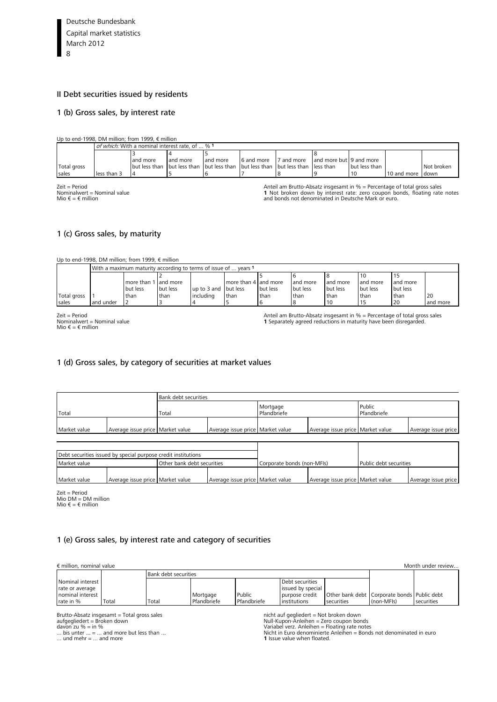#### <span id="page-7-1"></span><span id="page-7-0"></span>I[I Debt securities issued by residents](#page-35-0)

#### [1 \(](#page-2-0)b) Gross sales, by interest rate

Up to end-1998, DM million; from 1999, € million

|             |             | of which: With a nominal interest rate, of  % 1 |          |                                                                                      |  |  |                                               |               |                    |            |  |  |
|-------------|-------------|-------------------------------------------------|----------|--------------------------------------------------------------------------------------|--|--|-----------------------------------------------|---------------|--------------------|------------|--|--|
|             |             |                                                 |          |                                                                                      |  |  |                                               |               |                    |            |  |  |
|             |             | and more                                        | and more | and more                                                                             |  |  | 6 and more 7 and more and more but 9 and more |               |                    |            |  |  |
| Total gross |             |                                                 |          | The less than Thut less than Thut less than Thut less than Thut less than Tless than |  |  |                                               | but less than |                    | Not broken |  |  |
| sales       | less than 3 |                                                 |          |                                                                                      |  |  |                                               | 10            | 10 and more I down |            |  |  |
|             |             |                                                 |          |                                                                                      |  |  |                                               |               |                    |            |  |  |

Zeit = Period

Nominalwert = Nominal value Mio € = € million

Anteil am Brutto-Absatz insgesamt in % = Percentage of total gross sales **1** Not broken down by interest rate: zero coupon bonds, floating rate notes and bonds not denominated in Deutsche Mark or euro.

#### 1 (c) Gross sales, by maturity

Up to end-1998, DM million; from 1999, € million

|             |           | With a maximum maturity according to terms of issue of  years 1 |          |                      |                        |          |          |          |          |          |          |  |  |
|-------------|-----------|-----------------------------------------------------------------|----------|----------------------|------------------------|----------|----------|----------|----------|----------|----------|--|--|
|             |           |                                                                 |          |                      |                        |          |          |          |          |          |          |  |  |
|             |           | more than 1                                                     | and more |                      | more than 4 I and more |          | and more | and more | and more | and more |          |  |  |
|             |           | but less                                                        | but less | up to 3 and but less |                        | but less | but less | but less | but less | but less |          |  |  |
| Total gross |           | than                                                            | than     | includina            | <b>than</b>            | than     | than     | than     | than     | l than   | 20       |  |  |
| sales       | and under |                                                                 |          |                      |                        |          |          |          |          |          | and more |  |  |

Zeit = Period Nominalwert = Nominal value Mio € = € million Anteil am Brutto-Absatz insgesamt in % = Percentage of total gross sales **1** Separately agreed reductions in maturity have been disregarded.

#### [1 \(d\) Gross sales, by category of securities at market values](#page-37-0)

|              |                                  | Bank debt securities |                                  |             |                                  |             |                     |  |
|--------------|----------------------------------|----------------------|----------------------------------|-------------|----------------------------------|-------------|---------------------|--|
|              |                                  |                      |                                  | Mortgage    |                                  | Public      |                     |  |
| Total        |                                  | Total                |                                  | Pfandbriefe |                                  | Pfandbriefe |                     |  |
|              |                                  |                      |                                  |             |                                  |             |                     |  |
| Market value | Average issue price Market value |                      | Average issue price Market value |             | Average issue price Market value |             | Average issue price |  |

| Debt securities issued by special purpose credit institutions |                            |                                  |                            |                                  |                        |                     |
|---------------------------------------------------------------|----------------------------|----------------------------------|----------------------------|----------------------------------|------------------------|---------------------|
| Market value                                                  | Other bank debt securities |                                  | Corporate bonds (non-MFIs) |                                  | Public debt securities |                     |
| Average issue price Market value<br>Market value              |                            | Average issue price Market value |                            | Average issue price Market value |                        | Average issue price |

Zeit = Period Mio DM = DM million Mio € = € million

#### [1 \(e\) Gross sales, by interest rate and category of securities](#page-39-0)

 $\epsilon$  million, nominal value  $\epsilon$  multiple mass of  $\epsilon$  million, nominal value  $\epsilon$  million, nominal value Nominal interest rate or average nominal interest rate in % Total Bank debt securities Corporate bonds (non-MFIs) Public debt Total **Pfandbriefe** Pfandbriefe institutions securities (non-MFIs) securities Mortgage **Pfandbriefe** Public Debt securities issued by special purpose credit institutions Other bank debt securities

Brutto-Absatz insgesamt = Total gross sales

aufgegliedert = Broken down davon zu % = in %

... bis unter  $\ldots = \ldots$  and more but less than  $\ldots$ <br> $\ldots$  und mehr =  $\ldots$  and more

nicht auf gegliedert = Not broken down

Null-Kupon-Anleihen = Zero coupon bonds Variabel verz. Anleihen = Floating rate notes Nicht in Euro denominierte Anleihen = Bonds not denominated in euro **1** Issue value when floated.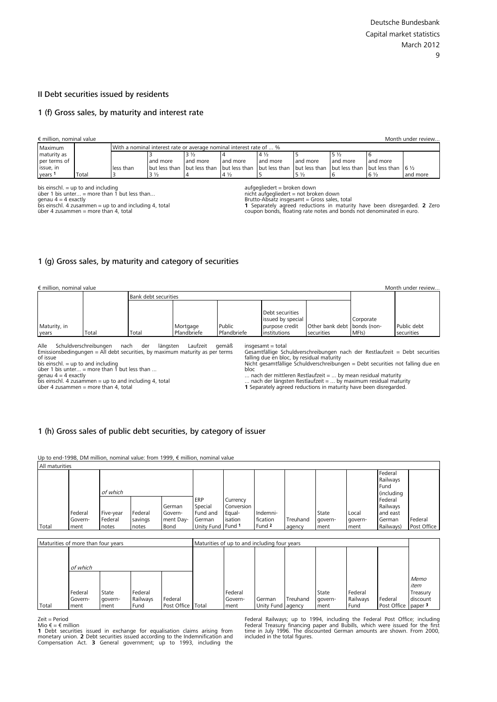#### <span id="page-8-0"></span>II Debt securities issued by residents

#### [1 \(f\) Gross sales, by maturity and interest rate](#page-39-0)

| $\epsilon$ million, nominal value<br>Month under review |       |           |                                                                                                                                     |                |                |                |                |                |                |          |  |  |
|---------------------------------------------------------|-------|-----------|-------------------------------------------------------------------------------------------------------------------------------------|----------------|----------------|----------------|----------------|----------------|----------------|----------|--|--|
| Maximum                                                 |       |           | With a nominal interest rate or average nominal interest rate of  %                                                                 |                |                |                |                |                |                |          |  |  |
| maturity as                                             |       |           |                                                                                                                                     | $3\frac{1}{2}$ |                | $4\frac{1}{2}$ |                | $5\frac{1}{2}$ |                |          |  |  |
| per terms of                                            |       |           | and more                                                                                                                            | and more       | and more       | and more       | and more       | and more       | and more       |          |  |  |
| issue, in                                               |       | less than | 15 lbut less than 1 but less than 1 but less than 1 but less than 1 but less than 1 but less than 1 but less than 1 6 $\frac{1}{2}$ |                |                |                |                |                |                |          |  |  |
| vears                                                   | Total |           | $3\frac{1}{2}$                                                                                                                      |                | $4\frac{1}{2}$ |                | $5\frac{1}{2}$ |                | $6\frac{1}{2}$ | and more |  |  |

bis einschl. = up to and including über 1 bis unter... = more than 1 but less than... genau 4 = 4 exactly bis einschl. 4 zusammen = up to and including 4, total über 4 zusammen = more than 4, total

aufgegliedert = broken down nicht aufgegliedert = not broken down

Brutto-Absatz insgesamt = Gross sales, total<br>**1** Separately agreed reductions in maturity have been disregarded. **2** Zero<br>coupon bonds, floating rate notes and bonds not denominated in euro.

#### 1 (g) Gross sales, by maturity and category of securities

|  | $\epsilon$ million, nominal value |  |
|--|-----------------------------------|--|
|  |                                   |  |

| $\epsilon$ million, nominal value |                                                                                                               |                      |                         |                       |                                                                        |                                           |                               | Month under review                                                          |
|-----------------------------------|---------------------------------------------------------------------------------------------------------------|----------------------|-------------------------|-----------------------|------------------------------------------------------------------------|-------------------------------------------|-------------------------------|-----------------------------------------------------------------------------|
|                                   |                                                                                                               | Bank debt securities |                         |                       |                                                                        |                                           |                               |                                                                             |
| Maturity, in<br>years             | Total                                                                                                         | Total                | Mortgage<br>Pfandbriefe | Public<br>Pfandbriefe | Debt securities<br>issued by special<br>purpose credit<br>institutions | Other bank debt bonds (non-<br>securities | Corporate<br>MFI <sub>s</sub> | Public debt<br>securities                                                   |
| Alle                              | Schuldverschreibungen<br>nach<br>Emissionsbedingungen = All debt securities, by maximum maturity as per terms | längsten<br>der      | Laufzeit                | gemäß                 | $insgesamt = total$                                                    |                                           |                               | Gesamtfällige Schuldverschreibungen nach der Restlaufzeit = Debt securities |

Alle Schuldverschreibungen nach der längsten Laufzeit gemäß Emissionsbedingungen = All debt securities, by maximum maturity as per terms of issue<br>bis einschl. = up to and including<br>über 1 bis unter... = more than 1 but less than ...<br>genau 4 = 4 exactly<br>bis einschl. 4 zusammen = up to and including 4, total

über 4 zusammen = more than 4, total

falling due en bloc, by residual maturity Nicht gesamtfällige Schuldverschreibungen = Debt securities not falling due en bloc ... nach der mittleren Restlaufzeit = ... by mean residual maturity ... nach der längsten Restlaufzeit = ... by maximum residual maturity **1** Separately agreed reductions in maturity have been disregarded.

#### [1 \(h\) Gross sales of public debt securities, by category of issuer](#page-41-0)

Up to end-1998, DM million, nominal value: from 1999, € million, nominal value

| All maturities |         |           |         |             |                   |            |                   |          |         |         |            |             |
|----------------|---------|-----------|---------|-------------|-------------------|------------|-------------------|----------|---------|---------|------------|-------------|
|                |         |           |         |             |                   |            |                   |          |         |         | Federal    |             |
|                |         |           |         |             |                   |            |                   |          |         |         | Railways   |             |
|                |         |           |         |             |                   |            |                   |          |         |         | Fund       |             |
|                |         | of which  |         |             |                   |            |                   |          |         |         | (including |             |
|                |         |           |         |             | ERP               | Currency   |                   |          |         |         | Federal    |             |
|                |         |           |         | German      | Special           | Conversion |                   |          |         |         | Railways   |             |
|                | Federal | Five-year | Federal | Govern-     | Fund and          | Equal-     | Indemni-          |          | State   | Local   | and east   |             |
|                | Govern- | Federal   | savings | ment Day-   | German            | isation    | fication          | Treuhand | qovern- | qovern- | German     | Federal     |
| Total          | ment    | notes     | notes   | <b>Bond</b> | Unity Fund Fund 1 |            | Fund <sup>2</sup> | agency   | ment    | ment    | Railways)  | Post Office |

|       | Maturities of more than four years |                          |                             |                        |       | Maturities of up to and including four years |                             |          |                          |                                    |                                           |                                      |
|-------|------------------------------------|--------------------------|-----------------------------|------------------------|-------|----------------------------------------------|-----------------------------|----------|--------------------------|------------------------------------|-------------------------------------------|--------------------------------------|
|       | of which                           |                          |                             |                        |       |                                              |                             |          |                          |                                    |                                           |                                      |
| Total | Federal<br>Govern-<br>ment         | State<br>qovern-<br>ment | Federal<br>Railways<br>Fund | Federal<br>Post Office | Total | Federal<br>Govern-<br>ment                   | German<br>Unity Fund agency | Treuhand | State<br>qovern-<br>ment | Federal<br>Railways<br><b>Fund</b> | Federal<br>Post Office paper <sup>3</sup> | Memo<br>item<br>Treasury<br>discount |

Zeit = Period Mio € = € million

1 Debt securities issued in exchange for equalisation claims arising from<br>monetary union. 2 Debt securities issued according to the Indemnification and<br>Compensation Act. 3 General government; up to 1993, including the

Federal Railways; up to 1994, including the Federal Post Office; including Federal Treasury financing paper and Bubills, which were issued for the first time in July 1996. The discounted German amounts are shown. From 2000, included in the total figures.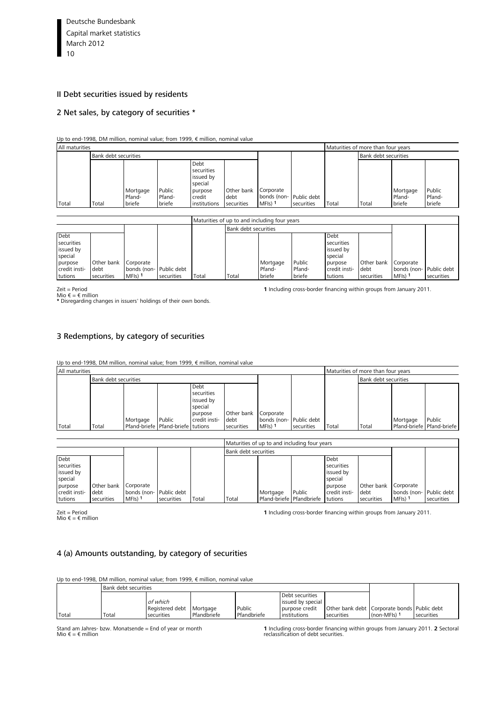#### <span id="page-9-0"></span>[II D](#page-2-0)ebt securities issued by residents

#### 2 Net sales, by category of securities \*

#### Up to end-1998, DM million, nominal value; from 1999, € million, nominal value

| All maturities |                                            |                    |                  |                   |                    |                                        |            |       | Maturities of more than four years |          |        |
|----------------|--------------------------------------------|--------------------|------------------|-------------------|--------------------|----------------------------------------|------------|-------|------------------------------------|----------|--------|
|                | <b>Bank debt securities</b>                |                    |                  |                   |                    |                                        |            |       | Bank debt securities               |          |        |
|                | Debt<br>securities<br>issued by<br>special |                    |                  |                   |                    |                                        |            |       |                                    | Mortgage | Public |
|                |                                            | Mortgage<br>Pfand- | Public<br>Pfand- | purpose<br>credit | Other bank<br>debt | Corporate<br>bonds (non-   Public debt |            |       |                                    | Pfand-   | Pfand- |
| Total          | Total                                      | briefe             | briefe           | institutions      | securities         | $MF(s)$ <sup>1</sup>                   | securities | Total | Total                              | briefe   | briefe |

|                                                |                                  |                                               |            |       |                      | Maturities of up to and including four years |                            |                                                |                                  |                                                                |            |
|------------------------------------------------|----------------------------------|-----------------------------------------------|------------|-------|----------------------|----------------------------------------------|----------------------------|------------------------------------------------|----------------------------------|----------------------------------------------------------------|------------|
|                                                |                                  |                                               |            |       | Bank debt securities |                                              |                            |                                                |                                  |                                                                |            |
| Debt<br>securities<br>issued by                |                                  |                                               |            |       |                      |                                              |                            | Debt<br>securities<br>issued by                |                                  |                                                                |            |
| special<br>purpose<br>credit insti-<br>tutions | Other bank<br>debt<br>securities | Corporate<br>bonds (non- Public debt<br>MFIs) | securities | Total | Total                | Mortgage<br>Pfand-<br>briefe                 | Public<br>Pfand-<br>briefe | special<br>purpose<br>credit insti-<br>tutions | Other bank<br>debt<br>securities | Corporate<br>bonds (non-   Public debt<br>$MFIs)$ <sup>1</sup> | securities |

Zeit = Period<br>Mio € = € million<br>\* Disregarding changes in issuers' holdings of their own bonds.

**1** Including cross-border financing within groups from January 2011.

#### 3 Redemptions, by category of securities

Up to end-1998, DM million, nominal value; from 1999, € million, nominal value

| All maturities |                      |          |                                   |                                                                        |                              |                         |            | Maturities of more than four years |                             |          |                           |
|----------------|----------------------|----------|-----------------------------------|------------------------------------------------------------------------|------------------------------|-------------------------|------------|------------------------------------|-----------------------------|----------|---------------------------|
|                | Bank debt securities |          |                                   |                                                                        |                              |                         |            |                                    | <b>Bank debt securities</b> |          |                           |
|                |                      | Mortgage | Public                            | Debt<br>securities<br>issued by<br>special<br>purpose<br>credit insti- | Other bank Corporate<br>debt | bonds (non- Public debt |            |                                    |                             | Mortgage | Public                    |
| Total          | Total                |          | Pfand-briefe Pfand-briefe tutions |                                                                        | securities                   | MFI <sub>s</sub> )      | securities | Total                              | Total                       |          | Pfand-briefe Pfand-briefe |

|                                                                                   |                                  |                                                              |            |       |                             | Maturities of up to and including four years |                                             |                                                                        |                                  |                                                |                           |
|-----------------------------------------------------------------------------------|----------------------------------|--------------------------------------------------------------|------------|-------|-----------------------------|----------------------------------------------|---------------------------------------------|------------------------------------------------------------------------|----------------------------------|------------------------------------------------|---------------------------|
|                                                                                   |                                  |                                                              |            |       | <b>Bank debt securities</b> |                                              |                                             |                                                                        |                                  |                                                |                           |
| Debt<br>securities<br>issued by<br>special<br>purpose<br>credit insti-<br>tutions | Other bank<br>debt<br>securities | Corporate<br>bonds (non-   Public debt<br>MFI <sub>s</sub> ) | securities | Total | Total                       | Mortgage                                     | Public<br>Pfand-briefe Pfandbriefe Itutions | Debt<br>securities<br>issued by<br>special<br>purpose<br>credit insti- | Other bank<br>debt<br>securities | Corporate<br>bonds (non-<br>MFI <sub>s</sub> ) | Public debt<br>securities |

Zeit = Period<br>Mio € = € million

**1** Including cross-border financing within groups from January 2011.

#### 4 (a) Amounts outstanding, by category of securities

Up to end-1998, DM million, nominal value; from 1999, € million, nominal value

|              | <b>Bank debt securities</b> |                 |             |             |                   |                                                        |                        |            |
|--------------|-----------------------------|-----------------|-------------|-------------|-------------------|--------------------------------------------------------|------------------------|------------|
|              |                             |                 |             |             | Debt securities   |                                                        |                        |            |
|              |                             | of which        |             |             | issued by special |                                                        |                        |            |
|              |                             | Reaistered debt | Mortgage    | Public      | purpose credit    | <b>Other bank debt   Corporate bonds   Public debt</b> |                        |            |
| <b>Total</b> | Total                       | securities      | Pfandbriefe | Pfandbriefe | institutions      | securities                                             | $I$ (non-MFIs) $\cdot$ | securities |

Stand am Jahres- bzw. Monatsende = End of year or month Mio € = € million

**1** Including cross-border financing within groups from January 2011. **2** Sectoral reclassification of debt securities.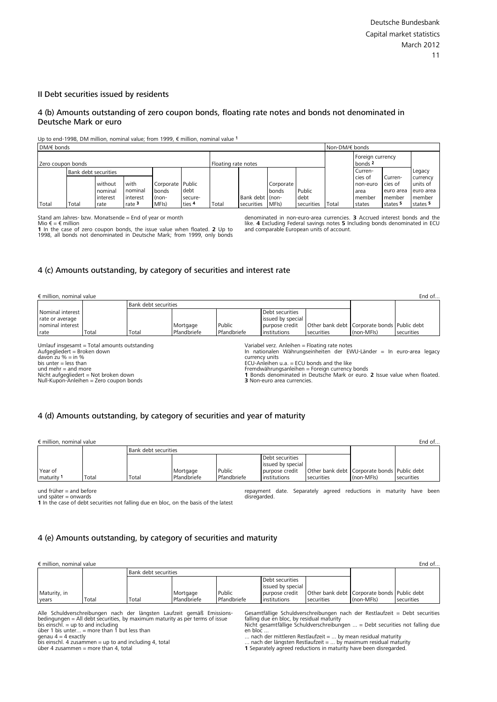#### <span id="page-10-0"></span>II Debt securities issued by residents

#### 4 (b) [Amounts outstanding of zero coupon bonds, floating rate notes and bonds not denominated in](#page-47-0)  Deutsche Mark or euro

Up to end-1998, DM million, nominal value; from 1999, € million, nominal value <sup>1</sup>

| DM/€ bonds        |                                                                    |          |          |           |         |                     |                   |                    |            | Non-DM/€ bonds |                                        |                     |                     |
|-------------------|--------------------------------------------------------------------|----------|----------|-----------|---------|---------------------|-------------------|--------------------|------------|----------------|----------------------------------------|---------------------|---------------------|
| Zero coupon bonds |                                                                    |          |          |           |         | Floating rate notes |                   |                    |            |                | Foreign currency<br>bonds <sup>2</sup> |                     |                     |
|                   | <b>Bank debt securities</b>                                        |          |          |           |         |                     |                   |                    |            |                | Curren-                                |                     | Legacy              |
|                   |                                                                    |          |          |           |         |                     |                   |                    |            |                | cies of                                | Curren-             | currency            |
|                   |                                                                    | without  | with     | Corporate | Public  |                     |                   | Corporate          |            |                | non-euro                               | cies of             | units of            |
|                   |                                                                    | nominal  | nominal  | bonds     | debt    |                     |                   | bonds              | Public     |                | area                                   | euro area           | euro area           |
|                   |                                                                    | interest | interest | (non-     | secure- |                     | Bank debt I (non- |                    | debt       |                | member                                 | member              | member              |
| Total             | ties 4<br>rate <sup>3</sup><br>Total<br>MFI <sub>S</sub> )<br>rate |          |          |           |         | Total               | securities        | MFI <sub>S</sub> ) | securities | Total          | states                                 | states <sup>5</sup> | states <sup>5</sup> |

Stand am Jahres- bzw. Monatsende = End of year or month

Mio € = € million<br>**1** In the case of zero coupon bonds, the issue value when floated. **2** Up to<br>1998, all bonds not denominated in Deutsche Mark; from 1999, only bonds

denominated in non-euro-area currencies. **3** Accrued interest bonds and the like. **4** Excluding Federal savings notes **5** Including bonds denominated in ECU and comparable European units of account.

#### 4 (c) Amounts outstanding, by category of securities and interest rate

| $\epsilon$ million, nominal value                                                                                                                          |       |                                                                                                                                                 |                         |                                                                      |                                                                        |                                                           |            | End of     |
|------------------------------------------------------------------------------------------------------------------------------------------------------------|-------|-------------------------------------------------------------------------------------------------------------------------------------------------|-------------------------|----------------------------------------------------------------------|------------------------------------------------------------------------|-----------------------------------------------------------|------------|------------|
|                                                                                                                                                            |       | Bank debt securities                                                                                                                            |                         |                                                                      |                                                                        |                                                           |            |            |
| Nominal interest<br>rate or average<br>nominal interest<br>rate                                                                                            | Total | Total                                                                                                                                           | Mortgage<br>Pfandbriefe | Public<br>Pfandbriefe                                                | Debt securities<br>issued by special<br>purpose credit<br>institutions | Other bank debt Corporate bonds Public debt<br>securities | (non-MFIs) | securities |
| Umlauf insgesamt = Total amounts outstanding<br>Aufgegliedert = Broken down<br>davon zu $% =$ in $% =$<br>bis unter $=$ less than<br>und mehr $=$ and more |       | Variabel verz. Anleihen = Floating rate notes<br>ECU-Anleihen $u.a. = ECU$ bonds and the like<br>Fremdwährungsanleihen = Foreign currency bonds |                         | In nationalen Währungseinheiten der EWU-Länder = In euro-area legacy |                                                                        |                                                           |            |            |

und mehr = and more<br>Nicht aufgegliedert = Not broken down<br>Null-Kupon-Anleihen = Zero coupon bonds

**1** Bonds denominated in Deutsche Mark or euro. **2** Issue value when floated. **3** Non-euro area currencies.

### [4 \(d\) Amounts outstanding, by category of securities and year of maturity](#page-48-0)

| $\epsilon$ million, nominal value                   |       |                      |             |             |                                                                                    |            |                                                 | End of     |  |
|-----------------------------------------------------|-------|----------------------|-------------|-------------|------------------------------------------------------------------------------------|------------|-------------------------------------------------|------------|--|
|                                                     |       | Bank debt securities |             |             |                                                                                    |            |                                                 |            |  |
|                                                     |       |                      |             |             | Debt securities<br>issued by special                                               |            |                                                 |            |  |
| Year of                                             |       |                      | Mortgage    | Public      | purpose credit                                                                     |            | Other bank debt   Corporate bonds   Public debt |            |  |
| maturity <sup>1</sup>                               | Total | Total                | Pfandbriefe | Pfandbriefe | institutions                                                                       | securities | (non-MFIs)                                      | securities |  |
| und früher $=$ and before<br>und später $=$ onwards |       |                      |             |             | repayment date. Separately agreed reductions in maturity have been<br>disregarded. |            |                                                 |            |  |

und später = onwards **1** In the case of debt securities not falling due en bloc, on the basis of the latest

disregarded.

### [4 \(e\) Amounts outstanding, by category of securities and maturity](#page-49-0)

| $\epsilon$ million, nominal value |       |                      |             |             |                   |                                             |            | End of     |
|-----------------------------------|-------|----------------------|-------------|-------------|-------------------|---------------------------------------------|------------|------------|
|                                   |       | Bank debt securities |             |             |                   |                                             |            |            |
|                                   |       |                      |             |             | Debt securities   |                                             |            |            |
|                                   |       |                      |             |             | issued by special |                                             |            |            |
| Maturity, in                      |       |                      | Mortgage    | Public      | purpose credit    | Other bank debt Corporate bonds Public debt |            |            |
| vears                             | Total | Total                | Pfandbriefe | Pfandbriefe | institutions      | securities                                  | (non-MFIs) | securities |

Alle Schuldverschreibungen nach der längsten Laufzeit gemäß Emissionsbedingungen = All debt securities, by maximum maturity as per terms of issue<br>bis einschl. = up to and including<br>über 1 bis unter... = more than 1 but less than<br>genau 4 = 4 exactly<br>bis einschl. 4 zusammen = up to and includ

Gesamtfällige Schuldverschreibungen nach der Restlaufzeit = Debt securities falling due en bloc, by residual maturity Nicht gesamtfällige Schuldverschreibungen ... = Debt securities not falling due en bloc

... nach der mittleren Restlaufzeit = ... by mean residual maturity

... nach der längsten Restlaufzeit = ... by maximum residual maturity **1** Separately agreed reductions in maturity have been disregarded.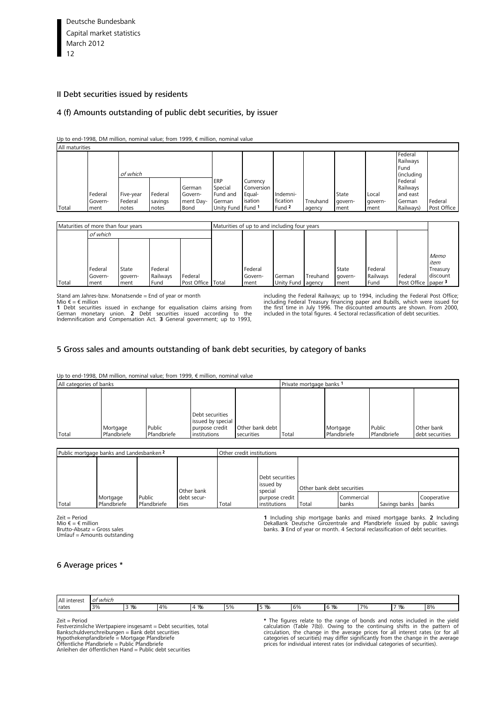#### <span id="page-11-0"></span>[II D](#page-2-1)ebt securities issued by residents

#### [4 \(f\) Amounts outstanding of public debt securities, by issuer](#page-51-0)

Up to end-1998, DM million, nominal value; from 1999, € million, nominal value

| All maturities |         |           |         |           |                   |            |          |          |         |         |            |             |
|----------------|---------|-----------|---------|-----------|-------------------|------------|----------|----------|---------|---------|------------|-------------|
|                |         |           |         |           |                   |            |          |          |         |         | Federal    |             |
|                |         |           |         |           |                   |            |          |          |         |         | Railways   |             |
|                |         |           |         |           |                   |            |          |          |         |         | Fund       |             |
|                |         | of which  |         |           |                   |            |          |          |         |         | (including |             |
|                |         |           |         |           | ERP               | Currency   |          |          |         |         | Federal    |             |
|                |         |           |         | German    | Special           | Conversion |          |          |         |         | Railways   |             |
|                | Federal | Five-year | Federal | Govern-   | Fund and          | Equal-     | Indemni- |          | State   | Local   | and east   |             |
|                | Govern- | Federal   | savings | ment Day- | German            | isation    | fication | Treuhand | qovern- | qovern- | German     | Federal     |
| Total          | ment    | notes     | notes   | Bond      | Unity Fund Fund 1 |            | Fund 2   | agency   | ment    | ment    | Railways)  | Post Office |

|       | Maturities of more than four years |         |          |             |       | Maturities of up to and including four years |                   |          |         |          |                                |              |
|-------|------------------------------------|---------|----------|-------------|-------|----------------------------------------------|-------------------|----------|---------|----------|--------------------------------|--------------|
|       | of which                           |         |          |             |       |                                              |                   |          |         |          |                                |              |
|       |                                    |         |          |             |       |                                              |                   |          |         |          |                                |              |
|       |                                    |         |          |             |       |                                              |                   |          |         |          |                                | Memo<br>item |
|       | Federal                            | State   | Federal  |             |       | Federal                                      |                   |          | State   | Federal  |                                | Treasury     |
|       | Govern-                            | qovern- | Railways | Federal     |       | Govern-                                      | German            | Treuhand | govern- | Railways | Federal                        | discount     |
| Total | ment                               | ment    | Fund     | Post Office | Total | ment                                         | Unity Fund agency |          | ment    | Fund     | Post Office paper <sup>3</sup> |              |

Stand am Jahres-bzw. Monatsende = End of year or month Mio  $\epsilon = \epsilon$  million

1 Debt securities issued in exchange for equalisation claims arising from<br>German monetary union. 2 Debt securities issued according to the<br>Indemnification and Compensation Act. 3 General government; up to 1993,

including the Federal Railways; up to 1994, including the Federal Post Office;<br>including Federal Treasury financing paper and Bubills, which were issued for<br>the first time in July 1996. The discounted amounts are shown. Fr

#### [5 Gross sales and amounts outstanding of bank debt securities, by category of banks](#page-53-0)

Up to end-1998, DM million, nominal value; from 1999, € million, nominal value

| All categories of banks |             |             |                   | Private mortgage banks 1 |       |             |             |                 |
|-------------------------|-------------|-------------|-------------------|--------------------------|-------|-------------|-------------|-----------------|
|                         |             |             |                   |                          |       |             |             |                 |
|                         |             |             |                   |                          |       |             |             |                 |
|                         |             |             |                   |                          |       |             |             |                 |
|                         |             |             | Debt securities   |                          |       |             |             |                 |
|                         |             |             | issued by special |                          |       |             |             |                 |
|                         | Mortgage    | Public      | purpose credit    | Other bank debt          |       | Mortgage    | Public      | Other bank      |
| Total                   | Pfandbriefe | Pfandbriefe | institutions      | securities               | Total | Pfandbriefe | Pfandbriefe | debt securities |

| Public mortgage banks and Landesbanken <sup>2</sup> |       |                         |                       |                              | Other credit institutions |                                         |                            |                     |               |                      |  |
|-----------------------------------------------------|-------|-------------------------|-----------------------|------------------------------|---------------------------|-----------------------------------------|----------------------------|---------------------|---------------|----------------------|--|
|                                                     |       |                         |                       | Other bank                   |                           | Debt securities<br>issued by<br>special | Other bank debt securities |                     |               |                      |  |
|                                                     | Total | Mortgage<br>Pfandbriefe | Public<br>Pfandbriefe | debt secur-<br><b>lities</b> | Total                     | purpose credit<br>institutions          | Total                      | Commercial<br>banks | Savings banks | Cooperative<br>banks |  |

Zeit = Period Mio € = € million Brutto-Absatz = Gross sales Umlauf = Amounts outstanding **1** Including ship mortgage banks and mixed mortgage banks. **2** Including DekaBank Deutsche Girozentrale and Pfandbriefe issued by public savings banks. **3** End of year or month. 4 Sectoral reclassification of debt securities.

#### 6 Average prices \*

| ا ۱.<br>interest | which '<br>יש |     |    |                        |    |                                   |    |                             |                  |                        |    |
|------------------|---------------|-----|----|------------------------|----|-----------------------------------|----|-----------------------------|------------------|------------------------|----|
| rates            | 3%            | 19% | 4% | 10 <sup>2</sup><br>730 | 5% | $\overline{a}$<br>п<br>720<br>. . | 6% | 10 <sub>1</sub><br>720<br>U | 704<br>$\lambda$ | 10 <sup>1</sup><br>720 | 8% |

Zeit = Period

Festverzinsliche Wertpapiere insgesamt = Debt securities, total Bankschuldverschreibungen = Bank debt securities Hypothekenpfandbriefe = Mortgage Pfandbriefe Öffentliche Pfandbriefe = Public Pfandbriefe Anleihen der öffentlichen Hand = Public debt securities

\* [The figures relate to the range of bonds and notes included in the yield](#page-55-0) calculation (Table 7(b)). Owing to the continuing shifts in the pattern of circulation, the change in the average prices for all interest rates (o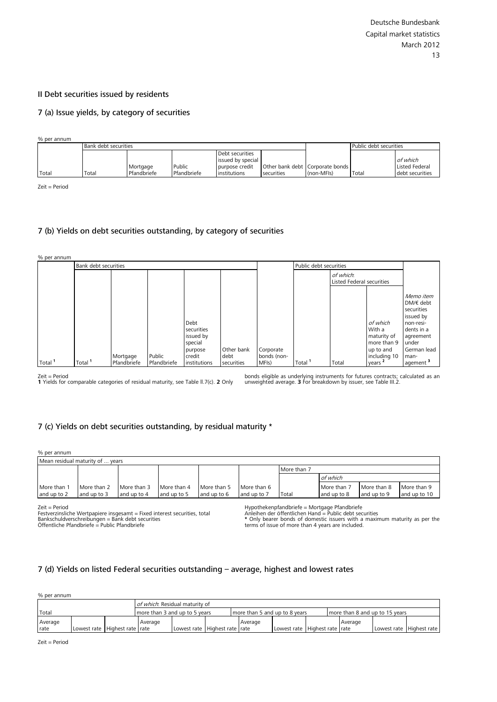#### <span id="page-12-0"></span>II Debt securities issued by residents

#### [7 \(a\) Issue yields, by category of securities](#page-57-0)

% per annum

|       | Bank debt securities |             |             |                   | Public debt securities |                                        |       |                 |
|-------|----------------------|-------------|-------------|-------------------|------------------------|----------------------------------------|-------|-----------------|
|       | Debt securities      |             |             |                   |                        |                                        |       |                 |
|       |                      |             |             | issued by special |                        |                                        |       | of which        |
|       |                      | Mortgage    | Public      | purpose credit    |                        | <b>Other bank debt Corporate bonds</b> |       | Listed Federal  |
| Total | Total                | Pfandbriefe | Pfandbriefe | institutions      | securities             | (non-MFIs)                             | Total | debt securities |

Zeit = Period

#### [7 \(b\) Yields on debt securities outstanding, by category of securities](#page-57-0)

| % per annum |                      |                         |                       |                                                                                 |                                  |                                   |                        |                                        |                                                                                                     |                                                                                                                                      |
|-------------|----------------------|-------------------------|-----------------------|---------------------------------------------------------------------------------|----------------------------------|-----------------------------------|------------------------|----------------------------------------|-----------------------------------------------------------------------------------------------------|--------------------------------------------------------------------------------------------------------------------------------------|
|             | Bank debt securities |                         |                       |                                                                                 |                                  |                                   | Public debt securities |                                        |                                                                                                     |                                                                                                                                      |
|             |                      |                         |                       |                                                                                 |                                  |                                   |                        | of which.<br>Listed Federal securities |                                                                                                     |                                                                                                                                      |
| Total       | Total <sup>1</sup>   | Mortgage<br>Pfandbriefe | Public<br>Pfandbriefe | Debt<br>securities<br>issued by<br>special<br>purpose<br>credit<br>institutions | Other bank<br>debt<br>securities | Corporate<br>bonds (non-<br>MFIs) | Total <b>'</b>         | Total                                  | of which<br>With a<br>maturity of<br>more than 9<br>up to and<br>including 10<br>years <sup>'</sup> | Memo item<br>DM/€ debt<br>securities<br>issued by<br>non-resi-<br>dents in a<br>agreement<br>under<br>German lead<br>man-<br>agement |

Zeit = Period **1** Yields for comparable categories of residual maturity, see Table ll.7(c). **2** Only

bonds eligible as underlying instruments for futures contracts; calculated as [an](#page-2-1)  unweighted average. **3** For breakdown by issuer, see Table III.2.

#### [7 \(c\) Yields on debt securities outstanding, by residual maturity \\*](#page-58-0)

| % per annum                      |             |             |             |             |             |             |             |             |              |  |
|----------------------------------|-------------|-------------|-------------|-------------|-------------|-------------|-------------|-------------|--------------|--|
| Mean residual maturity of  years |             |             |             |             |             |             |             |             |              |  |
|                                  |             |             |             |             |             | More than 7 |             |             |              |  |
|                                  |             |             |             |             |             |             | of which    |             |              |  |
| More than 1                      | More than 2 | More than 3 | More than 4 | More than 5 | More than 6 |             | More than 7 | More than 8 | More than 9  |  |
| and up to 2                      | and up to 3 | and up to 4 | and up to 5 | and up to 6 | and up to 7 | Total       | and up to 8 | and up to 9 | and up to 10 |  |
|                                  |             |             |             |             |             |             |             |             |              |  |

Zeit = Period

Festverzinsliche Wertpapiere insgesamt = Fixed interest securities, total<br>Bankschuldverschreibungen = Bank debt securities<br>Öffentliche Pfandbriefe = Public Pfandbriefe

Hypothekenpfandbriefe = Mortgage Pfandbriefe<br>Anleihen der öffentlichen Hand = Public debt securities<br>\* Only bearer bonds of domestic issuers with a maximum maturity as per the<br>terms of issue of more than 4 years are includ

#### [7 \(d\) Yields on listed Federal securities outstanding – average, highest and lowest rates](#page-60-0)

% per annum

|               |                                   |  |                               | of which: Residual maturity of |  |                               |                               |  |                                |  |                          |  |
|---------------|-----------------------------------|--|-------------------------------|--------------------------------|--|-------------------------------|-------------------------------|--|--------------------------------|--|--------------------------|--|
| Total         |                                   |  | more than 3 and up to 5 years |                                |  | more than 5 and up to 8 years |                               |  | more than 8 and up to 15 years |  |                          |  |
| Average       |                                   |  | Average                       |                                |  | Average                       |                               |  | Average                        |  |                          |  |
| <b>I</b> rate | Lowest rate   Highest rate   rate |  |                               | Lowest rate Highest rate rate  |  |                               | Lowest rate Highest rate rate |  |                                |  | Lowest rate Highest rate |  |

Zeit = Period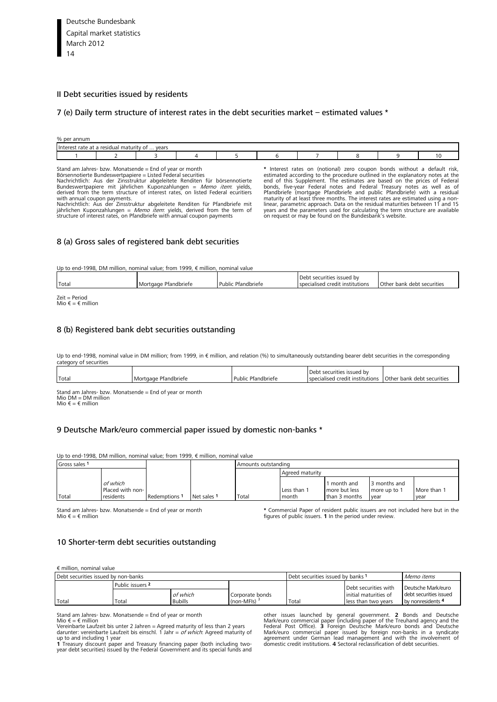#### <span id="page-13-0"></span>II Debt securities issued by residents

#### [7](#page-2-1) [\(e\) Daily term structure of interest rates in the debt securities market – estimated values \\*](#page-61-0)

| % per<br>annum:         |                              |       |  |  |  |  |  |  |  |  |  |
|-------------------------|------------------------------|-------|--|--|--|--|--|--|--|--|--|
| Intora<br>ат а<br>rate. | residual maturity of $\cdot$ | vears |  |  |  |  |  |  |  |  |  |
|                         |                              |       |  |  |  |  |  |  |  |  |  |

Stand am Jahres- bzw. Monatsende = End of year or month Börsennotierte Bundeswertpapiere = Listed Federal securities Nachrichtlich: Aus der Zinsstruktur abgeleitete Renditen für börsennotierte<br>Bundeswertnaniere mit jährlichen Kunonzahlungen = Memo item vields Bundeswertpapiere mit jährlichen Kuponzahlungen = *Memo item*: yields,<br>derived from the term structure of interest rates, on listed Federal ecuritiers with annual coupon payments. Nachrichtlich: Aus der Zinsstruktur abgeleitete Renditen für Pfandbriefe mit jährlichen Kuponzahlungen = *Memo item*: yields, derived from the term of<br>structure of interest rates, on Pfandbriefe with annual coupon payments

**\*** Interest rates on (notional) zero coupon bonds without a default risk, estimated according to the procedure outlined in the explanatory notes at the end of this Supplement. The estimates are based on the prices of Federal<br>bonds, five-year Federal notes and Federal Treasury notes as well as of<br>Pfandbriefe (mortgage Pfandbriefe and public Pfandbriefe) with a residual<br>mat linear, parametric approach. Data on the residual maturities between 11 and 15 years and the parameters used for calculating the term structure are available on request or may be found on the Bundesbank's website.

#### [8 \(a\) Gross sales of registered bank debt securities](#page-62-0)

Up to end-1998, DM million, nominal value; from 1999, € million, nominal value

|       |                        |                           | l Debt securities issued by        |                            |
|-------|------------------------|---------------------------|------------------------------------|----------------------------|
| Total | I Mortgage Pfandbriefe | <b>Public Pfandbriefe</b> | specialised<br>credit institutions | Other bank debt securities |
|       |                        |                           |                                    |                            |

Zeit = Period Mio  $\epsilon = \epsilon$  million

#### 8 (b) Registered bank debt securities outstanding

Up to end-1998, nominal value in DM million; from 1999, in € million, and relation (%) to simultaneously outstanding bearer debt securities in the corresponding category of securities

|                   |                      |                    | Debt securities issued by       |                            |
|-------------------|----------------------|--------------------|---------------------------------|----------------------------|
| Tota <sub>i</sub> | Mortgage Pfandbriefe | Public Pfandbriefe | specialised credit institutions | Other bank debt securities |
|                   |                      |                    |                                 |                            |

Stand am Jahres- bzw. Monatsende = End of year or month Mio DM = DM million Mio  $f = f$  million

#### [9 Deutsche Mark/euro commercial paper issued by domestic non-banks \\*](#page-63-0)

Up to end-1998, DM million, nominal value; from 1999, € million, nominal value

| Gross sales 1 |          |                  |                          |           | <b>Amounts outstanding</b> |                 |               |              |             |  |
|---------------|----------|------------------|--------------------------|-----------|----------------------------|-----------------|---------------|--------------|-------------|--|
|               |          |                  |                          |           |                            | Agreed maturity |               |              |             |  |
|               | of which |                  |                          |           |                            |                 | 1 month and   | 3 months and |             |  |
|               |          | Placed with non- |                          |           |                            | Less than 1     | more but less | more up to 1 | More than 1 |  |
| Total         |          | residents        | Redemptions <sup>1</sup> | Net sales | Total                      | month           | than 3 months | vear         | vear        |  |

Stand am Jahres- bzw. Monatsende = End of year or month Mio  $f = f$  million

**\*** Commercial Paper of resident public issuers are not included here but in the figures of public issuers. **1** In the period under review.

#### [10 Shorter-term debt securities outstanding](#page-64-0)

€ million, nominal value

| Debt securities issued by non-banks |                             |                |                 | Debt securities issued by banks 1 |                       | Memo items             |
|-------------------------------------|-----------------------------|----------------|-----------------|-----------------------------------|-----------------------|------------------------|
|                                     | Public issuers <sup>2</sup> |                |                 |                                   | Debt securities with  | Deutsche Mark/euro     |
|                                     | of which                    |                | Corporate bonds |                                   | initial maturities of | debt securities issued |
| Total                               | Total                       | <b>Bubills</b> | $I$ (non-MFIs)  | Total                             | Hess than two vears   | by nonresidents 4      |

Stand am Jahres- bzw. Monatsende = End of year or month

Mio  $€ = €$  million Vereinbarte Laufzeit bis unter 2 Jahren = Agreed maturity of less than 2 years darunter: vereinbarte Laufzeit bis einschl. 1 Jahr =  $of which$ : Agreed maturity of

up to and including 1 year **1** Treasury discount paper and Treasury financing paper (both including twoyear debt securities) issued by the Federal Government and its special funds and other issues launched by general government. **2** Bonds and Deutsche<br>Mark/euro-commercial-paper (including-paper of the-Treuhand-agency-and-the<br>Federal Post Office). **3** Foreign Deutsche Mark/euro-bonds and Deutsche Mark/euro commercial paper issued by foreign non-banks in a syndicate<br>agreement under German lead management and with the involvement of<br>domestic credit institutions. **4** Sectoral reclassification of debt securities.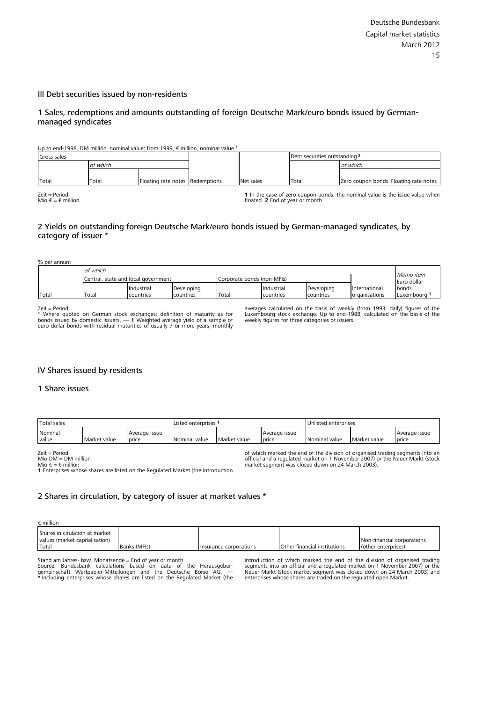#### <span id="page-14-0"></span>Ill Debt securities issued by non-residents

#### [1 Sales, redemptions and amounts outstanding of foreign Deutsche Mark/euro bonds issued by German](#page-65-0)managed syndicates

Up to end-1998, DM million, nominal value; from 1999, € million, nominal value 1

| Gross sales |          |                                 |           | Debt securities outstanding 2 |                                         |  |
|-------------|----------|---------------------------------|-----------|-------------------------------|-----------------------------------------|--|
|             | of which |                                 |           |                               | of which                                |  |
|             |          |                                 |           |                               |                                         |  |
| Total       | Total    | Floating rate notes Redemptions | Net sales | Total                         | I Zero coupon bonds Floating rate notes |  |

Zeit = Period Mio  $\epsilon = \epsilon$  million **1** In the case of zero coupon bonds, the nominal value is the issue value when floated. **2** End of year or month.

#### [2 Yields on outstanding foreign Deutsche Mark/euro bonds issued by German-managed syndicates, by](#page-65-0)  category of issuer \*

% per annum

|              | of which |                                     |                         |                            |                         |                         |                                       |                            |
|--------------|----------|-------------------------------------|-------------------------|----------------------------|-------------------------|-------------------------|---------------------------------------|----------------------------|
|              |          | Central, state and local government |                         | Corporate bonds (non-MFIs) |                         |                         | Memo item<br>Euro dollar              |                            |
| <b>Total</b> | Total    | Industrial<br>countries             | Developing<br>countries | Total                      | Industrial<br>countries | Developing<br>countries | <b>International</b><br>organisations | <b>bonds</b><br>Luxemboura |

Zeit = Period

[\\* Where quoted on German stock exchanges; definition of maturity as for](#page-66-0)  bonds issued by domestic issuers. — **1** Weighted average yield of a sample of euro dollar bonds with residual maturities of usually 7 or more years; monthly

averages calculated on the basis of weekly (from 1993, daily) figures of the Luxembourg stock exchange. Up to end-1988, calculated on the basis of the weekly figures for three categories of issuers

#### IV Shares issued by residents

#### 1 Share issues

| Total sales               |              |                        | Listed enterprises |              |                        | Unlisted enterprises |              |                        |  |
|---------------------------|--------------|------------------------|--------------------|--------------|------------------------|----------------------|--------------|------------------------|--|
| Nominal<br><b>I</b> value | Market value | Average issue<br>price | Nominal value      | Market value | Average issue<br>price | Nominal value        | Market value | Average issue<br>price |  |

Zeit = Period<br>Mio DM = DM million<br>Mio € = € million

**1** [Enterprises whose shares are listed on the Regulated Market \(the introduction](#page-66-1) 

of which marked the end of the division of organised trading segments into an official and a regulated market on 1 November 2007) or the Neuer Markt (stock market segment was closed down on 24 March 2003).

#### 2 Shares in circulation, by category of issuer at market values \*

€ million

| <b>Shares in cirulation at market</b><br>values (market capitalisation) |              |                        |                              | Non-financial corporations |
|-------------------------------------------------------------------------|--------------|------------------------|------------------------------|----------------------------|
| Total                                                                   | Banks (MFIs) | Insurance corporations | Other financial institutions | (other enterprises)        |

Stand am Jahres- bzw. Monatsende = End of year or month

Source: Bundesbank calculations based on data of the Herausgeber-<br>gemeinschaft Wertpapier-Mitteilungen and the Deutsche Börse AG.<br>\*Including enterprises whose shares are listed on the Regulated Market (the

introduction of which marked the end of the division of organised trading segments into an official and a regulated market on 1 November 2007) or the Neuer Markt (stock market segment was closed down on 24 March 2003) [and](#page-3-0)  enterprises whose shares are traded on the regulated open Market.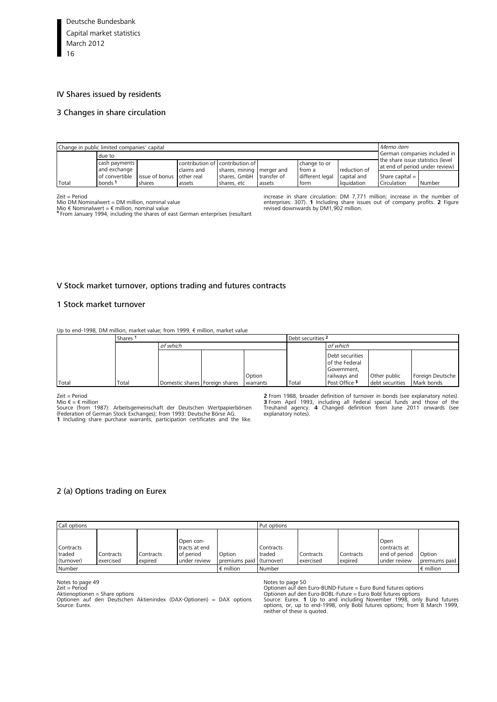#### <span id="page-15-0"></span>[IV](#page-3-0) Shares issued by residents

#### [3 Changes in share circulation](#page-68-0)

| Change in public limited companies' capital |                                                                   |                            |            |                                 |        |                 |              | Memo item                        |               |  |
|---------------------------------------------|-------------------------------------------------------------------|----------------------------|------------|---------------------------------|--------|-----------------|--------------|----------------------------------|---------------|--|
| due to                                      | German companies included in<br>the share issue statistics (level |                            |            |                                 |        |                 |              |                                  |               |  |
|                                             | cash payments                                                     |                            |            | contribution of contribution of |        | change to or    |              | at end of period under review)   |               |  |
|                                             | and exchange                                                      |                            | claims and | shares, mining   merger and     |        | from a          | reduction of |                                  |               |  |
|                                             | of convertible                                                    | issue of bonus lother real |            | shares, GmbH transfer of        |        | different legal | capital and  | Share capital $=$ $\blacksquare$ |               |  |
| Total                                       | bonds <sup>1</sup>                                                | shares                     | assets     | I shares, etc                   | assets | form            | liquidation  | Circulation                      | <b>Number</b> |  |

Zeit = Period

Mio DM Nominalwert = DM million, nominal value<br>Mio € Nominalwert = € million, nominal value<br>° From January 1994, including the shares of east German enterprises (resultant

increase in share circulation: DM 7,771 million; increase in the number of enterprises: 307). **1** Including share issues out of company profits. **2** Figure revised downwards by DM1,902 million.

#### [V Stock market turnover, options trading and futures contracts](#page-69-0)

#### 1 Stock market turnover

Up to end-1998, DM million, market value; from 1999, € million, market value

|       | Shares |                                |  |                    | Debt securities 2 |                                                                                   |                                 |                                |  |
|-------|--------|--------------------------------|--|--------------------|-------------------|-----------------------------------------------------------------------------------|---------------------------------|--------------------------------|--|
|       |        | of which                       |  |                    |                   | of which                                                                          |                                 |                                |  |
| Total | Total  | Domestic shares Foreign shares |  | Option<br>warrants | Total             | Debt securities<br>of the Federal<br>Government,<br>railways and<br>Post Office 3 | Other public<br>debt securities | Foreign Deutsche<br>Mark bonds |  |

Zeit = Period<br>Mio € = € million<br>Source (from 1987): Arbeitsgemeinschaft der Deutschen Wertpapierbörsen<br>(Federation of German Stock Exchanges); from 1993: Deutsche Börse AG.<br>1 Including share purchase warrants, pa

**2** From 1988, broader definition of turnover in bonds (see explanatory notes).<br>**3** From April 1993, including all Federal special funds and those of the Treuhand agency. **4** Changed definition from June 2011 onwards (see

#### [2 \(a\) Options trading on Eurex](#page-70-0)

| Call options                      |                        |                      |                                                         |                                    | Put options         |                        |                      |                                                       |                         |  |  |
|-----------------------------------|------------------------|----------------------|---------------------------------------------------------|------------------------------------|---------------------|------------------------|----------------------|-------------------------------------------------------|-------------------------|--|--|
| Contracts<br>traded<br>(turnover) | Contracts<br>exercised | Contracts<br>expired | Open con-<br>tracts at end<br>of period<br>under review | Option<br>premiums paid (turnover) | Contracts<br>traded | Contracts<br>exercised | Contracts<br>expired | Open<br>contracts at<br>end of period<br>under review | Option<br>premiums paid |  |  |
| Number                            |                        |                      |                                                         | $\epsilon$ million                 | Number              |                        |                      |                                                       | $\epsilon$ million      |  |  |

Notes to page 49 Zeit = Period

Aktienoptionen = Share options Optionen auf den Deutschen Aktienindex (DAX-Optionen) = DAX options

Source: Eurex.

Notes to page 50<br>Optionen auf den Euro-BUND-Future = Euro Bund futures options<br>Optionen auf den Euro-BOBL-Future = Euro Bobl futures options<br>Source: Eurex. 1 Up to and including November 1998, only Bund futures<br>options, or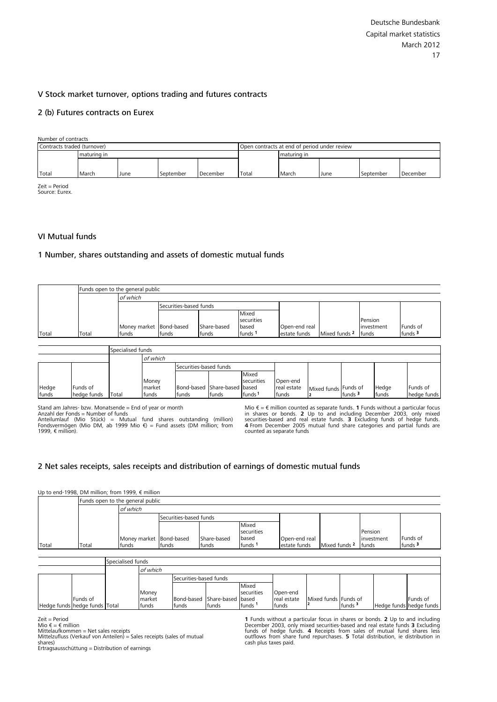#### <span id="page-16-0"></span>[V Stock market turnover, options trading and futures contracts](#page-72-0)

#### 2 (b) Futures contracts on Eurex

Number of contracts

| Contracts traded (turnover) |       |      |           |             | Open contracts at end of period under review |       |      |             |          |  |
|-----------------------------|-------|------|-----------|-------------|----------------------------------------------|-------|------|-------------|----------|--|
| maturing in                 |       |      |           | maturing in |                                              |       |      |             |          |  |
|                             |       |      |           |             |                                              |       |      |             |          |  |
| Total                       | March | June | September | December    | Total                                        | March | June | I September | December |  |
|                             |       |      |           |             |                                              |       |      |             |          |  |

Zeit = Period Source: Eurex.

#### VI Mutual funds

#### [1 Number, shares outstanding and assets of domestic](#page-73-0) mutual funds

|       |       |                         |                        |             |                |               | Funds open to the general public |            |                    |  |  |  |  |  |  |  |  |  |  |
|-------|-------|-------------------------|------------------------|-------------|----------------|---------------|----------------------------------|------------|--------------------|--|--|--|--|--|--|--|--|--|--|
|       |       | of which                |                        |             |                |               |                                  |            |                    |  |  |  |  |  |  |  |  |  |  |
|       |       |                         | Securities-based funds |             |                |               |                                  |            |                    |  |  |  |  |  |  |  |  |  |  |
|       |       |                         |                        |             | Mixed          |               |                                  |            |                    |  |  |  |  |  |  |  |  |  |  |
|       |       |                         |                        |             | securities     |               |                                  | Pension    |                    |  |  |  |  |  |  |  |  |  |  |
|       |       | Money market Bond-based |                        | Share-based | <b>l</b> based | Open-end real |                                  | investment | Funds of           |  |  |  |  |  |  |  |  |  |  |
| Total | Total | funds                   | funds                  | funds       | funds          | estate funds  | Mixed funds 2                    | funds      | funds <sup>3</sup> |  |  |  |  |  |  |  |  |  |  |

|       |             | Specialised funds |          |                        |                              |                    |             |                      |                    |       |             |
|-------|-------------|-------------------|----------|------------------------|------------------------------|--------------------|-------------|----------------------|--------------------|-------|-------------|
|       |             |                   | of which |                        |                              |                    |             |                      |                    |       |             |
|       |             |                   |          | Securities-based funds |                              |                    |             |                      |                    |       |             |
|       |             |                   |          |                        |                              | Mixed              |             |                      |                    |       |             |
|       |             |                   | Money    |                        |                              | securities         | Open-end    |                      |                    |       |             |
| Hedge | Funds of    |                   | market   |                        | Bond-based Share-based based |                    | real estate | Mixed funds Funds of |                    | Hedge | Funds of    |
| funds | hedge funds | Total             | funds    | funds                  | funds                        | funds <sup>1</sup> | funds       |                      | funds <sup>3</sup> | funds | hedge funds |

Stand am Jahres- bzw. Monatsende = End of year or month

Anzahl der Fonds = Number of funds Anteilumlauf (Mio Stück) = Mutual fund shares outstanding (million) Fondsvermögen (Mio DM, ab 1999 Mio €) = Fund assets (DM million; from 1999, € million). Mio  $\epsilon = \epsilon$  million counted as separate funds. **1** Funds without a particular focus in shares or bonds. **2** Up to and including December 2003, only m[ixed](#page-3-1) securities-based and real estate funds. **3** Excluding funds of hedg

#### [2 Net sales receipts, sales receipts and distribution of earnings of](#page-75-0) domestic mutual funds

Up to end-1998, DM million; from 1999, € million

|       | Funds open to the general public |                         |                        |             |                    |               |               |             |                    |
|-------|----------------------------------|-------------------------|------------------------|-------------|--------------------|---------------|---------------|-------------|--------------------|
|       |                                  | of which                |                        |             |                    |               |               |             |                    |
|       |                                  |                         | Securities-based funds |             |                    |               |               |             |                    |
|       |                                  |                         |                        |             | Mixed              |               |               |             |                    |
|       |                                  |                         |                        |             | securities         |               |               | Pension     |                    |
|       |                                  | Money market Bond-based |                        | Share-based | based              | Open-end real |               | linvestment | Funds of           |
| Total | Total                            | <b>funds</b>            | funds                  | funds       | funds <sup>1</sup> | estate funds  | Mixed funds 2 | funds       | funds <sup>3</sup> |

|  |                               | Specialised funds |          |                        |                              |            |             |                      |         |                         |          |
|--|-------------------------------|-------------------|----------|------------------------|------------------------------|------------|-------------|----------------------|---------|-------------------------|----------|
|  |                               |                   | of which |                        |                              |            |             |                      |         |                         |          |
|  |                               |                   |          | Securities-based funds |                              |            |             |                      |         |                         |          |
|  |                               |                   |          |                        |                              | Mixed      |             |                      |         |                         |          |
|  |                               |                   | Money    |                        |                              | securities | Open-end    |                      |         |                         |          |
|  | Funds of                      |                   | market   |                        | Bond-based Share-based based |            | real estate | Mixed funds Funds of |         |                         | Funds of |
|  | Hedge funds hedge funds Total |                   | funds    | funds                  | funds                        | funds      | funds       |                      | funds ' | Hedge funds hedge funds |          |

Zeit = Period Mio € = € million

Mittelaufkommen = Net sales receipts Mittelzufluss (Verkauf von Anteilen) = Sales receipts (sales of mutual shares)

Ertragsausschüttung = Distribution of earnings

**1** Funds without a particular focus in shares or bonds. **2** Up to and including December 2003, only mixed securities-based and real estate funds **3** Excluding funds of ends of ends of mutual funds shares less outflows for cash plus taxes paid.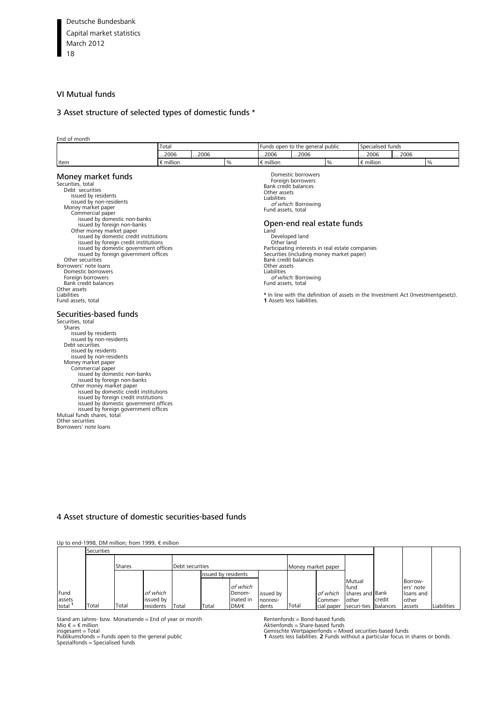#### <span id="page-17-0"></span>VI Mutual funds

### [3 Asset structure of selected types of domestic](#page-77-0) funds \*

#### End of month

|                                                                                                                                                                                                                                                                                                                                                                                                                                                                                                                                                                                            | Total            |               |                                                                                                                              | Funds open to the general public                                                                                                                                                                                                                                                                                     |               | Specialised funds                                                                 |      |               |
|--------------------------------------------------------------------------------------------------------------------------------------------------------------------------------------------------------------------------------------------------------------------------------------------------------------------------------------------------------------------------------------------------------------------------------------------------------------------------------------------------------------------------------------------------------------------------------------------|------------------|---------------|------------------------------------------------------------------------------------------------------------------------------|----------------------------------------------------------------------------------------------------------------------------------------------------------------------------------------------------------------------------------------------------------------------------------------------------------------------|---------------|-----------------------------------------------------------------------------------|------|---------------|
|                                                                                                                                                                                                                                                                                                                                                                                                                                                                                                                                                                                            | .2006            | .2006         | .2006                                                                                                                        | .2006                                                                                                                                                                                                                                                                                                                |               | 2006                                                                              | 2006 |               |
| Item                                                                                                                                                                                                                                                                                                                                                                                                                                                                                                                                                                                       | $\notin$ million | $\frac{0}{0}$ | $\epsilon$ million                                                                                                           |                                                                                                                                                                                                                                                                                                                      | $\frac{9}{6}$ | $\epsilon$ million                                                                |      | $\frac{0}{0}$ |
| Money market funds<br>Securities, total<br>Debt securities<br>issued by residents<br>issued by non-residents<br>Money market paper<br>Commercial paper<br>issued by domestic non-banks<br>issued by foreign non-banks<br>Other money market paper<br>issued by domestic credit institutions<br>issued by foreign credit institutions<br>issued by domestic government offices<br>issued by foreign government offices<br>Other securities<br>Borrowers' note loans<br>Domestic borrowers<br>Foreign borrowers<br>Bank credit balances<br>Other assets<br>Liabilities<br>Fund assets, total |                  |               | Other assets<br>Liabilities<br>Fund assets, total<br>Land<br>Other land<br>Other assets<br>Liabilities<br>Fund assets, total | Domestic borrowers<br>Foreign borrowers<br>Bank credit balances<br>of which: Borrowing<br>Open-end real estate funds<br>Developed land<br>Participating interests in real estate companies<br>Securities (including money market paper)<br>Bank credit balances<br>of which: Borrowing<br>1 Assets less liabilities. |               | * In line with the definition of assets in the Investment Act (Investmentgesetz). |      |               |
| Securities-based funds<br>Securities, total<br><b>Shares</b><br>issued by residents<br>issued by non-residents<br>Debt securities<br>issued by residents<br>issued by non-residents<br>Money market paper<br>Commercial paper<br>issued by domestic non-banks<br>issued by foreign non-banks<br>Other money market paper<br>issued by domestic credit institutions<br>issued by foreign credit institutions<br>issued by domestic government offices<br>issued by foreign government offices<br>Mutual funds shares, total<br>Other securities<br>Borrowers' note loans                    |                  |               |                                                                                                                              |                                                                                                                                                                                                                                                                                                                      |               |                                                                                   |      |               |

#### 4 Asset structure of domestic securities-based funds

|  | $\sim$ $\sim$ |  |  | Up to end-1998, DM million; from 1999, € million |
|--|---------------|--|--|--------------------------------------------------|
|  |               |  |  |                                                  |

|         | Securities |        |           |                 |                     |           |           |                    |            |                 |                 |            |             |
|---------|------------|--------|-----------|-----------------|---------------------|-----------|-----------|--------------------|------------|-----------------|-----------------|------------|-------------|
|         |            | Shares |           | Debt securities |                     |           |           | Money market paper |            |                 |                 |            |             |
|         |            |        |           |                 | issued by residents |           |           |                    |            |                 |                 |            |             |
|         |            |        |           |                 |                     |           |           |                    |            | Mutual          |                 | Borrow-    |             |
|         |            |        |           |                 |                     | of which  |           |                    |            | fund            |                 | ers' note  |             |
| Fund    |            |        | of which  |                 |                     | Denom-    | issued by |                    | of which   | shares and Bank |                 | lloans and |             |
| lassets |            |        | issued by |                 |                     | inated in | nonresi-  |                    | Commer-    | <b>lother</b>   | credit          | other      |             |
| total   | Total      | Total  | residents | Total           | Total               | DM/€      | dents     | Total              | cial paper | securi-ties     | <b>balances</b> | assets     | Liabilities |

Stand am Jahres- bzw. Monatsende = End of year or month<br>Mio € = € million<br>insgesamt = Total<br>Publikumsfonds = Funds open to the general public<br>Spezialfonds = Specialised funds

Rentenfonds = Bond-based funds<br>Aktienfonds = Share-based funds<br>Gemischte Wertpapierfonds = Mixed securities-based funds<br>**1** Assets less liabilities. **2** Funds without a particular focus in shares or bonds.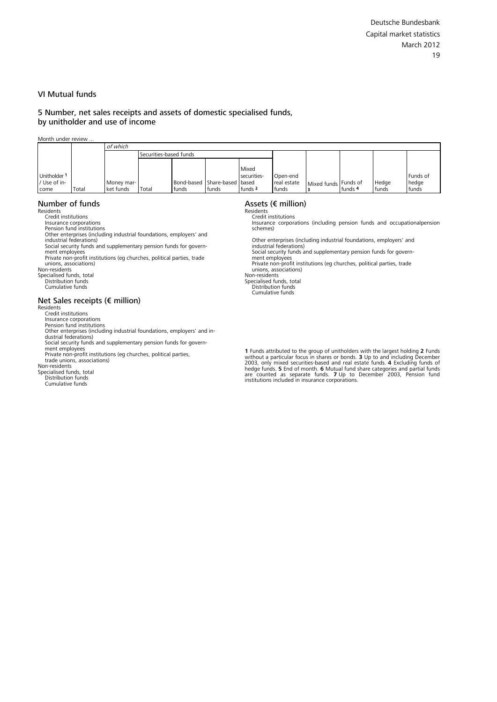#### <span id="page-18-0"></span>VI Mutual funds

#### 5 Number, net sales receipts and assets of domestic specialised funds, by unitholder and use of income

Month under review

|                                         |       | of which   |                        |       |                              |                      |                         |                      |                    |       |                   |
|-----------------------------------------|-------|------------|------------------------|-------|------------------------------|----------------------|-------------------------|----------------------|--------------------|-------|-------------------|
|                                         |       |            | Securities-based funds |       |                              |                      |                         |                      |                    |       |                   |
| Unitholder <sup>1</sup><br>/ Use of in- |       | Money mar- |                        |       | Bond-based Share-based based | Mixed<br>securities- | Open-end<br>real estate | Mixed funds Funds of |                    | Hedge | Funds of<br>hedge |
| come                                    | Total | ket funds  | Total                  | funds | funds                        | funds <sup>2</sup>   | funds                   |                      | funds <sup>4</sup> | funds | funds             |

#### Number of funds

- Residents Credit institutions
	-
- Insurance corporations Pension fund institutions Other enterprises (including industrial foundations, employers' and industrial federations)<br>Social security funds and supplementary pension funds for govern-
- 
- 
- Social security funds and supplementary pension funds for govern-ment employees Private non-profit institutions (eg churches, political parties, trade unions, associations) Non-residents
- 
- 
- Specialised funds, total Distribution funds
- 
- Cumulative funds

#### Net Sales receipts (€ million)

Residents Credit institutions

- Insurance corporations Pension fund institutions
- Other enterprises (including industrial foundations, employers' and in- dustrial federations)
- 
- Social security funds and supplementary pension funds for govern-ment employees Private non-profit institutions (eg churches, political parties,
- trade unions, associations)

Non-residents Specialised funds, total

Distribution funds Cumulative funds

#### Assets (€ million)

Residents Credit institutions

- Insurance corporations (including pension funds and occupationalpension schemes)
- Other enterprises (including industrial foundations, employers' and industrial federations) Social security funds and supplementary pension funds for govern-ment employees Private non-profit institutions (eg churches, political parties, trade unions, associations) Non-residents Specialised funds, total
- Distribution funds Cumulative funds

**1** Funds attributed to the group of unitholders with the largest holding **2** Funds without a particular focus in shares or bonds. **3** Up to and including Decemb[er](#page-3-0)  2003, only mixed securities-based and real estate funds. **4** Excluding funds of hedge funds. **5** End of month. **6** Mutual fund share categories and partial funds are counted as separate funds. **7** Up to December 2003, Pension fund institutions included in insurance corporations.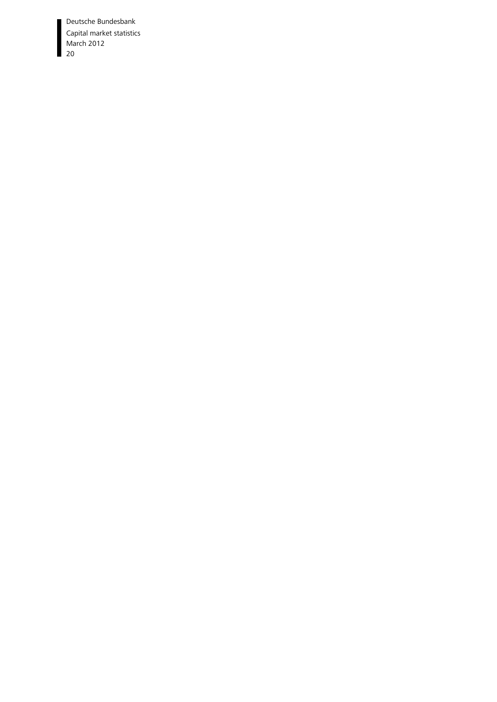Deutsche Bundesbank [Capital market statistics](#page-3-2) March 2012  $\overline{20}$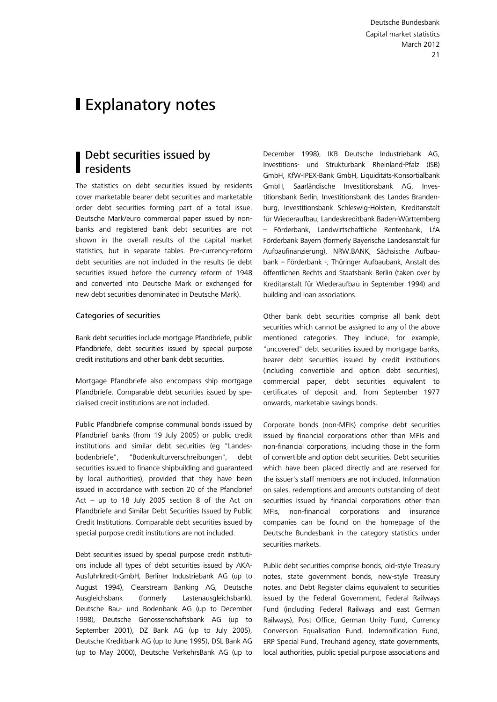## <span id="page-20-0"></span>**I** Explanatory notes

### Debt securities issued by residents

The statistics on debt securities issued by residents cover marketable bearer debt securities and marketable order debt securities forming part of a total issue. Deutsche Mark/euro commercial paper issued by nonbanks and registered bank debt securities are not shown in the overall results of the capital market statistics, but in separate tables. Pre-currency-reform debt securities are not included in the results (ie debt securities issued before the currency reform of 1948 and converted into Deutsche Mark or exchanged for new debt securities denominated in Deutsche Mark).

#### Categories of securities

Bank debt securities include mortgage Pfandbriefe, public Pfandbriefe, debt securities issued by special purpose credit institutions and other bank debt securities.

Mortgage Pfandbriefe also encompass ship mortgage Pfandbriefe. Comparable debt securities issued by specialised credit institutions are not included.

Public Pfandbriefe comprise communal bonds issued by Pfandbrief banks (from 19 July 2005) or public credit institutions and similar debt securities (eg "Landesbodenbriefe", "Bodenkulturverschreibungen", debt securities issued to finance shipbuilding and guaranteed by local authorities), provided that they have been issued in accordance with section 20 of the Pfandbrief Act – up to 18 July 2005 section 8 of the Act on Pfandbriefe and Similar Debt Securities Issued by Public Credit Institutions. Comparable debt securities issued by special purpose credit institutions are not included.

Debt securities issued by special purpose credit institutions include all types of debt securities issued by AKA-Ausfuhrkredit-GmbH, Berliner Industriebank AG (up to August 1994), Clearstream Banking AG, Deutsche Ausgleichsbank (formerly Lastenausgleichsbank), Deutsche Bau- und Bodenbank AG (up to December 1998), Deutsche Genossenschaftsbank AG (up to September 2001), DZ Bank AG (up to July 2005), Deutsche Kreditbank AG (up to June 1995), DSL Bank AG (up to May 2000), Deutsche VerkehrsBank AG (up to

December 1998), IKB Deutsche Industriebank AG, Investitions- und Strukturbank Rheinland-Pfalz (ISB) GmbH, KfW-IPEX-Bank GmbH, Liquiditäts-Konsortialbank GmbH, Saarländische Investitionsbank AG, Investitionsbank Berlin, Investitionsbank des Landes Brandenburg, Investitionsbank Schleswig-Holstein, Kreditanstalt für Wiederaufbau, Landeskreditbank Baden-Württemberg – Förderbank, Landwirtschaftliche Rentenbank, LfA Förderbank Bayern (formerly Bayerische Landesanstalt für Aufbaufinanzierung), NRW.BANK, Sächsische Aufbaubank – Förderbank -, Thüringer Aufbaubank, Anstalt des öffentlichen Rechts and Staatsbank Berlin (taken over by Kreditanstalt für Wiederaufbau in September 1994) and building and loan associations.

Other bank debt securities comprise all bank debt securities which cannot be assigned to any of the above mentioned categories. They include, for example, "uncovered" debt securities issued by mortgage banks, bearer debt securities issued by credit institutions (including convertible and option debt securities), commercial paper, debt securities equivalent to certificates of deposit and, from September 1977 onwards, marketable savings bonds.

Corporate bonds (non-MFIs) comprise debt securities issued by financial corporations other than MFIs and non-financial corporations, including those in the form of convertible and option debt securities. Debt securities which have been placed directly and are reserved for the issuer's staff members are not included. Information on sales, redemptions and amounts outstanding of debt securities issued by financial corporations other than MFIs, non-financial corporations and insurance companies can be found on the homepage of the Deutsche Bundesbank in the category statistics under securities markets.

Public debt securities comprise bonds, old-style Treasury notes, state government bonds, new-style Treasury notes, and Debt Register claims equivalent to securities issued by the Federal Government, Federal Railways Fund (including Federal Railways and east German Railways), Post Office, German Unity Fund, Currency Conversion Equalisation Fund, Indemnification Fund, ERP Special Fund, Treuhand agency, state governments, local authorities, public special purpose associations and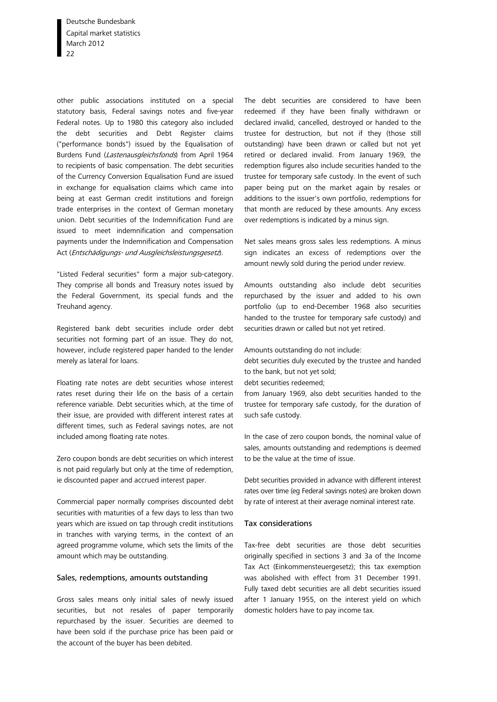other public associations instituted on a special statutory basis, Federal savings notes and five-year Federal notes. Up to 1980 this category also included the debt securities and Debt Register claims ("performance bonds") issued by the Equalisation of Burdens Fund (Lastenausgleichsfonds) from April 1964 to recipients of basic compensation. The debt securities of the Currency Conversion Equalisation Fund are issued in exchange for equalisation claims which came into being at east German credit institutions and foreign trade enterprises in the context of German monetary union. Debt securities of the Indemnification Fund are issued to meet indemnification and compensation payments under the Indemnification and Compensation Act (Entschädigungs- und Ausgleichsleistungsgesetz).

"Listed Federal securities" form a major sub-category. They comprise all bonds and Treasury notes issued by the Federal Government, its special funds and the Treuhand agency.

Registered bank debt securities include order debt securities not forming part of an issue. They do not, however, include registered paper handed to the lender merely as lateral for loans.

Floating rate notes are debt securities whose interest rates reset during their life on the basis of a certain reference variable. Debt securities which, at the time of their issue, are provided with different interest rates at different times, such as Federal savings notes, are not included among floating rate notes.

Zero coupon bonds are debt securities on which interest is not paid regularly but only at the time of redemption, ie discounted paper and accrued interest paper.

Commercial paper normally comprises discounted debt securities with maturities of a few days to less than two years which are issued on tap through credit institutions in tranches with varying terms, in the context of an agreed programme volume, which sets the limits of the amount which may be outstanding.

#### Sales, redemptions, amounts outstanding

Gross sales means only initial sales of newly issued securities, but not resales of paper temporarily repurchased by the issuer. Securities are deemed to have been sold if the purchase price has been paid or the account of the buyer has been debited.

The debt securities are considered to have been redeemed if they have been finally withdrawn or declared invalid, cancelled, destroyed or handed to the trustee for destruction, but not if they (those still outstanding) have been drawn or called but not yet retired or declared invalid. From January 1969, the redemption figures also include securities handed to the trustee for temporary safe custody. In the event of such paper being put on the market again by resales or additions to the issuer's own portfolio, redemptions for that month are reduced by these amounts. Any excess over redemptions is indicated by a minus sign.

Net sales means gross sales less redemptions. A minus sign indicates an excess of redemptions over the amount newly sold during the period under review.

Amounts outstanding also include debt securities repurchased by the issuer and added to his own portfolio (up to end-December 1968 also securities handed to the trustee for temporary safe custody) and securities drawn or called but not yet retired.

Amounts outstanding do not include:

debt securities duly executed by the trustee and handed to the bank, but not yet sold;

debt securities redeemed;

from January 1969, also debt securities handed to the trustee for temporary safe custody, for the duration of such safe custody.

In the case of zero coupon bonds, the nominal value of sales, amounts outstanding and redemptions is deemed to be the value at the time of issue.

Debt securities provided in advance with different interest rates over time (eg Federal savings notes) are broken down by rate of interest at their average nominal interest rate.

#### Tax considerations

Tax-free debt securities are those debt securities originally specified in sections 3 and 3a of the Income Tax Act (Einkommensteuergesetz); this tax exemption was abolished with effect from 31 December 1991. Fully taxed debt securities are all debt securities issued after 1 January 1955, on the interest yield on which domestic holders have to pay income tax.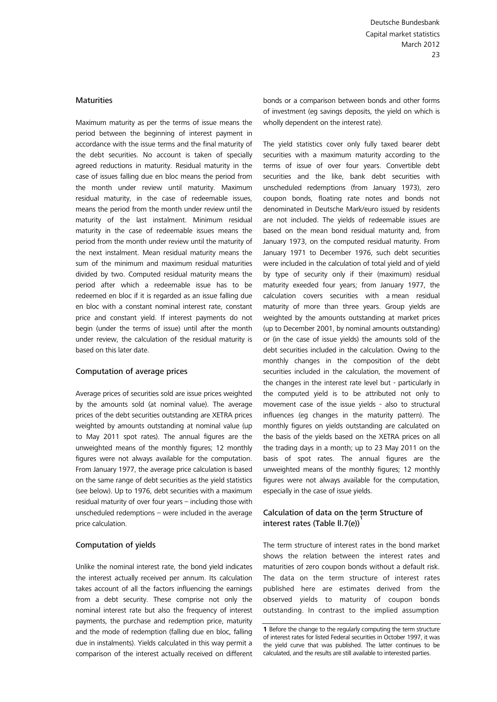#### **Maturities**

Maximum maturity as per the terms of issue means the period between the beginning of interest payment in accordance with the issue terms and the final maturity of the debt securities. No account is taken of specially agreed reductions in maturity. Residual maturity in the case of issues falling due en bloc means the period from the month under review until maturity. Maximum residual maturity, in the case of redeemable issues, means the period from the month under review until the maturity of the last instalment. Minimum residual maturity in the case of redeemable issues means the period from the month under review until the maturity of the next instalment. Mean residual maturity means the sum of the minimum and maximum residual maturities divided by two. Computed residual maturity means the period after which a redeemable issue has to be redeemed en bloc if it is regarded as an issue falling due en bloc with a constant nominal interest rate, constant price and constant yield. If interest payments do not begin (under the terms of issue) until after the month under review, the calculation of the residual maturity is based on this later date.

#### Computation of average prices

Average prices of securities sold are issue prices weighted by the amounts sold (at nominal value). The average prices of the debt securities outstanding are XETRA prices weighted by amounts outstanding at nominal value (up to May 2011 spot rates). The annual figures are the unweighted means of the monthly figures; 12 monthly figures were not always available for the computation. From January 1977, the average price calculation is based on the same range of debt securities as the yield statistics (see below). Up to 1976, debt securities with a maximum residual maturity of over four years – including those with unscheduled redemptions – were included in the average price calculation.

#### Computation of yields

Unlike the nominal interest rate, the bond yield indicates the interest actually received per annum. Its calculation takes account of all the factors influencing the earnings from a debt security. These comprise not only the nominal interest rate but also the frequency of interest payments, the purchase and redemption price, maturity and the mode of redemption (falling due en bloc, falling due in instalments). Yields calculated in this way permit a comparison of the interest actually received on different bonds or a comparison between bonds and other forms of investment (eg savings deposits, the yield on which is wholly dependent on the interest rate).

The yield statistics cover only fully taxed bearer debt securities with a maximum maturity according to the terms of issue of over four years. Convertible debt securities and the like, bank debt securities with unscheduled redemptions (from January 1973), zero coupon bonds, floating rate notes and bonds not denominated in Deutsche Mark/euro issued by residents are not included. The yields of redeemable issues are based on the mean bond residual maturity and, from January 1973, on the computed residual maturity. From January 1971 to December 1976, such debt securities were included in the calculation of total yield and of yield by type of security only if their (maximum) residual maturity exeeded four years; from January 1977, the calculation covers securities with a mean residual maturity of more than three years. Group yields are weighted by the amounts outstanding at market prices (up to December 2001, by nominal amounts outstanding) or (in the case of issue yields) the amounts sold of the debt securities included in the calculation. Owing to the monthly changes in the composition of the debt securities included in the calculation, the movement of the changes in the interest rate level but - particularly in the computed yield is to be attributed not only to movement case of the issue yields - also to structural influences (eg changes in the maturity pattern). The monthly figures on yields outstanding are calculated on the basis of the yields based on the XETRA prices on all the trading days in a month; up to 23 May 2011 on the basis of spot rates. The annual figures are the unweighted means of the monthly figures; 12 monthly figures were not always available for the computation, especially in the case of issue yields.

#### Calculation of data on the term Structure of interest rates (Table II.7(e))<sup>1</sup>

The term structure of interest rates in the bond market shows the relation between the interest rates and maturities of zero coupon bonds without a default risk. The data on the term structure of interest rates published here are estimates derived from the observed yields to maturity of coupon bonds outstanding. In contrast to the implied assumption

**<sup>1</sup>** Before the change to the regularly computing the term structure of interest rates for listed Federal securities in October 1997, it was the yield curve that was published. The latter continues to be calculated, and the results are still available to interested parties.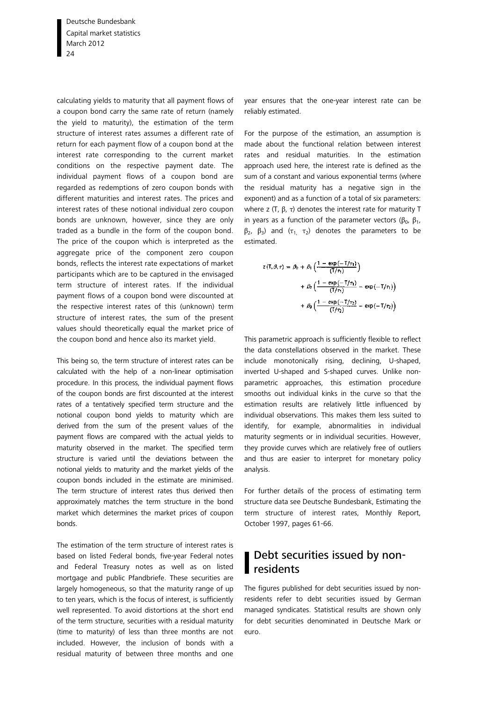<span id="page-23-0"></span>calculating yields to maturity that all payment flows of a coupon bond carry the same rate of return (namely the yield to maturity), the estimation of the term structure of interest rates assumes a different rate of return for each payment flow of a coupon bond at the interest rate corresponding to the current market conditions on the respective payment date. The individual payment flows of a coupon bond are regarded as redemptions of zero coupon bonds with different maturities and interest rates. The prices and interest rates of these notional individual zero coupon bonds are unknown, however, since they are only traded as a bundle in the form of the coupon bond. The price of the coupon which is interpreted as the aggregate price of the component zero coupon bonds, reflects the interest rate expectations of market participants which are to be captured in the envisaged term structure of interest rates. If the individual payment flows of a coupon bond were discounted at the respective interest rates of this (unknown) term structure of interest rates, the sum of the present values should theoretically equal the market price of the coupon bond and hence also its market yield.

This being so, the term structure of interest rates can be calculated with the help of a non-linear optimisation procedure. In this process, the individual payment flows of the coupon bonds are first discounted at the interest rates of a tentatively specified term structure and the notional coupon bond yields to maturity which are derived from the sum of the present values of the payment flows are compared with the actual yields to maturity observed in the market. The specified term structure is varied until the deviations between the notional yields to maturity and the market yields of the coupon bonds included in the estimate are minimised. The term structure of interest rates thus derived then approximately matches the term structure in the bond market which determines the market prices of coupon bonds.

The estimation of the term structure of interest rates is based on listed Federal bonds, five-year Federal notes and Federal Treasury notes as well as on listed mortgage and public Pfandbriefe. These securities are largely homogeneous, so that the maturity range of up to ten years, which is the focus of interest, is sufficiently well represented. To avoid distortions at the short end of the term structure, securities with a residual maturity (time to maturity) of less than three months are not included. However, the inclusion of bonds with a residual maturity of between three months and one

year ensures that the one-year interest rate can be reliably estimated.

For the purpose of the estimation, an assumption is made about the functional relation between interest rates and residual maturities. In the estimation approach used here, the interest rate is defined as the sum of a constant and various exponential terms (where the residual maturity has a negative sign in the exponent) and as a function of a total of six parameters: where z (T,  $β$ , τ) denotes the interest rate for maturity T in years as a function of the parameter vectors ( $β_0$ ,  $β_1$ ,  $β_2$ ,  $β_3$ ) and  $(τ_1, τ_2)$  denotes the parameters to be estimated.

$$
z(T, \beta, \tau) = \beta_0 + \beta_1 \left( \frac{1 - \exp(-T/\tau_1)}{(T/\tau_1)} \right)
$$
  
+ 
$$
\beta_2 \left( \frac{1 - \exp(-T/\tau_1)}{(T/\tau_1)} - \exp(-T/\tau_1) \right)
$$
  
+ 
$$
\beta_3 \left( \frac{1 - \exp(-T/\tau_2)}{(T/\tau_2)} - \exp(-T/\tau_2) \right)
$$

This parametric approach is sufficiently flexible to reflect the data constellations observed in the market. These include monotonically rising, declining, U-shaped, inverted U-shaped and S-shaped curves. Unlike nonparametric approaches, this estimation procedure smooths out individual kinks in the curve so that the estimation results are relatively little influenced by individual observations. This makes them less suited to identify, for example, abnormalities in individual maturity segments or in individual securities. However, they provide curves which are relatively free of outliers and thus are easier to interpret for monetary policy analysis.

For further details of the process of estimating term structure data see Deutsche Bundesbank, Estimating the term structure of interest rates, Monthly Report, October 1997, pages 61-66.

### Debt securities issued by nonresidents

The figures published for debt securities issued by nonresidents refer to debt securities issued by German managed syndicates. Statistical results are shown only for debt securities denominated in Deutsche Mark or euro.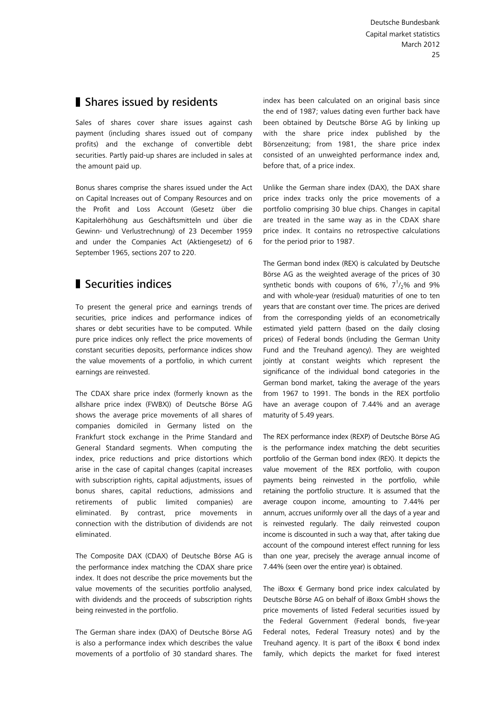### <span id="page-24-0"></span>Shares issued by residents

Sales of shares cover share issues against cash payment (including shares issued out of company profits) and the exchange of convertible debt securities. Partly paid-up shares are included in sales at the amount paid up.

Bonus shares comprise the shares issued under the Act on Capital Increases out of Company Resources and on the Profit and Loss Account (Gesetz über die Kapitalerhöhung aus Geschäftsmitteln und über die Gewinn- und Verlustrechnung) of 23 December 1959 and under the Companies Act (Aktiengesetz) of 6 September 1965, sections 207 to 220.

### Securities indices

To present the general price and earnings trends of securities, price indices and performance indices of shares or debt securities have to be computed. While pure price indices only reflect the price movements of constant securities deposits, performance indices show the value movements of a portfolio, in which current earnings are reinvested.

The CDAX share price index (formerly known as the allshare price index (FWBX)) of Deutsche Börse AG shows the average price movements of all shares of companies domiciled in Germany listed on the Frankfurt stock exchange in the Prime Standard and General Standard segments. When computing the index, price reductions and price distortions which arise in the case of capital changes (capital increases with subscription rights, capital adjustments, issues of bonus shares, capital reductions, admissions and retirements of public limited companies) are eliminated. By contrast, price movements in connection with the distribution of dividends are not eliminated.

The Composite DAX (CDAX) of Deutsche Börse AG is the performance index matching the CDAX share price index. It does not describe the price movements but the value movements of the securities portfolio analysed, with dividends and the proceeds of subscription rights being reinvested in the portfolio.

The German share index (DAX) of Deutsche Börse AG is also a performance index which describes the value movements of a portfolio of 30 standard shares. The index has been calculated on an original basis since the end of 1987; values dating even further back have been obtained by Deutsche Börse AG by linking up with the share price index published by the Börsenzeitung; from 1981, the share price index consisted of an unweighted performance index and, before that, of a price index.

Unlike the German share index (DAX), the DAX share price index tracks only the price movements of a portfolio comprising 30 blue chips. Changes in capital are treated in the same way as in the CDAX share price index. It contains no retrospective calculations for the period prior to 1987.

The German bond index (REX) is calculated by Deutsche Börse AG as the weighted average of the prices of 30 synthetic bonds with coupons of 6%,  $7^{1}/_{2}\%$  and 9% and with whole-year (residual) maturities of one to ten years that are constant over time. The prices are derived from the corresponding yields of an econometrically estimated yield pattern (based on the daily closing prices) of Federal bonds (including the German Unity Fund and the Treuhand agency). They are weighted jointly at constant weights which represent the significance of the individual bond categories in the German bond market, taking the average of the years from 1967 to 1991. The bonds in the REX portfolio have an average coupon of 7.44% and an average maturity of 5.49 years.

The REX performance index (REXP) of Deutsche Börse AG is the performance index matching the debt securities portfolio of the German bond index (REX). It depicts the value movement of the REX portfolio, with coupon payments being reinvested in the portfolio, while retaining the portfolio structure. It is assumed that the average coupon income, amounting to 7.44% per annum, accrues uniformly over all the days of a year and is reinvested regularly. The daily reinvested coupon income is discounted in such a way that, after taking due account of the compound interest effect running for less than one year, precisely the average annual income of 7.44% (seen over the entire year) is obtained.

The iBoxx  $\epsilon$  Germany bond price index calculated by Deutsche Börse AG on behalf of iBoxx GmbH shows the price movements of listed Federal securities issued by the Federal Government (Federal bonds, five-year Federal notes, Federal Treasury notes) and by the Treuhand agency. It is part of the iBoxx  $\epsilon$  bond index family, which depicts the market for fixed interest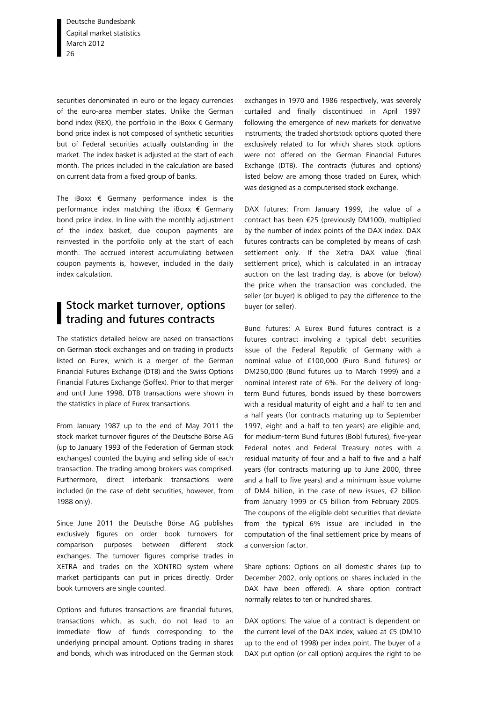<span id="page-25-0"></span>securities denominated in euro or the legacy currencies of the euro-area member states. Unlike the German bond index (REX), the portfolio in the iBoxx  $\epsilon$  Germany bond price index is not composed of synthetic securities but of Federal securities actually outstanding in the market. The index basket is adjusted at the start of each month. The prices included in the calculation are based on current data from a fixed group of banks.

The iBoxx  $\epsilon$  Germany performance index is the performance index matching the iBoxx  $\epsilon$  Germany bond price index. In line with the monthly adjustment of the index basket, due coupon payments are reinvested in the portfolio only at the start of each month. The accrued interest accumulating between coupon payments is, however, included in the daily index calculation.

### Stock market turnover, options **trading and futures contracts**

The statistics detailed below are based on transactions on German stock exchanges and on trading in products listed on Eurex, which is a merger of the German Financial Futures Exchange (DTB) and the Swiss Options Financial Futures Exchange (Soffex). Prior to that merger and until June 1998, DTB transactions were shown in the statistics in place of Eurex transactions.

From January 1987 up to the end of May 2011 the stock market turnover figures of the Deutsche Börse AG (up to January 1993 of the Federation of German stock exchanges) counted the buying and selling side of each transaction. The trading among brokers was comprised. Furthermore, direct interbank transactions were included (in the case of debt securities, however, from 1988 only).

Since June 2011 the Deutsche Börse AG publishes exclusively figures on order book turnovers for comparison purposes between different stock exchanges. The turnover figures comprise trades in XETRA and trades on the XONTRO system where market participants can put in prices directly. Order book turnovers are single counted.

Options and futures transactions are financial futures, transactions which, as such, do not lead to an immediate flow of funds corresponding to the underlying principal amount. Options trading in shares and bonds, which was introduced on the German stock

exchanges in 1970 and 1986 respectively, was severely curtailed and finally discontinued in April 1997 following the emergence of new markets for derivative instruments; the traded shortstock options quoted there exclusively related to for which shares stock options were not offered on the German Financial Futures Exchange (DTB). The contracts (futures and options) listed below are among those traded on Eurex, which was designed as a computerised stock exchange.

DAX futures: From January 1999, the value of a contract has been €25 (previously DM100), multiplied by the number of index points of the DAX index. DAX futures contracts can be completed by means of cash settlement only. If the Xetra DAX value (final settlement price), which is calculated in an intraday auction on the last trading day, is above (or below) the price when the transaction was concluded, the seller (or buyer) is obliged to pay the difference to the buyer (or seller).

Bund futures: A Eurex Bund futures contract is a futures contract involving a typical debt securities issue of the Federal Republic of Germany with a nominal value of €100,000 (Euro Bund futures) or DM250,000 (Bund futures up to March 1999) and a nominal interest rate of 6%. For the delivery of longterm Bund futures, bonds issued by these borrowers with a residual maturity of eight and a half to ten and a half years (for contracts maturing up to September 1997, eight and a half to ten years) are eligible and, for medium-term Bund futures (Bobl futures), five-year Federal notes and Federal Treasury notes with a residual maturity of four and a half to five and a half years (for contracts maturing up to June 2000, three and a half to five years) and a minimum issue volume of DM4 billion, in the case of new issues, €2 billion from January 1999 or €5 billion from February 2005. The coupons of the eligible debt securities that deviate from the typical 6% issue are included in the computation of the final settlement price by means of a conversion factor.

Share options: Options on all domestic shares (up to December 2002, only options on shares included in the DAX have been offered). A share option contract normally relates to ten or hundred shares.

DAX options: The value of a contract is dependent on the current level of the DAX index, valued at €5 (DM10 up to the end of 1998) per index point. The buyer of a DAX put option (or call option) acquires the right to be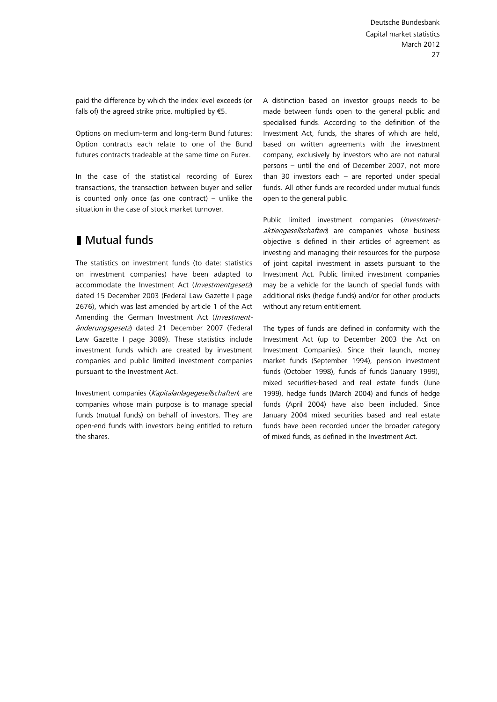<span id="page-26-0"></span>paid the difference by which the index level exceeds (or falls of) the agreed strike price, multiplied by  $€5$ .

Options on medium-term and long-term Bund futures: Option contracts each relate to one of the Bund futures contracts tradeable at the same time on Eurex.

In the case of the statistical recording of Eurex transactions, the transaction between buyer and seller is counted only once (as one contract) – unlike the situation in the case of stock market turnover.

### Mutual funds

The statistics on investment funds (to date: statistics on investment companies) have been adapted to accommodate the Investment Act (Investmentgesetz) dated 15 December 2003 (Federal Law Gazette I page 2676), which was last amended by article 1 of the Act Amending the German Investment Act (Investmentänderungsgesetz) dated 21 December 2007 (Federal Law Gazette I page 3089). These statistics include investment funds which are created by investment companies and public limited investment companies pursuant to the Investment Act.

Investment companies (Kapitalanlagegesellschaften) are companies whose main purpose is to manage special funds (mutual funds) on behalf of investors. They are open-end funds with investors being entitled to return the shares.

A distinction based on investor groups needs to be made between funds open to the general public and specialised funds. According to the definition of the Investment Act, funds, the shares of which are held, based on written agreements with the investment company, exclusively by investors who are not natural persons – until the end of December 2007, not more than 30 investors each  $-$  are reported under special funds. All other funds are recorded under mutual funds open to the general public.

Public limited investment companies (*Investment*aktiengesellschaften) are companies whose business objective is defined in their articles of agreement as investing and managing their resources for the purpose of joint capital investment in assets pursuant to the Investment Act. Public limited investment companies may be a vehicle for the launch of special funds with additional risks (hedge funds) and/or for other products without any return entitlement.

The types of funds are defined in conformity with the Investment Act (up to December 2003 the Act on Investment Companies). Since their launch, money market funds (September 1994), pension investment funds (October 1998), funds of funds (January 1999), mixed securities-based and real estate funds (June 1999), hedge funds (March 2004) and funds of hedge funds (April 2004) have also been included. Since January 2004 mixed securities based and real estate funds have been recorded under the broader category of mixed funds, as defined in the Investment Act.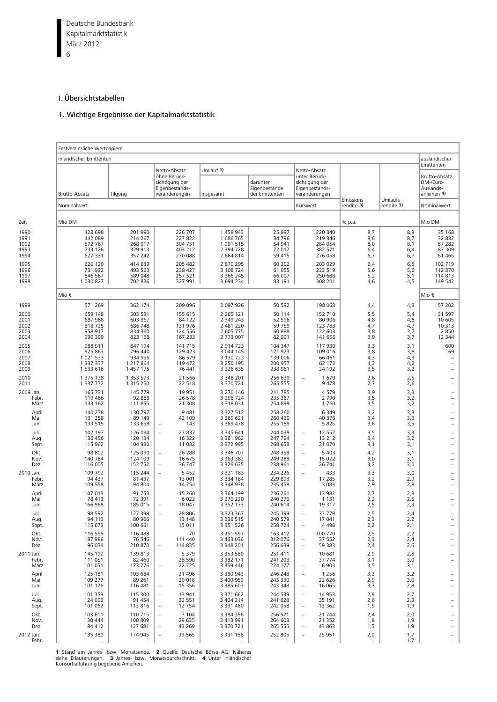<span id="page-27-0"></span>Deutsche Bundesbank 6 Kapitalmarktstatistik März 2012

#### I. Übersichtstabellen

#### 1. Wichtige Ergebnisse der Kapitalmarktstatistik

|                                      | Festverzinsliche Wertpapiere                              |                                                         |                                                                                    |                                                                   |                                                     |                                                                                     |                                 |                                 |                                                                                  |
|--------------------------------------|-----------------------------------------------------------|---------------------------------------------------------|------------------------------------------------------------------------------------|-------------------------------------------------------------------|-----------------------------------------------------|-------------------------------------------------------------------------------------|---------------------------------|---------------------------------|----------------------------------------------------------------------------------|
|                                      | inländischer Emittenten                                   |                                                         |                                                                                    |                                                                   |                                                     |                                                                                     |                                 |                                 | ausländischer                                                                    |
|                                      |                                                           |                                                         | Netto-Absatz<br>ohne Berück-                                                       | Umlauf 1)                                                         |                                                     | Netto-Absatz<br>unter Berück-                                                       |                                 |                                 | Emittenten<br>Brutto-Absatz                                                      |
|                                      | Brutto-Absatz                                             | Tilgung                                                 | sichtigung der<br>Eigenbestands-<br>veränderungen                                  | insgesamt                                                         | darunter<br>Eigenbestände<br>der Emittenten         | sichtigung der<br>Eigenbestands-<br>veränderungen                                   |                                 |                                 | DM-/Euro-<br>Auslands-<br>anleihen 4)                                            |
|                                      | Nominalwert                                               |                                                         |                                                                                    |                                                                   |                                                     | Kurswert                                                                            | Emissions-<br>rendite 3)        | Umlaufs-<br>rendite 3)          | Nominalwert                                                                      |
|                                      |                                                           |                                                         |                                                                                    |                                                                   |                                                     |                                                                                     |                                 |                                 |                                                                                  |
| Zeit<br>1990                         | Mio DM<br>428 698                                         | 201 990                                                 | 226 707                                                                            | 1 458 943                                                         | 25 997                                              | 220 340                                                                             | % p.a.<br>8,7                   | 8,9                             | Mio DM<br>35 168                                                                 |
| 1991<br>1992<br>1993<br>1994         | 442 089<br>572 767<br>733 126<br>627 331                  | 214 267<br>268 017<br>329 913<br>357 242                | 227 822<br>304 751<br>403 212<br>270 088                                           | 1686765<br>1991515<br>2 394 728<br>2 664 814                      | 34 796<br>54 941<br>72 012<br>59 415                | 219 346<br>284 054<br>382 571<br>276 058                                            | 8,6<br>8,0<br>6,4<br>6,7        | 8,7<br>8,1<br>6,4<br>6,7        | 32 832<br>57 282<br>87 309<br>61 4 65                                            |
| 1995<br>1996<br>1997<br>1998         | 620 120<br>731 992<br>846 567<br>1 030 827                | 414 639<br>493 563<br>589 048<br>702 836                | 205 482<br>238 427<br>257 521<br>327 991                                           | 2 870 295<br>3 108 724<br>3 3 6 2 4 5<br>3 694 234                | 60 202<br>61 955<br>66 007<br>83 191                | 203 029<br>233 519<br>250 688<br>308 201                                            | 6,4<br>5,6<br>5,2<br>4,6        | 6, 5<br>5,6<br>5,1<br>4,5       | 102 719<br>112 370<br>114 813<br>149 542                                         |
|                                      | Mio €                                                     |                                                         |                                                                                    |                                                                   |                                                     |                                                                                     |                                 |                                 | Mio €                                                                            |
| 1999                                 | 571 269                                                   | 362 174                                                 | 209 096                                                                            | 2 097 926                                                         | 50 592                                              | 198 068                                                                             | 4,4                             | 4,3                             | 57 202                                                                           |
| 2000<br>2001<br>2002<br>2003<br>2004 | 659 148<br>687 988<br>818725<br>958 917<br>990 399        | 503 531<br>603 867<br>686 748<br>834 360<br>823 168     | 155 615<br>84 122<br>131 976<br>124 556<br>167 233                                 | 2 2 6 1 2 1<br>2 349 243<br>2 481 220<br>2 605 775<br>2 773 007   | 50 114<br>52 596<br>59 759<br>60 888<br>82 991      | 152 710<br>80 906<br>123 783<br>122 603<br>141 656                                  | 5,5<br>4,8<br>4,7<br>3,8<br>3,9 | 5,4<br>4,8<br>4,7<br>3,7<br>3,7 | 31 597<br>10 605<br>10 3 13<br>2 8 5 0<br>12 344                                 |
| 2005<br>2006<br>2007<br>2008<br>2009 | 988 911<br>925 863<br>1 021 533<br>1 337 337<br>1 533 616 | 847 194<br>796 440<br>934 955<br>1 217 864<br>1 457 175 | 141 715<br>129 423<br>86 579<br>119 472<br>76 441                                  | 2 914 723<br>3 044 145<br>3 130 723<br>3 250 195<br>3 3 2 6 6 3 5 | 104 347<br>121 923<br>139 006<br>200 957<br>238 961 | 117930<br>109 016<br>66 461<br>62 172<br>24 192                                     | 3,3<br>3,8<br>4,3<br>4,3<br>3,5 | 3,1<br>3,8<br>4,3<br>4,2<br>3,2 | 600<br>69<br>۰<br>$\overline{\phantom{0}}$<br>$\overline{\phantom{0}}$           |
| 2010<br>2011                         | 1 375 138<br>1 337 772                                    | 1 353 573<br>1 315 250                                  | 21 5 6 6<br>22 518                                                                 | 3 348 201<br>3 370 721                                            | 256 639<br>265 555                                  | 1670<br>9478                                                                        | 2,6<br>2,7                      | 2,5<br>2,6                      | ÷                                                                                |
| 2009 Jan.<br>Febr.<br>März           | 165 731<br>119 466<br>133 162                             | 145 779<br>92 888<br>111 855                            | 19 951<br>26 578<br>21 308                                                         | 3 270 146<br>3 296 724<br>3 3 1 8 0 3 1                           | 211 785<br>235 367<br>254 899                       | 4579<br>2 7 9 0<br>1760                                                             | 3,9<br>3,5<br>3,5               | 3,3<br>3,2<br>3,2               | $\overline{\phantom{0}}$<br>÷,<br>$\overline{\phantom{0}}$                       |
| April<br>Mai<br>Juni                 | 140 278<br>131 258<br>133 515                             | 130 797<br>89 149<br>133 658                            | 9 4 8 1<br>42 109<br>143                                                           | 3 3 2 7 5 1 2<br>3 3 6 9 6 2 1<br>3 3 6 9 4 7 8                   | 258 260<br>260 430<br>255 189                       | 6 3 4 9<br>40 376<br>5 8 2 5                                                        | 3,2<br>3,4<br>3,6               | 3,3<br>3,3<br>3,5               | $\overline{\phantom{0}}$<br>$\overline{a}$                                       |
| Juli<br>Aug.<br>Sept.                | 102 197<br>136 456<br>115 962                             | 126 034<br>120 134<br>104 930                           | 23 837<br>$\overline{\phantom{a}}$<br>16 3 22<br>11 0 32                           | 3 3 4 5 6 4 1<br>3 3 6 1 9 6 2<br>3 372 995                       | 244 039<br>247 794<br>268 658                       | 12 5 5 7<br>$\overline{\phantom{m}}$<br>13 2 12<br>21 070<br>$\qquad \qquad -$      | 3,5<br>3,4<br>3,1               | 3,3<br>3,2<br>3,1               | $\overline{a}$<br>$\overline{\phantom{0}}$                                       |
| Okt.<br>Nov.<br>Dez.                 | 98 802<br>140 784<br>116 005                              | 125 090<br>124 109<br>152 752                           | 26 288<br>$\overline{\phantom{a}}$<br>16 675<br>36 747<br>$\overline{\phantom{m}}$ | 3 346 707<br>3 3 6 3 3 8 2<br>3 326 635                           | 248 358<br>249 288<br>238 961                       | 5 4 0 3<br>$\overline{\phantom{a}}$<br>15 072<br>26 741<br>$\overline{\phantom{a}}$ | 4,2<br>3,0<br>3,2               | 3,1<br>3,1<br>3,0               | $\overline{a}$<br>$\overline{\phantom{0}}$                                       |
| 2010 Jan.<br>Febr.<br>März           | 109 792<br>94 437<br>109 558                              | 115 244<br>81 437<br>94 804                             | 5 4 5 2<br>13 001<br>14 7 54                                                       | 3 3 2 1 1 8 3<br>3 3 3 4 1 8 4<br>3 348 938                       | 234 226<br>229 893<br>235 458                       | 433<br>$\overline{\phantom{a}}$<br>17 285<br>3 0 8 3                                | 3,3<br>3,2<br>2,9               | 3,0<br>2,9<br>2,8               | $\overline{a}$<br>$\overline{\phantom{0}}$                                       |
| April<br>Mai<br>Juni                 | 107 013<br>78 413<br>166 968                              | 91 753<br>72 391<br>185 015                             | 15 260<br>6 0 2 2<br>18 047<br>$\overline{\phantom{0}}$                            | 3 3 6 4 1 9 9<br>3 370 220<br>3 3 5 2 1 7 3                       | 236 261<br>240 276<br>240 614                       | 13 982<br>1 1 3 1<br>19 317<br>$\overline{\phantom{0}}$                             | 2,7<br>2,2<br>2,5               | 2,8<br>2,5<br>2,3               | $\overline{a}$<br>$\overline{\phantom{0}}$                                       |
| Juli<br>Aug.<br>Sept.                | 98 592<br>94 113<br>115 673                               | 127 398<br>80 966<br>100 661                            | 28 806<br>13 148<br>15 011                                                         | 3 3 2 3 3 6 7<br>3 3 3 6 5 1 5<br>3 3 5 1 5 2 6                   | 245 399<br>240 579<br>258 724                       | 33 779<br>17 041<br>4498<br>$\overline{\phantom{m}}$                                | 2,5<br>2,3<br>2,2               | 2,4<br>2,2<br>2,1               | L,<br>$\overline{\phantom{0}}$                                                   |
| Okt.<br>Nov.<br>Dez.                 | 116 559<br>187 986<br>96 034                              | 116 488<br>76 546<br>210 870                            | 70<br>111 440<br>114 835<br>$\overline{\phantom{a}}$                               | 3 3 5 1 5 9 7<br>3 463 036<br>3 348 201                           | 163 412<br>312 076<br>256 639                       | 100 770<br>37 552<br>$\overline{\phantom{a}}$<br>59 383<br>$\overline{\phantom{0}}$ | 2,5<br>2,3<br>2,4               | 2,2<br>2,4<br>2,6               | $\overline{\phantom{0}}$<br>$\overline{\phantom{0}}$                             |
| 2011 Jan.<br>Febr.<br>März           | 145 192<br>111 051<br>101 051                             | 139 813<br>82 460<br>123 776                            | 5 3 7 9<br>28 5 9 0<br>22 725<br>$\overline{\phantom{a}}$                          | 3 3 5 5 5 8 0<br>3 3 8 2 1 7 1<br>3 359 446                       | 251 411<br>241 203<br>224 177                       | 10 681<br>37 774<br>6903                                                            | 2,9<br>3,1<br>3,5               | 2,8<br>3,0<br>3,1               | $\overline{\phantom{0}}$<br>$\overline{\phantom{0}}$                             |
| April<br>Mai<br>Juni                 | 125 181<br>109 277<br>101 126                             | 103 684<br>89 261<br>116 481                            | 21 4 9 6<br>20 016<br>15 3 5 6<br>$\overline{\phantom{a}}$                         | 3 380 943<br>3 400 959<br>3 385 603                               | 246 248<br>243 330<br>243 348                       | 1 2 5 6<br>$\qquad \qquad -$<br>22 626<br>16 065<br>$\qquad \qquad -$               | 3,3<br>2,9<br>3,3               | 3,2<br>3,0<br>2,8               | $\overline{\phantom{0}}$<br>$\overline{\phantom{0}}$                             |
| Juli<br>Aug.<br>Sept.                | 101 359<br>124 006<br>101 062                             | 115 300<br>91 454<br>113 816                            | 13 941<br>$\qquad \qquad -$<br>32 551<br>12 754<br>$\overline{\phantom{a}}$        | 3 371 662<br>3 404 214<br>3 391 460                               | 244 539<br>241 628<br>242 058                       | 14 953<br>$\qquad \qquad -$<br>35 191<br>13 3 62<br>$\overline{\phantom{0}}$        | 2,9<br>2,6<br>1,9               | 2,7<br>2,3<br>1,9               | $\overline{\phantom{0}}$<br>$\overline{a}$<br>$\overline{a}$                     |
| Okt.<br>Nov.<br>Dez.                 | 103 611<br>130 444<br>84 412                              | 110 715<br>100 809<br>127 681                           | 7 104<br>$\overline{\phantom{0}}$<br>29 635<br>43 269<br>$\qquad \qquad -$         | 3 3 8 4 3 5 6<br>3 413 991<br>3 370 721                           | 256 521<br>264 608<br>265 555                       | 21 744<br>$\overline{\phantom{0}}$<br>21 352<br>43 863<br>$\qquad \qquad -$         | 2,4<br>1,8<br>1,5               | 2,0<br>1,9<br>1,9               | $\overline{\phantom{0}}$<br>$\overline{\phantom{0}}$<br>$\overline{\phantom{0}}$ |
| 2012 Jan.<br>Febr.                   | 135 380                                                   | 174 945                                                 | 39 5 65<br>$\overline{\phantom{m}}$                                                | 3 3 3 1 1 5 6                                                     | 252 805                                             | 25 951<br>$\qquad \qquad -$                                                         | 2,0                             | 1,7<br>1,7                      |                                                                                  |

**1** Stand am Jahres- bzw. Monatsende. **2** Quelle: Deutsche Börse AG; Näheres siehe Erläuterungen. **3** Jahres- bzw. Monatsdurchschnitt. **4** Unter inländischer Konsortialführung begebene Anleihen.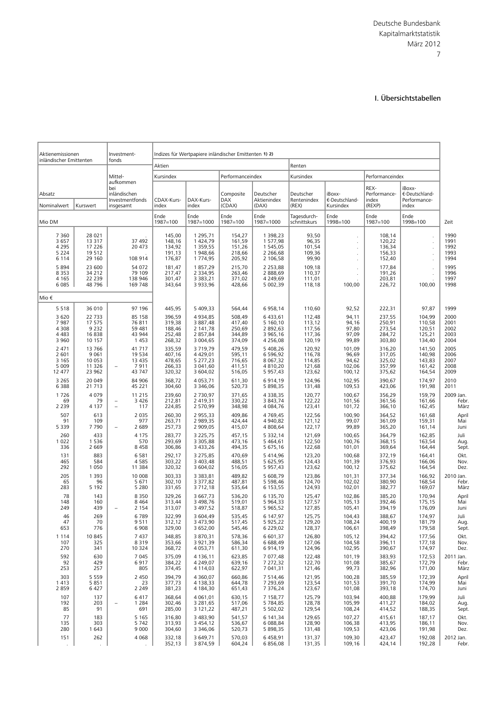<span id="page-28-0"></span>

| Aktienemissionen                                               |                                                           | Investment-                                                                |                                                          | Indizes für Wertpapiere inländischer Emittenten 1) 2)                        |                                                          |                                                                           |                                                       |                                              |                                                          |                                                   |                                              |
|----------------------------------------------------------------|-----------------------------------------------------------|----------------------------------------------------------------------------|----------------------------------------------------------|------------------------------------------------------------------------------|----------------------------------------------------------|---------------------------------------------------------------------------|-------------------------------------------------------|----------------------------------------------|----------------------------------------------------------|---------------------------------------------------|----------------------------------------------|
| inländischer Emittenten                                        |                                                           | fonds                                                                      | Aktien                                                   |                                                                              |                                                          |                                                                           | Renten                                                |                                              |                                                          |                                                   |                                              |
|                                                                |                                                           | Mittel-                                                                    | Kursindex                                                |                                                                              | Performanceindex                                         |                                                                           | Kursindex                                             |                                              | Performanceindex                                         |                                                   |                                              |
| Absatz<br>Nominalwert                                          | Kurswert                                                  | aufkommen<br>bei<br>inländischen<br>Investmentfonds<br>insgesamt           | CDAX-Kurs-<br>index                                      | DAX-Kurs-<br>index                                                           | Composite<br><b>DAX</b><br>(CDAX)                        | Deutscher<br>Aktienindex<br>(DAX)                                         | Deutscher<br>Rentenindex<br>(REX)                     | iBoxx-<br>€-Deutschland-<br>Kursindex        | REX-<br>Performance-<br>index<br>(REXP)                  | iBoxx-<br>€-Deutschland-<br>Performance-<br>index |                                              |
| Mio DM                                                         |                                                           |                                                                            | Ende<br>1987=100                                         | Ende<br>1987=1000                                                            | Ende<br>1987=100                                         | Ende<br>1987=1000                                                         | Tagesdurch-<br>schnittskurs                           | Ende<br>1998=100                             | Ende<br>1987=100                                         | Ende<br>1998=100                                  | Zeit                                         |
| 7 3 6 0<br>3 6 5 7<br>4 2 9 5<br>5 2 2 4<br>6 1 1 4<br>5 8 9 4 | 28 0 21<br>13 3 17<br>17 226<br>19512<br>29 160<br>23 600 | 37 492<br>20 473<br>108 914<br>54 072                                      | 145,00<br>148,16<br>134,92<br>191,13<br>176,87<br>181,47 | 1 2 9 5 , 7 1<br>1 424,79<br>1 3 5 9, 5 5<br>1 948,66<br>1 774,95<br>1857,29 | 154,27<br>161,59<br>151,26<br>218,66<br>205,92<br>215,70 | 1 398,23<br>1577,98<br>1 545,05<br>2 2 66,68<br>2 106,58<br>2 2 5 3 , 8 8 | 93,50<br>96,35<br>101,54<br>109,36<br>99,90<br>109,18 | $\cdot$                                      | 108,14<br>120,22<br>136,34<br>156,33<br>152,40<br>177,84 |                                                   | 1990<br>1991<br>1992<br>1993<br>1994<br>1995 |
| 8 3 5 3<br>4 1 6 5<br>6 0 8 5                                  | 34 212<br>22 2 3 9<br>48796                               | 79 109<br>138 946<br>169 748                                               | 217,47<br>301,47<br>343,64                               | 2 3 3 4 , 9 5<br>3 3 8 3, 21<br>3 933,96                                     | 263,46<br>371,02<br>428,66                               | 2 888,69<br>4 2 4 9, 6 9<br>5 002,39                                      | 110,37<br>111,01<br>118,18                            | ÷.<br>100,00                                 | 191,26<br>203,81<br>226,72                               | 100,00                                            | 1996<br>1997<br>1998                         |
| Mio €                                                          |                                                           |                                                                            |                                                          |                                                                              |                                                          |                                                                           |                                                       |                                              |                                                          |                                                   |                                              |
| 5518                                                           | 36 010                                                    | 97 196                                                                     | 445,95                                                   | 5 409,33                                                                     | 564,44                                                   | 6 958,14                                                                  | 110,60                                                | 92,52                                        | 222,31                                                   | 97,87                                             | 1999                                         |
| 3 6 2 0<br>7987<br>4 3 0 8<br>4 4 8 3<br>3 9 6 0               | 22 733<br>17 575<br>9 2 3 2<br>16838<br>10 157            | 85 158<br>76811<br>59 481<br>43 944<br>1 4 5 3                             | 396,59<br>319,38<br>188,46<br>252,48<br>268,32           | 4 9 3 4 , 8 5<br>3 887,48<br>2 141,78<br>2 857.84<br>3 004,65                | 508,49<br>417,40<br>250,69<br>344,89<br>374,09           | 6 433.61<br>5 160,10<br>2 892,63<br>3 965,16<br>4 256,08                  | 112,48<br>113,12<br>117,56<br>117,36<br>120,19        | 94,11<br>94,16<br>97,80<br>97,09<br>99,89    | 237,55<br>250,91<br>273,54<br>284,72<br>303,80           | 104,99<br>110,58<br>120,51<br>125,21<br>134,40    | 2000<br>2001<br>2002<br>2003<br>2004         |
| 2 4 7 1<br>2 601<br>3 1 6 5<br>5 0 0 9<br>12 477               | 13766<br>9 0 6 1<br>10 053<br>11 3 26<br>23 962           | 41 717<br>19 5 34<br>13 4 35<br>7911<br>$\overline{\phantom{a}}$<br>43 747 | 335,59<br>407,16<br>478,65<br>266,33<br>320,32           | 3719,79<br>4 4 2 9 , 0 1<br>5 277,23<br>3 041,60<br>3 604,02                 | 479,59<br>595,11<br>716,65<br>411,51<br>516,05           | 5 408,26<br>6 596,92<br>8 0 67, 32<br>4810,20<br>5 957,43                 | 120,92<br>116,78<br>114,85<br>121,68<br>123,62        | 101,09<br>96,69<br>94,62<br>102,06<br>100,12 | 316,20<br>317,05<br>325,02<br>357,99<br>375,62           | 141,50<br>140,98<br>143,83<br>161,42<br>164,54    | 2005<br>2006<br>2007<br>2008<br>2009         |
| 3 2 6 5<br>6 3 8 8                                             | 20 049<br>21 7 13                                         | 84 906<br>45 221                                                           | 368,72<br>304,60                                         | 4 0 5 3 , 7 1<br>3 3 4 6,06                                                  | 611,30<br>520,73                                         | 6914,19<br>5 898,35                                                       | 124,96<br>131,48                                      | 102,95<br>109,53                             | 390,67<br>423,06                                         | 174,97<br>191,98                                  | 2010<br>2011                                 |
| 1726<br>69<br>2 2 3 9                                          | 4 0 7 9<br>79<br>4 1 3 7                                  | 11 215<br>3 4 2 6<br>$\overline{\phantom{a}}$<br>$\equiv$<br>117           | 239,60<br>212,81<br>224,85                               | 2 7 3 0, 9 7<br>2 419,31<br>2 570,99                                         | 371,65<br>330,22<br>348,98                               | 4 3 3 8 , 3 5<br>3 843,74<br>4 084,76                                     | 120,77<br>122,22<br>123,41                            | 100,67<br>101,56<br>101,72                   | 356,29<br>361,56<br>366,10                               | 159,79<br>161,66<br>162,45                        | 2009 Jan.<br>Febr<br>März                    |
| 507<br>91<br>5 3 3 9                                           | 613<br>109<br>7790                                        | 2 0 3 5<br>977<br>2 6 8 9<br>$\overline{\phantom{a}}$                      | 260,30<br>263,71<br>257,73                               | 2 955,33<br>2 989,35<br>2 909,05                                             | 409,86<br>424,44<br>415,07                               | 4 7 69,45<br>4 940,82<br>4 808,64                                         | 122,56<br>121,12<br>122,17                            | 100,90<br>99,07<br>99,89                     | 364,52<br>361,09<br>365,20                               | 161,68<br>159,31<br>161,14                        | April<br>Mai<br>Juni                         |
| 260<br>1 0 2 2<br>336                                          | 433<br>1 5 3 6<br>2 6 6 9                                 | 4 1 7 5<br>570<br>8458                                                     | 283,77<br>293,69<br>306,86                               | 3 2 2 5 , 7 5<br>3 3 0 5,88<br>3 433,26                                      | 457,15<br>473,16<br>494,35                               | 5 3 3 2 , 1 4<br>5 4 6 4, 6 1<br>5 675,16                                 | 121,69<br>122,50<br>122,68                            | 100,65<br>100,76<br>101,01                   | 364,79<br>368,15<br>369,64                               | 162,85<br>163,54<br>164,44                        | Juli<br>Aug<br>Sept                          |
| 131<br>465<br>292                                              | 883<br>584<br>1 0 5 0                                     | 6 5 8 1<br>4585<br>11 384                                                  | 292,17<br>303,22<br>320,32                               | 3 275,85<br>3 403,48<br>3 604,02                                             | 470,69<br>488,51<br>516,05                               | 5 414,96<br>5 625,95<br>5 957,43                                          | 123,20<br>124,43<br>123,62                            | 100,68<br>101,39<br>100,12                   | 372,19<br>376,93<br>375,62                               | 164,41<br>166,06<br>164,54                        | Okt.<br>Nov.<br>Dez.                         |
| 205<br>65<br>283                                               | 1 3 9 3<br>96<br>5 1 9 2                                  | 10 008<br>5 6 7 1<br>5 2 8 0                                               | 303,33<br>302,10<br>331,65                               | 3 3 8 3 . 8 1<br>3 377,82<br>3712,18                                         | 489,82<br>487,81<br>535,64                               | 5 608,79<br>5 5 98,46<br>6 153,55                                         | 123,86<br>124,70<br>124,93                            | 101,31<br>102,02<br>102,01                   | 377,34<br>380,90<br>382,77                               | 166,92<br>168,54<br>169,07                        | 2010 Jan.<br>Febr<br>März                    |
| 78<br>148<br>249                                               | 143<br>160<br>439                                         | 8 3 5 0<br>8 4 6 4<br>2 1 5 4<br>$\overline{\phantom{0}}$                  | 329,26<br>313,44<br>313,07                               | 3 667.73<br>3 498,76<br>3 497,52                                             | 536,20<br>519,01<br>518,87                               | 6 135,70<br>5 964,33<br>5 965,52                                          | 125,47<br>127,57<br>127,85                            | 102,86<br>105,13<br>105,41                   | 385,20<br>392,46<br>394,19                               | 170,94<br>175,15<br>176,09                        | April<br>Mai<br>Juni                         |
| 46<br>47<br>653                                                | 269<br>70<br>776                                          | 6789<br>9511<br>6908<br>7 4 3 7                                            | 322,99<br>312,12<br>329,00                               | 3 604,49<br>3 473,90<br>3 652,00                                             | 535,45<br>517,45<br>545,46                               | 6 147,97<br>5 925,22<br>6 229,02                                          | 125,75<br>129,20<br>128,37                            | 104,43<br>108,24<br>106,61                   | 388,67<br>400,19<br>398,49                               | 174,97<br>181,79<br>179,58                        | Juli<br>Aug.<br>Sept                         |
| 1 1 1 4<br>107<br>270                                          | 10 845<br>325<br>341                                      | 8319<br>10 3 24                                                            | 348,85<br>353,66<br>368,72                               | 3 870,31<br>3 9 2 1 , 3 9<br>4 0 5 3 , 7 1                                   | 578,36<br>586,34<br>611,30                               | 6 601,37<br>6 688,49<br>6914,19                                           | 126,80<br>127,06<br>124,96                            | 105,12<br>104,58<br>102,95                   | 394,42<br>396,11<br>390,67                               | 177,56<br>177,18<br>174,97                        | Okt.<br>Nov.<br>Dez.                         |
| 592<br>92<br>253                                               | 630<br>429<br>257                                         | 7 0 4 5<br>6917<br>805                                                     | 375,09<br>384,22<br>374,45                               | 4 136,11<br>4 2 4 9,07<br>4 1 1 4 , 0 3                                      | 623,85<br>639,16<br>622,97                               | 7 077,48<br>7 272,32<br>7 041,31                                          | 122,48<br>122,70<br>121,46                            | 101,19<br>101,08<br>99,73                    | 383,93<br>385,67<br>382,96                               | 172,53<br>172,79<br>171,00                        | 2011 Jan.<br>Febr<br>März                    |
| 303<br>1413<br>2859                                            | 5 5 5 9<br>5851<br>6 4 2 7                                | 2 4 5 0<br>23<br>2 2 4 9                                                   | 394,79<br>377,73<br>381,23                               | 4 3 6 0.07<br>4 138,33<br>4 184,30                                           | 660,86<br>644,78<br>651,43                               | 7 514,46<br>7 293,69<br>7 376,24                                          | 121,95<br>123,54<br>123,67                            | 100,28<br>101,53<br>101,08                   | 385,59<br>391,70<br>393,18                               | 172,39<br>174,99<br>174,70                        | April<br>Mai<br>Juni                         |
| 107<br>192<br>85                                               | 137<br>203<br>91                                          | 6417<br>1 2 8 4<br>691                                                     | 368,64<br>302,46<br>285,00                               | 4 0 6 1 , 0 1<br>3 2 8 1 , 6 5<br>3 121,22                                   | 630,15<br>517,06<br>487,21                               | 7 158,77<br>5 784,85<br>5 502,02                                          | 125,79<br>128,78<br>129,54                            | 103,94<br>105,99<br>108,24                   | 400,88<br>411,27<br>414,52                               | 179,99<br>184,02<br>188,35                        | Juli<br>Aug.<br>Sept                         |
| 77<br>135<br>280                                               | 183<br>303<br>1643                                        | 5 1 6 5<br>5742<br>9 0 0 0                                                 | 316,80<br>313,93<br>304,60                               | 3 483,90<br>3 4 5 4, 12<br>3 3 4 6,06                                        | 541,57<br>536,67<br>520,73                               | 6 141,34<br>6 088,84<br>5 898,35                                          | 129,65<br>128,90<br>131,48                            | 107,27<br>106,38<br>109,53                   | 415,61<br>413,95<br>423,06                               | 187,17<br>186,11<br>191,98                        | Okt.<br>Nov.<br>Dez.                         |
| 151                                                            | 262                                                       | 4 0 6 8                                                                    | 332,18<br>352,13                                         | 3 649,71<br>3 874,59                                                         | 570,03<br>604,24                                         | 6458,91<br>6 856,08                                                       | 131,37<br>131,35                                      | 109,30<br>109,16                             | 423,47<br>424,14                                         | 192,08<br>192,28                                  | 2012 Jan.<br>Febr                            |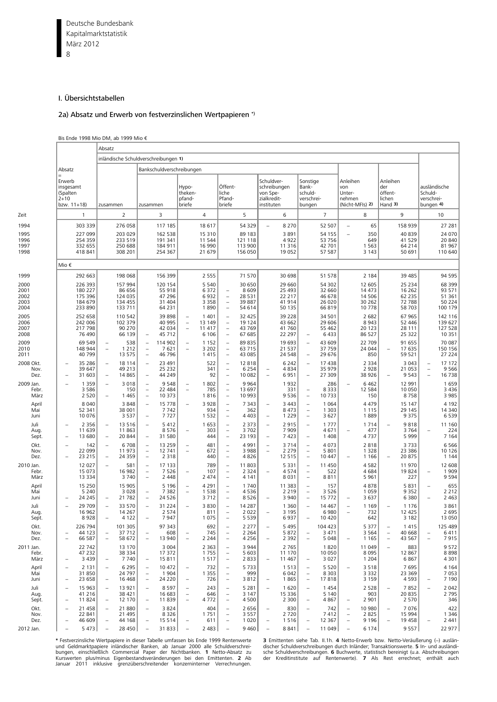#### <span id="page-29-0"></span>2a) Absatz und Erwerb von festverzinslichen Wertpapieren \*)

Bis Ende 1998 Mio DM, ab 1999 Mio €

|                                      |                                                                   |                                                     | Absatz                                               |                                                    |                                                                                  |                                                  |                                                                           |                                            |                                                                                                       |                                              |                                                                     |                                                 |                                                                                  |                                                 |                                                        |                                                |                                                                                  |                                                |                                                                  |                                                 |
|--------------------------------------|-------------------------------------------------------------------|-----------------------------------------------------|------------------------------------------------------|----------------------------------------------------|----------------------------------------------------------------------------------|--------------------------------------------------|---------------------------------------------------------------------------|--------------------------------------------|-------------------------------------------------------------------------------------------------------|----------------------------------------------|---------------------------------------------------------------------|-------------------------------------------------|----------------------------------------------------------------------------------|-------------------------------------------------|--------------------------------------------------------|------------------------------------------------|----------------------------------------------------------------------------------|------------------------------------------------|------------------------------------------------------------------|-------------------------------------------------|
|                                      |                                                                   |                                                     |                                                      |                                                    |                                                                                  | inländische Schuldverschreibungen 1)             |                                                                           |                                            |                                                                                                       |                                              |                                                                     |                                                 |                                                                                  |                                                 |                                                        |                                                |                                                                                  |                                                |                                                                  |                                                 |
|                                      | Absatz                                                            |                                                     |                                                      |                                                    |                                                                                  | Bankschuldverschreibungen                        |                                                                           |                                            |                                                                                                       |                                              |                                                                     |                                                 |                                                                                  |                                                 |                                                        |                                                |                                                                                  |                                                |                                                                  |                                                 |
|                                      | $=$<br>Erwerb<br>insgesamt<br>(Spalten<br>$2 + 10$<br>bzw. 11+18) |                                                     | zusammen                                             |                                                    | zusammen                                                                         |                                                  | Hypo-<br>theken-<br>pfand-<br>briefe                                      |                                            | Öffent-<br>liche<br>Pfand-<br>briefe                                                                  |                                              | Schuldver-<br>schreibungen<br>von Spe-<br>zialkredit-<br>instituten |                                                 | Sonstige<br>Bank-<br>schuld-<br>verschrei-<br>bungen                             |                                                 | Anleihen<br>von<br>Unter-<br>nehmen<br>(Nicht-MFIs) 2) |                                                | Anleihen<br>der<br>öffent-<br>lichen<br>Hand 3)                                  |                                                | Schuld-<br>verschrei-<br>bungen 4)                               | ausländische                                    |
| Zeit                                 |                                                                   | $\mathbf{1}$                                        |                                                      | 2                                                  |                                                                                  | 3                                                |                                                                           | $\overline{4}$                             |                                                                                                       | 5                                            |                                                                     | 6                                               |                                                                                  | $\overline{7}$                                  |                                                        | 8                                              |                                                                                  | 9                                              |                                                                  | 10                                              |
| 1994                                 |                                                                   | 303 339                                             |                                                      | 276 058                                            |                                                                                  | 117 185                                          |                                                                           | 18 617                                     |                                                                                                       | 54 329                                       | $\overline{\phantom{a}}$                                            | 8 2 7 0                                         |                                                                                  | 52 507                                          | ÷,                                                     | 65                                             |                                                                                  | 158 939                                        |                                                                  | 27 281                                          |
| 1995<br>1996<br>1997<br>1998         |                                                                   | 227 099<br>254 359<br>332 655<br>418 841            |                                                      | 203 029<br>233 519<br>250 688<br>308 201           |                                                                                  | 162 538<br>191 341<br>184 911<br>254 367         |                                                                           | 15 3 10<br>11 544<br>16 990<br>21 679      |                                                                                                       | 89 183<br>121 118<br>113 900<br>156 050      |                                                                     | 3891<br>4 9 2 2<br>11 316<br>19 052             |                                                                                  | 54 155<br>53 756<br>42 701<br>57 587            | ÷,                                                     | 350<br>649<br>1 5 6 3<br>3 1 4 3               |                                                                                  | 40 839<br>41 529<br>64 214<br>50 691           |                                                                  | 24 070<br>20 840<br>81 967<br>110 640           |
|                                      | Mio €                                                             |                                                     |                                                      |                                                    |                                                                                  |                                                  |                                                                           |                                            |                                                                                                       |                                              |                                                                     |                                                 |                                                                                  |                                                 |                                                        |                                                |                                                                                  |                                                |                                                                  |                                                 |
| 1999                                 |                                                                   | 292 663                                             |                                                      | 198 068                                            |                                                                                  | 156 399                                          |                                                                           | 2 5 5 5                                    |                                                                                                       | 71 570                                       |                                                                     | 30 698                                          |                                                                                  | 51 578                                          |                                                        | 2 1 8 4                                        |                                                                                  | 39 485                                         |                                                                  | 94 5 95                                         |
| 2000<br>2001<br>2002<br>2003<br>2004 |                                                                   | 226 393<br>180 227<br>175 396<br>184 679<br>233 890 |                                                      | 157 994<br>86 656<br>124 035<br>134 455<br>133 711 |                                                                                  | 120 154<br>55 918<br>47 29 6<br>31 404<br>64 231 |                                                                           | 5 5 4 0<br>6372<br>6932<br>3 3 5 8<br>1890 | $\overline{\phantom{m}}$<br>$\overline{\phantom{a}}$<br>$\qquad \qquad -$<br>$\overline{\phantom{a}}$ | 30 650<br>8609<br>28 531<br>39 887<br>54 614 |                                                                     | 29 660<br>25 4 93<br>22 217<br>41 914<br>50 135 |                                                                                  | 54 302<br>32 660<br>46 678<br>26 0 20<br>66 819 |                                                        | 12 605<br>14 473<br>14 506<br>30 262<br>10 778 |                                                                                  | 25 234<br>16 262<br>62 235<br>72 788<br>58 703 |                                                                  | 68 399<br>93 571<br>51 361<br>50 224<br>100 179 |
| 2005<br>2006<br>2007<br>2008         |                                                                   | 252 658<br>242 006<br>217 798<br>76 490             |                                                      | 110 542<br>102 379<br>90 270<br>66 139             | $\overline{\phantom{0}}$                                                         | 39 898<br>40 995<br>42 034<br>45 712             | $\qquad \qquad -$<br>$\equiv$<br>$\overline{\phantom{0}}$                 | 1 4 0 1<br>13 149<br>11 417<br>6 1 0 6     | $\qquad \qquad -$<br>$\overline{\phantom{a}}$<br>$\overline{\phantom{m}}$<br>$\overline{\phantom{m}}$ | 32 425<br>19 124<br>43 769<br>67 685         |                                                                     | 39 2 28<br>43 662<br>41 760<br>22 297           | $\overline{\phantom{0}}$                                                         | 34 501<br>29 60 6<br>55 4 62<br>6433            |                                                        | 2 6 8 2<br>8 9 4 3<br>20 123<br>86 527         |                                                                                  | 67 965<br>52 446<br>28 111<br>25 322           |                                                                  | 142 116<br>139 627<br>127 528<br>10 351         |
| 2009<br>2010<br>2011                 |                                                                   | 69 549<br>148 944<br>40 799                         | $\overline{\phantom{m}}$<br>$\overline{\phantom{a}}$ | 538<br>1 2 1 2<br>13 575                           | $\overline{\phantom{a}}$<br>$\overline{\phantom{m}}$<br>$\equiv$                 | 114 902<br>7621<br>46 796                        | $\overline{\phantom{0}}$<br>L,                                            | 1 1 5 2<br>3 2 0 2<br>1 4 1 5              | $\overline{\phantom{a}}$<br>$\overline{\phantom{m}}$<br>$\overline{\phantom{a}}$                      | 89 835<br>63 715<br>43 085                   |                                                                     | 19 693<br>21 537<br>24 548                      | $\equiv$<br>$\overline{\phantom{0}}$                                             | 43 609<br>37 759<br>29 67 6                     |                                                        | 22 709<br>24 044<br>850                        | $\equiv$                                                                         | 91 655<br>17 635<br>59 521                     |                                                                  | 70 087<br>150 156<br>27 224                     |
| 2008 Okt.<br>Nov.<br>Dez.            |                                                                   | 35 286<br>39 647<br>31 603                          | $\overline{\phantom{a}}$<br>$\qquad \qquad -$        | 18 114<br>49 213<br>14 8 65                        |                                                                                  | 23 491<br>25 232<br>44 249                       |                                                                           | 522<br>341<br>92                           | $\overline{\phantom{m}}$<br>$\overline{\phantom{a}}$<br>$\overline{\phantom{a}}$                      | 12818<br>6 2 5 4<br>10 082                   | $\overline{\phantom{a}}$<br>$\equiv$                                | 6 2 4 2<br>4834<br>6951                         | $\overline{\phantom{0}}$<br>$\qquad \qquad -$                                    | 17438<br>35 979<br>27 309                       |                                                        | 2 3 3 4<br>2928<br>38 9 26                     |                                                                                  | 3 0 4 3<br>21 053<br>9543                      | $\overline{\phantom{a}}$<br>$\overline{\phantom{0}}$<br>$\equiv$ | 17 172<br>9566<br>16738                         |
| 2009 Jan.<br>Febr.<br>März           |                                                                   | 1 3 5 9<br>3 5 8 6<br>2 5 2 0                       | $\overline{\phantom{a}}$<br>$\overline{\phantom{a}}$ | 3 0 1 8<br>150<br>1 4 6 5                          | $\overline{\phantom{a}}$<br>$\overline{\phantom{m}}$<br>$\overline{a}$           | 9 5 4 8<br>22 484<br>10 373                      | $\qquad \qquad -$<br>$\overline{\phantom{m}}$                             | 1802<br>785<br>1816                        | $\equiv$<br>$\overline{\phantom{a}}$<br>$\overline{\phantom{a}}$                                      | 9 9 6 4<br>13 697<br>10 993                  |                                                                     | 1932<br>331<br>9536                             | $\overline{\phantom{0}}$<br>$\qquad \qquad -$                                    | 286<br>8 3 3 3<br>10733                         |                                                        | 6 4 6 2<br>12 5 8 4<br>150                     |                                                                                  | 12 991<br>10 050<br>8758                       |                                                                  | 1659<br>3 4 3 6<br>3 9 8 5                      |
| April<br>Mai<br>Juni                 |                                                                   | 8 0 4 0<br>52 341<br>10 0 76                        |                                                      | 3848<br>38 001<br>3 5 3 7                          | $\overline{\phantom{a}}$                                                         | 15 778<br>7 7 4 2<br>7727                        | L,                                                                        | 3928<br>934<br>1 5 3 2                     | $\overline{\phantom{m}}$<br>$\overline{\phantom{a}}$<br>$\overline{\phantom{0}}$                      | 7 3 4 3<br>362<br>4 4 0 3                    | $\overline{\phantom{a}}$<br>$\overline{\phantom{a}}$                | 3 4 4 3<br>8 4 7 3<br>1 2 2 9                   | $\overline{\phantom{0}}$<br>$\overline{\phantom{0}}$<br>$\overline{\phantom{0}}$ | 1 0 6 4<br>1 3 0 3<br>3 6 2 7                   |                                                        | 4 4 7 9<br>1 1 1 5<br>1889                     |                                                                                  | 15 147<br>29 145<br>9 3 7 5                    |                                                                  | 4 1 9 2<br>14 340<br>6539                       |
| Juli<br>Aug.<br>Sept.                | ÷                                                                 | 2 3 5 6<br>11 639<br>13 680                         | $\overline{\phantom{a}}$<br>$\overline{\phantom{a}}$ | 13 5 16<br>11 863<br>20 844                        | $\overline{\phantom{a}}$                                                         | 5 4 1 2<br>8576<br>31 580                        | $\qquad \qquad -$                                                         | 1653<br>303<br>444                         | $\overline{\phantom{a}}$<br>$\overline{\phantom{a}}$<br>$\equiv$                                      | 2 3 7 3<br>3702<br>23 193                    | $\overline{\phantom{a}}$                                            | 2915<br>7 9 0 9<br>7 4 2 3                      | L,<br>$\overline{\phantom{0}}$                                                   | 1777<br>4671<br>1 4 0 8                         | $\overline{\phantom{m}}$                               | 1 7 1 4<br>477<br>4737                         | $\equiv$                                                                         | 9818<br>3764<br>5 9 9 9                        | $\qquad \qquad -$                                                | 11 160<br>224<br>7 1 6 4                        |
| Okt.<br>Nov.<br>Dez.                 | $\overline{\phantom{0}}$                                          | 142<br>22 099<br>23 215                             | $\overline{\phantom{a}}$<br>$\overline{\phantom{a}}$ | 6708<br>11 973<br>24 3 5 9                         | $\overline{\phantom{a}}$<br>$\overline{\phantom{a}}$<br>$\sim$                   | 13 259<br>12 741<br>2 3 1 8                      | ÷,<br>L,                                                                  | 481<br>672<br>440                          | $\overline{\phantom{a}}$<br>$\overline{\phantom{a}}$<br>$\qquad \qquad -$                             | 4 9 9 1<br>3 9 8 8<br>4826                   | $\overline{\phantom{a}}$                                            | 3714<br>2 2 7 9<br>12 5 15                      | $\equiv$<br>$\overline{\phantom{0}}$<br>$\overline{\phantom{m}}$                 | 4 0 7 3<br>5 8 0 1<br>10 447                    |                                                        | 2818<br>1 3 2 8<br>1 1 6 6                     | $\overline{\phantom{a}}$                                                         | 3733<br>23 386<br>20875                        |                                                                  | 6566<br>10 126<br>1 1 4 4                       |
| 2010 Jan.<br>Febr.<br>März           |                                                                   | 12 027<br>15 073<br>13 3 3 4                        | $\overline{\phantom{a}}$                             | 581<br>16 982<br>3740                              | $\overline{\phantom{a}}$<br>$\overline{\phantom{a}}$                             | 17 133<br>7 5 2 6<br>2 4 4 8                     | $\overline{\phantom{0}}$                                                  | 789<br>107<br>2 4 7 4                      | $\overline{\phantom{a}}$<br>$\overline{\phantom{0}}$<br>$\overline{\phantom{m}}$                      | 11803<br>2 3 2 4<br>4 1 4 1                  | $\overline{\phantom{a}}$                                            | 5 3 3 1<br>4574<br>8 0 3 1                      | $\qquad \qquad -$<br>$\overline{\phantom{0}}$<br>$\overline{\phantom{m}}$        | 11 450<br>522<br>8811                           |                                                        | 4582<br>4 6 8 4<br>5 9 6 1                     |                                                                                  | 11 970<br>19824<br>227                         | $\overline{\phantom{0}}$                                         | 12 608<br>1 9 0 9<br>9594                       |
| April<br>Mai<br>Juni                 |                                                                   | 15 250<br>5 2 4 0<br>24 245                         | $\overline{\phantom{m}}$                             | 15 905<br>3 0 2 8<br>21782                         | $\overline{\phantom{0}}$<br>$\overline{\phantom{a}}$                             | 5 1 9 6<br>7 3 8 2<br>24 5 26                    | L,<br>L,                                                                  | 4 2 9 1<br>1538<br>3712                    | $\overline{\phantom{a}}$<br>$\overline{\phantom{a}}$<br>$\overline{\phantom{a}}$                      | 1740<br>4536<br>8526                         |                                                                     | 11 383<br>2 2 1 9<br>3 9 4 0                    | $\qquad \qquad -$<br>$\qquad \qquad -$<br>$\overline{\phantom{0}}$               | 157<br>3 5 2 6<br>15 772                        | $\overline{\phantom{m}}$                               | 4878<br>1 0 5 9<br>3 6 3 7                     |                                                                                  | 5 8 3 1<br>9 3 5 2<br>6 3 8 0                  | $\qquad \qquad -$                                                | 655<br>2 2 1 2<br>2 4 6 3                       |
| Juli<br>Aug.<br>Sept.                |                                                                   | 29 709<br>16 962<br>8 9 2 8                         |                                                      | 33 570<br>14 2 67<br>4 1 2 2                       |                                                                                  | 31 224<br>2 5 7 4<br>7947                        |                                                                           | 3830<br>811<br>1 O/5                       | $\overline{\phantom{0}}$                                                                              | 14 287<br>2 0 2 2<br>5 539                   |                                                                     | 1 3 6 0<br>3 1 9 5<br>6937                      | L.                                                                               | 14 4 67<br>6980<br>10 420                       | ÷,                                                     | 1 1 6 9<br>732<br>642                          |                                                                                  | 1 1 7 6<br>12 4 25<br>3 182                    |                                                                  | 3861<br>2 6 9 5<br>13 050                       |
| Okt.<br>Nov.<br>Dez.                 | $\overline{\phantom{0}}$                                          | 226 794<br>44 123<br>66 587                         | $\overline{\phantom{a}}$<br>$\overline{\phantom{a}}$ | 101 305<br>37712<br>58 672                         | $\overline{\phantom{m}}$<br>$\overline{\phantom{m}}$                             | 97 343<br>608<br>13 940                          | $\overline{\phantom{a}}$                                                  | 692<br>745<br>2 2 4 4                      | $\qquad \qquad -$<br>$\qquad \qquad -$<br>$\overline{\phantom{a}}$                                    | 2 2 7 7<br>2 2 6 4<br>4 2 5 6                | $\overline{\phantom{a}}$                                            | 5 4 9 5<br>5872<br>2 3 9 2                      | $\qquad \qquad -$<br>$\overline{\phantom{0}}$                                    | 104 423<br>3 4 7 1<br>5 0 4 8                   |                                                        | 5 3 7 7<br>3 5 6 4<br>1 1 6 5                  | $\overline{\phantom{a}}$<br>$\overline{\phantom{a}}$<br>$\overline{\phantom{a}}$ | 1415<br>40 668<br>43 567                       | $\overline{\phantom{0}}$<br>$\overline{\phantom{0}}$             | 125 489<br>6411<br>7915                         |
| 2011 Jan.<br>Febr.<br>März           |                                                                   | 22 742<br>47 232<br>3 4 3 9                         | $\overline{\phantom{a}}$                             | 13 170<br>38 3 34<br>7740                          |                                                                                  | 3 0 0 4<br>17 372<br>15 811                      |                                                                           | 2 3 6 3<br>1755<br>1517                    | $\overline{\phantom{a}}$<br>$\overline{\phantom{a}}$<br>$\overline{\phantom{a}}$                      | 3 9 4 4<br>5 6 0 3<br>2 8 3 3                |                                                                     | 2 7 6 5<br>11 170<br>11 467                     | $\overline{\phantom{0}}$                                                         | 1820<br>10 050<br>3 0 2 7                       |                                                        | 11 049<br>8 0 9 5<br>1 2 0 4                   |                                                                                  | 883<br>12 867<br>6867                          |                                                                  | 9572<br>8898<br>4 3 0 1                         |
| April<br>Mai<br>Juni                 | $\overline{\phantom{0}}$                                          | 2 1 3 1<br>31850<br>23 658                          | $\overline{\phantom{a}}$<br>$\qquad \qquad -$        | 6 2 9 5<br>24 797<br>16 4 68                       | $\overline{\phantom{a}}$<br>$\overline{\phantom{a}}$<br>$\overline{\phantom{0}}$ | 10 472<br>1 9 0 4<br>24 2 20                     | $\qquad \qquad -$<br>$\qquad \qquad -$                                    | 732<br>1 3 5 5<br>726                      | $\qquad \qquad -$<br>$\overline{\phantom{a}}$<br>$\qquad \qquad -$                                    | 5733<br>999<br>3812                          |                                                                     | 1513<br>6 0 4 2<br>1865                         | $\qquad \qquad -$<br>$\frac{1}{2}$                                               | 5 5 2 0<br>8 3 0 3<br>17818                     |                                                        | 3518<br>3 3 3 2<br>3 1 5 9                     |                                                                                  | 7695<br>23 369<br>4593                         |                                                                  | 4 1 6 4<br>7 0 5 3<br>7 1 9 0                   |
| Juli<br>Aug.<br>Sept.                | $\qquad \qquad -$                                                 | 15 963<br>41 216<br>11824                           | $\overline{\phantom{a}}$<br>$\qquad \qquad -$        | 13 9 21<br>38 4 21<br>12 170                       | $\overline{\phantom{a}}$                                                         | 8 5 9 7<br>16 683<br>11839                       | $\qquad \qquad -$<br>$\overline{\phantom{0}}$<br>$\overline{\phantom{m}}$ | 243<br>646<br>4772                         | $\qquad \qquad -$<br>$\overline{\phantom{0}}$<br>$\qquad \qquad -$                                    | 5 2 8 1<br>3 1 4 7<br>4 5 0 0                |                                                                     | 1620<br>15 3 36<br>2 3 0 0                      | $\qquad \qquad -$<br>$\qquad \qquad -$                                           | 1 4 5 4<br>5 1 4 0<br>4867                      |                                                        | 2 5 2 8<br>903<br>2 9 0 1                      |                                                                                  | 7852<br>20 835<br>2 5 7 0                      |                                                                  | 2 0 4 2<br>2 7 9 5<br>346                       |
| Okt.<br>Nov.<br>Dez.                 |                                                                   | 21 4 5 8<br>22 841<br>46 609                        |                                                      | 21 880<br>21 4 95<br>44 168                        |                                                                                  | 3824<br>8 3 2 6<br>15 5 14                       | $\overline{\phantom{0}}$                                                  | 404<br>1751<br>611                         | $\qquad \qquad -$<br>$\qquad \qquad -$<br>$\qquad \qquad -$                                           | 2656<br>3 5 5 7<br>1 0 2 0                   | $\overline{\phantom{a}}$<br>$\qquad \qquad -$                       | 830<br>2 7 2 0<br>1516                          | $\qquad \qquad -$<br>$\qquad \qquad -$                                           | 742<br>7412<br>12 3 67                          | $\overline{\phantom{0}}$<br>$\equiv$                   | 10 980<br>2825<br>9 1 9 6                      |                                                                                  | 7076<br>15 994<br>19 4 58                      |                                                                  | 422<br>1 3 4 6<br>2 4 4 1                       |
| 2012 Jan.                            |                                                                   | 5473                                                |                                                      | 28 450                                             |                                                                                  | 31 833                                           | $\overline{\phantom{a}}$                                                  | 2483                                       |                                                                                                       | 9 4 6 0                                      |                                                                     | 8841                                            | $\overline{\phantom{0}}$                                                         | 11 049                                          |                                                        | 6 1 7 4                                        |                                                                                  | 9557                                           |                                                                  | 22 977                                          |

\* Festverzinsliche Wertpapiere in dieser Tabelle umfassen bis Ende 1999 Rentenwerte und Geldmarktpapiere inländischer Banken, ab Januar 2000 alle Schuldverschreibungen, einschließlich Commercial Paper der Nichtbanken. 1 Ne

\* Festverzinsliche Wertpapiere in dieser Tabelle umfassen bis Ende 1999 Rentenwerte **3** Emittenten siehe Tab. II.1h. 4 Netto-Erwerb bzw. Netto-Veräußerung (–) auslän-<br>und Geldmarktpapiere inländischer Banken, ab Januar 200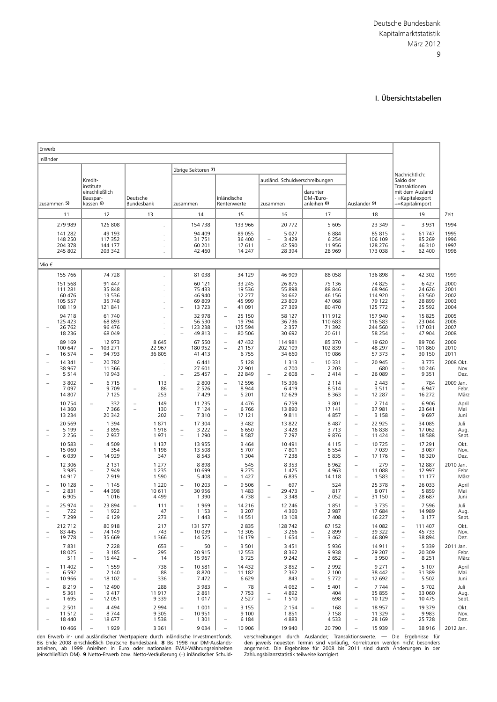<span id="page-30-0"></span>

| Erwerb                   |                    |                                                      |                    |                          |                    |                          |                    |                            |                    |                          |                                |                                      |                    |                                                      |                    |                                                       |                                                         |                   |
|--------------------------|--------------------|------------------------------------------------------|--------------------|--------------------------|--------------------|--------------------------|--------------------|----------------------------|--------------------|--------------------------|--------------------------------|--------------------------------------|--------------------|------------------------------------------------------|--------------------|-------------------------------------------------------|---------------------------------------------------------|-------------------|
| Inländer                 |                    |                                                      |                    |                          |                    |                          |                    |                            |                    |                          |                                |                                      |                    |                                                      |                    |                                                       |                                                         |                   |
|                          |                    |                                                      |                    |                          |                    |                          | übrige Sektoren 7) |                            |                    |                          |                                |                                      |                    |                                                      |                    |                                                       |                                                         |                   |
|                          |                    | Kredit-<br>institute                                 |                    |                          |                    |                          |                    |                            |                    |                          | ausländ. Schuldverschreibungen |                                      |                    |                                                      |                    | Nachrichtlich:<br>Saldo der<br>Transaktionen          |                                                         |                   |
|                          | zusammen 5)        | Bauspar-<br>kassen 6)                                | einschließlich     | Deutsche<br>Bundesbank   |                    | zusammen                 |                    | inländische<br>Rentenwerte |                    | zusammen                 |                                | darunter<br>DM-/Euro-<br>anleihen 8) |                    | Ausländer 9)                                         |                    |                                                       | mit dem Ausland<br>- = Kapitalexport<br>+=Kapitalimport |                   |
|                          | 11                 |                                                      | 12                 |                          | 13                 |                          | 14                 |                            | 15                 |                          | 16                             |                                      | 17                 |                                                      | 18                 |                                                       | 19                                                      | Zeit              |
|                          | 279 989            |                                                      | 126 808            |                          |                    |                          | 154 738            |                            | 133 966            |                          | 20772                          |                                      | 5 6 0 5            |                                                      | 23 349             | $\overline{\phantom{a}}$                              | 3 9 3 1                                                 | 1994              |
|                          | 141 282            |                                                      | 49 193             |                          |                    |                          | 94 409             |                            | 89 055             |                          | 5 0 2 7                        |                                      | 6884               |                                                      | 85 815             | $\ddot{}$                                             | 61 747                                                  | 1995              |
|                          | 148 250            |                                                      | 117 352            |                          |                    |                          | 31 751             |                            | 36 400             |                          | 3 4 2 9                        |                                      | 6 2 5 4            |                                                      | 106 109            | $\qquad \qquad +$                                     | 85 269                                                  | 1996              |
|                          | 204 378<br>245 802 |                                                      | 144 177<br>203 342 |                          |                    |                          | 60 201<br>42 460   |                            | 17611<br>14 247    |                          | 42 590<br>28 3 94              |                                      | 11 956<br>28 969   |                                                      | 128 276<br>173 038 | $\qquad \qquad +$<br>$+$                              | 46 310<br>62 400                                        | 1997<br>1998      |
| Mio €                    |                    |                                                      |                    |                          |                    |                          |                    |                            |                    |                          |                                |                                      |                    |                                                      |                    |                                                       |                                                         |                   |
|                          |                    |                                                      |                    |                          |                    |                          |                    |                            |                    |                          |                                |                                      |                    |                                                      |                    |                                                       |                                                         |                   |
|                          | 155 766<br>151 568 |                                                      | 74728<br>91 447    |                          |                    |                          | 81 038<br>60 121   |                            | 34 129<br>33 245   |                          | 46 909<br>26 875               |                                      | 88 058<br>75 136   |                                                      | 136 898<br>74 825  | $\ddot{}$<br>$\ddot{}$                                | 42 302<br>6427                                          | 1999<br>2000      |
|                          | 111 281            |                                                      | 35 848             |                          |                    |                          | 75 433             |                            | 19 5 36            |                          | 55 898                         |                                      | 88 846             |                                                      | 68 946             | $\overline{\phantom{0}}$                              | 24 626                                                  | 2001              |
|                          | 60 476<br>105 557  |                                                      | 13 5 36<br>35 748  |                          |                    |                          | 46 940<br>69809    |                            | 12 277<br>45 999   |                          | 34 662<br>23 809               |                                      | 46 156<br>47 068   |                                                      | 114 920<br>79 122  | $\qquad \qquad +$<br>$\qquad \qquad +$                | 63 560<br>28 899                                        | 2002<br>2003      |
|                          | 108 119            |                                                      | 121 841            |                          |                    |                          | 13723              | $\overline{\phantom{0}}$   | 41 091             |                          | 27 369                         |                                      | 80 470             |                                                      | 125 772            | $\qquad \qquad +$                                     | 25 5 9 2                                                | 2004              |
|                          | 94 718             |                                                      | 61 740             |                          |                    |                          | 32 978             | $\equiv$                   | 25 150             |                          | 58 127                         |                                      | 111 912            |                                                      | 157 940            | $\begin{array}{c} + \end{array}$                      | 15 825                                                  | 2005              |
| $\overline{\phantom{0}}$ | 125 423<br>26 762  |                                                      | 68 893<br>96 476   |                          |                    | $\overline{\phantom{0}}$ | 56 530<br>123 238  | $\overline{\phantom{0}}$   | 19 7 94<br>125 594 |                          | 36 736<br>2 3 5 7              |                                      | 110 683<br>71 392  |                                                      | 116 583<br>244 560 | $\overline{\phantom{0}}$<br>$\qquad \qquad +$         | 23 044<br>117 031                                       | 2006<br>2007      |
|                          | 18 2 36            |                                                      | 68 049             |                          |                    |                          | 49 813             |                            | 80 50 6            |                          | 30 692                         |                                      | 20 611             |                                                      | 58 254             | $\begin{array}{c} + \end{array}$                      | 47 904                                                  | 2008              |
|                          | 89 169<br>100 647  | $\overline{\phantom{a}}$                             | 12 973<br>103 271  |                          | 8645<br>22 967     |                          | 67 550<br>180 952  | $\equiv$                   | 47 432<br>21 157   |                          | 114 981<br>202 109             |                                      | 85 370<br>102 839  | ÷                                                    | 19 620<br>48 297   | $\overline{\phantom{a}}$<br>$\qquad \qquad -$         | 89 706<br>101 860                                       | 2009<br>2010      |
|                          | 16 574             | $\overline{\phantom{a}}$                             | 94 793             |                          | 36 805             |                          | 41 413             |                            | 6755               |                          | 34 660                         |                                      | 19 08 6            |                                                      | 57 373             | $\qquad \qquad +$                                     | 30 150                                                  | 2011              |
| $\overline{\phantom{a}}$ | 14 341             | $\overline{\phantom{a}}$                             | 20782              |                          |                    |                          | 6 4 4 1            |                            | 5 1 2 8            |                          | 1 3 1 3                        | $\overline{\phantom{0}}$             | 10 331             | $\overline{\phantom{0}}$                             | 20 945             | $\qquad \qquad -$                                     | 3773                                                    | 2008 Okt.         |
|                          | 38 967<br>5 5 1 4  |                                                      | 11 366<br>19 943   |                          |                    |                          | 27 601<br>25 457   |                            | 22 901<br>22 849   |                          | 4700<br>2 608                  |                                      | 2 2 0 3<br>2 4 1 4 | ÷                                                    | 680<br>26 089      | $^+$<br>$\qquad \qquad -$                             | 10 246<br>9 3 5 1                                       | Nov.<br>Dez.      |
|                          | 3 8 0 2            | $\qquad \qquad -$                                    | 6715               |                          | 113                |                          | 2 800              | $\overline{\phantom{a}}$   | 12 5 9 6           |                          | 15 3 96                        |                                      | 2 1 1 4            |                                                      | 2 4 4 3            | $\qquad \qquad +$                                     | 784                                                     | 2009 Jan.         |
|                          | 7 0 9 7<br>14 807  |                                                      | 9 7 0 9<br>7 1 2 5 | $\overline{\phantom{0}}$ | 86<br>253          |                          | 2 5 2 6<br>7429    | $\equiv$<br>$\equiv$       | 8 9 4 4<br>5 2 0 1 |                          | 6419<br>12 629                 |                                      | 8514<br>8 3 6 3    | $\overline{\phantom{a}}$<br>$\overline{\phantom{a}}$ | 3 5 1 1<br>12 287  | $\overline{\phantom{0}}$<br>$\overline{\phantom{a}}$  | 6947<br>16 272                                          | Febr<br>März      |
|                          | 10754              | $\overline{\phantom{a}}$                             | 332                |                          | 149                |                          | 11 2 3 5           |                            | 4476               |                          | 6759                           |                                      | 3 8 0 1            | $\overline{\phantom{a}}$                             | 2 7 1 4            | $\overline{\phantom{a}}$                              | 6 9 0 6                                                 | April             |
|                          | 14 3 60            |                                                      | 7 3 6 6            |                          | 130                |                          | 7 1 2 4            | $\overline{\phantom{0}}$   | 6766               |                          | 13890                          |                                      | 17 141             |                                                      | 37 981             | $\qquad \qquad +$                                     | 23 641                                                  | Mai               |
|                          | 13 2 34            |                                                      | 20 342             |                          | 202                | $\overline{\phantom{a}}$ | 7310               | $\overline{\phantom{0}}$   | 17 121             |                          | 9811                           |                                      | 4857               | $\overline{\phantom{a}}$                             | 3 1 5 8            | $\equiv$                                              | 9 6 9 7                                                 | Juni              |
|                          | 20 5 69<br>5 1 9 9 | $\overline{\phantom{a}}$                             | 1 3 9 4<br>3895    |                          | 1871<br>1918       |                          | 17 304<br>3 2 2 2  | $\overline{\phantom{0}}$   | 3 4 8 2<br>6650    |                          | 13822<br>3 4 2 8               |                                      | 8 4 8 7<br>3713    | $\equiv$                                             | 22 9 25<br>16838   | $\equiv$<br>$^+$                                      | 34 085<br>17 062                                        | Juli<br>Aug       |
|                          | 2 2 5 6            | $\overline{\phantom{a}}$                             | 2 9 3 7            |                          | 1971               |                          | 1 2 9 0            | $\overline{\phantom{0}}$   | 8587               |                          | 7 2 9 7                        |                                      | 9876               | $\overline{\phantom{a}}$                             | 11 424             | $\qquad \qquad -$                                     | 18 5 88                                                 | Sept              |
|                          | 10 583<br>15 060   |                                                      | 4 5 0 9<br>354     |                          | 1 1 3 7<br>1 1 9 8 |                          | 13 955<br>13 508   |                            | 3 4 6 4<br>5 7 0 7 |                          | 10 491<br>7801                 |                                      | 4 1 1 5<br>8 5 5 4 | $\overline{\phantom{a}}$                             | 10 725<br>7 0 3 9  | $\qquad \qquad -$<br>$\qquad \qquad -$                | 17 291<br>3 0 8 7                                       | Okt.<br>Nov.      |
|                          | 6039               | $\overline{\phantom{a}}$                             | 14 9 29            |                          | 347                |                          | 8 5 4 3            |                            | 1 3 0 4            |                          | 7 2 3 8                        |                                      | 5835               | $\equiv$                                             | 17 17 6            | $\equiv$                                              | 18 3 20                                                 | Dez.              |
|                          | 12 306             |                                                      | 2 1 3 1            |                          | 1 2 7 7            |                          | 8898               |                            | 545                |                          | 8 3 5 3                        |                                      | 8 9 6 2            | $\equiv$                                             | 279                | ÷                                                     | 12 887                                                  | 2010 Jan.         |
|                          | 3 9 8 5<br>14917   |                                                      | 7949<br>7919       |                          | 1 2 3 5<br>1 5 9 0 |                          | 10 699<br>5 4 0 8  | $\overline{\phantom{0}}$   | 9 2 7 5<br>1 4 2 7 |                          | 1 4 2 5<br>6835                |                                      | 4 9 63<br>14 118   | $\equiv$                                             | 11 088<br>1 5 8 3  | $^+$<br>$\qquad \qquad -$                             | 12 997<br>11 177                                        | Febr<br>März      |
|                          | 10 128             | $\overline{\phantom{m}}$                             | 1 1 4 5            |                          | 1 2 2 0            |                          | 10 203             | ÷                          | 9 5 0 6            | $\overline{\phantom{0}}$ | 697                            |                                      | 524                |                                                      | 25 378             | $\ddot{}$                                             | 26 033                                                  | April             |
| Ē,                       | 2 8 3 1<br>6 9 0 5 | $\equiv$                                             | 44 398<br>1016     |                          | 10 611<br>4 4 9 9  |                          | 30 956<br>1 3 9 0  |                            | 1 4 8 3<br>4738    |                          | 29 473<br>3 3 4 8              | Ē,                                   | 817<br>2 0 5 2     |                                                      | 8 0 7 1<br>31 150  | $^+$<br>$\overline{\phantom{0}}$                      | 5 8 5 9<br>28 687                                       | Mai<br>Juni       |
| $\overline{\phantom{a}}$ | 25 974             | $\overline{\phantom{a}}$                             | 23 894             |                          | 111                |                          | 1969               |                            | 14 2 16            |                          | 12 246                         |                                      | 1851               |                                                      | 3735               | ÷                                                     | 7 5 9 6                                                 | Juli              |
|                          | 722                |                                                      | 1922               |                          | 47                 |                          | 1 1 5 3            | ÷                          | 3 2 0 7            |                          | 4 3 6 0                        |                                      | 2 9 8 7            |                                                      | 17 684             | $\ddot{}$                                             | 14 989                                                  | Aug.              |
|                          | 7 2 9 9            |                                                      | 6 1 2 9            |                          | 273                |                          | 1 4 4 3            | $\qquad \qquad -$          | 14 5 51            |                          | 13 108                         |                                      | 7 4 0 8            |                                                      | 16 227             | $^+$                                                  | 3 1 7 7                                                 | Sept              |
| $\qquad \qquad -$        | 212 712<br>83 445  | $\overline{\phantom{a}}$                             | 80 918<br>74 149   |                          | 217<br>743         |                          | 131 577<br>10 0 39 | $\overline{\phantom{0}}$   | 2 8 3 5<br>13 305  |                          | 128 742<br>3 2 6 6             |                                      | 67 152<br>2899     |                                                      | 14 082<br>39 322   | $\overline{\phantom{0}}$<br>$^+$                      | 111 407<br>45 733                                       | Okt.<br>Nov.      |
| $\overline{\phantom{0}}$ | 19 778             | $\overline{\phantom{a}}$                             | 35 669             |                          | 1 3 6 6            |                          | 14 5 25            |                            | 16 179             |                          | 1654                           | $\overline{\phantom{0}}$             | 3 4 6 2            | $\overline{\phantom{a}}$                             | 46 809             | $\qquad \qquad -$                                     | 38 894                                                  | Dez.              |
|                          | 7831<br>18 0 25    |                                                      | 7 2 2 8<br>3 1 8 5 |                          | 653<br>295         |                          | 50<br>20 915       | $\overline{\phantom{0}}$   | 3 5 0 1<br>12 553  |                          | 3 4 5 1<br>8 3 6 2             |                                      | 5936<br>9938       |                                                      | 14 911<br>29 207   | $^+$<br>$\begin{array}{c} + \end{array}$              | 5 3 3 9<br>20 309                                       | 2011 Jan.<br>Febr |
|                          | 511                | $\overline{\phantom{a}}$<br>$\overline{\phantom{a}}$ | 15 442             |                          | 14                 |                          | 15 967             |                            | 6725               |                          | 9 2 4 2                        |                                      | 2 6 5 2            | $\overline{\phantom{m}}$                             | 3 9 5 0            | $\qquad \qquad -$                                     | 8 2 5 1                                                 | März              |
| $\overline{a}$           | 11 402             | $\overline{\phantom{a}}$                             | 1 5 5 9            |                          | 738                | $\qquad \qquad -$        | 10 581             | $\overline{\phantom{a}}$   | 14 4 32            |                          | 3852                           |                                      | 2 9 9 2            |                                                      | 9 2 7 1            | $^+$                                                  | 5 1 0 7                                                 | April             |
| $\overline{a}$<br>Ē,     | 6 5 9 2<br>10 966  | $\overline{\phantom{a}}$                             | 2 1 4 0<br>18 102  |                          | 88<br>336          |                          | 8820<br>7472       | $\overline{\phantom{0}}$   | 11 182<br>6629     |                          | 2 3 6 2<br>843                 |                                      | 2 100<br>5 7 7 2   | $\overline{\phantom{a}}$                             | 38 442<br>12 692   | $\begin{array}{c} + \end{array}$<br>$\qquad \qquad -$ | 31 389<br>5 5 0 2                                       | Mai<br>Juni       |
| $\overline{\phantom{a}}$ | 8 2 1 9            | $\overline{\phantom{a}}$                             | 12 490             |                          | 288                |                          | 3 9 8 3            | $\qquad \qquad -$          | 78                 |                          | 4 0 6 2                        | ÷,                                   | 5 4 0 1            | $\overline{\phantom{m}}$                             | 7 7 4 4            | $\qquad \qquad -$                                     | 5 7 0 2                                                 | Juli              |
|                          | 5 3 6 1            | $\overline{\phantom{a}}$                             | 9417               |                          | 11 917             |                          | 2861               |                            | 7753               | ÷,                       | 4 8 9 2                        |                                      | 404                |                                                      | 35 855             | $^{\mathrm{+}}$                                       | 33 060                                                  | Aug.              |
| $\overline{\phantom{a}}$ | 1695<br>2 5 0 1    | $\overline{\phantom{a}}$                             | 12 051<br>4 4 9 4  |                          | 9 3 3 9<br>2 9 9 4 | $\overline{\phantom{a}}$ | 1017<br>1 0 0 1    |                            | 2 5 2 7<br>3 1 5 5 | $\overline{\phantom{0}}$ | 1510<br>2 1 5 4                |                                      | 698<br>168         | $\overline{\phantom{a}}$                             | 10 129<br>18 9 57  | $\qquad \qquad -$                                     | 10 475<br>19 379                                        | Sept<br>Okt.      |
|                          | 11512              | $\overline{\phantom{a}}$<br>$\qquad \qquad -$        | 8744               |                          | 9 3 0 5            |                          | 10 951             | $\overline{\phantom{a}}$   | 9 1 0 0            |                          | 1851                           | $\overline{\phantom{0}}$             | 7 1 5 8            | $\overline{\phantom{a}}$                             | 11 329             | $\qquad \qquad -$<br>$^+$                             | 9983                                                    | Nov.              |
| $\overline{\phantom{0}}$ | 18 440             | $\overline{\phantom{a}}$                             | 18 677             |                          | 1 5 3 8            | $\qquad \qquad -$        | 1 3 0 1            | $\overline{\phantom{0}}$   | 6 1 8 4            |                          | 4883                           |                                      | 4 5 3 3            | $\overline{\phantom{a}}$                             | 28 169             | $\overline{\phantom{a}}$                              | 25 7 28                                                 | Dez.              |
|                          | 10 4 66            |                                                      | 1929               |                          | 3 3 6 1            |                          | 9034               | $\overline{a}$             | 10 906             |                          | 19 940                         |                                      | 20 790             | $\equiv$                                             | 15 939             |                                                       | 38 916                                                  | 2012 Jan.         |

den Erwerb in- und ausländischer Wertpapiere durch inländische Investmentfonds. Werschreibungen durch Ausländer; Transaktionswerte. — Die Ergebnisse für<br>Bis Ende 2008 einschließlich Deutsche Bundesbank. 8 Bis 1998 nur DM-A einschließlich DM). **9** Netto-Erwerb bils Ende 2008 einschließlich Deutsche Bundesbank. **8** Bis 1998 nur DM-Auslands-<br>2018 Einde 2008 einschließlich Deutsche Bundesbank. **8** Bis 1998 nur DM-Auslands-<br>2019 Anleihen in Euro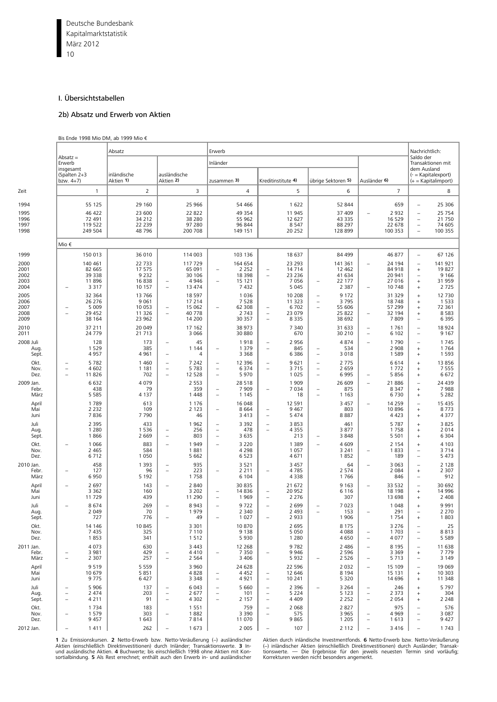<span id="page-31-0"></span>Deutsche Bundesbank 10 Kapitalmarktstatistik März 2012

#### I. Übersichtstabellen

#### 2b) Absatz und Erwerb von Aktien

Bis Ende 1998 Mio DM, ab 1999 Mio €

|                                      |                                                            |                                                  | Absatz                                          |                                                      |                                                 | Erwerb                                                                           |                                                  |                                                                                  |                                                   |                                                     |                                                   |                                                      |                                                | Nachrichtlich:                                                                                                                  |                                                   |
|--------------------------------------|------------------------------------------------------------|--------------------------------------------------|-------------------------------------------------|------------------------------------------------------|-------------------------------------------------|----------------------------------------------------------------------------------|--------------------------------------------------|----------------------------------------------------------------------------------|---------------------------------------------------|-----------------------------------------------------|---------------------------------------------------|------------------------------------------------------|------------------------------------------------|---------------------------------------------------------------------------------------------------------------------------------|---------------------------------------------------|
|                                      | Absatz =<br>Erwerb                                         |                                                  |                                                 |                                                      |                                                 | Inländer                                                                         |                                                  |                                                                                  |                                                   |                                                     |                                                   |                                                      |                                                | Saldo der                                                                                                                       | Transaktionen mit                                 |
|                                      | insgesamt<br>(Spalten 2+3<br>bzw. $4+7$ )                  |                                                  | inländische<br>Aktien 1)                        | ausländische<br>Aktien 2)                            |                                                 | zusammen 3)                                                                      |                                                  |                                                                                  | Kreditinstitute 4)                                |                                                     | übrige Sektoren 5)                                | Ausländer 6)                                         |                                                | dem Ausland                                                                                                                     | (- = Kapitalexport)<br>$(+)$ = Kapitalimport)     |
| Zeit                                 |                                                            | $\mathbf{1}$                                     | 2                                               |                                                      | 3                                               |                                                                                  | $\overline{4}$                                   |                                                                                  | 5                                                 |                                                     | 6                                                 |                                                      | $\overline{7}$                                 |                                                                                                                                 | 8                                                 |
| 1994<br>1995<br>1996<br>1997<br>1998 |                                                            | 55 125<br>46 422<br>72 491<br>119 522<br>249 504 | 29 160<br>23 600<br>34 212<br>22 239<br>48 796  |                                                      | 25 966<br>22 822<br>38 280<br>97 280<br>200 708 |                                                                                  | 54 466<br>49 3 54<br>55 962<br>96 844<br>149 151 |                                                                                  | 1 6 2 2<br>11 945<br>12 627<br>8 5 4 7<br>20 25 2 |                                                     | 52 844<br>37 409<br>43 335<br>88 297<br>128 899   |                                                      | 659<br>2 9 3 2<br>16 529<br>22 678<br>100 353  | $\equiv$<br>$\qquad \qquad -$<br>$\overline{\phantom{m}}$<br>$\overline{\phantom{m}}$<br>$\overline{\phantom{a}}$               | 25 306<br>25 7 54<br>21 750<br>74 605<br>100 355  |
|                                      | Mio €                                                      |                                                  |                                                 |                                                      |                                                 |                                                                                  |                                                  |                                                                                  |                                                   |                                                     |                                                   |                                                      |                                                |                                                                                                                                 |                                                   |
| 1999                                 |                                                            | 150 013                                          | 36 010                                          |                                                      | 114 003                                         |                                                                                  | 103 136                                          |                                                                                  | 18 637                                            |                                                     | 84 499                                            |                                                      | 46 877                                         | $\equiv$                                                                                                                        | 67 126                                            |
| 2000<br>2001<br>2002<br>2003<br>2004 |                                                            | 140 461<br>82 665<br>39 338<br>11896<br>3 3 1 7  | 22 7 33<br>17 575<br>9 2 3 2<br>16838<br>10 157 | ۰<br>$\overline{\phantom{a}}$                        | 117 729<br>65 091<br>30 10 6<br>4946<br>13 474  |                                                                                  | 164 654<br>2 2 5 2<br>18 3 98<br>15 121<br>7432  | $\overline{\phantom{0}}$                                                         | 23 293<br>14 7 14<br>23 236<br>7 0 5 6<br>5 0 4 5 |                                                     | 141 361<br>12 4 62<br>41 634<br>22 177<br>2 3 8 7 | $\overline{\phantom{a}}$                             | 24 194<br>84 918<br>20 941<br>27 016<br>10 748 | $\qquad \qquad -$<br>$\begin{array}{c} + \end{array}$<br>$\overline{\phantom{0}}$<br>$\qquad \qquad +$<br>$^{+}$                | 141 921<br>19827<br>9 1 6 6<br>31 959<br>2 7 2 5  |
| 2005<br>2006<br>2007<br>2008<br>2009 | ٠<br>÷,                                                    | 32 364<br>26 276<br>5 0 0 9<br>29 452<br>38 164  | 13766<br>9 0 6 1<br>10 053<br>11 3 26<br>23 962 | $\overline{\phantom{0}}$<br>$\overline{\phantom{m}}$ | 18 5 97<br>17 214<br>15 062<br>40 778<br>14 200 |                                                                                  | 1036<br>7528<br>62 308<br>2 7 4 3<br>30 357      | $\overline{\phantom{0}}$<br>$\overline{\phantom{0}}$<br>$\overline{\phantom{0}}$ | 10 208<br>11 323<br>6702<br>23 0 79<br>8 3 3 5    | $\overline{\phantom{a}}$<br>$\equiv$                | 9 1 7 2<br>3795<br>55 606<br>25 822<br>38 692     | $\overline{\phantom{0}}$                             | 31 329<br>18748<br>57 299<br>32 194<br>7809    | $^{+}$<br>$\qquad \qquad +$<br>$\begin{array}{c} + \end{array}$<br>$\begin{array}{c} + \end{array}$<br>$\overline{\phantom{0}}$ | 12 730<br>1 5 3 3<br>72 361<br>8 5 8 3<br>6 3 9 5 |
| 2010<br>2011                         |                                                            | 37 211<br>24 7 7 9                               | 20 049<br>21 7 13                               |                                                      | 17 162<br>3 0 6 6                               |                                                                                  | 38 973<br>30 880                                 |                                                                                  | 7 3 4 0<br>670                                    |                                                     | 31 633<br>30 210                                  | $\overline{\phantom{a}}$<br>$\overline{\phantom{a}}$ | 1761<br>6 1 0 2                                | $\overline{\phantom{0}}$<br>$\overline{\phantom{0}}$                                                                            | 18 9 24<br>9 1 6 7                                |
| 2008 Juli<br>Aug.<br>Sept.           |                                                            | 128<br>1529<br>4957                              | 173<br>385<br>4961                              | $\overline{\phantom{0}}$                             | 45<br>1 1 4 4<br>4                              |                                                                                  | 1918<br>1 3 7 9<br>3 3 6 8                       | $\overline{\phantom{0}}$<br>$\overline{\phantom{0}}$                             | 2 9 5 6<br>845<br>6386                            | $\overline{\phantom{0}}$<br>÷                       | 4874<br>534<br>3018                               | $\overline{\phantom{0}}$                             | 1790<br>2 9 0 8<br>1589                        | $\equiv$<br>$\begin{array}{c} + \end{array}$<br>$^{+}$                                                                          | 1745<br>1764<br>1 5 9 3                           |
| Okt.<br>Nov.<br>Dez.                 | $\overline{\phantom{0}}$<br>$\overline{\phantom{0}}$<br>L. | 5782<br>4 6 0 2<br>11826                         | 1 4 6 0<br>1 1 8 1<br>702                       | $\overline{\phantom{a}}$<br>$\overline{\phantom{m}}$ | 7 2 4 2<br>5 7 8 3<br>12 5 28                   | $\overline{\phantom{0}}$                                                         | 12 3 9 6<br>6 3 7 4<br>5970                      | $\overline{\phantom{0}}$<br>$\overline{\phantom{0}}$                             | 9621<br>3715<br>1 0 2 5                           | $\overline{\phantom{a}}$<br>$\qquad \qquad -$<br>L. | 2775<br>2659<br>6995                              |                                                      | 6614<br>1772<br>5856                           | $\ddot{}$<br>$\ddot{}$<br>$\qquad \qquad +$                                                                                     | 13856<br>7 5 5 5<br>6672                          |
| 2009 Jan.<br>Febr.<br>März           |                                                            | 6632<br>438<br>5 5 8 5                           | 4 0 7 9<br>79<br>4 1 3 7                        |                                                      | 2 5 5 3<br>359<br>1 4 4 8                       | $\overline{\phantom{m}}$<br>$\overline{\phantom{0}}$                             | 28 5 18<br>7 9 0 9<br>1 1 4 5                    | $\overline{\phantom{0}}$                                                         | 1 9 0 9<br>7034<br>18                             | L.                                                  | 26 609<br>875<br>1 1 6 3                          | $\overline{\phantom{0}}$                             | 21886<br>8 3 4 7<br>6730                       | $\qquad \qquad -$<br>$\begin{array}{c} + \end{array}$<br>$\begin{array}{c} + \end{array}$                                       | 24 4 39<br>7988<br>5 2 8 2                        |
| April<br>Mai<br>Juni                 |                                                            | 1789<br>2 2 3 2<br>7836                          | 613<br>109<br>7790                              |                                                      | 1 1 7 6<br>2 1 2 3<br>46                        | $\overline{\phantom{0}}$                                                         | 16 048<br>8664<br>3413                           | $\overline{\phantom{0}}$<br>$\overline{\phantom{0}}$                             | 12 591<br>9 4 6 7<br>5 4 7 4                      |                                                     | 3 4 5 7<br>803<br>8887                            | $\overline{\phantom{a}}$                             | 14 2 5 9<br>10896<br>4 4 2 3                   | $\overline{\phantom{m}}$<br>$\ddot{}$<br>$\ddot{}$                                                                              | 15 4 35<br>8773<br>4 3 7 7                        |
| Juli<br>Aug.<br>Sept.                |                                                            | 2 3 9 5<br>1 2 8 0<br>1866                       | 433<br>1 5 3 6<br>2 6 6 9                       | $\overline{\phantom{0}}$<br>$\overline{\phantom{m}}$ | 1962<br>256<br>803                              | $\overline{\phantom{0}}$<br>$\overline{\phantom{0}}$<br>$\overline{\phantom{0}}$ | 3 3 9 2<br>478<br>3 6 3 5                        | $\overline{\phantom{0}}$<br>$\overline{\phantom{0}}$                             | 3853<br>4 3 5 5<br>213                            |                                                     | 461<br>3877<br>3848                               |                                                      | 5 7 8 7<br>1758<br>5 5 0 1                     | $\begin{array}{c} + \end{array}$<br>$\begin{array}{c} + \end{array}$<br>$\ddot{}$                                               | 3825<br>2 0 1 4<br>6 3 0 4                        |
| Okt.<br>Nov.<br>Dez.                 |                                                            | 1 0 6 6<br>2 4 6 5<br>6712                       | 883<br>584<br>1 0 5 0                           | $\equiv$                                             | 1949<br>1881<br>5 6 6 2                         | $\overline{\phantom{0}}$                                                         | 3 2 2 0<br>4 2 9 8<br>6 5 2 3                    |                                                                                  | 1 3 8 9<br>1 0 5 7<br>4671                        |                                                     | 4609<br>3 2 4 1<br>1852                           |                                                      | 2 1 5 4<br>1833<br>189                         | $\begin{array}{c} + \end{array}$<br>$\overline{\phantom{0}}$<br>$\qquad \qquad -$                                               | 4 1 0 3<br>3714<br>5 4 7 3                        |
| 2010 Jan.<br>Febr.<br>März           |                                                            | 458<br>127<br>6950                               | 1 3 9 3<br>96<br>5 1 9 2                        | ۰<br>$\overline{\phantom{0}}$                        | 935<br>223<br>1758                              |                                                                                  | 3 5 2 1<br>2 2 1 1<br>6 1 0 4                    | ۳                                                                                | 3 4 5 7<br>4785<br>4 3 3 8                        |                                                     | 64<br>2 5 7 4<br>1766                             |                                                      | 3 0 6 3<br>2 0 8 4<br>846                      | $\overline{\phantom{0}}$<br>$^{\mathrm{+}}$<br>$\overline{\phantom{0}}$                                                         | 2 1 2 8<br>2 3 0 7<br>912                         |
| April<br>Mai<br>Juni                 | ۰                                                          | 2 6 9 7<br>3 3 6 2<br>11 729                     | 143<br>160<br>439                               |                                                      | 2 8 4 0<br>3 2 0 2<br>11 290                    | $\overline{\phantom{0}}$<br>$\overline{\phantom{0}}$                             | 30 835<br>14 8 36<br>1969                        | $\overline{\phantom{0}}$<br>$\overline{\phantom{0}}$                             | 21 672<br>20 952<br>2 2 7 6                       |                                                     | 9 1 6 3<br>6 1 1 6<br>307                         |                                                      | 33 532<br>18 198<br>13 698                     | $\qquad \qquad -$<br>$^+$<br>$\ddot{}$                                                                                          | 30 692<br>14 9 96<br>2 4 0 8                      |
| Juli<br>Aug.<br>Sept.                |                                                            | 8674<br>2 0 4 9<br>727                           | 269<br>70<br>776                                |                                                      | 8 9 4 3<br>1979<br>49                           | $\rightarrow$                                                                    | 9722<br>2 3 4 0<br>1 0 2 7                       | $\overline{a}$                                                                   | 2 6 9 9<br>2 4 9 3<br>2 9 3 3                     |                                                     | 7023<br>153<br>1 906                              |                                                      | 1 0 4 8<br>291<br>1754                         | $\ddot{}$<br>$\begin{array}{c} + \end{array}$                                                                                   | 9991<br>2 2 7 0<br>1803                           |
| Okt.<br>Nov.<br>Dez.                 |                                                            | 14 14 6<br>7435<br>1853                          | 10 845<br>325<br>341                            |                                                      | 3 3 0 1<br>7 1 1 0<br>1512                      |                                                                                  | 10 870<br>9 138<br>5 9 3 0                       |                                                                                  | 2 6 9 5<br>5 0 5 0<br>1 2 8 0                     |                                                     | 8 1 7 5<br>4 0 8 8<br>4650                        | $\qquad \qquad -$                                    | 3 2 7 6<br>1703<br>4 0 7 7                     | $\overline{\phantom{0}}$<br>$\overline{\phantom{0}}$<br>$\qquad \qquad -$                                                       | 25<br>8813<br>5 5 8 9                             |
| 2011 Jan.<br>Febr.<br>März           | $\overline{\phantom{0}}$                                   | 4073<br>3 9 8 1<br>2 3 0 7                       | 630<br>429<br>257                               | $\overline{\phantom{m}}$                             | 3 4 4 3<br>4 410<br>2 564                       |                                                                                  | 12 2 68<br>7 3 5 0<br>3 4 0 6                    |                                                                                  | 9782<br>9 9 4 6<br>5 9 3 2                        |                                                     | 2 4 8 6<br>2 5 9 6<br>2 5 2 6                     | $\qquad \qquad -$<br>$\overline{\phantom{a}}$        | 8 1 9 5<br>3 3 6 9<br>5 7 1 3                  | $\overline{\phantom{a}}$<br>$^{+}$<br>$\qquad \qquad -$                                                                         | 11 638<br>7779<br>3 1 4 9                         |
| April<br>Mai<br>Juni                 |                                                            | 9519<br>10 679<br>9775                           | 5 5 5 9<br>5 8 5 1<br>6 4 2 7                   |                                                      | 3 9 6 0<br>4 8 2 8<br>3 3 4 8                   | $\qquad \qquad -$<br>$\overline{\phantom{a}}$                                    | 24 628<br>4 4 5 2<br>4921                        | $\overline{\phantom{0}}$<br>$\overline{\phantom{0}}$                             | 22 596<br>12 646<br>10 241                        |                                                     | 2 0 3 2<br>8 1 9 4<br>5 3 2 0                     | $\overline{\phantom{0}}$                             | 15 109<br>15 131<br>14 696                     | $\qquad \qquad -$<br>$^{\mathrm{+}}$<br>$^{+}$                                                                                  | 19 069<br>10 303<br>11 348                        |
| Juli<br>Aug.<br>Sept.                | $\overline{\phantom{0}}$<br>$\qquad \qquad -$              | 5 9 0 6<br>2 4 7 4<br>4 2 1 1                    | 137<br>203<br>91                                | $\qquad \qquad -$<br>$\overline{\phantom{a}}$        | 6 043<br>2 677<br>4 3 0 2                       | $\overline{\phantom{a}}$<br>$\overline{\phantom{a}}$<br>$\overline{\phantom{a}}$ | 5 6 6 0<br>101<br>2 1 5 7                        | $\overline{\phantom{0}}$<br>$\overline{\phantom{0}}$<br>$\overline{\phantom{0}}$ | 2 3 9 6<br>5 2 2 4<br>4 4 0 9                     |                                                     | 3 2 6 4<br>5 1 2 3<br>2 2 5 2                     | $\qquad \qquad -$<br>$\overline{\phantom{a}}$        | 246<br>2 3 7 3<br>2 0 5 4                      | $\begin{array}{c} + \end{array}$<br>$\ddot{}$<br>$\begin{array}{c} + \end{array}$                                               | 5797<br>304<br>2 2 4 8                            |
| Okt.<br>Nov.<br>Dez.                 |                                                            | 1734<br>1579<br>9457                             | 183<br>303<br>1 6 4 3                           |                                                      | 1 5 5 1<br>1882<br>7814                         |                                                                                  | 759<br>3 3 9 0<br>11 070                         | $\overline{\phantom{0}}$                                                         | 2 0 6 8<br>575<br>9865                            |                                                     | 2827<br>3 9 6 5<br>1 2 0 5                        | $\overline{a}$<br>$\qquad \qquad -$                  | 975<br>4 9 6 9<br>1613                         | $\qquad \qquad -$<br>$\overline{\phantom{0}}$<br>$\overline{\phantom{0}}$                                                       | 576<br>3 0 8 7<br>9 4 2 7                         |
| 2012 Jan.                            |                                                            | 1411                                             | 262                                             |                                                      | 1 673                                           |                                                                                  | 2 0 0 5                                          |                                                                                  | 107                                               |                                                     | 2 1 1 2                                           | $\overline{\phantom{a}}$                             | 3416                                           | $\overline{\phantom{a}}$                                                                                                        | 1743                                              |

1 Zu Emissionskursen. 2 Netto-Erwerb bzw. Netto-Veräußerung (—) ausländischer – Aktien durch inländische Investmentfonds. 6 Netto-Erwerb bzw. Netto-Veräußerung<br>Aktien (einschließlich Direktintoren) durch Inländer; Transakt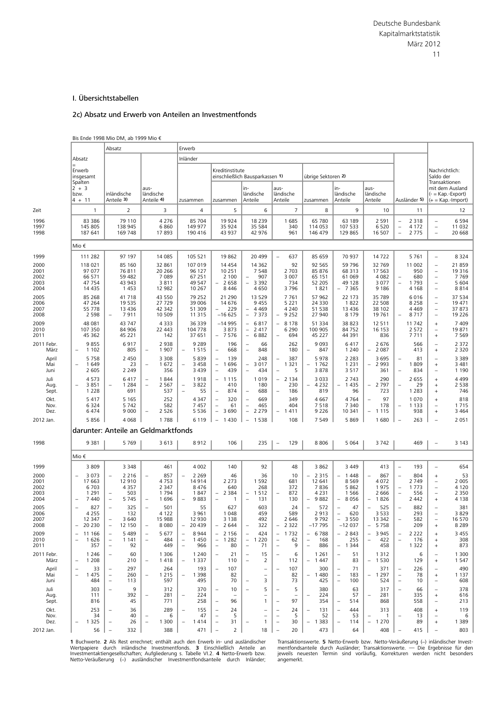#### <span id="page-32-0"></span>2c) Absatz und Erwerb von Anteilen an Investmentfonds

Bis Ende 1998 Mio DM, ab 1999 Mio €

|                                              |                                                               | Absatz                                                                                                            |                                                                           | Erwerb                                                                     |                                                                                                     |                                                                                                             |                                                                                   |                                                      |                                                                                                      |                                                                               |                                                                                                                       |                                                                                                                                                                                                                         |
|----------------------------------------------|---------------------------------------------------------------|-------------------------------------------------------------------------------------------------------------------|---------------------------------------------------------------------------|----------------------------------------------------------------------------|-----------------------------------------------------------------------------------------------------|-------------------------------------------------------------------------------------------------------------|-----------------------------------------------------------------------------------|------------------------------------------------------|------------------------------------------------------------------------------------------------------|-------------------------------------------------------------------------------|-----------------------------------------------------------------------------------------------------------------------|-------------------------------------------------------------------------------------------------------------------------------------------------------------------------------------------------------------------------|
|                                              | Absatz                                                        |                                                                                                                   |                                                                           | Inländer                                                                   |                                                                                                     |                                                                                                             |                                                                                   |                                                      |                                                                                                      |                                                                               |                                                                                                                       |                                                                                                                                                                                                                         |
|                                              | Erwerb<br>insgesamt<br>Spalten                                |                                                                                                                   |                                                                           |                                                                            | Kreditinstitute                                                                                     | einschließlich Bausparkassen 1)                                                                             |                                                                                   | übrige Sektoren 2)                                   |                                                                                                      |                                                                               |                                                                                                                       | Nachrichtlich:<br>Saldo der<br>Transaktionen                                                                                                                                                                            |
|                                              | $2 + 3$<br>bzw.<br>$4 + 11$                                   | inländische<br>Anteile 3)                                                                                         | aus-<br>ländische<br>Anteile 4)                                           | zusammen                                                                   | zusammen                                                                                            | in-<br>ländische<br>Anteile                                                                                 | aus-<br>ländische<br>Anteile                                                      | zusammen                                             | in-<br>ländische<br>Anteile                                                                          | aus-<br>ländische<br>Anteile                                                  | Ausländer 5)                                                                                                          | mit dem Ausland<br>(- = Kap.-Export)<br>$(+)$ = Kap.-Import)                                                                                                                                                            |
| Zeit                                         | $\mathbf{1}$                                                  | $\overline{2}$                                                                                                    | 3                                                                         | 4                                                                          | 5                                                                                                   | 6                                                                                                           | $\overline{7}$                                                                    | 8                                                    | 9                                                                                                    | 10                                                                            | 11                                                                                                                    | 12                                                                                                                                                                                                                      |
| 1996<br>1997<br>1998                         | 83 386<br>145 805<br>187 641                                  | 79 110<br>138 945<br>169 748                                                                                      | 4 2 7 6<br>6860<br>17893                                                  | 85 704<br>149 977<br>190 416                                               | 19 9 24<br>35 924<br>43 937                                                                         | 18 2 3 9<br>35 584<br>42 976                                                                                | 1685<br>340<br>961                                                                | 65 780<br>114 053<br>146 479                         | 63 189<br>107 533<br>129 865                                                                         | 2 5 9 1<br>6520<br>16 507                                                     | 2 3 1 8<br>$\overline{\phantom{a}}$<br>4 1 7 2<br>$\equiv$<br>2 7 7 5                                                 | 6 5 9 4<br>$\qquad \qquad -$<br>11 0 32<br>$\overline{\phantom{a}}$<br>$\equiv$<br>20 668                                                                                                                               |
|                                              | Mio €                                                         |                                                                                                                   |                                                                           |                                                                            |                                                                                                     |                                                                                                             |                                                                                   |                                                      |                                                                                                      |                                                                               |                                                                                                                       |                                                                                                                                                                                                                         |
| 1999                                         | 111 282                                                       | 97 197                                                                                                            | 14 085                                                                    | 105 521                                                                    | 19 862                                                                                              | 20 499                                                                                                      | 637                                                                               | 85 659                                               | 70 937                                                                                               | 14722                                                                         | 5761                                                                                                                  | 8 3 2 4<br>$\overline{\phantom{m}}$                                                                                                                                                                                     |
| 2000<br>2001<br>2002<br>2003<br>2004         | 118 021<br>97 077<br>66 571<br>47 754<br>14 4 35              | 85 160<br>76 811<br>59 482<br>43 943<br>1 4 5 3                                                                   | 32 861<br>20 26 6<br>7 0 8 9<br>3811<br>12 982                            | 107 019<br>96 127<br>67 251<br>49 547<br>10 267                            | 14 4 5 4<br>10 251<br>2 100<br>2 6 5 8<br>$\overline{\phantom{0}}$<br>8 4 4 6                       | 14 3 62<br>7 5 4 8<br>907<br>$-3392$<br>4650                                                                | 92<br>2 7 0 3<br>3 0 0 7<br>734<br>3796                                           | 92 565<br>85 876<br>65 151<br>52 205<br>1821         | 59 796<br>68 313<br>61 0 69<br>49 128<br>$-7365$                                                     | 32 769<br>17 5 63<br>4 0 8 2<br>3 0 7 7<br>9 1 8 6                            | 11 002<br>950<br>680<br>1793<br>$\overline{\phantom{a}}$<br>4 1 6 8                                                   | 21859<br>$\overline{\phantom{m}}$<br>19 3 16<br>$\qquad \qquad -$<br>7769<br>$\overline{\phantom{a}}$<br>5 604<br>$\overline{\phantom{a}}$<br>$\overline{\phantom{m}}$<br>8814                                          |
| 2005<br>2006<br>2007<br>2008                 | 85 268<br>47 264<br>55 778<br>2 5 9 8                         | 41 718<br>19 535<br>13 4 36<br>7911<br>$\overline{\phantom{a}}$                                                   | 43 550<br>27 729<br>42 342<br>10 509                                      | 79 252<br>39 006<br>51 309<br>11 315                                       | 21 290<br>14 676<br>229<br>$\overline{\phantom{0}}$<br>$-16625$                                     | 13 5 29<br>9455<br>$-4469$<br>7 3 7 3<br>$\overline{\phantom{0}}$                                           | 7761<br>5 2 2 1<br>4 2 4 0<br>9 2 5 2<br>$\overline{\phantom{m}}$                 | 57 962<br>24 3 30<br>51 538<br>27 940                | 22 173<br>1822<br>13 4 36<br>8 1 7 9                                                                 | 35 789<br>22 508<br>38 102<br>19761                                           | 6016<br>8 2 5 8<br>4 4 6 9<br>8717                                                                                    | 37 534<br>$\overline{\phantom{a}}$<br>19 471<br>$\overline{\phantom{a}}$<br>37 873<br>$\overline{\phantom{m}}$<br>19 2 26<br>$\overline{\phantom{a}}$                                                                   |
| 2009<br>2010<br>2011                         | 48 081<br>107 350<br>45 362                                   | 43 747<br>84 906<br>45 221                                                                                        | 4 3 3 3<br>22 443<br>142                                                  | 36 339<br>104 778<br>37 651                                                | $-14995$<br>3873<br>7 5 7 6                                                                         | 6817<br>$\overline{\phantom{0}}$<br>2 4 1 7<br>$\overline{\phantom{0}}$<br>$\overline{\phantom{0}}$<br>6882 | 8 1 7 8<br>$\overline{\phantom{a}}$<br>6 2 9 0<br>694<br>$\overline{\phantom{0}}$ | 51 334<br>100 905<br>45 227                          | 38 823<br>84 752<br>44 391                                                                           | 12 5 11<br>16 153<br>836                                                      | 11742<br>2 5 7 2<br>7711                                                                                              | 7 4 0 9<br>$^+$<br>19871<br>$\overline{\phantom{a}}$<br>7 5 6 9<br>$^{\mathrm{+}}$                                                                                                                                      |
| 2011 Febr.<br>März                           | 9855<br>1 1 0 2                                               | 6917<br>805                                                                                                       | 2938<br>1907<br>$\overline{\phantom{a}}$                                  | 9 2 8 9<br>1 5 1 5<br>$\overline{\phantom{0}}$                             | 196<br>668<br>$\overline{\phantom{a}}$                                                              | 66<br>$\overline{\phantom{0}}$<br>848                                                                       | 262<br>180                                                                        | 9 0 9 3<br>$\equiv$<br>847                           | 6417<br>1 2 4 0                                                                                      | 2676<br>$-$<br>2 0 8 7                                                        | 566<br>413                                                                                                            | 2 3 7 2<br>$\overline{\phantom{a}}$<br>2 3 2 0<br>$\begin{array}{c} + \end{array}$                                                                                                                                      |
| April<br>Mai<br>Juni                         | 5 7 5 8<br>1 6 4 9<br>2 6 0 5                                 | 2 4 5 0<br>23<br>2 2 4 9                                                                                          | 3 3 0 8<br>1672<br>$\overline{\phantom{0}}$<br>356                        | 5 8 3 9<br>3 4 5 8<br>$\overline{\phantom{a}}$<br>3 4 3 9                  | 139<br>$\qquad \qquad -$<br>$\overline{\phantom{a}}$<br>1696<br>$\equiv$<br>439                     | 248<br>3 0 1 7<br>$\overline{\phantom{0}}$<br>434<br>$\overline{\phantom{0}}$                               | 387<br>$\overline{\phantom{0}}$<br>1 3 2 1<br>5                                   | 5978<br>1762<br>$\overline{\phantom{a}}$<br>3878     | 2 2 8 3<br>1 2 3 1<br>3517                                                                           | 3695<br>2 9 9 3<br>$\overline{\phantom{0}}$<br>361                            | 81<br>1809<br>834                                                                                                     | 3 3 8 9<br>$\overline{\phantom{a}}$<br>3 4 8 1<br>$\begin{array}{c} + \end{array}$<br>1 1 9 0<br>$\overline{\phantom{m}}$                                                                                               |
| Juli<br>Aug.<br>Sept.                        | 4573<br>3851<br>1 2 2 8                                       | 6417<br>1 2 8 4<br>$\overline{\phantom{a}}$<br>691                                                                | 1844<br>$\overline{\phantom{0}}$<br>2 5 6 7<br>537                        | 1918<br>3822<br>$\overline{\phantom{a}}$<br>55<br>$\overline{\phantom{0}}$ | 1 1 1 5<br>$-$<br>410<br>874<br>$\overline{\phantom{0}}$                                            | 1019<br>180<br>688                                                                                          | 2 1 3 4<br>$\overline{\phantom{m}}$<br>230<br>186                                 | 3 0 3 3<br>4 2 3 2<br>819                            | 2 7 4 3<br>1435<br>96                                                                                | 290<br>2 7 9 7<br>$\overline{\phantom{0}}$<br>723                             | 2 6 5 5<br>29<br>1 2 8 3                                                                                              | 4 4 9 9<br>$\begin{array}{c} + \end{array}$<br>2 5 3 8<br>$\qquad \qquad +$<br>746<br>$\begin{array}{c} + \end{array}$                                                                                                  |
| Okt.<br>Nov.<br>Dez.                         | 5 4 1 7<br>6 3 2 4<br>6 4 7 4                                 | 5 1 6 5<br>5742<br>9 0 0 0                                                                                        | 252<br>582<br>2 5 2 6<br>$\overline{\phantom{a}}$                         | 4 3 4 7<br>7457<br>5 5 3 6                                                 | 320<br>$\qquad \qquad -$<br>61<br>÷,<br>$\overline{\phantom{a}}$<br>3690                            | 669<br>$\qquad \qquad -$<br>465<br>2 2 7 9<br>$\overline{\phantom{a}}$                                      | 349<br>404<br>1411<br>$\overline{\phantom{a}}$                                    | 4667<br>7518<br>9 2 2 6                              | 4764<br>7 3 4 0<br>10 341                                                                            | 97<br>178<br>1 1 1 5<br>$\qquad \qquad -$                                     | 1 0 7 0<br>1 1 3 3<br>938                                                                                             | 818<br>$\ddot{}$<br>1715<br>$\overline{\phantom{m}}$<br>3 4 6 4<br>$\qquad \qquad +$                                                                                                                                    |
| 2012 Jan.                                    | 5856                                                          | 4 0 6 8                                                                                                           | 1788                                                                      | 6 1 1 9                                                                    | 1 4 3 0<br>$\overline{\phantom{a}}$                                                                 | 1538<br>$\overline{\phantom{a}}$                                                                            | 108                                                                               | 7 5 4 9                                              | 5869                                                                                                 | 1680                                                                          | 263<br>$\overline{\phantom{a}}$                                                                                       | 2 0 5 1<br>$\overline{\phantom{a}}$                                                                                                                                                                                     |
|                                              |                                                               |                                                                                                                   | darunter: Anteile an Geldmarktfonds                                       |                                                                            |                                                                                                     |                                                                                                             |                                                                                   |                                                      |                                                                                                      |                                                                               |                                                                                                                       |                                                                                                                                                                                                                         |
| 1998                                         | 9 3 8 1                                                       | 5769                                                                                                              | 3613                                                                      | 8912                                                                       | 106                                                                                                 | 235                                                                                                         | 129<br>$\overline{\phantom{a}}$                                                   | 8806                                                 | 5 0 6 4                                                                                              | 3742                                                                          | 469                                                                                                                   | 3 1 4 3<br>$\equiv$                                                                                                                                                                                                     |
|                                              | Mio €                                                         |                                                                                                                   |                                                                           |                                                                            |                                                                                                     |                                                                                                             |                                                                                   |                                                      |                                                                                                      |                                                                               |                                                                                                                       |                                                                                                                                                                                                                         |
| 1999<br>2000<br>2001<br>2002<br>2003<br>2004 | 3 8 0 9<br>3 0 7 3<br>17 663<br>6 7 0 3<br>1 2 9 1<br>7 4 4 0 | 3 3 4 8<br>2 2 1 6<br>12 910<br>4 3 5 7<br>503<br>$\overline{\phantom{a}}$<br>5 7 4 5<br>$\overline{\phantom{a}}$ | 461<br>857<br>4753<br>2 3 4 7<br>1794<br>1696<br>$\overline{\phantom{a}}$ | 4 0 0 2<br>2 2 6 9<br>14 9 14<br>8 4 7 6<br>1847<br>9883                   | 140<br>46<br>2 2 7 3<br>640<br>2 3 8 4<br>$\overline{\phantom{a}}$<br>$\overline{\phantom{0}}$<br>1 | 92<br>36<br>1 5 9 2<br>268<br>1512<br>131                                                                   | 48<br>10<br>681<br>372<br>872<br>$\overline{\phantom{0}}$<br>130                  | 3862<br>2 3 1 5<br>12 641<br>7836<br>4 2 3 1<br>9882 | 3 4 4 9<br>1448<br>8569<br>5862<br>1 5 6 6<br>$-8056$                                                | 413<br>867<br>4072<br>1975<br>2666<br>1826<br>$\overline{\phantom{a}}$        | 193<br>$\qquad \qquad -$<br>804<br>$\qquad \qquad -$<br>2 7 4 9<br>1773<br>$\overline{\phantom{a}}$<br>556<br>2 4 4 2 | 654<br>$\overline{\phantom{m}}$<br>53<br>$\begin{array}{c} + \end{array}$<br>2 0 0 5<br>$\overline{\phantom{m}}$<br>4 1 2 0<br>$\overline{\phantom{m}}$<br>2 3 5 0<br>$\qquad \qquad -$<br>4 1 3 8<br>$\qquad \qquad +$ |
| 2005<br>2006<br>2007<br>2008                 | 827<br>4 2 5 5<br>12 347<br>20 230                            | 325<br>$\overline{\phantom{a}}$<br>132<br>3 6 4 0<br>$\qquad \qquad -$<br>12 150<br>$\qquad \qquad -$             | 501<br>4 1 2 2<br>15 988<br>8080<br>$\overline{\phantom{0}}$              | 55<br>3 9 6 1<br>12 930<br>20 4 39<br>$\overline{\phantom{a}}$             | 627<br>1 0 4 8<br>3 1 3 8<br>$-2644$                                                                | 603<br>459<br>492<br>322<br>$\qquad \qquad -$                                                               | 24<br>589<br>2 6 4 6<br>2 3 2 2<br>$\qquad \qquad -$                              | 572<br>2913<br>9792<br>$-17795$                      | 47<br>620<br>$\overline{\phantom{0}}$<br>$-3550$<br>$-12037$                                         | 525<br>3 5 3 3<br>13 342<br>5758<br>$-$                                       | 882<br>$\qquad \qquad -$<br>293<br>582<br>209                                                                         | 381<br>$\overline{\phantom{m}}$<br>3829<br>$\overline{\phantom{0}}$<br>16 570<br>$\qquad \qquad -$<br>8 2 8 9<br>$\begin{array}{c} + \end{array}$                                                                       |
| 2009<br>2010<br>2011                         | 11 166<br>$\overline{\phantom{m}}$<br>1626<br>357             | 5 4 8 9<br>1 1 4 1<br>$\overline{\phantom{a}}$<br>92<br>$\overline{\phantom{a}}$                                  | 5 6 7 7<br>484<br>449                                                     | 8944<br>$\qquad \qquad -$<br>1 4 5 0<br>$\qquad \qquad -$<br>966           | 2 1 5 6<br>$-$<br>1 2 8 2<br>$\overline{\phantom{a}}$<br>80<br>$\qquad \qquad -$                    | 424<br>$\qquad \qquad -$<br>1 2 2 0<br>$\overline{\phantom{0}}$<br>71                                       | 1732<br>$\overline{\phantom{a}}$<br>62<br>9                                       | $-6788$<br>168<br>886                                | $-2843$<br>255<br>1 3 4 4<br>$-$                                                                     | 3 9 4 5<br>$\overline{\phantom{a}}$<br>$\overline{\phantom{0}}$<br>422<br>458 | 2 2 2 2<br>-<br>176<br>1 3 2 2                                                                                        | 3 4 5 5<br>$\begin{array}{c} + \end{array}$<br>308<br>$\begin{array}{c} + \end{array}$<br>873<br>$\begin{array}{c} + \end{array}$                                                                                       |
| 2011 Febr.<br>März                           | 1 2 4 6<br>1 2 0 8                                            | 60<br>210                                                                                                         | 1 3 0 6<br>1418<br>$\overline{\phantom{a}}$                               | 1 2 4 0<br>1 3 3 7<br>$\overline{\phantom{a}}$                             | 21<br>$\overline{a}$<br>110                                                                         | 15<br>$\overline{\phantom{0}}$<br>2<br>$\equiv$                                                             | 6<br>$\qquad \qquad -$<br>112                                                     | 1 2 6 1<br>$-1447$                                   | 51<br>$\qquad \qquad -$<br>83                                                                        | 1 3 1 2<br>$-1530$                                                            | 6<br>129                                                                                                              | 1 3 0 0<br>1 547<br>$\begin{array}{c} + \end{array}$                                                                                                                                                                    |
| April<br>Mai<br>Juni                         | 33<br>$\overline{\phantom{0}}$<br>1 4 7 5<br>484              | 297<br>$\qquad \qquad -$<br>260<br>$\overline{\phantom{a}}$<br>$\overline{\phantom{a}}$<br>113                    | 264<br>1 2 1 5<br>597                                                     | 193<br>1 3 9 8<br>$\qquad \qquad -$<br>495                                 | 107<br>$\overline{\phantom{a}}$<br>82<br>70                                                         | $\overline{\phantom{a}}$<br>$\overline{\phantom{0}}$<br>3                                                   | 107<br>$\overline{\phantom{0}}$<br>82<br>73                                       | 300<br>$-1480$<br>425                                | 71<br>$\overline{\phantom{m}}$<br>183<br>$\overline{\phantom{a}}$<br>100<br>$\overline{\phantom{m}}$ | 371<br>$-1297$<br>524                                                         | 226<br>78<br>10                                                                                                       | 490<br>1 1 3 7<br>$\begin{array}{c} + \end{array}$<br>608<br>$\qquad \qquad -$                                                                                                                                          |
| Juli<br>Aug.<br>Sept.                        | 303<br>111<br>816                                             | 9<br>$\qquad \qquad -$<br>392<br>45                                                                               | 312<br>281<br>771                                                         | 370<br>224<br>$\overline{\phantom{0}}$<br>258                              | 10<br>96                                                                                            | 5<br>$\overline{\phantom{m}}$<br>1                                                                          | 5<br>$\sim$<br>97                                                                 | 380<br>224<br>354                                    | 63<br>57<br>514                                                                                      | 317<br>281<br>$\overline{\phantom{0}}$<br>868                                 | 66<br>335<br>558                                                                                                      | 378<br>$\overline{\phantom{0}}$<br>616<br>$\begin{array}{c} + \end{array}$<br>213                                                                                                                                       |
| Okt.<br>Nov.<br>Dez.                         | 253<br>34<br>1 3 2 5                                          | 36<br>40<br>26                                                                                                    | 289<br>6<br>1 3 0 0<br>$\overline{\phantom{a}}$                           | 155<br>47<br>1414<br>$\overline{\phantom{a}}$                              | 24<br>5<br>$\overline{\phantom{0}}$<br>31<br>$\overline{\phantom{a}}$                               | $\overline{\phantom{a}}$<br>1                                                                               | 24<br>5<br>30                                                                     | 131<br>52<br>1 3 8 3<br>$\overline{\phantom{m}}$     | 444<br>53<br>114                                                                                     | 313<br>-1<br>$\overline{\phantom{a}}$<br>1 2 7 0                              | 408<br>13<br>89                                                                                                       | 119<br>$\ddot{}$<br>6<br>1 3 8 9<br>$\begin{array}{c} + \end{array}$                                                                                                                                                    |
| 2012 Jan.                                    | 56                                                            | 332<br>$\overline{\phantom{a}}$                                                                                   | 388                                                                       | 471                                                                        | $\overline{2}$                                                                                      | 18                                                                                                          | 20                                                                                | 473                                                  | 64                                                                                                   | 408                                                                           | 415                                                                                                                   | 803<br>$\overline{\phantom{0}}$                                                                                                                                                                                         |

1 Buchwerte. 2 Als Rest errechnet; enthält auch den Erwerb in- und ausländischer — Transaktionswerte. 5 Netto-Erwerb bzw. Netto-Veräußerung (–) inländischer Invest-<br>Wertpapiere durch inländische Investmentfonds. 3 Einschli 1 Buchwerte. 2 Als Rest errechnet; enthält auch den Erwerb in- und ausländischer Wertpapiere durch inländische Investmentfonds. 3 Einschließlich Anteile an Investmentaktiengesellschaften; Aufgliederung s. Tabelle VI.2. 4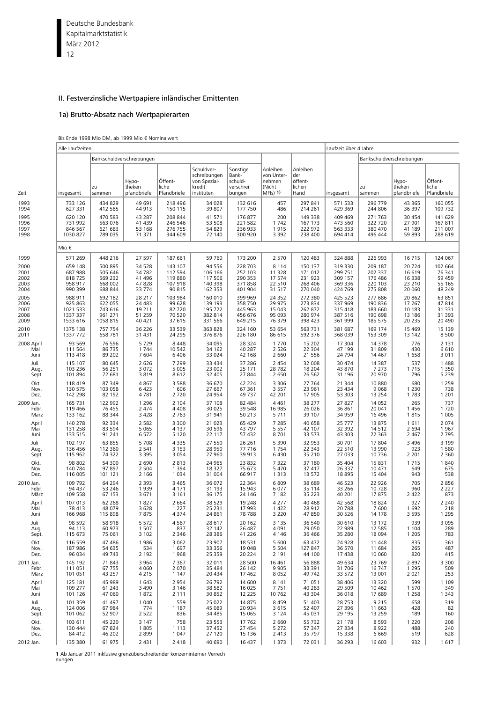<span id="page-33-0"></span>Deutsche Bundesbank 12 Kapitalmarktstatistik März 2012

#### II. Festverzinsliche Wertpapiere inländischer Emittenten

#### 1a) Brutto-Absatz nach Wertpapierarten

Bis Ende 1998 Mio DM, ab 1999 Mio € Nominalwert

|                      | Alle Laufzeiten                         |                                     |                                    |                                      |                                                                     |                                                      |                                                           |                                              | Laufzeit über 4 Jahre                 |                                      |                                 |                                 |
|----------------------|-----------------------------------------|-------------------------------------|------------------------------------|--------------------------------------|---------------------------------------------------------------------|------------------------------------------------------|-----------------------------------------------------------|----------------------------------------------|---------------------------------------|--------------------------------------|---------------------------------|---------------------------------|
|                      |                                         |                                     | Bankschuldverschreibungen          |                                      |                                                                     |                                                      |                                                           |                                              |                                       |                                      | Bankschuldverschreibungen       |                                 |
| Zeit                 | insgesamt                               | zu-<br>sammen                       | Hypo-<br>theken-<br>pfandbriefe    | Öffent-<br>liche<br>Pfandbriefe      | Schuldver-<br>schreibungen<br>von Spezial-<br>kredit-<br>instituten | Sonstige<br>Bank-<br>schuld-<br>verschrei-<br>bungen | Anleihen<br>von Unter-<br>nehmen<br>(Nicht-<br>$MF(s)$ 1) | Anleihen<br>der<br>öffent-<br>lichen<br>Hand | insgesamt                             | zu-<br>sammen                        | Hypo-<br>theken-<br>pfandbriefe | Öffent-<br>liche<br>Pfandbriefe |
| 1993                 | 733 126                                 | 434 829                             | 49 691                             | 218 496                              | 34 028                                                              | 132 616                                              | 457                                                       | 297 841                                      | 571 533                               | 296 779                              | 43 365                          | 160 055                         |
| 1994                 | 627 331                                 | 412 585                             | 44 913                             | 150 115                              | 39 807                                                              | 177 750                                              | 486                                                       | 214 261                                      | 429 369                               | 244 806                              | 36 397                          | 109 732                         |
| 1995                 | 620 120                                 | 470 583                             | 43 287                             | 208 844                              | 41 571                                                              | 176 877                                              | 200                                                       | 149 338                                      | 409 469                               | 271 763                              | 30 454                          | 141 629                         |
| 1996                 | 731 992                                 | 563 076                             | 41 439                             | 246 546                              | 53 508                                                              | 221 582                                              | 1742                                                      | 167 173                                      | 473 560                               | 322 720                              | 27 901                          | 167 811                         |
| 1997                 | 846 567                                 | 621 683                             | 53 168                             | 276 755                              | 54 829                                                              | 236 933                                              | 1915                                                      | 222 972                                      | 563 333                               | 380 470                              | 41 189                          | 211 007                         |
| 1998                 | 1030 827                                | 789 035                             | 71 371                             | 344 609                              | 72 140                                                              | 300 920                                              | 3 3 9 2                                                   | 238 400                                      | 694 414                               | 496 444                              | 59 893                          | 288 619                         |
|                      | Mio €                                   |                                     |                                    |                                      |                                                                     |                                                      |                                                           |                                              |                                       |                                      |                                 |                                 |
| 1999                 | 571 269                                 | 448 216                             | 27 597                             | 187 661                              | 59 760                                                              | 173 200                                              | 2 5 7 0                                                   | 120 483                                      | 324 888                               | 226 993                              | 16 715                          | 124 067                         |
| 2000                 | 659 148                                 | 500 895                             | 34 5 28                            | 143 107                              | 94 556                                                              | 228 703                                              | 8 1 1 4                                                   | 150 137                                      | 319 330                               | 209 187                              | 20724                           | 102 664                         |
| 2001                 | 687 988                                 | 505 646                             | 34 782                             | 112 594                              | 106 166                                                             | 252 103                                              | 11 328                                                    | 171 012                                      | 299 751                               | 202 337                              | 16 619                          | 76 341                          |
| 2002                 | 818725                                  | 569 232                             | 41 496                             | 119880                               | 117 506                                                             | 290 353                                              | 17574                                                     | 231 923                                      | 309 157                               | 176 486                              | 16 338                          | 59 459                          |
| 2003                 | 958 917                                 | 668 002                             | 47828                              | 107 918                              | 140 398                                                             | 371858                                               | 22 510                                                    | 268 406                                      | 369 336                               | 220 103                              | 23 210                          | 55 165                          |
| 2004                 | 990 399                                 | 688 844                             | 33 774                             | 90 815                               | 162 353                                                             | 401 904                                              | 31 517                                                    | 270 040                                      | 424 769                               | 275 808                              | 20 060                          | 48 249                          |
| 2005                 | 988 911                                 | 692 182                             | 28 217                             | 103 984                              | 160 010                                                             | 399 969                                              | 24 3 5 2                                                  | 272 380                                      | 425 523                               | 277 686                              | 20 862                          | 63 851                          |
| 2006                 | 925 863                                 | 622 055                             | 24 483                             | 99 628                               | 139 193                                                             | 358 750                                              | 29 975                                                    | 273 834                                      | 337 969                               | 190 836                              | 17 267                          | 47814                           |
| 2007                 | 1021 533                                | 743 616                             | 19 211                             | 82 720                               | 195 722                                                             | 445 963                                              | 15 043                                                    | 262 872                                      | 315 418                               | 183 660                              | 10 183                          | 31 331                          |
| 2008                 | 1337 337                                | 961 271                             | 51 259                             | 70 520                               | 382 814                                                             | 456 676                                              | 95 093                                                    | 280 974                                      | 387 516                               | 190 698                              | 13 18 6                         | 31 393                          |
| 2009                 | 1533 616                                | 1058 815                            | 40 421                             | 37 615                               | 331 566                                                             | 649 215                                              | 76 379                                                    | 398 423                                      | 361 999                               | 185 575                              | 20 235                          | 20 490                          |
| 2010                 | 1375 138                                | 757 754                             | 36 226                             | 33 539                               | 363 828                                                             | 324 160                                              | 53 654                                                    | 563 731                                      | 381 687                               | 169 174                              | 15 4 69                         | 15 139                          |
| 2011                 | 1337 772                                | 658 781                             | 31 431                             | 24 295                               | 376 876                                                             | 226 180                                              | 86 615                                                    | 592 376                                      | 368 039                               | 153 309                              | 13 142                          | 8500                            |
| 2008 April           | 93 569                                  | 76 596                              | 5729                               | 8 4 4 8                              | 34 095                                                              | 28 3 24                                              | 1770                                                      | 15 202                                       | 17 304                                | 14 378                               | 776                             | 2 1 3 1                         |
| Mai                  | 111 564                                 | 86 735                              | 1744                               | 10 542                               | 34 162                                                              | 40 287                                               | 2 5 2 6                                                   | 22 304                                       | 47 199                                | 31 809                               | 430                             | 6610                            |
| Juni                 | 113 418                                 | 89 20 2                             | 7 604                              | 6 4 0 6                              | 33 0 24                                                             | 42 168                                               | 2 6 6 0                                                   | 21 5 5 6                                     | 24 794                                | 14 4 67                              | 1658                            | 3 0 1 1                         |
| Juli                 | 115 107                                 | 80 645                              | 2 6 2 6                            | 7 2 9 9                              | 33 434                                                              | 37 286                                               | 2 4 5 4                                                   | 32 008                                       | 30 474                                | 14 3 8 7                             | 537                             | 1 4 8 8                         |
| Aug.                 | 103 236                                 | 56 251                              | 3 0 7 2                            | 5 0 0 5                              | 23 002                                                              | 25 171                                               | 28 7 82                                                   | 18 204                                       | 43 870                                | 7 2 7 3                              | 1715                            | 1 3 5 0                         |
| Sept.                | 101 894                                 | 72 681                              | 3819                               | 8612                                 | 32 405                                                              | 27 844                                               | 2 6 5 0                                                   | 26 5 62                                      | 31 196                                | 20 970                               | 796                             | 5 2 3 9                         |
| Okt.                 | 118 419                                 | 87 349                              | 4 8 6 7                            | 3 5 8 8                              | 36 670                                                              | 42 224                                               | 3 3 0 6                                                   | 27 764                                       | 21 344                                | 10880                                | 680                             | 1 2 5 9                         |
| Nov.                 | 130 575                                 | 103 058                             | 6 4 2 3                            | 1606                                 | 27 667                                                              | 67 361                                               | 3 5 5 7                                                   | 23 961                                       | 23 4 34                               | 9 0 6 8                              | 1 2 3 0                         | 738                             |
| Dez.                 | 142 298                                 | 82 192                              | 4781                               | 2720                                 | 24 954                                                              | 49 737                                               | 42 201                                                    | 17 905                                       | 53 303                                | 13 2 5 4                             | 1783                            | 1 2 0 1                         |
| 2009 Jan.            | 165 731                                 | 122 992                             | 1 2 9 6                            | 2 1 0 4                              | 37 108                                                              | 82 4 84                                              | 4 4 6 1                                                   | 38 277                                       | 27827                                 | 14 0 52                              | 265                             | 737                             |
| Febr.                | 119 466                                 | 76 455                              | 2 4 7 4                            | 4 4 0 8                              | 30 025                                                              | 39 548                                               | 16 985                                                    | 26 0 26                                      | 36 861                                | 20 041                               | 1 4 5 6                         | 1720                            |
| März                 | 133 162                                 | 88 344                              | 3 4 2 8                            | 2 7 6 3                              | 31 941                                                              | 50 213                                               | 5711                                                      | 39 107                                       | 34 959                                | 16 4 96                              | 1815                            | 1 0 0 5                         |
| April                | 140 278                                 | 92 334                              | 2 5 8 2                            | 3 3 0 0                              | 21 023                                                              | 65 429                                               | 7 2 8 5                                                   | 40 658                                       | 25 777                                | 13875                                | 1611                            | 2 0 7 4                         |
| Mai                  | 131 258                                 | 83 594                              | 5 0 6 5                            | 4 1 3 7                              | 30 596                                                              | 43 797                                               | 5 5 5 7                                                   | 42 107                                       | 32 392                                | 14512                                | 2 6 9 4                         | 1967                            |
| Juni                 | 133 515                                 | 91 241                              | 6 5 7 2                            | 5 1 2 0                              | 22 117                                                              | 57 432                                               | 8701                                                      | 33 573                                       | 43 303                                | 22 3 63                              | 2 4 6 7                         | 2 7 9 5                         |
| Juli                 | 102 197                                 | 63 855                              | 5 7 0 8                            | 4 3 3 5                              | 27 550                                                              | 26 261                                               | 5 3 9 0                                                   | 32 953                                       | 30 701                                | 17804                                | 3 4 9 6                         | 3 1 9 9                         |
| Aug.                 | 136 456                                 | 112 360                             | 2 5 4 1                            | 3 1 5 3                              | 28 950                                                              | 77 716                                               | 1754                                                      | 22 343                                       | 22 510                                | 13 990                               | 923                             | 1 5 8 0                         |
| Sept.                | 115 962                                 | 74 322                              | 3 3 9 5                            | 3 0 5 4                              | 27 960                                                              | 39 913                                               | 6430                                                      | 35 210                                       | 27 033                                | 10736                                | 2 2 0 1                         | 2 3 6 0                         |
| Okt.                 | 98 802                                  | 54 300                              | 2 6 9 0                            | 2813                                 | 24 965                                                              | 23 832                                               | 7 3 2 2                                                   | 37 180                                       | 35 404                                | 15 831                               | 1 7 1 5                         | 1840                            |
| Nov.                 | 140 784                                 | 97 897                              | 2 5 0 4                            | 1 3 9 4                              | 18 327                                                              | 75 673                                               | 5 4 7 0                                                   | 37 417                                       | 26 337                                | 10 471                               | 649                             | 675                             |
| Dez.                 | 116 005                                 | 101 121                             | 2 1 6 6                            | 1 0 3 4                              | 31 004                                                              | 66 917                                               | 1 3 1 3                                                   | 13 572                                       | 18895                                 | 15 404                               | 943                             | 538                             |
| 2010 Jan.            | 109 792                                 | 64 294                              | 2 3 9 3                            | 3 4 6 5                              | 36 072                                                              | 22 3 64                                              | 6809                                                      | 38 689                                       | 46 523                                | 22 9 26                              | 705                             | 2856                            |
| Febr.                | 94 437                                  | 53 246                              | 1939                               | 4 1 7 1                              | 31 193                                                              | 15 943                                               | 6077                                                      | 35 114                                       | 33 266                                | 10728                                | 960                             | 2 2 2 7                         |
| März                 | 109 558                                 | 67 153                              | 3 6 7 1                            | 3 1 6 1                              | 36 175                                                              | 24 14 6                                              | 7 1 8 2                                                   | 35 2 23                                      | 40 201                                | 17875                                | 2 4 2 2                         | 873                             |
| April                | 107 013                                 | 62 2 68                             | 1827                               | 2 6 6 4                              | 38 5 29                                                             | 19 248                                               | 4 2 7 7                                                   | 40 468                                       | 42 5 68                               | 18824                                | 927                             | 2 2 4 0                         |
| Mai                  | 78 413                                  | 48 079                              | 3 6 2 8                            | 1 2 2 7                              | 25 231                                                              | 17 993                                               | 1 4 2 2                                                   | 28 912                                       | 20 788                                | 7600                                 | 1692                            | 218                             |
| Juni                 | 166 968                                 | 115 898                             | 7875                               | 4 3 7 4                              | 24 861                                                              | 78788                                                | 3 2 2 0                                                   | 47850                                        | 30 5 26                               | 14 178                               | 3 5 9 5                         | 1 2 9 5                         |
| Juli                 | 98 5 92                                 | 58 918                              | 5 5 7 2                            | 4567                                 | 28 617                                                              | 20 162                                               | 3 1 3 5                                                   | 36 540                                       | 30 610                                | 13 172                               | 939                             | 3 0 9 5                         |
| Aug.                 | 94 113                                  | 60 973                              | 1 5 0 7                            | 837                                  | 32 142                                                              | 26 487                                               | 4 0 9 1                                                   | 29 050                                       | 22 989                                | 12 5 8 5                             | 1 1 0 4                         | 289                             |
| Sept.                | 115 673                                 | 75 061                              | 3 1 0 2                            | 2 3 4 6                              | 28 3 86                                                             | 41 2 2 6                                             | 4 1 4 6                                                   | 36 466                                       | 35 280                                | 18 0 94                              | 1 2 0 5                         | 783                             |
| Okt.                 | 116 559                                 | 47 486                              | 1986                               | 3 0 6 2                              | 23 907                                                              | 18531                                                | 5 600                                                     | 63 472                                       | 24 9 28                               | 11 448                               | 835                             | 361                             |
| Nov.                 | 187 986                                 | 54 635                              | 534                                | 1697                                 | 33 356                                                              | 19 048                                               | 5 5 0 4                                                   | 127 847                                      | 36 570                                | 11 684                               | 265                             | 487                             |
| Dez.                 | 96 034                                  | 49 743                              | 2 1 9 2                            | 1968                                 | 25 359                                                              | 20 224                                               | 2 1 9 1                                                   | 44 100                                       | 17438                                 | 10 060                               | 820                             | 415                             |
| 2011 Jan.            | 145 192                                 | 71 843                              | 3 9 6 4                            | 7 3 6 7                              | 32 011                                                              | 28 500                                               | 16 4 61                                                   | 56 888                                       | 49 634                                | 23 769                               | 2897                            | 3 3 0 0                         |
| Febr.                | 111 051                                 | 67 755                              | 4 0 6 0                            | 2 0 7 0                              | 35 484                                                              | 26 142                                               | 9 9 0 5                                                   | 33 391                                       | 31706                                 | 16747                                | 1 2 9 5                         | 509                             |
| März                 | 101 051                                 | 43 257                              | 4 2 1 5                            | 1 1 4 7                              | 20 4 34                                                             | 17 462                                               | 8 0 5 2                                                   | 49 7 42                                      | 33 572                                | 13 001                               | 2 0 2 1                         | 253                             |
| April                | 125 181                                 | 45 989                              | 1 6 4 3                            | 2 9 5 4                              | 26 792                                                              | 14 600                                               | 8 1 4 1                                                   | 71 051                                       | 38 40 6                               | 13 3 20                              | 599                             | 1 1 0 9                         |
| Mai                  | 109 277                                 | 61 243                              | 3 4 9 0                            | 3 1 4 6                              | 38 582                                                              | 16 0 25                                              | 7751                                                      | 40 283                                       | 29 509                                | 10 4 62                              | 1 570                           | 349                             |
| Juni                 | 101 126                                 | 47 060                              | 1872                               | 2 1 1 1                              | 30 852                                                              | 12 2 2 5                                             | 10762                                                     | 43 304                                       | 36 018                                | 17 689                               | 1 2 5 8                         | 1 3 4 3                         |
| Juli                 | 101 359                                 | 41 497                              | 1 0 4 0                            | 559                                  | 25 022                                                              | 14 875                                               | 8 4 5 9                                                   | 51 403                                       | 28 7 53                               | 9 2 1 5                              | 658                             | 319                             |
| Aug.                 | 124 006                                 | 67 984                              | 774                                | 1 1 8 7                              | 45 089                                                              | 20 9 34                                              | 3615                                                      | 52 407                                       | 27 396                                | 11 663                               | 428                             | 82                              |
| Sept.                | 101 062                                 | 52 907                              | 2 5 2 2                            | 836                                  | 34 485                                                              | 15 065                                               | 3 1 2 4                                                   | 45 031                                       | 29 195                                | 13 25 9                              | 189                             | 160                             |
| Okt.<br>Nov.<br>Dez. | 103 611<br>130 444<br>84 412<br>135 380 | 45 220<br>67824<br>46 202<br>61 975 | 3 1 4 7<br>1805<br>2899<br>2 4 3 1 | 758<br>1 1 1 3<br>1 0 4 7<br>2 4 1 8 | 23 553<br>37 452<br>27 120<br>40 690                                | 17762<br>27 454<br>15 136<br>16 437                  | 2 6 6 0<br>5 2 7 2<br>2 4 1 3<br>1 3 7 3                  | 55 7 32<br>57 347<br>35 797<br>72 031        | 21 178<br>27 334<br>15 3 38<br>36 293 | 8 5 9 3<br>8922<br>6 6 6 9<br>16 603 | 1 2 2 0<br>488<br>519<br>932    | 208<br>240<br>628<br>1617       |
| 2012 Jan.            |                                         |                                     |                                    |                                      |                                                                     |                                                      |                                                           |                                              |                                       |                                      |                                 |                                 |

**1** Ab Januar 2011 inklusive grenzüberschreitender konzerninterner Verrech-nungen.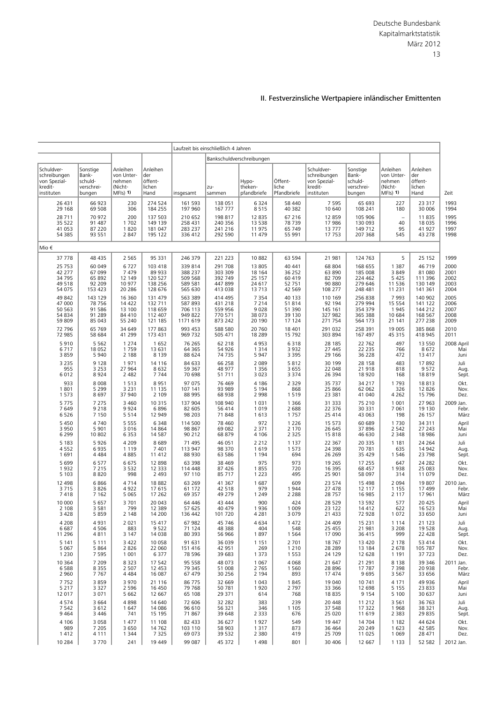#### II. Festverzinsliche Wertpapiere inländischer Emittenten

<span id="page-34-0"></span>

|                                                                     |                                                      |                                                           |                                              |           | Laufzeit bis einschließlich 4 Jahren |                                 |                                 |                                                                     |                                                      |                                                           |                                              |            |
|---------------------------------------------------------------------|------------------------------------------------------|-----------------------------------------------------------|----------------------------------------------|-----------|--------------------------------------|---------------------------------|---------------------------------|---------------------------------------------------------------------|------------------------------------------------------|-----------------------------------------------------------|----------------------------------------------|------------|
|                                                                     |                                                      |                                                           |                                              |           |                                      | Bankschuldverschreibungen       |                                 |                                                                     |                                                      |                                                           |                                              |            |
| Schuldver-<br>schreibungen<br>von Spezial-<br>kredit-<br>instituten | Sonstige<br>Bank-<br>schuld-<br>verschrei-<br>bungen | Anleihen<br>von Unter-<br>nehmen<br>(Nicht-<br>$MF(s)$ 1) | Anleihen<br>der<br>öffent-<br>lichen<br>Hand | insgesamt | zu-<br>sammen                        | Hypo-<br>theken-<br>pfandbriefe | Öffent-<br>liche<br>Pfandbriefe | Schuldver-<br>schreibungen<br>von Spezial-<br>kredit-<br>instituten | Sonstige<br>Bank-<br>schuld-<br>verschrei-<br>bungen | Anleihen<br>von Unter-<br>nehmen<br>(Nicht-<br>$MF(s)$ 1) | Anleihen<br>der<br>öffent-<br>lichen<br>Hand | Zeit       |
| 26 431                                                              | 66 923                                               | 230                                                       | 274 524                                      | 161 593   | 138 051                              | 6 3 2 4                         | 58 440                          | 7 5 9 5                                                             | 65 693                                               | 227                                                       | 23 3 1 7                                     | 1993       |
| 29 168                                                              | 69 508                                               | 306                                                       | 184 255                                      | 197 960   | 167 777                              | 8515                            | 40 382                          | 10 640                                                              | 108 241                                              | 180                                                       | 30 006                                       | 1994       |
| 28 711                                                              | 70 972                                               | 200                                                       | 137 503                                      | 210 652   | 198 817                              | 12 8 35                         | 67 216                          | 12 859                                                              | 105 906                                              | $\overline{\phantom{a}}$                                  | 11835                                        | 1995       |
| 35 522                                                              | 91 487                                               | 1702                                                      | 149 139                                      | 258 431   | 240 356                              | 13 5 38                         | 78 739                          | 17 986                                                              | 130 093                                              | 40                                                        | 18 0 35                                      | 1996       |
| 41 053                                                              | 87 220                                               | 1820                                                      | 181 047                                      | 283 237   | 241 216                              | 11 975                          | 65 749                          | 13 777                                                              | 149 712                                              | 95                                                        | 41 927                                       | 1997       |
| 54 385                                                              | 93 551                                               | 2 8 4 7                                                   | 195 122                                      | 336 412   | 292 590                              | 11 479                          | 55 991                          | 17 753                                                              | 207 368                                              | 545                                                       | 43 278                                       | 1998       |
| Mio €                                                               |                                                      |                                                           |                                              |           |                                      |                                 |                                 |                                                                     |                                                      |                                                           |                                              |            |
| 37 778                                                              | 48 435                                               | 2 5 6 5                                                   | 95 331                                       | 246 379   | 221 223                              | 10 882                          | 63 594                          | 21 981                                                              | 124 763                                              | 5                                                         | 25 152                                       | 1999       |
| 25 753                                                              | 60 049                                               | 6727                                                      | 103 418                                      | 339 814   | 291 708                              | 13 805                          | 40 441                          | 68 804                                                              | 168 655                                              | 1 3 8 7                                                   | 46 719                                       | 2000       |
| 42 277                                                              | 67 099                                               | 7479                                                      | 89 933                                       | 388 237   | 303 309                              | 18 164                          | 36 252                          | 63 890                                                              | 185 008                                              | 3849                                                      | 81 080                                       | 2001       |
| 34 795                                                              | 65 892                                               | 12 149                                                    | 120 527                                      | 509 568   | 392 749                              | 25 157                          | 60 419                          | 82 709                                                              | 224 462                                              | 5 4 2 5                                                   | 111 396                                      | 2002       |
| 49 518                                                              | 92 209                                               | 10 977                                                    | 138 256                                      | 589 581   | 447899                               | 24 617                          | 52 751                          | 90 880                                                              | 279 646                                              | 11 536                                                    | 130 149                                      | 2003       |
| 54 075                                                              | 153 423                                              | 20 28 6                                                   | 128 676                                      | 565 630   | 413 038                              | 13713                           | 42 569                          | 108 277                                                             | 248 481                                              | 11 2 31                                                   | 141 361                                      | 2004       |
| 49 842                                                              | 143 129                                              | 16 360                                                    | 131 479                                      | 563 389   | 414 495                              | 7 3 5 4                         | 40 133                          | 110 169                                                             | 256 838                                              | 7993                                                      | 140 902                                      | 2005       |
| 47 000                                                              | 78 756                                               | 14 4 22                                                   | 132 711                                      | 587 893   | 431 218                              | 7 2 1 4                         | 51814                           | 92 194                                                              | 279 994                                              | 15 5 5 4                                                  | 141 122                                      | 2006       |
| 50 563                                                              | 91 586                                               | 13 100                                                    | 118 659                                      | 706 113   | 559 956                              | 9 0 2 8                         | 51 390                          | 145 161                                                             | 354 379                                              | 1945                                                      | 144 212                                      | 2007       |
| 54 834                                                              | 91 289                                               | 84 410                                                    | 112 407                                      | 949 822   | 770 571                              | 38 073                          | 39 130                          | 327 982                                                             | 365 388                                              | 10 684                                                    | 168 567                                      | 2008       |
| 59 809                                                              | 85 043                                               | 55 240                                                    | 121 185                                      | 1171 619  | 873 242                              | 20 190                          | 17 124                          | 271 754                                                             | 564 173                                              | 21 141                                                    | 277 238                                      | 2009       |
| 72 796                                                              | 65 769                                               | 34 649                                                    | 177 863                                      | 993 453   | 588 580                              | 20 760                          | 18 401                          | 291 032                                                             | 258 391                                              | 19 005                                                    | 385 868                                      | 2010       |
| 72 985                                                              | 58 684                                               | 41 299                                                    | 173 431                                      | 969 732   | 505 471                              | 18 2 8 9                        | 15 792                          | 303 894                                                             | 167 497                                              | 45 315                                                    | 418 945                                      | 2011       |
| 5910                                                                | 5 5 6 2                                              | 1 2 7 4                                                   | 1652                                         | 76 265    | 62 218                               | 4 9 5 3                         | 6318                            | 28 185                                                              | 22 762                                               | 497                                                       | 13 5 5 0                                     | 2008 April |
| 6717                                                                | 18 0 52                                              | 1759                                                      | 13 631                                       | 64 3 65   | 54 926                               | 1 3 1 4                         | 3 9 3 2                         | 27 445                                                              | 22 2 35                                              | 766                                                       | 8672                                         | Mai        |
| 3859                                                                | 5 9 4 0                                              | 2 1 8 8                                                   | 8 1 3 9                                      | 88 624    | 74 735                               | 5 9 4 7                         | 3 3 9 5                         | 29 166                                                              | 36 228                                               | 472                                                       | 13 417                                       | Juni       |
| 3 2 3 5                                                             | 9 1 2 8                                              | 1971                                                      | 14 1 16                                      | 84 633    | 66 258                               | 2 0 8 9                         | 5812                            | 30 199                                                              | 28 158                                               | 483                                                       | 17892                                        | Juli       |
| 955                                                                 | 3 2 5 3                                              | 27 964                                                    | 8632                                         | 59 367    | 48 977                               | 1 3 5 6                         | 3 6 5 5                         | 22 048                                                              | 21918                                                | 818                                                       | 9572                                         | Aug.       |
| 6 0 1 2                                                             | 8924                                                 | 2 4 8 2                                                   | 7 7 4 4                                      | 70 698    | 51 711                               | 3 0 2 3                         | 3 3 7 4                         | 26 394                                                              | 18 9 20                                              | 168                                                       | 18819                                        | Sept       |
| 933                                                                 | 8 0 0 8                                              | 1513                                                      | 8951                                         | 97 075    | 76 469                               | 4 1 8 6                         | 2 3 2 9                         | 35 737                                                              | 34 217                                               | 1793                                                      | 18813                                        | Okt.       |
| 1801                                                                | 5 2 9 9                                              | 3 2 3 1                                                   | 11 135                                       | 107 141   | 93 989                               | 5 1 9 4                         | 868                             | 25 866                                                              | 62 062                                               | 326                                                       | 12 8 26                                      | Nov.       |
| 1 5 7 3                                                             | 8697                                                 | 37 940                                                    | 2 1 0 9                                      | 88 995    | 68 938                               | 2 9 9 8                         | 1519                            | 23 381                                                              | 41 040                                               | 4 2 6 2                                                   | 15 7 96                                      | Dez.       |
| 5 7 7 5                                                             | 7 2 7 5                                              | 3 4 6 0                                                   | 10 3 15                                      | 137 904   | 108 940                              | 1 0 3 1                         | 1 3 6 6                         | 31 333                                                              | 75 210                                               | 1 0 0 1                                                   | 27 963                                       | 2009 Jan.  |
| 7 6 4 9                                                             | 9 2 1 8                                              | 9924                                                      | 6896                                         | 82 605    | 56 414                               | 1 0 1 9                         | 2 6 8 8                         | 22 376                                                              | 30 331                                               | 7 0 61                                                    | 19 130                                       | Febr       |
| 6 5 2 6                                                             | 7 1 5 0                                              | 5514                                                      | 12 949                                       | 98 203    | 71848                                | 1613                            | 1757                            | 25 414                                                              | 43 063                                               | 198                                                       | 26 157                                       | März       |
| 5 4 5 0                                                             | 4740                                                 | 5 5 5 5                                                   | 6 3 4 8                                      | 114 500   | 78 460                               | 972                             | 1 2 2 6                         | 15 573                                                              | 60 689                                               | 1730                                                      | 34 311                                       | April      |
| 3 9 5 0                                                             | 5 9 0 1                                              | 3016                                                      | 14 8 64                                      | 98 867    | 69 082                               | 2 3 7 1                         | 2 1 7 0                         | 26 645                                                              | 37 896                                               | 2 5 4 2                                                   | 27 243                                       | Mai        |
| 6 2 9 9                                                             | 10 802                                               | 6 3 5 3                                                   | 14 5 8 7                                     | 90 212    | 68 879                               | 4 1 0 6                         | 2 3 2 5                         | 15 818                                                              | 46 630                                               | 2 3 4 8                                                   | 18 9 86                                      | Juni       |
| 5 1 8 3                                                             | 5926                                                 | 4 2 0 9                                                   | 8689                                         | 71 495    | 46 051                               | 2 2 1 2                         | 1 1 3 7                         | 22 367                                                              | 20 335                                               | 1 1 8 1                                                   | 24 2 64                                      | Juli       |
| 4 5 5 2                                                             | 6935                                                 | 1 1 1 9                                                   | 7401                                         | 113 947   | 98 370                               | 1619                            | 1 5 7 3                         | 24 398                                                              | 70 781                                               | 635                                                       | 14 942                                       | Aug.       |
| 1691                                                                | 4 4 8 4                                              | 4885                                                      | 11 412                                       | 88 930    | 63 586                               | 1 1 9 4                         | 694                             | 26 269                                                              | 35 429                                               | 1546                                                      | 23 7 98                                      | Sept       |
| 5 6 9 9                                                             | 6577                                                 | 6675                                                      | 12 8 98                                      | 63 398    | 38 4 69                              | 975                             | 973                             | 19 2 65                                                             | 17 255                                               | 647                                                       | 24 2 8 2                                     | Okt.       |
| 1932                                                                | 7 2 1 5                                              | 3 5 3 2                                                   | 12 3 3 3                                     | 114 448   | 87 426                               | 1855                            | 720                             | 16 395                                                              | 68 457                                               | 1938                                                      | 25 083                                       | Nov.       |
| 5 1 0 3                                                             | 8820                                                 | 998                                                       | 2 4 9 3                                      | 97 110    | 85 717                               | 1 2 2 3                         | 495                             | 25 901                                                              | 58 097                                               | 314                                                       | 11 079                                       | Dez.       |
| 12 4 98                                                             | 6866                                                 | 4714                                                      | 18882                                        | 63 269    | 41 367                               | 1687                            | 609                             | 23 574                                                              | 15 4 98                                              | 2 0 9 4                                                   | 19807                                        | 2010 Jan.  |
| 3 7 1 5                                                             | 3826                                                 | 4922                                                      | 17615                                        | 61 172    | 42 518                               | 979                             | 1944                            | 27 478                                                              | 12 117                                               | 1 1 5 5                                                   | 17 499                                       | Febr       |
| 7418                                                                | 7 1 6 2                                              | 5 0 6 5                                                   | 17 262                                       | 69 357    | 49 279                               | 1 2 4 9                         | 2 2 8 8                         | 28 757                                                              | 16 985                                               | 2 1 1 7                                                   | 17961                                        | März       |
| 10 000                                                              | 5 6 5 7                                              | 3701                                                      | 20 043                                       | 64 44 6   | 43 444                               | 900                             | 424                             | 28 5 29                                                             | 13 5 92                                              | 577                                                       | 20 4 25                                      | April      |
| 2 1 0 8                                                             | 3 5 8 1                                              | 799                                                       | 12 3 8 9                                     | 57 625    | 40 479                               | 1936                            | 1 0 0 9                         | 23 122                                                              | 14 4 12                                              | 622                                                       | 16 5 23                                      | Mai        |
| 3 4 2 8                                                             | 5859                                                 | 2 1 4 8                                                   | 14 200                                       | 136 442   | 101 720                              | 4 2 8 1                         | 3 0 7 9                         | 21 433                                                              | 72 928                                               | 1072                                                      | 33 650                                       | Juni       |
| 4 2 0 8                                                             | 4931                                                 | 2 0 2 1                                                   | 15 417                                       | 67 982    | 45 746                               | 4 6 3 4                         | 1 472                           | 24 409                                                              | 15 2 31                                              | 1 1 1 4                                                   | 21 1 23                                      | Juli       |
| 6 6 8 7                                                             | 4506                                                 | 883                                                       | 9522                                         | 71 124    | 48 388                               | 404                             | 548                             | 25 4 55                                                             | 21 981                                               | 3 2 0 8                                                   | 19528                                        | Aug.       |
| 11 296                                                              | 4811                                                 | 3 1 4 7                                                   | 14 0 38                                      | 80 393    | 56 966                               | 1897                            | 1 5 6 4                         | 17 090                                                              | 36 415                                               | 999                                                       | 22 4 28                                      | Sept       |
| 5 1 4 1                                                             | 5 1 1 1                                              | 3 4 2 2                                                   | 10 058                                       | 91 631    | 36 039                               | 1 1 5 1                         | 2 7 0 1                         | 18767                                                               | 13 4 20                                              | 2 1 7 8                                                   | 53 414                                       | Okt.       |
| 5 0 6 7                                                             | 5 8 6 4                                              | 2826                                                      | 22 060                                       | 151 416   | 42 951                               | 269                             | 1 2 1 0                         | 28 289                                                              | 13 184                                               | 2 6 7 8                                                   | 105 787                                      | Nov.       |
| 1 2 3 0                                                             | 7 5 9 5                                              | 1 0 0 1                                                   | 6 3 7 7                                      | 78 596    | 39 683                               | 1 3 7 3                         | 1 5 5 3                         | 24 129                                                              | 12 628                                               | 1 1 9 1                                                   | 37 723                                       | Dez.       |
| 10 3 64                                                             | 7 2 0 9                                              | 8 3 2 3                                                   | 17 542                                       | 95 558    | 48 073                               | 1 0 6 7                         | 4 0 6 8                         | 21 647                                                              | 21 291                                               | 8 1 3 8                                                   | 39 346                                       | 2011 Jan.  |
| 6 5 8 8                                                             | 8 3 5 5                                              | 2 5 0 7                                                   | 12 4 53                                      | 79 345    | 51 008                               | 2 7 6 5                         | 1 5 6 0                         | 28 8 96                                                             | 17 787                                               | 7 3 9 8                                                   | 20 938                                       | Febr       |
| 2 9 6 0                                                             | 7767                                                 | 4 4 8 4                                                   | 16 087                                       | 67 479    | 30 25 6                              | 2 1 9 4                         | 893                             | 17 474                                                              | 9695                                                 | 3 5 6 7                                                   | 33 656                                       | März       |
| 7 7 5 2                                                             | 3859                                                 | 3970                                                      | 21 1 16                                      | 86 775    | 32 669                               | 1 0 4 3                         | 1845                            | 19 040                                                              | 10741                                                | 4 1 7 1                                                   | 49 936                                       | April      |
| 5 2 1 7                                                             | 3 3 2 7                                              | 2 5 9 6                                                   | 16 450                                       | 79 768    | 50 781                               | 1920                            | 2 7 9 7                         | 33 366                                                              | 12 698                                               | 5 1 5 5                                                   | 23 833                                       | Mai        |
| 12 017                                                              | 3 0 7 1                                              | 5 6 6 2                                                   | 12 667                                       | 65 108    | 29 371                               | 614                             | 768                             | 18835                                                               | 9 1 5 4                                              | 5 1 0 0                                                   | 30 637                                       | Juni       |
| 4574                                                                | 3 6 6 4                                              | 4898                                                      | 14 640                                       | 72 606    | 32 282                               | 383                             | 239                             | 20 448                                                              | 11 212                                               | 3 5 6 1                                                   | 36 763                                       | Juli       |
| 7 5 4 2                                                             | 3612                                                 | 1647                                                      | 14 0 86                                      | 96 610    | 56 321                               | 346                             | 1 1 0 5                         | 37 548                                                              | 17 322                                               | 1968                                                      | 38 321                                       | Aug.       |
| 9 4 6 4                                                             | 3 4 4 6                                              | 741                                                       | 15 195                                       | 71867     | 39 648                               | 2 3 3 3                         | 676                             | 25 0 20                                                             | 11 619                                               | 2 3 8 3                                                   | 29 835                                       | Sept       |
| 4 1 0 6                                                             | 3 0 5 8                                              | 1 477                                                     | 11 108                                       | 82 433    | 36 627                               | 1927                            | 549                             | 19 447                                                              | 14 704                                               | 1 1 8 2                                                   | 44 624                                       | Okt.       |
| 989                                                                 | 7 2 0 5                                              | 3 6 5 0                                                   | 14 7 62                                      | 103 110   | 58 903                               | 1 3 1 7                         | 873                             | 36 464                                                              | 20 249                                               | 1623                                                      | 42 5 8 5                                     | Nov.       |
| 1412                                                                | 4 1 1 1                                              | 1 3 4 4                                                   | 7 3 2 5                                      | 69 073    | 39 532                               | 2 3 8 0                         | 419                             | 25 709                                                              | 11 0 25                                              | 1 0 6 9                                                   | 28 471                                       | Dez.       |
| 10 284                                                              | 3770                                                 | 241                                                       | 19 4 49                                      | 99 087    | 45 372                               | 1 4 9 8                         | 801                             | 30 40 6                                                             | 12 667                                               | 1 1 3 3                                                   | 52 582                                       | 2012 Jan.  |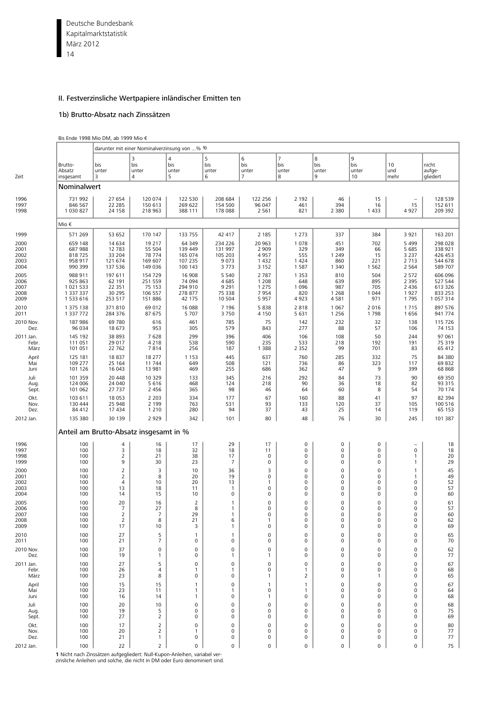<span id="page-35-0"></span>Deutsche Bundesbank 14 Kapitalmarktstatistik März 2012

#### II. Festverzinsliche Wertpapiere inländischer Emitten ten

#### 1b) Brutto-Absatz nach Zinssätzen

Bis Ende 1998 Mio DM, ab 1999 Mio €

|                                      |                                        | darunter mit einer Nominalverzinsung von % 1)                                  |                               |                                      |                               |                                  |                                     |                        |                                           |                                 |                               |
|--------------------------------------|----------------------------------------|--------------------------------------------------------------------------------|-------------------------------|--------------------------------------|-------------------------------|----------------------------------|-------------------------------------|------------------------|-------------------------------------------|---------------------------------|-------------------------------|
| Zeit                                 | Brutto-<br>Absatz<br>insgesamt         | bis<br>unter<br>3                                                              | 3<br>bis<br>unter<br>4        | $\overline{4}$<br>bis<br>unter<br>5  | 5<br>bis<br>unter<br>6        | 6<br>bis<br>unter<br>7           | $\overline{7}$<br>bis<br>unter<br>8 | 8<br>bis<br>unter<br>9 | 9<br>bis<br>unter<br>10                   | 10<br>und<br>mehr               | nicht<br>aufge-<br>gliedert   |
|                                      | Nominalwert                            |                                                                                |                               |                                      |                               |                                  |                                     |                        |                                           |                                 |                               |
| 1996<br>1997<br>1998                 | 731 992<br>846 567<br>1 030 827        | 27 654<br>22 285<br>24 158                                                     | 120 074<br>150 613<br>218 963 | 122 530<br>269 622<br>388 111        | 208 684<br>154 500<br>178 088 | 122 256<br>96 047<br>2 5 6 1     | 2 1 9 2<br>461<br>821               | 46<br>394<br>2 3 8 0   | 15<br>16<br>1433                          | 15<br>4927                      | 128 539<br>152 611<br>209 392 |
|                                      | Mio €                                  |                                                                                |                               |                                      |                               |                                  |                                     |                        |                                           |                                 |                               |
| 1999                                 | 571 269                                | 53 652                                                                         | 170 147                       | 133 755                              | 42 417                        | 2 1 8 5                          | 1 2 7 3                             | 337                    | 384                                       | 3921                            | 163 201                       |
| 2000                                 | 659 148                                | 14 634                                                                         | 19 217                        | 64 349                               | 234 226                       | 20 963                           | 1078                                | 451                    | 702                                       | 5 4 9 9                         | 298 028                       |
| 2001                                 | 687 988                                | 12 783                                                                         | 55 504                        | 139 449                              | 131 997                       | 2 9 0 9                          | 329                                 | 349                    | 66                                        | 5 6 8 5                         | 338 921                       |
| 2002                                 | 818725                                 | 33 204                                                                         | 78 774                        | 165 074                              | 105 203                       | 4 9 5 7                          | 555                                 | 1 2 4 9                | 15                                        | 3 2 3 7                         | 426 453                       |
| 2003                                 | 958 917                                | 121 674                                                                        | 169 607                       | 107 235                              | 9 0 7 3                       | 1 4 3 2                          | 1424                                | 860                    | 221                                       | 2 7 1 3                         | 544 678                       |
| 2004                                 | 990 399                                | 137 536                                                                        | 149 036                       | 100 143                              | 3773                          | 3 1 5 2                          | 1587                                | 1 3 4 0                | 1 5 6 2                                   | 2 5 6 4                         | 589 707                       |
| 2005                                 | 988 911                                | 197 611                                                                        | 154 729                       | 16 908                               | 5 5 4 0                       | 2 7 8 7                          | 1 3 5 3                             | 810                    | 504                                       | 2 5 7 2                         | 606 096                       |
| 2006                                 | 925 863                                | 62 191                                                                         | 251 559                       | 74 094                               | 4685                          | 1 2 0 8                          | 648                                 | 639                    | 895                                       | 2 3 9 5                         | 527 544                       |
| 2007                                 | 1 021 533                              | 22 351                                                                         | 75 153                        | 294 910                              | 9 2 9 1                       | 1 2 7 5                          | 1 0 9 6                             | 987                    | 705                                       | 2 4 3 6                         | 613 326                       |
| 2008                                 | 1 337 337                              | 30 295                                                                         | 106 557                       | 278 877                              | 75 338                        | 7954                             | 820                                 | 1 2 6 8                | 1 0 4 4                                   | 1927                            | 833 253                       |
| 2009                                 | 1 533 616                              | 253 517                                                                        | 151886                        | 42 175                               | 10 504                        | 5 9 5 7                          | 4923                                | 4581                   | 971                                       | 1795                            | 1 057 314                     |
| 2010                                 | 1 375 138                              | 371810                                                                         | 69 012                        | 16 088                               | 7 1 9 6                       | 5838                             | 2818                                | 1 0 6 7                | 2 0 1 6                                   | 1715                            | 897 576                       |
| 2011                                 | 1 337 772                              | 284 376                                                                        | 87 675                        | 5 7 0 7                              | 3750                          | 4 1 5 0                          | 5 6 3 1                             | 1 2 5 6                | 1798                                      | 1656                            | 941 774                       |
| 2010 Nov.                            | 187 986                                | 69 780                                                                         | 616                           | 461                                  | 785                           | 75                               | 142                                 | 232                    | 32                                        | 138                             | 115 726                       |
| Dez.                                 | 96 034                                 | 18 673                                                                         | 953                           | 305                                  | 579                           | 843                              | 277                                 | 88                     | 57                                        | 106                             | 74 153                        |
| 2011 Jan.                            | 145 192                                | 38 893                                                                         | 7628                          | 299                                  | 396                           | 406                              | 106                                 | 108                    | 50                                        | 244                             | 97 061                        |
| Febr.                                | 111 051                                | 29 017                                                                         | 4 2 1 8                       | 538                                  | 590                           | 235                              | 533                                 | 218                    | 192                                       | 191                             | 75 319                        |
| März                                 | 101 051                                | 22 762                                                                         | 7814                          | 256                                  | 187                           | 1 3 8 8                          | 2 3 5 2                             | 99                     | 701                                       | 83                              | 65 412                        |
| April                                | 125 181                                | 18837                                                                          | 18 277                        | 1 1 5 3                              | 445                           | 637                              | 760                                 | 285                    | 332                                       | 75                              | 84 380                        |
| Mai                                  | 109 277                                | 25 164                                                                         | 11 744                        | 649                                  | 508                           | 121                              | 736                                 | 86                     | 323                                       | 117                             | 69832                         |
| Juni                                 | 101 126                                | 16 043                                                                         | 13 981                        | 469                                  | 255                           | 686                              | 362                                 | 47                     | 9                                         | 399                             | 68 868                        |
| Juli                                 | 101 359                                | 20 448                                                                         | 10 329                        | 133                                  | 345                           | 216                              | 292                                 | 84                     | 73                                        | 90                              | 69 350                        |
| Aug.                                 | 124 006                                | 24 040                                                                         | 5 6 1 6                       | 468                                  | 124                           | 218                              | 90                                  | 36                     | 18                                        | 82                              | 93 315                        |
| Sept.                                | 101 062                                | 27 737                                                                         | 2 4 5 6                       | 365                                  | 98                            | 46                               | 64                                  | 60                     | 8                                         | 54                              | 70 174                        |
| Okt.                                 | 103 611                                | 18 0 53                                                                        | 2 2 0 3                       | 334                                  | 177                           | 67                               | 160                                 | 88                     | 41                                        | 97                              | 82 394                        |
| Nov.                                 | 130 444                                | 25 948                                                                         | 2 1 9 9                       | 763                                  | 531                           | 93                               | 133                                 | 120                    | 37                                        | 105                             | 100 516                       |
| Dez.                                 | 84 412                                 | 17 434                                                                         | 1 2 1 0                       | 280                                  | 94                            | 37                               | 43                                  | 25                     | 14                                        | 119                             | 65 153                        |
| 2012 Jan.                            | 135 380                                | 30 139                                                                         | 2929                          | 342                                  | 101                           | 80                               | 48                                  | 76                     | 30                                        | 245                             | 101 387                       |
|                                      | Anteil am Brutto-Absatz insgesamt in % |                                                                                |                               |                                      |                               |                                  |                                     |                        |                                           |                                 |                               |
| 1996                                 | 100                                    | 4                                                                              | 16                            | 17                                   | 29                            | 17                               | 0                                   | 0                      | 0                                         | $\qquad \qquad -$               | 18                            |
| 1997                                 | 100                                    | 3                                                                              | 18                            | 32                                   | 18                            | 11                               | 0                                   | 0                      | 0                                         | 0                               | 18                            |
| 1998                                 | 100                                    | $\overline{2}$                                                                 | 21                            | 38                                   | 17                            | 0                                | 0                                   | 0                      | 0                                         | 1                               | 20                            |
| 1999                                 | 100                                    | 9                                                                              | 30                            | 23                                   | 7                             | 0                                | 0                                   | 0                      | 0                                         | 1                               | 29                            |
| 2000                                 | 100                                    | $\overline{2}$                                                                 | 3                             | 10                                   | 36                            | 3                                | 0                                   | 0                      | 0                                         | $\mathbf{1}$                    | 45                            |
| 2001                                 | 100                                    | $\overline{2}$                                                                 | 8                             | 20                                   | 19                            | 0                                | 0                                   | 0                      | 0                                         | 1                               | 49                            |
| 2002                                 | 100                                    | $\overline{4}$                                                                 | 10                            | 20                                   | 13                            | $\mathbf{1}$                     | $\mathbf 0$                         | 0                      | 0                                         | 0                               | 52                            |
| 2003                                 | 100                                    | 13                                                                             | 18                            | 11                                   | $\overline{1}$                | 0                                | 0                                   | 0                      | 0                                         | 0                               | 57                            |
| 2004                                 | 100                                    | 14                                                                             | 15                            | 10                                   | 0                             | 0                                | 0                                   | 0                      | 0                                         | 0                               | 60                            |
| 2005<br>2006<br>2007<br>2008<br>2009 | 100<br>100<br>100<br>100<br>100        | 20<br>7<br>2<br>2<br>17                                                        | 16<br>27<br>8<br>10           | $\overline{2}$<br>8<br>29<br>21<br>3 | 1<br>1<br>6<br>1              | 0<br>0<br>0<br>$\mathbf{1}$<br>0 | $\mathbf 0$<br>0<br>0<br>0          | 0<br>0<br>0<br>0<br>0  | $\mathbf 0$<br>$\mathbf 0$<br>0<br>0<br>0 | $\mathbf 0$<br>0<br>0<br>0<br>0 | 61<br>57<br>60<br>62<br>69    |
| 2010                                 | 100                                    | 27                                                                             | 5                             | -1                                   | 1                             | 0                                | 0                                   | 0                      | 0                                         | 0                               | 65                            |
| 2011                                 | 100                                    | 21                                                                             | $\overline{7}$                | 0                                    | 0                             | 0                                | 0                                   | 0                      | 0                                         | 0                               | 70                            |
| 2010 Nov.                            | 100                                    | 37                                                                             | 0                             | $\mathbf 0$                          | 0                             | 0                                | 0                                   | 0                      | 0                                         | 0                               | 62                            |
| Dez.                                 | 100                                    | 19                                                                             | 1                             | 0                                    | 1                             | $\mathbf{1}$                     | 0                                   | 0                      | 0                                         | 0                               | 77                            |
| 2011 Jan.                            | 100                                    | 27                                                                             | 5                             | 0                                    | 0                             | 0                                | 0                                   | 0                      | 0                                         | 0                               | 67                            |
| Febr.                                | 100                                    | 26                                                                             | 4                             | -1                                   | 1                             | 0                                | -1                                  | 0                      | 0                                         | 0                               | 68                            |
| März                                 | 100                                    | 23                                                                             | 8                             | 0                                    | 0                             | $\mathbf{1}$                     | 2                                   | 0                      | 1                                         | 0                               | 65                            |
| April                                | 100                                    | 15                                                                             | 15                            | 1                                    | 0                             | $\mathbf{1}$                     | 1                                   | 0                      | 0                                         | 0                               | 67                            |
| Mai                                  | 100                                    | 23                                                                             | 11                            | 1                                    | 1                             | 0                                | 1                                   | 0                      | 0                                         | 0                               | 64                            |
| Juni                                 | 100                                    | 16                                                                             | 14                            | 1                                    | 0                             | $\mathbf{1}$                     | 0                                   | 0                      | 0                                         | 0                               | 68                            |
| Juli                                 | 100                                    | 20                                                                             | 10                            | 0                                    | 0                             | 0                                | 0                                   | 0                      | 0                                         | 0                               | 68                            |
| Aug.                                 | 100                                    | 19                                                                             | 5                             | 0                                    | 0                             | 0                                | 0                                   | 0                      | 0                                         | 0                               | 75                            |
| Sept.                                | 100                                    | 27                                                                             | 2                             | 0                                    | 0                             | 0                                | 0                                   | 0                      | 0                                         | 0                               | 69                            |
| Okt.<br>Nov.<br>Dez.                 | 100<br>100<br>100                      | 17<br>20<br>21                                                                 | 2<br>2<br>1                   | 0<br>0                               | 0<br>0<br>0                   | 0<br>0<br>0                      | 0<br>0<br>0                         | 0<br>0<br>0            | 0<br>0<br>0                               | 0<br>0<br>0                     | 80<br>77<br>77                |
| 2012 Jan.                            | 100                                    | 22<br>1 Nicht nach Zinssätzen aufgegliedert: Null-Kunon-Anleiben, variabel ver | $\overline{2}$                | 0                                    | 0                             | 0                                | 0                                   | 0                      | 0                                         | 0                               | 75                            |

**1** Nicht nach Zinssätzen aufgegliedert: Null-Kupon-Anleihen, variabel ver-zinsliche Anleihen und solche, die nicht in DM oder Euro denominiert sind.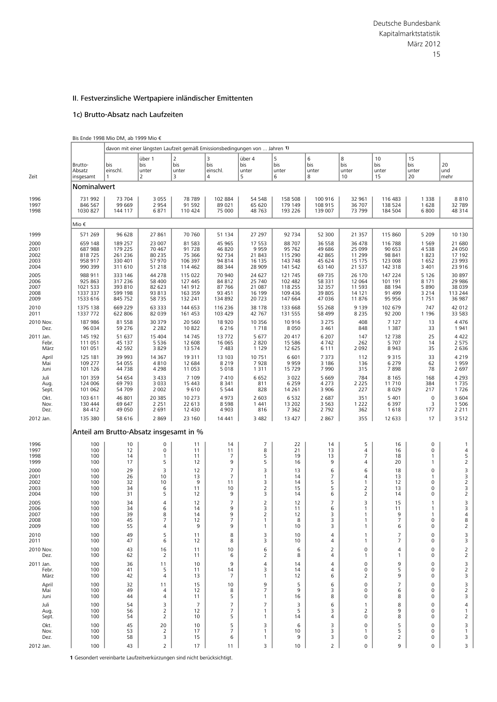# 1c) Brutto-Absatz nach Laufzeiten

Bis Ende 1998 Mio DM, ab 1999 Mio €

|                                                                      |                                                             | davon mit einer längsten Laufzeit gemäß Emissionsbedingungen von  Jahren 1) |                                                                  |                                                   |                                                                         |                                                      |                                                    |                                              |                                                                                                                       |                                                    |                                           |                                                                                              |
|----------------------------------------------------------------------|-------------------------------------------------------------|-----------------------------------------------------------------------------|------------------------------------------------------------------|---------------------------------------------------|-------------------------------------------------------------------------|------------------------------------------------------|----------------------------------------------------|----------------------------------------------|-----------------------------------------------------------------------------------------------------------------------|----------------------------------------------------|-------------------------------------------|----------------------------------------------------------------------------------------------|
| Zeit                                                                 | Brutto-<br>Absatz<br>insgesamt                              | bis<br>einschl.<br>1                                                        | über 1<br>bis<br>unter<br>2                                      | $\sqrt{2}$<br>bis<br>unter<br>3                   | 3<br>bis<br>einschl.<br>4                                               | über 4<br>bis<br>unter<br>5                          | 5<br>bis<br>unter<br>6                             | 6<br>bis<br>unter<br>8                       | 8<br>bis<br>unter<br>10                                                                                               | 10<br>bis<br>unter<br>15                           | 15<br>bis<br>unter<br>20                  | 20<br>und<br>mehr                                                                            |
|                                                                      | Nominalwert                                                 |                                                                             |                                                                  |                                                   |                                                                         |                                                      |                                                    |                                              |                                                                                                                       |                                                    |                                           |                                                                                              |
| 1996                                                                 | 731 992                                                     | 73 704                                                                      | 3 0 5 5                                                          | 78 789                                            | 102 884                                                                 | 54 548                                               | 158 508                                            | 100 916                                      | 32 961                                                                                                                | 116 483                                            | 1 3 3 8                                   | 8810                                                                                         |
| 1997                                                                 | 846 567                                                     | 99 669                                                                      | 2 9 5 4                                                          | 91 592                                            | 89 0 21                                                                 | 65 620                                               | 179 149                                            | 108 915                                      | 36 707                                                                                                                | 138 524                                            | 1628                                      | 32 789                                                                                       |
| 1998                                                                 | 1030 827                                                    | 144 117                                                                     | 6871                                                             | 110 424                                           | 75 000                                                                  | 48 763                                               | 193 226                                            | 139 007                                      | 73 799                                                                                                                | 184 504                                            | 6 800                                     | 48 314                                                                                       |
|                                                                      | Mio €                                                       |                                                                             |                                                                  |                                                   |                                                                         |                                                      |                                                    |                                              |                                                                                                                       |                                                    |                                           |                                                                                              |
| 1999                                                                 | 571 269                                                     | 96 628                                                                      | 27 861                                                           | 70 760                                            | 51 134                                                                  | 27 297                                               | 92 734                                             | 52 300                                       | 21 3 5 7                                                                                                              | 115 860                                            | 5 2 0 9                                   | 10 130                                                                                       |
| 2000                                                                 | 659 148                                                     | 189 257                                                                     | 23 007                                                           | 81 5 83                                           | 45 965                                                                  | 17 553                                               | 88 70 7                                            | 36 558                                       | 36 478                                                                                                                | 116 788                                            | 1 5 6 9                                   | 21 680                                                                                       |
| 2001                                                                 | 687 988                                                     | 179 225                                                                     | 70 467                                                           | 91 728                                            | 46 820                                                                  | 9959                                                 | 95 762                                             | 49 686                                       | 25 099                                                                                                                | 90 653                                             | 4538                                      | 24 050                                                                                       |
| 2002                                                                 | 818725                                                      | 261 236                                                                     | 80 235                                                           | 75 366                                            | 92 734                                                                  | 21 843                                               | 115 290                                            | 42 865                                       | 11 299                                                                                                                | 98 841                                             | 1823                                      | 17 192                                                                                       |
| 2003                                                                 | 958 917                                                     | 330 401                                                                     | 57 970                                                           | 106 397                                           | 94 814                                                                  | 16 135                                               | 143 748                                            | 45 624                                       | 15 175                                                                                                                | 123 008                                            | 1 6 5 2                                   | 23 993                                                                                       |
| 2004                                                                 | 990 399                                                     | 311 610                                                                     | 51 218                                                           | 114 462                                           | 88 344                                                                  | 28 909                                               | 141 542                                            | 63 140                                       | 21 5 37                                                                                                               | 142 318                                            | 3 4 0 1                                   | 23 916                                                                                       |
| 2005                                                                 | 988 911                                                     | 333 146                                                                     | 44 278                                                           | 115 022                                           | 70 940                                                                  | 24 627                                               | 121 745                                            | 69 735                                       | 26 170                                                                                                                | 147 224                                            | 5 1 2 6                                   | 30 897                                                                                       |
| 2006                                                                 | 925 863                                                     | 317 236                                                                     | 58 400                                                           | 127 445                                           | 84 812                                                                  | 25 740                                               | 102 482                                            | 58 331                                       | 12 064                                                                                                                | 101 191                                            | 8 1 7 1                                   | 29 986                                                                                       |
| 2007                                                                 | 1021 533                                                    | 393 810                                                                     | 82 623                                                           | 141 912                                           | 87 766                                                                  | 21 087                                               | 118 255                                            | 32 357                                       | 11 593                                                                                                                | 88 194                                             | 5 8 9 0                                   | 38 0 39                                                                                      |
| 2008                                                                 | 1337 337                                                    | 599 198                                                                     | 93 813                                                           | 163 359                                           | 93 451                                                                  | 16 199                                               | 109 436                                            | 39 805                                       | 14 121                                                                                                                | 91 499                                             | 3 2 1 4                                   | 113 244                                                                                      |
| 2009                                                                 | 1533 616                                                    | 845 752                                                                     | 58 735                                                           | 132 241                                           | 134 892                                                                 | 20723                                                | 147 664                                            | 47 036                                       | 11876                                                                                                                 | 95 95 6                                            | 1751                                      | 36 987                                                                                       |
| 2010                                                                 | 1375 138                                                    | 669 229                                                                     | 63 333                                                           | 144 653                                           | 116 236                                                                 | 38 178                                               | 133 668                                            | 55 268                                       | 9 1 3 9                                                                                                               | 102 679                                            | 747                                       | 42 012                                                                                       |
| 2011                                                                 | 1337 772                                                    | 622 806                                                                     | 82 039                                                           | 161 453                                           | 103 429                                                                 | 42 767                                               | 131 555                                            | 58 499                                       | 8 2 3 5                                                                                                               | 92 200                                             | 1 1 9 6                                   | 33 583                                                                                       |
| 2010 Nov.                                                            | 187 986                                                     | 81 558                                                                      | 30 379                                                           | 20 560                                            | 18920                                                                   | 10 356                                               | 10916                                              | 3 2 7 5                                      | 408                                                                                                                   | 7 1 2 7                                            | 13                                        | 4476                                                                                         |
| Dez.                                                                 | 96 034                                                      | 59 276                                                                      | 2 2 8 2                                                          | 10822                                             | 6 2 1 6                                                                 | 1718                                                 | 8 0 5 0                                            | 3 4 6 1                                      | 848                                                                                                                   | 1 3 8 7                                            | 33                                        | 1941                                                                                         |
| 2011 Jan.                                                            | 145 192                                                     | 51 637                                                                      | 15 404                                                           | 14745                                             | 13772                                                                   | 5 677                                                | 20 417                                             | 6 207                                        | 147                                                                                                                   | 12 7 38                                            | 25                                        | 4 4 2 2                                                                                      |
| Febr.                                                                | 111 051                                                     | 45 137                                                                      | 5 5 3 6                                                          | 12 608                                            | 16 0 65                                                                 | 2820                                                 | 15 5 86                                            | 4742                                         | 262                                                                                                                   | 5 7 0 7                                            | 14                                        | 2 5 7 5                                                                                      |
| März                                                                 | 101 051                                                     | 42 592                                                                      | 3829                                                             | 13 5 74                                           | 7483                                                                    | 1 1 2 9                                              | 12 625                                             | 6 1 1 1                                      | 2 0 9 2                                                                                                               | 8943                                               | 35                                        | 2 6 3 6                                                                                      |
| April                                                                | 125 181                                                     | 39 993                                                                      | 14 3 6 7                                                         | 19 3 11                                           | 13 103                                                                  | 10 751                                               | 6 601                                              | 7 3 7 3                                      | 112                                                                                                                   | 9315                                               | 33                                        | 4 2 1 9                                                                                      |
| Mai                                                                  | 109 277                                                     | 54 055                                                                      | 4810                                                             | 12 684                                            | 8 2 1 9                                                                 | 7928                                                 | 9959                                               | 3 1 8 6                                      | 136                                                                                                                   | 6 2 7 9                                            | 62                                        | 1959                                                                                         |
| Juni                                                                 | 101 126                                                     | 44738                                                                       | 4 2 9 8                                                          | 11 053                                            | 5 0 1 8                                                                 | 1 3 1 1                                              | 15 729                                             | 7990                                         | 315                                                                                                                   | 7898                                               | 78                                        | 2 6 9 7                                                                                      |
| Juli                                                                 | 101 359                                                     | 54 654                                                                      | 3 4 3 3                                                          | 7 1 0 9                                           | 7410                                                                    | 6652                                                 | 3 0 2 2                                            | 5 6 6 9                                      | 784                                                                                                                   | 8 1 6 5                                            | 168                                       | 4 2 9 3                                                                                      |
| Aug.                                                                 | 124 006                                                     | 69 793                                                                      | 3 0 3 3                                                          | 15 4 43                                           | 8 3 4 1                                                                 | 811                                                  | 6 2 5 9                                            | 4 2 7 3                                      | 2 2 2 5                                                                                                               | 11 710                                             | 384                                       | 1735                                                                                         |
| Sept.                                                                | 101 062                                                     | 54 709                                                                      | 2 0 0 2                                                          | 9610                                              | 5 5 4 4                                                                 | 828                                                  | 14 2 61                                            | 3 9 0 6                                      | 227                                                                                                                   | 8029                                               | 217                                       | 1726                                                                                         |
| Okt.                                                                 | 103 611                                                     | 46 801                                                                      | 20 385                                                           | 10 273                                            | 4973                                                                    | 2 603                                                | 6 5 3 2                                            | 2 6 8 7                                      | 351                                                                                                                   | 5 4 0 1                                            | 0                                         | 3 604                                                                                        |
| Nov.                                                                 | 130 444                                                     | 69 647                                                                      | 2 2 5 1                                                          | 22 613                                            | 8598                                                                    | 1 4 4 1                                              | 13 202                                             | 3 5 6 3                                      | 1 2 2 2                                                                                                               | 6 3 9 7                                            | 3                                         | 1 5 0 6                                                                                      |
| Dez.                                                                 | 84 412                                                      | 49 050                                                                      | 2691                                                             | 12 430                                            | 4 9 0 3                                                                 | 816                                                  | 7 3 6 2                                            | 2792                                         | 362                                                                                                                   | 1618                                               | 177                                       | 2 2 1 1                                                                                      |
| 2012 Jan.                                                            | 135 380                                                     | 58 616                                                                      | 2 8 6 9                                                          | 23 160                                            | 14 44 1                                                                 | 3 4 8 2                                              | 13 427                                             | 2867                                         | 355                                                                                                                   | 12 633                                             | 17                                        | 3 5 1 2                                                                                      |
|                                                                      |                                                             |                                                                             |                                                                  | Anteil am Brutto-Absatz insgesamt in %            |                                                                         |                                                      |                                                    |                                              |                                                                                                                       |                                                    |                                           |                                                                                              |
| 1996<br>1997<br>1998<br>1999<br>2000<br>2001<br>2002<br>2003<br>2004 | 100<br>100<br>100<br>100<br>100<br>100<br>100<br>100<br>100 | 10<br>12<br>14<br>17<br>29<br>26<br>32<br>34<br>31                          | $\mathbf 0$<br>0<br>$\mathbf{1}$<br>5<br>3<br>10<br>10<br>6<br>5 | 11<br>11<br>11<br>12<br>12<br>13<br>9<br>11<br>12 | 14<br>11<br>$\overline{7}$<br>9<br>$\overline{7}$<br>7<br>11<br>10<br>9 | 7<br>8<br>5<br>5<br>3<br>$\mathbf{1}$<br>3<br>2<br>3 | 22<br>21<br>19<br>16<br>13<br>14<br>14<br>15<br>14 | 14<br>13<br>13<br>9<br>6<br>7<br>5<br>5<br>6 | 5<br>$\overline{4}$<br>$\overline{7}$<br>$\overline{4}$<br>6<br>4<br>$\mathbf{1}$<br>$\overline{2}$<br>$\overline{2}$ | 16<br>16<br>18<br>20<br>18<br>13<br>12<br>13<br>14 | 0<br>0<br>1<br>1<br>0<br>1<br>0<br>0<br>0 | 1<br>4<br>5<br>$\overline{2}$<br>$\begin{array}{c} 3 \\ 3 \\ 2 \end{array}$<br>$\frac{3}{2}$ |
| 2005                                                                 | 100                                                         | 34                                                                          | 4                                                                | 12                                                | $\overline{7}$                                                          | $\overline{2}$                                       | 12                                                 | $\overline{7}$                               | 3                                                                                                                     | 15                                                 | $\mathbf{1}$                              | 3                                                                                            |
| 2006                                                                 | 100                                                         | 34                                                                          | 6                                                                | 14                                                | 9                                                                       | 3                                                    | 11                                                 | 6                                            | $\mathbf{1}$                                                                                                          | 11                                                 | 1                                         | 3                                                                                            |
| 2007                                                                 | 100                                                         | 39                                                                          | 8                                                                | 14                                                | 9                                                                       | 2                                                    | 12                                                 | 3                                            | -1                                                                                                                    | 9                                                  | 1                                         | $\overline{4}$                                                                               |
| 2008                                                                 | 100                                                         | 45                                                                          | 7                                                                | 12                                                | 7                                                                       | $\mathbf{1}$                                         | 8                                                  | 3                                            | $\mathbf{1}$                                                                                                          | 7                                                  | 0                                         | 8                                                                                            |
| 2009                                                                 | 100                                                         | 55                                                                          | 4                                                                | 9                                                 | 9                                                                       | $\mathbf{1}$                                         | 10                                                 | 3                                            | $\mathbf{1}$                                                                                                          | 6                                                  | 0                                         | $\overline{2}$                                                                               |
| 2010                                                                 | 100                                                         | 49                                                                          | 5                                                                | 11                                                | 8                                                                       | 3                                                    | 10                                                 | 4                                            | $\mathbf{1}$                                                                                                          | 7                                                  | 0                                         | 3                                                                                            |
| 2011                                                                 | 100                                                         | 47                                                                          | 6                                                                | 12                                                | 8                                                                       | 3                                                    | 10                                                 | 4                                            | $\mathbf{1}$                                                                                                          | 7                                                  | 0                                         | 3                                                                                            |
| 2010 Nov.                                                            | 100                                                         | 43                                                                          | 16                                                               | 11                                                | 10                                                                      | 6                                                    | 6                                                  | 2                                            | 0                                                                                                                     | 4                                                  | 0                                         |                                                                                              |
| Dez.                                                                 | 100                                                         | 62                                                                          | 2                                                                | 11                                                | 6                                                                       | 2                                                    | 8                                                  | 4                                            | $\mathbf{1}$                                                                                                          | 1                                                  | 0                                         | $\begin{array}{c} 2 \\ 2 \end{array}$                                                        |
| 2011 Jan.                                                            | 100                                                         | 36                                                                          | 11                                                               | 10                                                | 9                                                                       | 4                                                    | 14                                                 | 4                                            | 0                                                                                                                     | 9                                                  | 0                                         | $\begin{array}{c} 3 \\ 2 \\ 3 \end{array}$                                                   |
| Febr.                                                                | 100                                                         | 41                                                                          | 5                                                                | 11                                                | 14                                                                      | 3                                                    | 14                                                 | 4                                            | 0                                                                                                                     | 5                                                  | 0                                         |                                                                                              |
| März                                                                 | 100                                                         | 42                                                                          | 4                                                                | 13                                                | 7                                                                       | 1                                                    | 12                                                 | 6                                            | 2                                                                                                                     | 9                                                  | 0                                         |                                                                                              |
| April<br>Mai<br>Juni                                                 | 100<br>100<br>100                                           | 32<br>49<br>44                                                              | 11<br>4<br>4                                                     | 15<br>12<br>11                                    | 10<br>8<br>5                                                            | 9<br>7<br>1                                          | 5<br>9<br>16                                       | 6<br>3<br>8                                  | 0<br>0<br>0                                                                                                           | 7<br>6<br>8                                        | 0<br>0<br>0                               | $\frac{3}{2}$<br>3                                                                           |
| Juli                                                                 | 100                                                         | 54                                                                          | 3                                                                | $\overline{7}$                                    | $\overline{7}$                                                          | $\overline{7}$                                       | 3                                                  | 6                                            | $\mathbf{1}$                                                                                                          | 8                                                  | 0                                         | 4                                                                                            |
| Aug.                                                                 | 100                                                         | 56                                                                          | $\overline{2}$                                                   | 12                                                | 7                                                                       | $\mathbf{1}$                                         | 5                                                  | 3                                            | $\overline{2}$                                                                                                        | 9                                                  | 0                                         | $\mathbf{1}$                                                                                 |
| Sept.                                                                | 100                                                         | 54                                                                          | $\overline{2}$                                                   | 10                                                | 5                                                                       | 1                                                    | 14                                                 | 4                                            | 0                                                                                                                     | 8                                                  | 0                                         | $\mathbf 2$                                                                                  |
| Okt.                                                                 | 100                                                         | 45                                                                          | 20                                                               | 10                                                | 5                                                                       | 3                                                    | 6                                                  | 3                                            | 0                                                                                                                     | 5                                                  | 0                                         | 3                                                                                            |
| Nov.                                                                 | 100                                                         | 53                                                                          | $\overline{2}$                                                   | 17                                                | $\overline{7}$                                                          | 1                                                    | 10                                                 | 3                                            | $\mathbf{1}$                                                                                                          | 5                                                  | 0                                         | $\mathbf{1}$                                                                                 |
| Dez.                                                                 | 100                                                         | 58                                                                          | 3                                                                | 15                                                | 6                                                                       | $\mathbf{1}$                                         | 9                                                  | 3                                            | 0                                                                                                                     | 2                                                  | 0                                         | 3                                                                                            |
| 2012 Jan.                                                            | 100                                                         | 43                                                                          | $\overline{2}$                                                   | 17                                                | 11                                                                      | 3                                                    | 10                                                 | $\overline{2}$                               | 0                                                                                                                     | 9                                                  | 0                                         | 3                                                                                            |
|                                                                      |                                                             |                                                                             |                                                                  |                                                   |                                                                         |                                                      |                                                    |                                              |                                                                                                                       |                                                    |                                           |                                                                                              |

**1** Gesondert vereinbarte Laufzeitverkürzungen sind nicht berücksichtigt.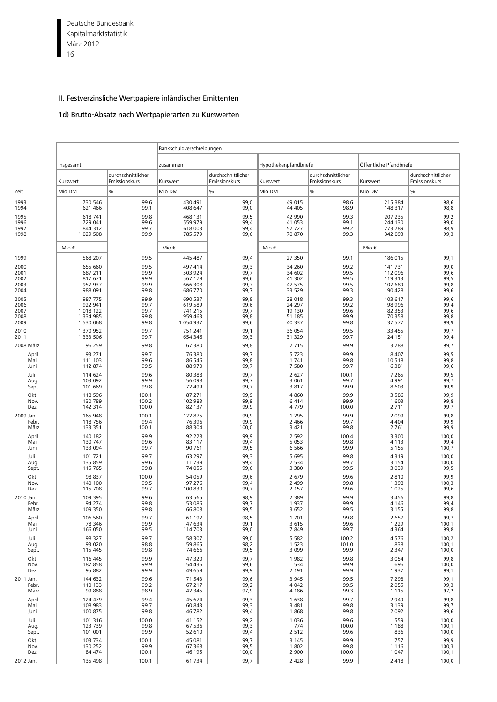Deutsche Bundesbank 16 Kapitalmarktstatistik März 2012

# II. Festverzinsliche Wertpapiere inländischer Emittenten

# [1d\) Brutto-Absatz nach Wertpapierarten zu Kurswerten](#page-7-0)

|           |           |                                     | Bankschuldverschreibungen |                                     |                       |                                     |                         |                                     |  |
|-----------|-----------|-------------------------------------|---------------------------|-------------------------------------|-----------------------|-------------------------------------|-------------------------|-------------------------------------|--|
|           | Insgesamt |                                     | zusammen                  |                                     | Hypothekenpfandbriefe |                                     | Öffentliche Pfandbriefe |                                     |  |
|           | Kurswert  | durchschnittlicher<br>Emissionskurs | Kurswert                  | durchschnittlicher<br>Emissionskurs | Kurswert              | durchschnittlicher<br>Emissionskurs | Kurswert                | durchschnittlicher<br>Emissionskurs |  |
| Zeit      | Mio DM    | $\%$                                | Mio DM                    | $\frac{0}{0}$                       | Mio DM                | $\%$                                | Mio DM                  | $\frac{0}{0}$                       |  |
| 1993      | 730 546   | 99,6                                | 430 491                   | 99,0                                | 49 015                | 98,6                                | 215 384                 | 98,6                                |  |
| 1994      | 621 466   | 99,1                                | 408 647                   | 99,0                                | 44 405                | 98,9                                | 148 317                 | 98,8                                |  |
| 1995      | 618741    | 99,8                                | 468 131                   | 99,5                                | 42 990                | 99,3                                | 207 235                 | 99,2                                |  |
| 1996      | 729 041   | 99,6                                | 559 979                   | 99,4                                | 41 053                | 99,1                                | 244 130                 | 99,0                                |  |
| 1997      | 844 312   | 99,7                                | 618 003                   | 99,4                                | 52 727                | 99,2                                | 273 789                 | 98,9                                |  |
| 1998      | 1 029 508 | 99,9                                | 785 579                   | 99,6                                | 70 870                | 99,3                                | 342 093                 | 99,3                                |  |
|           | Mio €     |                                     | Mio €                     |                                     | Mio €                 |                                     | Mio €                   |                                     |  |
| 1999      | 568 207   | 99,5                                | 445 487                   | 99,4                                | 27 350                | 99,1                                | 186 015                 | 99,1                                |  |
| 2000      | 655 660   | 99,5                                | 497 414                   | 99,3                                | 34 260                | 99,2                                | 141 731                 | 99,0                                |  |
| 2001      | 687 211   | 99,9                                | 503 924                   | 99,7                                | 34 602                | 99,5                                | 112 096                 | 99,6                                |  |
| 2002      | 817 671   | 99,9                                | 567 179                   | 99,6                                | 41 302                | 99,5                                | 119 313                 | 99,5                                |  |
| 2003      | 957 937   | 99,9                                | 666 308                   | 99,7                                | 47 575                | 99,5                                | 107 689                 | 99,8                                |  |
| 2004      | 988 091   | 99,8                                | 686 770                   | 99,7                                | 33 529                | 99,3                                | 90 428                  | 99,6                                |  |
| 2005      | 987 775   | 99,9                                | 690 537                   | 99,8                                | 28 018                | 99,3                                | 103 617                 | 99,6                                |  |
| 2006      | 922 941   | 99,7                                | 619 589                   | 99,6                                | 24 297                | 99,2                                | 98 996                  | 99,4                                |  |
| 2007      | 1 018 122 | 99,7                                | 741 215                   | 99,7                                | 19 130                | 99,6                                | 82 353                  | 99,6                                |  |
| 2008      | 1 334 985 | 99,8                                | 959 463                   | 99,8                                | 51 185                | 99,9                                | 70 358                  | 99,8                                |  |
| 2009      | 1 530 068 | 99,8                                | 1 054 937                 | 99,6                                | 40 337                | 99,8                                | 37 577                  | 99,9                                |  |
| 2010      | 1 370 952 | 99,7                                | 751 241                   | 99,1                                | 36 054                | 99,5                                | 33 455                  | 99,7                                |  |
| 2011      | 1 333 506 | 99,7                                | 654 346                   | 99,3                                | 31 329                | 99,7                                | 24 151                  | 99,4                                |  |
| 2008 März | 96 259    | 99,8                                | 67 380                    | 99,8                                | 2 7 1 5               | 99,9                                | 3 2 8 8                 | 99,7                                |  |
| April     | 93 271    | 99,7                                | 76 380                    | 99,7                                | 5723                  | 99,9                                | 8 4 0 7                 | 99,5                                |  |
| Mai       | 111 103   | 99,6                                | 86 546                    | 99,8                                | 1 7 4 1               | 99,8                                | 10518                   | 99,8                                |  |
| Juni      | 112 874   | 99,5                                | 88 970                    | 99,7                                | 7 5 8 0               | 99,7                                | 6 3 8 1                 | 99,6                                |  |
| Juli      | 114 624   | 99,6                                | 80 388                    | 99,7                                | 2 6 2 7               | 100,1                               | 7 2 6 5                 | 99,5                                |  |
| Aug.      | 103 092   | 99,9                                | 56 098                    | 99,7                                | 3 0 6 1               | 99,7                                | 4 9 9 1                 | 99,7                                |  |
| Sept.     | 101 669   | 99,8                                | 72 499                    | 99,7                                | 3817                  | 99,9                                | 8 6 0 3                 | 99,9                                |  |
| Okt.      | 118 596   | 100,1                               | 87 271                    | 99,9                                | 4 8 6 0               | 99,9                                | 3 5 8 6                 | 99,9                                |  |
| Nov.      | 130 789   | 100,2                               | 102 983                   | 99,9                                | 6414                  | 99,9                                | 1 603                   | 99,8                                |  |
| Dez.      | 142 314   | 100,0                               | 82 137                    | 99,9                                | 4779                  | 100,0                               | 2711                    | 99,7                                |  |
| 2009 Jan. | 165 948   | 100,1                               | 122 875                   | 99,9                                | 1 2 9 5               | 99,9                                | 2 0 9 9                 | 99,8                                |  |
| Febr.     | 118756    | 99,4                                | 76 396                    | 99,9                                | 2 4 6 6               | 99,7                                | 4 4 0 4                 | 99,9                                |  |
| März      | 133 351   | 100,1                               | 88 304                    | 100,0                               | 3 4 2 1               | 99,8                                | 2 7 6 1                 | 99,9                                |  |
| April     | 140 182   | 99,9                                | 92 228                    | 99,9                                | 2 5 9 2               | 100,4                               | 3 3 0 0                 | 100,0                               |  |
| Mai       | 130 747   | 99,6                                | 83 117                    | 99,4                                | 5 0 5 3               | 99,8                                | 4 1 1 3                 | 99,4                                |  |
| Juni      | 133 094   | 99,7                                | 90 761                    | 99,5                                | 6 5 6 6               | 99,9                                | 5 1 5 5                 | 100,7                               |  |
| Juli      | 101 721   | 99,7                                | 63 297                    | 99,3                                | 5 6 9 5               | 99,8                                | 4319                    | 100,0                               |  |
| Aug.      | 135 859   | 99,6                                | 111 739                   | 99,4                                | 2 5 3 4               | 99,7                                | 3 1 5 4                 | 100,0                               |  |
| Sept.     | 115 765   | 99,8                                | 74 055                    | 99,6                                | 3 3 8 0               | 99,5                                | 3 0 3 9                 | 99,5                                |  |
| Okt.      | 98 837    | 100,0                               | 54 059                    | 99,6                                | 2 6 7 9               | 99,6                                | 2810                    | 99,9                                |  |
| Nov.      | 140 100   | 99,5                                | 97 276                    | 99,4                                | 2 4 9 9               | 99,8                                | 1 3 9 8                 | 100,3                               |  |
| Dez.      | 115 708   | 99,7                                | 100 830                   | 99,7                                | 2 1 5 7               | 99,6                                | 1 0 2 5                 | 99,6                                |  |
| 2010 Jan. | 109 395   | 99,6                                | 63 5 65                   | 98,9                                | 2 3 8 9               | 99,9                                | 3 4 5 6                 | 99,8                                |  |
| Febr.     | 94 274    | 99,8                                | 53 086                    | 99,7                                | 1937                  | 99,9                                | 4 1 4 6                 | 99,4                                |  |
| März      | 109 350   | 99,8                                | 66 808                    | 99,5                                | 3 6 5 2               | 99,5                                | 3 1 5 5                 | 99,8                                |  |
| April     | 106 560   | 99,7                                | 61 192                    | 98,5                                | 1701                  | 99,8                                | 2 6 5 7                 | 99,7                                |  |
| Mai       | 78 346    | 99,9                                | 47 634                    | 99,1                                | 3 6 1 5               | 99,6                                | 1 2 2 9                 | 100,1                               |  |
| Juni      | 166 050   | 99,5                                | 114 703                   | 99,0                                | 7849                  | 99,7                                | 4 3 6 4                 | 99,8                                |  |
| Juli      | 98 327    | 99,7                                | 58 307                    | 99,0                                | 5 5 8 2               | 100,2                               | 4576                    | 100,2                               |  |
| Aug.      | 93 0 20   | 98,8                                | 59 865                    | 98,2                                | 1 5 2 3               | 101,0                               | 838                     | 100,1                               |  |
| Sept.     | 115 445   | 99,8                                | 74 666                    | 99,5                                | 3 0 9 9               | 99,9                                | 2 3 4 7                 | 100,0                               |  |
| Okt.      | 116 445   | 99,9                                | 47 320                    | 99,7                                | 1982                  | 99,8                                | 3 0 5 4                 | 99,8                                |  |
| Nov.      | 187858    | 99,9                                | 54 436                    | 99,6                                | 534                   | 99,9                                | 1696                    | 100,0                               |  |
| Dez.      | 95 882    | 99,9                                | 49 659                    | 99,9                                | 2 1 9 1               | 99,9                                | 1937                    | 99,1                                |  |
| 2011 Jan. | 144 632   | 99,6                                | 71 543                    | 99,6                                | 3 9 4 5               | 99,5                                | 7 2 9 8                 | 99,1                                |  |
| Febr.     | 110 133   | 99,2                                | 67 217                    | 99,2                                | 4 0 4 2               | 99,5                                | 2 0 5 5                 | 99,3                                |  |
| März      | 99 888    | 98,9                                | 42 345                    | 97,9                                | 4 1 8 6               | 99,3                                | 1 1 1 5                 | 97,2                                |  |
| April     | 124 479   | 99,4                                | 45 674                    | 99,3                                | 1 6 3 8               | 99,7                                | 2 9 4 9                 | 99,8                                |  |
| Mai       | 108 983   | 99,7                                | 60 843                    | 99,3                                | 3 4 8 1               | 99,8                                | 3 1 3 9                 | 99,7                                |  |
| Juni      | 100 875   | 99,8                                | 46 782                    | 99,4                                | 1868                  | 99,8                                | 2 0 9 2                 | 99,6                                |  |
| Juli      | 101 316   | 100,0                               | 41 152                    | 99,2                                | 1 0 3 6               | 99,6                                | 559                     | 100,0                               |  |
| Aug.      | 123 739   | 99,8                                | 67 536                    | 99,3                                | 774                   | 100,0                               | 1 1 8 8                 | 100,1                               |  |
| Sept.     | 101 001   | 99,9                                | 52 610                    | 99,4                                | 2 5 1 2               | 99,6                                | 836                     | 100,0                               |  |
| Okt.      | 103 734   | 100,1                               | 45 081                    | 99,7                                | 3 1 4 5               | 99,9                                | 757                     | 99,9                                |  |
| Nov.      | 130 252   | 99,9                                | 67 368                    | 99,5                                | 1802                  | 99,8                                | 1 1 1 6                 | 100,3                               |  |
| Dez.      | 84 474    | 100,1                               | 46 195                    | 100,0                               | 2 9 0 0               | 100,0                               | 1 0 4 7                 | 100,1                               |  |
| 2012 Jan. | 135 498   | 100,1                               | 61 734                    | 99,7                                | 2 4 2 8               | 99,9                                | 2 4 1 8                 | 100,0                               |  |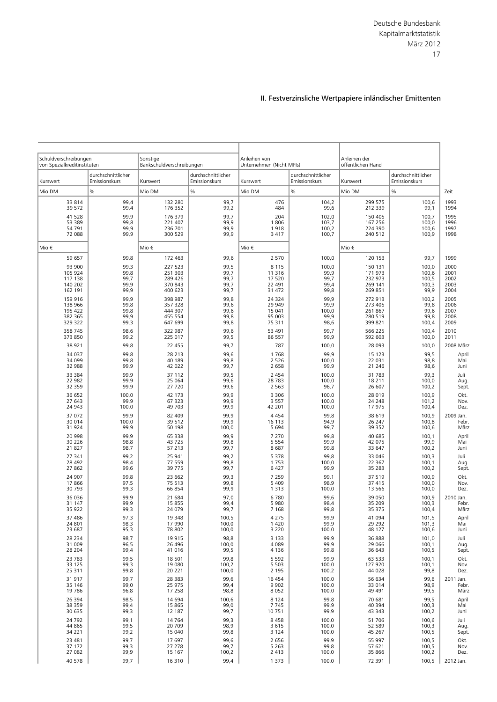| Schuldverschreibungen       |                    | Sonstige                  |                    | Anleihen von             |                    | Anleihen der       |                    |                    |
|-----------------------------|--------------------|---------------------------|--------------------|--------------------------|--------------------|--------------------|--------------------|--------------------|
| von Spezialkreditinstituten | durchschnittlicher | Bankschuldverschreibungen | durchschnittlicher | Unternehmen (Nicht-MFIs) | durchschnittlicher | öffentlichen Hand  | durchschnittlicher |                    |
| Kurswert                    | Emissionskurs      | Kurswert                  | Emissionskurs      | Kurswert                 | Emissionskurs      | Kurswert           | Emissionskurs      |                    |
| Mio DM                      | $\%$               | Mio DM                    | $\%$               | Mio DM                   | $\%$               | Mio DM             | $\%$               | Zeit               |
| 33 814<br>39 572            | 99,4<br>99,4       | 132 280<br>176 352        | 99,7<br>99,2       | 476<br>484               | 104,2<br>99,6      | 299 575<br>212 339 | 100,6<br>99,1      | 1993<br>1994       |
| 41 528<br>53 389            | 99,9<br>99,8       | 176 379<br>221 407        | 99,7<br>99,9       | 204<br>1806              | 102,0<br>103,7     | 150 405<br>167 256 | 100,7<br>100,0     | 1995<br>1996       |
| 54 791                      | 99,9<br>99,9       | 236 701                   | 99,9<br>99,9       | 1918<br>3 4 1 7          | 100,2              | 224 390            | 100,6              | 1997<br>1998       |
| 72 088                      |                    | 300 529                   |                    |                          | 100,7              | 240 512            | 100,9              |                    |
| Mio €<br>59 657             | 99,8               | Mio €<br>172 463          | 99,6               | Mio €<br>2 5 7 0         | 100,0              | Mio €<br>120 153   | 99,7               | 1999               |
| 93 900                      | 99,3               | 227 523                   | 99,5               | 8 1 1 5                  | 100,0              | 150 131            | 100,0              | 2000               |
| 105 924<br>117 138          | 99,8<br>99,7       | 251 303<br>289 426        | 99,7<br>99,7       | 11 316<br>17 520         | 99,9<br>99,7       | 171 973<br>232 973 | 100,6<br>100,5     | 2001<br>2002       |
| 140 202                     | 99,9               | 370 843                   | 99,7               | 22 491                   | 99,4               | 269 141            | 100,3              | 2003               |
| 162 191<br>159 916          | 99,9               | 400 623                   | 99,7               | 31 472                   | 99,8               | 269 851            | 99,9               | 2004               |
| 138 966                     | 99,9<br>99,8       | 398 987<br>357 328        | 99,8<br>99,6       | 24 3 24<br>29 949        | 99,9<br>99,9       | 272 913<br>273 405 | 100,2<br>99,8      | 2005<br>2006       |
| 195 422<br>382 365          | 99,8<br>99,9       | 444 307<br>455 554        | 99,6<br>99,8       | 15 041<br>95 003         | 100,0<br>99,9      | 261 867<br>280 519 | 99,6<br>99,8       | 2007<br>2008       |
| 329 322                     | 99,3               | 647 699                   | 99,8               | 75 311                   | 98,6               | 399 821            | 100,4              | 2009               |
| 358 745<br>373 850          | 98,6<br>99,2       | 322 987<br>225 017        | 99,6<br>99,5       | 53 491<br>86 557         | 99,7<br>99,9       | 566 225<br>592 603 | 100,4<br>100,0     | 2010<br>2011       |
| 38 921                      | 99,8               | 22 455                    | 99,7               | 787                      | 100,0              | 28 093             | 100,0              | 2008 März          |
| 34 037<br>34 099            | 99,8<br>99,8       | 28 213<br>40 189          | 99,6<br>99,8       | 1768<br>2 5 2 6          | 99,9<br>100,0      | 15 123<br>22 031   | 99,5<br>98,8       | April<br>Mai       |
| 32 988                      | 99,9               | 42 022                    | 99,7               | 2 6 5 8                  | 99,9               | 21 2 46            | 98,6               | Juni               |
| 33 384<br>22 982            | 99,9<br>99,9       | 37 112<br>25 064          | 99,5<br>99,6       | 2 4 5 4<br>28783         | 100,0<br>100,0     | 31783<br>18 211    | 99,3<br>100,0      | Juli<br>Aug.       |
| 32 359                      | 99,9               | 27 720                    | 99,6               | 2 5 6 3                  | 96,7               | 26 607             | 100,2              | Sept               |
| 36 652<br>27 643            | 100,0<br>99,9      | 42 173<br>67 323          | 99,9<br>99,9       | 3 3 0 6<br>3 5 5 7       | 100,0<br>100,0     | 28 0 19<br>24 248  | 100,9<br>101,2     | Okt.<br>Nov.       |
| 24 943<br>37 072            | 100,0<br>99,9      | 49 703<br>82 409          | 99,9<br>99,9       | 42 201<br>4 4 5 4        | 100,0<br>99,8      | 17 975<br>38 619   | 100,4<br>100,9     | Dez.<br>2009 Jan.  |
| 30 014                      | 100,0              | 39 512                    | 99,9               | 16 113                   | 94,9               | 26 247             | 100,8              | Febr               |
| 31 924<br>20 998            | 99,9<br>99,9       | 50 198<br>65 338          | 100,0<br>99,9      | 5 6 9 4<br>7 2 7 0       | 99,7<br>99,8       | 39 352<br>40 685   | 100,6<br>100,1     | März<br>April      |
| 30 226<br>21827             | 98,8<br>98,7       | 43 725<br>57 213          | 99,8<br>99,7       | 5 5 5 4<br>8687          | 99,9<br>99,8       | 42 075<br>33 647   | 99,9<br>100,2      | Mai<br>Juni        |
| 27 341                      | 99,2               | 25 941                    | 99,2               | 5 3 7 8                  | 99,8               | 33 046             | 100,3              | Juli               |
| 28 4 92<br>27862            | 98,4<br>99,6       | 77 559<br>39 7 7 5        | 99,8<br>99,7       | 1 7 5 3<br>6 4 2 7       | 100,0<br>99,9      | 22 367<br>35 283   | 100,1<br>100,2     | Aug.<br>Sept       |
| 24 907                      | 99,8               | 23 662                    | 99,3               | 7 2 5 9                  | 99,1               | 37 519             | 100,9              | Okt.               |
| 17866<br>30 793             | 97,5<br>99,3       | 75 513<br>66 854          | 99,8<br>99,9       | 5 4 0 9<br>1 3 1 3       | 98,9<br>100,0      | 37 415<br>13 5 66  | 100,0<br>100,0     | Nov.<br>Dez.       |
| 36 036                      | 99,9               | 21 684                    | 97,0               | 6780                     | 99,6               | 39 050             | 100,9              | 2010 Jan.          |
| 31 147<br>35 922            | 99,9<br>99,3       | 15 855<br>24 0 79         | 99,4<br>99,7       | 5 9 8 0<br>7 1 6 8       | 98,4<br>99,8       | 35 209<br>35 375   | 100,3<br>100,4     | Febr.<br>März      |
| 37 486                      | 97,3               | 19 348                    | 100,5              | 4 2 7 5                  | 99,9               | 41 094             | 101,5              | April              |
| 24 801<br>23 687            | 98,3<br>95,3       | 17 990<br>78 802          | 100,0<br>100,0     | 1420<br>3 2 2 0          | 99,9<br>100,0      | 29 2 9 2<br>48 127 | 101,3<br>100,6     | Mai<br>Juni        |
| 28 2 34<br>31 009           | 98,7<br>96,5       | 19915<br>26 496           | 98,8<br>100,0      | 3 1 3 3<br>4 0 8 9       | 99,9<br>99,9       | 36 888<br>29 066   | 101,0<br>100,1     | Juli<br>Aug.       |
| 28 204                      | 99,4               | 41 016                    | 99,5               | 4 1 3 6                  | 99,8               | 36 643             | 100,5              | Sept               |
| 23 783<br>33 125            | 99,5<br>99,3       | 18 501<br>19 080          | 99,8<br>100,2      | 5 5 9 2<br>5 5 0 3       | 99,9<br>100,0      | 63 533<br>127 920  | 100,1<br>100,1     | Okt.<br>Nov.       |
| 25 311                      | 99,8               | 20 221                    | 100,0              | 2 1 9 5                  | 100,2              | 44 0 28            | 99,8               | Dez.               |
| 31 917<br>35 146            | 99,7<br>99,0       | 28 3 8 3<br>25 975        | 99,6<br>99,4       | 16 454<br>9 9 0 2        | 100,0<br>100,0     | 56 634<br>33 014   | 99,6<br>98,9       | 2011 Jan.<br>Febr. |
| 19 7 86                     | 96,8               | 17 258                    | 98,8               | 8 0 5 2                  | 100,0              | 49 491             | 99,5               | März               |
| 26 3 94<br>38 3 5 9         | 98,5<br>99,4       | 14 694<br>15 865          | 100,6<br>99,0      | 8 1 2 4<br>7 7 4 5       | 99,8<br>99,9       | 70 681<br>40 394   | 99,5<br>100,3      | April<br>Mai       |
| 30 635                      | 99,3               | 12 187                    | 99,7               | 10 751                   | 99,9               | 43 343             | 100,2              | Juni               |
| 24 7 9 2<br>44 865          | 99,1<br>99,5       | 14 7 64<br>20 709         | 99,3<br>98,9       | 8 4 5 8<br>3 6 1 5       | 100,0<br>100,0     | 51 706<br>52 589   | 100,6<br>100,3     | Juli<br>Aug.       |
| 34 221                      | 99,2               | 15 040                    | 99,8               | 3 1 2 4                  | 100,0              | 45 267             | 100,5              | Sept.              |
| 23 481<br>37 172            | 99,7<br>99,3       | 17 697<br>27 278          | 99,6<br>99,7       | 2 6 5 6<br>5 2 6 3       | 99,9<br>99,8       | 55 997<br>57 621   | 100,5<br>100,5     | Okt.<br>Nov.       |
| 27 082<br>40 578            | 99,9<br>99,7       | 15 167<br>16 310          | 100,2<br>99,4      | 2 4 1 3<br>1 3 7 3       | 100,0<br>100,0     | 35 866<br>72 391   | 100,2<br>100,5     | Dez.<br>2012 Jan.  |
|                             |                    |                           |                    |                          |                    |                    |                    |                    |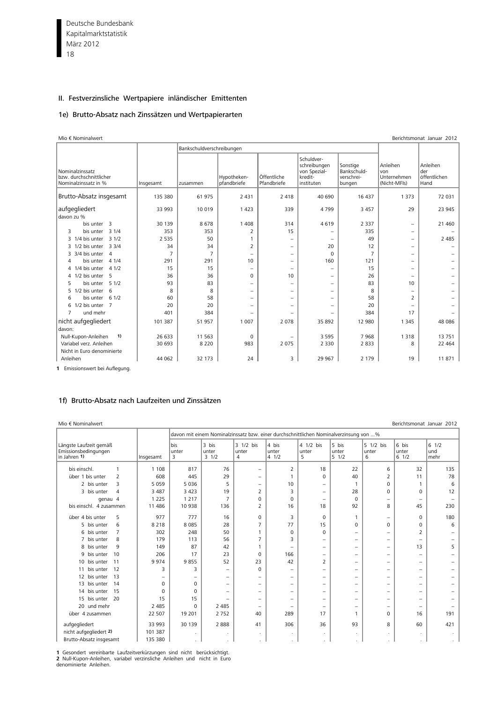Deutsche Bundesbank 18 Kapitalmarktstatistik März 2012

# II. Festverzinsliche Wertpapiere inländischer Emittenten

# 1e) Brutto-Absatz nach Zinssätzen und Wertpapierarten

Mio € Nominalwert

|                                                                    |                | Bankschuldverschreibungen |                            |                            |                                                                     |                                                 |                                                |                                         |
|--------------------------------------------------------------------|----------------|---------------------------|----------------------------|----------------------------|---------------------------------------------------------------------|-------------------------------------------------|------------------------------------------------|-----------------------------------------|
| Nominalzinssatz<br>bzw. durchschnittlicher<br>Nominalzinssatz in % | Insgesamt      | zusammen                  | Hypotheken-<br>pfandbriefe | Öffentliche<br>Pfandbriefe | Schuldver-<br>schreibungen<br>von Spezial-<br>kredit-<br>instituten | Sonstige<br>Bankschuld-<br>verschrei-<br>bungen | Anleihen<br>von<br>Unternehmen<br>(Nicht-MFIs) | Anleihen<br>der<br>öffentlichen<br>Hand |
| Brutto-Absatz insgesamt                                            | 135 380        | 61 975                    | 2 4 3 1                    | 2 4 1 8                    | 40 690                                                              | 16 437                                          | 1 3 7 3                                        | 72 031                                  |
| aufgegliedert<br>davon zu %                                        | 33 993         | 10 0 19                   | 1 4 2 3                    | 339                        | 4799                                                                | 3 4 5 7                                         | 29                                             | 23 945                                  |
| bis unter 3                                                        | 30 139         | 8678                      | 1 4 0 8                    | 314                        | 4619                                                                | 2 3 3 7                                         | $\overline{\phantom{0}}$                       | 21 460                                  |
| 31/4<br>bis unter<br>3                                             | 353            | 353                       | $\overline{2}$             | 15                         |                                                                     | 335                                             | $\overline{\phantom{0}}$                       |                                         |
| 31/2<br>3 1/4 bis unter                                            | 2 5 3 5        | 50                        |                            |                            | $\overline{\phantom{0}}$                                            | 49                                              | -                                              | 2 4 8 5                                 |
| 33/4<br>1/2 bis unter                                              | 34             | 34                        | $\overline{2}$             | $\qquad \qquad -$          | 20                                                                  | 12                                              | -                                              |                                         |
| 3 3/4 bis unter<br>$\overline{4}$                                  | $\overline{7}$ | 7                         | $\overline{\phantom{a}}$   | $\qquad \qquad -$          | $\Omega$                                                            | $\overline{7}$                                  | $\qquad \qquad -$                              |                                         |
| 41/4<br>bis unter<br>4                                             | 291            | 291                       | 10                         |                            | 160                                                                 | 121                                             | $\qquad \qquad$                                |                                         |
| 41/2<br>1/4 bis unter                                              | 15             | 15                        | $\qquad \qquad -$          | $\overline{\phantom{0}}$   | $\overline{\phantom{0}}$                                            | 15                                              | -                                              |                                         |
| 1/2 bis unter 5<br>4                                               | 36             | 36                        | $\mathbf 0$                | 10                         | $\overline{\phantom{a}}$                                            | 26                                              | $\qquad \qquad$                                |                                         |
| 51/2<br>bis unter                                                  | 93             | 83                        | $\qquad \qquad -$          |                            | $\qquad \qquad$                                                     | 83                                              | 10 <sup>1</sup>                                |                                         |
| 1/2 bis unter 6<br>5.                                              | 8              | 8                         | -                          |                            |                                                                     | 8                                               |                                                |                                         |
| bis unter 6 1/2<br>6                                               | 60             | 58                        | $\qquad \qquad -$          | $\qquad \qquad$            | $\overline{\phantom{0}}$                                            | 58                                              | 2                                              |                                         |
| 1/2 bis unter 7<br>6                                               | 20             | 20                        | $\qquad \qquad -$          |                            | $\overline{\phantom{0}}$                                            | 20                                              |                                                |                                         |
| und mehr<br>7                                                      | 401            | 384                       |                            |                            |                                                                     | 384                                             | 17                                             |                                         |
| nicht aufgegliedert                                                | 101 387        | 51 957                    | 1 0 0 7                    | 2 0 7 8                    | 35 892                                                              | 12 980                                          | 1 3 4 5                                        | 48 0 86                                 |
| davon:                                                             |                |                           |                            |                            |                                                                     |                                                 |                                                |                                         |
| 1)<br>Null-Kupon-Anleihen                                          | 26 633         | 11 5 6 3                  | $\mathbf 0$                |                            | 3 5 9 5                                                             | 7968                                            | 1 3 1 8                                        | 13751                                   |
| Variabel verz. Anleihen                                            | 30 693         | 8 2 2 0                   | 983                        | 2 0 7 5                    | 2 3 3 0                                                             | 2833                                            | 8                                              | 22 4 64                                 |
| Nicht in Euro denominierte                                         |                |                           |                            |                            |                                                                     |                                                 |                                                |                                         |
| Anleihen                                                           | 44 062         | 32 173                    | 24                         | 3                          | 29 9 67                                                             | 2 1 7 9                                         | 19                                             | 11871                                   |

**1** Emissionswert bei Auflegung.

#### 1f) Brutto-Absatz nach Laufzeiten und Zinssätzen

 $M_{\odot} \in \mathbb{N}$ ominalwort

| ועווט <del>כ</del> ושטווווומואפו נ                             |           |                   |                        |                                      |                                                                                       |                          |                          |                          | DEFICITION INTO A BELICITION IN THE STATISTICS IS A |                      |
|----------------------------------------------------------------|-----------|-------------------|------------------------|--------------------------------------|---------------------------------------------------------------------------------------|--------------------------|--------------------------|--------------------------|-----------------------------------------------------|----------------------|
|                                                                |           |                   |                        |                                      | davon mit einem Nominalzinssatz bzw. einer durchschnittlichen Nominalverzinsung von % |                          |                          |                          |                                                     |                      |
| Längste Laufzeit gemäß<br>Emissionsbedingungen<br>in Jahren 1) | Insgesamt | bis<br>unter<br>3 | 3 bis<br>unter<br>31/2 | 3 1/2 bis<br>unter<br>$\overline{4}$ | 4 bis<br>unter<br>41/2                                                                | 4 1/2 bis<br>unter<br>5  | 5 bis<br>unter<br>51/2   | 5 1/2 bis<br>unter<br>6  | 6 bis<br>unter<br>61/2                              | 61/2<br>lund<br>mehr |
| bis einschl.                                                   | 1 1 0 8   | 817               | 76                     | $\qquad \qquad =$                    | $\overline{2}$                                                                        | 18                       | 22                       | 6                        | 32                                                  | 135                  |
| über 1 bis unter<br>$\overline{2}$                             | 608       | 445               | 29                     | -                                    | $\mathbf{1}$                                                                          | $\Omega$                 | 40                       | 2                        | 11                                                  | 78                   |
| 2 bis unter<br>3                                               | 5 0 5 9   | 5036              | 5                      | -                                    | 10                                                                                    |                          |                          | 0                        | 1                                                   | 6                    |
| 3 bis unter<br>4                                               | 3 4 8 7   | 3 4 2 3           | 19                     | $\overline{2}$                       | 3                                                                                     | $\overline{\phantom{0}}$ | 28                       | $\Omega$                 | $\Omega$                                            | 12                   |
| genau 4                                                        | 1 2 2 5   | 1 2 1 7           | $\overline{7}$         | $\mathbf 0$                          | 0                                                                                     |                          | $\Omega$                 | -                        |                                                     |                      |
| bis einschl. 4 zusammen                                        | 11 486    | 10 938            | 136                    | $\overline{2}$                       | 16                                                                                    | 18                       | 92                       | 8                        | 45                                                  | 230                  |
| über 4 bis unter<br>5                                          | 977       | 777               | 16                     | $\mathbf 0$                          | 3                                                                                     | $\mathbf 0$              | 1                        | $\qquad \qquad -$        | 0                                                   | 180                  |
| 5 bis unter<br>6                                               | 8 2 1 8   | 8 0 8 5           | 28                     | $\overline{7}$                       | 77                                                                                    | 15                       | $\Omega$                 | $\Omega$                 | $\Omega$                                            | 6                    |
| $\overline{7}$<br>6 bis unter                                  | 302       | 248               | 50                     |                                      | 0                                                                                     | $\Omega$                 |                          | -                        | 2                                                   |                      |
| 8<br>7 bis unter                                               | 179       | 113               | 56                     | 7                                    | 3                                                                                     | $\overline{\phantom{0}}$ | -                        | $\qquad \qquad -$        | -                                                   |                      |
| 9<br>8 bis unter                                               | 149       | 87                | 42                     |                                      | $\overline{\phantom{0}}$                                                              | $\overline{\phantom{0}}$ | $\overline{\phantom{0}}$ | $\qquad \qquad -$        | 13                                                  | 5                    |
| 10<br>9 bis unter                                              | 206       | 17                | 23                     | $\Omega$                             | 166                                                                                   | $\overline{\phantom{0}}$ | $\overline{\phantom{0}}$ | $=$                      | $=$                                                 |                      |
| 10 bis unter<br>11                                             | 9 9 7 4   | 9855              | 52                     | 23                                   | 42                                                                                    | $\overline{2}$           | $\overline{\phantom{0}}$ | $\overline{\phantom{0}}$ | -                                                   |                      |
| bis unter<br>12<br>11                                          | 3         | 3                 |                        | $\Omega$                             | $\qquad \qquad -$                                                                     | $\overline{\phantom{0}}$ | $\overline{\phantom{0}}$ | $\qquad \qquad -$        | -                                                   |                      |
| 13<br>12 bis unter                                             |           |                   | $\qquad \qquad -$      | $\overline{\phantom{0}}$             | $\overline{\phantom{a}}$                                                              | $\overline{\phantom{a}}$ | $\overline{\phantom{0}}$ | $\qquad \qquad -$        | -                                                   |                      |
| 14<br>13 bis unter                                             | $\Omega$  | $\Omega$          |                        | -                                    | -                                                                                     | $\overline{\phantom{0}}$ | -                        | -                        | -                                                   |                      |
| 15<br>14 bis unter                                             | $\Omega$  | $\Omega$          | $\qquad \qquad$        | $\qquad \qquad -$                    | $\overline{\phantom{a}}$                                                              | $\overline{\phantom{a}}$ | $\qquad \qquad -$        | $\qquad \qquad -$        | -                                                   |                      |
| 15 bis unter<br>- 20                                           | 15        | 15                |                        | -                                    | -                                                                                     | $\overline{\phantom{0}}$ | $\overline{\phantom{0}}$ | $\overline{\phantom{0}}$ | $\overline{\phantom{0}}$                            |                      |
| 20 und mehr                                                    | 2 4 8 5   | $\Omega$          | 2 4 8 5                | $\overline{\phantom{0}}$             | $\overline{\phantom{0}}$                                                              | $\overline{\phantom{0}}$ | $\overline{\phantom{0}}$ | $\qquad \qquad -$        | -                                                   |                      |
| über 4 zusammen                                                | 22 507    | 19 201            | 2 7 5 2                | 40                                   | 289                                                                                   | 17                       |                          | $\mathbf 0$              | 16                                                  | 191                  |
| aufgegliedert                                                  | 33 993    | 30 139            | 2888                   | 41                                   | 306                                                                                   | 36                       | 93                       | 8                        | 60                                                  | 421                  |
| nicht aufgegliedert 2)                                         | 101 387   |                   |                        |                                      |                                                                                       |                          |                          |                          |                                                     |                      |
| Brutto-Absatz insgesamt                                        | 135 380   |                   |                        |                                      | $\sim$                                                                                |                          |                          |                          |                                                     |                      |

**1** Gesondert vereinbarte Laufzeitverkürzungen sind nicht berücksichtigt. **2** Null-Kupon-Anleihen, variabel verzinsliche Anleihen und nicht in Euro denominierte Anleihen.

Mio € Nominalwert Berichtsmonat Januar 2012

Berichtsmonat Januar 2012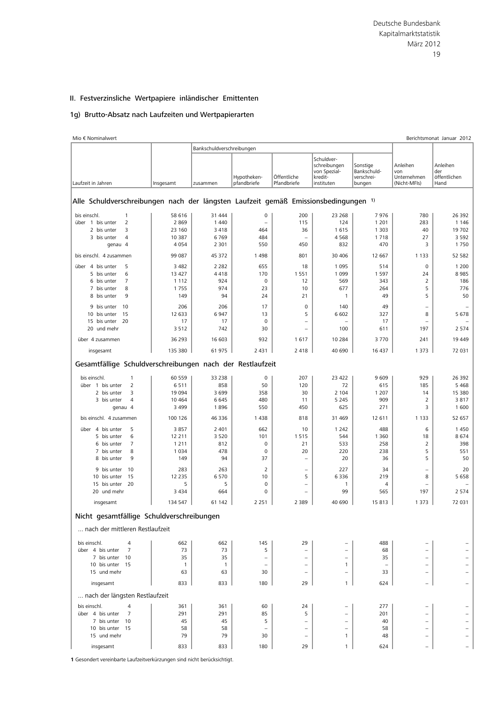#### 1g) Brutto-Absatz nach Laufzeiten und Wertpapierarten

| Mio € Nominalwert                                                                   |                    |                           |                               |                               |                                                                     |                                                 |                                                | Berichtsmonat Januar 2012               |
|-------------------------------------------------------------------------------------|--------------------|---------------------------|-------------------------------|-------------------------------|---------------------------------------------------------------------|-------------------------------------------------|------------------------------------------------|-----------------------------------------|
|                                                                                     |                    | Bankschuldverschreibungen |                               |                               |                                                                     |                                                 |                                                |                                         |
| Laufzeit in Jahren                                                                  | Insgesamt          | zusammen                  | Hypotheken-<br>pfandbriefe    | Öffentliche<br>Pfandbriefe    | Schuldver-<br>schreibungen<br>von Spezial-<br>kredit-<br>instituten | Sonstige<br>Bankschuld-<br>verschrei-<br>bungen | Anleihen<br>von<br>Unternehmen<br>(Nicht-MFIs) | Anleihen<br>der<br>öffentlichen<br>Hand |
| Alle Schuldverschreibungen nach der längsten Laufzeit gemäß Emissionsbedingungen 1) |                    |                           |                               |                               |                                                                     |                                                 |                                                |                                         |
|                                                                                     |                    |                           |                               |                               |                                                                     |                                                 |                                                |                                         |
| bis einschl.<br>$\mathbf{1}$<br>$\overline{2}$<br>über 1 bis unter                  | 58 616<br>2869     | 31 444<br>1 4 4 0         | 0<br>$\overline{\phantom{0}}$ | 200<br>115                    | 23 268<br>124                                                       | 7976<br>1 2 0 1                                 | 780<br>283                                     | 26 392<br>1 1 4 6                       |
| 3<br>2 bis unter                                                                    | 23 160             | 3 4 1 8                   | 464                           | 36                            | 1615                                                                | 1 3 0 3                                         | 40                                             | 19 702                                  |
| 3 bis unter<br>4                                                                    | 10 387             | 6769                      | 484                           |                               | 4568                                                                | 1718                                            | 27                                             | 3 5 9 2                                 |
| genau 4                                                                             | 4 0 5 4            | 2 3 0 1                   | 550                           | 450                           | 832                                                                 | 470                                             | 3                                              | 1750                                    |
| bis einschl. 4 zusammen                                                             | 99 087             | 45 372                    | 1498                          | 801                           | 30 40 6                                                             | 12 667                                          | 1 1 3 3                                        | 52 582                                  |
| 5<br>über 4 bis unter                                                               | 3 4 8 2            | 2 2 8 2                   | 655                           | 18                            | 1 0 9 5                                                             | 514                                             | $\mathbf 0$                                    | 1 200                                   |
| 6<br>5 bis unter                                                                    | 13 4 27            | 4418                      | 170                           | 1 5 5 1                       | 1 0 9 9                                                             | 1 5 9 7                                         | 24                                             | 8 9 8 5                                 |
| $\overline{7}$<br>6 bis unter                                                       | 1 1 1 2            | 924                       | 0                             | 12                            | 569                                                                 | 343                                             | 2                                              | 186                                     |
| 8<br>7 bis unter                                                                    | 1755               | 974                       | 23                            | 10                            | 677                                                                 | 264                                             | 5                                              | 776                                     |
| 9<br>8 bis unter                                                                    | 149                | 94                        | 24                            | 21                            | $\mathbf{1}$                                                        | 49                                              | 5                                              | 50                                      |
| 9 bis unter<br>10                                                                   | 206                | 206                       | 17                            | $\mathbf 0$                   | 140                                                                 | 49                                              | $\qquad \qquad -$                              |                                         |
| 15<br>10 bis unter                                                                  | 12 633             | 6947                      | 13                            | 5                             | 6 602                                                               | 327                                             | 8                                              | 5678                                    |
| 20<br>15 bis unter                                                                  | 17                 | 17                        | 0                             | $\overline{\phantom{0}}$      |                                                                     | 17                                              | L,                                             |                                         |
| 20 und mehr                                                                         | 3 5 1 2            | 742                       | 30                            | $\qquad \qquad -$             | 100                                                                 | 611                                             | 197                                            | 2 5 7 4                                 |
| über 4 zusammen                                                                     | 36 293<br>135 380  | 16 603<br>61 975          | 932<br>2 4 3 1                | 1617<br>2 4 1 8               | 10 2 8 4<br>40 690                                                  | 3770<br>16 437                                  | 241<br>1 3 7 3                                 | 19 449<br>72 031                        |
| insgesamt                                                                           |                    |                           |                               |                               |                                                                     |                                                 |                                                |                                         |
| Gesamtfällige Schuldverschreibungen nach der Restlaufzeit                           |                    |                           |                               |                               |                                                                     |                                                 |                                                |                                         |
| bis einschl.<br>1                                                                   | 60 559             | 33 238                    | 0                             | 207                           | 23 422                                                              | 9609                                            | 929                                            | 26 392                                  |
| $\overline{2}$<br>über 1 bis unter                                                  | 6511               | 858                       | 50                            | 120                           | 72                                                                  | 615                                             | 185                                            | 5 4 6 8                                 |
| 3<br>2 bis unter                                                                    | 19 094             | 3699                      | 358                           | 30                            | 2 104                                                               | 1 2 0 7                                         | 14                                             | 15 380                                  |
| 4<br>3 bis unter                                                                    | 10 4 64            | 6 6 4 5                   | 480                           | 11                            | 5 2 4 5                                                             | 909                                             | 2                                              | 3817                                    |
| genau 4                                                                             | 3 4 9 9            | 1896                      | 550                           | 450                           | 625                                                                 | 271                                             | 3                                              | 1 600                                   |
| bis einschl. 4 zusammen                                                             | 100 126            | 46 336                    | 1438                          | 818                           | 31 4 69                                                             | 12 611                                          | 1 1 3 3                                        | 52 657                                  |
| über 4 bis unter<br>5                                                               | 3857               | 2 4 0 1                   | 662                           | 10                            | 1 2 4 2                                                             | 488                                             | 6                                              | 1450                                    |
| 5 bis unter<br>6<br>$\overline{7}$                                                  | 12 211             | 3 5 2 0                   | 101                           | 1515                          | 544                                                                 | 1 3 6 0                                         | 18                                             | 8674                                    |
| 6 bis unter<br>8<br>7 bis unter                                                     | 1 2 1 1<br>1 0 3 4 | 812<br>478                | 0<br>0                        | 21<br>20                      | 533<br>220                                                          | 258<br>238                                      | $\overline{2}$<br>5                            | 398<br>551                              |
| 9<br>8 bis unter                                                                    | 149                | 94                        | 37                            | $\overline{\phantom{0}}$      | 20                                                                  | 36                                              | 5                                              | 50                                      |
|                                                                                     |                    |                           |                               |                               |                                                                     |                                                 |                                                |                                         |
| 9 bis unter<br>10<br>10 bis unter<br>15                                             | 283<br>12 2 3 5    | 263<br>6570               | $\overline{2}$<br>10          | $\overline{\phantom{0}}$<br>5 | 227<br>6336                                                         | 34<br>219                                       | $\overline{\phantom{0}}$<br>8                  | 20<br>5 6 5 8                           |
| 15 bis unter<br>20                                                                  | 5                  | 5                         | 0                             | $\overline{\phantom{m}}$      | $\mathbf{1}$                                                        | $\overline{4}$                                  | $\qquad \qquad -$                              |                                         |
| 20 und mehr                                                                         | 3 4 3 4            | 664                       | 0                             | $\overline{\phantom{0}}$      | 99                                                                  | 565                                             | 197                                            | 2 5 7 4                                 |
| insgesamt                                                                           | 134 547            | 61 142                    | 2 2 5 1                       | 2 3 8 9                       | 40 690                                                              | 15813                                           | 1 3 7 3                                        | 72 031                                  |
| Nicht gesamtfällige Schuldverschreibungen                                           |                    |                           |                               |                               |                                                                     |                                                 |                                                |                                         |
| nach der mittleren Restlaufzeit                                                     |                    |                           |                               |                               |                                                                     |                                                 |                                                |                                         |
| bis einschl.<br>4                                                                   | 662                | 662                       | 145                           | 29                            |                                                                     | 488                                             |                                                |                                         |
| über 4 bis unter<br>$\overline{7}$                                                  | 73                 | 73                        | 5                             | $\qquad \qquad -$             | $\overline{\phantom{0}}$                                            | 68                                              |                                                |                                         |
| 7 bis unter<br>10                                                                   | 35                 | 35                        | $\overline{\phantom{0}}$      | $\overline{\phantom{0}}$      | $\overline{\phantom{a}}$                                            | 35                                              | $\overline{\phantom{0}}$                       |                                         |
| 10 bis unter 15                                                                     | $\mathbf{1}$       | $\mathbf{1}$              | $\overline{\phantom{0}}$      | $\overline{\phantom{0}}$      | $\mathbf{1}$                                                        | $\overline{\phantom{0}}$                        | $\overline{\phantom{0}}$                       |                                         |
| 15 und mehr                                                                         | 63                 | 63                        | 30                            | $\overline{\phantom{0}}$      | $\qquad \qquad -$                                                   | 33                                              | $\qquad \qquad -$                              |                                         |
| insgesamt                                                                           | 833                | 833                       | 180                           | 29                            | $\mathbf{1}$                                                        | 624                                             |                                                |                                         |
| nach der längsten Restlaufzeit                                                      |                    |                           |                               |                               |                                                                     |                                                 |                                                |                                         |
| 4<br>bis einschl.                                                                   | 361                | 361                       | 60                            | 24                            |                                                                     | 277                                             |                                                |                                         |
| $\overline{7}$<br>über 4 bis unter                                                  | 291                | 291                       | 85                            | 5                             | $\qquad \qquad -$                                                   | 201                                             |                                                |                                         |
| 7 bis unter<br>10                                                                   | 45                 | 45                        | 5                             | $\qquad \qquad -$             | $\equiv$                                                            | 40                                              | $\overline{\phantom{0}}$                       |                                         |
| 10 bis unter 15                                                                     | 58                 | 58                        | $\overline{\phantom{0}}$      | $\overline{\phantom{0}}$      | $\overline{\phantom{m}}$                                            | 58                                              | $\equiv$                                       |                                         |
| 15 und mehr                                                                         | 79                 | 79                        | 30                            | $\overline{\phantom{0}}$      | $\mathbf{1}$                                                        | 48                                              | -                                              |                                         |
| insgesamt                                                                           | 833                | 833                       | 180                           | 29                            | $\mathbf{1}$                                                        | 624                                             | $\overline{\phantom{0}}$                       |                                         |

**1** Gesondert vereinbarte Laufzeitverkürzungen sind nicht berücksichtigt.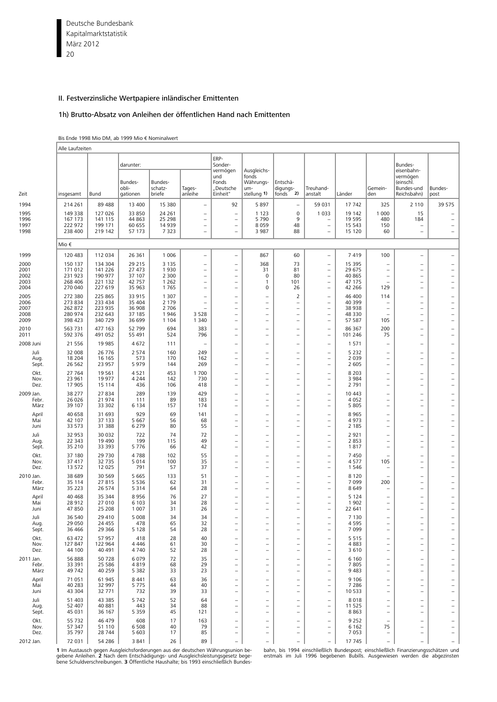Deutsche Bundesbank 20 Kapitalmarktstatistik März 2012

### II. Festverzinsliche Wertpapiere inländischer Emittenten

# [1h\) Brutto-Absatz von Anleihen der öffentlichen Hand nach Emittenten](#page-8-1)

Bis Ende 1998 Mio DM, ab 1999 Mio € Nominalwert

|                                              | Alle Laufzeiten                                                |                                                                |                                                          |                                                          |                                                                                                                   |                                                                                                                                                      |                                                                                  |                                                                    |                                                                                                  |                                                         |                                                                                  |                                                                                                                                        |                                                                                  |
|----------------------------------------------|----------------------------------------------------------------|----------------------------------------------------------------|----------------------------------------------------------|----------------------------------------------------------|-------------------------------------------------------------------------------------------------------------------|------------------------------------------------------------------------------------------------------------------------------------------------------|----------------------------------------------------------------------------------|--------------------------------------------------------------------|--------------------------------------------------------------------------------------------------|---------------------------------------------------------|----------------------------------------------------------------------------------|----------------------------------------------------------------------------------------------------------------------------------------|----------------------------------------------------------------------------------|
|                                              |                                                                |                                                                | darunter:                                                |                                                          |                                                                                                                   | ERP-<br>Sonder-<br>vermögen<br>und                                                                                                                   | Ausgleichs-<br>fonds                                                             |                                                                    |                                                                                                  |                                                         |                                                                                  | Bundes-<br>eisenbahn-<br>vermögen                                                                                                      |                                                                                  |
| Zeit                                         | insgesamt                                                      | Bund                                                           | Bundes-<br>obli-<br>gationen                             | Bundes-<br>schatz-<br>briefe                             | Tages-<br>anleihe                                                                                                 | Fonds<br>"Deutsche<br>Einheit"                                                                                                                       | Währungs-<br>um-<br>stellung 1)                                                  | Entschä-<br>digungs-<br>fonds $2)$                                 | Treuhand-<br>anstalt                                                                             | Länder                                                  | Gemein-<br>den                                                                   | (einschl.<br>Bundes-und<br>Reichsbahn)                                                                                                 | Bundes-<br>post                                                                  |
| 1994                                         | 214 261                                                        | 89 4 88                                                        | 13 400                                                   | 15 380                                                   | $\overline{\phantom{0}}$                                                                                          | 92                                                                                                                                                   | 5897                                                                             | $\qquad \qquad -$                                                  | 59 031                                                                                           | 17 742                                                  | 325                                                                              | 2 1 1 0                                                                                                                                | 39 575                                                                           |
| 1995<br>1996<br>1997                         | 149 338<br>167 173<br>222 972                                  | 127 026<br>141 115<br>199 171                                  | 33 850<br>44 863<br>60 655                               | 24 261<br>25 298<br>14 9 39                              | $\overline{\phantom{0}}$<br>$\equiv$<br>$\overline{\phantom{0}}$                                                  | $\overline{\phantom{0}}$<br>$\overline{\phantom{0}}$<br>$\overline{\phantom{0}}$                                                                     | 1 1 2 3<br>5790<br>8059                                                          | $\mathbf 0$<br>9<br>48                                             | 1 0 3 3<br>-<br>$\overline{\phantom{0}}$                                                         | 19 142<br>19 5 95<br>15 5 43                            | 1 000<br>480<br>150                                                              | 15<br>184<br>-                                                                                                                         |                                                                                  |
| 1998                                         | 238 400                                                        | 219 142                                                        | 57 173                                                   | 7 3 2 3                                                  |                                                                                                                   | $\overline{\phantom{0}}$                                                                                                                             | 3 9 8 7                                                                          | 88                                                                 | L,                                                                                               | 15 120                                                  | 60                                                                               | $\equiv$                                                                                                                               | $\overline{\phantom{0}}$                                                         |
|                                              | Mio €                                                          |                                                                |                                                          |                                                          |                                                                                                                   |                                                                                                                                                      |                                                                                  |                                                                    |                                                                                                  |                                                         |                                                                                  |                                                                                                                                        |                                                                                  |
| 1999<br>2000<br>2001<br>2002<br>2003<br>2004 | 120 483<br>150 137<br>171 012<br>231 923<br>268 406<br>270 040 | 112 034<br>134 304<br>141 226<br>190 977<br>221 132<br>227 619 | 26 361<br>29 215<br>27 473<br>37 107<br>42 757<br>35 963 | 1 0 0 6<br>3 1 3 5<br>1930<br>2 3 0 0<br>1 2 6 2<br>1765 | $\overline{\phantom{m}}$<br>$\overline{\phantom{0}}$<br>$\qquad \qquad -$<br>$\overline{\phantom{0}}$<br>$\equiv$ | $\equiv$<br>$\overline{\phantom{0}}$<br>$\overline{\phantom{0}}$<br>$\overline{\phantom{0}}$<br>$\overline{\phantom{0}}$<br>$\overline{\phantom{0}}$ | 867<br>368<br>31<br>0<br>1<br>0                                                  | 60<br>73<br>81<br>80<br>101<br>26                                  | $\overline{\phantom{a}}$<br>-<br>$\overline{\phantom{0}}$<br>-<br>$\overline{\phantom{0}}$<br>L, | 7419<br>15 3 95<br>29 675<br>40 865<br>47 175<br>42 266 | 100<br>۰<br>۰<br>$\overline{\phantom{0}}$<br>129                                 | $\qquad \qquad -$<br>-<br>$\overline{\phantom{0}}$<br>$\overline{\phantom{0}}$<br>$\overline{\phantom{0}}$<br>$\overline{\phantom{0}}$ | $\overline{\phantom{0}}$<br>$\qquad \qquad -$<br>$\qquad \qquad -$<br>L,         |
| 2005<br>2006                                 | 272 380<br>273 834                                             | 225 865<br>233 434                                             | 33 915<br>35 404                                         | 1 3 0 7<br>2 1 7 9                                       | $\qquad \qquad$<br>$\qquad \qquad -$                                                                              | $\overline{\phantom{0}}$<br>$\overline{\phantom{0}}$                                                                                                 | $\overline{\phantom{0}}$<br>$\overline{\phantom{0}}$                             | $\overline{2}$<br>L,                                               | $\overline{\phantom{0}}$<br>$\overline{\phantom{0}}$                                             | 46 400<br>40 399                                        | 114                                                                              | $\overline{\phantom{0}}$<br>$\overline{a}$                                                                                             | $\overline{\phantom{0}}$<br>$\qquad \qquad -$                                    |
| 2007<br>2008<br>2009                         | 262 872<br>280 974<br>398 423                                  | 223 935<br>232 643<br>340 729                                  | 36 908<br>37 185<br>36 699                               | 2 7 0 6<br>1946<br>1 1 0 4                               | 3 5 2 8<br>1 3 4 0                                                                                                | $\overline{\phantom{0}}$<br>$\overline{\phantom{0}}$<br>$\overline{\phantom{0}}$                                                                     | $\overline{\phantom{0}}$<br>$\overline{\phantom{0}}$<br>$\overline{\phantom{0}}$ | $\equiv$<br>$\overline{\phantom{0}}$<br>L,                         | -<br>$\overline{\phantom{0}}$<br>$\overline{\phantom{0}}$                                        | 38 938<br>48 330<br>57 587                              | $\qquad \qquad -$<br>105                                                         | -<br>$\overline{\phantom{0}}$                                                                                                          | $\overline{\phantom{0}}$<br>$\qquad \qquad -$<br>$\overline{\phantom{0}}$        |
| 2010<br>2011                                 | 563 731<br>592 376                                             | 477 163<br>491 052                                             | 52799<br>55 491                                          | 694<br>524                                               | 383<br>796                                                                                                        | $\overline{\phantom{0}}$<br>$\overline{\phantom{0}}$                                                                                                 | $\overline{\phantom{0}}$<br>$\overline{\phantom{0}}$                             | $\overline{\phantom{0}}$<br>L,                                     | $\overline{\phantom{0}}$<br>$\overline{\phantom{0}}$                                             | 86 367<br>101 246                                       | 200<br>75                                                                        | $\overline{\phantom{0}}$                                                                                                               | $\overline{\phantom{0}}$<br>$\overline{\phantom{0}}$                             |
| 2008 Juni                                    | 21 556                                                         | 19 985                                                         | 4672                                                     | 111                                                      | $\overline{\phantom{a}}$                                                                                          | $\qquad \qquad -$                                                                                                                                    | $\overline{\phantom{0}}$                                                         | $\overline{\phantom{0}}$                                           | $\overline{\phantom{0}}$                                                                         | 1571                                                    | ۰                                                                                | $\overline{\phantom{0}}$                                                                                                               | $\overline{\phantom{0}}$                                                         |
| Juli<br>Aug.<br>Sept.                        | 32 008<br>18 204<br>26 5 62                                    | 26 776<br>16 165<br>23 957                                     | 2 5 7 4<br>573<br>5979                                   | 160<br>170<br>144                                        | 249<br>162<br>269                                                                                                 | $\qquad \qquad -$<br>$\equiv$                                                                                                                        | $\overline{\phantom{0}}$<br>$\overline{\phantom{0}}$                             | $\equiv$<br>$\equiv$                                               | $\overline{\phantom{0}}$<br>$\overline{\phantom{0}}$                                             | 5 2 3 2<br>2 0 3 9<br>2 6 0 5                           | $\overline{\phantom{0}}$<br>$\overline{\phantom{a}}$                             | $\overline{\phantom{0}}$<br>$\overline{\phantom{0}}$<br>$\overline{\phantom{0}}$                                                       | $\qquad \qquad -$                                                                |
| Okt.<br>Nov.<br>Dez.                         | 27 764<br>23 961<br>17 905                                     | 19 5 61<br>19 977<br>15 114                                    | 4521<br>4 2 4 4<br>436                                   | 453<br>142<br>106                                        | 1 700<br>730<br>418                                                                                               | $\qquad \qquad -$<br>$\equiv$<br>$\overline{\phantom{0}}$                                                                                            | $\overline{\phantom{0}}$<br>$\overline{\phantom{0}}$<br>$\overline{\phantom{0}}$ | $\overline{\phantom{0}}$<br>$\equiv$<br>$\overline{\phantom{0}}$   | $\overline{\phantom{0}}$<br>$\overline{\phantom{0}}$<br>$\overline{\phantom{0}}$                 | 8 2 0 3<br>3 9 8 4<br>2791                              | $\overline{\phantom{a}}$<br>$\overline{\phantom{0}}$<br>÷                        | $\overline{\phantom{0}}$<br>$\overline{\phantom{0}}$<br>L,                                                                             | $\qquad \qquad -$<br>$\qquad \qquad -$<br>$\overline{\phantom{0}}$               |
| 2009 Jan.<br>Febr.<br>März                   | 38 277<br>26 0 26<br>39 107                                    | 27 834<br>21 974<br>33 302                                     | 289<br>111<br>6 1 3 4                                    | 139<br>89<br>157                                         | 429<br>183<br>174                                                                                                 | $\overline{\phantom{0}}$<br>L,<br>$\overline{\phantom{0}}$                                                                                           | $\overline{\phantom{0}}$<br>$\overline{\phantom{0}}$                             | $\overline{\phantom{0}}$<br>$\overline{\phantom{0}}$<br>$\equiv$   | $\overline{\phantom{0}}$<br>L,<br>$\overline{\phantom{0}}$                                       | 10 443<br>4 0 5 2<br>5 8 0 5                            | $\overline{\phantom{0}}$<br>÷<br>$\overline{\phantom{a}}$                        | $\overline{\phantom{0}}$<br>$\overline{\phantom{0}}$<br>$\overline{\phantom{0}}$                                                       | $\overline{\phantom{0}}$<br>$\overline{\phantom{0}}$<br>$\overline{\phantom{0}}$ |
| April<br>Mai<br>Juni                         | 40 658<br>42 107<br>33 573                                     | 31 693<br>37 133<br>31 388                                     | 929<br>5 6 6 7<br>6 2 7 9                                | 69<br>56<br>80                                           | 141<br>68<br>55                                                                                                   | $\equiv$<br>$\overline{\phantom{0}}$<br>$\qquad \qquad -$                                                                                            | $\overline{\phantom{0}}$<br>$\equiv$<br>$\overline{\phantom{0}}$                 | $\equiv$<br>L,<br>$\equiv$                                         | $\overline{\phantom{0}}$<br>$\overline{\phantom{0}}$<br>$\overline{\phantom{0}}$                 | 8965<br>4973<br>2 1 8 5                                 | $\overline{\phantom{a}}$<br>$\overline{\phantom{a}}$<br>$\overline{\phantom{a}}$ | $\overline{\phantom{0}}$<br>L,<br>$\overline{\phantom{0}}$                                                                             | $\overline{\phantom{a}}$<br>$\overline{\phantom{0}}$<br>$\overline{\phantom{0}}$ |
| Juli<br>Aug.<br>Sept.                        | 32 953<br>22 343<br>35 210                                     | 30 0 32<br>19 4 9 0<br>33 393                                  | 722<br>199<br>5776                                       | 74<br>115<br>66                                          | 72<br>49<br>42                                                                                                    | $\qquad \qquad -$<br>$\overline{\phantom{0}}$<br>$\equiv$                                                                                            | $\overline{\phantom{0}}$<br>$\overline{\phantom{0}}$<br>$\rightarrow$            | $\overline{\phantom{0}}$<br>$\overline{\phantom{0}}$<br>$\equiv$   | $\overline{\phantom{0}}$<br>÷,<br>$\overline{\phantom{0}}$                                       | 2 9 2 1<br>2 8 5 3<br>1817                              | $\overline{\phantom{a}}$<br>L,<br>$\overline{\phantom{a}}$                       | $\overline{\phantom{0}}$<br>$\overline{\phantom{0}}$<br>$\overline{\phantom{0}}$                                                       | $\overline{\phantom{0}}$<br>$\overline{\phantom{0}}$<br>÷                        |
| Okt.<br>Nov.<br>Dez.                         | 37 180<br>37 417<br>13 572                                     | 29 7 30<br>32 7 35<br>12 0 25                                  | 4788<br>5 0 1 4<br>791                                   | 102<br>100<br>57                                         | 55<br>35<br>37                                                                                                    | $\qquad \qquad -$<br>$\qquad \qquad$<br>$\overline{\phantom{0}}$                                                                                     | $\overline{\phantom{0}}$<br>$\overline{\phantom{0}}$<br>$\overline{\phantom{0}}$ | $\equiv$<br>$\equiv$                                               | -<br>$\overline{\phantom{0}}$<br>$\qquad \qquad -$                                               | 7 4 5 0<br>4577<br>1 5 4 6                              | 105                                                                              | $\overline{\phantom{0}}$<br>$\overline{\phantom{0}}$<br>$\overline{\phantom{0}}$                                                       | $\overline{\phantom{0}}$<br>$\overline{\phantom{0}}$<br>$\overline{\phantom{0}}$ |
| 2010 Jan.<br>Febr.<br>März                   | 38 689<br>35 114<br>35 223                                     | 30 569<br>27 815<br>26 574                                     | 5 6 6 5<br>5 5 3 6<br>5 3 1 4                            | 133<br>62<br>64                                          | 51<br>31<br>28                                                                                                    | $\overline{\phantom{0}}$<br>$\overline{\phantom{0}}$<br>$\overline{\phantom{0}}$                                                                     | $\overline{\phantom{0}}$<br>$\overline{\phantom{0}}$                             | $\qquad \qquad -$<br>$\overline{\phantom{0}}$<br>$\equiv$          | $\overline{\phantom{0}}$<br>$\overline{\phantom{0}}$<br>$\overline{\phantom{0}}$                 | 8 1 2 0<br>7 0 9 9<br>8649                              | 200                                                                              | $\overline{\phantom{0}}$<br>$\overline{\phantom{0}}$<br>$\overline{\phantom{0}}$                                                       | $\overline{\phantom{0}}$<br>Ĭ.<br>$\overline{\phantom{0}}$                       |
| April<br>Mai<br>Juni                         | 40 468<br>28 912<br>47850                                      | 35 344<br>27 010<br>25 208                                     | 8956<br>6 1 0 3<br>1 0 0 7                               | 76<br>34<br>31                                           | 27<br>28<br>26                                                                                                    | -<br>$\overline{\phantom{0}}$<br>$\overline{\phantom{0}}$                                                                                            | $\overline{\phantom{0}}$<br>$\overline{\phantom{0}}$<br>$\equiv$                 | $\overline{\phantom{0}}$                                           | $\overline{\phantom{0}}$<br>$\overline{\phantom{0}}$                                             | 5 1 2 4<br>1 9 0 2<br>22 641                            | $\overline{\phantom{a}}$<br>$\overline{\phantom{m}}$                             | ۳<br>$\overline{\phantom{0}}$<br>$\overline{\phantom{0}}$                                                                              | $\overline{\phantom{0}}$<br>$\overline{\phantom{0}}$<br>L,                       |
| Juli<br>Aug.<br>Sept.                        | 36 540<br>29 050<br>36 4 66                                    | 29 410<br>24 4 55<br>29 3 66                                   | 5 0 0 8<br>478<br>5 1 2 8                                | 34<br>65<br>54                                           | 34<br>32<br>28                                                                                                    | $\qquad \qquad -$                                                                                                                                    | $\qquad \qquad -$                                                                | $\qquad \qquad -$                                                  |                                                                                                  | 7 1 3 0<br>4595<br>7 0 9 9                              | $\overline{\phantom{a}}$                                                         | -                                                                                                                                      |                                                                                  |
| Okt.<br>Nov.<br>Dez.                         | 63 472<br>127 847<br>44 100                                    | 57 957<br>122 964<br>40 491                                    | 418<br>4 4 4 6<br>4 7 4 0                                | 28<br>61<br>52                                           | 40<br>30<br>28                                                                                                    | $\overline{\phantom{0}}$<br>-<br>$\overline{\phantom{0}}$                                                                                            | $\qquad \qquad -$<br>$\overline{\phantom{0}}$<br>$\overline{\phantom{0}}$        | $\qquad \qquad -$<br>$\overline{\phantom{0}}$<br>$\qquad \qquad -$ | $\qquad \qquad -$                                                                                | 5515<br>4883<br>3610                                    | $\overline{\phantom{a}}$<br>$\overline{\phantom{a}}$<br>$\overline{\phantom{a}}$ | -<br>$\qquad \qquad -$<br>$\overline{\phantom{a}}$                                                                                     | $\qquad \qquad -$<br>$\overline{\phantom{0}}$                                    |
| 2011 Jan.<br>Febr.<br>März                   | 56 888<br>33 391<br>49 742                                     | 50728<br>25 5 86<br>40 25 9                                    | 6079<br>4819<br>5 3 8 2                                  | 72<br>68<br>33                                           | 35<br>29<br>23                                                                                                    | $\qquad \qquad -$<br>-<br>$\qquad \qquad -$                                                                                                          | $\overline{\phantom{0}}$<br>$\qquad \qquad -$<br>$\qquad \qquad -$               | $\qquad \qquad -$<br>$\qquad \qquad -$<br>$\equiv$                 | ÷<br>$\qquad \qquad -$                                                                           | 6 1 6 0<br>7805<br>9 4 8 3                              | $\overline{\phantom{m}}$<br>$\overline{\phantom{0}}$<br>$\overline{\phantom{a}}$ | $\overline{\phantom{a}}$<br>$\overline{\phantom{0}}$<br>$\qquad \qquad -$                                                              | $\overline{\phantom{0}}$                                                         |
| April<br>Mai<br>Juni                         | 71 051<br>40 283<br>43 304                                     | 61 945<br>32 997<br>32 771                                     | 8 4 4 1<br>5775<br>732                                   | 63<br>44<br>39                                           | 36<br>40<br>33                                                                                                    | $\qquad \qquad -$<br>$\overline{\phantom{0}}$<br>$\qquad \qquad -$                                                                                   | $\overline{\phantom{0}}$<br>$\qquad \qquad -$<br>$\qquad \qquad -$               | $\qquad \qquad -$<br>$\equiv$<br>$\overline{\phantom{0}}$          | -<br>$\qquad \qquad -$<br>$\overline{\phantom{a}}$                                               | 9 1 0 6<br>7 2 8 6<br>10 533                            | $\overline{\phantom{a}}$<br>$\overline{\phantom{0}}$<br>$\overline{\phantom{a}}$ | $\qquad \qquad -$<br>$\overline{\phantom{a}}$<br>$\overline{\phantom{0}}$                                                              | $\overline{a}$<br>$\overline{\phantom{a}}$                                       |
| Juli<br>Aug.<br>Sept.                        | 51 403<br>52 407<br>45 031                                     | 43 385<br>40 881<br>36 167                                     | 5742<br>443<br>5 3 5 9                                   | 52<br>34<br>45                                           | 64<br>88<br>121                                                                                                   | $\overline{\phantom{0}}$<br>$\overline{\phantom{0}}$<br>$\overline{\phantom{0}}$                                                                     | $\qquad \qquad -$<br>$\qquad \qquad -$<br>$\equiv$                               | $\qquad \qquad -$<br>$\overline{\phantom{0}}$<br>$\equiv$          | $\overline{\phantom{0}}$<br>$\qquad \qquad -$                                                    | 8018<br>11 525<br>8863                                  | $\overline{\phantom{a}}$<br>$\overline{\phantom{0}}$<br>$\overline{\phantom{a}}$ | $\overline{\phantom{a}}$<br>$\overline{\phantom{0}}$<br>$\overline{\phantom{0}}$                                                       | ÷,<br>$\overline{\phantom{0}}$                                                   |
| Okt.<br>Nov.<br>Dez.                         | 55 732<br>57 347<br>35 797                                     | 46 479<br>51 110<br>28 744                                     | 608<br>6 5 0 8<br>5 6 0 3                                | 17<br>40<br>17                                           | 163<br>79<br>85                                                                                                   | $\overline{\phantom{0}}$<br>$\overline{\phantom{0}}$<br>$\overline{\phantom{0}}$                                                                     | $\qquad \qquad -$<br>$\qquad \qquad -$<br>$\overline{\phantom{0}}$               | $\equiv$<br>$\equiv$<br>$\overline{\phantom{0}}$                   | $\qquad \qquad -$<br>$\qquad \qquad -$<br>$\qquad \qquad -$                                      | 9 2 5 2<br>6 1 6 2<br>7 0 5 3                           | $\sim$<br>75                                                                     | -<br>$\overline{\phantom{a}}$<br>$\qquad \qquad -$                                                                                     | $\overline{a}$<br>$\overline{\phantom{0}}$                                       |
| 2012 Jan.                                    | 72 031                                                         | 54 286                                                         | 3841                                                     | 26                                                       | 89                                                                                                                |                                                                                                                                                      | $\qquad \qquad -$                                                                | $\qquad \qquad -$                                                  | $\qquad \qquad -$                                                                                | 17 745                                                  | $\qquad \qquad -$                                                                | $\qquad \qquad -$                                                                                                                      | $\overline{\phantom{0}}$                                                         |

1 Im Austausch gegen Ausgleichsforderungen aus der deutschen Währungsunion begebene Anleihen. 2 Nach dem Entschädigungs- und Ausgleichsleistungsgesetz begebene Schuldverschreibungen. 3 Öffentliche Haushalte; bis 1993 einsc

**1** Im Austausch gegen Ausgleichsforderungen aus der deutschen Währungsunion be- bahn, bis 1994 einschließlich Bundespost; einschließlich Finanzierungsschätzen und<br>gebene Anleihen. **2** Nach dem Entschädigungs- und Ausgleic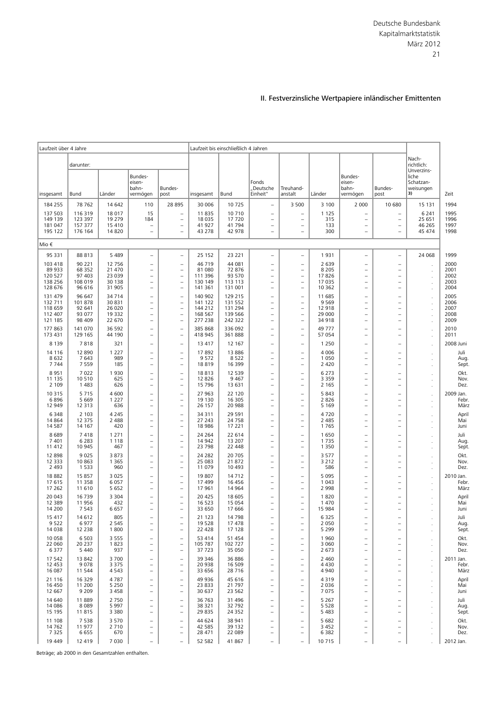| Laufzeit über 4 Jahre |                    |                    |                                                      |                                                      | Laufzeit bis einschließlich 4 Jahren |                    |                                                      |                                                      |                    |                                                      |                                                      |                                                                            |               |
|-----------------------|--------------------|--------------------|------------------------------------------------------|------------------------------------------------------|--------------------------------------|--------------------|------------------------------------------------------|------------------------------------------------------|--------------------|------------------------------------------------------|------------------------------------------------------|----------------------------------------------------------------------------|---------------|
| insgesamt             | darunter:<br>Bund  | Länder             | Bundes-<br>eisen-<br>bahn-<br>vermögen               | Bundes-<br>post                                      | insgesamt                            | Bund               | Fonds<br>"Deutsche<br>Einheit"                       | Treuhand-<br>anstalt                                 | Länder             | Bundes-<br>eisen-<br>bahn-<br>vermögen               | Bundes-<br>post                                      | Nach-<br>richtlich:<br>Unverzins-<br>liche<br>Schatzan-<br>weisungen<br>3) | Zeit          |
| 184 255               | 78762              | 14 642             | 110                                                  | 28 895                                               | 30 006                               | 10725              | $\overline{\phantom{m}}$                             | 3 500                                                | 3 1 0 0            | 2 0 0 0                                              | 10 680                                               | 15 131                                                                     | 1994          |
| 137 503               | 116 319            | 18 017             | 15                                                   | $\qquad \qquad -$                                    | 11835                                | 10 710             | $\overline{\phantom{a}}$                             | $\qquad \qquad -$                                    | 1 1 2 5            | $\qquad \qquad -$                                    | $\qquad \qquad -$                                    | 6 2 4 1                                                                    | 1995          |
| 149 139               | 123 397            | 19 279             | 184                                                  | $\overline{\phantom{0}}$                             | 18 0 35                              | 17720              | $\qquad \qquad -$                                    | $\overline{\phantom{a}}$                             | 315                | $\overline{\phantom{0}}$                             | $\qquad \qquad -$                                    | 25 651                                                                     | 1996          |
| 181 047               | 157 377            | 15 410             | $\overline{\phantom{a}}$<br>$\overline{a}$           | $\qquad \qquad -$<br>L.                              | 41 927<br>43 278                     | 41 794<br>42 978   | $\qquad \qquad -$<br>$\equiv$                        | $\qquad \qquad -$<br>$\equiv$                        | 133                | $\qquad \qquad -$<br>L.                              | $\qquad \qquad -$<br>L.                              | 46 265                                                                     | 1997<br>1998  |
| 195 122               | 176 164            | 14 8 20            |                                                      |                                                      |                                      |                    |                                                      |                                                      | 300                |                                                      |                                                      | 45 474                                                                     |               |
| Mio €                 |                    |                    |                                                      |                                                      |                                      |                    |                                                      |                                                      |                    |                                                      |                                                      |                                                                            |               |
| 95 331                | 88 813             | 5 4 8 9            | $\overline{\phantom{0}}$                             | $\equiv$                                             | 25 152                               | 23 221             | $\overline{\phantom{a}}$                             | $\overline{\phantom{a}}$                             | 1931               | $\overline{\phantom{0}}$                             | $\equiv$                                             | 24 068                                                                     | 1999          |
| 103 418<br>89 933     | 90 221<br>68 352   | 12 756<br>21 470   | $\overline{\phantom{0}}$<br>$\overline{\phantom{0}}$ | $\overline{\phantom{a}}$<br>L,                       | 46 719<br>81 080                     | 44 081<br>72 876   | $\overline{\phantom{a}}$<br>$\equiv$                 | $\overline{\phantom{a}}$<br>$\overline{\phantom{a}}$ | 2 6 3 9<br>8 2 0 5 | $\overline{\phantom{0}}$<br>L,                       | $\qquad \qquad -$<br>$\overline{\phantom{0}}$        | $\cdot$                                                                    | 2000<br>2001  |
| 120 527               | 97 403             | 23 0 39            | $\overline{a}$                                       | $\overline{\phantom{m}}$                             | 111 396                              | 93 570             | $\overline{\phantom{m}}$                             | $\overline{\phantom{m}}$                             | 17826              | $\overline{\phantom{0}}$                             | $\overline{\phantom{0}}$                             | $\cdot$                                                                    | 2002          |
| 138 256               | 108 019            | 30 138             | $\overline{a}$                                       | $\overline{\phantom{0}}$                             | 130 149                              | 113 113            | $\qquad \qquad -$                                    | $\overline{\phantom{m}}$                             | 17 035             | $\overline{\phantom{0}}$                             | $\qquad \qquad -$                                    | $\cdot$                                                                    | 2003          |
| 128 676               | 96 616             | 31 905             | $\overline{\phantom{0}}$                             | $\equiv$                                             | 141 361                              | 131 001            | $\equiv$                                             | $\overline{\phantom{a}}$                             | 10 362             | $\equiv$                                             | $\overline{\phantom{0}}$                             |                                                                            | 2004          |
| 131 479<br>132 711    | 96 647<br>101878   | 34 714<br>30 831   | $\rightarrow$<br>$\overline{\phantom{0}}$            | $\qquad \qquad -$<br>$\frac{1}{2}$                   | 140 902<br>141 122                   | 129 215<br>131 552 | $\overline{\phantom{0}}$<br>$\equiv$                 | $\overline{\phantom{m}}$<br>$\overline{\phantom{a}}$ | 11 685<br>9 5 6 9  | $\equiv$<br>$\equiv$                                 | $\overline{\phantom{0}}$<br>$\overline{\phantom{0}}$ | $\ddot{\phantom{a}}$                                                       | 2005<br>2006  |
| 118 659               | 92 641             | 26 0 20            | $\overline{a}$                                       | $\overline{a}$                                       | 144 212                              | 131 294            | $\qquad \qquad -$                                    | $\overline{\phantom{m}}$                             | 12 918             | $\overline{\phantom{0}}$                             | $\qquad \qquad -$                                    | $\ddot{\phantom{0}}$<br>$\cdot$                                            | 2007          |
| 112 407               | 93 077             | 19 3 32            | L.                                                   | $\equiv$                                             | 168 567                              | 139 566            | $\equiv$                                             | $\overline{\phantom{a}}$                             | 29 000             | $\equiv$                                             | $\overline{\phantom{0}}$                             | $\cdot$                                                                    | 2008          |
| 121 185               | 98 409             | 22 670             | $\overline{\phantom{0}}$                             | $\equiv$                                             | 277 238                              | 242 322            | $\overline{\phantom{a}}$                             | $\overline{\phantom{a}}$                             | 34 918             | $\equiv$                                             | $\overline{\phantom{0}}$                             | $\cdot$                                                                    | 2009          |
| 177 863<br>173 431    | 141 070<br>129 165 | 36 592<br>44 190   | $\overline{\phantom{0}}$<br>$\overline{\phantom{0}}$ | $\equiv$<br>L,                                       | 385 868<br>418 945                   | 336 092<br>361888  | $\overline{\phantom{a}}$<br>$\overline{\phantom{a}}$ | $\overline{\phantom{a}}$<br>$\overline{\phantom{a}}$ | 49 777<br>57 054   | $\overline{\phantom{0}}$<br>$\equiv$                 | $\overline{\phantom{0}}$<br>÷                        | $\cdot$<br>$\cdot$                                                         | 2010<br>2011  |
| 8 1 3 9               | 7818               | 321                | $\overline{\phantom{0}}$                             | $\equiv$                                             | 13 417                               | 12 167             | $\overline{\phantom{a}}$                             | $\overline{\phantom{a}}$                             | 1 2 5 0            | $\equiv$                                             | $\equiv$                                             | $\cdot$                                                                    | 2008 Juni     |
| 14 1 16               | 12 890             | 1 2 2 7            | $\overline{\phantom{0}}$                             | $\overline{\phantom{a}}$                             | 17892                                | 13 8 86            | $\overline{\phantom{a}}$                             | $\qquad \qquad -$                                    | 4 0 0 6            | $\qquad \qquad -$                                    | $\overline{\phantom{0}}$                             | $\cdot$                                                                    | Juli          |
| 8632                  | 7 6 4 3            | 989                | $\overline{\phantom{0}}$                             | $\overline{\phantom{m}}$                             | 9572                                 | 8 5 2 2            | $\overline{\phantom{m}}$                             | $\overline{\phantom{m}}$                             | 1 0 5 0            | $\overline{\phantom{0}}$                             | $\overline{\phantom{0}}$                             | $\ddot{\phantom{0}}$                                                       | Aug.          |
| 7744                  | 7 5 5 9            | 185                | $\overline{\phantom{0}}$                             | $\overline{\phantom{0}}$                             | 18819                                | 16 399             | $\overline{\phantom{a}}$                             | $\overline{\phantom{a}}$                             | 2 4 2 0            | $\equiv$                                             | $\qquad \qquad -$                                    | $\ddot{\phantom{0}}$                                                       | Sept          |
| 8951                  | 7022               | 1930               | $\overline{\phantom{0}}$                             | $\overline{\phantom{a}}$                             | 18813                                | 12 539             | $\overline{\phantom{a}}$                             | $\overline{\phantom{a}}$                             | 6 2 7 3            | $\qquad \qquad -$                                    | $\qquad \qquad -$                                    | $\cdot$                                                                    | Okt.          |
| 11 135<br>2 1 0 9     | 10510<br>1483      | 625<br>626         | $\overline{\phantom{a}}$<br>$\overline{\phantom{0}}$ | $\overline{\phantom{0}}$<br>$\overline{\phantom{a}}$ | 12 8 26<br>15 796                    | 9 4 6 7<br>13 631  | $\overline{\phantom{a}}$<br>$\equiv$                 | $\overline{\phantom{a}}$<br>$\overline{\phantom{a}}$ | 3 3 5 9<br>2 1 6 5 | $\equiv$<br>$\equiv$                                 | $\overline{\phantom{a}}$<br>$\equiv$                 | $\epsilon$<br>$\cdot$                                                      | Nov.<br>Dez.  |
| 10 315                | 5715               | 4600               | $\overline{\phantom{0}}$                             | $\qquad \qquad -$                                    | 27 963                               | 22 1 20            | $\overline{\phantom{a}}$                             | $\overline{\phantom{a}}$                             | 5843               | ÷,                                                   | ÷,                                                   |                                                                            | 2009 Jan.     |
| 6896                  | 5 6 6 9            | 1 2 2 7            | $\overline{\phantom{0}}$                             | $\qquad \qquad -$                                    | 19 130                               | 16 305             | $\overline{\phantom{a}}$                             | $\qquad \qquad -$                                    | 2826               | $\overline{\phantom{0}}$                             | $\qquad \qquad -$                                    | ÷,                                                                         | Febr.         |
| 12 949                | 12 3 13            | 636                | $\overline{\phantom{0}}$                             | $\qquad \qquad -$                                    | 26 157                               | 20 988             | $\overline{\phantom{a}}$                             | ÷,                                                   | 5 1 6 9            | $\overline{\phantom{0}}$                             | $\qquad \qquad -$                                    | ä,                                                                         | März          |
| 6 3 4 8               | 2 1 0 3            | 4 2 4 5            | $\overline{\phantom{0}}$                             | $\qquad \qquad -$                                    | 34 311                               | 29 5 91            | $\overline{\phantom{a}}$                             | $\qquad \qquad -$                                    | 4720               | $\qquad \qquad -$                                    |                                                      | ä,                                                                         | April         |
| 14 8 64               | 12 375             | 2 4 8 8            | $\equiv$                                             | $\overline{\phantom{m}}$                             | 27 243                               | 24 7 58            | $\equiv$                                             | $\overline{\phantom{a}}$                             | 2 4 8 5            | $\frac{1}{2}$                                        | $\equiv$                                             | ä,                                                                         | Mai           |
| 14 587                | 14 167             | 420                | $\overline{\phantom{0}}$                             | $\overline{\phantom{a}}$                             | 18 9 86                              | 17 221             | $\overline{\phantom{a}}$                             | $\overline{\phantom{a}}$                             | 1765               | $\equiv$                                             | ÷,                                                   | ä,                                                                         | Juni          |
| 8689<br>7 4 0 1       | 7418<br>6 2 8 3    | 1 2 7 1<br>1 1 1 8 | $\overline{\phantom{0}}$<br>$\overline{a}$           | $\qquad \qquad -$<br>$\overline{\phantom{m}}$        | 24 264<br>14 942                     | 22 614<br>13 207   | $\overline{\phantom{a}}$<br>$\overline{\phantom{m}}$ | $\overline{\phantom{a}}$<br>$\qquad \qquad -$        | 1650<br>1735       | ÷,<br>$\overline{\phantom{0}}$                       | $\overline{\phantom{0}}$<br>$\qquad \qquad -$        |                                                                            | Juli<br>Aug   |
| 11 412                | 10 945             | 467                | $\overline{\phantom{0}}$                             | $\qquad \qquad -$                                    | 23 798                               | 22 448             | $\overline{\phantom{a}}$                             | $\overline{\phantom{0}}$                             | 1 3 5 0            | $\overline{\phantom{0}}$                             | $\overline{\phantom{0}}$                             | ä,                                                                         | Sept          |
| 12 898                | 9 0 2 5            | 3873               | $\overline{\phantom{0}}$                             | $\qquad \qquad -$                                    | 24 28 2                              | 20 705             | $\overline{\phantom{a}}$                             | $\overline{\phantom{a}}$                             | 3 5 7 7            | L,                                                   | ÷,                                                   | ä,                                                                         | Okt.          |
| 12 3 3 3              | 10 863             | 1 3 6 5            | $\overline{\phantom{0}}$                             | $\qquad \qquad -$                                    | 25 083                               | 21 872             | $\overline{\phantom{a}}$                             | $\overline{\phantom{a}}$                             | 3 2 1 2            | $\overline{\phantom{a}}$                             | $\equiv$                                             | $\cdot$                                                                    | Nov.          |
| 2 4 9 3               | 1 5 3 3            | 960                | $\overline{\phantom{0}}$                             | $\overline{\phantom{a}}$                             | 11 079                               | 10 4 93            | $\equiv$                                             | $\equiv$                                             | 586                | $\overline{\phantom{a}}$                             | $\equiv$                                             |                                                                            | Dez.          |
| 18882                 | 15 857             | 3 0 2 5            | $\overline{\phantom{0}}$                             | $\overline{\phantom{a}}$                             | 19 807                               | 14712              | $\overline{\phantom{m}}$                             | $\overline{\phantom{0}}$                             | 5 0 9 5            | L,                                                   | $\equiv$                                             | ä,                                                                         | 2010 Jan.     |
| 17 615<br>17 262      | 11 358<br>11 610   | 6 0 5 7<br>5 6 5 2 | $\overline{\phantom{m}}$<br>$\overline{\phantom{m}}$ | $\overline{\phantom{m}}$<br>$\overline{\phantom{0}}$ | 17 499<br>17961                      | 16 45 6<br>14 9 64 | $\overline{\phantom{a}}$<br>$\overline{\phantom{a}}$ | $\overline{\phantom{a}}$<br>$\overline{\phantom{0}}$ | 1 0 4 3<br>2 9 9 8 | $\qquad \qquad -$<br>$\overline{\phantom{a}}$        | $\qquad \qquad -$<br>$\qquad \qquad -$               | $\mathbf{r}$                                                               | Febr.<br>März |
| 20 043                | 16739              | 3 3 0 4            | $\overline{\phantom{0}}$                             | $\overline{\phantom{0}}$                             | 20 4 25                              | 18 605             | $\overline{\phantom{0}}$                             | $\qquad \qquad -$                                    | 1820               |                                                      |                                                      |                                                                            | April         |
| 12 389                | 11 956             | 432                | $\overline{\phantom{a}}$                             | $\qquad \qquad -$                                    | 16 5 23                              | 15 0 54            | $\overline{\phantom{a}}$                             | $\overline{\phantom{a}}$                             | 1470               | $\overline{\phantom{a}}$                             | $\overline{\phantom{a}}$                             | $\cdot$                                                                    | Mai           |
| 14 200                | 7 5 4 3            | 6 6 5 7            | $\overline{\phantom{0}}$                             | $\overline{\phantom{0}}$                             | 33 650                               | 17 666             | $\overline{\phantom{m}}$                             | $\overline{\phantom{a}}$                             | 15 984             | $\overline{\phantom{0}}$                             | $\overline{\phantom{0}}$                             |                                                                            | Juni          |
| 15 417                | 14 6 12            | 805                | $\qquad \qquad -$                                    | $\overline{\phantom{a}}$                             | 21 123                               | 14 798             | $\overline{\phantom{m}}$                             | $\overline{\phantom{a}}$                             | 6 3 2 5            | $\overline{\phantom{a}}$                             | $\overline{\phantom{0}}$                             | $\cdot$                                                                    | Juli          |
| 9522<br>14 0 38       | 6977<br>12 2 38    | 2 5 4 5<br>1800    | $\overline{\phantom{a}}$<br>$\overline{\phantom{a}}$ | $\overline{\phantom{a}}$<br>$\qquad \qquad -$        | 19 5 28<br>22 4 28                   | 17478<br>17 128    | $\overline{\phantom{a}}$<br>$\overline{\phantom{a}}$ | $\overline{\phantom{a}}$<br>$\overline{\phantom{a}}$ | 2 0 5 0<br>5 2 9 9 | $\overline{\phantom{a}}$<br>$\qquad \qquad -$        | $\overline{\phantom{a}}$<br>$\qquad \qquad -$        | $\cdot$                                                                    | Aug.<br>Sept  |
| 10 058                | 6 5 0 3            | 3 5 5 5            | $\overline{\phantom{a}}$                             | $\overline{\phantom{a}}$                             | 53 414                               | 51 4 54            | $\overline{\phantom{a}}$                             | $\overline{\phantom{a}}$                             | 1960               | $\qquad \qquad -$                                    | $\overline{\phantom{0}}$                             | $\cdot$                                                                    | Okt.          |
| 22 060                | 20 237             | 1823               | $\overline{\phantom{a}}$                             | $\overline{\phantom{a}}$                             | 105 787                              | 102 727            | $\overline{\phantom{a}}$                             | $\overline{\phantom{a}}$                             | 3 0 6 0            | $\overline{\phantom{a}}$                             | $\overline{\phantom{a}}$                             | $\cdot$<br>$\cdot$                                                         | Nov.          |
| 6377                  | 5 4 4 0            | 937                | $\overline{\phantom{0}}$                             | $\equiv$                                             | 37723                                | 35 050             | $\overline{\phantom{m}}$                             | $\overline{\phantom{0}}$                             | 2 673              | $\overline{\phantom{a}}$                             | $\overline{\phantom{0}}$                             | $\cdot$                                                                    | Dez.          |
| 17 542                | 13 842             | 3700               | $\overline{\phantom{m}}$                             | $\overline{\phantom{a}}$                             | 39 346                               | 36 886             | $\qquad \qquad -$                                    | $\overline{\phantom{a}}$                             | 2 4 6 0            | $\overline{\phantom{m}}$                             | $\qquad \qquad -$                                    | $\cdot$                                                                    | 2011 Jan.     |
| 12 453                | 9078               | 3 3 7 5            | $\overline{\phantom{a}}$                             | $\overline{\phantom{a}}$                             | 20 938                               | 16 509             | $\overline{\phantom{a}}$                             | $\overline{\phantom{a}}$                             | 4 4 3 0            | $\qquad \qquad -$                                    | $\qquad \qquad -$                                    | $\cdot$                                                                    | Febr.         |
| 16 087                | 11 544             | 4 5 4 3            | $\overline{\phantom{0}}$                             | $\overline{\phantom{a}}$                             | 33 656                               | 28 7 16            | $\overline{\phantom{a}}$                             | $\overline{\phantom{a}}$                             | 4 940              | $\qquad \qquad -$                                    |                                                      | $\cdot$                                                                    | März          |
| 21 116<br>16 450      | 16 329<br>11 200   | 4787<br>5 2 5 0    | $\qquad \qquad -$<br>$\overline{\phantom{0}}$        | $\overline{\phantom{a}}$                             | 49 936<br>23 833                     | 45 616<br>21 7 9 7 | $\overline{\phantom{m}}$<br>$\overline{\phantom{a}}$ | $\overline{\phantom{a}}$                             | 4319<br>2 0 3 6    | $\qquad \qquad -$<br>$\overline{\phantom{a}}$        | $\overline{\phantom{0}}$<br>$\overline{\phantom{m}}$ | $\cdot$                                                                    | April         |
| 12 667                | 9 2 0 9            | 3 4 5 8            | $\overline{\phantom{m}}$                             | $\overline{\phantom{a}}$<br>$\overline{\phantom{a}}$ | 30 637                               | 23 5 62            | $\overline{\phantom{m}}$                             | $\overline{\phantom{a}}$<br>$\overline{\phantom{m}}$ | 7 0 7 5            | $\overline{\phantom{m}}$                             | $\overline{\phantom{0}}$                             | $\cdot$<br>$\cdot$                                                         | Mai<br>Juni   |
| 14 640                | 11889              | 2 7 5 0            | $\overline{\phantom{a}}$                             | $\overline{\phantom{a}}$                             | 36 763                               | 31 4 96            | $\overline{\phantom{m}}$                             | $\overline{\phantom{a}}$                             | 5 2 6 7            | $\overline{\phantom{m}}$                             | $\overline{\phantom{0}}$                             | $\cdot$                                                                    | Juli          |
| 14 0 86               | 8 0 8 9            | 5 9 9 7            | $\overline{\phantom{a}}$                             | $\overline{\phantom{a}}$                             | 38 321                               | 32 792             | $\overline{\phantom{m}}$                             | $\overline{\phantom{a}}$                             | 5 5 2 8            | $\overline{\phantom{a}}$                             | $\qquad \qquad -$                                    | $\cdot$                                                                    | Aug.          |
| 15 195                | 11815              | 3 3 8 0            | $\qquad \qquad -$                                    | $\overline{\phantom{a}}$                             | 29 835                               | 24 3 52            | $\qquad \qquad -$                                    | $\overline{\phantom{a}}$                             | 5 4 8 3            | $\qquad \qquad -$                                    | $\overline{\phantom{0}}$                             | $\cdot$                                                                    | Sept.         |
| 11 108                | 7 5 3 8            | 3 5 7 0            | $\qquad \qquad -$                                    | $\qquad \qquad -$                                    | 44 624                               | 38 941             | $\overline{\phantom{a}}$                             | $\overline{\phantom{a}}$                             | 5 6 8 2            | $\overline{\phantom{a}}$                             | $\overline{\phantom{0}}$                             | $\cdot$                                                                    | Okt.          |
| 14762<br>7325         | 11977<br>6 6 5 5   | 2 7 1 0<br>670     | $\overline{\phantom{a}}$<br>$\qquad \qquad -$        | $\overline{\phantom{m}}$<br>$\qquad \qquad -$        | 42 5 8 5<br>28 471                   | 39 132<br>22 089   | $\overline{\phantom{a}}$<br>$\overline{\phantom{m}}$ | $\overline{\phantom{a}}$<br>$\overline{\phantom{m}}$ | 3 4 5 2<br>6382    | $\overline{\phantom{m}}$<br>$\overline{\phantom{a}}$ | $\overline{\phantom{0}}$<br>$\overline{\phantom{m}}$ | $\cdot$                                                                    | Nov.<br>Dez.  |
| 19 449                | 12 419             | 7 0 3 0            | $\overline{\phantom{0}}$                             | $\overline{\phantom{a}}$                             | 52 582                               | 41 867             | $\overline{\phantom{m}}$                             | $\overline{\phantom{a}}$                             | 10715              | $\overline{\phantom{m}}$                             | $\overline{\phantom{m}}$                             | $\cdot$                                                                    | 2012 Jan.     |
|                       |                    |                    |                                                      |                                                      |                                      |                    |                                                      |                                                      |                    |                                                      |                                                      |                                                                            |               |

Beträge; ab 2000 in den Gesamtzahlen enthalten.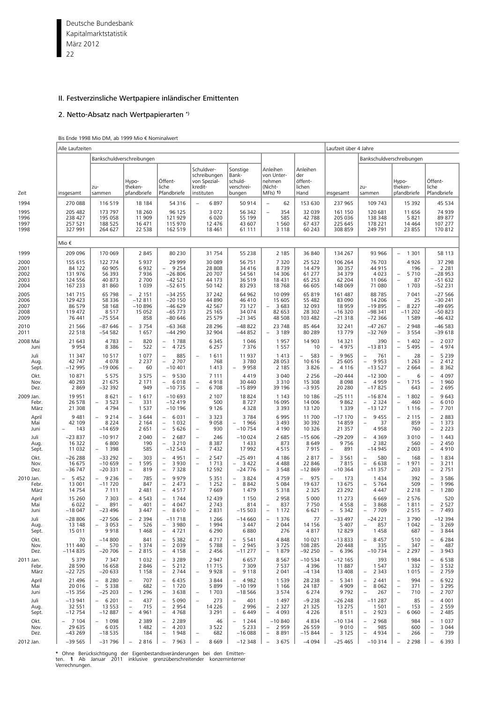Deutsche Bundesbank 22 Kapitalmarktstatistik März 2012

## II. Festverzinsliche Wertpapiere inländischer Emittenten

# 2. Netto-Absatz nach Wertpapierarten \*)

Bis Ende 1998 Mio DM, ab 1999 Mio € Nominalwert

|                                      | Alle Laufzeiten                                         |                                                         |                                                                                                           |                                                                                                                |                                                      |                                                 |                                                                                        |                                                           |                                                   | Laufzeit über 4 Jahre                                                                |                                                                         |                                                      |                                         |                                                                                                                   |
|--------------------------------------|---------------------------------------------------------|---------------------------------------------------------|-----------------------------------------------------------------------------------------------------------|----------------------------------------------------------------------------------------------------------------|------------------------------------------------------|-------------------------------------------------|----------------------------------------------------------------------------------------|-----------------------------------------------------------|---------------------------------------------------|--------------------------------------------------------------------------------------|-------------------------------------------------------------------------|------------------------------------------------------|-----------------------------------------|-------------------------------------------------------------------------------------------------------------------|
|                                      |                                                         |                                                         | Bankschuldverschreibungen                                                                                 |                                                                                                                |                                                      |                                                 |                                                                                        |                                                           |                                                   |                                                                                      | Bankschuldverschreibungen                                               |                                                      |                                         |                                                                                                                   |
| Zeit                                 | insgesamt                                               | zu-<br>sammen                                           | Hypo-<br>theken-<br>pfandbriefe                                                                           | Öffent-<br>liche<br>Pfandbriefe                                                                                | kredit-<br>instituten                                | Schuldver-<br>schreibungen<br>von Spezial-      | Sonstige<br>Bank-<br>schuld-<br>verschrei-<br>bungen                                   | Anleihen<br>von Unter-<br>nehmen<br>(Nicht-<br>$MF(s)$ 1) | Anleihen<br>der<br>öffent-<br>lichen<br>Hand      | insgesamt                                                                            | zu-<br>sammen                                                           | Hypo-<br>theken-<br>pfandbriefe                      |                                         | Öffent-<br>liche<br>Pfandbriefe                                                                                   |
| 1994                                 | 270 088                                                 | 116 519                                                 | 18 184                                                                                                    | 54 316                                                                                                         |                                                      | 6897                                            | 50 914                                                                                 | 62                                                        | 153 630                                           | 237 965                                                                              | 109 743                                                                 |                                                      | 15 392                                  | 45 534                                                                                                            |
| 1995<br>1996<br>1997<br>1998         | 205 482<br>238 427<br>257 521<br>327 991                | 173 797<br>195 058<br>188 525<br>264 627                | 18 260<br>11 909<br>16 471<br>22 538                                                                      | 96 125<br>121 929<br>115 970<br>162 519                                                                        |                                                      | 3 0 7 2<br>6 0 2 0<br>12 476<br>18 4 61         | 56 342<br>55 199<br>43 607<br>61 111                                                   | 354<br>$\equiv$<br>585<br>1 5 6 0<br>3 1 1 8              | 32 039<br>42 788<br>67 437<br>60 243              | 161 150<br>205 036<br>225 645<br>308 859                                             | 120 681<br>138 348<br>178 221<br>249 791                                |                                                      | 11 656<br>5 8 2 1<br>14 4 64<br>23 855  | 74 939<br>89 877<br>107 277<br>170 812                                                                            |
|                                      | Mio €                                                   |                                                         |                                                                                                           |                                                                                                                |                                                      |                                                 |                                                                                        |                                                           |                                                   |                                                                                      |                                                                         |                                                      |                                         |                                                                                                                   |
| 1999                                 | 209 096                                                 | 170 069                                                 | 2 8 4 5                                                                                                   | 80 230                                                                                                         |                                                      | 31 7 54                                         | 55 238                                                                                 | 2 1 8 5                                                   | 36 840                                            | 134 267                                                                              | 93 966                                                                  |                                                      | 1 3 0 1                                 | 58 113                                                                                                            |
| 2000<br>2001<br>2002<br>2003<br>2004 | 155 615<br>84 122<br>131 976<br>124 556<br>167 233      | 122 774<br>60 905<br>56 393<br>40 873<br>81 860         | 5937<br>6932<br>7936<br>2 700<br>1 0 3 9                                                                  | 29 999<br>9 2 5 4<br>$-26806$<br>$-42521$<br>$-52615$                                                          |                                                      | 30 089<br>28 808<br>20 707<br>44 173<br>50 142  | 56 751<br>34 416<br>54 561<br>36 519<br>83 293                                         | 7 3 2 0<br>8739<br>14 30 6<br>18 4 31<br>18768            | 25 5 22<br>14 4 7 9<br>61 277<br>65 253<br>66 605 | 106 264<br>30 357<br>34 379<br>62 204<br>148 069                                     | 76 703<br>44 915<br>4 0 2 3<br>11 066<br>71 080                         | $\overline{\phantom{a}}$<br>$\overline{\phantom{a}}$ | 4926<br>196<br>5 7 1 0<br>87<br>1 7 0 3 | 37 298<br>2 2 8 1<br>$-28953$<br>$-51632$<br>$-52231$                                                             |
| 2005<br>2006<br>2007<br>2008<br>2009 | 141 715<br>129 423<br>86 579<br>119 472<br>76 441       | 65 798<br>58 336<br>58 168<br>8517<br>$-75554$          | $-2151$<br>$-12811$<br>$-10896$<br>15 0 52<br>858                                                         | $-34255$<br>$-20150$<br>$-46629$<br>$-65773$<br>$-80646$                                                       |                                                      | 37 242<br>44 890<br>42 5 67<br>25 165<br>25 579 | 64 962<br>46 410<br>73 127<br>34 074<br>$-21345$                                       | 10 099<br>15 605<br>$-3683$<br>82 653<br>48 508           | 65819<br>55 482<br>32 093<br>28 302<br>103 482    | 161 487<br>83 090<br>18 9 59<br>$-16320$<br>$-21318$                                 | 88 7 85<br>14 20 6<br>$-19895$<br>$-98341$<br>$-72,366$                 | $\overline{\phantom{a}}$<br>$\equiv$<br>$-11202$     | 7 0 4 1<br>25<br>8 2 2 7<br>1 5 8 9     | $-27566$<br>$-30241$<br>$-49695$<br>$-50823$<br>$-46432$                                                          |
| 2010<br>2011                         | 21 5 66<br>22 518                                       | $-87646$<br>$-54582$                                    | 3 7 5 4<br>$-$<br>1 657                                                                                   | $-63368$<br>$-44290$                                                                                           |                                                      | 28 29 6<br>32 904                               | $-48822$<br>$-44852$                                                                   | 23 748<br>$-3189$                                         | 85 4 64<br>80 289                                 | 32 241<br>13779                                                                      | $-47267$<br>$-32769$                                                    | $\overline{\phantom{a}}$<br>$\overline{\phantom{a}}$ | 2 9 4 8<br>3 5 5 4                      | $-46583$<br>$-39618$                                                                                              |
| 2008 Mai<br>Juni                     | 21 643<br>9954                                          | 4783<br>8 3 8 6                                         | 820<br>522<br>$\overline{\phantom{a}}$                                                                    | $- 1788$<br>4725<br>$\overline{\phantom{0}}$                                                                   |                                                      | 6 3 4 5<br>6 2 5 7                              | 1 0 4 6<br>7 3 7 6                                                                     | 1957<br>1 5 5 7                                           | 14 903<br>10                                      | 14 321<br>4975<br>$\overline{\phantom{a}}$                                           | 390<br>$-13813$                                                         | $\overline{\phantom{a}}$<br>$\overline{\phantom{a}}$ | 1 4 0 2<br>5 4 9 5                      | 2 0 3 7<br>4974<br>$\overline{\phantom{0}}$                                                                       |
| Juli<br>Aug.<br>Sept.                | 11 347<br>42 747<br>$-12995$                            | 10517<br>4078<br>$-19006$                               | 1 0 7 7<br>2 2 3 7<br>60<br>$\overline{\phantom{a}}$                                                      | 885<br>$\qquad \qquad -$<br>2 7 0 7<br>$\equiv$<br>$-10401$                                                    |                                                      | 1611<br>768<br>1413                             | 11 937<br>3780<br>9958<br>$\overline{\phantom{0}}$                                     | 1413<br>28 053<br>2 1 8 5                                 | 583<br>10 6 16<br>3826                            | 9 9 6 5<br>$\overline{\phantom{a}}$<br>25 605<br>4 1 1 6<br>$\overline{\phantom{0}}$ | 761<br>9953<br>$\overline{\phantom{0}}$<br>$-13527$                     | $\overline{\phantom{a}}$<br>$\overline{\phantom{a}}$ | 28<br>1 2 6 3<br>2 6 6 4                | 5 2 3 9<br>$\overline{\phantom{a}}$<br>$\overline{\phantom{a}}$<br>2 4 1 2<br>8 3 6 2<br>$\overline{\phantom{a}}$ |
| Okt.<br>Nov.<br>Dez.                 | 10871<br>40 293<br>2 8 6 9                              | 5 5 7 5<br>21 675<br>$-32392$                           | 3 5 7 5<br>2 1 7 1<br>949                                                                                 | 9 5 3 0<br>$ \,$<br>6018<br>$-$<br>$-10735$                                                                    | $\equiv$                                             | 7 1 1 1<br>4918<br>6708                         | 4419<br>30 440<br>$-15899$                                                             | 3 0 4 0<br>3 3 1 0<br>39 196                              | 2 2 5 6<br>15 308<br>$-3935$                      | $-20444$<br>8098<br>20 280                                                           | $-12300$<br>4959<br>$-$<br>$-17825$                                     | $\qquad \qquad -$                                    | 6<br>1 7 1 5<br>643                     | 4 0 9 7<br>$\overline{\phantom{a}}$<br>1960<br>$\overline{\phantom{a}}$<br>2 6 9 5<br>$\overline{\phantom{a}}$    |
| 2009 Jan.<br>Febr.<br>März           | 19 951<br>26 578<br>21 308                              | 8621<br>3 5 2 3<br>$-$<br>4794                          | 1617<br>$\overline{\phantom{a}}$<br>$\equiv$<br>331<br>1 5 3 7                                            | $-10693$<br>$-12419$<br>$-10196$                                                                               |                                                      | 2 1 0 7<br>500<br>9 1 2 6                       | 18824<br>8727<br>4 3 2 8                                                               | 1 1 4 3<br>16 095<br>3 3 9 3                              | 10 186<br>14 006<br>13 1 20                       | $-25111$<br>9862<br>1 3 3 9                                                          | $-16874$<br>$-2324$<br>$-13127$                                         | $\overline{\phantom{a}}$<br>$\overline{\phantom{a}}$ | 1802<br>460<br>1 1 1 6                  | 9 6 4 3<br>$\equiv$<br>$\equiv$<br>6010<br>7701<br>$\overline{\phantom{a}}$                                       |
| April<br>Mai<br>Juni                 | 9 4 8 1<br>42 109<br>143<br>$\overline{\phantom{a}}$    | 9 2 1 4<br>8 2 2 4<br>$-14659$                          | 3 6 4 4<br>2 1 6 4<br>2 6 5 1                                                                             | 6 0 3 1<br>$ \,$<br>$\equiv$<br>1 0 3 2<br>5 6 2 6<br>$\overline{\phantom{a}}$                                 | $\overline{\phantom{a}}$                             | 3 3 2 3<br>9058<br>930                          | 3784<br>$-1966$<br>$-10754$                                                            | 6995<br>3 4 9 3<br>4 1 9 0                                | 11 700<br>30 392<br>10 3 26                       | $-17170$<br>14859<br>21 3 5 7                                                        | 9455<br>$\overline{\phantom{a}}$<br>$\equiv$<br>37<br>4958              |                                                      | 2 1 1 5<br>859<br>760                   | 2 8 8 3<br>$\equiv$<br>1 3 7 3<br>2 2 2 3<br>$\overline{\phantom{a}}$                                             |
| Juli<br>Aug.<br>Sept.                | $-23837$<br>16 322<br>11 0 32                           | $-10917$<br>6800<br>1 3 9 8<br>$\overline{\phantom{a}}$ | 2 0 4 0<br>190<br>585                                                                                     | 2 6 8 7<br>$-$<br>3 2 1 0<br>$-12543$                                                                          | $\overline{\phantom{a}}$<br>$\overline{\phantom{a}}$ | 246<br>8387<br>7432                             | $-10024$<br>1 4 3 3<br>17 992                                                          | 2 6 8 5<br>873<br>4515                                    | $-15606$<br>8649<br>7915                          | $-29209$<br>9756<br>891                                                              | 4 3 6 9<br>$\overline{\phantom{a}}$<br>2 3 8 2<br>$-14945$              |                                                      | 3 0 1 0<br>560<br>2 0 0 3               | 1 4 4 3<br>$\overline{\phantom{a}}$<br>2 4 5 0<br>4910<br>$\overline{\phantom{a}}$                                |
| Okt.<br>Nov.<br>Dez.                 | $-26288$<br>16 675<br>$-36747$                          | $-33292$<br>$-10659$<br>$-20331$                        | 303<br>$\overline{\phantom{a}}$<br>1 5 9 5<br>$\overline{\phantom{a}}$<br>819<br>$\overline{\phantom{a}}$ | 4951<br>$\overline{\phantom{0}}$<br>3 9 3 0<br>$\overline{\phantom{a}}$<br>7 3 2 8<br>$\overline{\phantom{a}}$ | $\overline{\phantom{a}}$                             | 2 5 4 7<br>1713<br>12 5 9 2                     | $-25491$<br>3 4 2 2<br>$-24776$                                                        | 4 1 8 6<br>4488<br>3 5 4 8<br>$\overline{\phantom{0}}$    | 2817<br>22 846<br>$-12869$                        | 3 5 6 1<br>$\overline{\phantom{0}}$<br>7815<br>$-10364$                              | 580<br>$\qquad \qquad -$<br>6638<br>$-11357$                            | $\overline{\phantom{a}}$<br>$\overline{\phantom{a}}$ | 168<br>1971<br>203                      | 1834<br>$\overline{\phantom{a}}$<br>3 2 1 1<br>$\overline{\phantom{a}}$<br>$\overline{\phantom{a}}$<br>2 7 5 1    |
| 2010 Jan.<br>Febr.<br>März           | 5 4 5 2<br>$\equiv$<br>13 001<br>14 7 54                | $-9236$<br>$-11720$<br>7 1 1 1                          | 785<br>847<br>2 4 8 1                                                                                     | 9979<br>$\overline{\phantom{a}}$<br>2 4 7 3<br>4517<br>$\overline{\phantom{a}}$                                |                                                      | 5 3 5 1<br>1 2 5 2<br>7669                      | 3824<br>8842<br>1479                                                                   | 4759<br>5 0 8 4<br>5 3 1 8                                | 975<br>$\equiv$<br>19 637<br>2 3 2 5              | 173<br>$\equiv$<br>13 675<br>23 29 2                                                 | 1434<br>5 7 6 4<br>4 4 4 7                                              |                                                      | 392<br>509<br>2 2 1 8                   | 3 5 8 6<br>$\overline{\phantom{a}}$<br>1996<br>$\overline{\phantom{a}}$<br>$\equiv$<br>1 2 8 0                    |
| April<br>Mai<br>Juni                 | 15 260<br>6 0 2 2<br>$-18047$                           | 7 3 0 3<br>891<br>$-23496$                              | 4 5 4 3<br>$\overline{\phantom{a}}$<br>401<br>3 4 4 7                                                     | 1744<br>$\qquad \qquad -$<br>4 0 4 7<br>8610<br>$\overline{\phantom{a}}$                                       | $\overline{\phantom{a}}$                             | 12 439<br>2 7 4 3<br>2831                       | 1 1 5 0<br>814<br>$-15503$                                                             | 2958<br>837<br>$-1172$                                    | 5 0 0 0<br>7750<br>6621                           | 11 273<br>4558<br>5 3 4 2<br>-                                                       | 6669<br>3868<br>7709                                                    | $\overline{\phantom{a}}$<br>$\overline{\phantom{a}}$ | 2 5 7 6<br>1811<br>2 5 1 5              | 520<br>2 5 2 7<br>$\equiv$<br>7493                                                                                |
| Juli<br>Aug.<br>Sept.                | $-28806$<br>13 148<br>15 011                            | $-27506$<br>3 0 5 3<br>$\overline{\phantom{a}}$<br>9918 | 2 3 9 4<br>526<br>$\qquad \qquad -$<br>1468                                                               | $-11718$<br>3 9 8 0<br>$\overline{\phantom{a}}$<br>4721<br>$\overline{\phantom{a}}$                            |                                                      | 1 2 6 6<br>1994<br>6 2 9 0                      | $-14660$<br>3 4 4 7<br>6880                                                            | 1 3 7 6<br>2 0 4 4<br>276                                 | 77<br>14 15 6<br>4817                             | $-33497$<br>5 4 0 7<br>12829                                                         | $-24221$<br>857<br>$\overline{\phantom{a}}$<br>1458                     |                                                      | 3790<br>1 0 4 2<br>687                  | $-12394$<br>3 2 6 9<br>-<br>$\overline{\phantom{0}}$<br>3844                                                      |
| Okt.<br>Nov.<br>Dez.                 | 70<br>111 440<br>$-114835$                              | $-14800$<br>570<br>$-20706$                             | 841<br>1 3 7 4<br>2815                                                                                    | 5 3 8 2<br>$\overline{\phantom{a}}$<br>2 0 3 9<br>4 1 5 8<br>$\overline{\phantom{a}}$                          |                                                      | 4717<br>5788<br>2 4 5 6                         | 5 5 4 1<br>$\overline{\phantom{0}}$<br>2 9 4 5<br>$\overline{\phantom{0}}$<br>$-11277$ | 4848<br>3725<br>$-1879$                                   | 10 021<br>108 285<br>$-92250$                     | $-13833$<br>20 448<br>$-6396$                                                        | 8457<br>335<br>$-10734$                                                 | $\overline{\phantom{a}}$                             | 510<br>347<br>2 2 9 7                   | 6 2 8 4<br>$\overline{\phantom{a}}$<br>487<br>$\qquad \qquad -$<br>$\overline{\phantom{a}}$<br>3 9 4 3            |
| 2011 Jan.<br>Febr.<br>März           | 5 3 7 9<br>28 5 90<br>$-22725$                          | 7 3 4 7<br>16 658<br>$-20633$                           | 1 0 3 2<br>2 8 4 6<br>1 1 5 8                                                                             | 3 2 8 9<br>$\overline{\phantom{a}}$<br>5 2 1 2<br>2 744<br>$\overline{\phantom{a}}$                            |                                                      | 2 9 4 7<br>11715<br>9928                        | 6657<br>7 3 0 9<br>9 1 1 8<br>-                                                        | 8567<br>7 5 3 7<br>2 0 4 1                                | $-10534$<br>4 3 9 6<br>$-4134$                    | $-12$ 165<br>11887<br>13 408                                                         | 393<br>1 5 4 7<br>$-2343$                                               |                                                      | 1984<br>332<br>1 0 1 5                  | 6 5 3 8<br>$\overline{\phantom{a}}$<br>3 5 3 2<br>$\bar{z}$<br>2 7 5 9                                            |
| April<br>Mai<br>Juni                 | 21 4 9 6<br>20 016<br>$-15356$                          | $-8280$<br>$-5338$<br>$-25203$                          | 707<br>682<br>1 2 9 6                                                                                     | 6435<br>$\qquad \qquad -$<br>1720<br>3638<br>$\qquad \qquad -$                                                 |                                                      | 3844<br>5899<br>1703                            | $-4982$<br>$-10199$<br>$-18566$                                                        | 1 5 3 9<br>1 1 6 6<br>3 5 7 4                             | 28 2 38<br>24 187<br>6 2 7 4                      | $-5341$<br>4 9 0 9<br>9792                                                           | 2 4 4 1<br>8 0 6 2<br>$\overline{\phantom{a}}$<br>267                   | $\overline{\phantom{0}}$<br>$\overline{\phantom{a}}$ | 994<br>371<br>710                       | 6922<br>$\overline{\phantom{a}}$<br>3 2 9 5<br>$\overline{\phantom{0}}$<br>2 7 0 7<br>$\overline{\phantom{a}}$    |
| Juli<br>Aug.<br>Sept.                | $-13941$<br>32 551<br>$-12754$                          | $-6201$<br>13 553<br>$-12887$                           | 437<br>715<br>4 9 61                                                                                      | 5 0 9 0<br>2 9 5 4<br>$\qquad \qquad -$<br>4768                                                                |                                                      | 273<br>14 2 2 6<br>3 2 9 1                      | 401<br>2 9 9 6<br>6 449                                                                | 1 4 9 7<br>2 3 2 7<br>$\overline{\phantom{0}}$<br>4 0 9 3 | $-9238$<br>21 3 25<br>4 2 2 6                     | $-26248$<br>13 275<br>8511                                                           | $-11287$<br>1 5 0 1<br>$-2923$                                          | $\overline{\phantom{a}}$                             | 85<br>153<br>6 0 6 0                    | 4 0 0 1<br>$\overline{\phantom{0}}$<br>2 5 5 9<br>$\overline{\phantom{a}}$<br>2 4 8 5<br>$\overline{\phantom{a}}$ |
| Okt.<br>Nov.<br>Dez.                 | 7 104<br>$\overline{\phantom{a}}$<br>29 635<br>$-43269$ | $- 1098$<br>6 0 3 5<br>$-18535$                         | 2 3 8 9<br>1 4 8 2<br>184                                                                                 | 2 2 8 9<br>$\qquad \qquad -$<br>4 2 0 3<br>$\overline{\phantom{0}}$<br>1948                                    |                                                      | 46<br>3 5 2 2<br>682                            | 1 2 4 4<br>5 2 3 3<br>$-16088$                                                         | $-10840$<br>2 9 5 9<br>$\overline{\phantom{a}}$<br>8 891  | 4834<br>26 559<br>$-15844$                        | $-10134$<br>9010<br>$-3125$                                                          | 2 9 6 8<br>985<br>$\overline{\phantom{a}}$<br>4934<br>$\qquad \qquad -$ |                                                      | 984<br>600<br>266                       | 1 0 3 7<br>3 0 4 4<br>$\overline{\phantom{m}}$<br>÷,<br>739                                                       |
| 2012 Jan.                            | $-39565$                                                | $-31796$                                                | 2816                                                                                                      | 7963<br>$\qquad \qquad -$                                                                                      | $\qquad \qquad -$                                    | 8669                                            | $-12348$                                                                               | 3675<br>$\overline{\phantom{0}}$                          | $-4094$                                           | $-25465$                                                                             | $-10314$                                                                | $\overline{\phantom{a}}$                             | 2 2 9 8                                 | 6 3 9 3<br>$\overline{\phantom{0}}$                                                                               |

**\*** Ohne Berücksichtigung der Eigenbestandsveränderungen bei den Emitten-ten. **1** Ab Januar 2011 inklusive grenzüberschreitender konzerninterner Verrechnungen.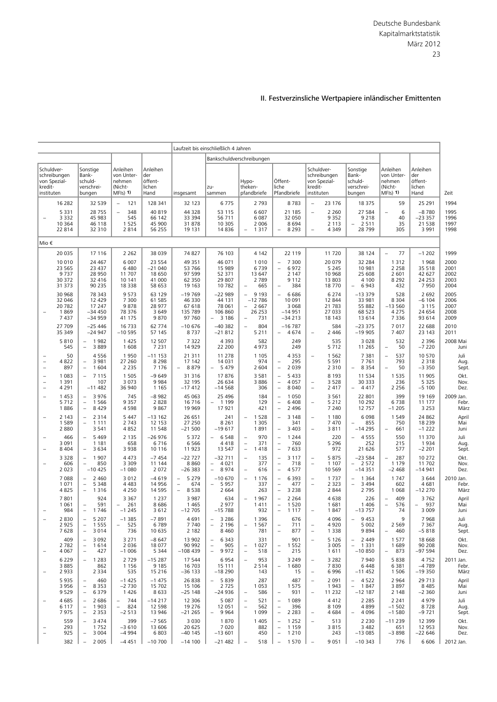|                                                                     |                                                         |                                                                                                                           |                                                               |                                                               |                                                         | Laufzeit bis einschließlich 4 Jahren                                                      |                                                                                                         |                                                                                                                   |                                                                                       |                                                                                        |                                                                   |                                                          |                                              |
|---------------------------------------------------------------------|---------------------------------------------------------|---------------------------------------------------------------------------------------------------------------------------|---------------------------------------------------------------|---------------------------------------------------------------|---------------------------------------------------------|-------------------------------------------------------------------------------------------|---------------------------------------------------------------------------------------------------------|-------------------------------------------------------------------------------------------------------------------|---------------------------------------------------------------------------------------|----------------------------------------------------------------------------------------|-------------------------------------------------------------------|----------------------------------------------------------|----------------------------------------------|
|                                                                     |                                                         |                                                                                                                           |                                                               |                                                               |                                                         |                                                                                           | Bankschuldverschreibungen                                                                               |                                                                                                                   |                                                                                       |                                                                                        |                                                                   |                                                          |                                              |
| Schuldver-<br>schreibungen<br>von Spezial-<br>kredit-<br>instituten |                                                         | Sonstige<br>Bank-<br>schuld-<br>verschrei-<br>bungen                                                                      | Anleihen<br>von Unter-<br>nehmen<br>(Nicht-<br>$MF(s)$ 1)     | Anleihen<br>der<br>öffent-<br>lichen<br>Hand                  | insgesamt                                               | zu-<br>sammen                                                                             | Hypo-<br>theken-<br>pfandbriefe                                                                         | Öffent-<br>liche<br>Pfandbriefe                                                                                   | Schuldver-<br>schreibungen<br>von Spezial-<br>kredit-<br>instituten                   | Sonstige<br>Bank-<br>schuld-<br>verschrei-<br>bungen                                   | Anleihen<br>von Unter-<br>nehmen<br>(Nicht-<br>$MF(s)$ 1)         | Anleihen<br>der<br>öffent-<br>lichen<br>Hand             | Zeit                                         |
|                                                                     | 16 282                                                  | 32 539                                                                                                                    | 121<br>$\overline{\phantom{a}}$                               | 128 341                                                       | 32 123                                                  | 6775                                                                                      | 2 7 9 3                                                                                                 | 8783                                                                                                              | 23 176<br>$\overline{\phantom{a}}$                                                    | 18 375                                                                                 | 59                                                                | 25 291                                                   | 1994                                         |
| $\overline{\phantom{0}}$                                            | 5 3 3 1<br>3 3 3 2<br>10 3 64<br>22 814                 | 28 755<br>45 983<br>46 118<br>32 310                                                                                      | 348<br>$\overline{\phantom{a}}$<br>545<br>1 5 2 5<br>2814     | 40 819<br>66 142<br>45 900<br>56 255                          | 44 328<br>33 394<br>31878<br>19 131                     | 53 115<br>56 711<br>10 305<br>14836                                                       | 6 607<br>6 0 8 7<br>2 0 0 6<br>1 3 1 7<br>$\overline{\phantom{m}}$                                      | 21 185<br>32 050<br>8694<br>8 2 9 3<br>÷,                                                                         | 2 2 6 0<br>$\qquad \qquad -$<br>9 3 5 2<br>2 1 1 3<br>4 3 4 9<br>Ē,                   | 27 584<br>9 2 1 8<br>2 5 1 1<br>$\overline{\phantom{a}}$<br>28 799                     | 6<br>$\equiv$<br>40<br>35<br>305                                  | $-8780$<br>$-233357$<br>21 5 38<br>3 9 9 1               | 1995<br>1996<br>1997<br>1998                 |
| Mio €                                                               |                                                         |                                                                                                                           |                                                               |                                                               |                                                         |                                                                                           |                                                                                                         |                                                                                                                   |                                                                                       |                                                                                        |                                                                   |                                                          |                                              |
|                                                                     | 20 035<br>10 010<br>23 5 65<br>9737<br>30 372<br>31 373 | 17 116<br>24 4 67<br>23 437<br>28 950<br>32 416<br>90 235                                                                 | 2 2 6 2<br>6 0 0 7<br>6480<br>11 707<br>10 141<br>18 3 38     | 38 0 39<br>23 5 5 4<br>$-21040$<br>18 650<br>41 000<br>58 653 | 74827<br>49 351<br>53 766<br>97 599<br>62 350<br>19 163 | 76 103<br>46 071<br>15 989<br>52 371<br>29 807<br>10782                                   | 4 1 4 2<br>1 0 1 0<br>6739<br>13 647<br>2 7 8 9<br>665<br>$\qquad \qquad -$                             | 22 119<br>7 300<br>$\qquad \qquad -$<br>6972<br>$\equiv$<br>2 1 4 7<br>9 1 1 2<br>384<br>$\overline{\phantom{0}}$ | 11 720<br>20 079<br>5 2 4 5<br>10 968<br>13 803<br>18 770                             | 38 124<br>32 284<br>10 981<br>25 608<br>4 100<br>6943<br>$\overline{\phantom{a}}$      | 77<br>$\equiv$<br>1312<br>2 2 5 8<br>2 601<br>8 2 9 2<br>432      | $-1202$<br>1968<br>35 5 18<br>42 627<br>24 2 5 3<br>7950 | 1999<br>2000<br>2001<br>2002<br>2003<br>2004 |
| $\overline{\phantom{a}}$                                            | 30 968<br>32 046<br>20 782<br>1869<br>7 4 3 7           | 78 343<br>12 4 29<br>17 247<br>$-34450$<br>$-34959$                                                                       | 9573<br>7 300<br>9878<br>78 376<br>41 175                     | 63 129<br>61 585<br>28 977<br>3 6 4 9<br>9870                 | $-19769$<br>46 330<br>67 618<br>135 789<br>97 760       | $-22989$<br>44 131<br>78 061<br>106 860<br>$-3186$                                        | 9 1 9 3<br>$\overline{\phantom{a}}$<br>$-12786$<br>$-2667$<br>26 253<br>731<br>$\overline{\phantom{a}}$ | 6686<br>$\overline{\phantom{0}}$<br>10 091<br>3 0 6 8<br>$-14951$<br>$-34213$                                     | 6 2 7 4<br>12 844<br>21 783<br>27 033<br>18 143                                       | $-13379$<br>33 981<br>55 882<br>68 523<br>13 614                                       | 528<br>8 3 0 4<br>$-13560$<br>4 2 7 5<br>7 3 3 6                  | 2 6 9 2<br>$-6104$<br>3 1 1 5<br>24 654<br>93 614        | 2005<br>2006<br>2007<br>2008<br>2009         |
|                                                                     | 27 709<br>35 349                                        | $-25446$<br>$-24947$                                                                                                      | 16733<br>$-10595$                                             | 62 774<br>57 145                                              | $-10676$<br>8737                                        | $-40382$<br>$-21812$                                                                      | 804<br>$\equiv$<br>5 2 1 1                                                                              | $-16787$<br>4674<br>$\overline{\phantom{0}}$                                                                      | 584<br>2 4 4 6<br>$\overline{\phantom{m}}$                                            | $-23375$<br>$-19905$                                                                   | 7017<br>7 4 0 7                                                   | 22 688<br>23 143                                         | 2010<br>2011                                 |
|                                                                     | 5810<br>545                                             | 1982<br>$\equiv$<br>3889                                                                                                  | 1425<br>1608                                                  | 12 507<br>7 2 3 1                                             | 7322<br>14 9 29                                         | 4 3 9 3<br>22 200                                                                         | 582<br>4973                                                                                             | 249<br>249                                                                                                        | 535<br>5 7 1 2                                                                        | 3 0 2 8<br>11 265                                                                      | 532<br>50<br>$\overline{\phantom{a}}$                             | 2 3 9 6<br>$-7220$                                       | 2008 Mai<br>Juni                             |
| $\overline{\phantom{0}}$<br>L,                                      | 50<br>4822<br>897                                       | 4556<br>3 9 8 1<br>$\overline{\phantom{a}}$<br>$\equiv$<br>1 604                                                          | 1950<br>27 260<br>2 2 3 5                                     | $-111153$<br>8 2 9 8<br>7 1 7 6                               | 21 311<br>17 142<br>8879                                | 11 278<br>14 031<br>$-5479$                                                               | 1 1 0 5<br>974<br>2 604                                                                                 | 4 3 5 3<br>295<br>2 0 3 9<br>$\overline{\phantom{0}}$                                                             | 1 5 6 2<br>$\overline{\phantom{a}}$<br>5 5 9 1<br>2 3 1 0                             | 7 3 8 1<br>7761<br>8 3 5 4<br>$\overline{\phantom{a}}$                                 | 537<br>$\overline{\phantom{a}}$<br>793<br>50                      | 10 570<br>2 3 1 8<br>$-3350$                             | Juli<br>Aug.<br>Sept                         |
| $\overline{\phantom{0}}$<br>$\overline{\phantom{0}}$<br>L,          | 1 0 8 3<br>1 3 9 1<br>4 2 9 1                           | 7 1 1 5<br>107<br>$-11482$                                                                                                | 1 5 0 5<br>3 0 7 3<br>36 940                                  | $-9649$<br>9984<br>1 1 6 5                                    | 31 316<br>32 195<br>$-17412$                            | 17876<br>26 634<br>$-14568$                                                               | 3 5 8 1<br>3886<br>306                                                                                  | 5 4 3 3<br>4 0 5 7<br>$\overline{\phantom{m}}$<br>8 0 4 0<br>$\overline{\phantom{0}}$                             | 8 1 9 3<br>3 5 2 8<br>$\overline{\phantom{a}}$<br>2 4 1 7<br>$\overline{\phantom{a}}$ | 11 534<br>30 333<br>$-4417$                                                            | 1 5 3 5<br>236<br>2 2 5 6                                         | 11 905<br>5 3 2 5<br>$-5100$                             | Okt.<br>Nov.<br>Dez.                         |
| L.                                                                  | 1 4 5 3<br>5 7 1 2<br>1886                              | 3 9 7 6<br>$\equiv$<br>$\overline{\phantom{0}}$<br>1 5 6 6<br>$\overline{\phantom{a}}$<br>8 4 2 9                         | 745<br>9 3 5 7<br>4598                                        | $-8982$<br>2828<br>9867                                       | 45 063<br>16 716<br>19 969                              | 25 4 96<br>$-1199$<br>17921                                                               | 184<br>129<br>421                                                                                       | 1 0 5 0<br>6408<br>L,<br>$\equiv$<br>2 4 9 6                                                                      | 3 5 6 1<br>5 2 1 2<br>$\overline{\phantom{0}}$<br>7 2 4 0                             | 22 801<br>10 292<br>12 757                                                             | 399<br>6738<br>$-1205$                                            | 19 169<br>11 177<br>3 2 5 3                              | 2009 Jan.<br>Febr<br>März                    |
| $\overline{\phantom{0}}$                                            | 2 1 4 3<br>1 5 8 9<br>2 8 8 0                           | 2 3 1 4<br>$\overline{\phantom{a}}$<br>$\equiv$<br>1 1 1 1<br>3 5 4 1                                                     | 5 4 4 7<br>2 7 4 3<br>4852                                    | $-13162$<br>12 153<br>11 548                                  | 26 651<br>27 250<br>$-21500$                            | 241<br>8 2 6 1<br>$-19617$                                                                | 1528<br>$\overline{\phantom{a}}$<br>1 3 0 5<br>1891                                                     | 3 1 4 8<br>341<br>3 4 0 3                                                                                         | 1 1 8 0<br>$\overline{\phantom{0}}$<br>7 4 7 0<br>3811<br>$\overline{\phantom{a}}$    | 6 0 9 8<br>855<br>$\overline{\phantom{a}}$<br>$-14295$                                 | 1 5 4 9<br>750<br>661<br>$\overline{\phantom{a}}$                 | 24 862<br>18 2 3 9<br>$-1222$                            | April<br>Mai<br>Juni                         |
| $\overline{\phantom{0}}$<br>$\overline{\phantom{0}}$                | 466<br>3 0 9 1<br>8 4 0 4                               | 5 4 6 9<br>1 1 8 1<br>3 6 3 4<br>$\equiv$                                                                                 | 2 1 3 5<br>658<br>3938                                        | $-26976$<br>6716<br>10 116                                    | 5 3 7 2<br>6 5 6 6<br>11 923                            | 6 5 4 8<br>$\overline{\phantom{0}}$<br>4418<br>13 547                                     | 970<br>$\overline{\phantom{0}}$<br>$\overline{\phantom{0}}$<br>371<br>1418<br>$\equiv$                  | 1 2 4 4<br>$\overline{a}$<br>760<br>7 6 3 3                                                                       | 220<br>5 2 9 6<br>972                                                                 | 4 5 5 5<br>$-$<br>252<br>21 626                                                        | 550<br>215<br>577                                                 | 11 370<br>1934<br>$-2201$                                | Juli<br>Aug<br>Sept                          |
|                                                                     | 3 3 2 8<br>606<br>2 0 2 3                               | 1907<br>$\qquad \qquad -$<br>$\overline{a}$<br>850<br>$-10425$                                                            | 4 4 7 3<br>3 3 0 9<br>$-1080$                                 | $-7454$<br>11 144<br>2 0 7 2<br>$-4619$                       | $-227$<br>8860<br>$-26383$<br>$\overline{\phantom{0}}$  | $-32711$<br>4 0 2 1<br>$\overline{\phantom{0}}$<br>$\equiv$<br>8974                       | 135<br>$\overline{\phantom{m}}$<br>377<br>616<br>$\overline{\phantom{a}}$                               | 3 1 1 7<br>$\overline{\phantom{0}}$<br>$\overline{a}$<br>718<br>4577                                              | 5 8 7 5<br>$\overline{\phantom{a}}$<br>1 1 0 7<br>$\overline{\phantom{a}}$<br>10 569  | $-23584$<br>2 5 7 2<br>$\equiv$<br>$-14351$                                            | 287<br>$\overline{\phantom{a}}$<br>1 1 7 9<br>$-2468$<br>1747     | 10 272<br>11 702<br>$-14941$                             | Okt.<br>Nov.<br>Dez.                         |
|                                                                     | 7 0 8 8<br>1 0 7 1<br>4825                              | 2 4 6 0<br>$\overline{\phantom{a}}$<br>5 3 4 8<br>$\overline{\phantom{0}}$<br>$\overline{\phantom{a}}$<br>1 3 1 6<br>924  | 3 0 1 2<br>4 4 8 3<br>4 2 5 0                                 | 14 9 56<br>14 5 9 5                                           | 5 2 7 9<br>674<br>8538                                  | $-10670$<br>5957<br>$\overline{\phantom{0}}$<br>2 6 6 4                                   | 1 1 7 6<br>$\overline{\phantom{a}}$<br>337<br>263                                                       | 6 3 9 3<br>$\overline{\phantom{0}}$<br>477<br>3 2 3 8                                                             | 1737<br>$\overline{\phantom{a}}$<br>2 3 2 3<br>$\overline{\phantom{a}}$<br>2 8 4 4    | 1 3 6 4<br>$\overline{\phantom{a}}$<br>3 4 9 4<br>$\equiv$<br>2 7 9 5                  | 602<br>068<br>1<br>409                                            | 3644<br>4681<br>$-12220$<br>3762                         | 2010 Jan.<br>Febr<br>März                    |
|                                                                     | 7801<br>1 0 6 1<br>984                                  | 591<br>$\overline{\phantom{0}}$<br>1746<br>$\overline{\phantom{a}}$                                                       | 3 3 6 7<br>261<br>$\equiv$<br>$-1245$                         | 1 2 3 7<br>8686<br>3612                                       | 3 9 8 7<br>1 4 6 5<br>$-12705$                          | 634<br>2977<br>$-15788$                                                                   | 1967<br>L,<br>1411<br>932                                                                               | 2 2 6 4<br>1 5 2 0<br>$\overline{\phantom{a}}$<br>1 1 1 7<br>$\overline{\phantom{a}}$                             | 4 6 3 8<br>1681<br>1847<br>$\overline{\phantom{0}}$                                   | 226<br>1 4 0 6<br>$-13757$                                                             | $\overline{\phantom{m}}$<br>$\overline{\phantom{a}}$<br>576<br>74 | 937<br>$\equiv$<br>3 0 0 9                               | April<br>Mai<br>Juni                         |
|                                                                     | 2 8 3 0<br>2 9 2 5<br>7628                              | 5 2 0 7<br>$\frac{1}{2}$<br>1 5 5 5<br>$\overline{\phantom{0}}$<br>3 0 1 4                                                | $-1385$<br>525<br>$\overline{\phantom{a}}$<br>736             | $-7891$<br>6789<br>10 635                                     | 4691<br>7 7 4 0<br>2 1 8 2                              | 3 2 8 6<br>$\overline{\phantom{0}}$<br>$\equiv$<br>2 1 9 6<br>8 4 6 0                     | 1 3 9 6<br>1 5 6 7<br>$\overline{\phantom{a}}$<br>781                                                   | 676<br>711<br>877<br>$\qquad \qquad -$                                                                            | 4 0 9 6<br>4920<br>1 3 3 8<br>$\overline{\phantom{0}}$                                | 9 4 5 3<br>$\bar{ }$<br>5 0 0 2<br>9894                                                | 9<br>2 5 6 9<br>- 460<br>$\overline{\phantom{a}}$                 | 7968<br>7 3 6 7<br>$-5818$                               | Juli<br>Aug.<br>Sept                         |
| $\overline{\phantom{0}}$                                            | 409<br>2 7 8 2<br>4 0 6 7                               | 3 0 9 2<br>$\overline{\phantom{0}}$<br>1614<br>$\overline{\phantom{0}}$<br>$\overline{\phantom{0}}$<br>427                | 3 2 7 1<br>2 0 3 6<br>$-1006$                                 | $-8647$<br>18 077<br>5 3 4 4                                  | 13 902<br>90 992<br>$-108439$                           | 6 3 4 3<br>$\overline{\phantom{a}}$<br>$\begin{array}{r} - & 905 \\ - & 9972 \end{array}$ | 331<br>1027<br>-<br>$\overline{a}$<br>518                                                               | 901<br>1 5 5 2<br>$\overline{a}$<br>215                                                                           | 5 1 2 6<br>$\overline{\phantom{a}}$<br>3 0 0 5<br>1611                                | 2 4 4 9<br>$\overline{\phantom{a}}$<br>1 3 3 1<br>$\overline{\phantom{a}}$<br>$-10850$ | 1 5 7 7<br>1689<br>$-873$                                         | 18 6 68<br>90 208<br>$-97594$                            | Okt.<br>Nov.<br>Dez.                         |
| $\overline{\phantom{0}}$                                            | 6 2 2 9<br>3885<br>2933                                 | 1 2 8 3<br>$\overline{\phantom{a}}$<br>862<br>2 3 3 4                                                                     | 2729<br>1 1 5 6<br>535                                        | $-15287$<br>9 1 8 5<br>15 2 16                                | 17 544<br>16 703<br>$-36133$                            | 6954<br>15 111<br>$-18290$                                                                | 953<br>$\overline{\phantom{a}}$<br>2514<br>143                                                          | 3 2 4 9<br>1680<br>15                                                                                             | 3 2 8 2<br>$\qquad \qquad -$<br>7830<br>6996                                          | 7940<br>6 4 4 8<br>$-11452$                                                            | 5838<br>6 3 8 1<br>1 5 0 6                                        | 4752<br>$-4789$<br>$-19350$                              | 2011 Jan.<br>Febr<br>März                    |
|                                                                     | 5935<br>3956<br>9529                                    | 460<br>$\qquad \qquad -$<br>$\bar{a}$<br>8 3 5 3<br>6 3 7 9                                                               | $-1425$<br>$-2730$<br>1 4 2 6                                 | $-1475$<br>15 702<br>8633                                     | 26 838<br>15 106<br>$-25148$                            | $-5839$<br>2725<br>$-24936$                                                               | 287<br>1053<br>586<br>$\qquad \qquad -$                                                                 | 487<br>1 575<br>931                                                                                               | 2 0 9 1<br>$\overline{\phantom{0}}$<br>1943<br>11 2 3 2<br>$\overline{\phantom{a}}$   | $-4522$<br>$-1847$<br>$-12$ 187                                                        | 2 9 6 4<br>3897<br>2 1 4 8                                        | 29 713<br>8 4 8 5<br>$-2360$                             | April<br>Mai<br>Juni                         |
| $\overline{\phantom{0}}$                                            | 4685<br>6 1 1 7<br>7975                                 | 2 6 8 6<br>$\qquad \qquad -$<br>$\overline{\phantom{0}}$<br>1 9 0 3<br>$\overline{\phantom{0}}$<br>2 3 5 3                | 744<br>$\overline{\phantom{a}}$<br>$\equiv$<br>824<br>$-2513$ | $-14217$<br>12 5 98<br>13 946                                 | 12 306<br>19 27 6<br>$-21265$                           | 5 0 8 7<br>12 051<br>$-9964$                                                              | 521<br>$\qquad \qquad -$<br>$\frac{1}{2}$<br>562<br>1 0 9 9                                             | 1 0 8 9<br>$\overline{\phantom{0}}$<br>396<br>L,<br>2 2 8 3<br>$\overline{\phantom{0}}$                           | 4412<br>8 1 0 9<br>4684<br>$\overline{\phantom{0}}$                                   | 2 2 8 5<br>4899<br>$-4096$                                                             | 2 2 4 1<br>$-1502$<br>$-1580$                                     | 4979<br>8728<br>$-9721$                                  | Juli<br>Aug.<br>Sept                         |
| ÷,                                                                  | 559<br>293<br>925<br>382                                | 3 4 7 4<br>$\overline{\phantom{0}}$<br>1752<br>3 0 0 4<br>$\overline{\phantom{a}}$<br>2 0 0 5<br>$\overline{\phantom{0}}$ | 399<br>$-3610$<br>$-4994$<br>$-4451$                          | $-7565$<br>13 606<br>6803<br>$-10700$                         | 3 0 3 0<br>20 625<br>$-40$ 145<br>$-14100$              | 1870<br>7020<br>$-13601$<br>$-21482$                                                      | 1 4 0 5<br>882<br>450<br>518                                                                            | 1 2 5 2<br>$\overline{\phantom{0}}$<br>1 1 5 9<br>1 2 1 0<br>$\overline{a}$<br>1570<br>$\overline{\phantom{0}}$   | 513<br>$\overline{\phantom{a}}$<br>3815<br>243<br>9 0 5 1                             | 2 2 3 0<br>3 4 8 2<br>$-13085$<br>$-10343$                                             | $-11239$<br>651<br>$-3898$<br>776                                 | 12 3 9 9<br>12 953<br>$-22646$<br>6 60 6                 | Okt.<br>Nov.<br>Dez.<br>2012 Jan.            |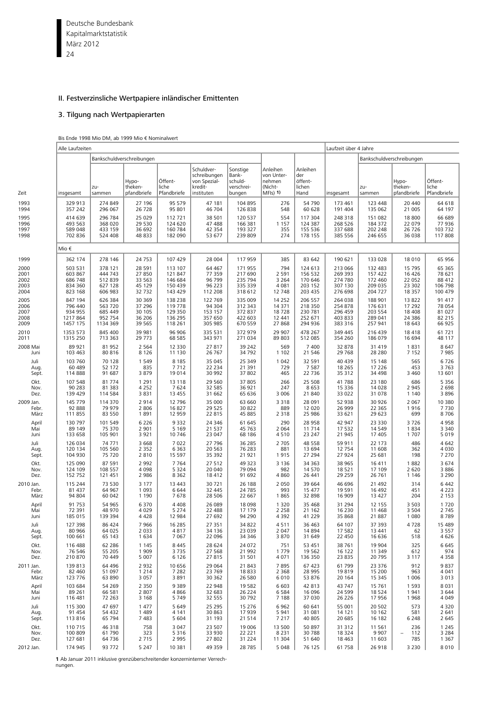Deutsche Bundesbank 24 Kapitalmarktstatistik März 2012

# II. Festverzinsliche Wertpapiere inländischer Emittenten

# 3. Tilgung nach Wertpapierarten

#### Bis Ende 1998 Mio DM, ab 1999 Mio € Nominalwert

|           | Alle Laufzeiten |               |                                 |                                 |                                                                     |                                                      |                                                           |                                              | Laufzeit über 4 Jahre |               |                                 |                                 |
|-----------|-----------------|---------------|---------------------------------|---------------------------------|---------------------------------------------------------------------|------------------------------------------------------|-----------------------------------------------------------|----------------------------------------------|-----------------------|---------------|---------------------------------|---------------------------------|
|           |                 |               | Bankschuldverschreibungen       |                                 |                                                                     |                                                      |                                                           |                                              |                       |               | Bankschuldverschreibungen       |                                 |
| Zeit      | insgesamt       | zu-<br>sammen | Hypo-<br>theken-<br>pfandbriefe | Öffent-<br>liche<br>Pfandbriefe | Schuldver-<br>schreibungen<br>von Spezial-<br>kredit-<br>instituten | Sonstige<br>Bank-<br>schuld-<br>verschrei-<br>bungen | Anleihen<br>von Unter-<br>nehmen<br>(Nicht-<br>$MF(s)$ 1) | Anleihen<br>der<br>öffent-<br>lichen<br>Hand | insgesamt             | zu-<br>sammen | Hypo-<br>theken-<br>pfandbriefe | Öffent-<br>liche<br>Pfandbriefe |
| 1993      | 329 913         | 274 849       | 27 196                          | 95 579                          | 47 181                                                              | 104 895                                              | 276                                                       | 54 790                                       | 173 461               | 123 448       | 20 440                          | 64 618                          |
| 1994      | 357 242         | 296 067       | 26 728                          | 95 801                          | 46 704                                                              | 126 838                                              | 548                                                       | 60 628                                       | 191 404               | 135 062       | 21 005                          | 64 197                          |
| 1995      | 414 639         | 296 784       | 25 0 29                         | 112 721                         | 38 501                                                              | 120 537                                              | 554                                                       | 117 304                                      | 248 318               | 151 082       | 18 800                          | 66 689                          |
| 1996      | 493 563         | 368 020       | 29 530                          | 124 620                         | 47 488                                                              | 166 381                                              | 1 1 5 7                                                   | 124 387                                      | 268 526               | 184 372       | 22 079                          | 77 936                          |
| 1997      | 589 048         | 433 159       | 36 692                          | 160 784                         | 42 3 54                                                             | 193 327                                              | 355                                                       | 155 536                                      | 337 688               | 202 248       | 26 7 26                         | 103 732                         |
| 1998      | 702 836         | 524 408       | 48 833                          | 182 090                         | 53 677                                                              | 239 809                                              | 274                                                       | 178 155                                      | 385 556               | 246 655       | 36 038                          | 117 808                         |
|           | Mio €           |               |                                 |                                 |                                                                     |                                                      |                                                           |                                              |                       |               |                                 |                                 |
| 1999      | 362 174         | 278 146       | 24 753                          | 107 429                         | 28 004                                                              | 117 959                                              | 385                                                       | 83 642                                       | 190 621               | 133 028       | 18 010                          | 65 956                          |
| 2000      | 503 531         | 378 121       | 28 591                          | 113 107                         | 64 4 67                                                             | 171955                                               | 794                                                       | 124 613                                      | 213 066               | 132 483       | 15 795                          | 65 365                          |
| 2001      | 603 867         | 444 743       | 27 850                          | 121 847                         | 77 359                                                              | 217 690                                              | 2 5 9 1                                                   | 156 532                                      | 269 393               | 157 422       | 16 4 26                         | 78 621                          |
| 2002      | 686 748         | 512839        | 33 563                          | 146 684                         | 96 799                                                              | 235 794                                              | 3 2 6 4                                                   | 170 646                                      | 274 780               | 172 460       | 22 052                          | 88 412                          |
| 2003      | 834 360         | 627 128       | 45 129                          | 150 439                         | 96 223                                                              | 335 339                                              | 4 0 8 1                                                   | 203 152                                      | 307 130               | 209 035       | 23 302                          | 106 798                         |
| 2004      | 823 168         | 606 983       | 32 732                          | 143 429                         | 112 208                                                             | 318 612                                              | 12 748                                                    | 203 435                                      | 276 698               | 204 727       | 18 3 5 7                        | 100 479                         |
| 2005      | 847 194         | 626 384       | 30 369                          | 138 238                         | 122 769                                                             | 335 009                                              | 14 2 5 2                                                  | 206 557                                      | 264 038               | 188 901       | 13 822                          | 91 417                          |
| 2006      | 796 440         | 563 720       | 37 296                          | 119 778                         | 94 304                                                              | 312 343                                              | 14 371                                                    | 218 350                                      | 254 878               | 176 631       | 17 292                          | 78 054                          |
| 2007      | 934 955         | 685 449       | 30 105                          | 129 350                         | 153 157                                                             | 372 837                                              | 18728                                                     | 230 781                                      | 296 459               | 203 554       | 18 408                          | 81 027                          |
| 2008      | 1217864         | 952 754       | 36 206                          | 136 295                         | 357 650                                                             | 422 603                                              | 12 441                                                    | 252 671                                      | 403 833               | 289 041       | 24 386                          | 82 215                          |
| 2009      | 1457 175        | 1134 369      | 39 5 65                         | 118 261                         | 305 985                                                             | 670 559                                              | 27868                                                     | 294 936                                      | 383 316               | 257 941       | 18 643                          | 66 925                          |
| 2010      | 1353 573        | 845 400       | 39 981                          | 96 906                          | 335 531                                                             | 372 979                                              | 29 907                                                    | 478 267                                      | 349 445               | 216 439       | 18 4 18                         | 61721                           |
| 2011      | 1315 250        | 713 363       | 29 773                          | 68 585                          | 343 971                                                             | 271 034                                              | 89 803                                                    | 512 085                                      | 354 260               | 186 079       | 16 694                          | 48 117                          |
| 2008 Mai  | 89 921          | 81 952        | 2 5 6 4                         | 12 3 3 0                        | 27817                                                               | 39 242                                               | 569                                                       | 7 4 0 0                                      | 32 878                | 31 419        | 1831                            | 8647                            |
| Juni      | 103 463         | 80 816        | 8 1 2 6                         | 11 130                          | 26 767                                                              | 34 792                                               | 1 1 0 2                                                   | 21 546                                       | 29 768                | 28 2 8 0      | 7 1 5 2                         | 7985                            |
| Juli      | 103 760         | 70 128        | 1 5 4 9                         | 8 1 8 5                         | 35 045                                                              | 25 349                                               | 1 0 4 2                                                   | 32 591                                       | 40 439                | 15 148        | 565                             | 6726                            |
| Aug.      | 60 489          | 52 172        | 835                             | 7712                            | 22 2 34                                                             | 21 391                                               | 729                                                       | 7587                                         | 18 2 65               | 17 226        | 453                             | 3763                            |
| Sept.     | 114 888         | 91 687        | 3879                            | 19 014                          | 30 992                                                              | 37 802                                               | 465                                                       | 22 7 36                                      | 35 312                | 34 4 98       | 3 4 6 0                         | 13 601                          |
| Okt.      | 107 548         | 81774         | 1 2 9 1                         | 13 118                          | 29 5 60                                                             | 37 805                                               | 266                                                       | 25 508                                       | 41 788                | 23 180        | 686                             | 5 3 5 6                         |
| Nov.      | 90 283          | 81 383        | 4 2 5 2                         | 7624                            | 32 585                                                              | 36 921                                               | 247                                                       | 8653                                         | 15 3 36               | 14 0 28       | 2 9 4 5                         | 2698                            |
| Dez.      | 139 429         | 114 584       | 3831                            | 13 4 55                         | 31 662                                                              | 65 636                                               | 3 0 0 6                                                   | 21 840                                       | 33 0 22               | 31 078        | 1 1 4 0                         | 3896                            |
| 2009 Jan. | 145 779         | 114 370       | 2914                            | 12 796                          | 35 000                                                              | 63 660                                               | 3 3 1 8                                                   | 28 091                                       | 52 938                | 30 926        | 2 0 6 7                         | 10 380                          |
| Febr.     | 92 888          | 79 979        | 2 8 0 6                         | 16827                           | 29 5 25                                                             | 30 822                                               | 889                                                       | 12 0 20                                      | 26 999                | 22 3 65       | 1916                            | 7730                            |
| März      | 111 855         | 83 550        | 1891                            | 12 959                          | 22 815                                                              | 45 885                                               | 2 3 1 8                                                   | 25 986                                       | 33 621                | 29 623        | 699                             | 8706                            |
| April     | 130 797         | 101 549       | 6 2 2 6                         | 9 3 3 2                         | 24 346                                                              | 61 645                                               | 290                                                       | 28 958                                       | 42 947                | 23 330        | 3726                            | 4958                            |
| Mai       | 89 149          | 75 370        | 2 9 0 1                         | 5 1 6 9                         | 21 537                                                              | 45 763                                               | 2 0 6 4                                                   | 11 7 14                                      | 17 532                | 14 5 49       | 1834                            | 3 3 4 0                         |
| Juni      | 133 658         | 105 901       | 3 9 2 1                         | 10746                           | 23 047                                                              | 68 186                                               | 4510                                                      | 23 247                                       | 21 945                | 17 405        | 1 707                           | 5 0 1 9                         |
| Juli      | 126 034         | 74 771        | 3 6 6 8                         | 7 0 2 2                         | 27 796                                                              | 36 285                                               | 2 7 0 5                                                   | 48 5 58                                      | 59 911                | 22 173        | 486                             | 4 6 4 2                         |
| Aug.      | 120 134         | 105 560       | 2 3 5 2                         | 6 3 6 3                         | 20 5 63                                                             | 76 283                                               | 881                                                       | 13 694                                       | 12 754                | 11 608        | 362                             | 4 0 3 0                         |
| Sept.     | 104 930         | 75 720        | 2 8 1 0                         | 15 5 97                         | 35 392                                                              | 21 921                                               | 1915                                                      | 27 294                                       | 27 924                | 25 681        | 198                             | 7 2 7 0                         |
| Okt.      | 125 090         | 87 591        | 2 9 9 2                         | 7 7 6 4                         | 27 512                                                              | 49 323                                               | 3 1 3 6                                                   | 34 3 6 3                                     | 38 965                | 16 411        | 1882                            | 3674                            |
| Nov.      | 124 109         | 108 557       | 4 0 9 8                         | 5 3 2 4                         | 20 040                                                              | 79 094                                               | 982                                                       | 14 570                                       | 18 5 21               | 17 109        | 2 6 2 0                         | 3886                            |
| Dez.      | 152 752         | 121 451       | 2 9 8 6                         | 8 3 6 2                         | 18412                                                               | 91 692                                               | 4860                                                      | 26 441                                       | 29 25 9               | 26 761        | 1 1 4 6                         | 3 2 9 0                         |
| 2010 Jan. | 115 244         | 73 530        | 3 1 7 7                         | 13 4 43                         | 30721                                                               | 26 188                                               | 2 0 5 0                                                   | 39 664                                       | 46 696                | 21 4 92       | 314                             | 6 4 4 2                         |
| Febr.     | 81 437          | 64 967        | 1 0 9 3                         | 6 6 4 4                         | 32 445                                                              | 24 785                                               | 993                                                       | 15 477                                       | 19 591                | 16 492        | 451                             | 4 2 2 3                         |
| März      | 94 804          | 60 042        | 1 1 9 0                         | 7678                            | 28 506                                                              | 22 667                                               | 1865                                                      | 32 898                                       | 16 909                | 13 427        | 204                             | 2 1 5 3                         |
| April     | 91 753          | 54 965        | 6 3 7 0                         | 4 4 0 8                         | 26 089                                                              | 18 0 98                                              | 1 3 2 0                                                   | 35 4 68                                      | 31 294                | 12 155        | 3 5 0 3                         | 1720                            |
| Mai       | 72 391          | 48 970        | 4 0 2 9                         | 5 2 7 4                         | 22 488                                                              | 17 179                                               | 2 2 5 8                                                   | 21 1 62                                      | 16 230                | 11 4 68       | 3 5 0 4                         | 2 7 4 5                         |
| Juni      | 185 015         | 139 394       | 4428                            | 12 984                          | 27 692                                                              | 94 290                                               | 4 3 9 2                                                   | 41 2 2 9                                     | 35 868                | 21 887        | 1 0 8 0                         | 8789                            |
| Juli      | 127 398         | 86 424        | 7966                            | 16 285                          | 27 351                                                              | 34 822                                               | 4511                                                      | 36 4 63                                      | 64 107                | 37 393        | 4728                            | 15 489                          |
| Aug.      | 80 966          | 64 025        | 2 0 3 3                         | 4817                            | 34 136                                                              | 23 039                                               | 2 0 4 7                                                   | 14 8 94                                      | 17582                 | 13 441        | 62                              | 3 5 5 7                         |
| Sept.     | 100 661         | 65 143        | 1 6 3 4                         | 7 0 6 7                         | 22 096                                                              | 34 346                                               | 3870                                                      | 31 649                                       | 22 450                | 16 636        | 518                             | 4626                            |
| Okt.      | 116 488         | 62 28 6       | 1 1 4 5                         | 8 4 4 5                         | 28 624                                                              | 24 072                                               | 751                                                       | 53 451                                       | 38 761                | 19 904        | 325                             | 6 6 4 5                         |
| Nov.      | 76 546          | 55 205        | 1 9 0 9                         | 3735                            | 27 5 68                                                             | 21 992                                               | 1779                                                      | 19 5 62                                      | 16 122                | 11 349        | 612                             | 974                             |
| Dez.      | 210 870         | 70 449        | 5 0 0 7                         | 6 1 2 6                         | 27815                                                               | 31 501                                               | 4 0 7 1                                                   | 136 350                                      | 23 835                | 20 795        | 3 1 1 7                         | 4 3 5 8                         |
| 2011 Jan. | 139 813         | 64 49 6       | 2 9 3 2                         | 10 656                          | 29 064                                                              | 21 843                                               | 7895                                                      | 67 423                                       | 61799                 | 23 376        | 912                             | 9837                            |
| Febr.     | 82 460          | 51 097        | 1 2 1 4                         | 7 2 8 2                         | 23 769                                                              | 18833                                                | 2 3 6 8                                                   | 28 9 95                                      | 19819                 | 15 200        | 963                             | 4 0 4 1                         |
| März      | 123 776         | 63 890        | 3 0 5 7                         | 3891                            | 30 362                                                              | 26 580                                               | 6010                                                      | 53 876                                       | 20 164                | 15 3 45       | 1 0 0 6                         | 3 0 1 3                         |
| April     | 103 684         | 54 269        | 2 3 5 0                         | 9 3 8 9                         | 22 948                                                              | 19 5 82                                              | 6 6 0 3                                                   | 42 813                                       | 43 747                | 15 761        | 1 5 9 3                         | 8 0 3 1                         |
| Mai       | 89 261          | 66 581        | 2 807                           | 4866                            | 32 683                                                              | 26 224                                               | 6 5 8 4                                                   | 16 0 96                                      | 24 5 99               | 18 5 24       | 1941                            | 3 6 4 4                         |
| Juni      | 116 481         | 72 263        | 3 1 6 8                         | 5749                            | 32 555                                                              | 30 792                                               | 7 1 8 8                                                   | 37 030                                       | 26 226                | 17 956        | 1968                            | 4 0 4 9                         |
| Juli      | 115 300         | 47 697        | 1 477                           | 5 6 4 9                         | 25 295                                                              | 15 276                                               | 6962                                                      | 60 641                                       | 55 001                | 20 502        | 573                             | 4 3 2 0                         |
| Aug.      | 91 454          | 54 432        | 1 4 8 9                         | 4 1 4 1                         | 30 863                                                              | 17939                                                | 5 9 4 1                                                   | 31 081                                       | 14 121                | 10 162        | 581                             | 2 641                           |
| Sept.     | 113 816         | 65 794        | 7 4 8 3                         | 5 604                           | 31 193                                                              | 21514                                                | 7 2 1 7                                                   | 40 805                                       | 20 685                | 16 182        | 6 2 4 8                         | 2 6 4 5                         |
| Okt.      | 110 715         | 46 318        | 758                             | 3 0 4 7                         | 23 507                                                              | 19 006                                               | 13 500                                                    | 50 897                                       | 31 312                | 11 561        | 236                             | 1 2 4 5                         |
| Nov.      | 100 809         | 61 790        | 323                             | 5 3 1 6                         | 33 930                                                              | 22 221                                               | 8 2 3 1                                                   | 30 788                                       | 18 3 24               | 9 9 0 7       | 112                             | 3 2 8 4                         |
| Dez.      | 127 681         | 64 736        | 2 7 1 5                         | 2 9 9 5                         | 27 802                                                              | 31 2 2 4                                             | 11 304                                                    | 51 640                                       | 18 4 63               | 11 603        | 785                             | 1 3 6 7                         |
| 2012 Jan. | 174 945         | 93 772        | 5 2 4 7                         | 10 381                          | 49 3 5 9                                                            | 28 7 85                                              | 5 0 4 8                                                   | 76 125                                       | 61758                 | 26 918        | 3 2 3 0                         | 8010                            |

**1** Ab Januar 2011 inklusive grenzüberschreitender konzerninterner Verrech-nungen.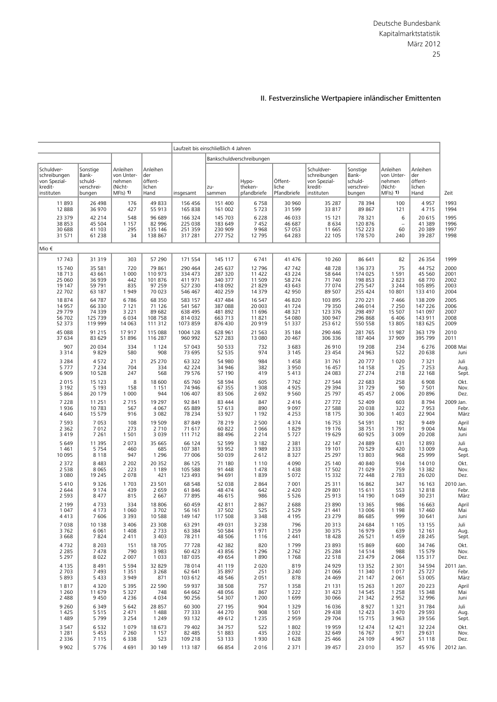|                                                                     |                                                      |                                                           | Laufzeit bis einschließlich 4 Jahren<br>Bankschuldverschreibungen |                              |                            |                                 |                                 |                                                                     |                                                      |                                                           |                                              |                      |
|---------------------------------------------------------------------|------------------------------------------------------|-----------------------------------------------------------|-------------------------------------------------------------------|------------------------------|----------------------------|---------------------------------|---------------------------------|---------------------------------------------------------------------|------------------------------------------------------|-----------------------------------------------------------|----------------------------------------------|----------------------|
|                                                                     |                                                      |                                                           |                                                                   |                              |                            |                                 |                                 |                                                                     |                                                      |                                                           |                                              |                      |
| Schuldver-<br>schreibungen<br>von Spezial-<br>kredit-<br>instituten | Sonstige<br>Bank-<br>schuld-<br>verschrei-<br>bungen | Anleihen<br>von Unter-<br>nehmen<br>(Nicht-<br>$MF(s)$ 1) | Anleihen<br>der<br>öffent-<br>lichen<br>Hand                      | insgesamt                    | zu-<br>sammen              | Hypo-<br>theken-<br>pfandbriefe | Öffent-<br>liche<br>Pfandbriefe | Schuldver-<br>schreibungen<br>von Spezial-<br>kredit-<br>instituten | Sonstige<br>Bank-<br>schuld-<br>verschrei-<br>bungen | Anleihen<br>von Unter-<br>nehmen<br>(Nicht-<br>$MF(s)$ 1) | Anleihen<br>der<br>öffent-<br>lichen<br>Hand | Zeit                 |
| 11 893                                                              | 26 498                                               | 176                                                       | 49 833                                                            | 156 456                      | 151 400                    | 6758                            | 30 960                          | 35 287                                                              | 78 394                                               | 100                                                       | 4957                                         | 1993                 |
| 12 888                                                              | 36 970                                               | 427                                                       | 55 913                                                            | 165 838                      | 161 002                    | 5723                            | 31 599                          | 33 817                                                              | 89 867                                               | 121                                                       | 4715                                         | 1994                 |
| 23 379                                                              | 42 214                                               | 548                                                       | 96 689                                                            | 166 324                      | 145 703                    | 6 2 2 8                         | 46 033                          | 15 121                                                              | 78 321                                               | 6                                                         | 20 615                                       | 1995                 |
| 38 853                                                              | 45 504                                               | 1 1 5 7                                                   | 82 996                                                            | 225 038                      | 183 649                    | 7452                            | 46 687                          | 8634                                                                | 120 876                                              | $\overline{\phantom{a}}$                                  | 41 389                                       | 1996                 |
| 30 688                                                              | 41 103                                               | 295                                                       | 135 146                                                           | 251 359                      | 230 909                    | 9 9 6 8                         | 57 053                          | 11 665                                                              | 152 223                                              | 60                                                        | 20 389                                       | 1997                 |
| 31 571                                                              | 61 238                                               | 34                                                        | 138 867                                                           | 317 281                      | 277 752                    | 12 795                          | 64 283                          | 22 105                                                              | 178 570                                              | 240                                                       | 39 287                                       | 1998                 |
| Mio €                                                               |                                                      |                                                           |                                                                   |                              |                            |                                 |                                 |                                                                     |                                                      |                                                           |                                              |                      |
| 17 743                                                              | 31 319                                               | 303                                                       | 57 290                                                            | 171 554                      | 145 117                    | 6 7 4 1                         | 41 476                          | 10 260                                                              | 86 641                                               | 82                                                        | 26 3 5 4                                     | 1999                 |
| 15 740                                                              | 35 581                                               | 720                                                       | 79 861                                                            | 290 464                      | 245 637                    | 12 796                          | 47 742                          | 48728                                                               | 136 373                                              | 75                                                        | 44 7 52                                      | 2000                 |
| 18 713                                                              | 43 661                                               | 1 0 0 0                                                   | 110 973                                                           | 334 473                      | 287 320                    | 11 422                          | 43 224                          | 58 644                                                              | 174 025                                              | 1 5 9 1                                                   | 45 560                                       | 2001                 |
| 25 060                                                              | 36 939                                               | 442                                                       | 101 876                                                           | 411 971                      | 340 377                    | 11 509                          | 58 274                          | 71 740                                                              | 198 853                                              | 2823                                                      | 68 770                                       | 2002                 |
| 19 147                                                              | 59 791                                               | 835                                                       | 97 259                                                            | 527 230                      | 418 092                    | 21 829                          | 43 643                          | 77 074                                                              | 275 547                                              | 3 2 4 4                                                   | 105 895                                      | 2003                 |
| 22 702                                                              | 63 187                                               | 1949                                                      | 70 023                                                            | 546 467                      | 402 259                    | 14 379                          | 42 950                          | 89 507                                                              | 255 424                                              | 10 801                                                    | 133 410                                      | 2004                 |
| 18 874                                                              | 64 787                                               | 6786                                                      | 68 350                                                            | 583 157                      | 437 484                    | 16 547                          | 46 820                          | 103 895                                                             | 270 221                                              | 7466                                                      | 138 209                                      | 2005                 |
| 14 9 57                                                             | 66 330                                               | 7 1 2 1                                                   | 71 126                                                            | 541 567                      | 387 088                    | 20 003                          | 41724                           | 79 350                                                              | 246 014                                              | 7 2 5 0                                                   | 147 226                                      | 2006                 |
| 29 779                                                              | 74 339                                               | 3 2 2 1                                                   | 89 682                                                            | 638 495                      | 481 892                    | 11 696                          | 48 321                          | 123 376                                                             | 298 497                                              | 15 507                                                    | 141 097                                      | 2007                 |
| 56 702                                                              | 125 739                                              | 6 0 3 4                                                   | 108 758                                                           | 814 032                      | 663 713                    | 11 821                          | 54 080                          | 300 947                                                             | 296 868                                              | 6 4 0 6                                                   | 143 911                                      | 2008                 |
| 52 373                                                              | 119 999                                              | 14 063                                                    | 111 312                                                           | 1073 859                     | 876 430                    | 20 919                          | 51 337                          | 253 612                                                             | 550 558                                              | 13 805                                                    | 183 625                                      | 2009                 |
| 45 088                                                              | 91 215                                               | 17917                                                     | 115 088                                                           | 1004 128                     | 628 961                    | 21 5 63                         | 35 184                          | 290 446                                                             | 281 765                                              | 11 987                                                    | 363 179                                      | 2010                 |
| 37 634                                                              | 83 629                                               | 51896                                                     | 116 287                                                           | 960 992                      | 527 283                    | 13 080                          | 20 467                          | 306 336                                                             | 187 404                                              | 37 909                                                    | 395 799                                      | 2011                 |
| 907                                                                 | 20 034                                               | 334                                                       | 1 1 2 4                                                           | 57 043                       | 50 533                     | 732                             | 3 6 8 3                         | 26 910                                                              | 19 208                                               | 234                                                       | 6 2 7 6                                      | 2008 Mai             |
| 3 3 1 4                                                             | 9829                                                 | 580                                                       | 908                                                               | 73 695                       | 52 535                     | 974                             | 3 1 4 5                         | 23 454                                                              | 24 963                                               | 522                                                       | 20 638                                       | Juni                 |
| 3 2 8 4<br>5 7 7 7<br>6 9 0 9                                       | 4572<br>7 2 3 4<br>10 528                            | 21<br>704<br>247                                          | 25 270<br>334<br>568                                              | 63 322<br>42 2 2 4<br>79 576 | 54 980<br>34 946<br>57 190 | 984<br>382<br>419               | 1458<br>3 9 5 0<br>5 4 1 3      | 31 761<br>16 457<br>24 083                                          | 20 777<br>14 158<br>27 274                           | 1 0 2 0<br>25<br>218                                      | 7 3 2 1<br>7 2 5 3<br>22 168                 | Juli<br>Aug.<br>Sept |
| 2 0 1 5                                                             | 15 123                                               | 8                                                         | 18 600                                                            | 65 760                       | 58 594                     | 605                             | 7762                            | 27 544                                                              | 22 683                                               | 258                                                       | 6908                                         | Okt.                 |
| 3 1 9 2                                                             | 5 1 9 3                                              | 158                                                       | 1 1 5 1                                                           | 74 946                       | 67 355                     | 1 3 0 8                         | 4925                            | 29 394                                                              | 31729                                                | 90                                                        | 7 5 0 1                                      | Nov.                 |
| 5 8 6 4                                                             | 20 179                                               | 1 0 0 0                                                   | 944                                                               | 106 407                      | 83 506                     | 2 6 9 2                         | 9 5 6 0                         | 25 797                                                              | 45 457                                               | 2 0 0 6                                                   | 20896                                        | Dez.                 |
| 7 2 2 8                                                             | 11 251                                               | 2 7 1 5                                                   | 19 2 9 7                                                          | 92 841                       | 83 444                     | 847                             | 2 4 1 6                         | 27 772                                                              | 52 409                                               | 603                                                       | 8794                                         | 2009 Jan.            |
| 1936                                                                | 10 783                                               | 567                                                       | 4 0 6 7                                                           | 65 889                       | 57 613                     | 890                             | 9 0 9 7                         | 27 588                                                              | 20 038                                               | 322                                                       | 7953                                         | Febr                 |
| 4 6 4 0                                                             | 15 5 7 9                                             | 916                                                       | 3 0 8 2                                                           | 78 234                       | 53 927                     | 1 1 9 2                         | 4 2 5 3                         | 18 175                                                              | 30 30 6                                              | 1 4 0 3                                                   | 22 904                                       | März                 |
| 7 5 9 3                                                             | 7 0 5 3                                              | 108                                                       | 19 509                                                            | 87 849                       | 78 219                     | 2 500                           | 4374                            | 16 753                                                              | 54 591                                               | 182                                                       | 9 4 4 9                                      | April                |
| 2 3 6 2                                                             | 7 0 1 2                                              | 273                                                       | 2710                                                              | 71 617                       | 60 822                     | 1 0 6 6                         | 1829                            | 19 17 6                                                             | 38 751                                               | 1791                                                      | 9 0 0 4                                      | Mai                  |
| 3 4 1 9                                                             | 7 2 6 1                                              | 1 5 0 1                                                   | 3 0 3 9                                                           | 111 712                      | 88 4 96                    | 2 2 1 4                         | 5727                            | 19 629                                                              | 60 925                                               | 3 0 0 9                                                   | 20 20 8                                      | Juni                 |
| 5 6 4 9                                                             | 11 395                                               | 2 0 7 3                                                   | 35 665                                                            | 66 124                       | 52 599                     | 3 1 8 2                         | 2 3 8 1                         | 22 147                                                              | 24 8 89                                              | 631                                                       | 12 893                                       | Juli                 |
| 1 4 6 1                                                             | 5 7 5 4                                              | 460                                                       | 685                                                               | 107 381                      | 93 952                     | 1989                            | 2 3 3 3                         | 19 101                                                              | 70 529                                               | 420                                                       | 13 009                                       | Aug.                 |
| 10 095                                                              | 8 1 1 8                                              | 947                                                       | 1 2 9 6                                                           | 77 006                       | 50 039                     | 2 6 1 2                         | 8 3 2 7                         | 25 297                                                              | 13 803                                               | 968                                                       | 25 999                                       | Sept                 |
| 2 3 7 2                                                             | 8 4 8 3                                              | 2 2 0 2                                                   | 20 352                                                            | 86 125                       | 71 180                     | 1 1 1 0                         | 4 0 9 0                         | 25 140                                                              | 40 840                                               | 934                                                       | 14 0 10                                      | Okt.                 |
| 2 5 3 8                                                             | 8 0 6 5                                              | 223                                                       | 1 1 8 9                                                           | 105 588                      | 91 448                     | 1 4 7 8                         | 1 4 3 8                         | 17 502                                                              | 71 029                                               | 759                                                       | 13 3 8 2                                     | Nov.                 |
| 3 0 8 0                                                             | 19 245                                               | 2 0 7 8                                                   | 421                                                               | 123 493                      | 94 691                     | 1839                            | 5 0 7 2                         | 15 3 32                                                             | 72 448                                               | 2 7 8 3                                                   | 26 0 20                                      | Dez.                 |
| 5 4 1 0                                                             | 9 3 2 6                                              | 1703                                                      | 23 501                                                            | 68 548                       | 52 038                     | 2 8 6 4                         | 7 0 0 1                         | 25 311                                                              | 16 862                                               | 347                                                       | 16 163                                       | 2010 Jan.            |
| 2 6 4 4                                                             | 9 1 7 4                                              | 439                                                       | 2 6 5 9                                                           | 61 846                       | 48 474                     | 642                             | 2 4 2 0                         | 29 801                                                              | 15 611                                               | 553                                                       | 12818                                        | Febr                 |
| 2 5 9 3                                                             | 8 4 7 7                                              | 815                                                       | 2 6 6 7                                                           | 77895                        | 46 615                     | 986                             | 5 5 2 6                         | 25 913                                                              | 14 190                                               | 1 0 4 9                                                   | 30 2 31                                      | März                 |
| 2 1 9 9                                                             | 4733                                                 | 334                                                       | 18 806                                                            | 60 459                       | 42 811                     | 2 8 6 7                         | 2 6 8 8                         | 23 890                                                              | 13 3 65                                              | 986                                                       | 16 663                                       | April                |
| 1 0 4 7                                                             | 4 1 7 3                                              | 1 0 6 0                                                   | 3702                                                              | 56 161                       | 37 502                     | 525                             | 2 5 2 9                         | 21 441                                                              | 13 006                                               | 1 1 9 8                                                   | 17 460                                       | Mai                  |
| 4 4 1 3                                                             | /606                                                 | 3 393                                                     | 10 588                                                            | 149 147                      | 117 508                    | 348 د                           | 4 195                           | 23 279                                                              | 86 685                                               | 999                                                       | 30 641                                       | Juni                 |
| 7 0 38                                                              | 10 138                                               | 3 4 0 6                                                   | 23 308                                                            | 63 291                       | 49 031                     | 3 2 3 8                         | 796                             | 20 313                                                              | 24 684                                               | 1 1 0 5                                                   | 13 155                                       | Juli                 |
| 3762                                                                | 6 0 6 1                                              | 1 4 0 8                                                   | 2 7 3 3                                                           | 63 384                       | 50 584                     | 1971                            | 1 2 5 9                         | 30 375                                                              | 16 979                                               | 639                                                       | 12 161                                       | Aug.                 |
| 3 6 6 8                                                             | 7824                                                 | 2411                                                      | 3 4 0 3                                                           | 78 211                       | 48 50 6                    | 1 1 1 6                         | 2 4 4 1                         | 18 4 28                                                             | 26 521                                               | 1459                                                      | 28 245                                       | Sept                 |
| 4732                                                                | 8 2 0 3                                              | 151                                                       | 18 705                                                            | 77728                        | 42 382                     | 820                             | 1799                            | 23 893                                                              | 15 869                                               | 600                                                       | 34 746                                       | Okt.                 |
| 2 2 8 5                                                             | 7478                                                 | 790                                                       | 3 9 8 3                                                           | 60 423                       | 43 856                     | 1 2 9 6                         | 2 7 6 2                         | 25 284                                                              | 14514                                                | 988                                                       | 15 5 7 9                                     | Nov.                 |
| 5 2 9 7                                                             | 8 0 2 2                                              | 2 0 0 7                                                   | 1 0 3 3                                                           | 187 035                      | 49 654                     | 1890                            | 1768                            | 22 518                                                              | 23 479                                               | 2 0 6 4                                                   | 135 317                                      | Dez.                 |
| 4 1 3 5                                                             | 8 4 9 1                                              | 5 5 9 4                                                   | 32 829                                                            | 78 014                       | 41 119                     | 2 0 2 0                         | 819                             | 24 9 29                                                             | 13 3 5 2                                             | 2 3 0 1                                                   | 34 5 94                                      | 2011 Jan.            |
| 2 7 0 3                                                             | 7 4 9 3                                              | 1 3 5 1                                                   | 3 2 6 8                                                           | 62 641                       | 35 897                     | 251                             | 3 2 4 0                         | 21 066                                                              | 11 340                                               | 1017                                                      | 25 7 27                                      | Febr                 |
| 5 8 9 3                                                             | 5 4 3 3                                              | 3 9 4 9                                                   | 871                                                               | 103 612                      | 48 546                     | 2 0 5 1                         | 878                             | 24 4 69                                                             | 21 147                                               | 2 0 6 1                                                   | 53 005                                       | März                 |
| 1817                                                                | 4 3 2 0                                              | 5 3 9 5                                                   | 22 5 9 0                                                          | 59 937                       | 38 508                     | 757                             | 1 3 5 8                         | 21 131                                                              | 15 2 63                                              | 1 2 0 7                                                   | 20 223                                       | April                |
| 1 2 6 0                                                             | 11 679                                               | 5 3 2 7                                                   | 748                                                               | 64 662                       | 48 056                     | 867                             | 1 2 2 2                         | 31 423                                                              | 14 5 45                                              | 1 2 5 8                                                   | 15 348                                       | Mai                  |
| 2 4 8 8                                                             | 9 4 5 0                                              | 4 2 3 6                                                   | 4 0 3 4                                                           | 90 25 6                      | 54 307                     | 1 200                           | 1699                            | 30 066                                                              | 21 342                                               | 2952                                                      | 32 996                                       | Juni                 |
| 9 2 6 0                                                             | 6 3 4 9                                              | 5 6 4 2                                                   | 28 857                                                            | 60 300                       | 27 195                     | 904                             | 1 3 2 9                         | 16 036                                                              | 8927                                                 | 1 3 2 1                                                   | 31 7 84                                      | Juli                 |
| 1 4 2 5                                                             | 5 5 1 5                                              | 2 4 7 1                                                   | 1488                                                              | 77 333                       | 44 270                     | 908                             | 1501                            | 29 4 38                                                             | 12 4 23                                              | 3 4 7 0                                                   | 29 5 93                                      | Aug.                 |
| 1 4 8 9                                                             | 5799                                                 | 3 2 5 4                                                   | 1 2 4 9                                                           | 93 132                       | 49 612                     | 1 2 3 5                         | 2 9 5 9                         | 29 704                                                              | 15 7 15                                              | 3 9 6 3                                                   | 39 5 5 6                                     | Sept                 |
| 3 5 4 7                                                             | 6532                                                 | 1079                                                      | 18 673                                                            | 79 402                       | 34 757                     | 522                             | 1802                            | 19 959                                                              | 12 474                                               | 12 4 21                                                   | 32 2 2 4                                     | Okt.                 |
| 1 2 8 1                                                             | 5 4 5 3                                              | 7 2 6 0                                                   | 1 1 5 7                                                           | 82 485                       | 51883                      | 435                             | 2 0 3 2                         | 32 649                                                              | 16 767                                               | 971                                                       | 29 631                                       | Nov.                 |
| 2 3 3 6                                                             | 7 1 1 5                                              | 6338                                                      | 523                                                               | 109 218                      | 53 133                     | 1930                            | 1628                            | 25 4 66                                                             | 24 109                                               | 4967                                                      | 51 118                                       | Dez.                 |
| 9 9 0 2                                                             | 5776                                                 | 4691                                                      | 30 149                                                            | 113 187                      | 66 854                     | 2 0 1 6                         | 2 3 7 1                         | 39 457                                                              | 23 010                                               | 357                                                       | 45 976                                       | 2012 Jan.            |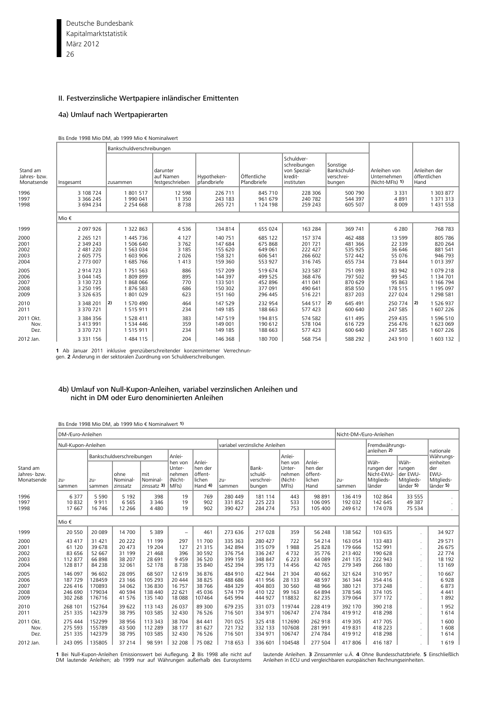Deutsche Bundesbank 26 Kapitalmarktstatistik März 2012

### II. Festverzinsliche Wertpapiere inländischer Emittenten

### 4a) Umlauf nach Wertpapierarten

#### Bis Ende 1998 Mio DM, ab 1999 Mio € Nominalwert

|                                        |                                                                       | Bankschuldverschreibungen                                    |                                            |                                                     |                                                     |                                                                     |                                                     |                                                    |                                                               |
|----------------------------------------|-----------------------------------------------------------------------|--------------------------------------------------------------|--------------------------------------------|-----------------------------------------------------|-----------------------------------------------------|---------------------------------------------------------------------|-----------------------------------------------------|----------------------------------------------------|---------------------------------------------------------------|
| Stand am<br>Jahres- bzw.<br>Monatsende | Insgesamt                                                             | zusammen                                                     | darunter<br>auf Namen<br>festgeschrieben   | Hypotheken-<br>pfandbriefe                          | Öffentliche<br>Pfandbriefe                          | Schuldver-<br>schreibungen<br>von Spezial-<br>kredit-<br>instituten | Sonstige<br>Bankschuld-<br>verschrei-<br>bungen     | Anleihen von<br>Unternehmen<br>(Nicht-MFIs) 1)     | Anleihen der<br>öffentlichen<br>Hand                          |
| 1996<br>1997<br>1998                   | 3 108 724<br>3 3 6 2 4 5<br>3 694 234                                 | 1801517<br>1 990 041<br>2 2 5 4 6 6 8                        | 12 5 98<br>11 350<br>8738                  | 226 711<br>243 183<br>265 721                       | 845 710<br>961 679<br>1 124 198                     | 228 306<br>240 782<br>259 243                                       | 500 790<br>544 397<br>605 507                       | 3 3 3 1<br>4891<br>8 0 0 9                         | 1 303 877<br>1 371 313<br>1 4 3 1 5 5 8                       |
|                                        | Mio €                                                                 |                                                              |                                            |                                                     |                                                     |                                                                     |                                                     |                                                    |                                                               |
| 1999                                   | 2 097 926                                                             | 1 322 863                                                    | 4536                                       | 134 814                                             | 655 024                                             | 163 284                                                             | 369 741                                             | 6 2 8 0                                            | 768 783                                                       |
| 2000<br>2001<br>2002<br>2003<br>2004   | 2 2 6 5 1 2 1<br>2 349 243<br>2 481 220<br>2 605 775<br>2 773 007     | 1 445 736<br>1 506 640<br>1 563 034<br>1 603 906<br>1685 766 | 4 1 2 7<br>3762<br>3 1 8 5<br>2026<br>1413 | 140 751<br>147 684<br>155 620<br>158 321<br>159 360 | 685 122<br>675 868<br>649 061<br>606 541<br>553 927 | 157 374<br>201 721<br>222 427<br>266 602<br>316 745                 | 462 488<br>481 366<br>535 925<br>572 442<br>655 734 | 13 5 9 9<br>22 3 3 9<br>36 646<br>55 076<br>73 844 | 805 786<br>820 264<br>881 541<br>946 793<br>1 013 397         |
| 2005<br>2006<br>2007<br>2008<br>2009   | 2 914 723<br>3 044 145<br>3 130 723<br>3 2 5 0 1 9 5<br>3 3 2 6 6 3 5 | 1 751 563<br>1809899<br>1868066<br>1876 583<br>1801029       | 886<br>895<br>770<br>686<br>623            | 157 209<br>144 397<br>133 501<br>150 302<br>151 160 | 519 674<br>499 525<br>452 896<br>377 091<br>296 445 | 323 587<br>368 476<br>411 041<br>490 641<br>516 221                 | 751 093<br>797 502<br>870 629<br>858 550<br>837 203 | 83 942<br>99 545<br>95 863<br>178 515<br>227 024   | 1 079 218<br>1 134 701<br>1 166 794<br>1 195 097<br>1 298 581 |
| 2010<br>2011                           | 3 3 4 8 2 0 1<br>3 370 721                                            | 2)<br>1 570 490<br>1515911                                   | 464<br>234                                 | 147 529<br>149 185                                  | 232 954<br>188 663                                  | 544 517<br>577 423                                                  | $ 2\rangle$<br>645 491<br>600 640                   | 250 774<br>247 585                                 | $ 2\rangle$<br>1 526 937<br>1607226                           |
| 2011 Okt.<br>Nov.<br>Dez.              | 3 3 8 4 3 5 6<br>3 413 991<br>3 370 721                               | 1 528 411<br>1 534 446<br>1515911                            | 383<br>359<br>234                          | 147 519<br>149 001<br>149 185                       | 194 815<br>190 612<br>188 663                       | 574 582<br>578 104<br>577 423                                       | 611 495<br>616 729<br>600 640                       | 259 435<br>256 476<br>247 585                      | 1 596 510<br>1 623 069<br>1 607 226                           |
| 2012 Jan.                              | 3 3 3 1 1 5 6                                                         | 1 484 115                                                    | 204                                        | 146 368                                             | 180 700                                             | 568 754                                                             | 588 292                                             | 243 910                                            | 1 603 132                                                     |

**1** Ab Januar 2011 inklusive grenzüberschreitender konzerninterner Verrechnun-

gen. **2** Änderung in der sektoralen Zuordnung von Schuldverschreibungen.

### 4b) Umlauf von Null-Kupon-Anleihen, variabel verzinslichen Anleihen und nicht in DM oder Euro denominierten Anleihen

|                                        | DM-/Euro-Anleihen                                   |                                                  |                                                  |                                                    |                                                    |                                                     |                                                     |                                                     |                                                              |                                                | Nicht-DM-/Euro-Anleihen                             |                                                     |                                               |                                                  |
|----------------------------------------|-----------------------------------------------------|--------------------------------------------------|--------------------------------------------------|----------------------------------------------------|----------------------------------------------------|-----------------------------------------------------|-----------------------------------------------------|-----------------------------------------------------|--------------------------------------------------------------|------------------------------------------------|-----------------------------------------------------|-----------------------------------------------------|-----------------------------------------------|--------------------------------------------------|
|                                        | Null-Kupon-Anleihen                                 |                                                  |                                                  |                                                    |                                                    |                                                     |                                                     | variabel verzinsliche Anleihen                      |                                                              |                                                |                                                     | Fremdwährungs-<br>anleihen 2)                       |                                               | nationale                                        |
|                                        |                                                     |                                                  | Bankschuldverschreibungen                        |                                                    | Anlei-                                             | Anlei-                                              |                                                     |                                                     | Anlei-                                                       | Anlei-                                         |                                                     | Wäh-                                                | Wäh-                                          | Währungs-<br>einheiten                           |
| Stand am<br>Jahres- bzw.<br>Monatsende | $711-$<br>sammen                                    | zu-<br>sammen                                    | ohne<br>Nominal-<br>zinssatz                     | mit<br>Nominal-<br>zinssatz 3)                     | hen von<br>Unter-<br>nehmen<br>(Nicht-<br>MFIs)    | hen der<br>öffent-<br>lichen<br>Hand $4$ )          | 7u-<br>sammen                                       | Bank-<br>schuld-<br>verschrei-<br>bungen            | hen von<br>Unter-<br>nehmen<br>(Nicht-<br>MFI <sub>S</sub> ) | hen der<br>öffent-<br>lichen<br>Hand           | zu-<br>sammen                                       | rungen der<br>Nicht-EWU-<br>Mitglieds-<br>länder    | rungen<br>der EWU-<br>Mitalieds-<br>länder 5) | der<br>EWU-<br>Mitglieds-<br>länder 5)           |
| 1996<br>1997<br>1998                   | 6 3 7 7<br>10832<br>17 667                          | 5 5 9 0<br>9911<br>16 746                        | 5 1 9 2<br>6565<br>12 2 6 6                      | 398<br>3 3 4 6<br>4 4 8 0                          | 19<br>19<br>19                                     | 769<br>902<br>902                                   | 280 449<br>331852<br>390 427                        | 181 114<br>225 223<br>284 274                       | 443<br>533<br>753                                            | 98 891<br>106 095<br>105 400                   | 136 419<br>192 032<br>249 612                       | 102 864<br>142 645<br>174 078                       | 33 555<br>49 387<br>75 534                    |                                                  |
|                                        | Mio €                                               |                                                  |                                                  |                                                    |                                                    |                                                     |                                                     |                                                     |                                                              |                                                |                                                     |                                                     |                                               |                                                  |
| 1999                                   | 20 550                                              | 20 089                                           | 14 700                                           | 5 3 8 9                                            | $\overline{\phantom{a}}$                           | 461                                                 | 273 636                                             | 217 028                                             | 359                                                          | 56 248                                         | 138 562                                             | 103 635                                             | ÷.                                            | 34 9 27                                          |
| 2000<br>2001<br>2002<br>2003<br>2004   | 43 417<br>61 120<br>83 656<br>112 877<br>128 817    | 31 4 21<br>39 678<br>52 667<br>66 898<br>84 2 38 | 20 222<br>20 473<br>31 199<br>38 207<br>32 061   | 11 199<br>19 204<br>21 4 68<br>28 691<br>52 178    | 297<br>127<br>396<br>9459<br>8738                  | 11 700<br>21 3 1 5<br>30 5 9 2<br>36 5 20<br>35 840 | 335 363<br>342 894<br>376 754<br>399 159<br>452 394 | 280 427<br>315 079<br>336 247<br>348 847<br>395 173 | 722<br>1988<br>4732<br>6 2 2 3<br>14 4 5 6                   | 54 214<br>25 828<br>35 776<br>44 089<br>42 765 | 163 054<br>179 666<br>213 402<br>241 135<br>279 349 | 133 483<br>152 991<br>190 628<br>222 943<br>266 180 | ×.<br>×.<br>×.<br>×.<br>×.                    | 29 571<br>26 675<br>22 7 7 4<br>18 192<br>13 169 |
| 2005<br>2006<br>2007<br>2008<br>2009   | 146 097<br>187 729<br>226 416<br>246 690<br>302 268 | 96 602<br>128459<br>170893<br>179034<br>176716   | 28 0 95<br>23 166<br>34 062<br>40 5 94<br>41 576 | 68 507<br>105 293<br>136 830<br>138 440<br>135 140 | 12 6 19<br>20 444<br>16 7 5 7<br>22 621<br>18 0 88 | 36 876<br>38 8 25<br>38 7 66<br>45 0 36<br>107464   | 484 910<br>488 686<br>484 329<br>574 179<br>645 994 | 422 944<br>411 956<br>404 803<br>410 122<br>444 927 | 21 304<br>28 133<br>30 560<br>99 163<br>118832               | 40 662<br>48 597<br>48 966<br>64 894<br>82 235 | 321 624<br>361 344<br>380 121<br>378 546<br>379 064 | 310 957<br>354 416<br>373 248<br>374 105<br>377 172 | ×.<br>×.<br>×.<br>×.<br>÷.                    | 10 667<br>6928<br>6873<br>4 4 4 1<br>1892        |
| 2010<br>2011                           | 268 101<br>251 335                                  | 152764<br>142379                                 | 39 622<br>38 7 95                                | 113 143<br>103 585                                 | 26 037<br>32 4 30                                  | 89 300<br>76 5 26                                   | 679 235<br>716 501                                  | 331 073<br>334 971                                  | 119744<br>106747                                             | 228 419<br>274 784                             | 392 170<br>419 912                                  | 390 218<br>418 298                                  | ×.<br>×.                                      | 1952<br>1614                                     |
| 2011 Okt.<br>Nov.<br>Dez.              | 275 444<br>275 593<br>251 335                       | 152299<br>155789<br>142379                       | 38 956<br>43 500<br>38 795                       | 113 343<br>112 289<br>103 585                      | 38 704<br>38 177<br>32 4 30                        | 84 441<br>81 627<br>76 5 26                         | 701 025<br>721 732<br>716 501                       | 325 418<br>332 133<br>334 971                       | 112690<br>107608<br>106747                                   | 262 918<br>281 991<br>274 784                  | 419 305<br>419831<br>419 912                        | 417 705<br>418 223<br>418 298                       | ä.<br>÷.<br>×.                                | 1600<br>1608<br>1614                             |
| 2012 Jan.                              | 243 095                                             | 135805                                           | 37 214                                           | 98 591                                             | 32 208                                             | 75 082                                              | 718 653                                             | 336 601                                             | 104548                                                       | 277 504                                        | 417806                                              | 416 187                                             |                                               | 1619                                             |

Bis Ende 1998 Mio DM, ab 1999 Mio € Nominalwert **1)**

1 Bei Null-Kupon-Anleihen Emissionswert bei Auflegung. 2 Bis 1998 alle nicht auf<br>DM lautende Anleihen; ab 1999 nur auf Währungen außerhalb des Eurosystems

**1** Bei Null-Kupon-Anleihen Emissionswert bei Auflegung. **2** Bis 1998 alle nicht auf lautende Anleihen. **3** Zinssammler u.Ä. **4** Ohne Bundesschatzbriefe. **5** Einschließlich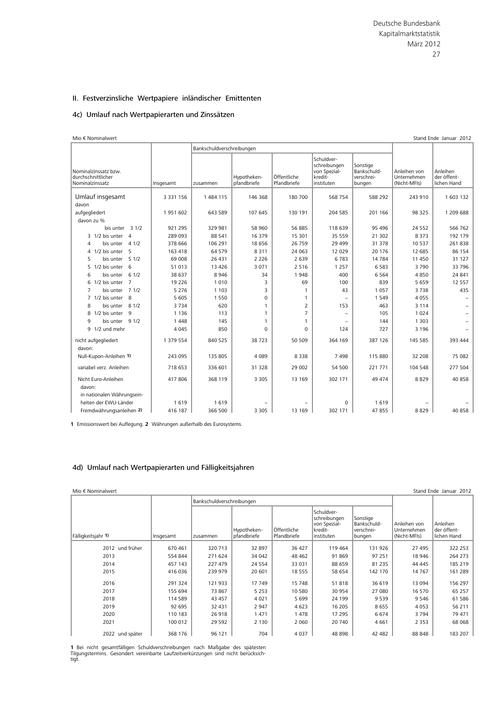# 4c) Umlauf nach Wertpapierarten und Zinssätzen

Mio € Nominalwert

| ועווט כ ועטווווועווענענ                                       |               |                           |                            |                            |                                                                     |                                                 |                                             |                                        |
|---------------------------------------------------------------|---------------|---------------------------|----------------------------|----------------------------|---------------------------------------------------------------------|-------------------------------------------------|---------------------------------------------|----------------------------------------|
|                                                               |               | Bankschuldverschreibungen |                            |                            |                                                                     |                                                 |                                             |                                        |
| Nominalzinssatz bzw.<br>durchschnittlicher<br>Nominalzinssatz | Insgesamt     | zusammen                  | Hypotheken-<br>pfandbriefe | Öffentliche<br>Pfandbriefe | Schuldver-<br>schreibungen<br>von Spezial-<br>kredit-<br>instituten | Sonstige<br>Bankschuld-<br>verschrei-<br>bungen | Anleihen von<br>Unternehmen<br>(Nicht-MFIs) | Anleihen<br>der öffent-<br>lichen Hand |
| Umlauf insgesamt                                              |               | 1 484 115                 | 146 368                    | 180 700                    | 568 754                                                             | 588 292                                         | 243 910                                     | 1 603 132                              |
| davon                                                         | 3 3 3 1 1 5 6 |                           |                            |                            |                                                                     |                                                 |                                             |                                        |
| aufgegliedert                                                 | 1951602       | 643 589                   | 107 645                    | 130 191                    | 204 585                                                             | 201 166                                         | 98 325                                      | 1 209 688                              |
| davon zu %                                                    |               |                           |                            |                            |                                                                     |                                                 |                                             |                                        |
| bis unter 3 1/2                                               | 921 295       | 329 981                   | 58 960                     | 56 885                     | 118 639                                                             | 95 4 96                                         | 24 5 52                                     | 566 762                                |
| 3 1/2 bis unter 4                                             | 289 093       | 88 541                    | 16 379                     | 15 301                     | 35 559                                                              | 21 302                                          | 8 3 7 3                                     | 192 179                                |
| 41/2<br>4<br>bis unter                                        | 378 666       | 106 291                   | 18 65 6                    | 26759                      | 29 4 9 9                                                            | 31 378                                          | 10 537                                      | 261838                                 |
| 4 1/2 bis unter 5                                             | 163 418       | 64 579                    | 8311                       | 24 063                     | 12 0 29                                                             | 20 17 6                                         | 12 685                                      | 86 154                                 |
| bis unter 5 1/2<br>5                                          | 69 008        | 26 431                    | 2 2 2 6                    | 2 6 3 9                    | 6783                                                                | 14 7 84                                         | 11 450                                      | 31 127                                 |
| 5 1/2 bis unter 6                                             | 51 013        | 13 4 26                   | 3 0 7 1                    | 2 5 1 6                    | 1 2 5 7                                                             | 6583                                            | 3790                                        | 33 796                                 |
| 61/2<br>6<br>bis unter                                        | 38 637        | 8 9 4 6                   | 34                         | 1948                       | 400                                                                 | 6 5 6 4                                         | 4850                                        | 24 841                                 |
| 6 1/2 bis unter 7                                             | 19 2 26       | 1010                      | 3                          | 69                         | 100                                                                 | 839                                             | 5 6 5 9                                     | 12 5 5 7                               |
| bis unter 7 1/2<br>$\overline{7}$                             | 5 2 7 6       | 1 1 0 3                   | 3                          | 1                          | 43                                                                  | 1 0 5 7                                         | 3738                                        | 435                                    |
| 7 1/2 bis unter 8                                             | 5 6 0 5       | 1550                      | 0                          | 1                          |                                                                     | 1 5 4 9                                         | 4 0 5 5                                     |                                        |
| bis unter 8 1/2<br>8                                          | 3 7 3 4       | 620                       | $\mathbf{1}$               | $\overline{2}$             | 153                                                                 | 463                                             | 3 1 1 4                                     |                                        |
| 8 1/2 bis unter 9                                             | 1 1 3 6       | 113                       | $\mathbf{1}$               | $\overline{7}$             | $\qquad \qquad -$                                                   | 105                                             | 1 0 2 4                                     |                                        |
| bis unter 9 1/2<br>9                                          | 1 4 4 8       | 145                       | $\mathbf{1}$               | 1                          |                                                                     | 144                                             | 1 3 0 3                                     |                                        |
| 9 1/2 und mehr                                                | 4 0 4 5       | 850                       | $\Omega$                   | 0                          | 124                                                                 | 727                                             | 3 1 9 6                                     |                                        |
| nicht aufgegliedert<br>davon:                                 | 1 379 554     | 840 525                   | 38723                      | 50 509                     | 364 169                                                             | 387 126                                         | 145 585                                     | 393 444                                |
| Null-Kupon-Anleihen 1)                                        | 243 095       | 135 805                   | 4089                       | 8338                       | 7 4 9 8                                                             | 115 880                                         | 32 208                                      | 75 082                                 |
| variabel verz. Anleihen                                       | 718 653       | 336 601                   | 31 328                     | 29 002                     | 54 500                                                              | 221 771                                         | 104 548                                     | 277 504                                |
| Nicht Euro-Anleihen<br>davon:                                 | 417806        | 368 119                   | 3 3 0 5                    | 13 169                     | 302 171                                                             | 49 474                                          | 8829                                        | 40858                                  |
| in nationalen Währungsein-                                    |               |                           |                            |                            |                                                                     |                                                 |                                             |                                        |
| heiten der EWU-Länder                                         | 1619          | 1619                      |                            |                            | $\Omega$                                                            | 1619                                            |                                             |                                        |
| Fremdwährungsanleihen 2)                                      | 416 187       | 366 500                   | 3 3 0 5                    | 13 169                     | 302 171                                                             | 47855                                           | 8829                                        | 40 858                                 |

**1** Emissionswert bei Auflegung. **2** Währungen außerhalb des Eurosystems.

#### 4d) Umlauf nach Wertpapierarten und Fälligkeitsjahren

### $M$ io  $\epsilon$  Nominalwert

| Mio € Nominalwert  |           |                           |                            |                            |                                                                     |                                                 |                                             | Stand Ende Januar 2012                 |
|--------------------|-----------|---------------------------|----------------------------|----------------------------|---------------------------------------------------------------------|-------------------------------------------------|---------------------------------------------|----------------------------------------|
|                    |           | Bankschuldverschreibungen |                            |                            |                                                                     |                                                 |                                             |                                        |
| Fälligkeitsjahr 1) | Insgesamt | zusammen                  | Hypotheken-<br>pfandbriefe | Öffentliche<br>Pfandbriefe | Schuldver-<br>schreibungen<br>von Spezial-<br>kredit-<br>instituten | Sonstige<br>Bankschuld-<br>verschrei-<br>bungen | Anleihen von<br>Unternehmen<br>(Nicht-MFIs) | Anleihen<br>der öffent-<br>lichen Hand |
| 2012 und früher    | 670 461   | 320 713                   | 32 897                     | 36 427                     | 119 464                                                             | 131 926                                         | 27 495                                      | 322 253                                |
| 2013               | 554 844   | 271 624                   | 34 042                     | 48 462                     | 91 869                                                              | 97 251                                          | 18 946                                      | 264 273                                |
| 2014               | 457 143   | 227 479                   | 24 5 54                    | 33 0 31                    | 88 659                                                              | 81 2 35                                         | 44 4 45                                     | 185 219                                |
| 2015               | 416 036   | 239 979                   | 20 601                     | 18 5 5 5                   | 58 654                                                              | 142 170                                         | 14767                                       | 161 289                                |
| 2016               | 291 324   | 121 933                   | 17 749                     | 15 748                     | 51818                                                               | 36 619                                          | 13 094                                      | 156 297                                |
| 2017               | 155 694   | 73 867                    | 5 2 5 3                    | 10 580                     | 30 954                                                              | 27 080                                          | 16 570                                      | 65 257                                 |
| 2018               | 114 589   | 43 457                    | 4 0 2 1                    | 5 6 9 9                    | 24 199                                                              | 9539                                            | 9 5 4 6                                     | 61 586                                 |
| 2019               | 92 695    | 32 431                    | 2947                       | 4 6 2 3                    | 16 205                                                              | 8655                                            | 4 0 5 3                                     | 56 211                                 |
| 2020               | 110 183   | 26 918                    | 1471                       | 1478                       | 17 295                                                              | 6674                                            | 3794                                        | 79 471                                 |
| 2021               | 100 012   | 29 5 92                   | 2 1 3 0                    | 2 0 6 0                    | 20 740                                                              | 4661                                            | 2 3 5 3                                     | 68 068                                 |
| 2022 und später    | 368 176   | 96 121                    | 704                        | 4 0 3 7                    | 48 898                                                              | 42 482                                          | 88 848                                      | 183 207                                |

**1** Bei nicht gesamtfälligen Schuldverschreibungen nach Maßgabe des spätesten Tilgungstermins. Gesondert vereinbarte Laufzeitverkürzungen sind nicht berücksichtigt.

Stand Ende Januar 2012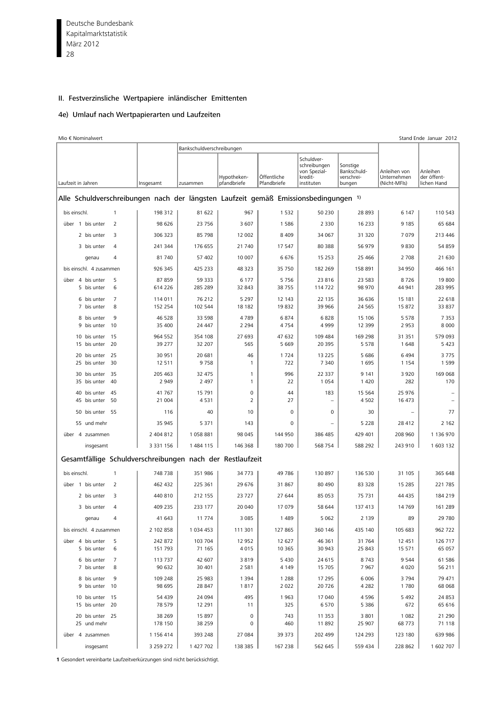Deutsche Bundesbank  $\overline{\phantom{a}}$  28 Kapitalmarktstatistik März 2012

# II. Festverzinsliche Wertpapiere inländischer Emittenten

# 4e) Umlauf nach Wertpapierarten und Laufzeiten

| Mio € Nominalwert                                                                              |                    |                           |                            |                            |                                                                     |                                                 |                                             | Stand Ende Januar 2012                 |
|------------------------------------------------------------------------------------------------|--------------------|---------------------------|----------------------------|----------------------------|---------------------------------------------------------------------|-------------------------------------------------|---------------------------------------------|----------------------------------------|
|                                                                                                |                    | Bankschuldverschreibungen |                            |                            |                                                                     |                                                 |                                             |                                        |
| Laufzeit in Jahren                                                                             | Insgesamt          | zusammen                  | Hypotheken-<br>pfandbriefe | Öffentliche<br>Pfandbriefe | Schuldver-<br>schreibungen<br>von Spezial-<br>kredit-<br>instituten | Sonstige<br>Bankschuld-<br>verschrei-<br>bungen | Anleihen von<br>Unternehmen<br>(Nicht-MFIs) | Anleihen<br>der öffent-<br>lichen Hand |
| Alle Schuldverschreibungen nach der längsten Laufzeit gemäß Emissionsbedingungen <sup>1)</sup> |                    |                           |                            |                            |                                                                     |                                                 |                                             |                                        |
| bis einschl.<br>$\mathbf{1}$                                                                   | 198 312            | 81 622                    | 967                        | 1 5 3 2                    | 50 230                                                              | 28 893                                          | 6 147                                       | 110 543                                |
| über 1 bis unter<br>$\overline{2}$                                                             | 98 626             | 23 756                    | 3 607                      | 1586                       | 2 3 3 0                                                             | 16 233                                          | 9 1 8 5                                     | 65 684                                 |
| 3<br>2 bis unter                                                                               | 306 323            | 85 798                    | 12 002                     | 8 4 0 9                    | 34 067                                                              | 31 320                                          | 7 0 7 9                                     | 213 446                                |
| 3 bis unter<br>4                                                                               | 241 344            | 176 655                   | 21 740                     | 17 547                     | 80 388                                                              | 56 979                                          | 9830                                        | 54 859                                 |
| 4<br>genau                                                                                     | 81 740             | 57 402                    | 10 007                     | 6676                       | 15 2 5 3                                                            | 25 4 66                                         | 2 7 0 8                                     | 21 630                                 |
| bis einschl. 4 zusammen                                                                        | 926 345            | 425 233                   | 48 323                     | 35 750                     | 182 269                                                             | 158 891                                         | 34 950                                      | 466 161                                |
| über 4 bis unter<br>5                                                                          | 87859              | 59 333                    | 6 1 7 7                    | 5756                       | 23 8 16                                                             | 23 583                                          | 8726                                        | 19 800                                 |
| 5 bis unter<br>6                                                                               | 614 226            | 285 289                   | 32 843                     | 38755                      | 114 722                                                             | 98 970                                          | 44 941                                      | 283 995                                |
| 7<br>6 bis unter<br>8<br>7 bis unter                                                           | 114 011<br>152 254 | 76 212<br>102 544         | 5 2 9 7<br>18 182          | 12 143<br>19832            | 22 135<br>39 966                                                    | 36 636<br>24 5 65                               | 15 181<br>15 872                            | 22 618<br>33 837                       |
| 9<br>8 bis unter                                                                               | 46 528             | 33 598                    | 4789                       | 6874                       | 6828                                                                | 15 106                                          | 5 5 7 8                                     | 7 3 5 3                                |
| 9 bis unter<br>-10                                                                             | 35 400             | 24 447                    | 2 2 9 4                    | 4754                       | 4999                                                                | 12 3 9 9                                        | 2 9 5 3                                     | 8 0 0 0                                |
| 10 bis unter<br>- 15                                                                           | 964 552            | 354 108                   | 27 693                     | 47 632                     | 109 484                                                             | 169 298                                         | 31 351                                      | 579 093                                |
| - 20<br>15 bis unter                                                                           | 39 277             | 32 207                    | 565                        | 5 6 6 9                    | 20 3 95                                                             | 5 5 7 8                                         | 1648                                        | 5423                                   |
| 25<br>20 bis unter<br>25 bis unter<br>30                                                       | 30 951<br>12 5 11  | 20 681<br>9758            | 46<br>$\mathbf{1}$         | 1724<br>722                | 13 2 2 5<br>7 3 4 0                                                 | 5 6 8 6<br>1695                                 | 6 4 9 4<br>1 1 5 4                          | 3775<br>1 5 9 9                        |
| 30 bis unter 35                                                                                | 205 463            | 32 475                    | $\mathbf{1}$               | 996                        | 22 337                                                              | 9 1 4 1                                         | 3 9 2 0                                     | 169 068                                |
| 35 bis unter<br>40                                                                             | 2 9 4 9            | 2 4 9 7                   | $\mathbf{1}$               | 22                         | 1054                                                                | 1420                                            | 282                                         | 170                                    |
| - 45<br>40 bis unter<br>45 bis unter<br>50                                                     | 41 767<br>21 004   | 15 791<br>4531            | 0<br>2                     | 44<br>27                   | 183                                                                 | 15 5 64<br>4 5 0 2                              | 25 976<br>16 473                            |                                        |
| 50 bis unter 55                                                                                | 116                | 40                        | 10                         | 0                          | 0                                                                   | 30                                              | $\overline{\phantom{0}}$                    | 77                                     |
| 55 und mehr                                                                                    | 35 945             | 5 3 7 1                   | 143                        | 0                          |                                                                     | 5 2 2 8                                         | 28 412                                      | 2 1 6 2                                |
| über 4 zusammen                                                                                | 2 404 812          | 1058881                   | 98 045                     | 144 950                    | 386 485                                                             | 429 401                                         | 208 960                                     | 1 136 970                              |
| insgesamt                                                                                      | 3 3 3 1 1 5 6      | 1 484 115                 | 146 368                    | 180 700                    | 568 754                                                             | 588 292                                         | 243 910                                     | 1 603 132                              |
| Gesamtfällige Schuldverschreibungen nach der Restlaufzeit                                      |                    |                           |                            |                            |                                                                     |                                                 |                                             |                                        |
| bis einschl.<br>$\mathbf{1}$                                                                   | 748738             | 351 986                   | 34 773                     | 49 786                     | 130 897                                                             | 136 530                                         | 31 105                                      | 365 648                                |
| über 1 bis unter<br>2                                                                          | 462 432            | 225 361                   | 29 676                     | 31 867                     | 80 490                                                              | 83 328                                          | 15 285                                      | 221 785                                |
| 2 bis unter<br>3                                                                               | 440 810            | 212 155                   | 23727                      | 27 644                     | 85 053                                                              | 75 731                                          | 44 435                                      | 184 219                                |
| 3 bis unter                                                                                    | 409 235            | 233 177                   | 20 040                     | 17 079                     | 58 644                                                              | 137 413                                         | 14 769                                      | 161 289                                |
| genau<br>4                                                                                     | 41 643             | 11 7 7 4                  | 3 0 8 5                    | 1 4 8 9                    | 5 0 6 2                                                             | 2 1 3 9                                         | 89                                          | 29 780                                 |
| bis einschl. 4 zusammen                                                                        | 2 102 858          | 1 0 3 4 4 5 3             | 111 301                    | 127 865                    | 360 146                                                             | 435 140                                         | 105 683                                     | 962 722                                |
| über 4 bis unter<br>5                                                                          | 242 872            | 103 704                   | 12 952                     | 12 627                     | 46 361                                                              | 31764                                           | 12 451                                      | 126 717                                |
| 5 bis unter<br>6                                                                               | 151 793            | 71 165                    | 4 0 1 5                    | 10 365                     | 30 943                                                              | 25 843                                          | 15 571                                      | 65 057                                 |
| 6 bis unter<br>7<br>7 bis unter<br>8                                                           | 113 737<br>90 632  | 42 607<br>30 401          | 3819<br>2 5 8 1            | 5 4 3 0<br>4 1 4 9         | 24 615<br>15 705                                                    | 8743<br>7967                                    | 9 5 4 4<br>4 0 2 0                          | 61 586<br>56 211                       |
| 8 bis unter<br>9<br>9 bis unter 10                                                             | 109 248<br>98 695  | 25 983<br>28 847          | 1 3 9 4<br>1817            | 1 2 8 8<br>2 0 2 2         | 17 295<br>20726                                                     | 6 0 0 6<br>4 2 8 2                              | 3794<br>1780                                | 79 471<br>68 068                       |
| 10 bis unter 15<br>15 bis unter 20                                                             | 54 439<br>78 579   | 24 094<br>12 291          | 495<br>11                  | 1963<br>325                | 17 040<br>6570                                                      | 4596<br>5 3 8 6                                 | 5 4 9 2<br>672                              | 24 8 53<br>65 616                      |
| 20 bis unter 25                                                                                | 38 269             | 15 897                    | 0                          | 743                        | 11 3 5 3                                                            | 3 8 0 1                                         | 1 0 8 2                                     | 21 290                                 |
| 25 und mehr                                                                                    | 178 150            | 38 259                    | 0                          | 460                        | 11892                                                               | 25 907                                          | 68 773                                      | 71 118                                 |
| über 4 zusammen                                                                                | 1 156 414          | 393 248                   | 27 084                     | 39 373                     | 202 499                                                             | 124 293                                         | 123 180                                     | 639 986                                |
| insgesamt                                                                                      | 3 259 272          | 1 427 702                 | 138 385                    | 167 238                    | 562 645                                                             | 559 434                                         | 228 862                                     | 1 602 707                              |

**1** Gesondert vereinbarte Laufzeitverkürzungen sind nicht berücksichtigt.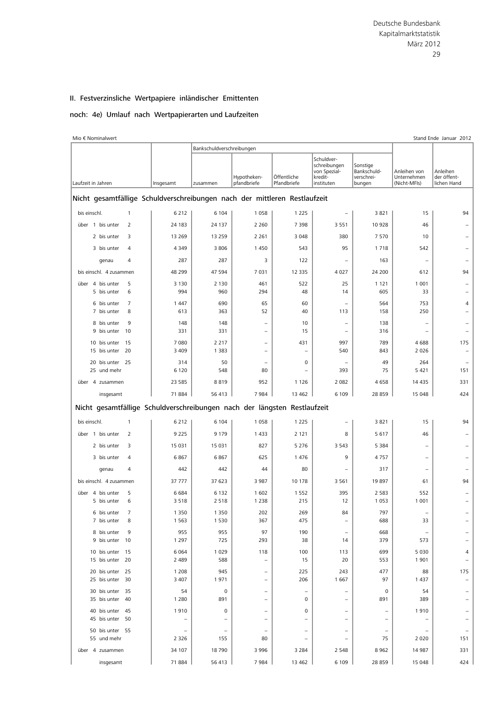#### noch: 4e) Umlauf nach Wertpapierarten und Laufzeiten

| Mio € Nominalwert                                                         |                              |                               |                                                      |                                        |                                                                     |                                                      |                                             | Stand Ende Januar 2012                 |
|---------------------------------------------------------------------------|------------------------------|-------------------------------|------------------------------------------------------|----------------------------------------|---------------------------------------------------------------------|------------------------------------------------------|---------------------------------------------|----------------------------------------|
|                                                                           |                              | Bankschuldverschreibungen     |                                                      |                                        |                                                                     |                                                      |                                             |                                        |
| Laufzeit in Jahren                                                        | Insgesamt                    | zusammen                      | Hypotheken-<br>pfandbriefe                           | Öffentliche<br>Pfandbriefe             | Schuldver-<br>schreibungen<br>von Spezial-<br>kredit-<br>instituten | Sonstige<br>Bankschuld-<br>verschrei-<br>bungen      | Anleihen von<br>Unternehmen<br>(Nicht-MFIs) | Anleihen<br>der öffent-<br>lichen Hand |
| Nicht gesamtfällige Schuldverschreibungen nach der mittleren Restlaufzeit |                              |                               |                                                      |                                        |                                                                     |                                                      |                                             |                                        |
| bis einschl.<br>$\mathbf{1}$                                              | 6 2 1 2                      | 6 1 0 4                       | 1058                                                 | 1 2 2 5                                |                                                                     | 3821                                                 | 15                                          | 94                                     |
| $\overline{2}$<br>über 1 bis unter                                        | 24 183                       | 24 137                        | 2 2 6 0                                              | 7 3 9 8                                | 3 5 5 1                                                             | 10 928                                               | 46                                          |                                        |
| 3<br>2 bis unter                                                          | 13 269                       | 13 259                        | 2 2 6 1                                              | 3 0 4 8                                | 380                                                                 | 7570                                                 | 10                                          |                                        |
| 3 bis unter<br>4                                                          | 4 3 4 9                      | 3 8 0 6                       | 1450                                                 | 543                                    | 95                                                                  | 1718                                                 | 542                                         |                                        |
| 4<br>genau                                                                | 287                          | 287                           | 3                                                    | 122                                    |                                                                     | 163                                                  | $\qquad \qquad -$                           |                                        |
| bis einschl. 4 zusammen                                                   | 48 299                       | 47 594                        | 7 0 3 1                                              | 12 3 3 5                               | 4 0 2 7                                                             | 24 200                                               | 612                                         | 94                                     |
| über 4 bis unter<br>5<br>6<br>5 bis unter                                 | 3 1 3 0<br>994               | 2 1 3 0<br>960                | 461<br>294                                           | 522<br>48                              | 25<br>14                                                            | 1 1 2 1<br>605                                       | 1 0 0 1<br>33                               |                                        |
| 6 bis unter<br>$\overline{7}$<br>8<br>7 bis unter                         | 1 4 4 7<br>613               | 690<br>363                    | 65<br>52                                             | 60<br>40                               | $\overline{\phantom{a}}$<br>113                                     | 564<br>158                                           | 753<br>250                                  | 4                                      |
| 9<br>8 bis unter<br>9 bis unter<br>10                                     | 148<br>331                   | 148<br>331                    | $\overline{\phantom{0}}$                             | 10<br>15                               | $\overline{\phantom{0}}$<br>$\overline{\phantom{0}}$                | 138<br>316                                           | $\qquad \qquad -$<br>$\equiv$               |                                        |
| 15<br>10 bis unter<br>15 bis unter<br>20                                  | 7 0 8 0<br>3 4 0 9           | 2 2 1 7<br>1 3 8 3            | $\overline{\phantom{0}}$<br>$\overline{\phantom{0}}$ | 431<br>L,                              | 997<br>540                                                          | 789<br>843                                           | 4688<br>2 0 2 6                             | 175                                    |
| 20 bis unter 25<br>25 und mehr                                            | 314<br>6 1 2 0               | 50<br>548                     | ۳<br>80                                              | 0<br>$\overline{\phantom{0}}$          | 393                                                                 | 49<br>75                                             | 264<br>5 4 2 1                              | 151                                    |
| über 4 zusammen                                                           | 23 585                       | 8819                          | 952                                                  | 1 1 2 6                                | 2 0 8 2                                                             | 4658                                                 | 14 4 35                                     | 331                                    |
| insgesamt                                                                 | 71 884                       | 56 413                        | 7984                                                 | 13 462                                 | 6 1 0 9                                                             | 28 859                                               | 15 048                                      | 424                                    |
| Nicht gesamtfällige Schuldverschreibungen nach der längsten Restlaufzeit  |                              |                               |                                                      |                                        |                                                                     |                                                      |                                             |                                        |
| bis einschl.<br>$\mathbf{1}$                                              | 6 2 1 2                      | 6 1 0 4                       | 1058                                                 | 1 2 2 5                                | $\overline{\phantom{0}}$                                            | 3821                                                 | 15                                          | 94                                     |
| über 1 bis unter<br>2                                                     | 9 2 2 5                      | 9 1 7 9                       | 1 4 3 3                                              | 2 1 2 1                                | 8                                                                   | 5617                                                 | 46                                          |                                        |
| 3<br>2 bis unter                                                          | 15 031                       | 15 031                        | 827                                                  | 5 2 7 6                                | 3 5 4 3                                                             | 5 3 8 4                                              | $\qquad \qquad -$                           |                                        |
| 3 bis unter<br>$\overline{4}$                                             | 6867                         | 6867                          | 625                                                  | 1476                                   | 9                                                                   | 4757                                                 | $\qquad \qquad -$                           |                                        |
| genau<br>$\overline{4}$                                                   | 442                          | 442                           | 44                                                   | 80                                     | $\overline{\phantom{0}}$                                            | 317                                                  | $\overline{\phantom{m}}$                    |                                        |
| bis einschl. 4 zusammen                                                   | 37 777                       | 37 623                        | 3 9 8 7                                              | 10 178                                 | 3 5 6 1                                                             | 19897                                                | 61                                          | 94                                     |
| 5<br>über 4 bis unter                                                     | 6 6 8 4                      | 6 1 3 2                       | 1 602                                                | 1 5 5 2                                | 395                                                                 | 2 5 8 3                                              | 552                                         |                                        |
| 6<br>5 bis unter                                                          | 3518                         | 2 5 1 8                       | 1 2 3 8                                              | 215                                    | 12                                                                  | 1 0 5 3                                              | 1 0 0 1                                     |                                        |
| 6 bis unter<br>7<br>7 bis unter<br>8                                      | 1 3 5 0<br>1 5 6 3           | 1 3 5 0<br>1 5 3 0            | 202<br>367                                           | 269<br>475                             | 84                                                                  | 797<br>688                                           | $\qquad \qquad -$<br>33                     |                                        |
| 8 bis unter<br>9<br>9 bis unter<br>10                                     | 955<br>1 2 9 7               | 955<br>725                    | 97<br>293                                            | 190<br>38                              | $\overline{\phantom{m}}$<br>14                                      | 668<br>379                                           | $\overline{\phantom{0}}$<br>573             |                                        |
| 10 bis unter 15                                                           | 6 0 6 4                      | 1 0 2 9                       | 118                                                  | 100                                    | 113                                                                 | 699                                                  | 5 0 3 0                                     | 4                                      |
| 15 bis unter<br>20                                                        | 2 4 8 9                      | 588                           | $\qquad \qquad -$                                    | 15                                     | 20                                                                  | 553                                                  | 1901                                        |                                        |
| 20 bis unter 25<br>25 bis unter 30                                        | 1 2 0 8<br>3 4 0 7           | 945<br>1971                   | $\overline{\phantom{0}}$<br>$\qquad \qquad -$        | 225<br>206                             | 243<br>1667                                                         | 477<br>97                                            | 88<br>1 4 3 7                               | 175                                    |
| 30 bis unter<br>35<br>35 bis unter<br>40                                  | 54<br>1 2 8 0                | 0<br>891                      | $\overline{\phantom{0}}$                             | $\overline{a}$<br>0                    | $\overline{\phantom{0}}$                                            | $\pmb{0}$<br>891                                     | 54<br>389                                   |                                        |
| 40 bis unter<br>45<br>45 bis unter 50                                     | 1910<br>$\qquad \qquad -$    | 0<br>$\overline{\phantom{0}}$ | $\overline{\phantom{0}}$<br>$\overline{\phantom{0}}$ | 0<br>$\qquad \qquad -$                 | -<br>$\overline{\phantom{0}}$                                       | $\overline{\phantom{0}}$<br>$\overline{\phantom{0}}$ | 1910<br>$\qquad \qquad -$                   |                                        |
| 50 bis unter 55<br>55 und mehr                                            | $\qquad \qquad -$<br>2 3 2 6 | $\qquad \qquad -$<br>155      | $\overline{\phantom{0}}$<br>80                       | $\qquad \qquad -$<br>$\qquad \qquad -$ | -<br>$\overline{\phantom{0}}$                                       | $\overline{\phantom{0}}$<br>75                       | $\qquad \qquad -$<br>2 0 2 0                | 151                                    |
| über 4 zusammen                                                           | 34 107                       | 18 790                        | 3 9 9 6                                              | 3 2 8 4                                | 2 5 4 8                                                             | 8962                                                 | 14 987                                      | 331                                    |
| insgesamt                                                                 | 71884                        | 56 413                        | 7984                                                 | 13 4 62                                | 6 1 0 9                                                             | 28 859                                               | 15 048                                      | 424                                    |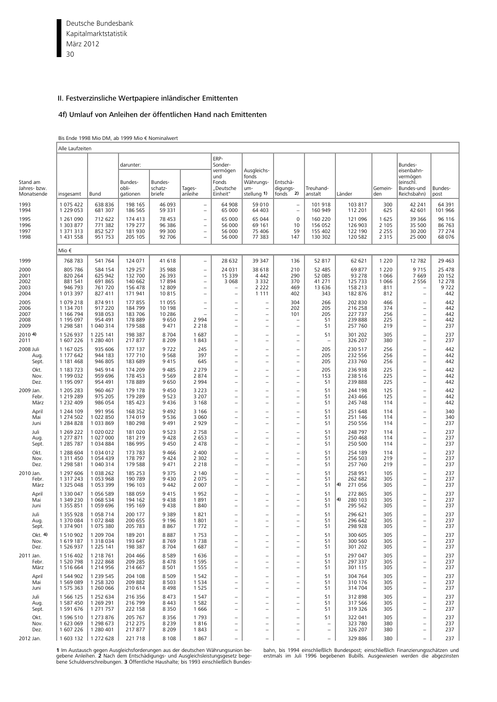Deutsche Bundesbank 30 Kapitalmarktstatistik März 2012

#### II. Festverzinsliche Wertpapiere inländischer Emittenten

### [4f\) Umlauf von Anleihen der öffentlichen Hand nach Emittenten](#page-11-0)

Bis Ende 1998 Mio DM, ab 1999 Mio € Nominalwert

|                                        | Alle Laufzeiten                                  |                                            |                                           |                                     |                                                      |                                                                                         |                                                                                                              |                                                                           |                                |                                             |                          |                                                                                         |                          |
|----------------------------------------|--------------------------------------------------|--------------------------------------------|-------------------------------------------|-------------------------------------|------------------------------------------------------|-----------------------------------------------------------------------------------------|--------------------------------------------------------------------------------------------------------------|---------------------------------------------------------------------------|--------------------------------|---------------------------------------------|--------------------------|-----------------------------------------------------------------------------------------|--------------------------|
| Stand am<br>Jahres- bzw.<br>Monatsende | insgesamt                                        | Bund                                       | darunter:<br>Bundes-<br>obli-<br>gationen | Bundes-<br>schatz-<br>briefe        | Tages-<br>anleihe                                    | ERP-<br>Sonder-<br>vermögen<br>und<br>Fonds<br>"Deutsche<br>Einheit"                    | Ausgleichs-<br>fonds<br>Währungs-<br>um-<br>stellung 1)                                                      | Entschä-<br>digungs-<br>fonds $2)$                                        | Treuhand-<br>anstalt           | Länder                                      | Gemein-<br>den           | Bundes-<br>eisenbahn-<br>vermögen<br>(einschl.<br>Bundes-und<br>Reichsbahn)             | Bundes-<br>post          |
| 1993                                   | 1 075 422                                        | 638 836                                    | 198 165                                   | 46 093                              | $\overline{\phantom{0}}$                             | 64 908                                                                                  | 59 010                                                                                                       | $\overline{\phantom{a}}$                                                  | 101 918                        | 103 817                                     | 300                      | 42 241                                                                                  | 64 391                   |
| 1994                                   | 1 229 053                                        | 681 307                                    | 186 565                                   | 59 331                              | $\qquad \qquad -$                                    | 65 000                                                                                  | 64 403                                                                                                       | $\qquad \qquad -$                                                         | 160 949                        | 112 201                                     | 625                      | 42 601                                                                                  | 101 966                  |
| 1995                                   | 1 261 090                                        | 712 622                                    | 174 413                                   | 78 453                              | $\qquad \qquad -$                                    | 65 000                                                                                  | 65 044                                                                                                       | $\mathbf 0$                                                               | 160 220                        | 121 096                                     | 1 6 2 5                  | 39 366                                                                                  | 96 116                   |
| 1996                                   | 1 303 877                                        | 771 382                                    | 179 277                                   | 96 386                              | Ē,                                                   | 56 000                                                                                  | 69 161                                                                                                       | 10                                                                        | 156 052                        | 126 903                                     | 2 1 0 5                  | 35 500                                                                                  | 86 763                   |
| 1997                                   | 1 371 313                                        | 852 527                                    | 181 930                                   | 99 300                              | $\overline{\phantom{0}}$                             | 56 000                                                                                  | 75 406                                                                                                       | 59                                                                        | 155 402                        | 122 190                                     | 2 2 5 5                  | 30 200                                                                                  | 77 274                   |
| 1998                                   | 1 431 558                                        | 951 753                                    | 205 105                                   | 92 706                              | $\overline{\phantom{0}}$                             | 56 000                                                                                  | 77 383                                                                                                       | 147                                                                       | 130 302                        | 120 582                                     | 2 3 1 5                  | 25 000                                                                                  | 68 0 76                  |
|                                        | Mio €                                            |                                            |                                           |                                     |                                                      |                                                                                         |                                                                                                              |                                                                           |                                |                                             |                          |                                                                                         |                          |
| 1999                                   | 768 783                                          | 541 764                                    | 124 071                                   | 41 618                              | $\overline{\phantom{a}}$                             | 28 632                                                                                  | 39 347                                                                                                       | 136                                                                       | 52 817                         | 62 621                                      | 1 2 2 0                  | 12 782                                                                                  | 29 4 63                  |
| 2000                                   | 805 786                                          | 584 154                                    | 129 257                                   | 35 988                              | $\overline{\phantom{0}}$                             | 24 031                                                                                  | 38 618                                                                                                       | 210                                                                       | 52 485                         | 69 877                                      | 1 2 2 0                  | 9715                                                                                    | 25 478                   |
| 2001                                   | 820 264                                          | 625 942                                    | 132 700                                   | 26 3 9 3                            | $\qquad \qquad -$                                    | 15 3 3 9                                                                                | 4 4 4 2                                                                                                      | 290                                                                       | 52 085                         | 93 278                                      | 1 0 6 6                  | 7 6 6 9                                                                                 | 20 152                   |
| 2002                                   | 881 541                                          | 691 865                                    | 140 662                                   | 17894                               | Ē,                                                   | 3 0 6 8                                                                                 | 3 3 3 2                                                                                                      | 370                                                                       | 41 271                         | 125 733                                     | 1 0 6 6                  | 2 5 5 6                                                                                 | 12 278                   |
| 2003                                   | 946 793                                          | 761 720                                    | 156 478                                   | 12 809                              | $\overline{\phantom{0}}$                             | $\overline{\phantom{0}}$                                                                | 2 2 2 2                                                                                                      | 469                                                                       | 13 636                         | 158 213                                     | 811                      | $\overline{\phantom{0}}$                                                                | 9722                     |
| 2004                                   | 1 013 397                                        | 827 411                                    | 171941                                    | 10815                               | $\overline{\phantom{m}}$                             | $\overline{\phantom{0}}$                                                                | 1 1 1 1                                                                                                      | 402                                                                       | 343                            | 182 876                                     | 812                      | $\equiv$                                                                                | 442                      |
| 2005                                   | 1 079 218                                        | 874 911                                    | 177 855                                   | 11 055                              | $\overline{\phantom{0}}$<br>$\overline{\phantom{a}}$ | $\overline{\phantom{0}}$                                                                | $\overline{\phantom{0}}$                                                                                     | 304                                                                       | 266                            | 202 830                                     | 466                      | $\overline{\phantom{0}}$                                                                | 442                      |
| 2006<br>2007<br>2008<br>2009           | 1 134 701<br>1 166 794<br>1 195 097<br>1 298 581 | 917 220<br>938 053<br>954 491<br>1 040 314 | 184 799<br>183 706<br>178889<br>179 588   | 10 198<br>10 286<br>9650<br>9 4 7 1 | 2 9 9 4<br>2 2 1 8                                   | $\qquad \qquad -$<br>$\qquad \qquad -$<br>$\qquad \qquad -$<br>$\overline{\phantom{0}}$ | $\overline{\phantom{0}}$<br>$\overline{\phantom{0}}$<br>$\overline{\phantom{a}}$<br>$\overline{\phantom{0}}$ | 202<br>101<br>$\overline{\phantom{a}}$<br>$\overline{\phantom{a}}$        | 205<br>205<br>51<br>51         | 216 258<br>227 737<br>239 888<br>257 760    | 374<br>256<br>225<br>219 | $\qquad \qquad -$<br>$\qquad \qquad -$<br>$\qquad \qquad -$<br>$\overline{\phantom{a}}$ | 442<br>442<br>442<br>237 |
| 2010 4)                                | 1 526 937                                        | 1 225 141                                  | 198 387                                   | 8704                                | 1687                                                 | $\overline{\phantom{0}}$                                                                | $\overline{\phantom{0}}$                                                                                     | $\overline{\phantom{0}}$                                                  | 51                             | 301 202                                     | 305                      | $\overline{\phantom{a}}$                                                                | 237                      |
| 2011                                   | 1 607 226                                        | 1 280 401                                  | 217 877                                   | 8 2 0 9                             | 1843                                                 | $\qquad \qquad -$                                                                       | $\overline{\phantom{a}}$                                                                                     | $\overline{\phantom{0}}$                                                  | $\overline{\phantom{0}}$       | 326 207                                     | 380                      | $\qquad \qquad -$                                                                       | 237                      |
| 2008 Juli                              | 1 167 025                                        | 935 606                                    | 177 137                                   | 9722                                | 245                                                  | $\qquad \qquad -$                                                                       | $\overline{\phantom{0}}$                                                                                     | $\qquad \qquad -$                                                         | 205                            | 230 517                                     | 256                      | $\qquad \qquad -$                                                                       | 442                      |
| Aug.                                   | 1 177 642                                        | 944 183                                    | 177 710                                   | 9568                                | 397                                                  | $\qquad \qquad -$                                                                       | $\overline{\phantom{a}}$                                                                                     | ÷                                                                         | 205                            | 232 556                                     | 256                      | $\qquad \qquad -$                                                                       | 442                      |
| Sept.                                  | 1 181 468                                        | 946 805                                    | 183 689                                   | 9415                                | 645                                                  | $\qquad \qquad -$                                                                       | $\overline{\phantom{a}}$                                                                                     | $\overline{\phantom{0}}$                                                  | 205                            | 233 760                                     | 256                      | $\qquad \qquad -$                                                                       | 442                      |
| Okt.                                   | 1 183 723                                        | 945 914                                    | 174 209                                   | 9 4 8 5                             | 2 2 7 9                                              | $\overline{\phantom{0}}$                                                                | $\overline{\phantom{a}}$                                                                                     | $\overline{\phantom{0}}$                                                  | 205                            | 236 938                                     | 225                      | $\overline{\phantom{0}}$                                                                | 442                      |
| Nov.                                   | 1 199 032                                        | 959 696                                    | 178 453                                   | 9 5 6 9                             | 2874                                                 | $\qquad \qquad -$                                                                       | $\overline{\phantom{0}}$                                                                                     | $\overline{\phantom{0}}$                                                  | 153                            | 238 516                                     | 225                      | $\overline{\phantom{a}}$                                                                | 442                      |
| Dez.                                   | 1 195 097                                        | 954 491                                    | 178 889                                   | 9650                                | 2 9 9 4                                              | $\qquad \qquad -$                                                                       | $\overline{\phantom{0}}$                                                                                     | $\qquad \qquad -$                                                         | 51                             | 239 888                                     | 225                      | $\qquad \qquad -$                                                                       | 442                      |
| 2009 Jan.                              | 1 205 283                                        | 960 467                                    | 179 178                                   | 9 4 5 0                             | 3 2 2 3                                              | $\qquad \qquad -$                                                                       | $\overline{\phantom{0}}$                                                                                     | $\qquad \qquad -$                                                         | 51                             | 244 198                                     | 125                      | $\qquad \qquad -$                                                                       | 442                      |
| Febr.                                  | 1 219 289                                        | 975 205                                    | 179 289                                   | 9 5 23                              | 3 2 0 7                                              | $\qquad \qquad -$                                                                       | Ē,                                                                                                           | $\overline{\phantom{0}}$                                                  | 51                             | 243 466                                     | 125                      | $\qquad \qquad -$                                                                       | 442                      |
| März                                   | 1 2 3 2 4 0 9                                    | 986 054                                    | 185 423                                   | 9436                                | 3 1 6 8                                              | $\overline{\phantom{a}}$                                                                | $\overline{\phantom{a}}$                                                                                     | $\overline{\phantom{0}}$                                                  | 51                             | 245 748                                     | 114                      | $\overline{\phantom{a}}$                                                                | 442                      |
| April                                  | 1 244 109                                        | 991 956                                    | 168 352                                   | 9 4 9 2                             | 3 1 6 6                                              | $\qquad \qquad -$                                                                       | $\overline{\phantom{0}}$                                                                                     | $\overline{\phantom{0}}$                                                  | 51                             | 251 648                                     | 114                      | $\overline{\phantom{0}}$                                                                | 340                      |
| Mai                                    | 1 274 502                                        | 1 022 850                                  | 174 019                                   | 9536                                | 3 0 6 0                                              | $\overline{\phantom{a}}$                                                                | $\overline{\phantom{0}}$                                                                                     | $\overline{\phantom{0}}$                                                  | 51                             | 251 146                                     | 114                      | ÷                                                                                       | 340                      |
| Juni                                   | 1 284 828                                        | 1 033 869                                  | 180 298                                   | 9491                                | 2929                                                 | ÷,                                                                                      | $\overline{\phantom{a}}$                                                                                     | L,                                                                        | 51                             | 250 556                                     | 114                      | $\overline{\phantom{0}}$                                                                | 237                      |
| Juli                                   | 1 269 222                                        | 1 020 022                                  | 181 020                                   | 9523                                | 2 7 5 8                                              | $\overline{\phantom{m}}$                                                                | $\overline{\phantom{0}}$                                                                                     | $\qquad \qquad -$                                                         | 51                             | 248 797                                     | 114                      | $\overline{\phantom{a}}$                                                                | 237                      |
| Aug.                                   | 1 277 871                                        | 1 027 000                                  | 181 219                                   | 9428                                | 2 6 5 3                                              | ÷,                                                                                      | Ē,                                                                                                           | Ē,                                                                        | 51                             | 250 468                                     | 114                      | $\overline{\phantom{0}}$                                                                | 237                      |
| Sept.                                  | 1 285 787                                        | 1 0 3 4 8 8 4                              | 186 995                                   | 9 4 5 0                             | 2 4 7 8                                              | $\qquad \qquad -$                                                                       | $\overline{\phantom{a}}$                                                                                     | $\overline{\phantom{0}}$                                                  | 51                             | 250 500                                     | 114                      | $\overline{\phantom{0}}$                                                                | 237                      |
| Okt.                                   | 1 288 604                                        | 1 034 012                                  | 173 783                                   | 9466                                | 2 4 0 0                                              | $\qquad \qquad -$                                                                       | $\overline{\phantom{0}}$                                                                                     | $\overline{\phantom{0}}$                                                  | 51                             | 254 189                                     | 114                      | $\qquad \qquad -$                                                                       | 237                      |
| Nov.                                   | 1 311 450                                        | 1 054 439                                  | 178 797                                   | 9424                                | 2 3 0 2                                              | $\overline{\phantom{a}}$                                                                | $\overline{\phantom{0}}$                                                                                     | $\overline{\phantom{0}}$                                                  | 51                             | 256 503                                     | 219                      | $\overline{\phantom{0}}$                                                                | 237                      |
| Dez.                                   | 1 298 581                                        | 1 040 314                                  | 179 588                                   | 9471                                | 2 2 1 8                                              | $\overline{\phantom{m}}$                                                                | $\overline{\phantom{0}}$                                                                                     | $\qquad \qquad -$                                                         | 51                             | 257 760                                     | 219                      | $\overline{\phantom{0}}$                                                                | 237                      |
| 2010 Jan.<br>Febr.<br>März             | 1 297 606<br>1 317 243<br>1 325 048              | 1 038 262<br>1053968<br>1 0 5 3 3 9 9      | 185 253<br>190 789<br>196 103             | 9 3 7 5<br>9430<br>9442             | 2 1 4 0<br>2 0 7 5<br>2 0 0 7                        | $\overline{\phantom{m}}$<br>$\qquad \qquad -$<br>$\overline{\phantom{m}}$               | $\overline{\phantom{0}}$<br>$\overline{\phantom{a}}$<br>$\equiv$                                             | $\qquad \qquad -$<br>$\overline{\phantom{0}}$<br>$\overline{\phantom{0}}$ | 51<br>51<br>51                 | 258 951<br>262 682<br>$\vert$ 4)<br>271 056 | 105<br>305<br>305        | $\overline{\phantom{0}}$<br>$\overline{\phantom{0}}$<br>$\overline{\phantom{a}}$        | 237<br>237<br>237        |
| April<br>Mai<br>Juni                   | 1 330 047<br>1 349 230<br>1 355 851              | 1 056 589<br>1 068 534<br>1 059 696        | 188 059<br>194 162<br>195 169             | 9415<br>9438<br>9438                | 1952<br>1891<br>1840                                 | $\qquad \qquad -$<br>$\overline{\phantom{0}}$<br>$\overline{\phantom{0}}$               | ۰<br>$\overline{\phantom{0}}$<br>$\overline{\phantom{0}}$                                                    | $\overline{\phantom{0}}$<br>۰<br>$\overline{\phantom{0}}$                 | 51<br>51<br>51                 | 272 865<br>4)<br>280 103<br>295 562         | 305<br>305<br>305        | $\overline{\phantom{0}}$<br>$\overline{\phantom{a}}$<br>$\overline{\phantom{a}}$        | 237<br>237<br>237        |
| Juli<br>Aug.<br>Sept.                  | 1 355 928<br>1 370 084<br>1 374 901              | 1058714<br>1 072 848<br>1 075 380          | 200 177<br>200 655<br>205 783             | 9 3 8 9<br>9 1 9 6<br>8867          | 1821<br>1801<br>1772                                 | $\overline{\phantom{0}}$<br>$\qquad \qquad -$                                           | $\overline{\phantom{0}}$<br>$\overline{\phantom{0}}$                                                         | $\overline{\phantom{0}}$<br>$\qquad \qquad -$                             | 51<br>51<br>51                 | 296 621<br>296 642<br>298 928               | 305<br>305<br>305        | $\overline{\phantom{a}}$<br>$\qquad \qquad -$                                           | 237<br>237<br>237        |
| Okt. 4)                                | 1 510 902                                        | 1 209 704                                  | 189 201                                   | 8887                                | 1753                                                 | $\overline{\phantom{0}}$                                                                | $\overline{\phantom{0}}$                                                                                     | $\qquad \qquad -$                                                         | 51                             | 300 605                                     | 305                      | $\overline{\phantom{0}}$                                                                | 237                      |
| Nov.                                   | 1619187                                          | 1 318 034                                  | 193 647                                   | 8769                                | 1738                                                 | $\qquad \qquad -$                                                                       | $\overline{\phantom{0}}$                                                                                     | $\equiv$                                                                  | 51                             | 300 560                                     | 305                      | $\qquad \qquad -$                                                                       | 237                      |
| Dez.                                   | 1 526 937                                        | 1 2 2 5 1 4 1                              | 198 387                                   | 8704                                | 1687                                                 | $\qquad \qquad -$                                                                       | $\qquad \qquad -$                                                                                            | $\qquad \qquad -$                                                         | 51                             | 301 202                                     | 305                      | $\qquad \qquad -$                                                                       | 237                      |
| 2011 Jan.                              | 1 516 402                                        | 1 2 1 8 7 6 1                              | 204 466                                   | 8589                                | 1636                                                 | $\overline{\phantom{0}}$                                                                | $\overline{\phantom{0}}$                                                                                     | $\qquad \qquad -$                                                         | 51                             | 297 047                                     | 305                      | $\overline{\phantom{0}}$                                                                | 237                      |
| Febr.                                  | 1 520 798                                        | 1 2 2 2 8 6 8                              | 209 285                                   | 8478                                | 1 5 9 5                                              | $\qquad \qquad -$                                                                       | $\overline{\phantom{0}}$                                                                                     | $\overline{\phantom{0}}$                                                  | 51                             | 297 337                                     | 305                      | $\overline{a}$                                                                          | 237                      |
| März                                   | 1516664                                          | 1 2 1 4 9 5 6                              | 214 667                                   | 8 5 0 1                             | 1 5 5 5                                              | $\overline{\phantom{0}}$                                                                | $\overline{\phantom{0}}$                                                                                     | $\overline{\phantom{0}}$                                                  | 51                             | 301 115                                     | 305                      | $\overline{\phantom{0}}$                                                                | 237                      |
| April                                  | 1 544 902                                        | 1 239 545                                  | 204 108                                   | 8 5 0 9                             | 1 5 4 2                                              | $\overline{\phantom{0}}$                                                                | $\overline{\phantom{0}}$                                                                                     | $\qquad \qquad -$                                                         | 51                             | 304 764                                     | 305                      | $\overline{\phantom{0}}$                                                                | 237                      |
| Mai                                    | 1569089                                          | 1 258 320                                  | 209 882                                   | 8 5 0 3                             | 1 5 3 4                                              | $\overline{\phantom{0}}$                                                                | $\overline{\phantom{0}}$                                                                                     | $\overline{\phantom{0}}$                                                  | 51                             | 310 176                                     | 305                      | $\overline{\phantom{0}}$                                                                | 237                      |
| Juni                                   | 1 575 363                                        | 1 260 066                                  | 210 614                                   | 8498                                | 1525                                                 | $\qquad \qquad -$                                                                       | $\overline{\phantom{0}}$                                                                                     | $\overline{\phantom{0}}$                                                  | 51                             | 314 704                                     | 305                      | $\qquad \qquad -$                                                                       | 237                      |
| Juli                                   | 1 566 125                                        | 1 252 634                                  | 216 356                                   | 8 4 7 3                             | 1 5 4 7                                              | $\qquad \qquad -$                                                                       | $\qquad \qquad -$                                                                                            | $\qquad \qquad -$                                                         | 51                             | 312 898                                     | 305                      | $\overline{\phantom{0}}$                                                                | 237                      |
| Aug.                                   | 1 587 450                                        | 1 269 291                                  | 216 799                                   | 8 4 4 3                             | 1582                                                 | $\qquad \qquad -$                                                                       | $\overline{\phantom{0}}$                                                                                     | $\overline{\phantom{0}}$                                                  | 51                             | 317 566                                     | 305                      | $\overline{\phantom{0}}$                                                                | 237                      |
| Sept.                                  | 1 591 676                                        | 1 271 757                                  | 222 158                                   | 8 3 5 0                             | 1666                                                 | $\qquad \qquad -$                                                                       | $\overline{\phantom{0}}$                                                                                     | $\overline{\phantom{0}}$                                                  | 51                             | 319 326                                     | 305                      | $\overline{\phantom{0}}$                                                                | 237                      |
| Okt.<br>Nov.<br>Dez.                   | 1 596 510<br>1 623 069<br>1 607 226              | 1 273 876<br>1 298 673<br>1 280 401        | 205 767<br>212 275<br>217877              | 8 3 5 6<br>8 2 3 9<br>8 2 0 9       | 1 7 9 3<br>1816<br>1843                              | $\qquad \qquad -$<br>$\overline{\phantom{0}}$<br>$\overline{\phantom{a}}$               | $\qquad \qquad -$<br>$\overline{\phantom{0}}$<br>$\overline{\phantom{a}}$                                    | $\overline{\phantom{0}}$<br>$\overline{\phantom{0}}$<br>$\qquad \qquad -$ | 51<br>$\overline{\phantom{m}}$ | 322 041<br>323 780<br>326 207               | 305<br>380<br>380        | $\qquad \qquad -$<br>$\overline{\phantom{0}}$<br>$\overline{\phantom{a}}$               | 237<br>237<br>237        |
| 2012 Jan.                              | 1 603 132                                        | 1 272 628                                  | 221 718                                   | 8 1 0 8                             | 1867                                                 | $\overline{\phantom{0}}$                                                                | $\overline{\phantom{m}}$                                                                                     | $\overline{\phantom{a}}$                                                  | $\overline{\phantom{a}}$       | 329 886                                     | 380                      | $\overline{\phantom{a}}$                                                                | 237                      |

1 Im Austausch gegen Ausgleichsforderungen aus der deutschen Währungsunion be- bahn, bis 1994 einschließlich Bundespost; einschließlich Finanzierungsschätzen und<br>gebene Anleihen. 2 Nach dem Entschädigungs- und Ausgleichsle 1 Im Austausch gegen Ausgleichsforderungen aus der deutschen Währungsunion begebene Anleihen. 2 Nach dem Entschädigungs- und Ausgleichsleistungsgesetz begebene Schuldverschreibungen. 3 Öffentliche Haushalte; bis 1993 einsc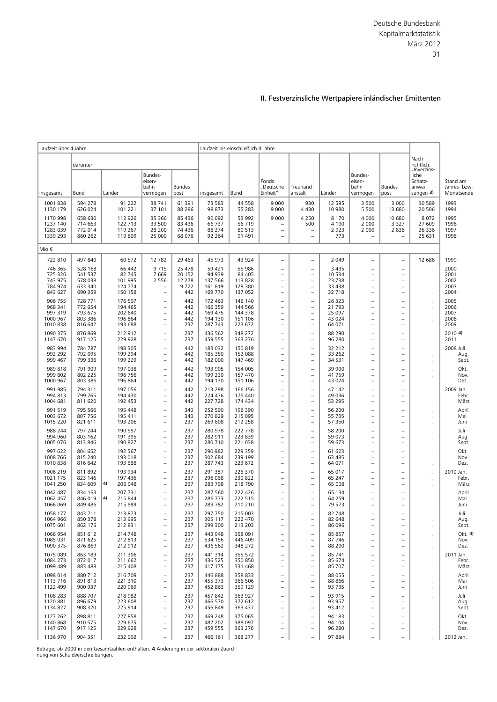| Laufzeit über 4 Jahre |                    |                          |                                                      |                  |                    | Laufzeit bis einschließlich 4 Jahre |                                                      |                                                      |                     |                                                      |                                                      |                                                                              |                                        |
|-----------------------|--------------------|--------------------------|------------------------------------------------------|------------------|--------------------|-------------------------------------|------------------------------------------------------|------------------------------------------------------|---------------------|------------------------------------------------------|------------------------------------------------------|------------------------------------------------------------------------------|----------------------------------------|
| insgesamt             | darunter:<br>Bund  | Länder                   | Bundes-<br>eisen-<br>bahn-<br>vermögen               | Bundes-<br>post  | insgesamt          | Bund                                | Fonds<br>"Deutsche<br>Einheit"                       | Treuhand-<br>anstalt                                 | Länder              | Bundes-<br>eisen-<br>bahn-<br>vermögen               | Bundes-<br>post                                      | Nach-<br>richtlich:<br>Unverzins-<br>liche<br>Schatz-<br>anwei-<br>sungen 3) | Stand am<br>Jahres- bzw.<br>Monatsende |
| 1001838               | 594 278            | 91 222                   | 38 741                                               | 61 391           | 73 583             | 44 5 58                             | 9 0 0 0                                              | 930                                                  | 12 5 9 5            | 3 500                                                | 3 0 0 0                                              | 30 589                                                                       | 1993                                   |
| 1130 179<br>1170 998  | 626 024<br>658 630 | 101 221<br>112 926       | 37 101<br>35 366                                     | 88 286<br>85 436 | 98 873<br>90 092   | 55 283<br>53 992                    | 9 0 0 0<br>9 0 0 0                                   | 4 4 3 0<br>4 2 5 0                                   | 10 980<br>8 1 7 0   | 5 500<br>4 0 0 0                                     | 13 680<br>10 680                                     | 20 506<br>8 0 7 2                                                            | 1994<br>1995                           |
| 1237 140              | 714 663            | 122 713                  | 33 500                                               | 83 4 36          | 66 737             | 56 719                              | $\overline{\phantom{0}}$                             | 500                                                  | 4 1 9 0             | 2 0 0 0                                              | 3 3 2 7                                              | 27 609                                                                       | 1996                                   |
| 1283 039<br>1339 293  | 772 014<br>860 262 | 119 267<br>119 809       | 28 200<br>25 000                                     | 74 436<br>68 076 | 88 274<br>92 264   | 80 513<br>91 491                    | $\overline{\phantom{0}}$<br>$\overline{\phantom{0}}$ | $\qquad \qquad -$                                    | 2 9 2 3<br>773      | 2 0 0 0                                              | 2838                                                 | 26 3 36<br>25 631                                                            | 1997<br>1998                           |
| Mio €                 |                    |                          |                                                      |                  |                    |                                     |                                                      |                                                      |                     |                                                      |                                                      |                                                                              |                                        |
| 722 810               | 497 840            | 60 572                   | 12 7 8 2                                             | 29 463           | 45 973             | 43 924                              | $\overline{\phantom{0}}$                             | $\overline{\phantom{m}}$                             | 2 0 4 9             | $\overline{\phantom{0}}$                             | $\overline{\phantom{a}}$                             | 12 686                                                                       | 1999                                   |
| 746 365               | 528 168            | 66 442                   | 9715                                                 | 25 478           | 59 421             | 55 986                              | $\overline{\phantom{0}}$                             | $\overline{\phantom{a}}$                             | 3 4 3 5             | $\overline{\phantom{0}}$                             | $\qquad \qquad -$                                    |                                                                              | 2000                                   |
| 725 326               | 541 537            | 82 745                   | 7669                                                 | 20 152           | 94 939             | 84 405                              | $\overline{a}$                                       | $\overline{\phantom{m}}$                             | 10 534              | $\overline{a}$                                       | $\qquad \qquad -$                                    |                                                                              | 2001                                   |
| 743 975<br>784 974    | 578 038<br>633 340 | 101 995<br>124 774       | 2 5 5 6<br>$\overline{\phantom{0}}$                  | 12 278<br>9722   | 137 566<br>161 819 | 113828<br>128 380                   | $\overline{\phantom{0}}$<br>$\overline{\phantom{0}}$ | $\overline{\phantom{m}}$<br>$\overline{\phantom{a}}$ | 23 738<br>33 438    | $\overline{a}$<br>$\overline{\phantom{0}}$           | $\qquad \qquad -$<br>$\overline{\phantom{a}}$        | $\cdot$                                                                      | 2002<br>2003                           |
| 843 627               | 690 359            | 150 158                  | $\overline{\phantom{m}}$                             | 442              | 169 770            | 137 052                             | $\overline{\phantom{0}}$                             | $\overline{\phantom{m}}$                             | 32 718              | $\overline{\phantom{0}}$                             | $\overline{\phantom{a}}$                             |                                                                              | 2004                                   |
| 906 755<br>968 341    | 728 771<br>772 654 | 176 507<br>194 465       | $\overline{\phantom{a}}$<br>$\qquad \qquad -$        | 442<br>442       | 172 463<br>166 359 | 146 140<br>144 566                  | $\overline{\phantom{a}}$<br>$\overline{\phantom{0}}$ | $\overline{\phantom{a}}$<br>$\overline{\phantom{a}}$ | 26 3 23<br>21 7 9 3 | $\overline{\phantom{0}}$<br>$\overline{a}$           | $\overline{\phantom{a}}$<br>$\qquad \qquad -$        | $\cdot$                                                                      | 2005<br>2006                           |
| 997 319               | 793 675            | 202 640                  | $\qquad \qquad -$                                    | 442              | 169 475            | 144 378                             | $\overline{\phantom{0}}$                             | $\overline{\phantom{a}}$                             | 25 097              | $\overline{\phantom{0}}$                             | $\overline{\phantom{0}}$                             | $\ddot{\phantom{a}}$                                                         | 2007                                   |
| 1000 967<br>1010 838  | 803 386<br>816 642 | 196 864<br>193 688       | $\equiv$<br>$\overline{\phantom{m}}$                 | 442<br>237       | 194 130<br>287 743 | 151 106<br>223 672                  | $\overline{\phantom{0}}$<br>$\overline{\phantom{0}}$ | $\overline{\phantom{a}}$<br>$\overline{\phantom{a}}$ | 43 0 24<br>64 071   | $\overline{\phantom{0}}$<br>$\overline{\phantom{0}}$ | $\overline{\phantom{a}}$<br>$\overline{\phantom{a}}$ |                                                                              | 2008<br>2009                           |
| 1090 375              | 876 869            | 212 912                  | $\qquad \qquad -$                                    | 237              | 436 562            | 348 272                             | $\overline{\phantom{0}}$                             | $\overline{\phantom{a}}$                             | 88 290              | $\overline{\phantom{0}}$                             | $\overline{\phantom{0}}$                             |                                                                              | 2010 4)                                |
| 1147 670              | 917 125            | 229 928                  | $\qquad \qquad -$                                    | 237              | 459 555            | 363 276                             | $\overline{\phantom{0}}$                             | $\overline{\phantom{a}}$                             | 96 280              | $\overline{\phantom{0}}$                             | $\overline{\phantom{0}}$                             | $\ddot{\phantom{a}}$                                                         | 2011                                   |
| 983 994<br>992 292    | 784 787<br>792 095 | 198 305<br>199 294       | $\qquad \qquad -$<br>$\overline{\phantom{a}}$        | 442<br>442       | 183 032<br>185 350 | 150 819<br>152 088                  | $\overline{\phantom{0}}$<br>$\overline{a}$           | $\overline{\phantom{a}}$<br>$\overline{\phantom{m}}$ | 32 212<br>33 262    | $\overline{\phantom{0}}$<br>$\overline{\phantom{0}}$ | $\overline{\phantom{0}}$<br>$\overline{\phantom{a}}$ | $\overline{\phantom{a}}$<br>$\ddot{\phantom{a}}$                             | 2008 Juli<br>Aug.                      |
| 999 467               | 799 336            | 199 229                  | $\equiv$                                             | 442              | 182 000            | 147 469                             | $\overline{\phantom{0}}$                             | $\equiv$                                             | 34 531              | $\overline{\phantom{0}}$                             | $\overline{\phantom{a}}$                             |                                                                              | Sept.                                  |
| 989 818<br>999 802    | 791 909<br>802 225 | 197 038<br>196 756       | $\overline{\phantom{m}}$<br>$\qquad \qquad -$        | 442<br>442       | 193 905<br>199 230 | 154 005<br>157 470                  | $\qquad \qquad -$<br>$\overline{\phantom{0}}$        | $\overline{\phantom{a}}$<br>$\overline{\phantom{a}}$ | 39 900<br>41759     | $\overline{\phantom{0}}$<br>$\overline{\phantom{0}}$ | $\overline{\phantom{a}}$<br>$\qquad \qquad -$        | ٠                                                                            | Okt.<br>Nov.                           |
| 1000 967              | 803 386            | 196 864                  | $\qquad \qquad -$                                    | 442              | 194 130            | 151 106                             | $\overline{\phantom{0}}$                             | $\overline{\phantom{0}}$                             | 43 0 24             | $\overline{\phantom{0}}$                             | $\qquad \qquad -$                                    | $\ddot{\phantom{a}}$                                                         | Dez.                                   |
| 991 985               | 794 311            | 197 056                  | $\overline{\phantom{a}}$                             | 442              | 213 298            | 166 156                             | $\overline{\phantom{0}}$                             | $\overline{\phantom{a}}$                             | 47 142              | $\overline{\phantom{0}}$                             | $\overline{\phantom{a}}$                             |                                                                              | 2009 Jan.                              |
| 994 813<br>1004 681   | 799 765<br>811 620 | 194 430<br>192 453       | $\overline{\phantom{a}}$<br>$\overline{\phantom{0}}$ | 442<br>442       | 224 476<br>227 728 | 175 440<br>174 434                  | $\overline{\phantom{0}}$<br>$\overline{\phantom{0}}$ | $\overline{\phantom{a}}$<br>$\overline{\phantom{a}}$ | 49 0 36<br>53 295   | $\overline{a}$<br>$\overline{\phantom{0}}$           | $\overline{\phantom{a}}$<br>$\overline{\phantom{a}}$ | $\ddot{\phantom{a}}$                                                         | Febr.<br>März                          |
| 991 519               | 795 566            | 195 448                  | $\overline{\phantom{0}}$                             | 340              | 252 590            | 196 390                             | $\overline{\phantom{0}}$                             | $\overline{\phantom{m}}$                             | 56 200              | $\overline{\phantom{0}}$                             | $\overline{\phantom{a}}$                             | ٠                                                                            | April                                  |
| 1003 672<br>1015 220  | 807 756<br>821 611 | 195 411<br>193 206       | $\qquad \qquad -$<br>$\overline{\phantom{m}}$        | 340<br>237       | 270 829<br>269 608 | 215 095<br>212 258                  | $\overline{\phantom{0}}$<br>$\overline{\phantom{0}}$ | $\qquad \qquad -$<br>$\overline{\phantom{a}}$        | 55 735<br>57 350    | $\overline{\phantom{0}}$<br>$\overline{\phantom{0}}$ | $\overline{\phantom{0}}$<br>$\qquad \qquad -$        |                                                                              | Mai<br>Juni                            |
| 988 244               | 797 244            | 190 597                  | $\qquad \qquad -$                                    | 237              | 280 978            | 222 778                             | $\overline{\phantom{0}}$                             | $\overline{\phantom{a}}$                             | 58 200              | $\overline{\phantom{0}}$                             | $\overline{\phantom{0}}$                             |                                                                              | Juli                                   |
| 994 960               | 803 162            | 191 395                  | $\qquad \qquad -$                                    | 237              | 282 911            | 223 839                             | $\qquad \qquad -$                                    | $\overline{\phantom{a}}$                             | 59 073              | $\overline{\phantom{0}}$                             | $\overline{\phantom{a}}$                             | $\ddot{\phantom{a}}$                                                         | Aug.                                   |
| 1005 076              | 813 846            | 190 827                  | $\overline{\phantom{a}}$                             | 237              | 280 710<br>290 982 | 221 038                             | $\overline{\phantom{a}}$                             | $\overline{\phantom{a}}$                             | 59 673              | $\overline{\phantom{0}}$                             | $\overline{\phantom{0}}$                             |                                                                              | Sept.                                  |
| 997 622<br>1008 766   | 804 652<br>815 240 | 192 567<br>193 018       | $\qquad \qquad -$<br>$\overline{\phantom{a}}$        | 237<br>237       | 302 684            | 229 359<br>239 199                  | $\qquad \qquad -$<br>$\overline{a}$                  | $\qquad \qquad -$<br>$\overline{\phantom{m}}$        | 61 623<br>63 485    | $\overline{\phantom{0}}$<br>$\overline{\phantom{0}}$ | $\overline{\phantom{0}}$<br>$\overline{\phantom{a}}$ | ٠                                                                            | Okt.<br>Nov.                           |
| 1010 838              | 816 642            | 193 688                  | $\equiv$                                             | 237              | 287 743            | 223 672                             | $\overline{\phantom{0}}$                             | $\overline{\phantom{m}}$                             | 64 071              | $\overline{\phantom{0}}$                             | $\overline{\phantom{a}}$                             |                                                                              | Dez.                                   |
| 1006 219<br>1021 175  | 811 892<br>823 146 | 193 934<br>197 436       | $\qquad \qquad -$<br>$\qquad \qquad -$               | 237<br>237       | 291 387<br>296 068 | 226 370<br>230 822                  | $\overline{\phantom{0}}$<br>$\overline{\phantom{0}}$ | $\overline{\phantom{a}}$<br>$\qquad \qquad -$        | 65 017<br>65 247    | $\overline{\phantom{0}}$<br>$\overline{\phantom{0}}$ | $\overline{\phantom{a}}$<br>$\overline{\phantom{0}}$ |                                                                              | 2010 Jan.<br>Febr.                     |
| 1041 250              | 834 609            | 4)<br>206 048            | $\overline{\phantom{a}}$                             | 237              | 283 798            | 218 790                             | $\overline{\phantom{0}}$                             | $\equiv$                                             | 65 008              | $\overline{\phantom{0}}$                             | $\overline{\phantom{0}}$                             |                                                                              | März                                   |
| 1042 487<br>1062 457  | 834 163<br>846 019 | 207 731<br>4)<br>215 844 | $\overline{\phantom{a}}$<br>$\qquad \qquad -$        | 237<br>237       | 287 560<br>286 773 | 222 426<br>222 515                  | $\overline{\phantom{0}}$<br>$\overline{\phantom{0}}$ | $\overline{\phantom{a}}$<br>$\overline{\phantom{a}}$ | 65 134<br>64 259    | $\overline{\phantom{0}}$<br>$\overline{a}$           | $\overline{\phantom{0}}$<br>$\qquad \qquad -$        |                                                                              | April<br>Mai                           |
| 1066 069              | 849 486            | 215 989                  | $\qquad \qquad -$                                    | 237              | 289 782            | 210 210                             | $\overline{a}$                                       | $\qquad \qquad -$                                    | 79 573              | $\overline{a}$                                       | $\overline{\phantom{a}}$                             |                                                                              | Juni                                   |
| 1058 177              | 843 711            | 213 873                  |                                                      | 237              | 297 750            | 215 003                             |                                                      | $\overline{\phantom{a}}$                             | 82 748              | $\overline{\phantom{0}}$                             |                                                      |                                                                              | Juli                                   |
| 1064 966<br>1075 601  | 850 378<br>862 176 | 213 995<br>212 831       | $\qquad \qquad -$<br>$\overline{\phantom{m}}$        | 237<br>237       | 305 117<br>299 300 | 222 470<br>213 203                  | -<br>$\overline{\phantom{a}}$                        | $\overline{\phantom{0}}$<br>$\overline{\phantom{m}}$ | 82 648<br>86 096    | ÷,                                                   | $\overline{\phantom{m}}$                             | ٠                                                                            | Aug.<br>Sept.                          |
| 1066 954              | 851 612            | 214 748                  | $\qquad \qquad -$                                    | 237              | 443 948            | 358 091                             | $\overline{\phantom{0}}$                             | $\overline{\phantom{a}}$                             | 85 857              | $\overline{\phantom{0}}$                             | $\qquad \qquad -$                                    | ٠                                                                            | Okt. 4)                                |
| 1085 031<br>1090 375  | 871 625<br>876 869 | 212 813<br>212 912       | $\overline{\phantom{a}}$<br>$\qquad \qquad -$        | 237<br>237       | 534 156<br>436 562 | 446 409<br>348 272                  | $\overline{\phantom{0}}$<br>$\overline{\phantom{0}}$ | $\overline{\phantom{a}}$<br>$\overline{\phantom{m}}$ | 87 746<br>88 290    | $\overline{\phantom{0}}$<br>$\overline{\phantom{0}}$ | $\overline{\phantom{m}}$<br>$\overline{\phantom{0}}$ | $\epsilon$                                                                   | Nov.<br>Dez.                           |
| 1075 089              | 863 189            | 211 306                  | $\overline{\phantom{a}}$                             | 237              | 441 314            | 355 572                             | $\overline{\phantom{0}}$                             | $\overline{\phantom{m}}$                             | 85 741              | $\overline{\phantom{0}}$                             | $\overline{\phantom{m}}$                             |                                                                              | 2011 Jan.                              |
| 1084 273              | 872 017            | 211 662                  | $\qquad \qquad -$                                    | 237              | 436 525            | 350 850                             | $\overline{\phantom{0}}$                             | $\qquad \qquad -$                                    | 85 674              | $\overline{\phantom{0}}$                             | $\overline{\phantom{0}}$                             | $\cdot$                                                                      | Febr.                                  |
| 1099 489<br>1098 014  | 883 488            | 215 408<br>216 709       | $\overline{\phantom{a}}$                             | 237              | 417 175            | 331 468                             | $\overline{\phantom{a}}$                             | $\overline{\phantom{m}}$                             | 85 707              | $\overline{\phantom{0}}$                             | $\overline{\phantom{0}}$                             | $\cdot$                                                                      | März                                   |
| 1113 716              | 880 712<br>891 813 | 221 310                  | $\overline{\phantom{m}}$<br>$\overline{\phantom{m}}$ | 237<br>237       | 446 888<br>455 373 | 358 833<br>366 506                  | $\overline{\phantom{0}}$<br>$\overline{\phantom{0}}$ | $\overline{\phantom{m}}$<br>$\overline{\phantom{m}}$ | 88 055<br>88 866    | $\overline{\phantom{a}}$<br>$\overline{\phantom{0}}$ | $\overline{\phantom{a}}$<br>$\overline{\phantom{0}}$ | $\ddot{\phantom{a}}$<br>٠                                                    | April<br>Mai                           |
| 1122 499              | 900 937            | 220 969                  | $\qquad \qquad -$                                    | 237              | 452 863            | 359 129                             | $\overline{\phantom{0}}$                             | $\overline{\phantom{a}}$                             | 93 7 35             |                                                      |                                                      | $\ddot{\phantom{a}}$                                                         | Juni                                   |
| 1108 283<br>1120 881  | 888 707<br>896 679 | 218 982<br>223 608       | $\overline{\phantom{m}}$<br>$\overline{\phantom{a}}$ | 237<br>237       | 457 842<br>466 570 | 363 927<br>372 612                  | $\overline{\phantom{0}}$<br>$\overline{\phantom{0}}$ | $\overline{\phantom{m}}$<br>$\overline{\phantom{m}}$ | 93 915<br>93 957    | $\overline{\phantom{0}}$                             | $\overline{\phantom{0}}$                             | $\cdot$                                                                      | Juli<br>Aug.                           |
| 1134 827              | 908 320            | 225 914                  | $\overline{\phantom{a}}$                             | 237              | 456 849            | 363 437                             | $\overline{\phantom{0}}$                             | $\overline{\phantom{m}}$                             | 93 412              | $\overline{\phantom{0}}$                             | $\overline{\phantom{0}}$                             |                                                                              | Sept.                                  |
| 1127 262<br>1140 868  | 898 811<br>910 575 | 227 858<br>229 675       | $\overline{\phantom{m}}$<br>$\overline{\phantom{a}}$ | 237<br>237       | 469 248<br>482 202 | 375 065<br>388 097                  | $\qquad \qquad -$<br>-                               | $\overline{\phantom{m}}$<br>$\overline{\phantom{a}}$ | 94 183<br>94 104    | $\overline{\phantom{0}}$<br>$\overline{\phantom{0}}$ | $\overline{\phantom{m}}$<br>$\overline{\phantom{0}}$ | ٠                                                                            | Okt.<br>Nov.                           |
| 1147 670              | 917 125            | 229 928                  | $\qquad \qquad -$                                    | 237              | 459 555            | 363 276                             | -                                                    | $\overline{\phantom{0}}$                             | 96 280              | $\overline{\phantom{0}}$                             |                                                      |                                                                              | Dez.                                   |
| 1136 970              | 904 351            | 232 002                  |                                                      | 237              | 466 161            | 368 277                             |                                                      |                                                      | 97 884              |                                                      |                                                      |                                                                              | 2012 Jan.                              |

Beträge; ab 2000 in den Gesamtzahlen enthalten. **4** Änderung in der sektoralen Zuord-nung von Schuldverschreibungen.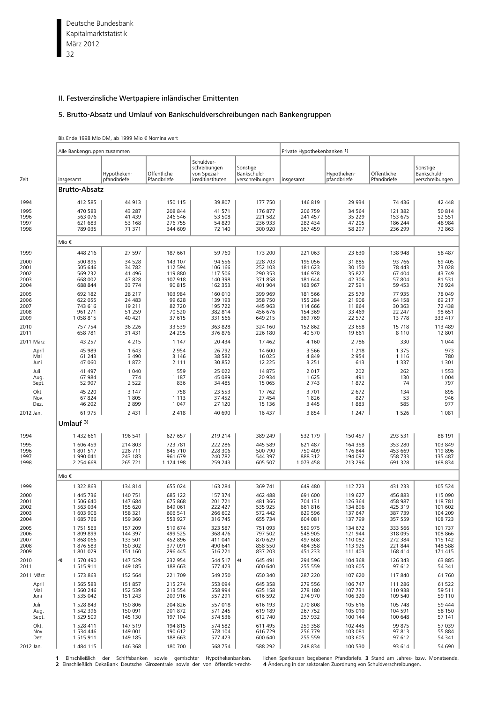# 5. Brutto-Absatz und Umlauf von Bankschuldverschreibungen nach Bankengruppen

Bis Ende 1998 Mio DM, ab 1999 Mio € Nominalwert

|              | Alle Bankengruppen zusammen |                            |                            |                                                                |                                            | Private Hypothekenbanken 1) |                            |                            |                                            |
|--------------|-----------------------------|----------------------------|----------------------------|----------------------------------------------------------------|--------------------------------------------|-----------------------------|----------------------------|----------------------------|--------------------------------------------|
| Zeit         | insgesamt                   | Hypotheken-<br>pfandbriefe | Öffentliche<br>Pfandbriefe | Schuldver-<br>schreibungen<br>von Spezial-<br>kreditinstituten | Sonstige<br>Bankschuld-<br>verschreibungen | insgesamt                   | Hypotheken-<br>pfandbriefe | Öffentliche<br>Pfandbriefe | Sonstige<br>Bankschuld-<br>verschreibungen |
|              | <b>Brutto-Absatz</b>        |                            |                            |                                                                |                                            |                             |                            |                            |                                            |
| 1994         | 412 585                     | 44 913                     | 150 115                    | 39 807                                                         | 177 750                                    | 146 819                     | 29 9 34                    | 74 436                     | 42 448                                     |
| 1995         | 470 583                     | 43 287                     | 208 844                    | 41 571                                                         | 176 877                                    | 206 759                     | 34 5 64                    | 121 382                    | 50 814                                     |
| 1996<br>1997 | 563 076<br>621 683          | 41 439<br>53 168           | 246 546<br>276 755         | 53 508<br>54 829                                               | 221 582<br>236 933                         | 241 457<br>282 434          | 35 2 2 9<br>47 205         | 153 675<br>186 244         | 52 551<br>48 9 84                          |
| 1998         | 789 035                     | 71 371                     | 344 609                    | 72 140                                                         | 300 920                                    | 367 459                     | 58 297                     | 236 299                    | 72 863                                     |
|              | Mio €                       |                            |                            |                                                                |                                            |                             |                            |                            |                                            |
| 1999         | 448 216                     | 27 597                     | 187 661                    | 59 760                                                         | 173 200                                    | 221 063                     | 23 630                     | 138 948                    | 58 487                                     |
| 2000         | 500 895                     | 34 5 28                    | 143 107                    | 94 5 5 6                                                       | 228 703                                    | 195 056                     | 31885                      | 93 766                     | 69 405                                     |
| 2001<br>2002 | 505 646<br>569 232          | 34 782<br>41 4 96          | 112 594<br>119880          | 106 166<br>117 506                                             | 252 103<br>290 353                         | 181 623<br>146 978          | 30 150<br>35 827           | 78 443<br>67 404           | 73 0 28<br>43 749                          |
| 2003<br>2004 | 668 002<br>688 844          | 47828<br>33 774            | 107 918<br>90 815          | 140 398<br>162 353                                             | 371858<br>401 904                          | 181 644                     | 42 306<br>27 591           | 57 804<br>59 453           | 81 531<br>76 924                           |
| 2005         | 692 182                     | 28 217                     | 103 984                    | 160 010                                                        | 399 969                                    | 163 967<br>181 566          | 25 579                     | 77 935                     | 78 049                                     |
| 2006         | 622 055                     | 24 483                     | 99 628                     | 139 193                                                        | 358 750                                    | 155 284                     | 21 906                     | 64 158                     | 69 217                                     |
| 2007<br>2008 | 743 616<br>961 271          | 19 211<br>51 259           | 82 720<br>70 520           | 195 722<br>382 814                                             | 445 963<br>456 676                         | 114 666<br>154 369          | 11 864<br>33 469           | 30 363<br>22 247           | 72 438<br>98 651                           |
| 2009         | 1058815                     | 40 421                     | 37 615                     | 331 566                                                        | 649 215                                    | 369 769                     | 22 572                     | 13778                      | 333 417                                    |
| 2010<br>2011 | 757 754<br>658781           | 36 2 26<br>31 4 31         | 33 539<br>24 295           | 363 828<br>376876                                              | 324 160<br>226 180                         | 152 862<br>40 570           | 23 658<br>19 661           | 15 7 18<br>8 1 1 0         | 113 489<br>12 801                          |
| 2011 März    | 43 257                      | 4 2 1 5                    | 1 1 4 7                    | 20 4 34                                                        | 17 462                                     | 4 1 6 0                     | 2 7 8 6                    | 330                        | 1 0 4 4                                    |
| April        | 45 989                      | 1 6 4 3                    | 2 9 5 4                    | 26 7 9 2                                                       | 14 600                                     | 3 5 6 6                     | 1 2 1 8                    | 1 3 7 5                    | 973                                        |
| Mai<br>Juni  | 61 243<br>47 060            | 3 4 9 0<br>1872            | 3 1 4 6<br>2 1 1 1         | 38 5 82<br>30 852                                              | 16 0 25<br>12 2 2 5                        | 4849<br>3 2 5 1             | 2 9 5 4<br>613             | 1 1 1 6<br>1 3 3 7         | 780<br>1 3 0 1                             |
| Juli         | 41 497                      | 1 0 4 0                    | 559                        | 25 0 22                                                        | 14 875                                     | 2017                        | 202                        | 262                        | 1 5 5 3                                    |
| Aug<br>Sept. | 67 984<br>52 907            | 774<br>2 5 2 2             | 1 1 8 7<br>836             | 45 089<br>34 485                                               | 20 934<br>15 0 65                          | 1625<br>2 7 4 3             | 491<br>1872                | 130<br>74                  | 1 0 0 4<br>797                             |
| Okt.         | 45 2 20<br>67824            | 3 1 4 7<br>1805            | 758<br>1 1 1 3             | 23 553<br>37 452                                               | 17762<br>27 4 54                           | 3701<br>1826                | 2672<br>827                | 134<br>53                  | 895<br>946                                 |
| Nov.<br>Dez. | 46 202                      | 2 8 9 9                    | 1 0 4 7                    | 27 120                                                         | 15 136                                     | 3 4 4 5                     | 1883                       | 585                        | 977                                        |
| 2012 Jan.    | 61 975                      | 2 4 3 1                    | 2 4 1 8                    | 40 690                                                         | 16 437                                     | 3854                        | 1 2 4 7                    | 1 5 2 6                    | 1 0 8 1                                    |
|              | Umlauf $3$ )                |                            |                            |                                                                |                                            |                             |                            |                            |                                            |
| 1994         | 1 432 661                   | 196 541                    | 627 657                    | 219 214                                                        | 389 249                                    | 532 179                     | 150 457                    | 293 531                    | 88 191                                     |
| 1995<br>1996 | 1 606 459<br>1 801 517      | 214 803<br>226 711         | 723 781<br>845 710         | 222 286<br>228 306                                             | 445 589<br>500 790                         | 621 487<br>750 409          | 164 358<br>176 844         | 353 280<br>453 669         | 103 849<br>119 896                         |
| 1997         | 1 990 041                   | 243 183                    | 961 679                    | 240 782                                                        | 544 397                                    | 888 312                     | 194 092                    | 558 733                    | 135 487                                    |
| 1998         | 2 2 5 4 6 6 8               | 265 721                    | 1 124 198                  | 259 243                                                        | 605 507                                    | 1 073 458                   | 213 296                    | 691 328                    | 168 834                                    |
|              | Mio €                       |                            |                            |                                                                |                                            |                             |                            |                            |                                            |
| 1999         | 1 322 863                   | 134 814                    | 655 024                    | 163 284                                                        | 369 741                                    | 649 480                     | 112 723                    | 431 233                    | 105 524                                    |
| 2000<br>2001 | 1 445 736<br>1 506 640      | 140 751<br>147 684         | 685 122<br>675 868         | 157 374<br>201 721                                             | 462 488<br>481 366                         | 691 600<br>704 131          | 119 627<br>126 364         | 456 883<br>458 987         | 115 090<br>118781                          |
| 2002<br>2003 | 1 563 034<br>1 603 906      | 155 620<br>158 321         | 649 061<br>606 541         | 222 427<br>266 602                                             | 535 925<br>572 442                         | 661816<br>629 596           | 134 896<br>137 647         | 425 319<br>387 739         | 101 602<br>104 209                         |
| 2004         | 1685766                     | 159 360                    | 553 927                    | 316 745                                                        | 655 734                                    | 604 081                     | 137 799                    | 357 559                    | 108 723                                    |
| 2005         | 1 751 563                   | 157 209                    | 519 674                    | 323 587                                                        | 751 093                                    | 569 975                     | 134 672                    | 333 566                    | 101 737                                    |
| 2006<br>2007 | 1809899<br>1868066          | 144 397<br>133 501         | 499 525<br>452 896         | 368 476<br>411 041                                             | 797 502<br>870 629                         | 548 905<br>497 608          | 121 944<br>110 082         | 318 095<br>272 384         | 108 866<br>115 142                         |
| 2008<br>2009 | 1876583<br>1801029          | 150 302<br>151 160         | 377 091<br>296 445         | 490 641<br>516 221                                             | 858 550<br>837 203                         | 484 358<br>451 233          | 113 925<br>111 403         | 221844<br>168 414          | 148 588<br>171 415                         |
| 2010         | 4)<br>1570490               | 147 529                    | 232 954                    | 544 517                                                        | 4)<br>645 491                              | 294 596                     | 104 368                    | 126 343                    | 63 885                                     |
| 2011         | 1515911                     | 149 185                    | 188 663                    | 577 423                                                        | 600 640                                    | 255 559                     | 103 605                    | 97 612                     | 54 341                                     |
| 2011 März    | 1 573 863<br>1 565 583      | 152 564                    | 221 709                    | 549 250                                                        | 650 340                                    | 287 220                     | 107 620                    | 117 840                    | 61 760                                     |
| April<br>Mai | 1 560 246                   | 151857<br>152 539          | 215 274<br>213 554         | 553 094<br>558 994                                             | 645 358<br>635 158                         | 279 556<br>278 180          | 106 747<br>107 731         | 111 286<br>110 938         | 61 522<br>59 511                           |
| Juni         | 1 535 042<br>1 528 843      | 151 243                    | 209 916<br>204 826         | 557 291<br>557 018                                             | 616 592<br>616 193                         | 274 970<br>270 808          | 106 320                    | 109 540<br>105 748         | 59 110<br>59 444                           |
| Juli<br>Aug. | 1 542 396                   | 150 806<br>150 091         | 201 872                    | 571 245                                                        | 619 189                                    | 267 752                     | 105 616<br>105 010         | 104 591                    | 58 150                                     |
| Sept.        | 1 529 509                   | 145 130                    | 197 104                    | 574 536                                                        | 612 740                                    | 257 932                     | 100 144                    | 100 648                    | 57 141                                     |
| Okt.<br>Nov. | 1 528 411<br>1 534 446      | 147 519<br>149 001         | 194 815<br>190 612         | 574 582<br>578 104                                             | 611 495<br>616729                          | 259 358<br>256 779          | 102 445<br>103 081         | 99 875<br>97813            | 57 039<br>55 884                           |
| Dez.         | 1 5 1 5 9 1 1<br>1 484 115  | 149 185<br>146 368         | 188 663<br>180 700         | 577 423<br>568 754                                             | 600 640<br>588 292                         | 255 559<br>248 834          | 103 605<br>100 530         | 97 612<br>93 614           | 54 341<br>54 690                           |
| 2012 Jan.    |                             |                            |                            |                                                                |                                            |                             |                            |                            |                                            |

**1** Einschließlich der Schiffsbanken sowie gemischter Hypothekenbanken.<br>**2** Einschließlich-DekaBank-Deutsche Girozentrale sowie der von öffentlich-recht-

**1** lichen Sparkassen begebenen Pfandbriefe. **3** Stand am Jahres- bzw. Monatsende.<br>**4** Änderung in der sektoralen Zuordnung von Schuldverschreibungen.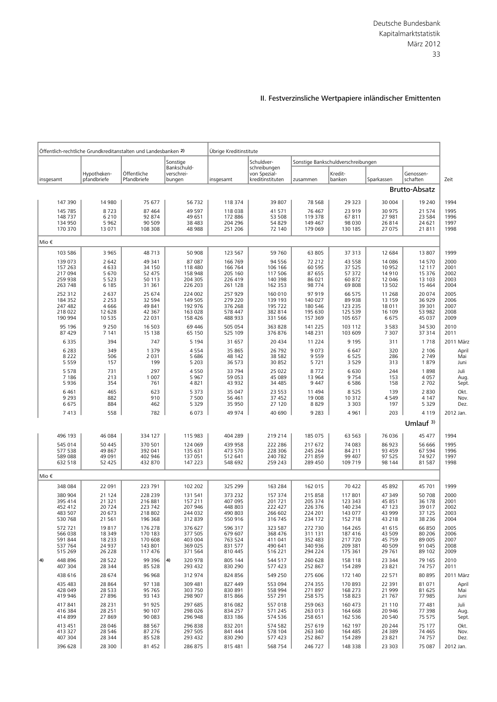|                                   |                            | Öffentlich-rechtliche Grundkreditanstalten und Landesbanken 2) |                                     | Übrige Kreditinstitute |                                                  |                    |                                    |                    |                       |              |
|-----------------------------------|----------------------------|----------------------------------------------------------------|-------------------------------------|------------------------|--------------------------------------------------|--------------------|------------------------------------|--------------------|-----------------------|--------------|
|                                   |                            |                                                                | Sonstige                            |                        | Schuldver-                                       |                    | Sonstige Bankschuldverschreibungen |                    |                       |              |
| insgesamt                         | Hypotheken-<br>pfandbriefe | Öffentliche<br>Pfandbriefe                                     | Bankschuld-<br>verschrei-<br>bungen | insgesamt              | schreibungen<br>von Spezial-<br>kreditinstituten | zusammen           | Kredit-<br>banken                  | Sparkassen         | Genossen-<br>schaften | Zeit         |
|                                   |                            |                                                                |                                     |                        |                                                  |                    |                                    |                    | <b>Brutto-Absatz</b>  |              |
| 147 390                           | 14 980                     | 75 677                                                         | 56 732                              | 118 374                | 39 807                                           | 78 5 68            | 29 323                             | 30 004             | 19 240                | 1994         |
| 145 785                           | 8723                       | 87 464                                                         | 49 597                              | 118 038                | 41 571                                           | 76 467             | 23 919                             | 30 975             | 21 574                | 1995         |
| 148 737<br>134 950                | 6 2 1 0<br>5962            | 92 874<br>90 509                                               | 49 651<br>38 4 83                   | 172 886<br>204 296     | 53 508<br>54 829                                 | 119 378<br>149 467 | 67811<br>98 030                    | 27 981<br>26814    | 23 5 84<br>24 621     | 1996<br>1997 |
| 170 370                           | 13 071                     | 108 308                                                        | 48 988                              | 251 206                | 72 140                                           | 179 069            | 130 185                            | 27 075             | 21811                 | 1998         |
| Mio €                             |                            |                                                                |                                     |                        |                                                  |                    |                                    |                    |                       |              |
| 103 586                           | 3 9 6 5                    | 48 713                                                         | 50 908                              | 123 567                | 59 760                                           | 63 805             | 37 313                             | 12 684             | 13 807                | 1999         |
| 139 073                           | 2 6 4 2                    | 49 341                                                         | 87 087                              | 166 769                | 94 556                                           | 72 212             | 43 558                             | 14 08 6            | 14 570                | 2000         |
| 157 263                           | 4 6 3 3                    | 34 150                                                         | 118 480                             | 166 764                | 106 166                                          | 60 595             | 37 525                             | 10 952             | 12 117                | 2001         |
| 217 094<br>259 938                | 5 6 7 0<br>5 5 2 3         | 52 475<br>50 113                                               | 158 948<br>204 305                  | 205 160<br>226 419     | 117 506<br>140 398                               | 87 655<br>86 021   | 57 372<br>60 872                   | 14 9 10<br>12 046  | 15 376<br>13 103      | 2002<br>2003 |
| 263 748                           | 6 1 8 5                    | 31 361                                                         | 226 203                             | 261 128                | 162 353                                          | 98 774             | 69 808                             | 13 502             | 15 4 64               | 2004         |
| 252 312                           | 2 6 3 7                    | 25 674                                                         | 224 002                             | 257 929                | 160 010                                          | 97 919             | 66 575                             | 11 268             | 20 074                | 2005         |
| 184 352<br>247 482                | 2 2 5 3                    | 32 594                                                         | 149 505<br>192 976                  | 279 220<br>376 268     | 139 193                                          | 140 027            | 89 938                             | 13 159             | 36 929                | 2006<br>2007 |
| 218 022                           | 4666<br>12 628             | 49 841<br>42 367                                               | 163 028                             | 578 447                | 195 722<br>382 814                               | 180 546<br>195 630 | 123 235<br>125 539                 | 18 011<br>16 109   | 39 301<br>53 982      | 2008         |
| 190 994                           | 10 5 3 5                   | 22 031                                                         | 158 426                             | 488 933                | 331 566                                          | 157 369            | 105 657                            | 6675               | 45 037                | 2009         |
| 95 196<br>87 429                  | 9 2 5 0<br>7 1 4 1         | 16 503<br>15 138                                               | 69 44 6<br>65 150                   | 505 054<br>525 109     | 363 828<br>376 876                               | 141 225<br>148 231 | 103 112<br>103 609                 | 3 5 8 3<br>7 3 0 7 | 34 5 30<br>37 314     | 2010<br>2011 |
| 6 3 3 5                           | 394                        | 747                                                            | 5 1 9 4                             | 31 657                 | 20 4 34                                          | 11 2 2 4           | 9 1 9 5                            | 311                | 1718                  | 2011 März    |
| 6 2 8 3                           | 349                        | 1 3 7 9                                                        | 4554                                | 35 865                 | 26 792                                           | 9073               | 6 6 4 7                            | 320                | 2 1 0 6               | April        |
| 8 2 2 2                           | 506                        | 2 0 3 1                                                        | 5 6 8 6                             | 48 142                 | 38 5 82                                          | 9559               | 6525                               | 286                | 2 7 4 9               | Mai          |
| 5 5 5 9                           | 157                        | 199<br>297                                                     | 5 2 0 3                             | 36 573                 | 30 852                                           | 5721               | 3 5 2 9                            | 313                | 1879                  | Juni         |
| 5 5 7 8<br>7 1 8 6                | 731<br>213                 | 1 0 0 7                                                        | 4550<br>5967                        | 33 794<br>59 053       | 25 0 22<br>45 089                                | 8772<br>13 964     | 6630<br>9754                       | 244<br>153         | 1898<br>4 0 5 7       | Juli<br>Aug  |
| 5936                              | 354                        | 761                                                            | 4821                                | 43 932                 | 34 485                                           | 9 4 4 7            | 6586                               | 158                | 2 7 0 2               | Sept         |
| 6461<br>9 2 9 3                   | 465<br>882                 | 623<br>910                                                     | 5 3 7 3<br>7 500                    | 35 047<br>56 461       | 23 5 5 3<br>37 452                               | 11 494<br>19 008   | 8525<br>10 312                     | 139<br>4549        | 2830<br>4 1 4 7       | Okt.<br>Nov. |
| 6675                              | 884                        | 462                                                            | 5 3 2 9                             | 35 950                 | 27 120                                           | 8829               | 3 3 0 3                            | 197                | 5 3 2 9               | Dez.         |
| 7413                              | 558                        | 782                                                            | 6073                                | 49 974                 | 40 690                                           | 9 2 8 3            | 4961                               | 203                | 4 1 1 9               | 2012 Jan.    |
|                                   |                            |                                                                |                                     |                        |                                                  |                    |                                    |                    | Umlauf $3$ )          |              |
| 496 193                           | 46 084                     | 334 127                                                        | 115 983                             | 404 289                | 219 214                                          | 185 075            | 63 563                             | 76 036             | 45 477                | 1994         |
| 545 014                           | 50 445                     | 370 501                                                        | 124 069                             | 439 958                | 222 286                                          | 217 672            | 74 083                             | 86 923             | 56 666                | 1995         |
| 577 538                           | 49 867                     | 392 041                                                        | 135 631                             | 473 570                | 228 306                                          | 245 264            | 84 211                             | 93 459             | 67 594                | 1996         |
| 589 088<br>632 518                | 49 091<br>52 425           | 402 946<br>432 870                                             | 137 051<br>147 223                  | 512 641<br>548 692     | 240 782<br>259 243                               | 271859<br>289 450  | 99 407<br>109 719                  | 97 525<br>98 144   | 74 927<br>81 587      | 1997<br>1998 |
| Mio €                             |                            |                                                                |                                     |                        |                                                  |                    |                                    |                    |                       |              |
| 348 084                           | 22 091                     | 223 791                                                        | 102 202                             | 325 299                | 163 284                                          | 162 015            | 70 422                             | 45 892             | 45 701                | 1999         |
| 380 904                           | 21 1 24                    | 228 239                                                        | 131 541                             | 373 232                | 157 374                                          | 215 858            | 117801                             | 47 349             | 50 708                | 2000         |
| 395 414                           | 21 321                     | 216 881                                                        | 157 211                             | 407 095                | 201 721                                          | 205 374            | 123 343                            | 45 851             | 36 178                | 2001         |
| 452 412<br>483 507                | 20724<br>20 673            | 223 742<br>218 802                                             | 207 946<br>244 032                  | 448 803<br>490 803     | 222 427<br>266 602                               | 226 376<br>224 201 | 140 234<br>143 077                 | 47 123<br>43 999   | 39 017<br>37 125      | 2002<br>2003 |
| 530 768                           | 21 5 61                    | 196 368                                                        | 312839                              | 550 916                | 316 745                                          | 234 172            | 152 718                            | 43 218             | 38 2 36               | 2004         |
| 572 721                           | 19817                      | 176 278                                                        | 376 627                             | 596 317                | 323 587                                          | 272 730            | 164 265                            | 41 615             | 66 850                | 2005         |
| 566 038<br>591 844                | 18 3 4 9<br>18 2 3 3       | 170 183<br>170 608                                             | 377 505<br>403 004                  | 679 607<br>763 524     | 368 476<br>411 041                               | 311 131<br>352 483 | 187 416<br>217720                  | 43 509<br>45 759   | 80 20 6<br>89 005     | 2006<br>2007 |
| 537 764                           | 24 9 37                    | 143 801                                                        | 369 025                             | 831 577                | 490 641                                          | 340 936            | 209 381                            | 40 509             | 91 045                | 2008         |
| 515 269                           | 26 2 28                    | 117 476                                                        | 371 564                             | 810 445                | 516 221                                          | 294 224            | 175 361                            | 29 761             | 89 102                | 2009         |
| $ 4\rangle$<br>448 896<br>407 304 | 28 5 22<br>28 344          | 99 396<br>85 528                                               | $\vert$ 4)<br>320 978<br>293 432    | 805 144<br>830 290     | 544 517<br>577 423                               | 260 628<br>252 867 | 158 118<br>154 289                 | 23 344<br>23 821   | 79 165<br>74757       | 2010<br>2011 |
| 438 616                           | 28 674                     | 96 968                                                         | 312 974                             | 824 856                | 549 250                                          | 275 606            | 172 140                            | 22 571             | 80 895                | 2011 März    |
| 435 483                           | 28 8 64                    | 97 138                                                         | 309 481                             | 827 449                | 553 094                                          | 274 355            | 170 893                            | 22 391             | 81 071                | April        |
| 428 049                           | 28 5 33                    | 95 765                                                         | 303 750                             | 830 891                | 558 994                                          | 271897             | 168 273                            | 21 999             | 81 625                | Mai          |
| 419 946                           | 27896                      | 93 143                                                         | 298 907                             | 815 866                | 557 291                                          | 258 575            | 158 823                            | 21 7 67            | 77 985                | Juni         |
| 417841<br>416 384                 | 28 2 31<br>28 251          | 91 925<br>90 107                                               | 297 685<br>298 026                  | 816 082<br>834 257     | 557 018<br>571 245                               | 259 063<br>263 013 | 160 473<br>164 668                 | 21 110<br>20 946   | 77 481<br>77 398      | Juli<br>Aug. |
| 414 899                           | 27 869                     | 90 083                                                         | 296 948                             | 833 186                | 574 536                                          | 258 651            | 162 536                            | 20 540             | 75 575                | Sept.        |
| 413 451                           | 28 046                     | 88 567                                                         | 296 838                             | 832 201                | 574 582                                          | 257 619            | 162 197                            | 20 244             | 75 177                | Okt.         |
| 413 327<br>407 304                | 28 5 46<br>28 344          | 87 276<br>85 528                                               | 297 505<br>293 432                  | 841 444<br>830 290     | 578 104<br>577 423                               | 263 340<br>252 867 | 164 485<br>154 289                 | 24 389<br>23 821   | 74 465<br>74757       | Nov.<br>Dez. |
| 396 628                           | 28 300                     | 81 452                                                         | 286 875                             | 815 481                | 568 754                                          | 246 727            | 148 338                            | 23 303             | 75 087                | 2012 Jan.    |
|                                   |                            |                                                                |                                     |                        |                                                  |                    |                                    |                    |                       |              |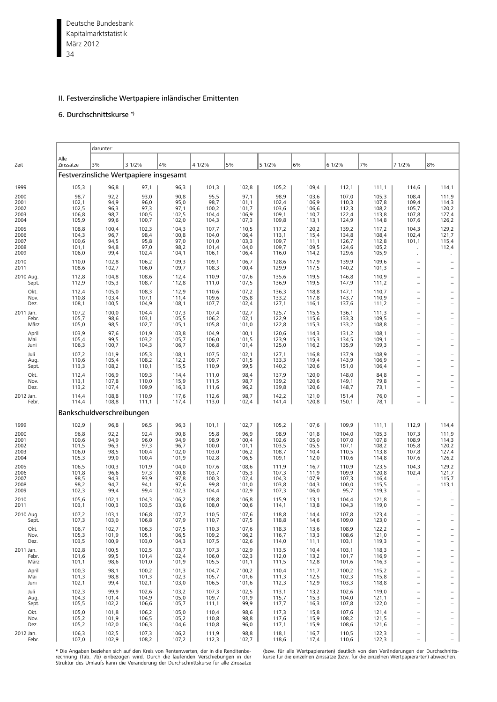Deutsche Bundesbank 34 Kapitalmarktstatistik März 2012

### II. Festverzinsliche Wertpapiere inländischer Emittenten

## 6. Durchschnittskurse \*)

|                                      |                                           | darunter:                              |                                        |                                         |                                           |                                           |                                           |                                           |                                           |                                           |                                                                                  |                                                                           |
|--------------------------------------|-------------------------------------------|----------------------------------------|----------------------------------------|-----------------------------------------|-------------------------------------------|-------------------------------------------|-------------------------------------------|-------------------------------------------|-------------------------------------------|-------------------------------------------|----------------------------------------------------------------------------------|---------------------------------------------------------------------------|
| Zeit                                 | Alle<br>Zinssätze                         | 3%                                     | 3 1/2%                                 | 4%                                      | 4 1/2%                                    | 5%                                        | 5 1/2%                                    | 6%                                        | 6 1/2%                                    | 7%                                        | 7 1/2%                                                                           | 8%                                                                        |
|                                      |                                           | Festverzinsliche Wertpapiere insgesamt |                                        |                                         |                                           |                                           |                                           |                                           |                                           |                                           |                                                                                  |                                                                           |
| 1999                                 | 105,3                                     | 96,8                                   | 97,1                                   | 96,3                                    | 101,3                                     | 102,8                                     | 105,2                                     | 109,4                                     | 112,1                                     | 111,1                                     | 114,6                                                                            | 114,1                                                                     |
| 2000<br>2001<br>2002<br>2003<br>2004 | 98,7<br>102,1<br>102,5<br>106,8<br>105,9  | 92,2<br>94,9<br>96,3<br>98,7<br>99,6   | 93,0<br>96,0<br>97,3<br>100,5<br>100,7 | 90,8<br>95,0<br>97,1<br>102,5<br>102,0  | 95,5<br>98,7<br>100,2<br>104,4<br>104,3   | 97,1<br>101,1<br>101,7<br>106,9<br>107,3  | 98,9<br>102,4<br>103,6<br>109,1<br>109,8  | 103,6<br>106,9<br>106,6<br>110,7<br>113,1 | 107,0<br>110,3<br>112,3<br>122,4<br>124,9 | 105,3<br>107,8<br>108,2<br>113,8<br>114,8 | 108,4<br>109,4<br>105,7<br>107,8<br>107,6                                        | 111,9<br>114,3<br>120,2<br>127,4<br>126,2                                 |
| 2005<br>2006<br>2007<br>2008<br>2009 | 108,8<br>104,3<br>100,6<br>101,1<br>106,0 | 100,4<br>96,7<br>94,5<br>94,8<br>99,4  | 102,3<br>98,4<br>95,8<br>97,0<br>102,4 | 104,3<br>100,8<br>97,0<br>98,2<br>104,1 | 107,7<br>104,0<br>101,0<br>101,4<br>106,1 | 110,5<br>106,4<br>103,3<br>104,0<br>106,4 | 117,2<br>113,1<br>109,7<br>109,7<br>116,0 | 120,2<br>115,4<br>111,1<br>109,5<br>114,2 | 139,2<br>134,8<br>126,7<br>124,6<br>129,6 | 117,2<br>108,4<br>112,8<br>105,2<br>105,9 | 104,3<br>102,4<br>101,1                                                          | 129,2<br>121,7<br>115,4<br>112,4                                          |
| 2010<br>2011                         | 110,0<br>108,6                            | 102,8<br>102,7                         | 106,2<br>106,0                         | 109,3<br>109,7                          | 109,1<br>108,3                            | 106,7<br>100,4                            | 128,6<br>129,9                            | 117,9<br>117,5                            | 139,9<br>140,2                            | 109,6<br>101,3                            | $\overline{\phantom{a}}$                                                         | $\overline{\phantom{a}}$                                                  |
| 2010 Aug.<br>Sept.                   | 112,8<br>112,9                            | 104,8<br>105,3                         | 108,6<br>108,7                         | 112,4<br>112,8                          | 110,9<br>111,0                            | 107,6<br>107,5                            | 135,6<br>136,9                            | 119,5<br>119,5                            | 146,8<br>147,9                            | 110,9<br>111,2                            | $\qquad \qquad -$<br>$\overline{\phantom{a}}$                                    | $\overline{\phantom{0}}$<br>$\overline{\phantom{a}}$                      |
| Okt.<br>Nov.<br>Dez.                 | 112,4<br>110,8<br>108,1                   | 105,0<br>103,4<br>100,5                | 108,3<br>107,1<br>104,9                | 112,9<br>111,4<br>108,1                 | 110,6<br>109,6<br>107,7                   | 107,2<br>105,8<br>102,4                   | 136,3<br>133,2<br>127,1                   | 118,8<br>117,8<br>116,1                   | 147,1<br>143,7<br>137,6                   | 110,7<br>110,9<br>111,2                   | $\overline{\phantom{a}}$<br>$\overline{\phantom{m}}$                             | $\qquad \qquad -$<br>÷,                                                   |
| 2011 Jan.<br>Febr.<br>März           | 107,2<br>105,7<br>105,0                   | 100,0<br>98,6<br>98,5                  | 104,4<br>103,1<br>102,7                | 107,3<br>105,5<br>105,1                 | 107,4<br>106,2<br>105,8                   | 102,7<br>102,1<br>101,0                   | 125,7<br>122,9<br>122,8                   | 115,5<br>115,6<br>115,3                   | 136,1<br>133,3<br>133,2                   | 111,3<br>109,5<br>108,8                   | $\overline{\phantom{a}}$<br>$\overline{\phantom{a}}$<br>$\qquad \qquad -$        | $\qquad \qquad -$<br>$\qquad \qquad -$<br>$\overline{\phantom{0}}$        |
| April<br>Mai<br>Juni                 | 103,9<br>105,4<br>106,3                   | 97,6<br>99,5<br>100,7                  | 101,9<br>103,2<br>104,3                | 103,8<br>105,7<br>106,7                 | 104,9<br>106,0<br>106,8                   | 100,1<br>101,5<br>101,4                   | 120,6<br>123,9<br>125,0                   | 114,3<br>115,3<br>116,2                   | 131,2<br>134,5<br>135,9                   | 108,1<br>109,1<br>109,3                   | $\overline{\phantom{a}}$<br>$\overline{\phantom{a}}$                             | $\overline{\phantom{a}}$<br>$\qquad \qquad -$<br>$\overline{\phantom{a}}$ |
| Juli<br>Aug.<br>Sept.                | 107,2<br>110,6<br>113,3                   | 101,9<br>105,4<br>108,2                | 105,3<br>108,2<br>110,1                | 108,1<br>112,2<br>115,5                 | 107,5<br>109,7<br>110,9                   | 102,1<br>101,5<br>99,5                    | 127,1<br>133,3<br>140,2                   | 116,8<br>119,4<br>120,6                   | 137,9<br>143,9<br>151,0                   | 108,9<br>106,9<br>106,4                   | $\overline{\phantom{m}}$<br>$\overline{\phantom{m}}$                             | $\overline{\phantom{0}}$<br>$\qquad \qquad -$<br>$\qquad \qquad -$        |
| Okt.<br>Nov.<br>Dez.                 | 112,4<br>113,1<br>113,2                   | 106,9<br>107,8<br>107,4                | 109,3<br>110,0<br>109,9                | 114,4<br>115,9<br>116,3                 | 111,0<br>111,5<br>111,6                   | 98,4<br>98,7<br>96,2                      | 137,9<br>139,2<br>139,8                   | 120,0<br>120,6<br>120,6                   | 148,0<br>149,1<br>148,7                   | 84,8<br>79,8<br>73,1                      | $\overline{\phantom{0}}$<br>$\overline{\phantom{0}}$<br>$\overline{\phantom{a}}$ | $\overline{\phantom{a}}$<br>$\overline{\phantom{a}}$<br>$\qquad \qquad -$ |
| 2012 Jan.<br>Febr.                   | 114,4<br>114,4                            | 108,8<br>108,8                         | 110,9<br>111,1                         | 117,6<br>117,4                          | 112,6<br>113,0                            | 98,7<br>102,4                             | 142,2<br>141,4                            | 121,0<br>120,8                            | 151,4<br>150,1                            | 76,0<br>78,1                              | $\overline{\phantom{a}}$                                                         | $\overline{\phantom{a}}$                                                  |
|                                      |                                           | Bankschuldverschreibungen              |                                        |                                         |                                           |                                           |                                           |                                           |                                           |                                           |                                                                                  |                                                                           |
| 1999<br>2000                         | 102,9<br>96,8                             | 96,8<br>92,2                           | 96,5<br>92,4                           | 96,3<br>90,8                            | 101,1<br>95,8                             | 102,7<br>96,9                             | 105,2<br>98,9                             | 107,6<br>101,8                            | 109,9<br>104,0                            | 111,1<br>105,3                            | 112,9<br>107,3                                                                   | 114,4<br>111,9                                                            |
| 2001<br>2002<br>2003<br>2004         | 100,6<br>101,5<br>106,0<br>105,3          | 94,9<br>96,3<br>98,5<br>99,0           | 96,0<br>97,3<br>100,4<br>100,4         | 94,9<br>96,7<br>102,0<br>101,9          | 98,9<br>100,0<br>103,0<br>102,8           | 100,4<br>101,1<br>106,2<br>106,5          | 102,6<br>103,5<br>108,7<br>109,1          | 105,0<br>105,5<br>110,4<br>112,0          | 107,0<br>107,1<br>110,5<br>110,6          | 107,8<br>108,2<br>113,8<br>114,8          | 108,9<br>105,8<br>107,8<br>107,6                                                 | 114,3<br>120,2<br>127,4<br>126,2                                          |
| 2005<br>2006<br>2007<br>2008<br>2009 | 106,5<br>101,8<br>98,5<br>98,2<br>102,3   | 100,3<br>96,6<br>94,3<br>94,7<br>99,4  | 101,9<br>97,3<br>93,9<br>94,1<br>99,4  | 104,0<br>100,8<br>97,8<br>97,6<br>102,3 | 107,6<br>103,7<br>100,3<br>99,8<br>104,4  | 108,6<br>105,3<br>102,4<br>101,0<br>102,9 | 111,9<br>107,3<br>104,3<br>103,8<br>107,3 | 116,7<br>111,9<br>107,9<br>104,3<br>106,0 | 110,9<br>109,9<br>107,3<br>100,0<br>95,7  | 123,5<br>120,8<br>116,4<br>115,5<br>119,3 | 104,3<br>102,4<br>$\overline{\phantom{a}}$                                       | 129,2<br>121,7<br>115,7<br>113,1                                          |
| 2010<br>2011                         | 105,6<br>103,1                            | 102,1<br>100,3                         | 104,3<br>103,5                         | 106,2<br>103,6                          | 108,8<br>108,0                            | 106,8<br>100,6                            | 115,9<br>114,1                            | 113,1<br>113,8                            | 104,4<br>104,3                            | 121,8<br>119,0                            | $\overline{\phantom{m}}$                                                         | $\equiv$                                                                  |
| 2010 Aug.<br>Sept.                   | 107,2<br>107,3                            | 103,1<br>103,0                         | 106,8<br>106,8                         | 107,7<br>107,9                          | 110,5<br>110,7                            | 107,6<br>107,5                            | 118,8<br>118,8                            | 114,4<br>114,6                            | 107,8<br>109,0                            | 123,4<br>123,0                            | $\qquad \qquad -$                                                                |                                                                           |
| Okt.<br>Nov.<br>Dez.                 | 106,7<br>105,3<br>103,5                   | 102,7<br>101,9<br>100,9                | 106,3<br>105,1<br>103,0                | 107,5<br>106,5<br>104,3                 | 110,3<br>109,2<br>107,5                   | 107,6<br>106,2<br>102,6                   | 118,3<br>116,7<br>114,0                   | 113,6<br>113,3<br>111,1                   | 108,9<br>108,6<br>103,1                   | 122,2<br>121,0<br>119,3                   | $\qquad \qquad -$<br>$\overline{\phantom{m}}$<br>$\overline{\phantom{a}}$        | $\qquad \qquad -$<br>$\overline{\phantom{m}}$<br>$\overline{\phantom{a}}$ |
| 2011 Jan.<br>Febr.<br>März           | 102,8<br>101,6<br>101,1                   | 100,5<br>99,5<br>98,6                  | 102,5<br>101,4<br>101,0                | 103,7<br>102,4<br>101,9                 | 107,3<br>106,0<br>105,5                   | 102,9<br>102,3<br>101,1                   | 113,5<br>112,0<br>111,5                   | 110,4<br>113,2<br>112,8                   | 103,1<br>101,7<br>101,6                   | 118,3<br>116,9<br>116,3                   | $\qquad \qquad -$<br>$\qquad \qquad -$                                           | $\qquad \qquad -$<br>$\qquad \qquad -$<br>$\qquad \qquad -$               |
| April<br>Mai<br>Juni                 | 100,3<br>101,3<br>102,1                   | 98,1<br>98,8<br>99,4                   | 100,2<br>101,3<br>102,1                | 101,3<br>102,3<br>103,0                 | 104,7<br>105,7<br>106,5                   | 100,2<br>101,6<br>101,6                   | 110,4<br>111,3<br>112,3                   | 111,7<br>112,5<br>112,9                   | 100,2<br>102,3<br>103,3                   | 115,2<br>115,8<br>118,8                   | $\qquad \qquad -$<br>$\qquad \qquad -$<br>$\overline{\phantom{a}}$               | $\qquad \qquad -$<br>$\qquad \qquad -$                                    |
| Juli<br>Aug.<br>Sept.                | 102,3<br>104,3<br>105,5                   | 99,9<br>101,4<br>102,2                 | 102,6<br>104,9<br>106,6                | 103,2<br>105,0<br>105,7                 | 107,3<br>109,7<br>111,1                   | 102,5<br>101,9<br>99,9                    | 113,1<br>115,7<br>117,7                   | 113,2<br>115,3<br>116,3                   | 102,6<br>104,0<br>107,8                   | 119,0<br>121,1<br>122,0                   | $\qquad \qquad -$<br>$\qquad \qquad -$<br>$\qquad \qquad -$                      | $\overline{a}$<br>$\qquad \qquad -$<br>$\qquad \qquad -$                  |
| Okt.<br>Nov.<br>Dez.                 | 105,0<br>105,2<br>105,2                   | 101,8<br>101,9<br>102,0                | 106,2<br>106,5<br>106,3                | 105,0<br>105,2<br>104,6                 | 110,4<br>110,8<br>110,8                   | 98,6<br>98,8<br>96,0                      | 117,3<br>117,6<br>117,1                   | 115,8<br>115,9<br>115,9                   | 107,6<br>108,2<br>108,6                   | 121,4<br>121,5<br>121,6                   | $\qquad \qquad -$<br>$\overline{\phantom{a}}$<br>$\qquad \qquad -$               | $\qquad \qquad -$<br>$\qquad \qquad -$<br>$\qquad \qquad -$               |
| 2012 Jan.<br>Febr.                   | 106,3<br>107,0                            | 102,5<br>102,9                         | 107,3<br>108,2                         | 106,2<br>107,2                          | 111,9<br>112,3                            | 98,8<br>102,7                             | 118,1<br>118,6                            | 116,7<br>117,4                            | 110,5<br>110,6                            | 122,3<br>122,3                            | $\overline{\phantom{a}}$<br>$\overline{\phantom{a}}$                             | $\overline{\phantom{a}}$                                                  |

\* Die Angaben beziehen sich auf den Kreis von Rentenwerten, der in die Renditenbe- (bzw. für alle Wertpapierarten) deutlich von den Veränderungen der Durchschnitts-<br>rechnung (Tab. 7b) einbezogen wird. Durch die laufenden V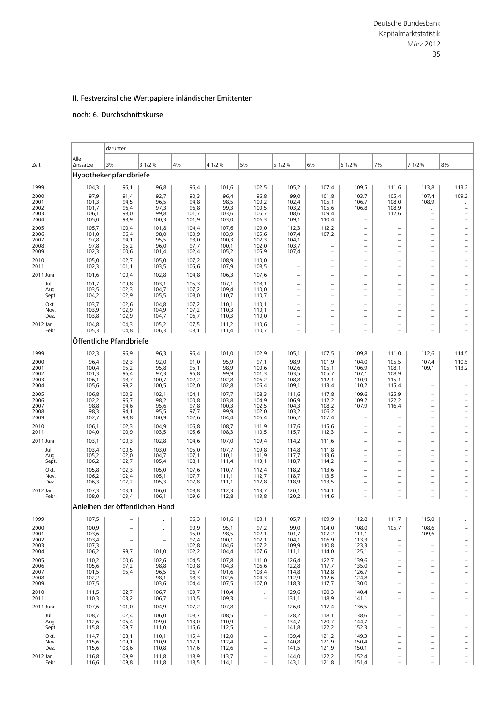# noch: 6. Durchschnittskurse

|                      |                         | darunter:                                     |                                                      |                         |                         |                                                      |                                                      |                                                      |                                                      |                                                      |                                                           |                                                      |
|----------------------|-------------------------|-----------------------------------------------|------------------------------------------------------|-------------------------|-------------------------|------------------------------------------------------|------------------------------------------------------|------------------------------------------------------|------------------------------------------------------|------------------------------------------------------|-----------------------------------------------------------|------------------------------------------------------|
| Zeit                 | Alle<br>Zinssätze       | 3%                                            | 3 1/2%                                               | 4%                      | 4 1/2%                  | 5%                                                   | 5 1/2%                                               | 6%                                                   | 6 1/2%                                               | 7%                                                   | 7 1/2%                                                    | 8%                                                   |
|                      |                         | Hypothekenpfandbriefe                         |                                                      |                         |                         |                                                      |                                                      |                                                      |                                                      |                                                      |                                                           |                                                      |
| 1999                 | 104,3                   | 96,1                                          | 96,8                                                 | 96,4                    | 101,6                   | 102,5                                                | 105,2                                                | 107,4                                                | 109,5                                                | 111,6                                                | 113,8                                                     | 113,2                                                |
| 2000<br>2001         | 97,9<br>101,3           | 91,4<br>94,5                                  | 92,7<br>96,5                                         | 90,3<br>94,8            | 96,4<br>98,5            | 96,8<br>100,2                                        | 99,0<br>102,4                                        | 101,8<br>105,1                                       | 103,7<br>106,7                                       | 105,4<br>108,0                                       | 107,4<br>108,9                                            | 109,2                                                |
| 2002                 | 101,7                   | 96,4                                          | 97,3                                                 | 96,8                    | 99,3                    | 100,5                                                | 103,2                                                | 105,6                                                | 106,8                                                | 108,9                                                |                                                           |                                                      |
| 2003<br>2004         | 106,1<br>105,0          | 98,0<br>98,9                                  | 99,8<br>100,3                                        | 101,7<br>101,9          | 103,6<br>103,0          | 105,7<br>106,3                                       | 108,6<br>109,1                                       | 109,4<br>110,4                                       | $\overline{\phantom{a}}$                             | 112,6                                                | $\overline{\phantom{0}}$<br>$\equiv$                      |                                                      |
| 2005<br>2006         | 105,7<br>101,0          | 100,4<br>96,4                                 | 101,8<br>98,0                                        | 104,4<br>100,9          | 107,6<br>103,9          | 109,0<br>105,6                                       | 112,3<br>107,4                                       | 112,2<br>107,2                                       | ۰<br>$\overline{\phantom{a}}$                        | $\equiv$<br>$\equiv$                                 | $\qquad \qquad -$                                         | $\overline{\phantom{0}}$                             |
| 2007                 | 97,8                    | 94,1                                          | 95,5                                                 | 98,0                    | 100,3                   | 102,3                                                | 104,1                                                |                                                      | $\overline{\phantom{0}}$                             | $\equiv$                                             | $\equiv$                                                  |                                                      |
| 2008<br>2009         | 97,8<br>102,3           | 95,2<br>100,6                                 | 96,0<br>101,4                                        | 97,7<br>102,4           | 100,1<br>105,2          | 102,0<br>105,9                                       | 103,7<br>107,4                                       | $\overline{\phantom{a}}$<br>$\equiv$                 | $\overline{\phantom{a}}$<br>$\overline{\phantom{a}}$ | $\overline{\phantom{0}}$<br>$\overline{\phantom{0}}$ | $\qquad \qquad -$<br>$\equiv$                             | $\overline{\phantom{0}}$<br>$\overline{\phantom{0}}$ |
| 2010<br>2011         | 105,0<br>102,3          | 102,7<br>101,1                                | 105,0<br>103,5                                       | 107,2<br>105,6          | 108,9<br>107,9          | 110,0<br>108,5                                       | $\cdot$<br>$\overline{\phantom{a}}$                  | $\equiv$<br>$\overline{\phantom{0}}$                 | $\overline{\phantom{a}}$                             | $\equiv$<br>$\overline{\phantom{0}}$                 | $\equiv$<br>$\overline{\phantom{0}}$                      |                                                      |
| 2011 Juni            | 101,6                   | 100,4                                         | 102,8                                                | 104,8                   | 106,3                   | 107,6                                                | $\overline{\phantom{0}}$                             | $\overline{\phantom{0}}$                             | $\overline{\phantom{0}}$                             | $\overline{\phantom{0}}$                             | $\equiv$                                                  |                                                      |
| Juli<br>Aug.         | 101,7<br>103,5          | 100,8<br>102,3                                | 103,1<br>104,7                                       | 105,3<br>107,2          | 107,1<br>109,4          | 108,1<br>110,0                                       | $\overline{\phantom{a}}$<br>$\overline{\phantom{0}}$ | $\overline{\phantom{0}}$<br>$\overline{\phantom{0}}$ | ۳<br>$\overline{\phantom{0}}$                        | $\qquad \qquad$<br>$\equiv$                          | $\overline{\phantom{0}}$<br>$\qquad \qquad -$             |                                                      |
| Sept.                | 104,2                   | 102,9                                         | 105,5                                                | 108,0                   | 110,7                   | 110,7                                                | $\equiv$                                             | $\equiv$                                             | $\overline{\phantom{a}}$                             | $\equiv$                                             | $\equiv$                                                  | $\overline{\phantom{0}}$                             |
| Okt.<br>Nov.<br>Dez. | 103,7<br>103,9<br>103,8 | 102,6<br>102,9<br>102,9                       | 104,8<br>104,9<br>104,7                              | 107,2<br>107,2<br>106,7 | 110,1<br>110,3<br>110,3 | 110,1<br>110,1<br>110,0                              | $\overline{\phantom{a}}$<br>۰                        | $\overline{\phantom{0}}$<br>$\equiv$                 |                                                      | $\equiv$<br>$\qquad \qquad$                          | ۰<br>$\overline{\phantom{0}}$<br>$\overline{\phantom{0}}$ |                                                      |
| 2012 Jan.<br>Febr.   | 104,8<br>105,3          | 104,3<br>104,8                                | 105,2<br>106,3                                       | 107,5<br>108,1          | 111,2<br>111,4          | 110,6<br>110,7                                       | $\qquad \qquad -$                                    | $\overline{\phantom{a}}$<br>$\equiv$                 | $\overline{\phantom{0}}$<br>$\overline{\phantom{0}}$ | $\qquad \qquad -$<br>۳                               | $\overline{\phantom{m}}$<br>$\equiv$                      | $\overline{\phantom{0}}$                             |
|                      |                         | Öffentliche Pfandbriefe                       |                                                      |                         |                         |                                                      |                                                      |                                                      |                                                      |                                                      |                                                           |                                                      |
| 1999                 | 102,3                   | 96,9                                          | 96,3                                                 | 96,4                    | 101,0                   | 102,9                                                | 105,1                                                | 107,5                                                | 109,8                                                | 111,0                                                | 112,6                                                     | 114,5                                                |
| 2000                 | 96,4                    | 92,3                                          | 92,0                                                 | 91,0                    | 95,9                    | 97,1                                                 | 98,9                                                 | 101,9                                                | 104,0                                                | 105,5                                                | 107,4                                                     | 110,5                                                |
| 2001<br>2002         | 100,4<br>101,3          | 95,2<br>96,4                                  | 95,8<br>97,3                                         | 95,1<br>96,8            | 98,9<br>99,9            | 100,6<br>101,3                                       | 102,6<br>103,5                                       | 105,1<br>105,7                                       | 106,9<br>107,1                                       | 108,1<br>108,9                                       | 109,1                                                     | 113,2                                                |
| 2003<br>2004         | 106,1<br>105,6          | 98,7<br>99,2                                  | 100,7<br>100,5                                       | 102,2<br>102,0          | 102,8<br>102,8          | 106,2<br>106,4                                       | 108,8<br>109,1                                       | 112,1<br>113,4                                       | 110,9<br>110,2                                       | 115,1<br>115,4                                       | $\equiv$                                                  |                                                      |
| 2005                 | 106,8                   | 100,3                                         | 102,1                                                | 104,1                   | 107,7                   | 108,3                                                | 111,6                                                | 117,8                                                | 109,6                                                | 125,9                                                | $\equiv$                                                  |                                                      |
| 2006<br>2007         | 102,2<br>98,8           | 96,7<br>94,6                                  | 98,2<br>95,6                                         | 100,8<br>97,8           | 103,8<br>100,3          | 104,9<br>102,5                                       | 106,9<br>104,3                                       | 112,2<br>108,2                                       | 109,2<br>107,9                                       | 122,2<br>116,4                                       | $\equiv$<br>$\qquad \qquad -$                             |                                                      |
| 2008<br>2009         | 98,3<br>102,7           | 94,1<br>98,8                                  | 95,5<br>100,9                                        | 97,7<br>102,6           | 99,9<br>104,4           | 102,0<br>106,4                                       | 103,2<br>106,2                                       | 106,2<br>107,4                                       | ۰                                                    | $\overline{\phantom{0}}$                             | $\qquad \qquad -$<br>$\overline{\phantom{0}}$             |                                                      |
| 2010                 | 106,1                   | 102,3                                         | 104,9                                                | 106,8                   | 108,7                   | 111,9                                                | 117,6                                                | 115,6                                                | ۰                                                    | $\equiv$                                             | $\qquad \qquad -$                                         |                                                      |
| 2011<br>2011 Juni    | 104,0<br>103,1          | 100,9<br>100,3                                | 103,5<br>102,8                                       | 105,6<br>104,6          | 108,3<br>107,0          | 110,5<br>109,4                                       | 115,7<br>114,2                                       | 112,3<br>111,6                                       | $\overline{\phantom{a}}$                             | $\overline{\phantom{0}}$<br>$\overline{\phantom{0}}$ | $\overline{\phantom{0}}$                                  |                                                      |
| Juli                 | 103,4                   | 100,5                                         | 103,0                                                | 105,0                   | 107,7                   | 109,8                                                | 114,8                                                | 111,8                                                | $\overline{\phantom{0}}$                             | $\overline{\phantom{0}}$                             | $\overline{\phantom{0}}$                                  |                                                      |
| Aug.<br>Sept.        | 105,2<br>106,2          | 102,0<br>102,7                                | 104,7<br>105,4                                       | 107,1<br>108,1          | 110,1<br>111,4          | 111,9<br>113,1                                       | 117,7<br>118,7                                       | 113,6<br>114,2                                       | $\overline{\phantom{0}}$<br>$\overline{\phantom{a}}$ | $\equiv$<br>$\equiv$                                 | $\equiv$<br>$\overline{\phantom{0}}$                      | $\overline{\phantom{0}}$                             |
| Okt.                 | 105,8                   | 102,3                                         | 105,0                                                | 107,6                   | 110,7                   | 112,4                                                | 118,2                                                | 113,6                                                | $\overline{\phantom{0}}$                             | $\qquad \qquad$                                      | $\overline{\phantom{0}}$                                  |                                                      |
| Nov.<br>Dez.         | 106,2<br>106,3          | 102,4<br>102,2                                | 105,1<br>105,3                                       | 107,7<br>107,8          | 111,1<br>111,1          | 112,7<br>112,8                                       | 118,7<br>118,9                                       | 113,5<br>113,5                                       |                                                      |                                                      | $\overline{\phantom{0}}$<br>$\equiv$                      |                                                      |
| 2012 Jan.<br>Febr.   | 107,3<br>108,0          | 103,1<br>103,4                                | 106,0<br>106,1                                       | 108,8<br>109,6          | 112,3<br>112,8          | 113,7<br>113,8                                       | 120,1<br>120,2                                       | 114,1<br>114,6                                       |                                                      |                                                      |                                                           |                                                      |
|                      |                         | Anleihen der öffentlichen Hand                |                                                      |                         |                         |                                                      |                                                      |                                                      |                                                      |                                                      |                                                           |                                                      |
| 1999                 | 107,5                   |                                               |                                                      | 96,3                    | 101,6                   | 103,1                                                | 105,7                                                | 109,9                                                | 112,8                                                | 111,7                                                | 115,0                                                     |                                                      |
| 2000                 | 100,9                   | $\qquad \qquad -$                             | $\cdot$                                              | 90,9                    | 95,1                    | 97,2                                                 | 99,0                                                 | 104,0                                                | 108,0                                                | 105,7                                                | 108,6                                                     |                                                      |
| 2001<br>2002         | 103,6<br>103,4          | $\overline{\phantom{0}}$<br>$\qquad \qquad -$ | $\overline{\phantom{m}}$<br>$\overline{\phantom{m}}$ | 95,0<br>97,4            | 98,5<br>100,1           | 102,1<br>102,1                                       | 101,7<br>104,1                                       | 107,2<br>106,9                                       | 111,1<br>113,3                                       | $\qquad \qquad -$                                    | 109,6                                                     |                                                      |
| 2003<br>2004         | 107,3<br>106,2          | 99,7                                          | 101,0                                                | 102,8<br>102,2          | 104,6<br>104,4          | 107,2<br>107,6                                       | 109,9<br>111,1                                       | 110,8<br>114,0                                       | 123,3<br>125,1                                       | $\equiv$                                             | $\overline{\phantom{a}}$<br>$\overline{\phantom{0}}$      | $\overline{\phantom{0}}$                             |
| 2005                 | 110,2                   | 100,6                                         | 102,6                                                | 104,5                   | 107,8                   | 111,0                                                | 126,4                                                | 122,7                                                | 139,6                                                | $\overline{\phantom{0}}$                             | $\overline{\phantom{0}}$                                  |                                                      |
| 2006<br>2007         | 105,6<br>101,5          | 97,2<br>95,4                                  | 98,8<br>96,5                                         | 100,8<br>96,7           | 104,3<br>101,6          | 106,6<br>103,4                                       | 122,8<br>114,8                                       | 117,7<br>112,8                                       | 135,0<br>126,7                                       | $\qquad \qquad -$<br>$\qquad \qquad -$               | $\qquad \qquad -$<br>$\qquad \qquad -$                    | $\overline{\phantom{0}}$                             |
| 2008<br>2009         | 102,2<br>107,5          |                                               | 98,1<br>103,6                                        | 98,3<br>104,4           | 102,6<br>107,5          | 104,3<br>107,0                                       | 112,9<br>118,3                                       | 112,6<br>117,7                                       | 124,8<br>130,0                                       | $\qquad \qquad -$<br>$\qquad \qquad -$               | $\overline{\phantom{m}}$<br>$\qquad \qquad -$             |                                                      |
| 2010<br>2011         | 111,5<br>110,3          | 102,7<br>103,2                                | 106,7<br>106,7                                       | 109,7<br>110,5          | 110,4<br>109,3          | $\overline{\phantom{a}}$                             | 129,6<br>131,1                                       | 120,3<br>118,9                                       | 140,4<br>141,1                                       | $\qquad \qquad -$<br>$\overline{\phantom{0}}$        | $\overline{\phantom{m}}$<br>$\qquad \qquad -$             |                                                      |
| 2011 Juni            | 107,6                   | 101,0                                         | 104,9                                                | 107,2                   | 107,8                   | $\overline{\phantom{a}}$                             | 126,0                                                | 117,4                                                | 136,5                                                | $\qquad \qquad -$                                    | $\qquad \qquad -$                                         |                                                      |
| Juli                 | 108,7                   | 102,4                                         | 106,0                                                | 108,7                   | 108,5                   | $\overline{\phantom{a}}$                             | 128,2                                                | 118,1                                                | 138,6                                                | $\qquad \qquad -$                                    |                                                           |                                                      |
| Aug.<br>Sept.        | 112,6<br>115,8          | 106,4<br>109,7                                | 109,0<br>111,0                                       | 113,0<br>116,6          | 110,9<br>112,5          | $\overline{\phantom{a}}$<br>$\overline{\phantom{a}}$ | 134,7<br>141,8                                       | 120,7<br>122,2                                       | 144,7<br>152,3                                       | $\qquad \qquad -$<br>$\overline{\phantom{a}}$        | $\overline{\phantom{a}}$<br>$\overline{\phantom{m}}$      | $\overline{\phantom{0}}$                             |
| Okt.                 | 114,7                   | 108,1                                         | 110,1                                                | 115,4                   | 112,0                   | $\overline{\phantom{m}}$                             | 139,4                                                | 121,2                                                | 149,3                                                | $\qquad \qquad -$                                    | $\qquad \qquad -$                                         |                                                      |
| Nov.<br>Dez.         | 115,6<br>115,6          | 109,1<br>108,6                                | 110,9<br>110,8                                       | 117,1<br>117,6          | 112,4<br>112,6          | $\overline{\phantom{a}}$<br>$\overline{\phantom{m}}$ | 140,8<br>141,5                                       | 121,9<br>121,9                                       | 150,4<br>150,1                                       | $\qquad \qquad -$<br>$\qquad \qquad -$               | $\qquad \qquad -$<br>$\overline{\phantom{m}}$             | $\overline{\phantom{0}}$                             |
| 2012 Jan.<br>Febr.   | 116,8<br>116,6          | 109,9<br>109,8                                | 111,8<br>111,8                                       | 118,9<br>118,5          | 113,7<br>114,1          | $\overline{\phantom{a}}$<br>$\overline{\phantom{a}}$ | 144,0<br>143,1                                       | 122,2<br>121,8                                       | 152,4<br>151,4                                       | -<br>$\qquad \qquad -$                               | $\qquad \qquad -$<br>$\overline{\phantom{a}}$             | <sup>-</sup>                                         |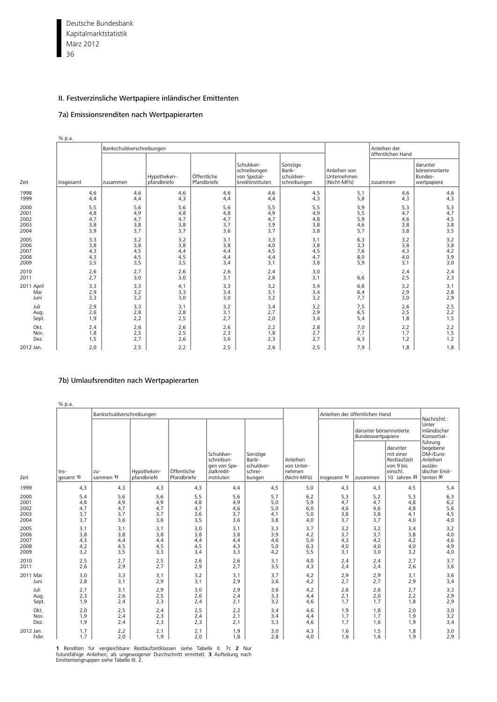Deutsche Bundesbank 36 Kapitalmarktstatistik März 2012

% p.a.

# I[I. Festverzinsliche Wertpapiere inländischer Emittenten](#page-12-0)

# 7a) Emissionsrenditen nach Wertpapierarten

|                                      |                                 | Bankschuldverschreibungen       |                                 |                                 |                                                                |                                                 |                                             | Anleihen der<br>öffentlichen Hand |                                                      |
|--------------------------------------|---------------------------------|---------------------------------|---------------------------------|---------------------------------|----------------------------------------------------------------|-------------------------------------------------|---------------------------------------------|-----------------------------------|------------------------------------------------------|
| Zeit                                 | Insgesamt                       | zusammen                        | Hypotheken-<br>pfandbriefe      | Öffentliche<br>Pfandbriefe      | Schuldver-<br>schreibungen<br>von Spezial-<br>kreditinstituten | Sonstige<br>Bank-<br>schuldver-<br>schreibungen | Anleihen von<br>Unternehmen<br>(Nicht-MFIs) | zusammen                          | darunter<br>börsennotierte<br>Bundes-<br>wertpapiere |
| 1998<br>1999                         | 4,6<br>4,4                      | 4,6<br>4,4                      | 4,6<br>4,3                      | 4,6<br>4,4                      | 4,6<br>4,4                                                     | 4,5<br>4,3                                      | 5,1<br>5,8                                  | 4,6<br>4,3                        | 4,6<br>4,3                                           |
| 2000<br>2001<br>2002<br>2003<br>2004 | 5,5<br>4,8<br>4,7<br>3,8<br>3,9 | 5,6<br>4,9<br>4,7<br>3,8<br>3,7 | 5,6<br>4,8<br>4,7<br>3,8<br>3,7 | 5,6<br>4,8<br>4,7<br>3,7<br>3,6 | 5,5<br>4,9<br>4,7<br>3,9<br>3,7                                | 5, 5<br>4,9<br>4,8<br>3,8<br>3,8                | 5,9<br>5,5<br>5,9<br>4,6<br>5,7             | 5,3<br>4,7<br>4,6<br>3,8<br>3,8   | 5,3<br>4,7<br>4,5<br>$3,8$<br>$3,5$                  |
| 2005<br>2006<br>2007<br>2008<br>2009 | 3,3<br>3,8<br>4,3<br>4,3<br>3,5 | 3,2<br>3,8<br>4,5<br>4,5<br>3,5 | 3,2<br>3,8<br>4,4<br>4,5<br>3,5 | 3,1<br>3,8<br>4,4<br>4,4<br>3,4 | 3,3<br>4,0<br>4,5<br>4,4<br>3,1                                | 3,1<br>3,8<br>4,5<br>4,7<br>3,8                 | 6,3<br>3,3<br>7,6<br>8,0<br>5,9             | 3,2<br>3,8<br>4,3<br>4,0<br>3,1   | 3,2<br>3,8<br>4,2<br>3,9<br>3,0                      |
| 2010<br>2011                         | 2,6<br>2,7                      | 2,7<br>3,0                      | 2,6<br>3,0                      | 2,6<br>3,1                      | 2,4<br>2,8                                                     | 3,0<br>3,1                                      | 6,6                                         | 2,4<br>2,5                        | $2,4$<br>$2,3$                                       |
| 2011 April<br>Mai<br>Juni            | 3,3<br>2,9<br>3,3               | 3,3<br>3,2<br>3,2               | 4,1<br>3,3<br>3,0               | 3,3<br>3,4<br>3,0               | 3,2<br>3,1<br>3,2                                              | 3,4<br>3,4<br>3,2                               | 6,6<br>6,4<br>7,7                           | 3,2<br>2,9<br>3,0                 | 3,1<br>$2,8$<br>$2,9$                                |
| Juli<br>Aug.<br>Sept.                | 2,9<br>2,6<br>1,9               | 3,3<br>2,8<br>2,2               | 3,1<br>2,8<br>2,5               | 3,2<br>3,1<br>2,7               | 3,4<br>2,7<br>2,0                                              | 3,2<br>2,9<br>3,4                               | 7,5<br>6, 5<br>5,4                          | 2,6<br>2,5<br>1,8                 | $2,5$<br>$2,2$<br>$1,5$                              |
| Okt.<br>Nov.<br>Dez.                 | 2,4<br>1,8<br>1,5               | 2,6<br>2,5<br>2,7               | 2,6<br>2,5<br>2,6               | 2,6<br>2,3<br>3,6               | 2,2<br>1,8<br>2,3                                              | 2,8<br>2,7<br>2,7                               | 7,0<br>7,7<br>6,3                           | 2,2<br>1,7<br>1,2                 | $2,2$<br>1,5<br>1,2                                  |
| 2012 Jan.                            | 2,0                             | 2,5                             | 2,2                             | 2,5                             | 2,6                                                            | 2,5                                             | 7,9                                         | 1,8                               | 1,8                                                  |

#### 7b) Umlaufsrenditen nach Wertpapierarten

|           | % p.a.              |                           |                            |                            |                                                                       |                                                      |                                                  |                                |                                              |                                                                                   |                                                                                       |
|-----------|---------------------|---------------------------|----------------------------|----------------------------|-----------------------------------------------------------------------|------------------------------------------------------|--------------------------------------------------|--------------------------------|----------------------------------------------|-----------------------------------------------------------------------------------|---------------------------------------------------------------------------------------|
|           |                     | Bankschuldverschreibungen |                            |                            |                                                                       |                                                      |                                                  | Anleihen der öffentlichen Hand |                                              |                                                                                   | Nachrichtl.:                                                                          |
|           |                     |                           |                            |                            |                                                                       |                                                      |                                                  |                                | darunter börsennotierte<br>Bundeswertpapiere |                                                                                   | Unter<br>inländischer<br>Konsortial-                                                  |
| Zeit      | $Ins-$<br>gesamt 1) | zu-<br>sammen 1)          | Hypotheken-<br>pfandbriefe | Öffentliche<br>Pfandbriefe | Schuldver-<br>schreibun-<br>gen von Spe-<br>zialkredit-<br>instituten | Sonstige<br>Bank-<br>schuldver-<br>schrei-<br>bungen | Anleihen<br>von Unter-<br>nehmen<br>(Nicht-MFIs) | insgesamt 1)                   | zusammen                                     | darunter<br>mit einer<br>Restlaufzeit<br>von 9 bis<br>einschl.<br>10 Jahren $2$ ) | führung<br>begebene<br>DM-/Euro-<br>Anleihen<br>auslän-<br>discher Emit-<br>tenten 3) |
| 1999      | 4,3                 | 4,3                       | 4,3                        | 4,3                        | 4,4                                                                   | 4,5                                                  | 5,0                                              | 4,3                            | 4,3                                          | 4,5                                                                               | 5,4                                                                                   |
| 2000      | 5,4                 | 5,6                       | 5,6                        | 5,5                        | 5,6                                                                   | 5,7                                                  | 6,2                                              | 5,3                            | 5,2                                          | 5,3                                                                               | 6,3                                                                                   |
| 2001      | 4,8                 | 4,9                       | 4,9                        | 4,8                        | 4,9                                                                   | 5,0                                                  | 5,9                                              | 4,7                            | 4,7                                          | 4,8                                                                               | 6,2                                                                                   |
| 2002      | 4,7                 | 4,7                       | 4,7                        | 4,7                        | 4,6                                                                   | 5,0                                                  | 6,0                                              | 4,6                            | 4,6                                          | 4,8                                                                               | 5,6                                                                                   |
| 2003      | 3,7                 | 3,7                       | 3,7                        | 3,6                        | 3,7                                                                   | 4,1                                                  | 5,0                                              | 3,8                            | 3,8                                          | 4,1                                                                               | 4,5                                                                                   |
| 2004      | 3,7                 | 3,6                       | 3,6                        | 3,5                        | 3,6                                                                   | 3,8                                                  | 4,0                                              | 3,7                            | 3,7                                          | 4,0                                                                               | 4,0                                                                                   |
| 2005      | 3,1                 | 3,1                       | 3,1                        | 3,0                        | 3,1                                                                   | 3,3                                                  | 3,7                                              | 3,2                            | 3,2                                          | 3,4                                                                               | 3,2                                                                                   |
| 2006      | 3,8                 | 3,8                       | 3,8                        | 3,8                        | 3,8                                                                   | 3,9                                                  | 4,2                                              | 3,7                            | 3,7                                          | 3,8                                                                               | 4,0                                                                                   |
| 2007      | 4,3                 | 4,4                       | 4,4                        | 4,4                        | 4,4                                                                   | 4,6                                                  | 5,0                                              | 4,3                            | 4,2                                          | 4,2                                                                               | 4,6                                                                                   |
| 2008      | 4,2                 | 4,5                       | 4,5                        | 4,5                        | 4,3                                                                   | 5,0                                                  | 6,3                                              | 4,0                            | 4,0                                          | 4,0                                                                               | 4,9                                                                                   |
| 2009      | 3,2                 | 3,5                       | 3,3                        | 3,4                        | 3,3                                                                   | 4,2                                                  | 5,5                                              | 3,1                            | 3,0                                          | 3,2                                                                               | 4,0                                                                                   |
| 2010      | 2,5                 | 2,7                       | 2,5                        | 2,6                        | 2,6                                                                   | 3,1                                                  | 4,0                                              | 2,4                            | 2,4                                          | 2,7                                                                               | 3,7                                                                                   |
| 2011      | 2,6                 | 2,9                       | 2,7                        | 2,9                        | 2,7                                                                   | 3,5                                                  | 4,3                                              | 2,4                            | 2,4                                          | 2,6                                                                               | 3,6                                                                                   |
| 2011 Mai  | 3,0                 | 3,3                       | 3,1                        | 3,2                        | 3,1                                                                   | 3,7                                                  | 4,2                                              | 2,9                            | 2,9                                          | 3,1                                                                               | 3,6                                                                                   |
| Juni      | 2,8                 | 3,1                       | 2,9                        | 3,1                        | 2,9                                                                   | 3,6                                                  | 4,2                                              | 2,7                            | 2,7                                          | 2,9                                                                               | 3,4                                                                                   |
| Juli      | 2,7                 | 3,1                       | 2,9                        | 3,0                        | 2,9                                                                   | 3,6                                                  | 4,2                                              | 2,6                            | 2,6                                          | 2,7                                                                               | 3,3                                                                                   |
| Aug.      | 2,3                 | 2,6                       | 2,5                        | 2,6                        | 2,4                                                                   | 3,3                                                  | 4,4                                              | 2,1                            | 2,0                                          | 2,2                                                                               | 2,9                                                                                   |
| Sept.     | 1,9                 | 2,4                       | 2,3                        | 2,4                        | 2,1                                                                   | 3,2                                                  | 4,6                                              | 1.7                            | 1,7                                          | 1,8                                                                               | 2,9                                                                                   |
| Okt.      | 2,0                 | 2,5                       | 2,4                        | 2,5                        | 2,2                                                                   | 3,4                                                  | 4,6                                              | 1,9                            | 1,8                                          | 2,0                                                                               | 3,0                                                                                   |
| Nov.      | 1,9                 | 2,4                       | 2,3                        | 2,4                        | 2,1                                                                   | 3,4                                                  | 4,4                                              | 1,7                            | 1,7                                          | 1,9                                                                               | 3,2                                                                                   |
| Dez.      | 1,9                 | 2,4                       | 2,3                        | 2,3                        | 2,1                                                                   | 3,3                                                  | 4,6                                              | 1,7                            | 1,6                                          | 1,9                                                                               | 3,4                                                                                   |
| 2012 Jan. | 1,7                 | 2,2                       | 2,1                        | 2,1                        | 1,9                                                                   | 3,0                                                  | 4,3                                              | 1,6                            | 1,5                                          | 1,8                                                                               | 3,0                                                                                   |
| Febr.     | 1,7                 | 2,0                       | 1,9                        | 2,0                        | 1,8                                                                   | 2,8                                                  | 4,0                                              | 1,6                            | 1,6                                          | 1,9                                                                               | 2,9                                                                                   |

**1** Renditen für vergleichbare Restlaufzeitklassen siehe Tabelle II. 7c **2** Nur futurefähige Anleihen; als ungewogener Durchschnitt ermittelt. **3** Aufteilung nach Emittentengruppen siehe Tabelle III. 2.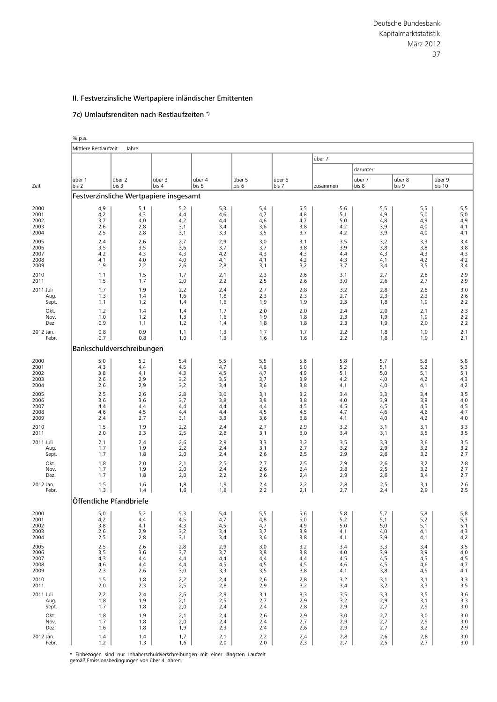# 7c) Umlaufsrenditen nach Restlaufzeiten \*)

|              | % p.a.                       |                                        |                 |                 |                 |                 |            |                 |                 |                  |
|--------------|------------------------------|----------------------------------------|-----------------|-----------------|-----------------|-----------------|------------|-----------------|-----------------|------------------|
|              | Mittlere Restlaufzeit  Jahre |                                        |                 |                 |                 |                 |            |                 |                 |                  |
|              |                              |                                        |                 |                 |                 |                 | über 7     |                 |                 |                  |
|              |                              |                                        |                 |                 |                 |                 |            | darunter:       |                 |                  |
| Zeit         | über 1<br>bis 2              | über 2<br>bis 3                        | über 3<br>bis 4 | über 4<br>bis 5 | über 5<br>bis 6 | über 6<br>bis 7 | zusammen   | über 7<br>bis 8 | über 8<br>bis 9 | über 9<br>bis 10 |
|              |                              | Festverzinsliche Wertpapiere insgesamt |                 |                 |                 |                 |            |                 |                 |                  |
| 2000         | 4,9                          | 5,1                                    | 5,2             | 5,3             | 5,4             | 5,5             | 5,6        | 5,5             | 5,5             | 5,5              |
| 2001         | 4,2                          | 4,3                                    | 4,4             | 4,6             | 4,7             | 4,8             | 5,1        | 4,9             | 5,0             | 5,0              |
| 2002         | 3,7                          | 4,0                                    | 4,2             | 4,4             | 4,6             | 4,7             | 5,0        | 4,8             | 4,9             | 4,9              |
| 2003         | 2,6                          | 2,8                                    | 3,1             | 3,4             | 3,6             | 3,8             | 4,2        | 3,9             | 4,0             | 4,1              |
| 2004         | 2,5                          | 2,8                                    | 3,1             | 3,3             | 3,5             | 3,7             | 4,2        | 3,9             | 4,0             | 4,1              |
| 2005         | 2,4                          | 2,6                                    | 2,7             | 2,9             | 3,0             | 3,1             | 3,5        | 3,2             | 3,3             | 3,4              |
| 2006         | 3,5                          | 3,5                                    | 3,6             | 3,7             | 3,7             | 3,8             | 3,9        | 3,8             | 3,8             | 3,8              |
| 2007         | 4,2                          | 4,3                                    | 4,3             | 4,2             | 4,3             | 4,3             | 4,4        | 4,3             | 4,3             | $4,3$<br>$4,2$   |
| 2008         | 4,1                          | 4,0                                    | 4,0             | 4,1             | 4,1             | 4,2             | 4,3        | 4,1             | 4,2             | 3,4              |
| 2009         | 1,9                          | 2,2                                    | 2,6             | 2,8             | 3,1             | 3,2             | 3,7        | 3,4             | 3,5             |                  |
| 2010         | 1,1                          | 1,5                                    | 1,7             | 2,1             | 2,3             | 2,6             | 3,1        | 2,7             | 2,8             | 2,9              |
| 2011         | 1,5                          | 1,7                                    | 2,0             | 2,2             | 2,5             | 2,6             | 3,0        | 2,6             | 2,7             | 2,9              |
| 2011 Juli    | 1,7                          | 1,9                                    | 2,2             | 2,4             | 2,7             | 2,8             | 3,2        | 2,8             | 2,8             | 3,0              |
| Aug.         | 1,3                          | 1,4                                    | 1,6             | 1,8             | 2,3             | 2,3             | 2,7        | 2,3             | 2,3             | 2,6              |
| Sept.        | 1,1                          | 1,2                                    | 1,4             | 1,6             | 1,9             | 1,9             | 2,3        | 1,8             | 1,9             | 2,2              |
| Okt.         | 1,2                          | 1,4                                    | 1,4             | 1,7             | 2,0             | 2,0             | 2,4        | 2,0             | 2,1             | $2,3$<br>$2,2$   |
| Nov.         | 1,0                          | 1,2                                    | 1,3             | 1,6             | 1,9             | 1,8             | 2,3        | 1,9             | 1,9             | 2,2              |
| Dez.         | 0,9                          | 1,1                                    | 1,2             | 1,4             | 1,8             | 1,8             | 2,3        | 1,9             | 2,0             |                  |
| 2012 Jan.    | 0,8                          | 0,9                                    | 1,1             | 1,3             | 1,7             | 1,7             | 2,2        | 1,8             | 1,9             | 2,1              |
| Febr.        | 0,7                          | 0,8                                    | 1,0             | 1,3             | 1,6             | 1,6             | 2,2        | 1,8             | 1,9             | 2,1              |
|              |                              | Bankschuldverschreibungen              |                 |                 |                 |                 |            |                 |                 |                  |
| 2000         | 5,0                          | 5,2                                    | 5,4             | 5,5             | 5,5             | 5,6             | 5,8        | 5,7             | 5,8             | 5,8              |
| 2001         | 4,3                          | 4,4                                    | 4,5             | 4,7             | 4,8             | 5,0             | 5,2        | 5,1             | 5,2             | 5,3              |
| 2002         | 3,8                          | 4,1                                    | 4,3             | 4,5             | 4,7             | 4,9             | 5,1        | 5,0             | 5,1             | 5,1              |
| 2003         | 2,6                          | 2,9                                    | 3,2             | 3,5             | 3,7             | 3,9             | 4,2        | 4,0             | 4,2             | 4,3              |
| 2004         | 2,6                          | 2,9                                    | 3,2             | 3,4             | 3,6             | 3,8             | 4,1        | 4,0             | 4,1             | 4,2              |
| 2005         | 2,5                          | 2,6                                    | 2,8             | 3,0             | 3,1             | 3,2             | 3,4        | 3,3             | 3,4             | 3,5              |
| 2006         | 3,6                          | 3,6                                    | 3,7             | 3,8             | 3,8             | 3,8             | 4,0        | 3,9             | 3,9             | $4,0$            |
| 2007         | 4,4                          | 4,4                                    | 4,4             | 4,4             | 4,4             | 4,5             | 4,5        | 4,5             | 4,5             | $4,5$<br>$4,7$   |
| 2008         | 4,6                          | 4,5                                    | 4,4             | 4,4             | 4,5             | 4,5             | 4,7        | 4,6             | 4,6             | 4,0              |
| 2009         | 2,4                          | 2,7                                    | 3,1             | 3,3             | 3,6             | 3,8             | 4,1        | 4,0             | 4,2             |                  |
| 2010         | 1,5                          | 1,9                                    | 2,2             | 2,4             | 2,7             | 2,9             | 3,2        | 3,1             | 3,1             | 3,3              |
| 2011         | 2,0                          | 2,3                                    | 2,5             | 2,8             | 3,1             | 3,0             | 3,4        | 3,1             | 3,5             | 3,5              |
| 2011 Juli    | 2,1                          | 2,4                                    | 2,6             | 2,9             | 3,3             | 3,2             | 3,5        | 3,3             | 3,6             | 3,5              |
| Aug.         | 1,7                          | 1,9                                    | 2,2             | 2,4             | 3,1             | 2,7             | 3,2        | 2,9             | 3,2             | 3,2              |
| Sept.        | 1,7                          | 1,8                                    | 2,0             | 2,4             | 2,6             | 2,5             | 2,9        | 2,6             | 3,2             | 2,7              |
| Okt.         | 1,8                          | 2,0                                    | 2,1             | 2,5             | 2,7             | 2,5             | 2,9        | 2,6             | 3,2             | 2,8              |
| Nov.         | 1,7                          | 1,9                                    | 2,0             | 2,4             | 2,6             | 2,4             | 2,8        | 2,5             | 3,2             | 2,7              |
| Dez.         | 1,7                          | 1,8                                    | 2,0             | 2,2             | 2,6             | 2,4             | 2,9        | 2,6             | 3,4             | 2,7              |
| 2012 Jan.    | 1,5                          | 1,6                                    | 1,8             | 1,9             | 2,4             | 2,2             | 2,8        | 2,5             | 3,1             | 2,6              |
| Febr.        | 1,3                          | 1,4                                    | 1,6             | 1,8             | 2,2             | 2,1             | 2,7        | 2,4             | 2,9             | 2,5              |
|              |                              | Öffentliche Pfandbriefe                |                 |                 |                 |                 |            |                 |                 |                  |
| 2000         | 5,0                          | 5,2                                    | 5,3             | 5,4             | 5,5             | 5,6             | 5,8        | 5,7             | 5,8             | 5,8              |
| 2001         | 4,2                          | 4,4                                    | 4,5             | 4,7             | 4,8             | 5,0             | 5,2        | 5,1             | 5,2             | 5,3              |
| 2002         | 3,8                          | 4,1                                    | 4,3             | 4,5             | 4,7             | 4,9             | 5,0        | 5,0             | 5,1             | 5,1              |
| 2003         | 2,6                          | 2,9                                    | 3,2             | 3,4             | 3,7             | 3,9             | 4,1        | 4,0             | 4,1             | 4,3              |
| 2004         | 2,5                          | 2,8                                    | 3,1             | 3,4             | 3,6             | 3,8             | 4,1        | 3,9             | 4,1             | 4,2              |
| 2005<br>2006 | 2,5                          | 2,6                                    | 2,8             | 2,9             | 3,0             | 3,2<br>3,8      | 3,4        | 3,3             | 3,4             | 3,5              |
| 2007         | 3,5<br>4,3                   | 3,6<br>4,4                             | 3,7<br>4,4      | 3,7<br>4,4      | 3,8<br>4,4      | 4,4             | 4,0<br>4,5 | 3,9<br>4,5      | 3,9<br>4,5      | 4,0<br>4,5       |
| 2008         | 4,6                          | 4,4                                    | 4,4             | 4,5             | 4,5             | 4,5             | 4,6        | 4,5             | 4,6             | 4,7              |
| 2009         | 2,3                          | 2,6                                    | 3,0             | 3,3             | 3,5             | 3,8             | 4,1        | 3,8             | 4,5             | 4,1              |
| 2010         | 1,5                          | 1,8                                    | 2,2             | 2,4             | 2,6             | 2,8             | 3,2        | 3,1             | 3,1             | 3,3              |
| 2011         | 2,0                          | 2,3                                    | 2,5             | 2,8             | 2,9             | 3,2             | 3,4        | 3,2             | 3,3             | 3,5              |
| 2011 Juli    | 2,2                          | 2,4                                    | 2,6             | 2,9             | 3,1             | 3,3             | 3,5        | 3,3             | 3,5             | 3,6              |
| Aug.         | 1,8                          | 1,9                                    | 2,1             | 2,5             | 2,7             | 2,9             | 3,2        | 2,9             | 3,1             | 3,3              |
| Sept.        | 1,7                          | 1,8                                    | 2,0             | 2,4             | 2,4             | 2,8             | 2,9        | 2,7             | 2,9             | 3,0              |
| Okt.         | 1,8                          | 1,9                                    | 2,1             | 2,4             | 2,6             | 2,9             | 3,0        | 2,7             | 3,0             | 3,0              |
| Nov.         | 1,7                          | 1,8                                    | 2,0             | 2,4             | 2,4             | 2,7             | 2,9        | 2,7             | 2,9             | 3,0              |
| Dez.         | 1,6                          | 1,8                                    | 1,9             | 2,3             | 2,4             | 2,6             | 2,9        | 2,7             | 3,2             | 2,9              |
| 2012 Jan.    | 1,4                          | 1,4                                    | 1,7             | 2,1             | 2,2             | 2,4             | 2,8        | 2,6             | 2,8             | 3,0              |
| Febr.        | 1,2                          | 1,3                                    | 1,6             | 2,0             | 2,0             | 2,3             | 2,7        | 2,5             | 2,7             | 3,0              |

**\*** Einbezogen sind nur Inhaberschuldverschreibungen mit einer längsten Laufzeit gemäß Emissionsbedingungen von über 4 Jahren.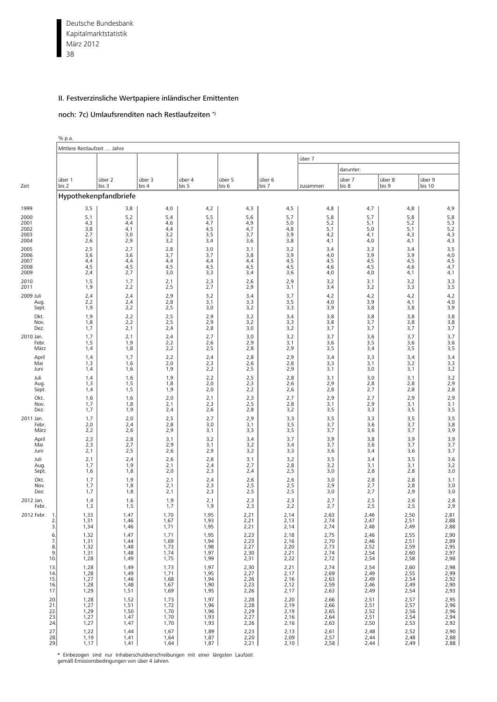Deutsche Bundesbank 38 Kapitalmarktstatistik März 2012

# [II. Festverzinsliche Wertpapiere inländischer Emittenten](#page-12-1)

#### noch: 7c) Umlaufsrenditen nach Restlaufzeiten \*)

|                    | % p.a.                       |                       |                 |                  |                 |                 |              |                  |                            |                                      |
|--------------------|------------------------------|-----------------------|-----------------|------------------|-----------------|-----------------|--------------|------------------|----------------------------|--------------------------------------|
|                    | Mittlere Restlaufzeit  Jahre |                       |                 |                  |                 |                 |              |                  |                            |                                      |
|                    |                              |                       |                 |                  |                 |                 | über 7       |                  |                            |                                      |
|                    |                              |                       |                 |                  |                 |                 |              | darunter:        |                            |                                      |
| Zeit               | über 1<br>bis 2              | über 2<br>bis 3       | über 3<br>bis 4 | über 4<br>bis 5  | über 5<br>bis 6 | über 6<br>bis 7 | zusammen     | über 7<br>bis 8  | über 8<br>bis 9            | über 9<br>bis 10                     |
|                    |                              | Hypothekenpfandbriefe |                 |                  |                 |                 |              |                  |                            |                                      |
| 1999               | 3,5                          | 3,8                   | 4,0             | 4,2              | 4,3             | 4,5             | 4,8          | 4,7              | 4,8                        | 4,9                                  |
| 2000               | 5,1                          | 5,2                   | 5,4             | 5,5              | 5,6             | 5,7             | 5,8          | 5,7              | 5,8                        | 5,8                                  |
| 2001<br>2002       | 4,3<br>3,8                   | 4,4<br>4,1            | 4,6<br>4,4      | 4,7<br>4,5       | 4,9<br>4,7      | 5,0<br>4,8      | 5,2<br>5,1   | 5,1<br>5,0       | 5,2<br>5,1                 | $5,3$<br>$5,2$<br>$4,3$              |
| 2003<br>2004       | 2,7<br>2,6                   | 3,0<br>2,9            | 3,2<br>3,2      | 3,5<br>3,4       | 3,7<br>3,6      | 3,9<br>3,8      | 4,2<br>4,1   | 4,1<br>4,0       | 4,3<br>4,1                 | 4,3                                  |
| 2005               | 2,5                          | 2,7                   | 2,8             | 3,0              | 3,1             | 3,2             | 3,4          | 3,3              | 3,4                        |                                      |
| 2006<br>2007       | 3,6<br>4,4                   | 3,6<br>4,4            | 3,7<br>4,4      | 3,7<br>4,4       | 3,8<br>4,4      | 3,9<br>4,5      | 4,0<br>4,5   | 3,9<br>4,5       | 3,9<br>4,5                 | 3,5<br>4,0<br>4,5                    |
| 2008<br>2009       | 4,5<br>2,4                   | 4,5<br>2,7            | 4,5<br>3,0      | 4,5<br>3,3       | 4,5<br>3,4      | 4,5<br>3,6      | 4,6<br>4,0   | 4,5<br>4,0       | 4,6<br>4,1                 | 4,7<br>4,1                           |
| 2010               | 1,5                          | 1,7                   | 2,1             | 2,3              | 2,6             | 2,9             | 3,2          | 3,1              | 3,2                        | $3,3$<br>$3,5$                       |
| 2011               | 1,9                          | 2,2                   | 2,5             | 2,7              | 2,9             | 3,1             | 3,4          | 3,2              | 3,3                        |                                      |
| 2009 Juli<br>Aug.  | 2,4<br>2,2                   | 2,4<br>2,4            | 2,9<br>2,8      | 3,2<br>3,1       | 3,4<br>3,3      | 3,7<br>3,5      | 4,2<br>4,0   | 4,2<br>3,9       | 4,2<br>4,1                 | $4,2\,$<br>$4,0$                     |
| Sept.<br>Okt.      | 1,9                          | 2,2                   | 2,5             | 3,0              | 3,2             | 3,3             | 3,9          | 3,8              | 3,8                        | 3,9                                  |
| Nov.               | 1,9<br>1,8                   | 2,2<br>2,2            | 2,5<br>2,5      | 2,9<br>2,9       | 3,2<br>3,2      | 3,4<br>3,3      | 3,8<br>3,8   | 3,8<br>3,7       | 3,8<br>3,8                 | 3,8<br>3,8                           |
| Dez.<br>2010 Jan.  | 1,7<br>1,7                   | 2,1<br>2,1            | 2,4<br>2,4      | 2,8<br>2,7       | 3,0<br>3,0      | 3,2<br>3,2      | 3,7<br>3,7   | 3,7<br>3,6       | 3,7<br>3,7                 | 3,7<br>3,7                           |
| Febr.<br>März      | 1,5                          | 1,9                   | 2,2             | 2,6<br>2,5       | 2,9             | 3,1<br>2,9      | 3,6          | 3,5              | 3,6                        | 3,6<br>3,5                           |
| April              | 1,4<br>1,4                   | 1,8<br>1,7            | 2,2<br>2,2      | 2,4              | 2,8<br>2,8      | 2,9             | 3,5<br>3,4   | 3,4<br>3,3       | 3,5<br>3,4                 | 3,4                                  |
| Mai<br>Juni        | 1,3<br>1,4                   | 1,6<br>1,6            | 2,0<br>1,9      | 2,3<br>2,2       | 2,6<br>2,5      | 2,8<br>2,9      | 3,3<br>3,1   | 3,1<br>3,0       | 3,2<br>3,1                 | 3,3<br>3,2                           |
| Juli               | 1,4                          | 1,6                   | 1,9             | 2,2              | 2,5             | 2,8             | 3,1          | 3,0              | 3,1                        | 3,2                                  |
| Aug.<br>Sept.      | 1,3<br>1,4                   | 1,5<br>1,5            | 1,8<br>1,9      | 2,0<br>2,0       | 2,3<br>2,2      | 2,6<br>2,6      | 2,9<br>2,8   | 2,8<br>2,7       | 2,8<br>2,8                 | 2,9<br>2,8                           |
| Okt.               | 1,6                          | 1,6                   | 2,0             | 2,1              | 2,3             | 2,7             | 2,9          | 2,7              | 2,9                        | 2,9                                  |
| Nov.<br>Dez.       | 1,7<br>1,7                   | 1,8<br>1,9            | 2,1<br>2,4      | 2,3<br>2,6       | 2,5<br>2,8      | 2,8<br>3,2      | 3,1<br>3,5   | 2,9<br>3,3       | 3,1<br>3,5                 | $\frac{3}{3}$ , 5                    |
| 2011 Jan.          | 1,7                          | 2,0                   | 2,5             | 2,7              | 2,9             | 3,3             | 3,5          | 3,3              | 3,5                        | 3,5                                  |
| Febr.<br>März      | 2,0<br>2,2                   | 2,4<br>2,6            | 2,8<br>2,9      | 3,0<br>3,1       | 3,1<br>3,3      | 3,5<br>3,5      | 3,7<br>3,7   | 3,6<br>3,6       | 3,7<br>3,7                 | 3,8<br>3,9                           |
| April<br>Mai       | 2,3<br>2,3                   | 2,8<br>2,7            | 3,1<br>2,9      | 3,2<br>3,1       | 3,4<br>3,2      | 3,7<br>3,4      | 3,9<br>3,7   | 3,8<br>3,6       | 3,9<br>3,7                 | 3,9<br>3,7                           |
| Juni               | 2,1                          | 2,5                   | 2,6             | 2,9              | 3,2             | 3,3             | 3,6          | 3,4              | 3,6                        | 3,7                                  |
| Juli<br>Aug.       | 2,1<br>1,7                   | 2,4<br>1,9            | 2,6<br>2,1      | 2,8<br>2,4       | 3,1<br>2,7      | 3,2<br>2,8      | 3,5<br>3,2   | 3,4<br>3,1       | 3,5<br>3,1                 | 3,6                                  |
| Sept.              | 1,6                          | 1,8                   | 2,0             | 2,3              | 2,4             | 2,5             | 3,0          | 2,8              | 2,8                        | $3,2$<br>$3,0$                       |
| Okt.<br>Nov.       | 1,7<br>1,7                   | 1,9<br>1,8            | 2,1<br>2,1      | 2,4<br>2,3       | 2,6<br>2,5      | 2,6<br>2,5      | 3,0<br>2,9   | 2,8<br>2,7       | 2,8<br>2,8                 | 3,1<br>3,0                           |
| Dez.               | 1,7                          | 1,8                   | 2,1             | 2,3              | 2,5             | 2,5             | 3,0          | 2,7              | 2,9                        | 3,0                                  |
| 2012 Jan.<br>Febr. | 1,4<br>1,3                   | 1,6<br>1,5            | 1,9<br>1,7      | 2,1<br>1,9       | 2,3<br>2,3      | 2,3<br>2,2      | 2,7<br>2,7   | 2,5<br>2,5       | 2,6<br>2,5                 | 2,8<br>2,9                           |
| 2012 Febr.         | 1,33                         | 1,47                  | 1,70            | 1,95             | 2,21            | 2,14            | 2,63         | 2,46             | 2,50                       |                                      |
| 2.<br>3.           | 1,31<br>1,34                 | 1,46<br>1,46          | 1,67<br>1,71    | 1,93<br>1,95     | 2,21<br>2,21    | 2,13<br>2,14    | 2,74<br>2,74 | 2,47<br>2,48     | 2,51<br>2,49               | 2,81<br>2,88<br>2,88                 |
| 6.                 | 1,32<br>1,31                 | 1,47                  | 1,71<br>1,69    | 1,95<br>1,94     | 2,23<br>2,23    | 2,18<br>2,16    | 2,75<br>2,70 | 2,46             | 2,55                       |                                      |
| 7.<br>8.<br>9.     | 1,32                         | $1,44$<br>$1,48$      | 1,73            | 1,98             | 2,27            | 2,20            | 2,73         | $2,46$<br>$2,52$ | $2,51$<br>$2,59$<br>$2,60$ | 2,90<br>2,89<br>2,95<br>2,97         |
| 10.                | 1,31<br>1,28                 | 1,48<br>1,49          | 1,74<br>1,75    | 1,97<br>1,99     | 2,30<br>2,31    | 2,21<br>2,22    | 2,74<br>2,72 | 2,54<br>2,54     | 2,58                       | 2,98                                 |
| 13.<br>14.         | 1,28                         | 1,49                  | 1,73            | 1,97<br>1,95     | 2,30            | 2,21            | 2,74         | 2,54             | 2,60                       |                                      |
| 15.                | 1,28<br>1,27                 | $1,49$<br>$1,46$      | 1,71<br>1,68    | 1,94             | 2,27<br>2,26    | 2,17<br>2,16    | 2,69<br>2,63 | 2,49<br>2,49     | $2,55$<br>2,54             |                                      |
| 16.<br>17.         | 1,28<br>1,29                 | $1,48$<br>$1,51$      | 1,67<br>1,69    | $1,90$<br>$1,95$ | 2,23<br>2,26    | 2,12<br>2,17    | 2,59<br>2,63 | 2,46<br>2,49     | 2,49<br>2,54               | 2,98<br>2,99<br>2,92<br>2,90<br>2,93 |
| 20.21              | 1,28                         | 1,52                  | 1,73            | 1,97<br>1,96     | 2,28            | 2,20<br>2,19    | 2,66         | $2,51$<br>$2,51$ | 2,57<br>2,57               |                                      |
| 22.                | 1,27<br>1,29                 | 1,51<br>1,50          | 1,72<br>1,70    | 1,96             | 2,28<br>2,29    | 2,19            | 2,66<br>2,65 | 2,52             | 2,56                       |                                      |
| 23.<br>24.         | 1,27<br>1,27                 | 1,47<br>1,47          | 1,70<br>1,70    | 1,93<br>1,93     | 2,27<br>2,26    | 2,16<br>2,16    | 2,64<br>2,63 | 2,51<br>2,50     | $2,54$<br>$2,53$           | 2,95<br>2,96<br>2,96<br>2,94<br>2,92 |
| 27.                | 1,22                         | 1,44                  | 1,67            | 1,89             | 2,23            | 2,13            | 2,61         | 2,48             | 2,52                       | 2,90                                 |
| 28.<br>29.         | 1,19<br>1,17                 | 1,41<br>1,41          | 1,64<br>1,64    | $1,87$<br>$1,87$ | 2,20<br>2,21    | $2,09$<br>2,10  | 2,57<br>2,58 | 2,44<br>2,44     | 2,48<br>2,49               | $2,88$<br>$2,88$                     |

**\*** Einbezogen sind nur Inhaberschuldverschreibungen mit einer längsten Laufzeit gemäß Emissionsbedingungen von über 4 Jahren.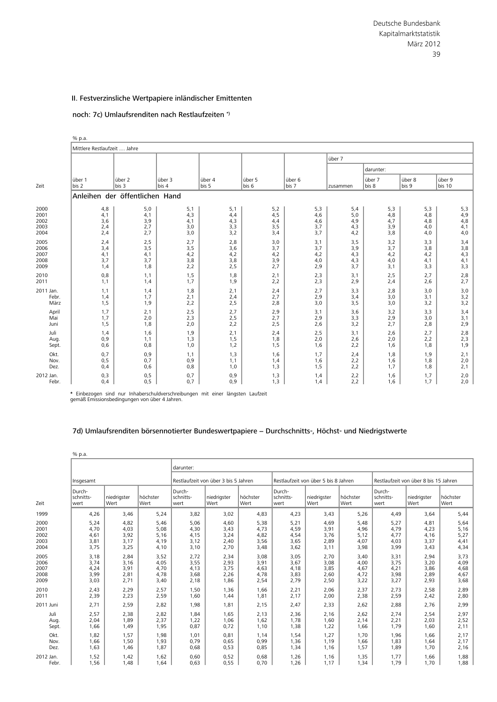# noch: 7c) Umlaufsrenditen nach Restlaufzeiten \*)

|           | % p.a.                       |                                |                 |                 |                 |                 |          |                 |                 |                  |  |
|-----------|------------------------------|--------------------------------|-----------------|-----------------|-----------------|-----------------|----------|-----------------|-----------------|------------------|--|
|           | Mittlere Restlaufzeit  Jahre |                                |                 |                 |                 |                 |          |                 |                 |                  |  |
|           |                              |                                |                 |                 |                 |                 | über 7   |                 |                 |                  |  |
|           |                              |                                |                 |                 |                 |                 |          | darunter:       |                 |                  |  |
| Zeit      | über 1<br>bis 2              | über 2<br>bis 3                | über 3<br>bis 4 | über 4<br>bis 5 | über 5<br>bis 6 | über 6<br>bis 7 | zusammen | über 7<br>bis 8 | über 8<br>bis 9 | über 9<br>bis 10 |  |
|           |                              | Anleihen der öffentlichen Hand |                 |                 |                 |                 |          |                 |                 |                  |  |
| 2000      | 4,8                          | 5,0                            | 5,1             | 5,1             | 5,2             | 5,3             | 5,4      | 5,3             | 5,3             | 5,3              |  |
| 2001      | 4,1                          | 4,1                            | 4,3             | 4,4             | 4,5             | 4,6             | 5,0      | 4,8             | 4,8             | 4,9              |  |
| 2002      | 3,6                          | 3,9                            | 4,1             | 4,3             | 4,4             | 4,6             | 4,9      | 4,7             | 4,8             | 4,8              |  |
| 2003      | 2,4                          | 2,7                            | 3,0             | 3,3             | 3,5             | 3,7             | 4,3      | 3,9             | 4,0             | 4,1              |  |
| 2004      | 2,4                          | 2,7                            | 3,0             | 3,2             | 3,4             | 3,7             | 4,2      | 3,8             | 4,0             | 4,0              |  |
| 2005      | 2,4                          | 2,5                            | 2,7             | 2,8             | 3,0             | 3,1             | 3,5      | 3,2             | 3,3             | 3,4              |  |
| 2006      | 3,4                          | 3,5                            | 3,5             | 3,6             | 3,7             | 3,7             | 3,9      | 3,7             | 3,8             | 3,8              |  |
| 2007      | 4,1                          | 4,1                            | 4,2             | 4,2             | 4,2             | 4,2             | 4,3      | 4,2             | 4,2             | 4,3              |  |
| 2008      | 3,7                          | 3,7                            | 3,8             | 3,8             | 3,9             | 4,0             | 4,3      | 4,0             | 4,1             | 4,1              |  |
| 2009      | 1,4                          | 1,8                            | 2,2             | 2,5             | 2,7             | 2,9             | 3,7      | 3,1             | 3,3             | 3,3              |  |
| 2010      | 0,8                          | 1,1                            | 1,5             | 1,8             | 2,1             | 2,3             | 3,1      | 2,5             | 2,7             | 2,8              |  |
| 2011      | 1,1                          | 1,4                            | 1,7             | 1,9             | 2,2             | 2,3             | 2,9      | 2,4             | 2,6             | 2,7              |  |
| 2011 Jan. | 1,1                          | 1,4                            | 1,8             | 2,1             | 2,4             | 2,7             | 3,3      | 2,8             | 3,0             | 3,0              |  |
| Febr.     | 1,4                          | 1,7                            | 2,1             | 2,4             | 2,7             | 2,9             | 3,4      | 3,0             | 3,1             | 3,2              |  |
| März      | 1,5                          | 1,9                            | 2,2             | 2,5             | 2,8             | 3,0             | 3,5      | 3,0             | 3,2             | 3,2              |  |
| April     | 1,7                          | 2,1                            | 2,5             | 2,7             | 2,9             | 3,1             | 3,6      | 3,2             | 3,3             | 3,4              |  |
| Mai       | 1,7                          | 2,0                            | 2,3             | 2,5             | 2,7             | 2,9             | 3,3      | 2,9             | 3,0             | 3,1              |  |
| Juni      | 1,5                          | 1,8                            | 2,0             | 2,2             | 2,5             | 2,6             | 3,2      | 2,7             | 2,8             | 2,9              |  |
| Juli      | 1,4                          | 1,6                            | 1,9             | 2,1             | 2,4             | 2,5             | 3,1      | 2,6             | 2,7             | 2,8              |  |
| Aug.      | 0,9                          | 1,1                            | 1,3             | 1,5             | 1,8             | 2,0             | 2,6      | 2,0             | 2,2             | 2,3              |  |
| Sept.     | 0,6                          | 0,8                            | 1,0             | 1,2             | 1,5             | 1,6             | 2,2      | 1,6             | 1,8             | 1,9              |  |
| Okt.      | 0,7                          | 0,9                            | 1,1             | 1,3             | 1,6             | 1,7             | 2,4      | 1,8             | 1,9             | 2,1              |  |
| Nov.      | 0, 5                         | 0,7                            | 0,9             | 1,1             | 1,4             | 1,6             | 2,2      | 1,6             | 1,8             | 2,0              |  |
| Dez.      | 0,4                          | 0,6                            | 0,8             | 1,0             | 1,3             | 1,5             | 2,2      | 1,7             | 1,8             | 2,1              |  |
| 2012 Jan. | 0,3                          | 0,5                            | 0,7             | 0,9             | 1,3             | 1,4             | 2,2      | 1,6             | 1,7             | 2,0              |  |
| Febr.     | 0,4                          | 0, 5                           | 0,7             | 0,9             | 1,3             | 1,4             | 2,2      | 1,6             | 1,7             | 2,0              |  |

**\*** Einbezogen sind nur Inhaberschuldverschreibungen mit einer längsten Laufzeit gemäß Emissionsbedingungen von über 4 Jahren.

# [7d\) Umlaufsrenditen börsennotierter Bundeswertpapiere − Durchschnitts-, Höchst- und Niedrigstwerte](#page-12-2)

|           | % p.a.                                                                 |      |      |                             |                                      |                  |                             |                                      |                  |                             |                                       |                  |
|-----------|------------------------------------------------------------------------|------|------|-----------------------------|--------------------------------------|------------------|-----------------------------|--------------------------------------|------------------|-----------------------------|---------------------------------------|------------------|
|           |                                                                        |      |      | darunter:                   |                                      |                  |                             |                                      |                  |                             |                                       |                  |
|           | Insgesamt                                                              |      |      |                             | Restlaufzeit von über 3 bis 5 Jahren |                  |                             | Restlaufzeit von über 5 bis 8 Jahren |                  |                             | Restlaufzeit von über 8 bis 15 Jahren |                  |
| Zeit      | Durch-<br>höchster<br>schnitts-<br>niedrigster<br>Wert<br>Wert<br>wert |      |      | Durch-<br>schnitts-<br>wert | niedrigster<br>Wert                  | höchster<br>Wert | Durch-<br>schnitts-<br>wert | niedrigster<br>Wert                  | höchster<br>Wert | Durch-<br>schnitts-<br>wert | niedrigster<br>Wert                   | höchster<br>Wert |
| 1999      | 4,26                                                                   | 3,46 | 5,24 | 3,82                        | 3,02                                 | 4,83             | 4,23                        | 3,43                                 | 5,26             | 4,49                        | 3,64                                  | 5,44             |
| 2000      | 5,24                                                                   | 4,82 | 5,46 | 5,06                        | 4,60                                 | 5,38             | 5,21                        | 4,69                                 | 5,48             | 5,27                        | 4,81                                  | 5,64             |
| 2001      | 4,70                                                                   | 4,03 | 5,08 | 4,30                        | 3,43                                 | 4,73             | 4,59                        | 3,91                                 | 4,96             | 4,79                        | 4,23                                  | 5,16             |
| 2002      | 4,61                                                                   | 3,92 | 5,16 | 4,15                        | 3,24                                 | 4,82             | 4,54                        | 3,76                                 | 5,12             | 4,77                        | 4,16                                  | 5,27             |
| 2003      | 3,81                                                                   | 3,17 | 4,19 | 3,12                        | 2,40                                 | 3,56             | 3,65                        | 2,89                                 | 4,07             | 4,03                        | 3,37                                  | 4,41             |
| 2004      | 3,75                                                                   | 3,25 | 4,10 | 3,10                        | 2,70                                 | 3,48             | 3,62                        | 3,11                                 | 3,98             | 3,99                        | 3,43                                  | 4,34             |
| 2005      | 3,18                                                                   | 2,84 | 3,52 | 2,72                        | 2,34                                 | 3,08             | 3,05                        | 2,70                                 | 3,40             | 3,31                        | 2,94                                  | 3,73             |
| 2006      | 3,74                                                                   | 3,16 | 4,05 | 3,55                        | 2,93                                 | 3,91             | 3,67                        | 3,08                                 | 4,00             | 3,75                        | 3,20                                  | 4,09             |
| 2007      | 4,24                                                                   | 3,91 | 4,70 | 4,13                        | 3,75                                 | 4,63             | 4,18                        | 3,85                                 | 4,67             | 4,21                        | 3,86                                  | 4,68             |
| 2008      | 3,99                                                                   | 2,81 | 4,78 | 3,68                        | 2,26                                 | 4,78             | 3,83                        | 2,60                                 | 4,72             | 3,98                        | 2,89                                  | 4,67             |
| 2009      | 3,03                                                                   | 2,71 | 3,40 | 2,18                        | 1,86                                 | 2,54             | 2,79                        | 2,50                                 | 3,22             | 3,27                        | 2,93                                  | 3,68             |
| 2010      | 2,43                                                                   | 2,29 | 2,57 | 1,50                        | 1,36                                 | 1,66             | 2,21                        | 2,06                                 | 2,37             | 2,73                        | 2,58                                  | 2,89             |
| 2011      | 2,39                                                                   | 2,23 | 2,59 | 1,60                        | 1,44                                 | 1,81             | 2,17                        | 2,00                                 | 2,38             | 2,59                        | 2,42                                  | 2,80             |
| 2011 Juni | 2,71                                                                   | 2,59 | 2,82 | 1,98                        | 1,81                                 | 2,15             | 2,47                        | 2,33                                 | 2,62             | 2,88                        | 2,76                                  | 2,99             |
| Juli      | 2,57                                                                   | 2,38 | 2,82 | 1,84                        | 1,65                                 | 2,13             | 2,36                        | 2,16                                 | 2,62             | 2,74                        | 2,54                                  | 2,97             |
| Aug.      | 2,04                                                                   | 1,89 | 2,37 | 1,22                        | 1,06                                 | 1,62             | 1,78                        | 1,60                                 | 2,14             | 2,21                        | 2,03                                  | 2,52             |
| Sept.     | 1,66                                                                   | 1,49 | 1,95 | 0,87                        | 0,72                                 | 1,10             | 1,38                        | 1,22                                 | 1,66             | 1,79                        | 1,60                                  | 2,11             |
| Okt.      | 1,82                                                                   | 1,57 | 1,98 | 1,01                        | 0,81                                 | 1,14             | 1,54                        | 1,27                                 | 1,70             | 1,96                        | 1,66                                  | 2,17             |
| Nov.      | 1,66                                                                   | 1,50 | 1,93 | 0,79                        | 0,65                                 | 0,99             | 1,36                        | 1,19                                 | 1,66             | 1,83                        | 1,64                                  | 2,17             |
| Dez.      | 1,63                                                                   | 1,46 | 1,87 | 0,68                        | 0,53                                 | 0,85             | 1,34                        | 1,16                                 | 1,57             | 1,89                        | 1,70                                  | 2,16             |
| 2012 Jan. | 1,52                                                                   | 1,42 | 1,62 | 0,60                        | 0,52                                 | 0,68             | 1,26                        | 1,16                                 | 1,35             | 1,77                        | 1,66                                  | 1,88             |
| Febr.     | 1,56                                                                   | 1,48 | 1,64 | 0,63                        | 0,55                                 | 0,70             | 1,26                        | 1,17                                 | 1,34             | 1,79                        | 1.70                                  | 1,88             |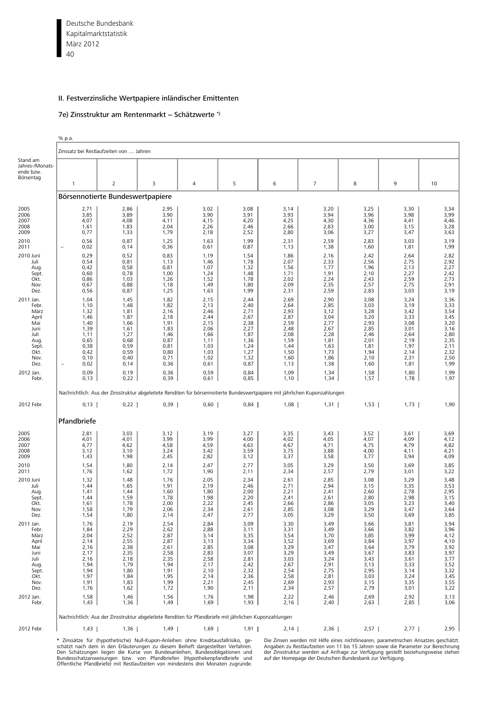Deutsche Bundesbank 40 Kapitalmarktstatistik März 2012

Zinssatz bei Restlaufzeiten von .... Jahren

### II. Festverzinsliche Wertpapiere inländischer Emittenten

#### 7e) Zinsstruktur am Rentenmarkt − Schätzwerte \*)

Stand am

% p.a.

| Stand am<br>Jahres-/Monats-<br>ende bzw.<br>Börsentag                                               |                                                                                              |                                                                                              |                                                                                                                             |                                                                                                  |                                                                                              |                                                                                              |                                                                                              |                                                                                              |                                                                                              |                                                                                                                 |
|-----------------------------------------------------------------------------------------------------|----------------------------------------------------------------------------------------------|----------------------------------------------------------------------------------------------|-----------------------------------------------------------------------------------------------------------------------------|--------------------------------------------------------------------------------------------------|----------------------------------------------------------------------------------------------|----------------------------------------------------------------------------------------------|----------------------------------------------------------------------------------------------|----------------------------------------------------------------------------------------------|----------------------------------------------------------------------------------------------|-----------------------------------------------------------------------------------------------------------------|
|                                                                                                     | 1                                                                                            | 2                                                                                            | 3                                                                                                                           | 4                                                                                                | 5                                                                                            | 6                                                                                            | $\overline{7}$                                                                               | 8                                                                                            | 9                                                                                            | 10                                                                                                              |
|                                                                                                     | Börsennotierte Bundeswertpapiere                                                             |                                                                                              |                                                                                                                             |                                                                                                  |                                                                                              |                                                                                              |                                                                                              |                                                                                              |                                                                                              |                                                                                                                 |
| 2005<br>2006<br>2007<br>2008<br>2009<br>2010                                                        | 2,71<br>3,85<br>4,07<br>1,61<br>0,77<br>0,56                                                 | 2,86<br>3,89<br>4,08<br>1,83<br>1,33<br>0,87                                                 | 2,95<br>3,90<br>4,11<br>2,04<br>1,79<br>1,25                                                                                | 3,02<br>3,90<br>4,15<br>2,26<br>2,18<br>1,63                                                     | 3,08<br>3,91<br>4,20<br>2,46<br>2,52<br>1,99                                                 | 3,14<br>3,93<br>4,25<br>2,66<br>2,80<br>2,31                                                 | 3,20<br>3,94<br>4,30<br>2,83<br>3,06<br>2,59                                                 | 3,25<br>3,96<br>4,36<br>3,00<br>3,27<br>2,83                                                 | 3,30<br>3,98<br>4,41<br>3,15<br>3,47<br>3,03                                                 | 3,34<br>3,99<br>4,46<br>3,28<br>3,63<br>3,19                                                                    |
| 2011<br>2010 Juni<br>Juli<br>Aug.<br>Sept.<br>Okt.<br>Nov.<br>Dez.                                  | 0,02<br>0,29<br>0,54<br>0,42<br>0,60<br>0,86<br>0,67<br>0,56                                 | 0,14<br>0,52<br>0,81<br>0,58<br>0,78<br>1,03<br>0,88<br>0,87                                 | 0,36<br>0,83<br>1,13<br>0,81<br>1,00<br>1,26<br>1,18<br>1,25                                                                | 0,61<br>1,19<br>1,46<br>1,07<br>1,24<br>1,52<br>1,49<br>1,63                                     | 0,87<br>1,54<br>1,78<br>1,32<br>1,48<br>1,78<br>1,80<br>1,99                                 | 1,13<br>1,86<br>2,07<br>1,56<br>1,71<br>2,02<br>2,09<br>2,31                                 | 1,38<br>2,16<br>2,33<br>1,77<br>1,91<br>2,24<br>2,35<br>2,59                                 | 1,60<br>2,42<br>2,56<br>1,96<br>2,10<br>2,43<br>2,57<br>2,83                                 | 1,81<br>2,64<br>2,75<br>2,13<br>2,27<br>2,59<br>2,75<br>3,03                                 | 1,99<br>2,82<br>2,92<br>2,27<br>2,42<br>$2,73$<br>$2,91$<br>$3,19$                                              |
| 2011 Jan.<br>Febr.<br>März<br>April<br>Mai<br>Juni<br>Juli<br>Aug.<br>Sept.<br>Okt.<br>Nov.<br>Dez. | 1,04<br>1,10<br>1,32<br>1,46<br>1,40<br>1,39<br>1,11<br>0,65<br>0,38<br>0,42<br>0,10<br>0,02 | 1,45<br>1,48<br>1,81<br>1,87<br>1,66<br>1,61<br>1,27<br>0,68<br>0,59<br>0,59<br>0,40<br>0,14 | 1,82<br>1,82<br>2,16<br>2,18<br>1,91<br>1,83<br>1,46<br>0,87<br>0,81<br>0,80<br>0,71<br>0,36                                | 2,15<br>2,13<br>2,46<br>2,44<br>2,15<br>2,06<br>1,66<br>1,11<br>1,03<br>1,03<br>1,02<br>0,61     | 2,44<br>2,40<br>2,71<br>2,67<br>2,38<br>2,27<br>1,87<br>1,36<br>1,24<br>1,27<br>1,32<br>0,87 | 2,69<br>2,64<br>2,93<br>2,87<br>2,59<br>2,48<br>2,08<br>1,59<br>1,44<br>1,50<br>1,60<br>1,13 | 2,90<br>2,85<br>3,12<br>3,04<br>2,77<br>2,67<br>2,28<br>1,81<br>1,63<br>1,73<br>1,86<br>1,38 | 3,08<br>3,03<br>3,28<br>3,20<br>2,93<br>2,85<br>2,46<br>2,01<br>1,81<br>1,94<br>2,10<br>1,60 | 3,24<br>3,19<br>3,42<br>3,33<br>3,08<br>3,01<br>2,64<br>2,19<br>1,97<br>2,14<br>2,31<br>1,81 | 3,36<br>$3,33$<br>$3,54$<br>$3,45$<br>$3,20$<br>$\frac{3,16}{2,80}$<br>2,35<br>2, 11<br>2, 32<br>2, 50<br>1, 99 |
| 2012 Jan.<br>Febr.                                                                                  | 0,09<br>0,13                                                                                 | 0,19<br>0,22                                                                                 | 0,36<br>0,39                                                                                                                | 0,59<br>0,61                                                                                     | 0,84<br>0,85                                                                                 | 1,09<br>1,10                                                                                 | 1,34<br>1,34                                                                                 | 1,58<br>1,57                                                                                 | 1,80<br>1,78                                                                                 | 1,99<br>1,97                                                                                                    |
|                                                                                                     |                                                                                              |                                                                                              | Nachrichtlich: Aus der Zinsstruktur abgeleitete Renditen für börsennotierte Bundeswertpapiere mit jährlichen Kuponzahlungen |                                                                                                  |                                                                                              |                                                                                              |                                                                                              |                                                                                              |                                                                                              |                                                                                                                 |
| 2012 Febr.                                                                                          | 0,13                                                                                         | $0,22$                                                                                       | 0,39                                                                                                                        | $0,60$                                                                                           | 0,84                                                                                         | 1,08                                                                                         | 1,31                                                                                         | 1,53                                                                                         | 1,73                                                                                         | 1,90                                                                                                            |
|                                                                                                     | Pfandbriefe                                                                                  |                                                                                              |                                                                                                                             |                                                                                                  |                                                                                              |                                                                                              |                                                                                              |                                                                                              |                                                                                              |                                                                                                                 |
| 2005<br>2006<br>2007<br>2008<br>2009                                                                | 2,81<br>4,01<br>4,77<br>3,12<br>1,43                                                         | 3,03<br>4,01<br>4,62<br>3,10<br>1,98                                                         | 3,12<br>3,99<br>4,58<br>3,24<br>2,45                                                                                        | 3,19<br>3,99<br>4,59<br>3,42<br>2,82                                                             | 3,27<br>4,00<br>4,63<br>3,59<br>3,12                                                         | 3,35<br>4,02<br>4,67<br>3,75<br>3,37                                                         | 3,43<br>4,05<br>4,71<br>3,88<br>3,58                                                         | 3,52<br>4,07<br>4,75<br>4,00<br>3,77                                                         | 3,61<br>4,09<br>4,79<br>4,11<br>3,94                                                         | 3,69<br>4,12<br>4,82<br>4,21<br>4,09                                                                            |
| 2010<br>2011<br>2010 Juni                                                                           | 1,54<br>1,76<br>1,32                                                                         | 1,80<br>1,62<br>1,48                                                                         | 2,14<br>1,72<br>1,76                                                                                                        | 2,47<br>1,90<br>2,05                                                                             | 2,77<br>2,11<br>2,34                                                                         | 3,05<br>2,34<br>2,61                                                                         | 3,29<br>2,57<br>2,85                                                                         | 3,50<br>2,79<br>3,08                                                                         | 3,69<br>3,01<br>3,29                                                                         | 3,85<br>3,22<br>3,48                                                                                            |
| Juli<br>Aug.<br>Sept.<br>Okt.<br>Nov.<br>Dez.                                                       | 1,44<br>1,41<br>1,44<br>1,61<br>1,58<br>1,54                                                 | 1,65<br>1,44<br>1,59<br>1,78<br>1,79<br>1,80                                                 | 1,91<br>1,60<br>1,78<br>2,00<br>2,06<br>2,14                                                                                | 2,19<br>1,80<br>1,98<br>2,22<br>2,34<br>2,47                                                     | 2,46<br>2,00<br>2,20<br>2,45<br>2,61<br>2,77                                                 | 2,71<br>2,21<br>2,41<br>2,66<br>2,85<br>3,05                                                 | 2,94<br>2,41<br>2,61<br>2,86<br>3,08<br>3,29                                                 | 3,15<br>2,60<br>2,80<br>3,05<br>3,29<br>3,50                                                 | 3,35<br>2,78<br>2,98<br>3,23<br>3,47<br>3,69                                                 | 3,53<br>$2,95$<br>$3,15$<br>3,40<br>$3,64$<br>$3,85$                                                            |
| 2011 Jan.<br>Febr.<br>März<br>April<br>Mai<br>Juni<br>Juli<br>Aug.<br>Sept.<br>Okt.<br>Nov.<br>Dez. | 1,76<br>1,84<br>2,04<br>2,14<br>2,16<br>2,17<br>2,16<br>1,94<br>1,94<br>1,97<br>1,91<br>1,76 | 2,19<br>2,29<br>2,52<br>2,55<br>2,38<br>2,35<br>2,18<br>1,79<br>1,80<br>1,84<br>1,83<br>1,62 | 2,54<br>2,62<br>2,87<br>2,87<br>2,61<br>2,58<br>2,35<br>1,94<br>1,91<br>1,95<br>1,99<br>1,72                                | 2,84<br>2,88<br>3,14<br>3,13<br>2,85<br>$2,83$<br>$2,58$<br>2,17<br>2,10<br>2,14<br>2,21<br>1,90 | 3,09<br>3,11<br>3,35<br>3,34<br>3,08<br>3,07<br>2,81<br>2,42<br>2,32<br>2,36<br>2,45<br>2,11 | 3,30<br>3,31<br>3,54<br>3,52<br>3,29<br>3,29<br>3,03<br>2,67<br>2,54<br>2,58<br>2,69<br>2,34 | 3,49<br>3,49<br>3,70<br>3,69<br>3,47<br>3,49<br>3,24<br>2,91<br>2,75<br>2,81<br>2,93<br>2,57 | 3,66<br>3,66<br>3,85<br>3,84<br>3,64<br>3,67<br>3,43<br>3,13<br>2,95<br>3,03<br>3,15<br>2,79 | 3,81<br>3,82<br>3,99<br>3,97<br>3,79<br>3,83<br>3,61<br>3,33<br>3,14<br>3,24<br>3,35<br>3,01 | 3,94<br>3,96<br>4,12<br>4, 10<br>3, 92<br>3, 97<br>3, 77<br>3, 52<br>3, 32<br>3, 55<br>3, 55<br>3, 22           |
| 2012 Jan.<br>Febr.                                                                                  | 1,58<br>1,43                                                                                 | 1,46<br>1,36                                                                                 | 1,56<br>1,49                                                                                                                | 1,76<br>1,69                                                                                     | 1,98<br>1,93                                                                                 | 2,22<br>2,16                                                                                 | 2,46<br>2,40                                                                                 | 2,69<br>2,63                                                                                 | 2,92<br>2,85                                                                                 | $3,13$<br>$3,06$                                                                                                |
|                                                                                                     |                                                                                              |                                                                                              | Nachrichtlich: Aus der Zinsstruktur abgeleitete Renditen für Pfandbriefe mit jährlichen Kuponzahlungen                      |                                                                                                  |                                                                                              |                                                                                              |                                                                                              |                                                                                              |                                                                                              |                                                                                                                 |
| 2012 Febr.                                                                                          | 1,43                                                                                         | 1,36                                                                                         | 1,49                                                                                                                        | 1,69                                                                                             | 1,91                                                                                         | 2,14                                                                                         | 2,36                                                                                         | 2,57                                                                                         | 2,77                                                                                         | 2,95                                                                                                            |

\* Zinssätze für (hypothetische) Null-Kupon-Anleihen ohne Kreditausfallrisiko, ge- Die Zinsen werden mit Hilfe eines nichtlinearen, parametrischen Ansatzes geschätzt.<br>Den Schätzt nach dem in den Erläuterungen zu diesem Beih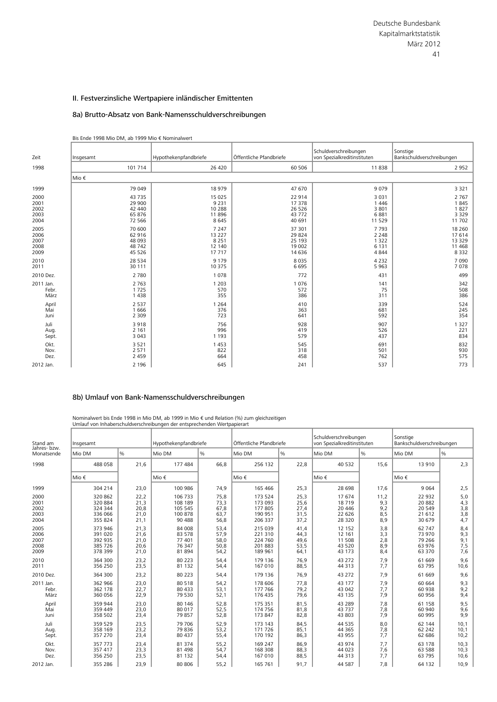# [8a\) Brutto-Absatz von Bank-Namensschuldverschreibungen](#page-13-0)

|  |  |  |  |  |  |  |  | Bis Ende 1998 Mio DM, ab 1999 Mio € Nominalwert |
|--|--|--|--|--|--|--|--|-------------------------------------------------|
|--|--|--|--|--|--|--|--|-------------------------------------------------|

| Zeit      | Insgesamt | Hypothekenpfandbriefe | Öffentliche Pfandbriefe | Schuldverschreibungen<br>von Spezialkreditinstituten | Sonstige<br>Bankschuldverschreibungen |
|-----------|-----------|-----------------------|-------------------------|------------------------------------------------------|---------------------------------------|
| 1998      | 101 714   | 26 4 20               | 60 50 6                 | 11838                                                | 2 9 5 2                               |
|           | Mio €     |                       |                         |                                                      |                                       |
| 1999      | 79 049    | 18 979                | 47 670                  | 9 0 7 9                                              | 3 3 2 1                               |
| 2000      | 43 7 35   | 15 0 25               | 22 914                  | 3 0 3 1                                              | 2 7 6 7                               |
| 2001      | 29 900    | 9 2 3 1               | 17378                   | 1446                                                 | 1845                                  |
| 2002      | 42 440    | 10 288                | 26 5 26                 | 3 8 0 1                                              | 1827                                  |
| 2003      | 65 876    | 11896                 | 43 772                  | 6881                                                 | 3 3 2 9                               |
| 2004      | 72 566    | 8 6 4 5               | 40 691                  | 11 5 29                                              | 11 702                                |
| 2005      | 70 600    | 7 2 4 7               | 37 301                  | 7793                                                 | 18 2 60                               |
| 2006      | 62 916    | 13 2 2 7              | 29 8 24                 | 2 2 4 8                                              | 17614                                 |
| 2007      | 48 093    | 8 2 5 1               | 25 193                  | 1 3 2 2                                              | 13 3 29                               |
| 2008      | 48 742    | 12 140                | 19 002                  | 6 1 3 1                                              | 11 4 68                               |
| 2009      | 45 5 26   | 17 717                | 14 636                  | 4 8 4 4                                              | 8 3 3 2                               |
| 2010      | 28 5 34   | 9 1 7 9               | 8 0 3 5                 | 4 2 3 2                                              | 7 0 9 0                               |
| 2011      | 30 111    | 10 375                | 6695                    | 5963                                                 | 7 0 7 8                               |
| 2010 Dez. | 2 7 8 0   | 1 0 7 8               | 772                     | 431                                                  | 499                                   |
| 2011 Jan. | 2 7 6 3   | 1 2 0 3               | 1076                    | 141                                                  | 342                                   |
| Febr.     | 1725      | 570                   | 572                     | 75                                                   | 508                                   |
| März      | 1438      | 355                   | 386                     | 311                                                  | 386                                   |
| April     | 2 5 3 7   | 1 2 6 4               | 410                     | 339                                                  | 524                                   |
| Mai       | 1666      | 376                   | 363                     | 681                                                  | 245                                   |
| Juni      | 2 3 0 9   | 723                   | 641                     | 592                                                  | 354                                   |
| Juli      | 3918      | 756                   | 928                     | 907                                                  | 1 3 2 7                               |
| Aug.      | 2 1 6 1   | 996                   | 419                     | 526                                                  | 221                                   |
| Sept.     | 3 0 4 3   | 1 1 9 3               | 579                     | 437                                                  | 834                                   |
| Okt.      | 3 5 2 1   | 1 4 5 3               | 545                     | 691                                                  | 832                                   |
| Nov.      | 2 5 7 1   | 822                   | 318                     | 501                                                  | 930                                   |
| Dez.      | 2 4 5 9   | 664                   | 458                     | 762                                                  | 575                                   |
| 2012 Jan. | 2 1 9 6   | 645                   | 241                     | 537                                                  | 773                                   |

#### 8b) Umlauf von Bank-Namensschuldverschreibungen

Nominalwert bis Ende 1998 in Mio DM, ab 1999 in Mio € und Relation (%) zum gleichzeitigen Umlauf von Inhaberschuldverschreibungen der entsprechenden Wertpapierart

| Stand am<br>Jahres- bzw.             | Insgesamt                                           |                                      | Hypothekenpfandbriefe                              |                                      | Öffentliche Pfandbriefe                             |                                      | Schuldverschreibungen<br>von Spezialkreditinstituten |                                  | Sonstige<br>Bankschuldverschreibungen          |                                     |
|--------------------------------------|-----------------------------------------------------|--------------------------------------|----------------------------------------------------|--------------------------------------|-----------------------------------------------------|--------------------------------------|------------------------------------------------------|----------------------------------|------------------------------------------------|-------------------------------------|
| Monatsende                           | Mio DM                                              | 96                                   | Mio DM                                             | $\frac{0}{0}$                        | Mio DM                                              | $\frac{9}{6}$                        | Mio DM                                               | $\frac{9}{6}$                    | Mio DM                                         | %                                   |
| 1998                                 | 488 058                                             | 21,6                                 | 177 484                                            | 66.8                                 | 256 132                                             | 22,8                                 | 40 532                                               | 15,6                             | 13 910                                         | 2,3                                 |
|                                      | Mio €                                               |                                      | Mio €                                              |                                      | Mio €                                               |                                      | Mio €                                                |                                  | Mio €                                          |                                     |
| 1999                                 | 304 214                                             | 23,0                                 | 100 986                                            | 74,9                                 | 165 466                                             | 25,3                                 | 28 698                                               | 17,6                             | 9 0 6 4                                        | 2,5                                 |
| 2000<br>2001<br>2002<br>2003<br>2004 | 320 862<br>320 884<br>324 344<br>336 066<br>355 824 | 22,2<br>21,3<br>20,8<br>21,0<br>21,1 | 106 733<br>108 189<br>105 545<br>100 878<br>90 488 | 75,8<br>73,3<br>67,8<br>63,7<br>56,8 | 173 524<br>173 093<br>177 805<br>190 951<br>206 337 | 25,3<br>25,6<br>27,4<br>31,5<br>37,2 | 17674<br>18719<br>20 4 46<br>22 6 26<br>28 3 20      | 11,2<br>9,3<br>9,2<br>8,5<br>8,9 | 22 9 32<br>20882<br>20 549<br>21 612<br>30 679 | 5,0<br>4,3<br>3,8<br>3,8<br>4,7     |
| 2005<br>2006<br>2007<br>2008<br>2009 | 373 946<br>391 020<br>392 935<br>385 726<br>378 399 | 21,3<br>21,6<br>21,0<br>20,6<br>21,0 | 84 008<br>83 578<br>77 401<br>76 347<br>81894      | 53,4<br>57,9<br>58,0<br>50,8<br>54,2 | 215 039<br>221 310<br>224 760<br>201 883<br>189 961 | 41,4<br>44,3<br>49,6<br>53,5<br>64,1 | 12 152<br>12 16 1<br>11 508<br>43 5 20<br>43 173     | 3,8<br>3,3<br>2,8<br>8,9<br>8,4  | 62 747<br>73 970<br>79 266<br>63 976<br>63 370 | 8,4<br>$9,3$<br>$9,1$<br>7,5<br>7,6 |
| 2010<br>2011                         | 364 300<br>356 250                                  | 23,2<br>23,5                         | 80 223<br>81 132                                   | 54,4<br>54,4                         | 179 136<br>167 010                                  | 76,9<br>88,5                         | 43 27 2<br>44 313                                    | 7,9<br>7,7                       | 61 669<br>63 795                               | 9,6<br>10,6                         |
| 2010 Dez.                            | 364 300                                             | 23,2                                 | 80 223                                             | 54,4                                 | 179 136                                             | 76,9                                 | 43 272                                               | 7,9                              | 61 669                                         | 9,6                                 |
| 2011 Jan.<br>Febr.<br>März           | 362 966<br>362 178<br>360 056                       | 23,0<br>22,7<br>22,9                 | 80 518<br>80 433<br>79 530                         | 54,2<br>53,1<br>52,1                 | 178 606<br>177 766<br>176 435                       | 77,8<br>79,2<br>79,6                 | 43 177<br>43 042<br>43 135                           | 7,9<br>7,7<br>7,9                | 60 664<br>60 938<br>60 956                     | $\frac{9,3}{9,2}$<br>9,4            |
| April<br>Mai<br>Juni                 | 359 944<br>359 449<br>358 502                       | 23,0<br>23,0<br>23,4                 | 80 146<br>80 017<br>79 857                         | 52,8<br>52,5<br>52,8                 | 175 351<br>174 756<br>173 847                       | 81,5<br>81,8<br>82,8                 | 43 289<br>43 7 37<br>43 803                          | 7,8<br>7,8<br>7,9                | 61 158<br>60 940<br>60 995                     | 9,5<br>9,6<br>9,9                   |
| Juli<br>Aug.<br>Sept.                | 359 529<br>358 169<br>357 270                       | 23,5<br>23,2<br>23,4                 | 79 706<br>79 836<br>80 437                         | 52,9<br>53,2<br>55,4                 | 173 143<br>171 726<br>170 192                       | 84,5<br>85,1<br>86,3                 | 44 5 35<br>44 3 65<br>43 955                         | 8,0<br>7,8<br>7,7                | 62 144<br>62 242<br>62 686                     | 10,1<br>10,1<br>10,2                |
| Okt.<br>Nov.<br>Dez.                 | 357 773<br>357 417<br>356 250                       | 23,4<br>23,3<br>23,5                 | 81 374<br>81 4 98<br>81 132                        | 55,2<br>54,7<br>54,4                 | 169 247<br>168 308<br>167 010                       | 86,9<br>88,3<br>88,5                 | 43 974<br>44 023<br>44 313                           | 7,7<br>7,6<br>7,7                | 63 178<br>63 588<br>63 795                     | 10,3<br>10,3<br>10,6                |
| 2012 Jan.                            | 355 286                                             | 23,9                                 | 80 80 6                                            | 55,2                                 | 165 761                                             | 91,7                                 | 44 587                                               | 7,8                              | 64 132                                         | 10,9                                |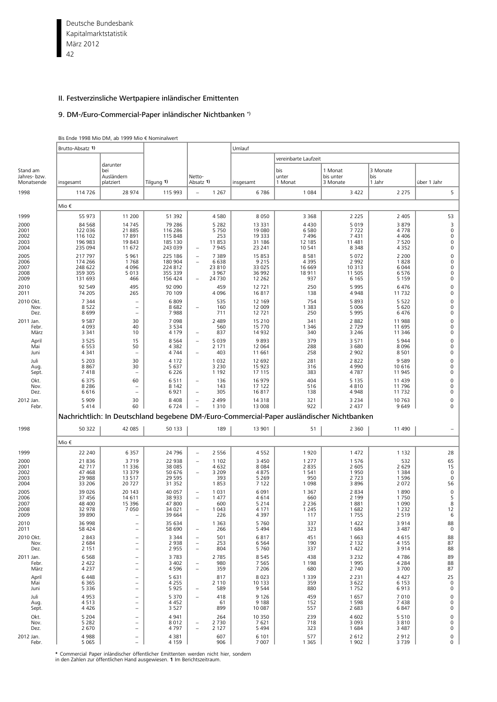Deutsche Bundesbank 42 Kapitalmarktstatistik März 2012

# II. Festverzinsliche Wertpapiere inländischer Emittenten

# 9. DM-/Euro-Commercial-Paper inländischer Nichtbanken \*)

Bis Ende 1998 Mio DM, ab 1999 Mio € Nominalwert

|                                              | Brutto-Absatz 1)                                              |                                                                           |                                                               |                                                                  | Umlauf                                                 |                                                           |                                                   |                                                                                            |                                                       |                                                                                                                |
|----------------------------------------------|---------------------------------------------------------------|---------------------------------------------------------------------------|---------------------------------------------------------------|------------------------------------------------------------------|--------------------------------------------------------|-----------------------------------------------------------|---------------------------------------------------|--------------------------------------------------------------------------------------------|-------------------------------------------------------|----------------------------------------------------------------------------------------------------------------|
|                                              |                                                               |                                                                           |                                                               |                                                                  |                                                        |                                                           | vereinbarte Laufzeit                              |                                                                                            |                                                       |                                                                                                                |
| Stand am<br>Jahres- bzw.<br>Monatsende       | insgesamt                                                     | darunter<br>bei<br>Ausländern<br>platziert                                | Tilgung 1)                                                    | Netto-<br>Absatz 1)                                              |                                                        | insgesamt                                                 | bis<br>unter<br>1 Monat                           | 1 Monat<br>bis unter<br>3 Monate                                                           | 3 Monate<br>bis<br>1 Jahr                             | über 1 Jahr                                                                                                    |
| 1998                                         | 114 726                                                       | 28 974                                                                    | 115 993                                                       | $\equiv$                                                         | 1 2 6 7                                                | 6786                                                      | 1 0 8 4                                           | 3 4 2 2                                                                                    | 2 2 7 5                                               | 5                                                                                                              |
|                                              | Mio €                                                         |                                                                           |                                                               |                                                                  |                                                        |                                                           |                                                   |                                                                                            |                                                       |                                                                                                                |
| 1999                                         | 55 973                                                        | 11 200                                                                    | 51 392                                                        |                                                                  | 4580                                                   | 8 0 5 0                                                   | 3 3 6 8                                           | 2 2 2 5                                                                                    | 2 4 0 5                                               | 53                                                                                                             |
| 2000<br>2001<br>2002<br>2003<br>2004         | 84 5 68<br>122 036<br>116 102<br>196 983<br>235 094           | 14 745<br>21 885<br>17891<br>19 843<br>11 672                             | 79 286<br>116 286<br>115 848<br>185 130<br>243 039            | $\overline{\phantom{a}}$                                         | 5 2 8 2<br>5750<br>253<br>11853<br>7945                | 13 3 3 1<br>19 080<br>19 3 33<br>31 186<br>23 241         | 4 4 3 0<br>6580<br>7 4 9 6<br>12 185<br>10 541    | 5 0 1 9<br>7722<br>7 4 3 1<br>11 481<br>8 3 4 8                                            | 3879<br>4778<br>4 4 0 6<br>7520<br>4 3 5 2            | $\begin{array}{c} 3 \\ 0 \end{array}$<br>$\mathsf{O}\xspace$<br>$\mathsf 0$<br>$\mathsf{O}\xspace$             |
| 2005<br>2006<br>2007<br>2008<br>2009<br>2010 | 217 797<br>174 266<br>248 622<br>359 305<br>131 693<br>92 549 | 5 9 6 1<br>1768<br>4096<br>5013<br>466<br>495                             | 225 186<br>180 904<br>224 812<br>355 339<br>156 424<br>92 090 | $\qquad \qquad -$<br>$\overline{\phantom{a}}$                    | 7 3 8 9<br>6638<br>23 810<br>3 9 6 7<br>24 7 30<br>459 | 15 853<br>9 2 1 5<br>33 025<br>36 992<br>12 262<br>12 721 | 8581<br>4 3 9 5<br>16 669<br>18 911<br>937<br>250 | 5 0 7 2<br>2 9 9 2<br>10 313<br>11 505<br>6 1 6 5<br>5 9 9 5                               | 2 2 0 0<br>1828<br>6 0 4 4<br>6576<br>5 1 5 9<br>6476 | $\mathsf{O}\xspace$<br>$\mathsf 0$<br>$\mathsf{O}\xspace$<br>$\mathsf 0$<br>$\mathsf{O}\xspace$<br>$\mathsf 0$ |
| 2011                                         | 74 205                                                        | 265                                                                       | 70 109                                                        |                                                                  | 4 0 9 6                                                | 16817                                                     | 138                                               | 4948                                                                                       | 11732                                                 | 0                                                                                                              |
| 2010 Okt.<br>Nov.<br>Dez.                    | 7 3 4 4<br>8522<br>8699                                       | $\overline{\phantom{0}}$<br>$\overline{\phantom{a}}$                      | 6809<br>8682<br>7988                                          | $\overline{\phantom{0}}$                                         | 535<br>160<br>711                                      | 12 169<br>12 009<br>12721                                 | 754<br>1 3 8 3<br>250                             | 5893<br>5 0 0 6<br>5 9 9 5                                                                 | 5 5 2 2<br>5 6 2 0<br>6476                            | 0<br>0<br>$\mathsf{O}\xspace$                                                                                  |
| 2011 Jan.<br>Febr.<br>März                   | 9587<br>4 0 9 3<br>3 3 4 1                                    | 30<br>40<br>10                                                            | 7 0 9 8<br>3 5 3 4<br>4 1 7 9                                 | $\overline{\phantom{a}}$                                         | 2 4 8 9<br>560<br>837                                  | 15 210<br>15 770<br>14 9 32                               | 341<br>1 3 4 6<br>340                             | 2882<br>2729<br>3 2 4 6                                                                    | 11 988<br>11 695<br>11 346                            | $\mathsf{O}\xspace$<br>0<br>$\mathsf{O}\xspace$                                                                |
| April<br>Mai<br>Juni                         | 3 5 2 5<br>6 5 5 3<br>4 3 4 1                                 | 15<br>50<br>$\overline{\phantom{a}}$                                      | 8 5 6 4<br>4 3 8 2<br>4744                                    | $\qquad \qquad -$<br>$\equiv$                                    | 5 0 3 9<br>2 1 7 1<br>403                              | 9893<br>12 064<br>11 661                                  | 379<br>288<br>258                                 | 3 5 7 1<br>3 6 8 0<br>2 9 0 2                                                              | 5 9 4 4<br>8 0 9 6<br>8501                            | $\mathsf{O}\xspace$<br>0<br>0                                                                                  |
| Juli<br>Aug.<br>Sept.                        | 5 2 0 3<br>8867<br>7418                                       | 30<br>30                                                                  | 4 1 7 2<br>5 6 3 7<br>6 2 2 6                                 |                                                                  | 1 0 3 2<br>3 2 3 0<br>1 1 9 2                          | 12 692<br>15 923<br>17 115                                | 281<br>316<br>383                                 | 2822<br>4 9 9 0<br>4787                                                                    | 9589<br>10 616<br>11 945                              | 0<br>0<br>0                                                                                                    |
| Okt.<br>Nov.<br>Dez.                         | 6 3 7 5<br>8 2 8 6<br>6616                                    | 60<br>$\equiv$                                                            | 6511<br>8 1 4 2<br>6921                                       | $\qquad \qquad -$<br>$\overline{\phantom{a}}$                    | 136<br>143<br>305                                      | 16 979<br>17 122<br>16817                                 | 404<br>516<br>138                                 | 5 1 3 5<br>4810<br>4 9 4 8                                                                 | 11 439<br>11 796<br>11 732                            | 0<br>$\mathsf{O}\xspace$<br>0                                                                                  |
| 2012 Jan.<br>Febr.                           | 5 9 0 9<br>5414                                               | 30<br>60                                                                  | 8 4 0 8<br>6724                                               | $\overline{\phantom{a}}$<br>$\equiv$                             | 2 4 9 9<br>1 3 1 0                                     | 14 3 18<br>13 008                                         | 321<br>922                                        | 3 2 3 4<br>2 4 3 7                                                                         | 10 763<br>9649                                        | 0<br>0                                                                                                         |
|                                              |                                                               |                                                                           |                                                               |                                                                  |                                                        |                                                           |                                                   | Nachrichtlich: In Deutschland begebene DM-/Euro-Commercial-Paper ausländischer Nichtbanken |                                                       |                                                                                                                |
| 1998                                         | 50 322                                                        | 42 085                                                                    | 50 133                                                        |                                                                  | 189                                                    | 13 901                                                    | 51                                                | 2 3 6 0                                                                                    | 11 490                                                |                                                                                                                |
|                                              | Mio €                                                         |                                                                           |                                                               |                                                                  |                                                        |                                                           |                                                   |                                                                                            |                                                       |                                                                                                                |
| 1999                                         | 22 240                                                        | 6 3 5 7                                                                   | 24 796                                                        | $\overline{\phantom{m}}$                                         | 2 5 5 6                                                | 4552                                                      | 1920                                              | 1 4 7 2                                                                                    | 1 1 3 2                                               | 28                                                                                                             |
| 2000<br>2001<br>2002<br>2003<br>2004         | 21836<br>42 717<br>47 468<br>29 988<br>33 206                 | 3719<br>11 3 36<br>13 379<br>13 5 17<br>20727                             | 22 938<br>38 085<br>50 676<br>29 5 95<br>31 352               | $\overline{\phantom{a}}$<br>$\overline{\phantom{m}}$             | 1 1 0 2<br>4632<br>3 2 0 9<br>393<br>1853              | 3 4 5 0<br>8 0 8 4<br>4875<br>5 2 6 9<br>7 1 2 2          | 1 2 7 7<br>2835<br>1541<br>950<br>1 0 9 8         | 1576<br>2 6 0 5<br>1950<br>2 7 2 3<br>3896                                                 | 532<br>2 6 2 9<br>1 3 8 4<br>1 5 9 6<br>2 0 7 2       | 65<br>15<br>$\mathbf 0$<br>$\pmb{0}$<br>56                                                                     |
| 2005<br>2006<br>2007<br>2008<br>2009         | 39 0 26<br>37 45 6<br>48 400<br>32 978<br>39 890              | 20 143<br>14 611<br>15 3 96<br>7 0 5 0                                    | 40 057<br>38 933<br>47 800<br>34 021<br>39 664                | $\overline{\phantom{a}}$<br>$\equiv$<br>$\overline{\phantom{a}}$ | 1 0 3 1<br>1 477<br>600<br>1 0 4 3<br>226              | 6 0 9 1<br>4614<br>5 2 1 4<br>4 1 7 1<br>4397             | 1 3 6 7<br>660<br>2 2 3 6<br>1 2 4 5<br>117       | 2 8 3 4<br>2 1 9 9<br>1881<br>1682<br>1755                                                 | 1890<br>1750<br>1 0 9 0<br>1 2 3 2<br>2 5 1 9         | $\begin{array}{c} 0 \\ 5 \end{array}$<br>8<br>12<br>6                                                          |
| 2010<br>2011                                 | 36 998<br>58 4 24                                             |                                                                           | 35 634<br>58 690                                              |                                                                  | 1 3 6 3<br>266                                         | 5760<br>5 4 9 4                                           | 337<br>323                                        | 1 4 2 2<br>1684                                                                            | 3914<br>3 4 8 7                                       | $\begin{array}{c} 88 \\ 0 \end{array}$                                                                         |
| 2010 Okt.<br>Nov.<br>Dez.                    | 2 8 4 3<br>2 6 8 4<br>2 1 5 1                                 | $\qquad \qquad -$<br>$\overline{\phantom{0}}$<br>$\overline{\phantom{0}}$ | 3 3 4 4<br>2938<br>2955                                       | $\overline{\phantom{0}}$                                         | 501<br>253<br>804                                      | 6817<br>6 5 6 4<br>5 7 6 0                                | 451<br>190<br>337                                 | 1 6 6 3<br>2 1 3 2<br>1422                                                                 | 4615<br>4 1 5 5<br>3914                               | 88<br>87<br>88                                                                                                 |
| 2011 Jan.<br>Febr.<br>März                   | 6 5 6 8<br>2 4 2 2<br>4 2 3 7                                 | -<br>$\overline{\phantom{0}}$<br>$\overline{\phantom{0}}$                 | 3783<br>3 4 0 2<br>4596                                       |                                                                  | 2 7 8 5<br>980<br>359                                  | 8 5 4 5<br>7 5 6 5<br>7 2 0 6                             | 438<br>1 1 9 8<br>680                             | 3 2 3 2<br>1995<br>2 7 4 0                                                                 | 4786<br>4 2 8 4<br>3700                               | 89<br>88<br>87                                                                                                 |
| April<br>Mai<br>Juni                         | 6448<br>6 3 6 5<br>5 3 3 6                                    | $\qquad \qquad -$<br>$\qquad \qquad -$                                    | 5 6 3 1<br>4 2 5 5<br>5925                                    | $\qquad \qquad -$                                                | 817<br>2 1 1 0<br>589                                  | 8 0 2 3<br>10 133<br>9544                                 | 1 3 3 9<br>359<br>880                             | 2 2 3 1<br>3 6 2 2<br>1752                                                                 | 4 4 2 7<br>6 1 5 3<br>6913                            | $\begin{array}{c} 25 \\ 0 \end{array}$<br>$\mathsf{O}\xspace$                                                  |
| Juli<br>Aug.<br>Sept.                        | 4953<br>4513<br>4 4 2 6                                       | $\overline{\phantom{a}}$<br>$\qquad \qquad -$<br>$\qquad \qquad -$        | 5 3 7 0<br>4 4 5 2<br>3 5 2 7                                 | $\overline{\phantom{m}}$                                         | 418<br>61<br>899                                       | 9 1 2 6<br>9 1 8 8<br>10 087                              | 459<br>152<br>557                                 | 1657<br>1 5 9 8<br>2 6 8 3                                                                 | 7010<br>7438<br>6 8 4 7                               | $\mathsf 0$<br>$\mathsf{O}\xspace$<br>$\mathsf{O}\xspace$                                                      |
| Okt.<br>Nov.<br>Dez.                         | 5 2 0 4<br>5 2 8 2<br>2 670                                   | $\overline{\phantom{a}}$<br>$\qquad \qquad -$<br>$\overline{\phantom{0}}$ | 4941<br>8012<br>4797                                          | $\overline{\phantom{0}}$                                         | 264<br>2 7 3 0<br>2 1 2 7                              | 10 350<br>7621<br>5 4 9 4                                 | 239<br>718<br>323                                 | 4 6 0 2<br>3 0 9 3<br>1684                                                                 | 5 5 1 0<br>3810<br>3 4 8 7                            | $\mathsf 0$<br>0<br>0                                                                                          |
| 2012 Jan.<br>Febr.                           | 4988<br>5 0 6 5                                               |                                                                           | 4 3 8 1<br>4 1 5 9                                            |                                                                  | 607<br>906                                             | 6 101<br>7 0 0 7                                          | 577<br>1 3 6 5                                    | 2612<br>1902                                                                               | 2912<br>3739                                          | 0<br>0                                                                                                         |

**\*** Commercial Paper inländischer öffentlicher Emittenten werden nicht hier, sondern in den Zahlen zur öffentlichen Hand ausgewiesen. **1** Im Berichtszeitraum.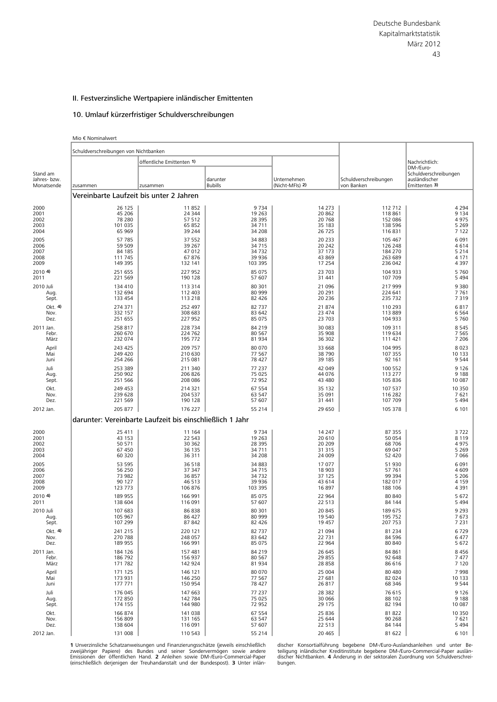# 10. Umlauf kürzerfristiger Schuldverschreibungen

|                          | Mio € Nominalwert                       |                                                          |                    |                    |                       |                                                     |
|--------------------------|-----------------------------------------|----------------------------------------------------------|--------------------|--------------------|-----------------------|-----------------------------------------------------|
|                          | Schuldverschreibungen von Nichtbanken   |                                                          |                    |                    |                       |                                                     |
|                          |                                         | öffentliche Emittenten 1)                                |                    |                    |                       | Nachrichtlich:                                      |
| Stand am<br>Jahres- bzw. |                                         |                                                          | darunter           | Unternehmen        | Schuldverschreibungen | DM-/Euro-<br>Schuldverschreibungen<br>ausländischer |
| Monatsende               | zusammen                                | zusammen                                                 | <b>Bubills</b>     | (Nicht-MFIs) 2)    | von Banken            | Emittenten 3)                                       |
|                          | Vereinbarte Laufzeit bis unter 2 Jahren |                                                          |                    |                    |                       |                                                     |
| 2000                     | 26 125                                  | 11852                                                    | 9734               | 14 273             | 112 712               | 4 2 9 4                                             |
| 2001<br>2002             | 45 206<br>78 280                        | 24 344<br>57 512                                         | 19 2 63<br>28 395  | 20 862<br>20 768   | 118 861<br>152 086    | 9 1 3 4<br>4975                                     |
| 2003<br>2004             | 101 035<br>65 969                       | 65 852<br>39 244                                         | 34 711<br>34 208   | 35 183<br>26 7 25  | 138 596<br>116831     | 5 2 6 9<br>7 1 2 2                                  |
| 2005                     | 57 785                                  | 37 552                                                   | 34 883             | 20 233             | 105 467               | 6091                                                |
| 2006<br>2007             | 59 509<br>84 185                        | 39 267<br>47 012                                         | 34 715<br>34 7 32  | 20 24 2<br>37 173  | 126 248<br>184 270    | 4614<br>5 2 1 4                                     |
| 2008<br>2009             | 111 745<br>149 395                      | 67876<br>132 141                                         | 39 936<br>103 395  | 43 869<br>17 254   | 263 689<br>236 042    | 4 1 7 1<br>4 3 9 7                                  |
| 2010 4)                  | 251 655                                 | 227 952                                                  | 85 075             | 23 703             | 104 933               | 5760                                                |
| 2011<br>2010 Juli        | 221 569<br>134 410                      | 190 128<br>113 314                                       | 57 607<br>80 301   | 31 441<br>21 096   | 107 709<br>217 999    | 5 4 9 4<br>9 3 8 0                                  |
| Aug.                     | 132 694                                 | 112 403                                                  | 80 999             | 20 291             | 224 641               | 7761                                                |
| Sept.<br>Okt. 4)         | 133 454<br>274 371                      | 113 218<br>252 497                                       | 82 4 26<br>82 737  | 20 23 6<br>21 874  | 235 732<br>110 293    | 7319<br>6817                                        |
| Nov.<br>Dez.             | 332 157<br>251 655                      | 308 683<br>227 952                                       | 83 642<br>85 075   | 23 474<br>23 703   | 113 889<br>104 933    | 6 5 6 4<br>5760                                     |
| 2011 Jan.                | 258 817                                 | 228 734                                                  | 84 219             | 30 083             | 109 311               | 8 5 4 5                                             |
| Febr.<br>März            | 260 670<br>232 074                      | 224 762<br>195 772                                       | 80 567<br>81 934   | 35 908<br>36 302   | 119 634<br>111 421    | 7 5 6 5<br>7 2 0 6                                  |
| April<br>Mai             | 243 425<br>249 420                      | 209 757<br>210 630                                       | 80 070<br>77 567   | 33 668<br>38 790   | 104 995<br>107 355    | 8 0 2 3<br>10 133                                   |
| Juni                     | 254 266                                 | 215 081                                                  | 78 427             | 39 185             | 92 161                | 9 5 4 4                                             |
| Juli<br>Aug.             | 253 389<br>250 902                      | 211 340<br>206 826                                       | 77 237<br>75 025   | 42 049<br>44 076   | 100 552<br>113 277    | 9 1 2 6<br>9 1 8 8                                  |
| Sept.                    | 251 566                                 | 208 086                                                  | 72 952             | 43 480             | 105 836               | 10 087                                              |
| Okt.<br>Nov.             | 249 453<br>239 628                      | 214 321<br>204 537                                       | 67 554<br>63 547   | 35 132<br>35 091   | 107 537<br>116 282    | 10 350<br>7621                                      |
| Dez.                     | 221 569                                 | 190 128                                                  | 57 607             | 31 441             | 107 709               | 5 4 9 4                                             |
| 2012 Jan.                | 205 877                                 | 176 227                                                  | 55 214             | 29 650             | 105 378               | 6 1 0 1                                             |
|                          |                                         | darunter: Vereinbarte Laufzeit bis einschließlich 1 Jahr |                    |                    |                       |                                                     |
| 2000<br>2001             | 25 411<br>43 153                        | 11 164<br>22 543                                         | 9734<br>19 263     | 14 247<br>20 610   | 87 355<br>50 054      | 3722<br>8 1 1 9                                     |
| 2002<br>2003             | 50 571<br>67 450                        | 30 362<br>36 135                                         | 28 3 9 5<br>34 711 | 20 209<br>31 315   | 68 70 6<br>69 047     | 4975<br>5 2 6 9                                     |
| 2004                     | 60 320                                  | 36 311                                                   | 34 208             | 24 009             | 52 420                | 7066                                                |
| 2005<br>2006             | 53 595<br>56 250                        | 36 518<br>37 347                                         | 34 883<br>34 715   | 17 077<br>18 903   | 51 930<br>57 761      | 6091<br>4609                                        |
| 2007<br>2008             | 73 982<br>90 127                        | 36 857<br>46 513                                         | 34 7 32<br>39 936  | 37 125<br>43 614   | 99 394<br>182 017     | 5 2 0 6<br>4 1 5 9                                  |
| 2009                     | 123 773                                 | 106 876                                                  | 103 395            | 16 897             | 188 106               | 4 3 9 1                                             |
| 2010 4)<br>2011          | 189 955<br>138 604                      | 166 991<br>116 091                                       | 85 075<br>57 607   | 22 964<br>22 513   | 80 840<br>84 144      | 5672<br>5 4 9 4                                     |
| 2010 Juli                | 107 683                                 | 86 838                                                   | 80 301             | 20 845             | 189 675               | 9 293                                               |
| Aug.<br>Sept.            | 105 967<br>107 299                      | 86 427<br>87 842                                         | 80 999<br>82 4 26  | 19 540<br>19 457   | 195 752<br>207 753    | 7673<br>7 2 3 1                                     |
| Okt. 4)                  | 241 215                                 | 220 121                                                  | 82 737             | 21 094             | 81 2 34               | 6729                                                |
| Nov.<br>Dez.             | 270 788<br>189 955                      | 248 057<br>166 991                                       | 83 642<br>85 075   | 22 731<br>22 964   | 84 5 96<br>80 840     | 6477<br>5 6 7 2                                     |
| 2011 Jan.                | 184 126<br>186 792                      | 157 481<br>156 937                                       | 84 219<br>80 567   | 26 645<br>29 855   | 84 861<br>92 648      | 8456<br>7477                                        |
| Febr.<br>März            | 171 782                                 | 142 924                                                  | 81 934             | 28 858             | 86 616                | 7 1 2 0                                             |
| April<br>Mai             | 171 125<br>173 931                      | 146 121<br>146 250                                       | 80 070<br>77 567   | 25 004<br>27 681   | 80 480<br>82 024      | 7998<br>10 133                                      |
| Juni                     | 177 771                                 | 150 954                                                  | 78 427             | 26 817             | 68 34 6               | 9544                                                |
| Juli<br>Aug.             | 176 045<br>172 850                      | 147 663<br>142 784                                       | 77 237<br>75 025   | 28 3 8 2<br>30 066 | 76 615<br>88 102      | 9 1 2 6<br>9 1 8 8                                  |
| Sept.                    | 174 155                                 | 144 980                                                  | 72 952             | 29 175             | 82 194                | 10 087                                              |
| Okt.<br>Nov.             | 166 874<br>156 809                      | 141 038<br>131 165                                       | 67 554<br>63 547   | 25 836<br>25 644   | 81 822<br>90 268      | 10 350<br>7621                                      |
| Dez.                     | 138 604                                 | 116 091                                                  | 57 607             | 22 513             | 84 144                | 5 4 9 4                                             |

2012 Jan. | 131 008 | 110 543 | 55 214 | 20 465 | 81 622 | 6 101

1 Unverzinsliche Schatzanweisungen und Finanzierungsschätze (jeweils einschließlich discher Konsortialführung begebene DM-/Euro-Auslandsanleihen und unter Be-<br>zweijähriger Papiere) des Bundes und seiner Sondervermögen sowi 1 Unverzinsliche Schatzanweisungen und Finanzierungsschätze (jeweils einschließlich zweijähriger Papiere) des Bundes und seiner Sondervermögen sowie andere Emissionen der öffentlichen Hand. 2 Anleihen sowie DM-/Euro-Commer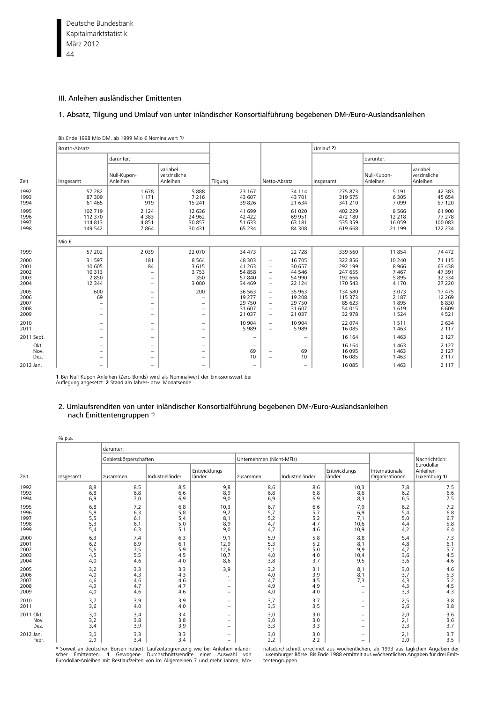Deutsche Bundesbank 44 Kapitalmarktstatistik März 2012

#### III. Anleihen ausländischer Emittenten

### 1. [Absatz, Tilgung und Umlauf von unter inländischer Konsortialführung begebenen DM-/Euro-Auslandsanleihen](#page-14-0)

|                                      | Brutto-Absatz                                                     |                                                                       |                                                                                                              |                                                  |                                                                                                                                                                                     | Umlauf 2)                                           |                                               |                                                |  |
|--------------------------------------|-------------------------------------------------------------------|-----------------------------------------------------------------------|--------------------------------------------------------------------------------------------------------------|--------------------------------------------------|-------------------------------------------------------------------------------------------------------------------------------------------------------------------------------------|-----------------------------------------------------|-----------------------------------------------|------------------------------------------------|--|
|                                      |                                                                   | darunter:                                                             |                                                                                                              |                                                  |                                                                                                                                                                                     |                                                     | darunter:                                     |                                                |  |
| Zeit                                 | insgesamt                                                         | Null-Kupon-<br>Anleihen                                               | variabel<br>verzinsliche<br>Anleihen                                                                         | Tilgung                                          | Netto-Absatz                                                                                                                                                                        | insgesamt                                           | Null-Kupon-<br>Anleihen                       | variabel<br>verzinsliche<br>Anleihen           |  |
| 1992<br>1993<br>1994                 | 57 282<br>87 309<br>61 4 65                                       | 1678<br>1 1 7 1<br>919                                                | 5888<br>7 2 1 6<br>15 241                                                                                    | 23 167<br>43 607<br>39826                        | 34 114<br>43 701<br>21 634                                                                                                                                                          | 275 873<br>319 575<br>341 210                       | 5 1 9 1<br>6 3 0 5<br>7099                    | 42 383<br>45 654<br>57 120                     |  |
| 1995<br>1996<br>1997<br>1998         | 102 719<br>112 370<br>114 813<br>149 542                          | 2 1 2 4<br>4 3 8 3<br>4851<br>7864                                    | 12 636<br>24 962<br>30 857<br>30 4 31                                                                        | 41 699<br>42 422<br>51 633<br>65 234             | 61 020<br>69 951<br>63 181<br>84 308                                                                                                                                                | 402 229<br>472 180<br>535 359<br>619 668            | 8566<br>12 2 18<br>16 059<br>21 199           | 61 900<br>77 278<br>100 083<br>122 234         |  |
|                                      | Mio €                                                             |                                                                       |                                                                                                              |                                                  |                                                                                                                                                                                     |                                                     |                                               |                                                |  |
| 1999                                 | 57 202                                                            | 2 0 3 9                                                               | 22 070                                                                                                       | 34 473                                           | 22 7 28                                                                                                                                                                             | 339 560                                             | 11854                                         | 74 472                                         |  |
| 2000<br>2001<br>2002<br>2003<br>2004 | 31 597<br>10 605<br>10 313<br>2850<br>12 344                      | 181<br>84<br>$\qquad \qquad -$<br>-<br>$\qquad \qquad -$              | 8564<br>3615<br>3753<br>350<br>3 0 0 0                                                                       | 48 30 3<br>41 263<br>54 858<br>57 840<br>34 4 69 | 16 705<br>$\overline{\phantom{m}}$<br>30 657<br>$\qquad \qquad =$<br>44 546<br>$\overline{\phantom{0}}$<br>54 990<br>$\overline{\phantom{m}}$<br>22 124<br>$\overline{\phantom{m}}$ | 322 856<br>292 199<br>247 655<br>192 666<br>170 543 | 10 240<br>8966<br>7 4 6 7<br>5895<br>4 1 7 0  | 71 115<br>63 438<br>47 391<br>32 334<br>27 220 |  |
| 2005<br>2006<br>2007<br>2008<br>2009 | 600<br>69<br>$\overline{\phantom{0}}$<br>$\overline{\phantom{0}}$ | -<br>$\qquad \qquad -$<br>-<br>$\qquad \qquad -$<br>$\qquad \qquad -$ | 200<br>$\overline{\phantom{0}}$<br>$\overline{\phantom{0}}$<br>$\overline{\phantom{0}}$<br>$\qquad \qquad -$ | 36 563<br>19 277<br>29 750<br>31 607<br>21 0 37  | 35 963<br>$\qquad \qquad =$<br>19 208<br>$\overline{\phantom{m}}$<br>29 750<br>$\overline{\phantom{0}}$<br>31 607<br>$\qquad \qquad =$<br>21 0 37<br>$\overline{\phantom{m}}$       | 134 580<br>115 373<br>85 623<br>54 015<br>32 978    | 3 0 7 3<br>2 1 8 7<br>1895<br>1619<br>1 5 2 4 | 17 475<br>12 2 6 9<br>8830<br>6 609<br>4521    |  |
| 2010<br>2011                         | $\overline{\phantom{0}}$<br>$\overline{\phantom{0}}$              | $\overline{\phantom{0}}$<br>$\qquad \qquad -$                         | $\overline{\phantom{0}}$<br>$\overline{\phantom{0}}$                                                         | 10 904<br>5989                                   | 10 904<br>$\overline{\phantom{m}}$<br>5 9 8 9<br>$\overline{\phantom{m}}$                                                                                                           | 22 074<br>16 085                                    | 1511<br>1 4 6 3                               | 2 6 3 4<br>2 1 1 7                             |  |
| 2011 Sept.                           | -                                                                 | -                                                                     | -                                                                                                            | $\overline{\phantom{0}}$                         | $\qquad \qquad -$                                                                                                                                                                   | 16 164                                              | 1463                                          | 2 1 2 7                                        |  |
| Okt.<br>Nov.<br>Dez.                 | -<br>$\overline{\phantom{0}}$                                     | -<br>-<br>-                                                           |                                                                                                              | 69<br>10                                         | 69<br>$\overline{\phantom{m}}$<br>10<br>$=$                                                                                                                                         | 16 164<br>16 0 95<br>16 085                         | 1 4 6 3<br>1 4 6 3<br>1 4 6 3                 | 2 1 2 7<br>2 1 2 7<br>2 1 1 7                  |  |
| 2012 Jan.                            | $\overline{\phantom{0}}$                                          | $\qquad \qquad -$                                                     | -                                                                                                            | $\overline{\phantom{a}}$                         | $\qquad \qquad -$                                                                                                                                                                   | 16 085                                              | 1 4 6 3                                       | 2 1 1 7                                        |  |

Bis Ende 1998 Mio DM, ab 1999 Mio € Nominalwert **1)**

**1** Bei Null-Kupon-Anleihen (Zero-Bonds) wird als Nominalwert der Emissionswert bei Auflegung angesetzt. **2** Stand am Jahres- bzw. Monatsende.

#### 2. Umlaufsrenditen von unter inländischer Konsortialführung begebenen DM-/Euro-Auslandsanleihen nach Emittentengruppen \*)

% p.a. darunter: Gebietskörperschaften Nicht-MEIser und Unternehmen (Nicht-MFIs) Nachrichtlich: Nicht-MEIser und Nachrichtlich: Eurodollar-<br>Anleihen Entwicklungs- Entwicklungs- Internationale Anleihen Zeit  $\vert$ Insgesamt zusammen Industrieländer länder zusammen Industrieländer länder Organisationen Luxemburg 1 1992 | 8,8 | 8,5 | 8,5 | 9,8 | 8,6 | 10,3 | 7,8 | 7,5 1993 | 6,8 6,8 6,6 8,9 6,8 6,8 8,6 8,6 6,2 6,6 1994 6,9 7,0 6,9 9,0 6,9 6,9 8,3 6,5 7,5 1995 | 6,8 | 7,2 | 6,8 | 10,3 | 6,7 | 6,6 | 7,9 | 6,2 | 7,2 1996 | 5,8 | 6,3 | 5,8 | 9,2 | 5,7 | 5,7 | 6,9 | 5,4 | 6,8 1997 | 5,5 | 6,1 | 5,4 | 8,1 | 5,2 | 5,2 | 7,1 | 5,0 | 6,7 1998 | 5,3 | 6,1 | 5,0 | 8,9 | 4,7 | 4,7 | 10,6 | 4,4 | 5,8 1999 | 5,4 | 6,3 | 5,1 | 9,0 | 4,7 | 4,6 | 10,9 | 4,2 | 6,4 2000 6,3 7,4 6,3 9,1 5,9 5,8 8,8 5,4 7,3 2001 6,2 8,9 6,1 12,9 5,3 5,2 8,1 4,8 6,1 2002 | 5,6 | 7,5 | 5,9 | 12,6 | 5,1 | 5,0 | 9,9 | 4,7 | 5,7 2003 | 4,5 | 5,5 | 4,5 | 10,7 | 4,0 | 4,0 | 10,4 | 3,6 | 4,5 2004 | 4,0 4,6 4,0 8,6 3,8 3,7 9,5 3,6 4,6 2005 | 3,2 3,3 3,3 3,3 3,9 3,9 3,2 3,1 8,1 3,0 4,6 2006 | 4,0 4,3 4,3 4,3 4,3 4,3 4,4 4,0 3,9 8,1 3,7 5,3 2007 | 4,6 | 4,6 | 4,6 | − | 4,7 | 4,5 | 7,3 | 4,3 | 5,2 2008 | 4,9 4,7 4,7 4,7 − 4,9 4,9 − 4,3 4,5 4,5 2009 | 4,0 4,6 4,6 4,6 − 4,0 4,0 − 3,3 4,3 2010 | 3,7 | 3,9 | 3,9 | − | 3,7 | − 3,7 | − 2,5 | 3,8 2011 | 3,6 4,0 4,0 − 3,5 3,5 − 2,6 3,8 2011 Okt. | 3,0 | 3,4 | 3,4 | − | 3,0 | − | 2,0 | 3,6 Nov. | 3,2 | 3,8 | 3,8 | − | 3,0 | 3,0 | − | 2,1 | 3,6 Dez. | 3,4 3,9 3,9 3,3 3,3 − 3,3 − 2,3 3,7 2012 Jan. | 3,0 | 3,3 | 3,3 | − | 3,0 | − 3,0 | − 2,1 | 3,7 Febr. | 2,9 | 3,4 | 3,4 | − | 2,2 | − | 2,0 | 3,5

\* Soweit an deutschen Börsen notiert; Laufzeitabgrenzung wie bei Anleihen inländi- antsdurchschnitt errechnet aus wöchentlichen, ab 1993 aus täglichen Angaben der<br>scher - Emittenten. 11 Gewogene Durchschnittsrendite einer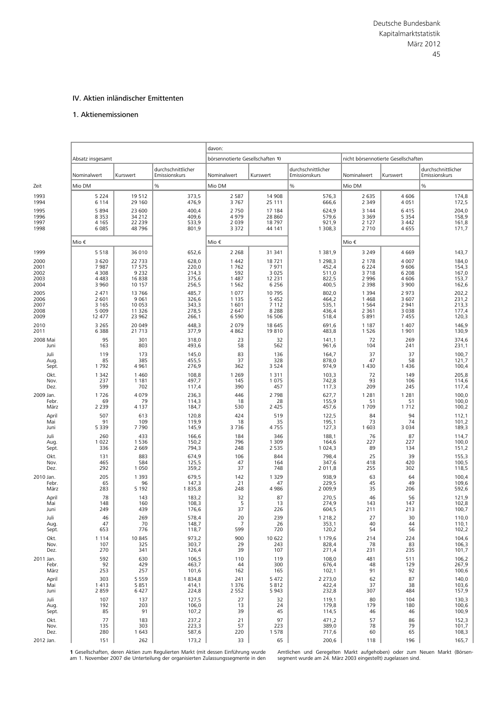### IV. Aktien inländischer Emittenten

## 1. Aktienemissionen

|                            |                       |                      |                                     | davon:                           |                      |                                     |                                     |                  |                                     |  |  |
|----------------------------|-----------------------|----------------------|-------------------------------------|----------------------------------|----------------------|-------------------------------------|-------------------------------------|------------------|-------------------------------------|--|--|
|                            | Absatz insgesamt      |                      |                                     | börsennotierte Gesellschaften 1) |                      |                                     | nicht börsennotierte Gesellschaften |                  |                                     |  |  |
|                            | Nominalwert           | Kurswert             | durchschnittlicher<br>Emissionskurs | Nominalwert                      | Kurswert             | durchschnittlicher<br>Emissionskurs | Nominalwert                         | Kurswert         | durchschnittlicher<br>Emissionskurs |  |  |
| Zeit                       | Mio DM                |                      | $\frac{0}{0}$                       | Mio DM                           |                      | $\frac{0}{0}$                       | Mio DM                              |                  | $\frac{0}{0}$                       |  |  |
| 1993                       | 5 2 2 4               | 19512                | 373,5                               | 2 5 8 7                          | 14 908               | 576,3                               | 2 6 3 5                             | 4606             | 174,8                               |  |  |
| 1994                       | 6 1 1 4               | 29 160               | 476,9                               | 3767                             | 25 111               | 666,6                               | 2 3 4 9                             | 4 0 5 1          | 172,5                               |  |  |
| 1995                       | 5894                  | 23 600               | 400,4                               | 2750                             | 17 184               | 624,9                               | 3 1 4 4                             | 6415             | 204,0                               |  |  |
| 1996                       | 8 3 5 3               | 34 212               | 409,6                               | 4979                             | 28 860               | 579,6                               | 3 3 6 9                             | 5 3 5 4          | 158,9                               |  |  |
| 1997                       | 4 1 6 5               | 22 2 3 9             | 533,9                               | 2 0 3 9                          | 18 797               | 921,9                               | 2 1 2 7                             | 3 4 4 2          | 161,8                               |  |  |
| 1998                       | 6 0 8 5               | 48 796               | 801,9                               | 3 3 7 2                          | 44 141               | 1 3 0 8, 3                          | 2 7 1 0                             | 4655             | 171,7                               |  |  |
|                            | Mio €                 |                      |                                     | Mio €                            |                      |                                     | Mio €                               |                  |                                     |  |  |
| 1999                       | 5 5 1 8               | 36 010               | 652,6                               | 2 2 6 8                          | 31 341               | 1 3 8 1 , 9                         | 3 2 4 9                             | 4 6 6 9          | 143,7                               |  |  |
| 2000                       | 3 6 2 0               | 22 733               | 628,0                               | 1 4 4 2                          | 18721                | 1 2 9 8, 3                          | 2 1 7 8                             | 4 0 0 7          | 184,0                               |  |  |
| 2001                       | 7987                  | 17 575               | 220,0                               | 1762                             | 7971                 | 452,4                               | 6 2 2 4                             | 9 60 6           | 154,3                               |  |  |
| 2002                       | 4 3 0 8               | 9 2 3 2              | 214,3                               | 592                              | 3 0 2 5              | 511,0                               | 3718                                | 6 2 0 8          | 167,0                               |  |  |
| 2003                       | 4 4 8 3               | 16838                | 375,6                               | 1 4 8 7                          | 12 2 3 1             | 822,5                               | 2 9 9 6                             | 4606             | 153,7                               |  |  |
| 2004                       | 3 9 6 0               | 10 157               | 256,5                               | 1 5 6 2                          | 6 2 5 6              | 400,5                               | 2 3 9 8                             | 3 900            | 162,6                               |  |  |
| 2005                       | 2 4 7 1               | 13766                | 485,7                               | 1 0 7 7                          | 10 795               | 802,0                               | 1 3 9 4                             | 2 9 7 3          | 202,2                               |  |  |
| 2006                       | 2 601                 | 9 0 6 1              | 326,6                               | 1 1 3 5                          | 5 4 5 2              | 464,2                               | 1 4 6 8                             | 3 607            | 231,2                               |  |  |
| 2007                       | 3 1 6 5               | 10 0 53              | 343,3                               | 1601                             | 7 1 1 2              | 535,1                               | 1 5 6 4                             | 2 9 4 1          | 213,3                               |  |  |
| 2008                       | 5 0 0 9               | 11 3 26              | 278,5                               | 2 6 4 7                          | 8 2 8 8              | 436,4                               | 2 3 6 1                             | 3 0 3 8          | 177,4                               |  |  |
| 2009                       | 12 477                | 23 962               | 266,1                               | 6 5 9 0                          | 16 506               | 518,4                               | 5 8 9 1                             | 7455             | 120,3                               |  |  |
| 2010                       | 3 2 6 5               | 20 049               | 448,3                               | 2 0 7 9                          | 18 645               | 691,6                               | 1 1 8 7                             | 1 4 0 7          | 146,9                               |  |  |
| 2011                       | 6388                  | 21 7 13              | 377,9                               | 4 8 6 2                          | 19810                | 483,8                               | 1 5 2 6                             | 1 9 0 1          | 130,9                               |  |  |
| 2008 Mai                   | 95                    | 301                  | 318,0                               | 23                               | 32                   | 141,1                               | 72                                  | 269              | 374,6                               |  |  |
| Juni                       | 163                   | 803                  | 493,6                               | 58                               | 562                  | 961,6                               | 104                                 | 241              | 231,1                               |  |  |
| Juli                       | 119                   | 173                  | 145,0                               | 83                               | 136                  | 164,7                               | 37                                  | 37               | 100,7                               |  |  |
| Aug.                       | 85                    | 385                  | 455,5                               | 37                               | 328                  | 878,0                               | 47                                  | 58               | 121,7                               |  |  |
| Sept.                      | 1792                  | 4961                 | 276,9                               | 362                              | 3 5 2 4              | 974,9                               | 1 4 3 0                             | 1436             | 100,4                               |  |  |
| Okt.                       | 1 3 4 2               | 1 4 6 0              | 108,8                               | 1 2 6 9                          | 1 3 1 1              | 103,3                               | 72                                  | 149              | 205,8                               |  |  |
| Nov.                       | 237                   | 1 1 8 1              | 497,7                               | 145                              | 1 0 7 5              | 742,8                               | 93                                  | 106              | 114,6                               |  |  |
| Dez.                       | 599                   | 702                  | 117,4                               | 390                              | 457                  | 117,3                               | 209                                 | 245              | 117,4                               |  |  |
| 2009 Jan.                  | 1726                  | 4079                 | 236,3                               | 446                              | 2 7 9 8              | 627,7                               | 1 2 8 1                             | 1 2 8 1          | 100,0                               |  |  |
| Febr.                      | 69                    | 79                   | 114,3                               | 18                               | 28                   | 155,9                               | 51                                  | 51               | 100,0                               |  |  |
| März                       | 2 2 3 9               | 4 1 3 7              | 184,7                               | 530                              | 2 4 2 5              | 457,6                               | 1709                                | 1712             | 100,2                               |  |  |
| April                      | 507                   | 613                  | 120,8                               | 424                              | 519                  | 122,5                               | 84                                  | 94               | 112,1                               |  |  |
| Mai                        | 91                    | 109                  | 119,9                               | 18                               | 35                   | 195,1                               | 73                                  | 74               | 101,2                               |  |  |
| Juni                       | 5 3 3 9               | 7790                 | 145,9                               | 3736                             | 4755                 | 127,3                               | 1 603                               | 3 0 3 4          | 189,3                               |  |  |
| Juli                       | 260                   | 433                  | 166,6                               | 184                              | 346                  | 188,1                               | 76                                  | 87               | 114,7                               |  |  |
| Aug.                       | 1 0 2 2               | 1536                 | 150,2                               | 796                              | 1 3 0 9              | 164,6                               | 227                                 | 227              | 100,0                               |  |  |
| Sept.                      | 336                   | 2 6 6 9              | 794,3                               | 248                              | 2 5 3 5              | 1 0 2 4 , 3                         | 89                                  | 134              | 151,2                               |  |  |
| Okt.                       | 131                   | 883                  | 674,9                               | 106                              | 844                  | 798,4                               | 25                                  | 39               | 155,3                               |  |  |
| Nov.                       | 465                   | 584                  | 125,5                               | 47                               | 164                  | 347,6                               | 418                                 | 420              | 100,5                               |  |  |
| Dez.                       | 292                   | 1 0 5 0              | 359,2                               | 37                               | 748                  | 2 0 1 1,8                           | 255                                 | 302              | 118,5                               |  |  |
| 2010 Jan.                  | 205                   | 1 3 9 3              | 679,5                               | 142                              | 1 3 2 9              | 938,9                               | 63                                  | 64               | 100,4                               |  |  |
| Febr.                      | 65                    | 96                   | 147,3                               | 21                               | 47                   | 229,5                               | 45                                  | 49               | 109,6                               |  |  |
| März                       | 283                   | 5 1 9 2              | 1835,8                              | 248                              | 4986                 | 2 0 0 9,9                           | 35                                  | 206              | 592,6                               |  |  |
| April                      | 78                    | 143                  | 183,2                               | 32                               | 87                   | 270,5                               | 46                                  | 56               | 121,9                               |  |  |
| Mai                        | 148                   | 160                  | 108,3                               | 5                                | 13                   | 274,9                               | 143                                 | 147              | 102,8                               |  |  |
| Juni                       | 249                   | 439                  | 176,6                               | 37                               | 226                  | 604,5                               | 211                                 | 213              | 100,7                               |  |  |
| Juli                       | 46                    | 269                  | 578,4                               | 20                               | 239                  | 1 218,2                             | 27                                  | 30               | 110,0                               |  |  |
| Aug.                       | 47                    | 70                   | 148,7                               | $\overline{7}$                   | 26                   | 353,1                               | 40                                  | 44               | 110,1                               |  |  |
| Sept.                      | 653                   | 776                  | 118,7                               | 599                              | 720                  | 120,2                               | 54                                  | 56               | 102,2                               |  |  |
| Okt.<br>Nov.<br>Dez.       | 1 1 1 4<br>107<br>270 | 10 845<br>325<br>341 | 973,2<br>303,7<br>126,4             | 900<br>29<br>39                  | 10 622<br>243<br>107 | 1 179,6<br>828,4<br>271,4           | 214<br>78<br>231                    | 224<br>83<br>235 | 104,6<br>106,3<br>101,7             |  |  |
| 2011 Jan.<br>Febr.<br>März | 592<br>92<br>253      | 630<br>429<br>257    | 106,5<br>463,7<br>101,6             | 110<br>44<br>162                 | 119<br>300<br>165    | 108,0<br>676,4<br>102,1             | 481<br>48<br>91                     | 511<br>129<br>92 | 106,2<br>267,9<br>100,6             |  |  |
| April                      | 303                   | 5 5 5 9              | 1834,8                              | 241                              | 5 4 7 2              | 2 273,0                             | 62                                  | 87               | 140,0                               |  |  |
| Mai                        | 1 4 1 3               | 5851                 | 414,1                               | 1 3 7 6                          | 5812                 | 422,4                               | 37                                  | 38               | 103,6                               |  |  |
| Juni                       | 2859                  | 6 4 2 7              | 224,8                               | 2 5 5 2                          | 5 9 4 3              | 232,8                               | 307                                 | 484              | 157,9                               |  |  |
| Juli                       | 107                   | 137                  | 127,5                               | 27                               | 32                   | 119,1                               | 80                                  | 104              | 130,3                               |  |  |
| Aug.                       | 192                   | 203                  | 106,0                               | 13                               | 24                   | 179,8                               | 179                                 | 180              | 100,6                               |  |  |
| Sept.                      | 85                    | 91                   | 107,2                               | 39                               | 45                   | 114,5                               | 46                                  | 46               | 100,9                               |  |  |
| Okt.                       | 77                    | 183                  | 237,2                               | 21                               | 97                   | 471,2                               | 57                                  | 86               | 152,3                               |  |  |
| Nov.                       | 135                   | 303                  | 223,3                               | 57                               | 223                  | 389,0                               | 78                                  | 79               | 101,7                               |  |  |
| Dez.                       | 280                   | 1 6 4 3              | 587,6                               | 220                              | 1578                 | 717,6                               | 60                                  | 65               | 108,3                               |  |  |
| 2012 Jan.                  | 151                   | 262                  | 173,2                               | 33                               | 65                   | 200,6                               | 118                                 | 196              | 165,7                               |  |  |

1. Gesellschaften, deren Aktien zum Regulierten Markt (mit dessen Einführung wurde am 1. November 2007 die Unterteilung der organisierten Zulassungssegmente in den

Amtlichen und Geregelten Markt aufgehoben) oder zum Neuen Markt (Börsen-segment wurde am 24. März 2003 eingestellt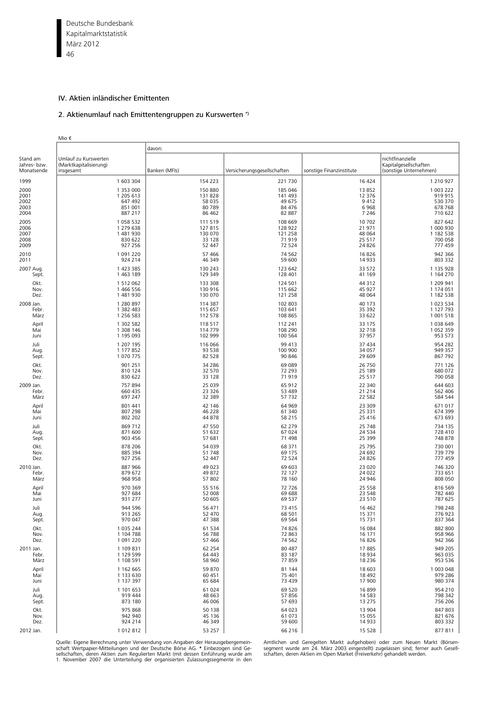Deutsche Bundesbank 46 Kapitalmarktstatistik März 2012

#### IV. Aktien inländischer Emittenten

# 2. Aktienumlauf nach Emittentengruppen zu Kurswerten \*)

|                                        | Mio €                                                       |               |                             |                          |                                                                     |  |  |  |
|----------------------------------------|-------------------------------------------------------------|---------------|-----------------------------|--------------------------|---------------------------------------------------------------------|--|--|--|
|                                        | davon:                                                      |               |                             |                          |                                                                     |  |  |  |
| Stand am<br>Jahres- bzw.<br>Monatsende | Umlauf zu Kurswerten<br>(Marktkapitalisierung)<br>insgesamt | Banken (MFIs) | Versicherungsgesellschaften | sonstige Finanzinstitute | nichtfinanzielle<br>Kapitalgesellschaften<br>(sonstige Unternehmen) |  |  |  |
| 1999                                   | 1 603 304                                                   | 154 223       | 221 730                     | 16 4 24                  | 1 210 927                                                           |  |  |  |
| 2000                                   | 1 353 000                                                   | 150 880       | 185 046                     | 13852                    | 1 003 222                                                           |  |  |  |
| 2001                                   | 1 205 613                                                   | 131 828       | 141 493                     | 12 376                   | 919 915                                                             |  |  |  |
| 2002                                   | 647 492                                                     | 58 035        | 49 675                      | 9412                     | 530 370                                                             |  |  |  |
| 2003                                   | 851 001                                                     | 80789         | 84 476                      | 6968                     | 678 768                                                             |  |  |  |
| 2004                                   | 887 217                                                     | 86 462        | 82 887                      | 7 2 4 6                  | 710 622                                                             |  |  |  |
| 2005                                   | 1058532                                                     | 111 519       | 108 669                     | 10 702                   | 827 642                                                             |  |  |  |
| 2006                                   | 1 279 638                                                   | 127815        | 128 922                     | 21 971                   | 1 000 930                                                           |  |  |  |
| 2007                                   | 1 481 930                                                   | 130 070       | 121 258                     | 48 064                   | 1 182 538                                                           |  |  |  |
| 2008                                   | 830 622                                                     | 33 128        | 71919                       | 25 517                   | 700 058                                                             |  |  |  |
| 2009                                   | 927 256                                                     | 52 447        | 72 524                      | 24 8 26                  | 777 459                                                             |  |  |  |
| 2010                                   | 1 091 220                                                   | 57 466        | 74 562                      | 16826                    | 942 366                                                             |  |  |  |
| 2011                                   | 924 214                                                     | 46 349        | 59 600                      | 14 9 33                  | 803 332                                                             |  |  |  |
| 2007 Aug.                              | 1 423 385                                                   | 130 243       | 123 642                     | 33 572                   | 1 135 928                                                           |  |  |  |
| Sept.                                  | 1 463 189                                                   | 129 349       | 128 401                     | 41 169                   | 1 164 270                                                           |  |  |  |
| Okt.                                   | 1 512 062                                                   | 133 308       | 124 501                     | 44 312                   | 1 209 941                                                           |  |  |  |
| Nov.                                   | 1 466 556                                                   | 130 916       | 115 662                     | 45 927                   | 1 174 051                                                           |  |  |  |
| Dez.                                   | 1 481 930                                                   | 130 070       | 121 258                     | 48 064                   | 1 182 538                                                           |  |  |  |
| 2008 Jan.                              | 1 280 897                                                   | 114 387       | 102 803                     | 40 173                   | 1 023 534                                                           |  |  |  |
| Febr.                                  | 1 382 483                                                   | 115 657       | 103 641                     | 35 392                   | 1 127 793                                                           |  |  |  |
| März                                   | 1 256 583                                                   | 112 578       | 108 865                     | 33 622                   | 1 001 518                                                           |  |  |  |
| April                                  | 1 302 582                                                   | 118 517       | 112 241                     | 33 175                   | 1 0 38 6 49                                                         |  |  |  |
| Mai                                    | 1 308 146                                                   | 114 779       | 108 290                     | 32 718                   | 1 0 5 2 3 5 9                                                       |  |  |  |
| Juni                                   | 1 195 093                                                   | 102 999       | 100 564                     | 37 957                   | 953 573                                                             |  |  |  |
| Juli                                   | 1 207 195                                                   | 116 066       | 99 413                      | 37 434                   | 954 282                                                             |  |  |  |
| Aug.                                   | 1 177 852                                                   | 93 538        | 100 900                     | 34 057                   | 949 357                                                             |  |  |  |
| Sept.                                  | 1 070 775                                                   | 82 528        | 90 846                      | 29 609                   | 867 792                                                             |  |  |  |
| Okt.                                   | 901 251                                                     | 34 286        | 69 089                      | 26 750                   | 771 126                                                             |  |  |  |
| Nov.                                   | 810 124                                                     | 32 570        | 72 293                      | 25 189                   | 680 072                                                             |  |  |  |
| Dez.                                   | 830 622                                                     | 33 128        | 71919                       | 25 517                   | 700 058                                                             |  |  |  |
| 2009 Jan.                              | 757 894                                                     | 25 039        | 65 912                      | 22 340                   | 644 603                                                             |  |  |  |
| Febr.                                  | 660 435                                                     | 23 3 26       | 53 489                      | 21 214                   | 562 406                                                             |  |  |  |
| März                                   | 697 247                                                     | 32 389        | 57 732                      | 22 582                   | 584 544                                                             |  |  |  |
| April                                  | 801 441                                                     | 42 146        | 64 969                      | 23 309                   | 671 017                                                             |  |  |  |
| Mai                                    | 807 298                                                     | 46 228        | 61 340                      | 25 3 31                  | 674 399                                                             |  |  |  |
| Juni                                   | 802 202                                                     | 44 878        | 58 215                      | 25 4 16                  | 673 693                                                             |  |  |  |
| Juli                                   | 869 712                                                     | 47 550        | 62 279                      | 25 748                   | 734 135                                                             |  |  |  |
| Aug.                                   | 871 600                                                     | 51 632        | 67 024                      | 24 5 34                  | 728 410                                                             |  |  |  |
| Sept.                                  | 903 456                                                     | 57 681        | 71 498                      | 25 399                   | 748 878                                                             |  |  |  |
| Okt.                                   | 878 206                                                     | 54 039        | 68 371                      | 25 795                   | 730 001                                                             |  |  |  |
| Nov.                                   | 885 394                                                     | 51 748        | 69 175                      | 24 692                   | 739 779                                                             |  |  |  |
| Dez.                                   | 927 256                                                     | 52 447        | 72 524                      | 24 8 26                  | 777 459                                                             |  |  |  |
| 2010 Jan.                              | 887 966                                                     | 49 0 23       | 69 603                      | 23 0 20                  | 746 320                                                             |  |  |  |
| Febr.                                  | 879 672                                                     | 49 872        | 72 127                      | 24 0 22                  | 733 651                                                             |  |  |  |
| März                                   | 968 958                                                     | 57 802        | 78 160                      | 24 946                   | 808 050                                                             |  |  |  |
| April                                  | 970 369                                                     | 55 516        | 72 726                      | 25 5 5 8                 | 816 569                                                             |  |  |  |
| Mai                                    | 927 684                                                     | 52 008        | 69 688                      | 23 548                   | 782 440                                                             |  |  |  |
| Juni                                   | 931 277                                                     | 50 605        | 69 537                      | 23 510                   | 787 625                                                             |  |  |  |
| Juli                                   | 944 596                                                     | 56 471        | 73 415                      | 16 4 62                  | 798 248                                                             |  |  |  |
| Aug.                                   | 913 265                                                     | 52 470        | 68 501                      | 15 371                   | 776 923                                                             |  |  |  |
| Sept.                                  | 970 047                                                     | 47 388        | 69 5 64                     | 15 7 31                  | 837 364                                                             |  |  |  |
| Okt.                                   | 1 0 3 5 2 4 4                                               | 61 534        | 74 826                      | 16 084                   | 882 800                                                             |  |  |  |
| Nov.                                   | 1 104 788                                                   | 56 788        | 72 863                      | 16 171                   | 958 966                                                             |  |  |  |
| Dez.                                   | 1 091 220                                                   | 57 466        | 74 562                      | 16826                    | 942 366                                                             |  |  |  |
| 2011 Jan.                              | 1 109 831                                                   | 62 254        | 80 487                      | 17885                    | 949 205                                                             |  |  |  |
| Febr.                                  | 1 129 599                                                   | 64 443        | 83 187                      | 18 9 34                  | 963 035                                                             |  |  |  |
| März                                   | 1 108 591                                                   | 58 960        | 77859                       | 18 2 36                  | 953 536                                                             |  |  |  |
| April                                  | 1 162 665                                                   | 59 870        | 81 144                      | 18 603                   | 1 003 048                                                           |  |  |  |
| Mai                                    | 1 133 630                                                   | 60 451        | 75 401                      | 18 4 92                  | 979 286                                                             |  |  |  |
| Juni                                   | 1 137 397                                                   | 65 684        | 73 439                      | 17 900                   | 980 374                                                             |  |  |  |
| Juli                                   | 1 101 653                                                   | 61 024        | 69 5 20                     | 16 899                   | 954 210                                                             |  |  |  |
| Aug.                                   | 919 444                                                     | 48 663        | 57856                       | 14 5 83                  | 798 342                                                             |  |  |  |
| Sept.                                  | 873 180                                                     | 46 006        | 57 693                      | 13 275                   | 756 206                                                             |  |  |  |
| Okt.                                   | 975 868                                                     | 50 138        | 64 023                      | 13 904                   | 847 803                                                             |  |  |  |
| Nov.                                   | 942 940                                                     | 45 136        | 61 073                      | 15 0 55                  | 821 676                                                             |  |  |  |
| Dez.                                   | 924 214                                                     | 46 349        | 59 600                      | 14 933                   | 803 332                                                             |  |  |  |
| 2012 Jan.                              | 1 012 812                                                   | 53 257        | 66 216                      | 15 5 28                  | 877811                                                              |  |  |  |

Quelle: Eigene Berechnung unter Verwendung von Angaben der Herausgebergemein- Amtlichen und Geregelten Markt aufgehoben) oder zum Neuen Markt (Börsen-<br>schaft Wertpapier-Mitteilungen und der Deutsche Börse Einfeinderung wur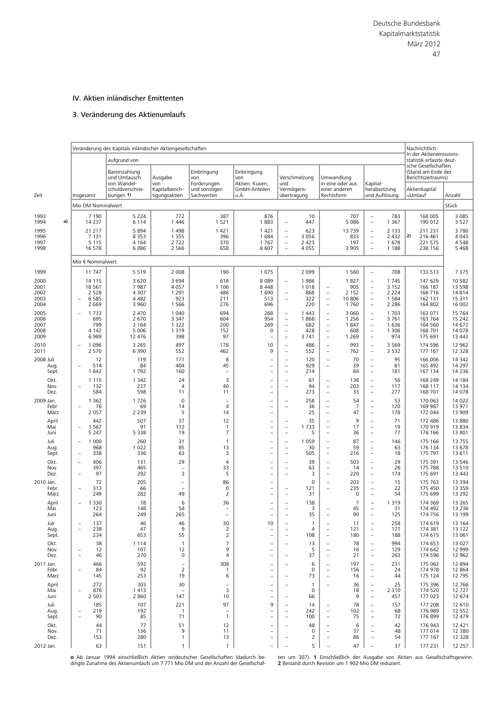### IV. Aktien inländischer Emittenten

# 3. Veränderung des Aktienumlaufs

|                                      |                                                                      | Veränderung des Kapitals inländischer Aktiengesellschaften |                                                            |                                                |                                                                                  |                                                                                                                   |                                       |                                                                                                                                |                                              |                                                                                  |                                              |    | Nachrichtlich:<br>In der Aktienemissions-                                                   |                                                  |
|--------------------------------------|----------------------------------------------------------------------|------------------------------------------------------------|------------------------------------------------------------|------------------------------------------------|----------------------------------------------------------------------------------|-------------------------------------------------------------------------------------------------------------------|---------------------------------------|--------------------------------------------------------------------------------------------------------------------------------|----------------------------------------------|----------------------------------------------------------------------------------|----------------------------------------------|----|---------------------------------------------------------------------------------------------|--------------------------------------------------|
|                                      |                                                                      | aufgrund von<br>Bareinzahlung<br>und Umtausch              | Ausgabe                                                    | Einbringung<br>von                             | Einbringung<br>von                                                               |                                                                                                                   | Verschmelzung                         | Umwandlung                                                                                                                     |                                              |                                                                                  |                                              |    | statistik erfasste deut-<br>sche Gesellschaften<br>(Stand am Ende des<br>Berichtszeitraums) |                                                  |
| Zeit                                 | Insgesamt                                                            | von Wandel-<br>schuldverschrei-<br>bungen 1)               | von<br>Kapitalberich-<br>tigungsaktien                     | Forderungen<br>und sonstigen<br>Sachwerten     | Aktien, Kuxen,<br>GmbH-Anteilen<br>u.Ä.                                          | und<br>Vermögens-<br>übertragung                                                                                  |                                       | in eine oder aus<br>einer anderen<br>Rechtsform                                                                                |                                              | Kapital-<br>herabsetzung<br>und Auflösung                                        |                                              |    | Aktienkapital<br>=Umlauf                                                                    | Anzahl                                           |
|                                      | Mio DM Nominalwert                                                   |                                                            |                                                            |                                                |                                                                                  |                                                                                                                   |                                       |                                                                                                                                |                                              |                                                                                  |                                              |    |                                                                                             | Stück                                            |
| 1993<br>o)<br>1994                   | 7 1 9 0<br>14 2 3 7                                                  | 5 2 2 4<br>6 1 1 4                                         | 772<br>1 4 4 6                                             | 387<br>1521                                    | 876<br>1883                                                                      | $\overline{\phantom{m}}$                                                                                          | 10<br>447                             |                                                                                                                                | 707<br>5 0 8 6                               | $\overline{\phantom{0}}$                                                         | 783<br>1 3 6 7                               |    | 168 005<br>190 012                                                                          | 3 0 8 5<br>3 5 2 7                               |
| 1995<br>1996<br>1997                 | 21 217<br>7 1 3 1<br>5 1 1 5                                         | 5894<br>8 3 5 3<br>4 1 6 4                                 | 1 4 9 8<br>1 3 5 5<br>2 7 2 2                              | 1 4 2 1<br>396<br>370                          | 1 4 2 1<br>1684<br>1767                                                          | $\overline{\phantom{a}}$<br>$\overline{\phantom{a}}$<br>$\overline{\phantom{a}}$                                  | 623<br>3 0 5 6<br>2 4 2 3             |                                                                                                                                | 13 739<br>833<br>197                         | Ĭ.<br>Ĭ.<br>$\qquad \qquad -$                                                    | 2 1 3 3<br>2 4 3 2<br>1678                   | 2) | 211 231<br>216 461<br>221 575                                                               | 3780<br>4 0 4 3<br>4548                          |
| 1998                                 | 16 578                                                               | 6 0 8 6                                                    | 2 5 6 6                                                    | 658                                            | 8607                                                                             | $\equiv$                                                                                                          | 4 0 5 5                               |                                                                                                                                | 3 9 0 5                                      | L,                                                                               | 1 1 8 8                                      |    | 238 156                                                                                     | 5 4 6 8                                          |
|                                      | Mio € Nominalwert                                                    |                                                            |                                                            |                                                |                                                                                  |                                                                                                                   |                                       |                                                                                                                                |                                              |                                                                                  |                                              |    |                                                                                             |                                                  |
| 1999<br>2000                         | 11 747<br>14 115                                                     | 5 5 1 9<br>3 6 2 0                                         | 2 0 0 8<br>3 6 9 4                                         | 190<br>618                                     | 1 0 7 5<br>8 0 8 9                                                               | $\overline{\phantom{a}}$                                                                                          | 2 0 9 9<br>1986                       |                                                                                                                                | 1 5 6 0<br>1827                              | Ĭ.<br>÷,                                                                         | 708<br>1 7 4 5                               |    | 133 513<br>147 629                                                                          | 7 3 7 5<br>10 582                                |
| 2001<br>2002<br>2003<br>2004         | 18 5 61<br>2 5 2 8<br>6 5 8 5<br>$\overline{\phantom{0}}$<br>2 6 6 9 | 7987<br>4 3 0 7<br>4 4 8 2<br>3 9 6 0                      | 4 0 5 7<br>1 2 9 1<br>923<br>1 5 6 6                       | 1 1 0 6<br>486<br>211<br>276                   | 8 4 4 8<br>1690<br>513<br>696                                                    | $\overline{\phantom{a}}$<br>$\overline{\phantom{a}}$                                                              | 1018<br>868<br>322<br>220             | $\qquad \qquad -$<br>$\qquad \qquad -$<br>$\overline{\phantom{0}}$<br>$\overline{\phantom{a}}$                                 | 905<br>2 1 5 2<br>10 806<br>1760             | ÷,<br>$\qquad \qquad -$<br>÷,<br>$\overline{\phantom{m}}$                        | 3 1 5 2<br>2 2 2 4<br>1 5 8 4<br>2 2 8 6     |    | 166 187<br>168 716<br>162 131<br>164 802                                                    | 13 5 98<br>14814<br>15 311<br>16 002             |
| 2005<br>2006<br>2007<br>2008<br>2009 | 1733<br>L.<br>695<br>799<br>4 1 4 2<br>6989                          | 2 4 7 0<br>2 6 7 0<br>3 1 6 4<br>5 0 0 6<br>12 476         | 1 0 4 0<br>3 3 4 7<br>1 3 2 2<br>1 3 1 9<br>398            | 694<br>604<br>200<br>152<br>97                 | 268<br>954<br>269<br>0<br>$\overline{\phantom{a}}$                               | $\overline{\phantom{a}}$<br>$\overline{\phantom{a}}$<br>$\overline{\phantom{m}}$<br>$\qquad \qquad -$<br>$\equiv$ | 1 4 4 3<br>1868<br>682<br>428<br>3741 | $\overline{\phantom{0}}$<br>$\overline{\phantom{a}}$<br>$\overline{a}$<br>$\overline{\phantom{a}}$<br>$\overline{\phantom{0}}$ | 3 0 6 0<br>1 2 5 6<br>1847<br>608<br>1 2 6 9 | $\overline{\phantom{0}}$<br>L,<br>÷,<br>Ĭ.<br>L,                                 | 1 7 0 3<br>3 7 6 1<br>1636<br>1 3 0 6<br>974 |    | 163 071<br>163 764<br>164 560<br>168 701<br>175 691                                         | 15 7 64<br>15 242<br>14 672<br>14 078<br>13 4 43 |
| 2010<br>2011                         | 1 0 9 6<br>$\overline{\phantom{0}}$<br>2 5 7 0                       | 3 2 6 5<br>6 3 9 0                                         | 497<br>552                                                 | 178<br>462                                     | 10<br>9                                                                          | $\overline{\phantom{a}}$<br>$\qquad \qquad -$                                                                     | 486<br>552                            | $\overline{\phantom{a}}$<br>$\qquad \qquad -$                                                                                  | 993<br>762                                   | $\qquad \qquad -$<br>Ĭ.                                                          | 3 5 6 9<br>3 5 3 2                           |    | 174 596<br>177 167                                                                          | 12 962<br>12 3 28                                |
| 2008 Juli<br>Aug.<br>Sept.           | 12<br>514<br>$\overline{\phantom{a}}$<br>1 642                       | 119<br>84<br>1792                                          | 171<br>404<br>160                                          | 8<br>45<br>L,                                  | $\qquad \qquad -$<br>$\overline{\phantom{0}}$<br>$\overline{\phantom{m}}$        | $\qquad \qquad -$<br>$\overline{\phantom{a}}$<br>$\equiv$                                                         | 120<br>929<br>214                     | $\overline{\phantom{0}}$<br>$\qquad \qquad -$                                                                                  | 70<br>39<br>84                               | ÷,<br>Ĭ.<br>L,                                                                   | 95<br>81<br>181                              |    | 166 006<br>165 492<br>167 134                                                               | 14 342<br>14 297<br>14 2 36                      |
| Okt.<br>Nov.<br>Dez.                 | 1 1 1 5<br>132<br>L,<br>584                                          | 1 3 4 2<br>237<br>598                                      | 24<br>$\overline{4}$<br>11                                 | 3<br>40<br>11                                  | $\overline{\phantom{0}}$<br>$\qquad \qquad -$<br>$\overline{\phantom{0}}$        | $\overline{\phantom{0}}$<br>$\overline{\phantom{0}}$                                                              | 61<br>94<br>273                       | $\overline{\phantom{0}}$<br>$\qquad \qquad -$<br>$\qquad \qquad -$                                                             | 136<br>203<br>33                             | $\qquad \qquad -$<br>Ĭ.<br>Ĭ.                                                    | 56<br>117<br>277                             |    | 168 249<br>168 117<br>168 701                                                               | 14 184<br>14 134<br>14 0 78                      |
| 2009 Jan.<br>Febr.<br>März           | 1 3 6 2<br>76<br>2 0 5 7                                             | 1726<br>69<br>2 2 3 9                                      | $\mathbf 0$<br>14<br>5                                     | $\equiv$<br>$\overline{4}$<br>14               | $\overline{\phantom{0}}$<br>$\qquad \qquad -$<br>$\overline{\phantom{a}}$        | $\overline{\phantom{0}}$<br>$\overline{\phantom{a}}$                                                              | 258<br>36<br>25                       | $\overline{\phantom{a}}$<br>$\overline{\phantom{0}}$<br>$\overline{a}$                                                         | 54<br>$\overline{7}$<br>47                   | $\qquad \qquad -$<br>Ĭ.<br>L,                                                    | 53<br>120<br>178                             |    | 170 063<br>169 987<br>172 044                                                               | 14 0 22<br>13 971<br>13 909                      |
| April<br>Mai<br>Juni                 | 442<br>1 5 6 7<br>$\overline{\phantom{0}}$<br>5 2 4 7                | 507<br>91<br>5 3 3 8                                       | 37<br>112<br>19                                            | 12<br>$\mathbf{1}$<br>$\overline{7}$           | $\qquad \qquad -$<br>$\overline{\phantom{a}}$<br>$\overline{\phantom{0}}$        | $\overline{\phantom{0}}$<br>$\qquad \qquad -$<br>$\overline{\phantom{0}}$                                         | 35<br>1733<br>5                       | $\qquad \qquad -$<br>$\overline{\phantom{0}}$<br>$\overline{\phantom{0}}$                                                      | 9<br>17<br>36                                | Ĭ.<br>$\qquad \qquad -$<br>$\overline{\phantom{a}}$                              | 71<br>19<br>77                               |    | 172 486<br>170 919<br>176 166                                                               | 13 880<br>13 8 34<br>13 801                      |
| Juli<br>Aug.<br>Sept.                | 1 0 0 0<br>L,<br>968<br>338<br>$\overline{\phantom{0}}$              | 260<br>1 0 2 2<br>336                                      | 31<br>85<br>63                                             | $\mathbf{1}$<br>13<br>3                        | $\qquad \qquad -$<br>$\overline{\phantom{0}}$<br>$\overline{\phantom{0}}$        | $\qquad \qquad -$<br>$\overline{\phantom{0}}$<br>$\equiv$                                                         | 1 0 5 9<br>30<br>505                  | $\overline{\phantom{0}}$<br>$\overline{\phantom{0}}$<br>$\overline{\phantom{0}}$                                               | 87<br>59<br>216                              | $\qquad \qquad -$<br>$\overline{\phantom{0}}$<br>$\overline{\phantom{0}}$        | 146<br>63<br>18                              |    | 175 166<br>176 134<br>175 797                                                               | 13 7 55<br>13 678<br>13 611                      |
| Okt.<br>Nov.<br>Dez.                 | 406<br>L,<br>397<br>97<br>$\overline{\phantom{a}}$                   | 131<br>465<br>292                                          | 29<br>$\overline{\phantom{0}}$<br>3                        | 4<br>33<br>5                                   | $\qquad \qquad -$<br>$\overline{\phantom{0}}$<br>$\overline{\phantom{0}}$        | $\overline{\phantom{0}}$<br>$\overline{\phantom{0}}$<br>$\overline{\phantom{a}}$                                  | 39<br>63<br>3                         | $\qquad \qquad -$<br>$\overline{\phantom{a}}$<br>$\qquad \qquad -$                                                             | 503<br>14<br>220                             | $\qquad \qquad -$<br>$\overline{\phantom{0}}$<br>$\overline{\phantom{0}}$        | 29<br>26<br>174                              |    | 175 391<br>175 788<br>175 691                                                               | 13 546<br>13510<br>13 4 43                       |
| 2010 Jan.<br>Febr.<br>März           | 72<br>313<br>$\overline{\phantom{0}}$<br>249                         | 205<br>66<br>282                                           | $\overline{\phantom{0}}$<br>$\overline{\phantom{0}}$<br>49 | 86<br>0<br>2                                   | $\overline{\phantom{0}}$<br>$\overline{\phantom{0}}$<br>$\overline{\phantom{0}}$ | $\overline{\phantom{0}}$<br>$\overline{\phantom{a}}$                                                              | $\mathbf 0$<br>121<br>31              | $\qquad \qquad -$<br>$\overline{\phantom{a}}$                                                                                  | 203<br>235<br>0                              | $\overline{\phantom{0}}$<br>$\overline{\phantom{0}}$<br>L,                       | 15<br>22<br>54                               |    | 175 763<br>175 450<br>175 699                                                               | 13 3 94<br>13 3 5 9<br>13 29 2                   |
| April<br>Mai<br>Juni                 | 1 3 3 0<br>123<br>264                                                | 78<br>148<br>249                                           | 6<br>54<br>265                                             | 36                                             | -<br>$\overline{\phantom{0}}$                                                    | $\equiv$                                                                                                          | 138<br>3<br>35                        |                                                                                                                                | $\overline{7}$<br>45<br>90                   | $\overline{\phantom{a}}$<br>$\overline{\phantom{0}}$                             | 1 3 1 9<br>31<br>125                         |    | 174 369<br>174 492<br>174 756                                                               | 13 2 65<br>13 2 36<br>13 199                     |
| Juli<br>Aug.<br>Sept.                | 137<br>$\overline{\phantom{0}}$<br>238<br>L,<br>234                  | 46<br>47<br>653                                            | 46<br>9<br>55                                              | 30<br>$\overline{2}$<br>$\overline{2}$         | 10<br>$\overline{\phantom{0}}$<br>$\overline{\phantom{a}}$                       | $\overline{\phantom{0}}$<br>$\qquad \qquad -$<br>$\overline{\phantom{a}}$                                         | $\overline{1}$<br>4<br>108            | $\overline{\phantom{0}}$<br>$\overline{\phantom{0}}$<br>$\overline{\phantom{m}}$                                               | 11<br>121<br>180                             | $\qquad \qquad -$<br>$\overline{\phantom{0}}$<br>$\overline{a}$                  | 258<br>171<br>188                            |    | 174 619<br>174 381<br>174 615                                                               | 13 164<br>13 122<br>13 061                       |
| Okt.<br>Nov.<br>Dez.                 | 38<br>12<br>-<br>46<br>L,                                            | 1 1 1 4<br>107<br>270                                      | $\mathbf{1}$<br>12<br>0                                    | $\overline{7}$<br>9<br>4                       | $\qquad \qquad -$<br>$\qquad \qquad -$<br>$\qquad \qquad -$                      |                                                                                                                   | 13<br>5<br>37                         | $\overline{\phantom{0}}$<br>$\overline{\phantom{0}}$<br>$\overline{\phantom{0}}$                                               | 78<br>16<br>21                               | $\qquad \qquad -$<br>$\overline{\phantom{0}}$<br>$\overline{\phantom{0}}$        | 994<br>129<br>263                            |    | 174 653<br>174 642<br>174 596                                                               | 13 0 27<br>12 999<br>12 962                      |
| 2011 Jan.<br>Febr.<br>März           | 466<br>84<br>L,<br>145                                               | 592<br>92<br>253                                           | $\overline{2}$<br>19                                       | 308<br>1<br>6                                  | $\qquad \qquad -$<br>$\overline{\phantom{a}}$<br>$\overline{\phantom{a}}$        | $\equiv$                                                                                                          | 6<br>0<br>73                          | $\overline{\phantom{0}}$<br>$\overline{\phantom{a}}$<br>$\overline{\phantom{0}}$                                               | 197<br>156<br>16                             | $\overline{\phantom{0}}$<br>$\overline{\phantom{0}}$<br>$\overline{\phantom{0}}$ | 231<br>24<br>44                              |    | 175 062<br>174 978<br>175 124                                                               | 12 894<br>12 864<br>12 795                       |
| April<br>Mai<br>Juni                 | 272<br>876<br>L,<br>2 5 0 3                                          | 303<br>1 4 1 3<br>2860                                     | 30<br>$\overline{\phantom{a}}$<br>147                      | $\overline{\phantom{0}}$<br>3<br>10            | $\qquad \qquad -$<br>$\overline{\phantom{a}}$<br>$\overline{\phantom{0}}$        | $\equiv$<br>$\overline{\phantom{0}}$                                                                              | $\mathbf{1}$<br>0<br>66               | $\overline{\phantom{0}}$                                                                                                       | 36<br>18<br>9                                | $\qquad \qquad -$<br>$\overline{\phantom{0}}$<br>$\qquad \qquad -$               | 25<br>2 3 1 0<br>457                         |    | 175 396<br>174 520<br>177 023                                                               | 12 766<br>12727<br>12 674                        |
| Juli<br>Aug.<br>Sept.                | 185<br>219<br>$\overline{\phantom{0}}$<br>90                         | 107<br>192<br>85                                           | 221<br>$\overline{1}$<br>71                                | 97<br>$\overline{\phantom{0}}$<br>$\mathbf{1}$ | 9<br>$\overline{\phantom{a}}$<br>$\equiv$                                        | $\qquad \qquad -$<br>$\qquad \qquad -$<br>$\overline{\phantom{a}}$                                                | 14<br>242<br>100                      | -<br>$\overline{\phantom{a}}$<br>$\overline{\phantom{0}}$                                                                      | 78<br>102<br>75                              | $\qquad \qquad -$<br>$\overline{a}$<br>$\overline{\phantom{0}}$                  | 157<br>68<br>72                              |    | 177 208<br>176 989<br>176 899                                                               | 12 610<br>12 5 52<br>12 479                      |
| Okt.<br>Nov.<br>Dez.                 | 44<br>71<br>153                                                      | 77<br>136<br>280                                           | 51<br>9<br>$\mathbf{1}$                                    | 12<br>11<br>13                                 | $\qquad \qquad -$<br>$\overline{\phantom{0}}$<br>-                               | $\overline{\phantom{0}}$                                                                                          | 48<br>0<br>2                          | $\overline{\phantom{0}}$<br>$\overline{\phantom{0}}$<br>$\overline{\phantom{0}}$                                               | 6<br>37<br>86                                | $\overline{\phantom{0}}$<br>$\qquad \qquad -$<br>$\overline{\phantom{0}}$        | 42<br>48<br>54                               |    | 176 943<br>177 014<br>177 167                                                               | 12 4 21<br>12 380<br>12 3 28                     |
| 2012 Jan.                            | 63                                                                   | 151                                                        | 1                                                          | $\mathbf{1}$                                   |                                                                                  |                                                                                                                   | 5                                     |                                                                                                                                | 47                                           | $\overline{\phantom{0}}$                                                         | 37                                           |    | 177 231                                                                                     | 12 257                                           |

**o** Ab Januar 1994 einschließlich Aktien ostdeutscher Gesellschaften (dadurch be-<br>dingte Zunahme des Aktienumlaufs um 7 771 Mio DM und der Anzahl der Gesellschaf-

ten um 307). 1 Einschließlich der Ausgabe von Aktien aus Gesellschaftsgewinn.<br>2 Bestand durch Revision um 1 902 Mio DM reduziert.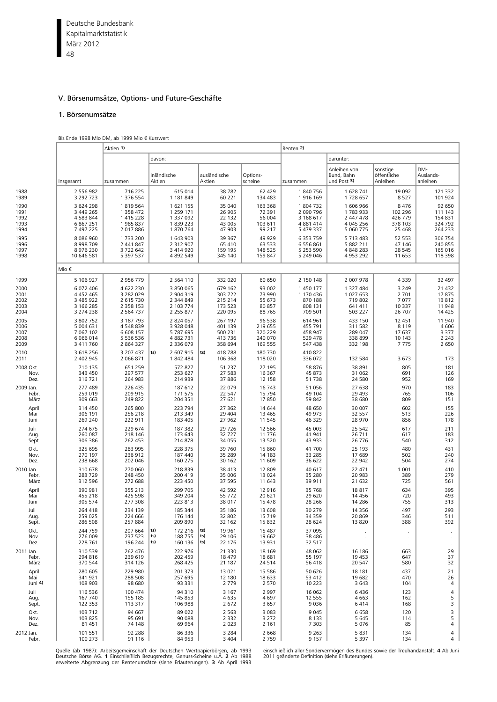Deutsche Bundesbank 48 Kapitalmarktstatistik März 2012

# V. Börsenumsätze, Options- und Future-Geschäfte

#### 1. Börsenumsätze

Bis Ende 1998 Mio DM, ab 1999 Mio € Kurswert

|                      |                               | Aktien 1)                     |                                                    |                                                  |                            | Renten 2)                   |                                           |                                     |                              |  |
|----------------------|-------------------------------|-------------------------------|----------------------------------------------------|--------------------------------------------------|----------------------------|-----------------------------|-------------------------------------------|-------------------------------------|------------------------------|--|
|                      |                               |                               | davon:                                             |                                                  |                            | darunter:                   |                                           |                                     |                              |  |
|                      | Insgesamt                     | zusammen                      | inländische<br>Aktien                              | ausländische<br>Aktien                           | Options-<br>scheine        | zusammen                    | Anleihen von<br>Bund, Bahn<br>und Post 3) | sonstige<br>öffentliche<br>Anleihen | DM-<br>Auslands-<br>anleihen |  |
| 1988                 | 2 556 982                     | 716 225                       | 615 014                                            | 38782                                            | 62 429                     | 1840756                     | 1 628 741                                 | 19 092                              | 121 332                      |  |
| 1989                 | 3 292 723                     | 1 376 554                     | 1 181 849                                          | 60 221                                           | 134 483                    | 1916 169                    | 1728 657                                  | 8527                                | 101 924                      |  |
| 1990                 | 3 624 298                     | 1819564                       | 1 621 155                                          | 35 040                                           | 163 368                    | 1804732                     | 1606966                                   | 8 4 7 6                             | 92 650                       |  |
| 1991                 | 3 449 265                     | 1 358 472                     | 1 259 171                                          | 26 905                                           | 72 391                     | 2 090 796                   | 1783933                                   | 102 296                             | 111 143                      |  |
| 1992                 | 4 583 844                     | 1 415 228                     | 1 337 092                                          | 22 132                                           | 56 004                     | 3 168 617                   | 2 447 478                                 | 426 779                             | 154 831                      |  |
| 1993                 | 6 867 251                     | 1985837                       | 1839223                                            | 43 005                                           | 103 611                    | 4881414                     | 4 045 256                                 | 378 103                             | 324 792                      |  |
| 1994                 | 7 497 225                     | 2017886                       | 1870764                                            | 47 903                                           | 99 217                     | 5 479 337                   | 5 060 775                                 | 25 4 68                             | 264 233                      |  |
| 1995                 | 8 086 960                     | 1733 200                      | 1 643 903                                          | 39 367                                           | 49 929                     | 6 3 5 7 7 5 9               | 5 713 483                                 | 52 553                              | 306 754                      |  |
| 1996                 | 8 998 709                     | 2 441 847                     | 2 312 907                                          | 65 410                                           | 63 533                     | 6 556 861                   | 5 882 211                                 | 47 146                              | 240 855                      |  |
| 1997                 | 8 976 230                     | 3722642                       | 3 414 920                                          | 159 195                                          | 148 525                    | 5 2 5 5 5 9 0               | 4 848 283                                 | 28 545                              | 165 016                      |  |
| 1998                 | 10 646 581                    | 5 397 537                     | 4 892 549                                          | 345 140                                          | 159 847                    | 5 249 046                   | 4 9 53 2 92                               | 11 653                              | 118 398                      |  |
|                      | Mio €                         |                               |                                                    |                                                  |                            |                             |                                           |                                     |                              |  |
| 1999                 | 5 106 927                     | 2 956 779                     | 2 5 6 4 1 1 0                                      | 332 020                                          | 60 650                     | 2 150 148                   | 2 007 978                                 | 4 3 3 9                             | 32 497                       |  |
| 2000                 | 6 072 406                     | 4 622 230                     | 3 850 065                                          | 679 162                                          | 93 002                     | 1 450 177                   | 1 327 484                                 | 3 2 4 9                             | 21 4 32                      |  |
| 2001                 | 4 452 465                     | 3 2 8 2 0 2 9                 | 2 904 319                                          | 303 722                                          | 73 990                     | 1 170 436                   | 1 027 653                                 | 2 7 0 1                             | 17875                        |  |
| 2002                 | 3 485 922                     | 2 615 730                     | 2 344 849                                          | 215 214                                          | 55 673                     | 870 188                     | 719 802                                   | 7077                                | 13812                        |  |
| 2003                 | 3 166 285                     | 2 3 5 8 1 5 3                 | 2 103 774                                          | 173 523                                          | 80 857                     | 808 131                     | 641 411                                   | 10 337                              | 11 948                       |  |
| 2004                 | 3 274 238                     | 2 5 6 4 7 3 7                 | 2 2 5 8 7 7                                        | 220 095                                          | 88 765                     | 709 501                     | 503 227                                   | 26 707                              | 14 4 25                      |  |
| 2005                 | 3 802 752                     | 3 187 793                     | 2 824 057                                          | 267 197                                          | 96 538                     | 614 961                     | 433 150                                   | 12 451                              | 11 940                       |  |
| 2006                 | 5 004 631                     | 4548839                       | 3 928 048                                          | 401 139                                          | 219 655                    | 455 791                     | 311 582                                   | 8 1 1 9                             | 4 60 6                       |  |
| 2007                 | 7 067 102                     | 6 608 157                     | 5 787 695                                          | 500 231                                          | 320 229                    | 458 947                     | 289 047                                   | 17 637                              | 3 3 7 7                      |  |
| 2008                 | 6 066 014                     | 5 536 536                     | 4 882 731                                          | 413 736                                          | 240 070                    | 529 478                     | 338 899                                   | 10 143                              | 2 2 4 3                      |  |
| 2009                 | 3 411 760                     | 2 864 327                     | 2 336 079                                          | 358 694                                          | 169 555                    | 547 438                     | 332 198                                   | 7775                                | 2 650                        |  |
| 2010<br>2011         | 3 618 256<br>2 402 945        | 3 207 437<br>2 066 871        | ts)<br>2 607 915<br>1842484                        | ts)<br>418788<br>106 368                         | 180 730<br>118 020         | 410 822<br>336 072          | 132 584                                   | 3 673                               | 173                          |  |
| 2008 Okt.            | 710 135                       | 651 259                       | 572 827                                            | 51 237                                           | 27 195                     | 58 876                      | 38 891                                    | 805                                 | 181                          |  |
| Nov.                 | 343 450                       | 297 577                       | 253 627                                            | 27 583                                           | 16 367                     | 45 873                      | 31 062                                    | 691                                 | 126                          |  |
| Dez.                 | 316 721                       | 264 983                       | 214 939                                            | 37886                                            | 12 158                     | 51738                       | 24 580                                    | 952                                 | 169                          |  |
| 2009 Jan.            | 277 489                       | 226 435                       | 187 612                                            | 22 079                                           | 16743                      | 51 056                      | 27 638                                    | 970                                 | 183                          |  |
| Febr.                | 259 019                       | 209 915                       | 171 575                                            | 22 547                                           | 15 7 9 4                   | 49 104                      | 29 4 93                                   | 765                                 | 106                          |  |
| März                 | 309 663                       | 249 822                       | 204 351                                            | 27 621                                           | 17850                      | 59 842                      | 38 680                                    | 809                                 | 151                          |  |
| April                | 314 450                       | 265 800                       | 223 794                                            | 27 362                                           | 14 644                     | 48 650                      | 30 007                                    | 602                                 | 155                          |  |
| Mai                  | 306 191                       | 256 218                       | 213 349                                            | 29 4 04                                          | 13 4 65                    | 49 973                      | 32 557                                    | 513                                 | 226                          |  |
| Juni                 | 269 240                       | 222 911                       | 183 405                                            | 27 962                                           | 11 545                     | 46 329                      | 28 970                                    | 856                                 | 178                          |  |
| Juli                 | 274 675                       | 229 674                       | 187 382                                            | 29 7 26                                          | 12 5 6 6                   | 45 003                      | 25 542                                    | 617                                 | 211                          |  |
| Aug                  | 260 087                       | 218 146                       | 173 643                                            | 32 727                                           | 11 776                     | 41 941                      | 26 711                                    | 617                                 | 183                          |  |
| Sept.                | 306 386                       | 262 453                       | 214 878                                            | 34 055                                           | 13 5 20                    | 43 933                      | 26 776                                    | 540                                 | 312                          |  |
| Okt.                 | 325 695                       | 283 995                       | 228 375                                            | 39 760                                           | 15 860                     | 41 700                      | 25 193                                    | 480                                 | 431                          |  |
| Nov.                 | 270 197                       | 236 912                       | 187 440                                            | 35 289                                           | 14 183                     | 33 285                      | 17 689                                    | 502                                 | 240                          |  |
| Dez.                 | 238 668                       | 202 046                       | 160 275                                            | 30 162                                           | 11 609                     | 36 622                      | 22 942                                    | 504                                 | 274                          |  |
| 2010 Jan.            | 310 678                       | 270 060                       | 218 839                                            | 38 413                                           | 12 809                     | 40 617                      | 22 471                                    | 1 0 0 1                             | 410                          |  |
| Febr.                | 283 729                       | 248 450                       | 200 419                                            | 35 006                                           | 13 0 24                    | 35 280                      | 20 983                                    | 389                                 | 279                          |  |
| März                 | 312 596                       | 272 688                       | 223 450                                            | 37 595                                           | 11 643                     | 39 911                      | 21 632                                    | 725                                 | 561                          |  |
| April                | 390 981                       | 355 213                       | 299 705                                            | 42 5 92                                          | 12 916                     | 35 768                      | 18817                                     | 634                                 | 395                          |  |
| Mai                  | 455 218                       | 425 598                       | 349 204                                            | 55 772                                           | 20 621                     | 29 620                      | 14 4 5 6                                  | 720                                 | 493                          |  |
| Juni                 | 305 574                       | 277 308                       | 223 813                                            | 38 017                                           | 15 478                     | 28 266                      | 14 2 8 6                                  | 755                                 | 313                          |  |
| Juli                 | 264 418                       | 234 139                       | 185 344                                            | 35 186                                           | 13 608                     | 30 279                      | 14 3 5 6                                  | 497                                 | 293                          |  |
| Aug.                 | 259 025                       | 224 666                       | 176 144                                            | 32 802                                           | 15 7 19                    | 34 359                      | 20 869                                    | 346                                 | 511                          |  |
| Sept.                | 286 508                       | 257884                        | 209 890                                            | 32 162                                           | 15 8 32                    | 28 624                      | 13 8 20                                   | 388                                 | 392                          |  |
| Okt.<br>Nov.<br>Dez. | 244 759<br>276 009<br>228 761 | 207 664<br>237 523<br>196 244 | 172 216<br>ts)<br>ts)<br>188 755<br>ts)<br>160 136 | 19 961<br>ts)<br>29 10 6<br>ts)<br>ts)<br>22 176 | 15 487<br>19 662<br>13 931 | 37 095<br>38 4 86<br>32 517 | $\cdot$                                   | $\cdot$<br>$\cdot$                  |                              |  |
| 2011 Jan.            | 310 539                       | 262 476                       | 222 976                                            | 21 3 30                                          | 18 169                     | 48 062                      | 16 186                                    | 663                                 | 29                           |  |
| Febr.                | 294 816                       | 239 619                       | 202 459                                            | 18 479                                           | 18 681                     | 55 197                      | 19 453                                    | 647                                 | 37                           |  |
| März                 | 370 544                       | 314 126                       | 268 425                                            | 21 187                                           | 24 5 14                    | 56 418                      | 20 547                                    | 580                                 | 32                           |  |
| April                | 280 605                       | 229 980                       | 201 373                                            | 13 0 21                                          | 15 5 86                    | 50 626                      | 18 18 1                                   | 437                                 | 21                           |  |
| Mai                  | 341 921                       | 288 508                       | 257 695                                            | 12 180                                           | 18 633                     | 53 412                      | 19 682                                    | 470                                 | 26                           |  |
| Juni 4)              | 108 903                       | 98 680                        | 93 331                                             | 2779                                             | 2 5 7 0                    | 10 223                      | 3 6 4 3                                   | 104                                 | 4                            |  |
| Juli                 | 116 536                       | 100 474                       | 94 310                                             | 3 1 6 7                                          | 2 9 9 7                    | 16 062                      | 6 4 3 6                                   | 123                                 | 4                            |  |
| Aug.                 | 167 740                       | 155 185                       | 145 853                                            | 4635                                             | 4697                       | 12 555                      | 4 6 63                                    | 162                                 | 5                            |  |
| Sept.                | 122 353                       | 113 317                       | 106 988                                            | 2672                                             | 3 6 5 7                    | 9 0 3 6                     | 6414                                      | 168                                 | 3                            |  |
| Okt.                 | 103 712                       | 94 667                        | 89 0 22                                            | 2 5 6 3                                          | 3 0 8 3                    | 9 0 45                      | 6658                                      | 120                                 | 3                            |  |
| Nov.                 | 103 825                       | 95 691                        | 90 088                                             | 2 3 3 2                                          | 3 2 7 2                    | 8 1 3 3                     | 5 6 4 5                                   | 114                                 | 5                            |  |
| Dez.                 | 81 451                        | 74 148                        | 69 964                                             | 2 0 2 3                                          | 2 1 6 1                    | 7 3 0 3                     | 5 0 7 6                                   | 85                                  | 4                            |  |
| 2012 Jan.            | 101 551                       | 92 288                        | 86 336                                             | 3 2 8 4                                          | 2 6 6 8                    | 9 2 6 3                     | 5831                                      | 134                                 | 4                            |  |
| Febr.                | 100 273                       | 91 116                        | 84 953                                             | 3 4 0 4                                          | 2 7 5 9                    | 9 1 5 7                     | 5 3 9 7                                   | 134                                 | 4                            |  |

Quelle (ab 1987): Arbeitsgemeinschaft der Deutschen Wertpapierbörsen, ab 1993 — einschließlich aller Sondervermögen des Bundes sowie der Treuhandanstalt. 4 Ab Juni<br>Deutsche Börse AG. 1 Einschließlich Bezugsrechte, Genuss-S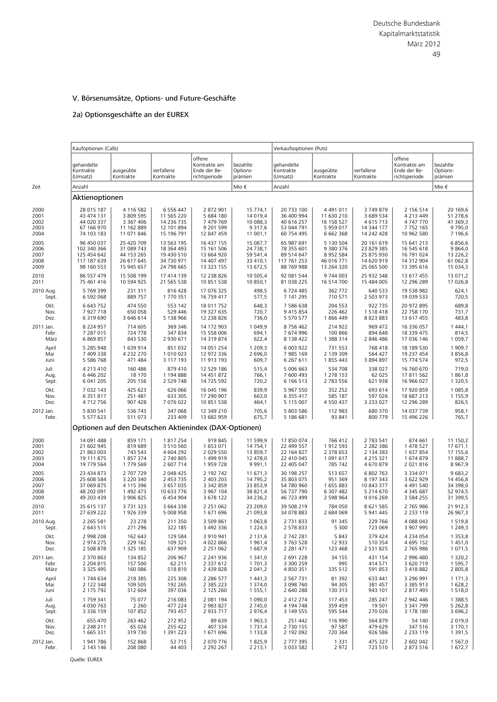# V. Börsenumsätze, Options- und Future-Geschäfte

# 2a) Optionsgeschäfte an der EUREX

|           | Kaufoptionen (Calls)                |                                                       |                         |                                                         |                                 | Verkaufsoptionen (Puts)             |                        |                         |                                                         |                                 |  |
|-----------|-------------------------------------|-------------------------------------------------------|-------------------------|---------------------------------------------------------|---------------------------------|-------------------------------------|------------------------|-------------------------|---------------------------------------------------------|---------------------------------|--|
|           | gehandelte<br>Kontrakte<br>(Umsatz) | ausgeübte<br>Kontrakte                                | verfallene<br>Kontrakte | offene<br>Kontrakte am<br>Ende der Be-<br>richtsperiode | bezahlte<br>Options-<br>prämien | gehandelte<br>Kontrakte<br>(Umsatz) | ausgeübte<br>Kontrakte | verfallene<br>Kontrakte | offene<br>Kontrakte am<br>Ende der Be-<br>richtsperiode | bezahlte<br>Options-<br>prämien |  |
| Zeit      | Anzahl                              |                                                       |                         |                                                         | Mio €                           | Anzahl                              |                        |                         |                                                         | Mio €                           |  |
|           | Aktienoptionen                      |                                                       |                         |                                                         |                                 |                                     |                        |                         |                                                         |                                 |  |
| 2000      | 28 015 187                          | 4 116 582                                             | 6 5 5 6 4 4 7           | 2 872 901                                               | 15 774,1                        | 20 733 100                          | 4 4 9 1 0 1 1          | 3749879                 | 2 156 514                                               | 20 169,6                        |  |
| 2001      | 43 474 131                          | 3 809 595                                             | 11 565 220              | 5 684 180                                               | 14 019,4                        | 36 400 994                          | 11 630 210             | 3 689 534               | 4 2 1 3 4 4 9                                           | 51 278,6                        |  |
| 2002      | 44 020 337                          | 3 367 406                                             | 14 236 735              | 7 479 769                                               | 10 088,3                        | 40 616 257                          | 16 158 527             | 4 6 1 5 7 1 3           | 4747770                                                 | 41 369,3                        |  |
| 2003      | 67 166 970                          | 11 162 889                                            | 12 101 894              | 9 201 599                                               | 9 3 1 7,6                       | 53 044 791                          | 5 959 017              | 14 344 177              | 7 7 5 2 1 6 5                                           | 9795,0                          |  |
| 2004      | 74 103 183                          | 11 071 846                                            | 15 196 791              | 12 847 459                                              | 11 001,1                        | 60 754 495                          | 6 662 368              | 14 242 428              | 10 962 580                                              | 7 196,6                         |  |
| 2005      | 96 450 037                          | 25 420 709                                            | 13 563 195              | 16 437 155                                              | 15 087,7                        | 65 987 691                          | 5 130 504              | 20 161 619              | 15 641 213                                              | 6856,6                          |  |
| 2006      | 102 340 366                         | 31 089 743                                            | 18 364 493              | 15 161 506                                              | 24 738,1                        | 78 355 601                          | 9 380 376              | 23 829 385              | 16 545 618                                              | 9 8 6 4,0                       |  |
| 2007      | 125 454 642                         | 44 153 265                                            | 19 430 510              | 13 664 920                                              | 59 541,4                        | 89 514 647                          | 8 9 5 2 5 8 4          | 25 875 930              | 16 791 024                                              | 13 226,2                        |  |
| 2008      | 117 187 639                         | 26 617 645                                            | 34 730 971              | 14 407 497                                              | 33 410,1                        | 117 761 253                         | 46 016 771             | 14 620 919              | 14 312 904                                              | 61 062,8                        |  |
| 2009      | 98 160 553                          | 15 945 657                                            | 24 798 665              | 13 323 155                                              | 13 672,5                        | 88 769 988                          | 13 264 320             | 25 065 500              | 13 395 616                                              | 15 034,3                        |  |
| 2010      | 86 557 479                          | 15 508 199                                            | 17 414 139              | 12 238 826                                              | 10 505,4                        | 92 081 544                          | 9 744 003              | 25 932 348              | 13 617 455                                              | 13 071,2                        |  |
| 2011      | 75 461 416                          | 10 594 925                                            | 21 565 538              | 10 851 538                                              | 10 850,1                        | 81 038 225                          | 16 514 700             | 15 484 005              | 12 296 289                                              | 17 026,8                        |  |
| 2010 Aug. | 5769399                             | 231 311                                               | 816 428                 | 17 076 325                                              | 498,5                           | 6724485                             | 362 772                | 640 533                 | 19 538 982                                              | 624,1                           |  |
| Sept.     | 6 592 068                           | 889 757                                               | 1770351                 | 16 759 417                                              | 577,5                           | 7 141 295                           | 710 571                | 2 503 973               | 19 039 533                                              | 720,5                           |  |
| Okt.      | 6 643 752                           | 474 550                                               | 553 142                 | 18 011 752                                              | 648,3                           | 7 586 638                           | 204 553                | 922 735                 | 20 972 895                                              | 689,8                           |  |
| Nov.      | 7927718                             | 650 058                                               | 529 446                 | 19 327 635                                              | 720,7                           | 9 4 1 5 8 5 4                       | 226 462                | 1518418                 | 22 758 170                                              | 731,7                           |  |
| Dez.      | 6 319 690                           | 3 646 614                                             | 5 138 966               | 12 238 826                                              | 736,0                           | 5 570 577                           | 1866449                | 8 823 883               | 13 617 455                                              | 483,8                           |  |
| 2011 Jan. | 8 2 2 4 9 5 7                       | 714 605                                               | 369 346                 | 14 172 903                                              | 1 0 4 9, 9                      | 8756462                             | 214 922                | 969 472                 | 16 336 057                                              | 1 444,1                         |  |
| Febr.     | 7 287 015                           | 724 778                                               | 347 834                 | 15 558 006                                              | 694,1                           | 7674996                             | 100 866                | 894 648                 | 18 339 475                                              | 814,5                           |  |
| März      | 6 869 857                           | 843 530                                               | 2 930 671               | 14 319 874                                              | 622,4                           | 8 138 422                           | 1 388 314              | 2 846 486               | 17 036 146                                              | 1 0 5 9 , 7                     |  |
| April     | 5 285 948                           | 1 639 914                                             | 851 032                 | 14 051 254                                              | 1 209,3                         | 6 003 922                           | 731 553                | 768 418                 | 18 189 530                                              | 1 909,7                         |  |
| Mai       | 7 409 338                           | 4 2 3 2 2 7 0                                         | 1 010 023               | 12 972 336                                              | 2 696,0                         | 7 985 169                           | 2 139 309              | 564 427                 | 19 237 454                                              | 3 856,8                         |  |
| Juni      | 5 586 768                           | 471 484                                               | 3 117 193               | 11 913 193                                              | 609,7                           | 6 2 6 7 6 1 1                       | 1855 443               | 3 894 897               | 15 774 574                                              | 972,5                           |  |
| Juli      | 4 2 1 3 4 1 0                       | 160 486                                               | 879 410                 | 12 529 186                                              | 515,4                           | 5 006 663                           | 534 708                | 338 027                 | 16 760 670                                              | 719,0                           |  |
| Aug.      | 6 446 202                           | 18 170                                                | 1 194 888               | 14 451 872                                              | 766,1                           | 7 600 493                           | 1 278 153              | 62 025                  | 17 811 562                                              | 1861,8                          |  |
| Sept.     | 6 041 205                           | 205 156                                               | 2 5 2 9 7 4 8           | 14 725 592                                              | 720,2                           | 6 166 513                           | 2 783 556              | 621 938                 | 16 966 027                                              | 1 3 2 0, 5                      |  |
| Okt.      | 7 032 143                           | 425 623                                               | 626 066                 | 16 045 196                                              | 839,9                           | 5 967 550                           | 352 252                | 693 614                 | 17 920 859                                              | 1 0 8 5 , 8                     |  |
| Nov.      | 6 3 5 1 8 1 7                       | 251 481                                               | 633 305                 | 17 290 907                                              | 663,0                           | 6 3 5 4 1 7                         | 585 187                | 597 026                 | 18 687 213                                              | 1 1 5 5 , 9                     |  |
| Dez.      | 4 7 1 2 7 5 6                       | 907 428                                               | 7 076 022               | 10 851 538                                              | 464,1                           | 5 115 007                           | 4 550 437              | 3 2 3 0 2 7             | 12 296 289                                              | 826,5                           |  |
| 2012 Jan. | 5 830 541                           | 536 743                                               | 347 068                 | 12 349 210                                              | 705,6                           | 5 803 586                           | 112 983                | 680 370                 | 14 037 739                                              | 958,1                           |  |
| Febr.     | 5 577 623                           | 511 073                                               | 233 409                 | 13 682 959                                              | 675,7                           | 5 186 681                           | 93 841                 | 800 779                 | 15 496 226                                              | 765,7                           |  |
|           |                                     | Optionen auf den Deutschen Aktienindex (DAX-Optionen) |                         |                                                         |                                 |                                     |                        |                         |                                                         |                                 |  |
| 2000      | 14 091 488                          | 859 171                                               | 1817254                 | 919 845                                                 | 11 599,9                        | 17 850 074                          | 766 412                | 2 783 541               | 874 661                                                 | 11 150,2                        |  |
| 2001      | 21 602 945                          | 819 689                                               | 3 510 560               | 1 653 071                                               | 14 754,1                        | 22 499 557                          | 1912 593               | 2 2 8 2 3 8 6           | 1 478 527                                               | 17 671,1                        |  |
| 2002      | 21 863 003                          | 743 543                                               | 4 604 292               | 2 029 550                                               | 13 859,7                        | 22 164 827                          | 2 378 653              | 2 134 383               | 1 637 854                                               | 17 155,6                        |  |
| 2003      | 19 111 875                          | 1857374                                               | 2 740 805               | 1 499 919                                               | 12 478,0                        | 22 410 045                          | 1 091 617              | 4 2 1 5 3 2 1           | 1674879                                                 | 11 888,7                        |  |
| 2004      | 19 779 564                          | 1779 569                                              | 2 607 714               | 1959728                                                 | 9 9 9 1 , 1                     | 22 405 047                          | 785 742                | 4670879                 | 2 0 2 1 8 1 6                                           | 8967,9                          |  |
| 2005      | 23 434 873                          | 2 707 729                                             | 2 048 425               | 2 192 742                                               | 11 671,3                        | 30 198 257                          | 513 657                | 6 802 763               | 3 3 3 4 0 7 1                                           | 9683,2                          |  |
| 2006      | 25 608 584                          | 3 220 340                                             | 2 453 735               | 2 403 203                                               | 14 795,2                        | 35 803 075                          | 951 369                | 8 197 343               | 3 622 929                                               | 14 456,8                        |  |
| 2007      | 37 069 875                          | 4 115 396                                             | 3 657 035               | 3 342 859                                               | 33 853,9                        | 54 780 960                          | 1 655 883              | 10 843 377              | 4 491 540                                               | 34 398,0                        |  |
| 2008      | 48 202 091                          | 1 492 473                                             | 10 633 776              | 3 967 104                                               | 38 821,4                        | 56 737 790                          | 6 307 482              | 5 2 1 4 6 7 0           | 4 345 687                                               | 52 974,5                        |  |
| 2009      | 49 203 439                          | 3 906 825                                             | 6 454 904               | 3 678 122                                               | 34 236,2                        | 46 723 499                          | 2 598 964              | 9 016 269               | 3 5 8 4 2 5 5                                           | 31 399,5                        |  |
| 2010      | 35 615 137                          | 3 7 3 1 3 2 3                                         | 3 664 338               | 2 2 5 1 0 6 2                                           | 23 209,0                        | 39 508 219                          | 784 050                | 8 621 585               | 2 765 986                                               | 21 912,3                        |  |
| 2011      | 27 639 222                          | 1926339                                               | 5 008 958               | 1671696                                                 | 21 093,8                        | 34 078 883                          | 2 684 069              | 5 941 445               | 2 2 3 1 1 9                                             | 26 967,3                        |  |
| 2010 Aug. | 2 2 6 5 5 8 1                       | 23 278                                                | 211 350                 | 3 509 861                                               | 1 0 6 3 , 8                     | 2 731 833                           | 91 345                 | 229 766                 | 4 088 043                                               | 1519,8                          |  |
| Sept.     | 2 643 515                           | 271 296                                               | 322 185                 | 3 492 336                                               | 1 2 2 4 , 3                     | 2 578 833                           | 5 3 0 0                | 723 069                 | 3 907 995                                               | 1 2 4 9 , 3                     |  |
| Okt.      | 2 998 208                           | 162 643                                               | 129 584                 | 3 910 941                                               | 2 131,6                         | 2 742 281                           | 5 8 4 3                | 379 424                 | 4 2 3 4 0 5 4                                           | 1 3 5 3 , 8                     |  |
| Nov.      | 2 974 275                           | 229 162                                               | 109 321                 | 4 0 2 2 8 6 6                                           | 1961,4                          | 3 763 528                           | 12 933                 | 510 354                 | 4 695 152                                               | 1451,0                          |  |
| Dez.      | 2 508 878                           | 1 325 185                                             | 637 909                 | 2 2 5 1 0 6 2                                           | 1687,9                          | 2 2 8 1 4 7 1                       | 123 468                | 2 531 825               | 2 765 986                                               | 1 0 7 1 , 5                     |  |
| 2011 Jan. | 2 370 863                           | 134 852                                               | 206 967                 | 2 241 936                                               | 1 341,0                         | 2 691 228                           | 34 155                 | 431 154                 | 2 996 480                                               | 1 3 2 0 , 2                     |  |
| Febr.     | 2 204 815                           | 157 500                                               | 62 211                  | 2 3 3 7 6 1 2                                           | 1 701,3                         | 3 300 259                           | 995                    | 414 571                 | 3 620 719                                               | 1 595,7                         |  |
| März      | 3 3 2 5 4 9 5                       | 160 086                                               | 518810                  | 2 439 828                                               | 2 041,2                         | 4 850 351                           | 335 512                | 591 853                 | 3 418 882                                               | 2 805,8                         |  |
| April     | 1744 634                            | 218 385                                               | 225 308                 | 2 2 8 5 5 7 7                                           | 1 441,3                         | 2 5 6 7 7 3 1                       | 81 392                 | 633 441                 | 3 296 991                                               | 1 171,3                         |  |
| Mai       | 2 122 348                           | 109 505                                               | 192 265                 | 2 3 8 5 2 2 3                                           | 1 374,0                         | 3 098 760                           | 94 305                 | 381 457                 | 3 385 913                                               | 1 628,2                         |  |
| Juni      | 2 175 792                           | 312 604                                               | 397 036                 | 2 125 260                                               | 1 555,1                         | 2 640 288                           | 130 313                | 943 101                 | 2 817 493                                               | 1518,0                          |  |
| Juli      | 1759341                             | 75 077                                                | 216 083                 | 2 081 194                                               | 1 090,0                         | 2 412 274                           | 117 453                | 285 247                 | 2 942 446                                               | 1 388,5                         |  |
| Aug.      | 4 0 30 7 63                         | 2 2 6 0                                               | 477 224                 | 2 983 827                                               | 2 745,0                         | 4 194 748                           | 359 459                | 19 501                  | 3 341 799                                               | 5 2 6 2, 8                      |  |
| Sept.     | 3 3 3 6 1 5 9                       | 107 852                                               | 793 457                 | 2 9 3 7 1 7                                             | 2 976,4                         | 3 149 555                           | 595 544                | 270 026                 | 3 178 180                                               | 3 696,2                         |  |
| Okt.      | 655 470                             | 263 462                                               | 272 952                 | 89 639                                                  | 1963,3                          | 251 442                             | 116 990                | 564 879                 | 54 140                                                  | 2 0 1 9 , 0                     |  |
| Nov.      | 2 2 4 8 2 1 1                       | 65 0 26                                               | 255 422                 | 407 334                                                 | 1 7 3 1 , 4                     | 2 730 155                           | 97 587                 | 479 629                 | 347 516                                                 | 3 170,1                         |  |
| Dez.      | 1 665 331                           | 319 730                                               | 1 391 223               | 1671696                                                 | 1 1 3 3, 8                      | 2 192 092                           | 720 364                | 926 586                 | 2 2 3 1 1 9                                             | 1 3 9 1 , 5                     |  |
| 2012 Jan. | 1941786                             | 152 868                                               | 52 715                  | 2 070 776                                               | 1825,9                          | 2 777 395                           | 1 3 3 1                | 475 327                 | 2 602 042                                               | 1 5 6 7,0                       |  |
| Febr.     | 2 143 146                           | 208 080                                               | 44 403                  | 2 2 9 2 2 6 7                                           | 2 2 1 3 , 1                     | 3 033 582                           | 2 9 7 2                | 723 510                 | 2 873 516                                               | 1672,7                          |  |

Quelle: EUREX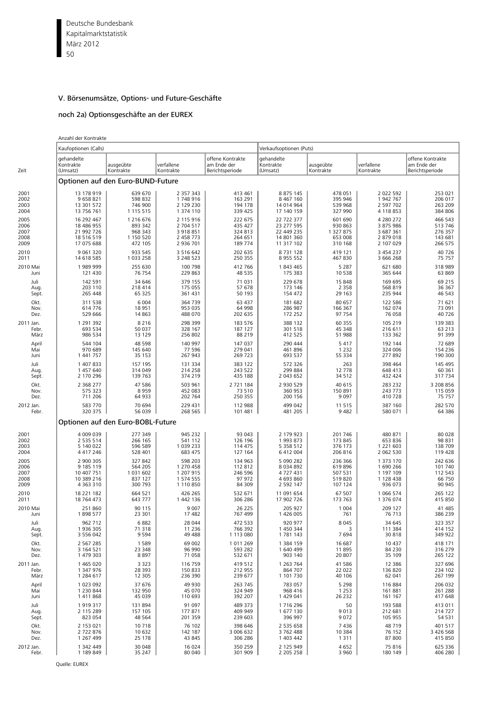Deutsche Bundesbank 50 Kapitalmarktstatistik März 2012

# V. [Börsenumsätze, Options- und Future-Geschäfte](#page-15-0)

# noch 2a) Optionsgeschäfte an der EUREX

Anzahl der Kontrakte

П

|           | Kaufoptionen (Calls)                |                                   |                         |                                                    | Verkaufsoptionen (Puts)             |                        |                         |                                                    |  |  |
|-----------|-------------------------------------|-----------------------------------|-------------------------|----------------------------------------------------|-------------------------------------|------------------------|-------------------------|----------------------------------------------------|--|--|
| Zeit      | gehandelte<br>Kontrakte<br>(Umsatz) | ausgeübte<br>Kontrakte            | verfallene<br>Kontrakte | offene Kontrakte<br>am Ende der<br>Berichtsperiode | gehandelte<br>Kontrakte<br>(Umsatz) | ausgeübte<br>Kontrakte | verfallene<br>Kontrakte | offene Kontrakte<br>am Ende der<br>Berichtsperiode |  |  |
|           |                                     | Optionen auf den Euro-BUND-Future |                         |                                                    |                                     |                        |                         |                                                    |  |  |
| 2001      | 13 178 919                          | 639 670                           | 2 3 5 7 3 4 3           | 413 461                                            | 8 875 145                           | 478 051                | 2 0 2 2 5 9 2           | 253 021                                            |  |  |
| 2002      | 9 658 821                           | 598 832                           | 1748916                 | 163 291                                            | 8 467 160                           | 395 946                | 1 942 767               | 206 017                                            |  |  |
| 2003      | 13 301 572                          | 746 900                           | 2 129 230               | 194 178                                            | 14 014 964                          | 539 968                | 2 597 702               | 263 209                                            |  |  |
| 2004      | 13 756 761                          | 1 1 1 5 5 1 5                     | 1 374 110               | 339 425                                            | 17 140 159                          | 327 990                | 4 1 1 8 8 5 3           | 384 806                                            |  |  |
| 2005      | 16 292 467                          | 1 216 676                         | 2 115 916               | 222 675                                            | 22 722 377                          | 601 690                | 4 280 272               | 466 543                                            |  |  |
| 2006      | 18 486 955                          | 893 342                           | 2 704 517               | 435 427                                            | 23 277 595                          | 930 863                | 3 875 986               | 513 746                                            |  |  |
| 2007      | 21 992 726                          | 968 343                           | 3 918 851               | 324 813                                            | 22 449 235                          | 1 327 875              | 3 687 361               | 276 357                                            |  |  |
| 2008      | 18 516 519                          | 1 150 520                         | 2 458 773               | 264 651                                            | 14 801 360                          | 653 008                | 2879018                 | 143 681                                            |  |  |
| 2009      | 17 075 688                          | 472 105                           | 2 936 701               | 189 774                                            | 11 317 102                          | 310 168                | 2 107 029               | 266 575                                            |  |  |
| 2010      | 9 0 61 3 20                         | 933 545                           | 3 5 1 6 6 4 2           | 202 635                                            | 8731128                             | 419 121                | 3 4 5 4 2 3 7           | 40 726                                             |  |  |
| 2011      | 14 618 585                          | 1 033 258                         | 3 248 523               | 250 355                                            | 8 9 5 5 5 5 2                       | 467 830                | 3 666 268               | 75 757                                             |  |  |
| 2010 Mai  | 1 989 999                           | 255 630                           | 100 798                 | 412 766                                            | 1843465                             | 5 2 8 7                | 621 680                 | 318 989                                            |  |  |
| Juni      | 121 430                             | 76 754                            | 229 863                 | 48 535                                             | 175 383                             | 10 538                 | 365 644                 | 63 869                                             |  |  |
| Juli      | 142 591                             | 34 646                            | 379 155                 | 71 031                                             | 229 678                             | 15 848                 | 169 695                 | 69 215                                             |  |  |
| Aug.      | 203 110                             | 218 414                           | 175 055                 | 57 678                                             | 173 146                             | 2 3 5 8                | 568 819                 | 36 367                                             |  |  |
| Sept.     | 265 448                             | 65 325                            | 361 431                 | 50 193                                             | 154 472                             | 29 163                 | 235 944                 | 46 543                                             |  |  |
| Okt.      | 311 538                             | 6 0 0 4                           | 364 739                 | 63 437                                             | 181 682                             | 80 657                 | 122 586                 | 71 621                                             |  |  |
| Nov.      | 614 776                             | 18 951                            | 953 035                 | 64 998                                             | 286 987                             | 166 367                | 162 074                 | 73 091                                             |  |  |
| Dez.      | 529 666                             | 14 8 63                           | 488 070                 | 202 635                                            | 172 252                             | 97 754                 | 76 058                  | 40 726                                             |  |  |
| 2011 Jan. | 1 291 392                           | 8 2 1 6                           | 298 399                 | 183 576                                            | 388 132                             | 60 355                 | 105 219                 | 139 383                                            |  |  |
| Febr.     | 693 534                             | 50 037                            | 328 167                 | 187 127                                            | 301 518                             | 45 348                 | 216 611                 | 63 213                                             |  |  |
| März      | 986 534                             | 13 129                            | 256 802                 | 88 219                                             | 412 525                             | 51 988                 | 133 362                 | 91 399                                             |  |  |
| April     | 544 104                             | 48 5 98                           | 140 997                 | 147 037                                            | 290 444                             | 5 4 1 7                | 192 144                 | 72 689                                             |  |  |
| Mai       | 970 689                             | 145 640                           | 77 596                  | 279 041                                            | 461896                              | 1 2 3 2                | 324 006                 | 154 236                                            |  |  |
| Juni      | 1 441 757                           | 35 153                            | 267 943                 | 269 723                                            | 693 537                             | 55 334                 | 277 892                 | 190 300                                            |  |  |
| Juli      | 1 407 833                           | 157 195                           | 131 334                 | 383 122                                            | 572 326                             | 263                    | 398 464                 | 145 495                                            |  |  |
| Aug.      | 1 457 640                           | 314 049                           | 214 258                 | 243 522                                            | 299 884                             | 12 778                 | 648 413                 | 60 361                                             |  |  |
| Sept.     | 2 170 296                           | 139 763                           | 374 219                 | 435 188                                            | 2 043 652                           | 34 512                 | 432 424                 | 317 734                                            |  |  |
| Okt.      | 2 3 68 2 7 7                        | 47 586                            | 503 961                 | 2 721 184                                          | 2 930 529                           | 40 615                 | 283 232                 | 3 208 856                                          |  |  |
| Nov.      | 575 323                             | 8959                              | 452 083                 | 73 510                                             | 360 953                             | 150 891                | 243 773                 | 115 059                                            |  |  |
| Dez.      | 711 206                             | 64 933                            | 202 764                 | 250 355                                            | 200 156                             | 9 0 9 7                | 410 728                 | 75 757                                             |  |  |
| 2012 Jan. | 583 770                             | 70 694                            | 229 431                 | 112 988                                            | 499 042                             | 11515                  | 387 160                 | 282 570                                            |  |  |
| Febr.     | 320 375                             | 56 039                            | 268 565                 | 101 481                                            | 481 205                             | 9482                   | 580 071                 | 64 38 6                                            |  |  |
|           |                                     | Optionen auf den Euro-BOBL-Future |                         |                                                    |                                     |                        |                         |                                                    |  |  |
| 2001      | 4 009 039                           | 277 349                           | 945 232                 | 93 043                                             | 2 179 923                           | 201 746                | 480 871                 | 80 0 28                                            |  |  |
| 2002      | 2 5 3 5 5 1 4                       | 266 165                           | 541 112                 | 126 196                                            | 1993873                             | 173 845                | 653 836                 | 98 831                                             |  |  |
| 2003      | 5 140 022                           | 596 589                           | 1 039 233               | 114 475                                            | 5 3 5 8 5 1 2                       | 376 173                | 1 2 2 1 6 0 3           | 138 709                                            |  |  |
| 2004      | 4 4 1 7 2 4 6                       | 528 401                           | 683 475                 | 127 164                                            | 6 412 004                           | 206 816                | 2 062 530               | 119 428                                            |  |  |
| 2005      | 2 900 305                           | 327 842                           | 598 203                 | 134 963                                            | 5 090 282                           | 236 366                | 1 373 170               | 242 636                                            |  |  |
| 2006      | 9 185 119                           | 564 205                           | 1 270 458               | 112812                                             | 8 0 3 4 8 9 2                       | 619 896                | 1 690 266               | 101 740                                            |  |  |
| 2007      | 10 407 751                          | 1 031 602                         | 1 207 915               | 246 596                                            | 4 727 431                           | 507 531                | 1 197 109               | 112 543                                            |  |  |
| 2008      | 10 389 216                          | 837 127                           | 1 574 555               | 97 972                                             | 4 693 860                           | 519820                 | 1 128 438               | 66 750                                             |  |  |
| 2009      | 4 3 63 3 10                         | 300 793                           | 1 110 850               | 84 309                                             | 2 592 147                           | 107 124                | 936 073                 | 90 945                                             |  |  |
| 2010      | 18 221 182                          | 664 521                           | 426 265                 | 532 671                                            | 11 091 654                          | 67 507                 | 1 066 574               | 265 122                                            |  |  |
| 2011      | 18 764 473                          | 643 777                           | 1 442 136               | 306 286                                            | 17 902 726                          | 173 763                | 1 376 074               | 415 850                                            |  |  |
| 2010 Mai  | 251 860                             | 90 115                            | 9 0 0 7                 | 26 225                                             | 205 927                             | 1 0 0 4                | 209 127                 | 41 485                                             |  |  |
| Juni      | 1898577                             | 23 301                            | 17 482                  | 767 499                                            | 1 426 005                           | 761                    | 76 713                  | 386 239                                            |  |  |
| Juli      | 962 712                             | 6882                              | 28 044                  | 472 533                                            | 920 977                             | 8 0 4 5                | 34 645                  | 323 357                                            |  |  |
| Aug.      | 1936 305                            | 71 318                            | 11 2 36                 | 766 392                                            | 1 450 344                           | 3                      | 111 384                 | 414 152                                            |  |  |
| Sept.     | 3 556 042                           | 9 5 9 4                           | 49 488                  | 1 113 080                                          | 1781143                             | 7694                   | 30 818                  | 349 922                                            |  |  |
| Okt.      | 2 5 6 7 2 8 5                       | 1589                              | 69 002                  | 1 011 269                                          | 1 384 159                           | 16 687                 | 10 437                  | 418 171                                            |  |  |
| Nov.      | 3 164 521                           | 23 348                            | 96 990                  | 593 282                                            | 1 640 499                           | 11 895                 | 84 2 30                 | 316 279                                            |  |  |
| Dez.      | 1 479 303                           | 8897                              | 71 058                  | 532 671                                            | 903 140                             | 20 807                 | 35 109                  | 265 122                                            |  |  |
| 2011 Jan. | 1 465 020                           | 3 3 2 3                           | 116 759                 | 419 512                                            | 1 263 764                           | 41 586                 | 12 3 8 6                | 327 696                                            |  |  |
| Febr.     | 1 347 976                           | 28 3 9 3                          | 150 833                 | 212 955                                            | 864 707                             | 22 022                 | 136 820                 | 234 102                                            |  |  |
| März      | 1 2 8 4 6 1 7                       | 12 3 05                           | 236 390                 | 239 677                                            | 1 101 730                           | 40 10 6                | 62 041                  | 267 199                                            |  |  |
| April     | 1 023 092                           | 37 676                            | 49 930                  | 263 745                                            | 783 057                             | 5 2 9 8                | 116884                  | 206 032                                            |  |  |
| Mai       | 1 230 844                           | 132 950                           | 45 070                  | 324 949                                            | 968 416                             | 1 2 5 3                | 161881                  | 261 288                                            |  |  |
| Juni      | 1411868                             | 45 039                            | 110 693                 | 392 207                                            | 1 429 041                           | 26 232                 | 161 167                 | 417 648                                            |  |  |
| Juli      | 1919317                             | 131 894                           | 91 097                  | 489 373                                            | 1716296                             | 50                     | 193 588                 | 413 011                                            |  |  |
| Aug.      | 2 115 289                           | 157 105                           | 177871                  | 409 949                                            | 1 677 130                           | 9013                   | 212 681                 | 214 727                                            |  |  |
| Sept.     | 823 054                             | 48 5 64                           | 201 359                 | 239 603                                            | 396 997                             | 9 0 7 2                | 105 955                 | 54 531                                             |  |  |
| Okt.      | 2 153 021                           | 10718                             | 76 102                  | 398 646                                            | 2 535 658                           | 7436                   | 48719                   | 401 517                                            |  |  |
| Nov.      | 2 722 876                           | 10 632                            | 142 187                 | 3 006 632                                          | 3762488                             | 10 384                 | 76 152                  | 3 426 568                                          |  |  |
| Dez.      | 1 267 499                           | 25 178                            | 43 845                  | 306 286                                            | 1 403 442                           | 1 3 1 1                | 87 800                  | 415 850                                            |  |  |
| 2012 Jan. | 1 342 449                           | 30 048                            | 16 0 24                 | 350 259                                            | 2 125 949                           | 4 6 5 2                | 75 816                  | 625 336                                            |  |  |
| Febr.     | 1 189 849                           | 35 247                            | 80 040                  | 301 909                                            | 2 205 258                           | 3 9 6 0                | 180 149                 | 406 280                                            |  |  |

Quelle: EUREX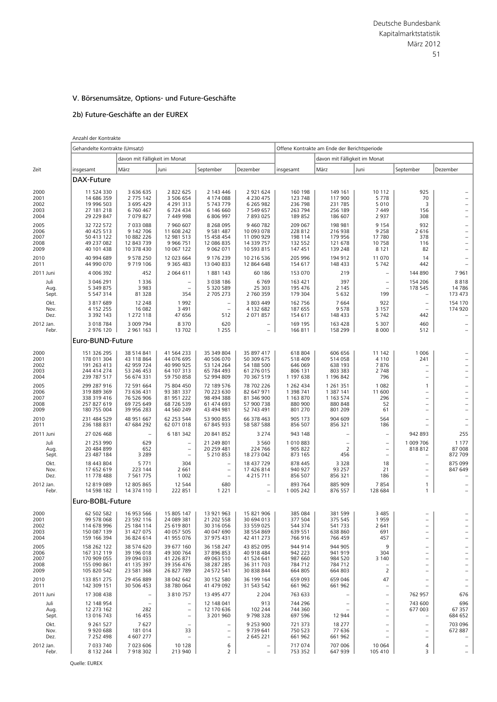#### V. Börsenumsätze, Options- und Future-Geschäfte

#### 2b) Future-Geschäfte an der EUREX

2012 Jan. | 7 033 740 | 7 023 606 | 10 128 | 6 | − | 717 074 | 707 006 | 10 064 | 4 | − Febr. | 8 132 244 | 7 918 302 | 213 940 | 2 | − | 753 352 | 647 939 | 105 410 | 3 | −

Quelle: EUREX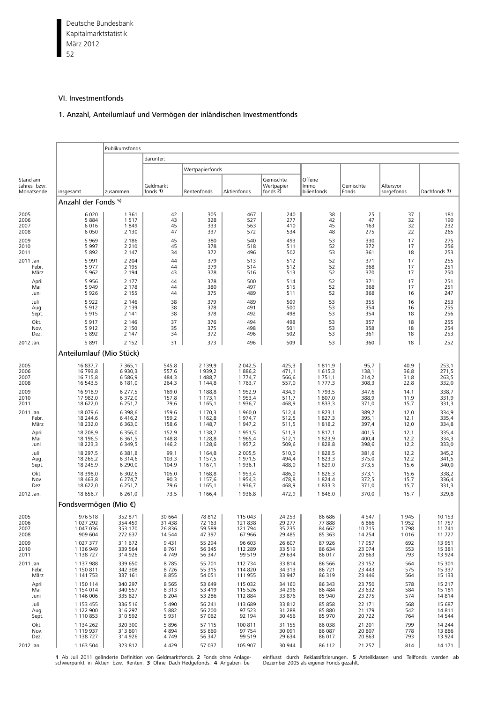Deutsche Bundesbank 52 Kapitalmarktstatistik März 2012

## VI. Investmentfonds

# 1. Anzahl, Anteilumlauf und Vermögen der inländischen Investmentfonds

| darunter:<br>Wertpapierfonds<br>Gemischte<br>Offene<br>Wertpapier-<br>Immo-<br>Geldmarkt-<br>Gemischte<br>Altersvor-<br>Monatsende<br>fonds 1)<br>fonds 2)<br>bilienfonds<br>sorgefonds<br>insgesamt<br>Rentenfonds<br>Aktienfonds<br>Fonds<br>Dachfonds 3)<br>zusammen<br>Anzahl der Fonds <sup>5)</sup><br>6 0 2 0<br>37<br>1 3 6 1<br>42<br>305<br>467<br>240<br>38<br>25<br>181<br>5 8 8 4<br>1517<br>43<br>328<br>527<br>277<br>42<br>47<br>32<br>190<br>6016<br>1849<br>45<br>333<br>45<br>32<br>232<br>563<br>410<br>163<br>6 0 5 0<br>2 1 3 0<br>47<br>337<br>572<br>48<br>275<br>22<br>265<br>2008<br>534<br>2009<br>5 9 6 9<br>2 1 8 6<br>45<br>380<br>540<br>493<br>53<br>330<br>17<br>275<br>5 9 9 7<br>2 2 1 0<br>45<br>378<br>518<br>52<br>372<br>256<br>511<br>17<br>34<br>5 8 9 2<br>2 1 4 7<br>372<br>496<br>502<br>53<br>361<br>18<br>253<br>2011<br>5991<br>2 2 0 4<br>44<br>379<br>513<br>512<br>52<br>371<br>17<br>255<br>2011 Jan.<br>52<br>251<br>Febr.<br>5977<br>2 1 9 5<br>44<br>379<br>514<br>512<br>368<br>17<br>März<br>5 9 6 2<br>43<br>513<br>52<br>370<br>250<br>2 1 9 4<br>378<br>516<br>17<br>5956<br>2 1 7 7<br>378<br>514<br>52<br>371<br>17<br>251<br>April<br>44<br>500<br>52<br>5949<br>2 1 7 8<br>44<br>380<br>497<br>515<br>17<br>251<br>368<br>Mai<br>5926<br>2 1 5 5<br>44<br>375<br>489<br>511<br>52<br>368<br>247<br>16<br>Juni<br>5922<br>2 1 4 6<br>38<br>379<br>489<br>509<br>53<br>355<br>16<br>253<br>Juli<br>38<br>5912<br>378<br>53<br>354<br>255<br>2 1 3 9<br>491<br>500<br>16<br>Aug.<br>5915<br>2 1 4 1<br>38<br>378<br>492<br>354<br>256<br>498<br>53<br>18<br>Sept.<br>Okt.<br>5917<br>37<br>376<br>494<br>498<br>53<br>357<br>18<br>255<br>2 1 4 6<br>5912<br>2 1 5 0<br>35<br>498<br>53<br>358<br>254<br>Nov.<br>375<br>501<br>18<br>372<br>53<br>253<br>Dez.<br>5892<br>2 1 4 7<br>34<br>496<br>502<br>361<br>18<br>373<br>18<br>252<br>5891<br>2 1 5 2<br>31<br>496<br>509<br>53<br>360<br>Anteilumlauf (Mio Stück)<br>545,8<br>2 139,9<br>2 042,5<br>425,3<br>40,9<br>2005<br>16 837,7<br>7 3 6 5, 1<br>1811,9<br>95,7<br>253,1<br>6930,3<br>557,6<br>1939,2<br>1615,3<br>16 793,8<br>1886,2<br>471,1<br>138,1<br>36,8<br>271,5<br>484,3<br>1 488,7<br>1 774,7<br>1751,1<br>214,2<br>31,8<br>263,5<br>16 715,8<br>6 5 8 6, 9<br>566,6<br>2008<br>16 543,5<br>6 181,0<br>264,3<br>1 144,8<br>1 7 6 3 , 7<br>557,0<br>1 777,3<br>308,3<br>332,0<br>22,8<br>16 918,9<br>6 277,5<br>169,0<br>1 1 88,8<br>1952,9<br>434,9<br>1793,5<br>347,6<br>338,7<br>14,1<br>17 982,0<br>1 1 7 3 , 1<br>1953,4<br>1807,0<br>388,9<br>331,9<br>2010<br>6372,0<br>157,8<br>511,7<br>11,9<br>79,6<br>1 1 65, 1<br>1936,7<br>468,9<br>1833,3<br>371,0<br>331,3<br>18 622,0<br>6 2 5 1 , 7<br>15,7<br>18 079,6<br>6 3 9 8 , 6<br>159,6<br>1 170,3<br>1 960,0<br>1823,1<br>389,2<br>334,9<br>512,4<br>12,0<br>Febr.<br>18 244,6<br>6416,2<br>159,2<br>1 1 6 2, 8<br>1974,7<br>512,5<br>1827,3<br>395,1<br>335,4<br>12,1<br>1 1 4 8,7<br>1818,2<br>334,8<br>März<br>18 232,0<br>6 3 6 3, 0<br>158,6<br>1947,2<br>511,5<br>397,4<br>12,0<br>18 208,9<br>April<br>6356,0<br>152,9<br>1 1 38,7<br>1951,5<br>511,3<br>1817,1<br>401,5<br>12,1<br>335,4<br>18 196,5<br>6 3 6 1, 5<br>148,8<br>1 1 28,8<br>1 9 6 5, 4<br>512,1<br>1823,9<br>400,4<br>12,2<br>334,3<br>Mai<br>18 223,3<br>1 1 28,6<br>509,6<br>1828,8<br>398,6<br>333,0<br>6 3 4 9, 5<br>146,2<br>1957,2<br>12,2<br>Juni<br>18 297,5<br>6 3 8 1 , 8<br>1 1 64,8<br>2 0 0 5,5<br>1828,5<br>381,6<br>345,2<br>Juli<br>99,1<br>510,0<br>12,2<br>18 265,2<br>6 3 1 4,6<br>1 1 5 7 , 5<br>1971,5<br>494,4<br>1823,3<br>375,0<br>341,5<br>103,3<br>12,2<br>Aug.<br>6 290,0<br>104,9<br>488,0<br>1829,0<br>373,5<br>340,0<br>18 245,9<br>1 1 67,1<br>1936,1<br>15,6<br>Sept.<br>Okt.<br>105,0<br>373,1<br>338,2<br>18 398,0<br>6 302,6<br>1 1 68,8<br>1953,4<br>486,0<br>1826,3<br>15,6<br>18 4 63,8<br>90,3<br>1 157,6<br>1824,4<br>372,5<br>336,4<br>Nov.<br>6 274,7<br>1954,3<br>478,8<br>15,7<br>331,3<br>Dez.<br>18 622,0<br>6 2 5 1 , 7<br>79,6<br>1 1 65,1<br>1936,7<br>468,9<br>1 833,3<br>371,0<br>15,7<br>18 656,7<br>73,5<br>1 1 6 6, 4<br>472,9<br>370,0<br>15,7<br>329,8<br>6 2 6 1 , 0<br>1936,8<br>1 846,0<br>Fondsvermögen (Mio €)<br>976518<br>30 664  <br>78 812  <br>115 043<br>24 253  <br>86 686  <br>1945<br>10 153<br>352 871  <br>4 5 4 7<br>1 027 292<br>354 459<br>31 4 38<br>72 163<br>121 838<br>29 277<br>77888<br>1952<br>11 757<br>6866<br>1 047 036<br>353 170<br>59 589<br>121 794<br>35 235<br>84 662<br>10715<br>1798<br>11 741<br>26836<br>2008<br>909 604<br>272 637<br>14 5 44<br>47 397<br>67 966<br>29 4 85<br>85 363<br>14 2 5 4<br>1016<br>11 727<br>87 926<br>2009<br>1 027 377<br>311 672<br>9431<br>55 294<br>96 603<br>26 607<br>17957<br>692<br>13 951<br>1 136 949<br>339 564<br>56 345<br>86 634<br>23 074<br>15 381<br>8761<br>112 289<br>33 519<br>553<br>56 347<br>99 519<br>86 017<br>1 138 727<br>314 926<br>29 634<br>20 863<br>793<br>13 9 24<br>4749<br>1 137 988<br>55 701<br>86 566<br>15 301<br>2011 Jan.<br>339 650<br>8785<br>112 734<br>33 814<br>23 152<br>564<br>55 315<br>86 721<br>Febr.<br>1 150 811<br>342 308<br>8726<br>114820<br>34 313<br>23 443<br>575<br>15 3 3 7<br>März<br>1 141 753<br>54 051<br>111 955<br>86 319<br>15 133<br>337 161<br>8855<br>33 947<br>23 446<br>564<br>86 343<br>15 217<br>1 150 114<br>340 297<br>8565<br>53 649<br>115 032<br>34 160<br>23 750<br>578<br>April<br>53 419<br>115 526<br>34 296<br>86 4 84<br>15 181<br>1 154 014<br>340 557<br>8313<br>23 632<br>584<br>Mai<br>1 146 006<br>335 827<br>8 2 0 4<br>53 286<br>112 884<br>33 876<br>85 940<br>23 275<br>574<br>14 8 14<br>Juni<br>Juli<br>1 153 455<br>336 516<br>5 4 9 0<br>56 241<br>113 689<br>33 812<br>85 858<br>22 171<br>568<br>15 687<br>56 200<br>1 122 900<br>316 297<br>5882<br>97 523<br>31 288<br>85 880<br>21 179<br>14 811<br>Aug.<br>542<br>310 592<br>57 062<br>92 194<br>85 970<br>20722<br>1 110 853<br>5931<br>30 45 6<br>764<br>14 5 44<br>Sept.<br>5896<br>57 115<br>86 038<br>799<br>14 244<br>Okt.<br>1 134 262<br>320 300<br>100 811<br>31 155<br>21 201<br>1 119 937<br>313 801<br>4894<br>55 660<br>97 754<br>30 091<br>86 087<br>20 807<br>13 8 86<br>Nov.<br>778<br>1 138 727<br>314 926<br>4749<br>56 347<br>99 519<br>29 634<br>86 017<br>20 863<br>793<br>13 924<br>Dez.<br>1 163 504<br>323 812<br>4429<br>57 037<br>105 907<br>30 944<br>86 112<br>21 257<br>814<br>14 171 |                          | Publikumsfonds |  |  |  |  |
|--------------------------------------------------------------------------------------------------------------------------------------------------------------------------------------------------------------------------------------------------------------------------------------------------------------------------------------------------------------------------------------------------------------------------------------------------------------------------------------------------------------------------------------------------------------------------------------------------------------------------------------------------------------------------------------------------------------------------------------------------------------------------------------------------------------------------------------------------------------------------------------------------------------------------------------------------------------------------------------------------------------------------------------------------------------------------------------------------------------------------------------------------------------------------------------------------------------------------------------------------------------------------------------------------------------------------------------------------------------------------------------------------------------------------------------------------------------------------------------------------------------------------------------------------------------------------------------------------------------------------------------------------------------------------------------------------------------------------------------------------------------------------------------------------------------------------------------------------------------------------------------------------------------------------------------------------------------------------------------------------------------------------------------------------------------------------------------------------------------------------------------------------------------------------------------------------------------------------------------------------------------------------------------------------------------------------------------------------------------------------------------------------------------------------------------------------------------------------------------------------------------------------------------------------------------------------------------------------------------------------------------------------------------------------------------------------------------------------------------------------------------------------------------------------------------------------------------------------------------------------------------------------------------------------------------------------------------------------------------------------------------------------------------------------------------------------------------------------------------------------------------------------------------------------------------------------------------------------------------------------------------------------------------------------------------------------------------------------------------------------------------------------------------------------------------------------------------------------------------------------------------------------------------------------------------------------------------------------------------------------------------------------------------------------------------------------------------------------------------------------------------------------------------------------------------------------------------------------------------------------------------------------------------------------------------------------------------------------------------------------------------------------------------------------------------------------------------------------------------------------------------------------------------------------------------------------------------------------------------------------------------------------------------------------------------------------------------------------------------------------------------------------------------------------------------------------------------------------------------------------------------------------------------------------------------------------------------------------------------------------------------------------------------------------------------------------------------------------------------------------------------------------------------------------------------------------------------------------------------------------------------------------------------------------------------------------------------------------------------------------------------------------------------------------------------------------------------------------------------------------------------------------------------------------------------------------------------------------------------------------------------------------------------------------------------------------------------------------------------------------------------------------------------------------------------------------------------------------------------------------------------------------------------------------------------------------------------------------------------------------------------------------------------------------------------------------------------------------------------------------------------------------------------------------------------------------------------------------------------------------------------------------------------------------------------------------------------------------------------------------------------------------------------------------------------------------------------------------------------------------------------------------------------------------------------------------------------------------------------------------------------------------------------------------------------------------------------------------------------------------------------------------------------------------------------------------------------------------|--------------------------|----------------|--|--|--|--|
|                                                                                                                                                                                                                                                                                                                                                                                                                                                                                                                                                                                                                                                                                                                                                                                                                                                                                                                                                                                                                                                                                                                                                                                                                                                                                                                                                                                                                                                                                                                                                                                                                                                                                                                                                                                                                                                                                                                                                                                                                                                                                                                                                                                                                                                                                                                                                                                                                                                                                                                                                                                                                                                                                                                                                                                                                                                                                                                                                                                                                                                                                                                                                                                                                                                                                                                                                                                                                                                                                                                                                                                                                                                                                                                                                                                                                                                                                                                                                                                                                                                                                                                                                                                                                                                                                                                                                                                                                                                                                                                                                                                                                                                                                                                                                                                                                                                                                                                                                                                                                                                                                                                                                                                                                                                                                                                                                                                                                                                                                                                                                                                                                                                                                                                                                                                                                                                                                                                                                                                                                                                                                                                                                                                                                                                                                                                                                                                                                                                                          |                          |                |  |  |  |  |
|                                                                                                                                                                                                                                                                                                                                                                                                                                                                                                                                                                                                                                                                                                                                                                                                                                                                                                                                                                                                                                                                                                                                                                                                                                                                                                                                                                                                                                                                                                                                                                                                                                                                                                                                                                                                                                                                                                                                                                                                                                                                                                                                                                                                                                                                                                                                                                                                                                                                                                                                                                                                                                                                                                                                                                                                                                                                                                                                                                                                                                                                                                                                                                                                                                                                                                                                                                                                                                                                                                                                                                                                                                                                                                                                                                                                                                                                                                                                                                                                                                                                                                                                                                                                                                                                                                                                                                                                                                                                                                                                                                                                                                                                                                                                                                                                                                                                                                                                                                                                                                                                                                                                                                                                                                                                                                                                                                                                                                                                                                                                                                                                                                                                                                                                                                                                                                                                                                                                                                                                                                                                                                                                                                                                                                                                                                                                                                                                                                                                          |                          |                |  |  |  |  |
|                                                                                                                                                                                                                                                                                                                                                                                                                                                                                                                                                                                                                                                                                                                                                                                                                                                                                                                                                                                                                                                                                                                                                                                                                                                                                                                                                                                                                                                                                                                                                                                                                                                                                                                                                                                                                                                                                                                                                                                                                                                                                                                                                                                                                                                                                                                                                                                                                                                                                                                                                                                                                                                                                                                                                                                                                                                                                                                                                                                                                                                                                                                                                                                                                                                                                                                                                                                                                                                                                                                                                                                                                                                                                                                                                                                                                                                                                                                                                                                                                                                                                                                                                                                                                                                                                                                                                                                                                                                                                                                                                                                                                                                                                                                                                                                                                                                                                                                                                                                                                                                                                                                                                                                                                                                                                                                                                                                                                                                                                                                                                                                                                                                                                                                                                                                                                                                                                                                                                                                                                                                                                                                                                                                                                                                                                                                                                                                                                                                                          | Stand am<br>Jahres- bzw. |                |  |  |  |  |
|                                                                                                                                                                                                                                                                                                                                                                                                                                                                                                                                                                                                                                                                                                                                                                                                                                                                                                                                                                                                                                                                                                                                                                                                                                                                                                                                                                                                                                                                                                                                                                                                                                                                                                                                                                                                                                                                                                                                                                                                                                                                                                                                                                                                                                                                                                                                                                                                                                                                                                                                                                                                                                                                                                                                                                                                                                                                                                                                                                                                                                                                                                                                                                                                                                                                                                                                                                                                                                                                                                                                                                                                                                                                                                                                                                                                                                                                                                                                                                                                                                                                                                                                                                                                                                                                                                                                                                                                                                                                                                                                                                                                                                                                                                                                                                                                                                                                                                                                                                                                                                                                                                                                                                                                                                                                                                                                                                                                                                                                                                                                                                                                                                                                                                                                                                                                                                                                                                                                                                                                                                                                                                                                                                                                                                                                                                                                                                                                                                                                          |                          |                |  |  |  |  |
|                                                                                                                                                                                                                                                                                                                                                                                                                                                                                                                                                                                                                                                                                                                                                                                                                                                                                                                                                                                                                                                                                                                                                                                                                                                                                                                                                                                                                                                                                                                                                                                                                                                                                                                                                                                                                                                                                                                                                                                                                                                                                                                                                                                                                                                                                                                                                                                                                                                                                                                                                                                                                                                                                                                                                                                                                                                                                                                                                                                                                                                                                                                                                                                                                                                                                                                                                                                                                                                                                                                                                                                                                                                                                                                                                                                                                                                                                                                                                                                                                                                                                                                                                                                                                                                                                                                                                                                                                                                                                                                                                                                                                                                                                                                                                                                                                                                                                                                                                                                                                                                                                                                                                                                                                                                                                                                                                                                                                                                                                                                                                                                                                                                                                                                                                                                                                                                                                                                                                                                                                                                                                                                                                                                                                                                                                                                                                                                                                                                                          |                          |                |  |  |  |  |
|                                                                                                                                                                                                                                                                                                                                                                                                                                                                                                                                                                                                                                                                                                                                                                                                                                                                                                                                                                                                                                                                                                                                                                                                                                                                                                                                                                                                                                                                                                                                                                                                                                                                                                                                                                                                                                                                                                                                                                                                                                                                                                                                                                                                                                                                                                                                                                                                                                                                                                                                                                                                                                                                                                                                                                                                                                                                                                                                                                                                                                                                                                                                                                                                                                                                                                                                                                                                                                                                                                                                                                                                                                                                                                                                                                                                                                                                                                                                                                                                                                                                                                                                                                                                                                                                                                                                                                                                                                                                                                                                                                                                                                                                                                                                                                                                                                                                                                                                                                                                                                                                                                                                                                                                                                                                                                                                                                                                                                                                                                                                                                                                                                                                                                                                                                                                                                                                                                                                                                                                                                                                                                                                                                                                                                                                                                                                                                                                                                                                          | 2005<br>2006<br>2007     |                |  |  |  |  |
|                                                                                                                                                                                                                                                                                                                                                                                                                                                                                                                                                                                                                                                                                                                                                                                                                                                                                                                                                                                                                                                                                                                                                                                                                                                                                                                                                                                                                                                                                                                                                                                                                                                                                                                                                                                                                                                                                                                                                                                                                                                                                                                                                                                                                                                                                                                                                                                                                                                                                                                                                                                                                                                                                                                                                                                                                                                                                                                                                                                                                                                                                                                                                                                                                                                                                                                                                                                                                                                                                                                                                                                                                                                                                                                                                                                                                                                                                                                                                                                                                                                                                                                                                                                                                                                                                                                                                                                                                                                                                                                                                                                                                                                                                                                                                                                                                                                                                                                                                                                                                                                                                                                                                                                                                                                                                                                                                                                                                                                                                                                                                                                                                                                                                                                                                                                                                                                                                                                                                                                                                                                                                                                                                                                                                                                                                                                                                                                                                                                                          |                          |                |  |  |  |  |
|                                                                                                                                                                                                                                                                                                                                                                                                                                                                                                                                                                                                                                                                                                                                                                                                                                                                                                                                                                                                                                                                                                                                                                                                                                                                                                                                                                                                                                                                                                                                                                                                                                                                                                                                                                                                                                                                                                                                                                                                                                                                                                                                                                                                                                                                                                                                                                                                                                                                                                                                                                                                                                                                                                                                                                                                                                                                                                                                                                                                                                                                                                                                                                                                                                                                                                                                                                                                                                                                                                                                                                                                                                                                                                                                                                                                                                                                                                                                                                                                                                                                                                                                                                                                                                                                                                                                                                                                                                                                                                                                                                                                                                                                                                                                                                                                                                                                                                                                                                                                                                                                                                                                                                                                                                                                                                                                                                                                                                                                                                                                                                                                                                                                                                                                                                                                                                                                                                                                                                                                                                                                                                                                                                                                                                                                                                                                                                                                                                                                          | 2010                     |                |  |  |  |  |
|                                                                                                                                                                                                                                                                                                                                                                                                                                                                                                                                                                                                                                                                                                                                                                                                                                                                                                                                                                                                                                                                                                                                                                                                                                                                                                                                                                                                                                                                                                                                                                                                                                                                                                                                                                                                                                                                                                                                                                                                                                                                                                                                                                                                                                                                                                                                                                                                                                                                                                                                                                                                                                                                                                                                                                                                                                                                                                                                                                                                                                                                                                                                                                                                                                                                                                                                                                                                                                                                                                                                                                                                                                                                                                                                                                                                                                                                                                                                                                                                                                                                                                                                                                                                                                                                                                                                                                                                                                                                                                                                                                                                                                                                                                                                                                                                                                                                                                                                                                                                                                                                                                                                                                                                                                                                                                                                                                                                                                                                                                                                                                                                                                                                                                                                                                                                                                                                                                                                                                                                                                                                                                                                                                                                                                                                                                                                                                                                                                                                          |                          |                |  |  |  |  |
|                                                                                                                                                                                                                                                                                                                                                                                                                                                                                                                                                                                                                                                                                                                                                                                                                                                                                                                                                                                                                                                                                                                                                                                                                                                                                                                                                                                                                                                                                                                                                                                                                                                                                                                                                                                                                                                                                                                                                                                                                                                                                                                                                                                                                                                                                                                                                                                                                                                                                                                                                                                                                                                                                                                                                                                                                                                                                                                                                                                                                                                                                                                                                                                                                                                                                                                                                                                                                                                                                                                                                                                                                                                                                                                                                                                                                                                                                                                                                                                                                                                                                                                                                                                                                                                                                                                                                                                                                                                                                                                                                                                                                                                                                                                                                                                                                                                                                                                                                                                                                                                                                                                                                                                                                                                                                                                                                                                                                                                                                                                                                                                                                                                                                                                                                                                                                                                                                                                                                                                                                                                                                                                                                                                                                                                                                                                                                                                                                                                                          |                          |                |  |  |  |  |
|                                                                                                                                                                                                                                                                                                                                                                                                                                                                                                                                                                                                                                                                                                                                                                                                                                                                                                                                                                                                                                                                                                                                                                                                                                                                                                                                                                                                                                                                                                                                                                                                                                                                                                                                                                                                                                                                                                                                                                                                                                                                                                                                                                                                                                                                                                                                                                                                                                                                                                                                                                                                                                                                                                                                                                                                                                                                                                                                                                                                                                                                                                                                                                                                                                                                                                                                                                                                                                                                                                                                                                                                                                                                                                                                                                                                                                                                                                                                                                                                                                                                                                                                                                                                                                                                                                                                                                                                                                                                                                                                                                                                                                                                                                                                                                                                                                                                                                                                                                                                                                                                                                                                                                                                                                                                                                                                                                                                                                                                                                                                                                                                                                                                                                                                                                                                                                                                                                                                                                                                                                                                                                                                                                                                                                                                                                                                                                                                                                                                          |                          |                |  |  |  |  |
|                                                                                                                                                                                                                                                                                                                                                                                                                                                                                                                                                                                                                                                                                                                                                                                                                                                                                                                                                                                                                                                                                                                                                                                                                                                                                                                                                                                                                                                                                                                                                                                                                                                                                                                                                                                                                                                                                                                                                                                                                                                                                                                                                                                                                                                                                                                                                                                                                                                                                                                                                                                                                                                                                                                                                                                                                                                                                                                                                                                                                                                                                                                                                                                                                                                                                                                                                                                                                                                                                                                                                                                                                                                                                                                                                                                                                                                                                                                                                                                                                                                                                                                                                                                                                                                                                                                                                                                                                                                                                                                                                                                                                                                                                                                                                                                                                                                                                                                                                                                                                                                                                                                                                                                                                                                                                                                                                                                                                                                                                                                                                                                                                                                                                                                                                                                                                                                                                                                                                                                                                                                                                                                                                                                                                                                                                                                                                                                                                                                                          |                          |                |  |  |  |  |
|                                                                                                                                                                                                                                                                                                                                                                                                                                                                                                                                                                                                                                                                                                                                                                                                                                                                                                                                                                                                                                                                                                                                                                                                                                                                                                                                                                                                                                                                                                                                                                                                                                                                                                                                                                                                                                                                                                                                                                                                                                                                                                                                                                                                                                                                                                                                                                                                                                                                                                                                                                                                                                                                                                                                                                                                                                                                                                                                                                                                                                                                                                                                                                                                                                                                                                                                                                                                                                                                                                                                                                                                                                                                                                                                                                                                                                                                                                                                                                                                                                                                                                                                                                                                                                                                                                                                                                                                                                                                                                                                                                                                                                                                                                                                                                                                                                                                                                                                                                                                                                                                                                                                                                                                                                                                                                                                                                                                                                                                                                                                                                                                                                                                                                                                                                                                                                                                                                                                                                                                                                                                                                                                                                                                                                                                                                                                                                                                                                                                          |                          |                |  |  |  |  |
|                                                                                                                                                                                                                                                                                                                                                                                                                                                                                                                                                                                                                                                                                                                                                                                                                                                                                                                                                                                                                                                                                                                                                                                                                                                                                                                                                                                                                                                                                                                                                                                                                                                                                                                                                                                                                                                                                                                                                                                                                                                                                                                                                                                                                                                                                                                                                                                                                                                                                                                                                                                                                                                                                                                                                                                                                                                                                                                                                                                                                                                                                                                                                                                                                                                                                                                                                                                                                                                                                                                                                                                                                                                                                                                                                                                                                                                                                                                                                                                                                                                                                                                                                                                                                                                                                                                                                                                                                                                                                                                                                                                                                                                                                                                                                                                                                                                                                                                                                                                                                                                                                                                                                                                                                                                                                                                                                                                                                                                                                                                                                                                                                                                                                                                                                                                                                                                                                                                                                                                                                                                                                                                                                                                                                                                                                                                                                                                                                                                                          | 2012 Jan.                |                |  |  |  |  |
|                                                                                                                                                                                                                                                                                                                                                                                                                                                                                                                                                                                                                                                                                                                                                                                                                                                                                                                                                                                                                                                                                                                                                                                                                                                                                                                                                                                                                                                                                                                                                                                                                                                                                                                                                                                                                                                                                                                                                                                                                                                                                                                                                                                                                                                                                                                                                                                                                                                                                                                                                                                                                                                                                                                                                                                                                                                                                                                                                                                                                                                                                                                                                                                                                                                                                                                                                                                                                                                                                                                                                                                                                                                                                                                                                                                                                                                                                                                                                                                                                                                                                                                                                                                                                                                                                                                                                                                                                                                                                                                                                                                                                                                                                                                                                                                                                                                                                                                                                                                                                                                                                                                                                                                                                                                                                                                                                                                                                                                                                                                                                                                                                                                                                                                                                                                                                                                                                                                                                                                                                                                                                                                                                                                                                                                                                                                                                                                                                                                                          |                          |                |  |  |  |  |
|                                                                                                                                                                                                                                                                                                                                                                                                                                                                                                                                                                                                                                                                                                                                                                                                                                                                                                                                                                                                                                                                                                                                                                                                                                                                                                                                                                                                                                                                                                                                                                                                                                                                                                                                                                                                                                                                                                                                                                                                                                                                                                                                                                                                                                                                                                                                                                                                                                                                                                                                                                                                                                                                                                                                                                                                                                                                                                                                                                                                                                                                                                                                                                                                                                                                                                                                                                                                                                                                                                                                                                                                                                                                                                                                                                                                                                                                                                                                                                                                                                                                                                                                                                                                                                                                                                                                                                                                                                                                                                                                                                                                                                                                                                                                                                                                                                                                                                                                                                                                                                                                                                                                                                                                                                                                                                                                                                                                                                                                                                                                                                                                                                                                                                                                                                                                                                                                                                                                                                                                                                                                                                                                                                                                                                                                                                                                                                                                                                                                          |                          |                |  |  |  |  |
|                                                                                                                                                                                                                                                                                                                                                                                                                                                                                                                                                                                                                                                                                                                                                                                                                                                                                                                                                                                                                                                                                                                                                                                                                                                                                                                                                                                                                                                                                                                                                                                                                                                                                                                                                                                                                                                                                                                                                                                                                                                                                                                                                                                                                                                                                                                                                                                                                                                                                                                                                                                                                                                                                                                                                                                                                                                                                                                                                                                                                                                                                                                                                                                                                                                                                                                                                                                                                                                                                                                                                                                                                                                                                                                                                                                                                                                                                                                                                                                                                                                                                                                                                                                                                                                                                                                                                                                                                                                                                                                                                                                                                                                                                                                                                                                                                                                                                                                                                                                                                                                                                                                                                                                                                                                                                                                                                                                                                                                                                                                                                                                                                                                                                                                                                                                                                                                                                                                                                                                                                                                                                                                                                                                                                                                                                                                                                                                                                                                                          | 2006<br>2007             |                |  |  |  |  |
|                                                                                                                                                                                                                                                                                                                                                                                                                                                                                                                                                                                                                                                                                                                                                                                                                                                                                                                                                                                                                                                                                                                                                                                                                                                                                                                                                                                                                                                                                                                                                                                                                                                                                                                                                                                                                                                                                                                                                                                                                                                                                                                                                                                                                                                                                                                                                                                                                                                                                                                                                                                                                                                                                                                                                                                                                                                                                                                                                                                                                                                                                                                                                                                                                                                                                                                                                                                                                                                                                                                                                                                                                                                                                                                                                                                                                                                                                                                                                                                                                                                                                                                                                                                                                                                                                                                                                                                                                                                                                                                                                                                                                                                                                                                                                                                                                                                                                                                                                                                                                                                                                                                                                                                                                                                                                                                                                                                                                                                                                                                                                                                                                                                                                                                                                                                                                                                                                                                                                                                                                                                                                                                                                                                                                                                                                                                                                                                                                                                                          | 2009                     |                |  |  |  |  |
|                                                                                                                                                                                                                                                                                                                                                                                                                                                                                                                                                                                                                                                                                                                                                                                                                                                                                                                                                                                                                                                                                                                                                                                                                                                                                                                                                                                                                                                                                                                                                                                                                                                                                                                                                                                                                                                                                                                                                                                                                                                                                                                                                                                                                                                                                                                                                                                                                                                                                                                                                                                                                                                                                                                                                                                                                                                                                                                                                                                                                                                                                                                                                                                                                                                                                                                                                                                                                                                                                                                                                                                                                                                                                                                                                                                                                                                                                                                                                                                                                                                                                                                                                                                                                                                                                                                                                                                                                                                                                                                                                                                                                                                                                                                                                                                                                                                                                                                                                                                                                                                                                                                                                                                                                                                                                                                                                                                                                                                                                                                                                                                                                                                                                                                                                                                                                                                                                                                                                                                                                                                                                                                                                                                                                                                                                                                                                                                                                                                                          | 2011                     |                |  |  |  |  |
|                                                                                                                                                                                                                                                                                                                                                                                                                                                                                                                                                                                                                                                                                                                                                                                                                                                                                                                                                                                                                                                                                                                                                                                                                                                                                                                                                                                                                                                                                                                                                                                                                                                                                                                                                                                                                                                                                                                                                                                                                                                                                                                                                                                                                                                                                                                                                                                                                                                                                                                                                                                                                                                                                                                                                                                                                                                                                                                                                                                                                                                                                                                                                                                                                                                                                                                                                                                                                                                                                                                                                                                                                                                                                                                                                                                                                                                                                                                                                                                                                                                                                                                                                                                                                                                                                                                                                                                                                                                                                                                                                                                                                                                                                                                                                                                                                                                                                                                                                                                                                                                                                                                                                                                                                                                                                                                                                                                                                                                                                                                                                                                                                                                                                                                                                                                                                                                                                                                                                                                                                                                                                                                                                                                                                                                                                                                                                                                                                                                                          | 2011 Jan.                |                |  |  |  |  |
|                                                                                                                                                                                                                                                                                                                                                                                                                                                                                                                                                                                                                                                                                                                                                                                                                                                                                                                                                                                                                                                                                                                                                                                                                                                                                                                                                                                                                                                                                                                                                                                                                                                                                                                                                                                                                                                                                                                                                                                                                                                                                                                                                                                                                                                                                                                                                                                                                                                                                                                                                                                                                                                                                                                                                                                                                                                                                                                                                                                                                                                                                                                                                                                                                                                                                                                                                                                                                                                                                                                                                                                                                                                                                                                                                                                                                                                                                                                                                                                                                                                                                                                                                                                                                                                                                                                                                                                                                                                                                                                                                                                                                                                                                                                                                                                                                                                                                                                                                                                                                                                                                                                                                                                                                                                                                                                                                                                                                                                                                                                                                                                                                                                                                                                                                                                                                                                                                                                                                                                                                                                                                                                                                                                                                                                                                                                                                                                                                                                                          |                          |                |  |  |  |  |
|                                                                                                                                                                                                                                                                                                                                                                                                                                                                                                                                                                                                                                                                                                                                                                                                                                                                                                                                                                                                                                                                                                                                                                                                                                                                                                                                                                                                                                                                                                                                                                                                                                                                                                                                                                                                                                                                                                                                                                                                                                                                                                                                                                                                                                                                                                                                                                                                                                                                                                                                                                                                                                                                                                                                                                                                                                                                                                                                                                                                                                                                                                                                                                                                                                                                                                                                                                                                                                                                                                                                                                                                                                                                                                                                                                                                                                                                                                                                                                                                                                                                                                                                                                                                                                                                                                                                                                                                                                                                                                                                                                                                                                                                                                                                                                                                                                                                                                                                                                                                                                                                                                                                                                                                                                                                                                                                                                                                                                                                                                                                                                                                                                                                                                                                                                                                                                                                                                                                                                                                                                                                                                                                                                                                                                                                                                                                                                                                                                                                          |                          |                |  |  |  |  |
|                                                                                                                                                                                                                                                                                                                                                                                                                                                                                                                                                                                                                                                                                                                                                                                                                                                                                                                                                                                                                                                                                                                                                                                                                                                                                                                                                                                                                                                                                                                                                                                                                                                                                                                                                                                                                                                                                                                                                                                                                                                                                                                                                                                                                                                                                                                                                                                                                                                                                                                                                                                                                                                                                                                                                                                                                                                                                                                                                                                                                                                                                                                                                                                                                                                                                                                                                                                                                                                                                                                                                                                                                                                                                                                                                                                                                                                                                                                                                                                                                                                                                                                                                                                                                                                                                                                                                                                                                                                                                                                                                                                                                                                                                                                                                                                                                                                                                                                                                                                                                                                                                                                                                                                                                                                                                                                                                                                                                                                                                                                                                                                                                                                                                                                                                                                                                                                                                                                                                                                                                                                                                                                                                                                                                                                                                                                                                                                                                                                                          |                          |                |  |  |  |  |
|                                                                                                                                                                                                                                                                                                                                                                                                                                                                                                                                                                                                                                                                                                                                                                                                                                                                                                                                                                                                                                                                                                                                                                                                                                                                                                                                                                                                                                                                                                                                                                                                                                                                                                                                                                                                                                                                                                                                                                                                                                                                                                                                                                                                                                                                                                                                                                                                                                                                                                                                                                                                                                                                                                                                                                                                                                                                                                                                                                                                                                                                                                                                                                                                                                                                                                                                                                                                                                                                                                                                                                                                                                                                                                                                                                                                                                                                                                                                                                                                                                                                                                                                                                                                                                                                                                                                                                                                                                                                                                                                                                                                                                                                                                                                                                                                                                                                                                                                                                                                                                                                                                                                                                                                                                                                                                                                                                                                                                                                                                                                                                                                                                                                                                                                                                                                                                                                                                                                                                                                                                                                                                                                                                                                                                                                                                                                                                                                                                                                          |                          |                |  |  |  |  |
|                                                                                                                                                                                                                                                                                                                                                                                                                                                                                                                                                                                                                                                                                                                                                                                                                                                                                                                                                                                                                                                                                                                                                                                                                                                                                                                                                                                                                                                                                                                                                                                                                                                                                                                                                                                                                                                                                                                                                                                                                                                                                                                                                                                                                                                                                                                                                                                                                                                                                                                                                                                                                                                                                                                                                                                                                                                                                                                                                                                                                                                                                                                                                                                                                                                                                                                                                                                                                                                                                                                                                                                                                                                                                                                                                                                                                                                                                                                                                                                                                                                                                                                                                                                                                                                                                                                                                                                                                                                                                                                                                                                                                                                                                                                                                                                                                                                                                                                                                                                                                                                                                                                                                                                                                                                                                                                                                                                                                                                                                                                                                                                                                                                                                                                                                                                                                                                                                                                                                                                                                                                                                                                                                                                                                                                                                                                                                                                                                                                                          |                          |                |  |  |  |  |
|                                                                                                                                                                                                                                                                                                                                                                                                                                                                                                                                                                                                                                                                                                                                                                                                                                                                                                                                                                                                                                                                                                                                                                                                                                                                                                                                                                                                                                                                                                                                                                                                                                                                                                                                                                                                                                                                                                                                                                                                                                                                                                                                                                                                                                                                                                                                                                                                                                                                                                                                                                                                                                                                                                                                                                                                                                                                                                                                                                                                                                                                                                                                                                                                                                                                                                                                                                                                                                                                                                                                                                                                                                                                                                                                                                                                                                                                                                                                                                                                                                                                                                                                                                                                                                                                                                                                                                                                                                                                                                                                                                                                                                                                                                                                                                                                                                                                                                                                                                                                                                                                                                                                                                                                                                                                                                                                                                                                                                                                                                                                                                                                                                                                                                                                                                                                                                                                                                                                                                                                                                                                                                                                                                                                                                                                                                                                                                                                                                                                          |                          |                |  |  |  |  |
|                                                                                                                                                                                                                                                                                                                                                                                                                                                                                                                                                                                                                                                                                                                                                                                                                                                                                                                                                                                                                                                                                                                                                                                                                                                                                                                                                                                                                                                                                                                                                                                                                                                                                                                                                                                                                                                                                                                                                                                                                                                                                                                                                                                                                                                                                                                                                                                                                                                                                                                                                                                                                                                                                                                                                                                                                                                                                                                                                                                                                                                                                                                                                                                                                                                                                                                                                                                                                                                                                                                                                                                                                                                                                                                                                                                                                                                                                                                                                                                                                                                                                                                                                                                                                                                                                                                                                                                                                                                                                                                                                                                                                                                                                                                                                                                                                                                                                                                                                                                                                                                                                                                                                                                                                                                                                                                                                                                                                                                                                                                                                                                                                                                                                                                                                                                                                                                                                                                                                                                                                                                                                                                                                                                                                                                                                                                                                                                                                                                                          | 2012 Jan.                |                |  |  |  |  |
|                                                                                                                                                                                                                                                                                                                                                                                                                                                                                                                                                                                                                                                                                                                                                                                                                                                                                                                                                                                                                                                                                                                                                                                                                                                                                                                                                                                                                                                                                                                                                                                                                                                                                                                                                                                                                                                                                                                                                                                                                                                                                                                                                                                                                                                                                                                                                                                                                                                                                                                                                                                                                                                                                                                                                                                                                                                                                                                                                                                                                                                                                                                                                                                                                                                                                                                                                                                                                                                                                                                                                                                                                                                                                                                                                                                                                                                                                                                                                                                                                                                                                                                                                                                                                                                                                                                                                                                                                                                                                                                                                                                                                                                                                                                                                                                                                                                                                                                                                                                                                                                                                                                                                                                                                                                                                                                                                                                                                                                                                                                                                                                                                                                                                                                                                                                                                                                                                                                                                                                                                                                                                                                                                                                                                                                                                                                                                                                                                                                                          |                          |                |  |  |  |  |
|                                                                                                                                                                                                                                                                                                                                                                                                                                                                                                                                                                                                                                                                                                                                                                                                                                                                                                                                                                                                                                                                                                                                                                                                                                                                                                                                                                                                                                                                                                                                                                                                                                                                                                                                                                                                                                                                                                                                                                                                                                                                                                                                                                                                                                                                                                                                                                                                                                                                                                                                                                                                                                                                                                                                                                                                                                                                                                                                                                                                                                                                                                                                                                                                                                                                                                                                                                                                                                                                                                                                                                                                                                                                                                                                                                                                                                                                                                                                                                                                                                                                                                                                                                                                                                                                                                                                                                                                                                                                                                                                                                                                                                                                                                                                                                                                                                                                                                                                                                                                                                                                                                                                                                                                                                                                                                                                                                                                                                                                                                                                                                                                                                                                                                                                                                                                                                                                                                                                                                                                                                                                                                                                                                                                                                                                                                                                                                                                                                                                          | 2005<br>2006<br>2007     |                |  |  |  |  |
|                                                                                                                                                                                                                                                                                                                                                                                                                                                                                                                                                                                                                                                                                                                                                                                                                                                                                                                                                                                                                                                                                                                                                                                                                                                                                                                                                                                                                                                                                                                                                                                                                                                                                                                                                                                                                                                                                                                                                                                                                                                                                                                                                                                                                                                                                                                                                                                                                                                                                                                                                                                                                                                                                                                                                                                                                                                                                                                                                                                                                                                                                                                                                                                                                                                                                                                                                                                                                                                                                                                                                                                                                                                                                                                                                                                                                                                                                                                                                                                                                                                                                                                                                                                                                                                                                                                                                                                                                                                                                                                                                                                                                                                                                                                                                                                                                                                                                                                                                                                                                                                                                                                                                                                                                                                                                                                                                                                                                                                                                                                                                                                                                                                                                                                                                                                                                                                                                                                                                                                                                                                                                                                                                                                                                                                                                                                                                                                                                                                                          |                          |                |  |  |  |  |
|                                                                                                                                                                                                                                                                                                                                                                                                                                                                                                                                                                                                                                                                                                                                                                                                                                                                                                                                                                                                                                                                                                                                                                                                                                                                                                                                                                                                                                                                                                                                                                                                                                                                                                                                                                                                                                                                                                                                                                                                                                                                                                                                                                                                                                                                                                                                                                                                                                                                                                                                                                                                                                                                                                                                                                                                                                                                                                                                                                                                                                                                                                                                                                                                                                                                                                                                                                                                                                                                                                                                                                                                                                                                                                                                                                                                                                                                                                                                                                                                                                                                                                                                                                                                                                                                                                                                                                                                                                                                                                                                                                                                                                                                                                                                                                                                                                                                                                                                                                                                                                                                                                                                                                                                                                                                                                                                                                                                                                                                                                                                                                                                                                                                                                                                                                                                                                                                                                                                                                                                                                                                                                                                                                                                                                                                                                                                                                                                                                                                          | 2010<br>2011             |                |  |  |  |  |
|                                                                                                                                                                                                                                                                                                                                                                                                                                                                                                                                                                                                                                                                                                                                                                                                                                                                                                                                                                                                                                                                                                                                                                                                                                                                                                                                                                                                                                                                                                                                                                                                                                                                                                                                                                                                                                                                                                                                                                                                                                                                                                                                                                                                                                                                                                                                                                                                                                                                                                                                                                                                                                                                                                                                                                                                                                                                                                                                                                                                                                                                                                                                                                                                                                                                                                                                                                                                                                                                                                                                                                                                                                                                                                                                                                                                                                                                                                                                                                                                                                                                                                                                                                                                                                                                                                                                                                                                                                                                                                                                                                                                                                                                                                                                                                                                                                                                                                                                                                                                                                                                                                                                                                                                                                                                                                                                                                                                                                                                                                                                                                                                                                                                                                                                                                                                                                                                                                                                                                                                                                                                                                                                                                                                                                                                                                                                                                                                                                                                          |                          |                |  |  |  |  |
|                                                                                                                                                                                                                                                                                                                                                                                                                                                                                                                                                                                                                                                                                                                                                                                                                                                                                                                                                                                                                                                                                                                                                                                                                                                                                                                                                                                                                                                                                                                                                                                                                                                                                                                                                                                                                                                                                                                                                                                                                                                                                                                                                                                                                                                                                                                                                                                                                                                                                                                                                                                                                                                                                                                                                                                                                                                                                                                                                                                                                                                                                                                                                                                                                                                                                                                                                                                                                                                                                                                                                                                                                                                                                                                                                                                                                                                                                                                                                                                                                                                                                                                                                                                                                                                                                                                                                                                                                                                                                                                                                                                                                                                                                                                                                                                                                                                                                                                                                                                                                                                                                                                                                                                                                                                                                                                                                                                                                                                                                                                                                                                                                                                                                                                                                                                                                                                                                                                                                                                                                                                                                                                                                                                                                                                                                                                                                                                                                                                                          |                          |                |  |  |  |  |
|                                                                                                                                                                                                                                                                                                                                                                                                                                                                                                                                                                                                                                                                                                                                                                                                                                                                                                                                                                                                                                                                                                                                                                                                                                                                                                                                                                                                                                                                                                                                                                                                                                                                                                                                                                                                                                                                                                                                                                                                                                                                                                                                                                                                                                                                                                                                                                                                                                                                                                                                                                                                                                                                                                                                                                                                                                                                                                                                                                                                                                                                                                                                                                                                                                                                                                                                                                                                                                                                                                                                                                                                                                                                                                                                                                                                                                                                                                                                                                                                                                                                                                                                                                                                                                                                                                                                                                                                                                                                                                                                                                                                                                                                                                                                                                                                                                                                                                                                                                                                                                                                                                                                                                                                                                                                                                                                                                                                                                                                                                                                                                                                                                                                                                                                                                                                                                                                                                                                                                                                                                                                                                                                                                                                                                                                                                                                                                                                                                                                          |                          |                |  |  |  |  |
|                                                                                                                                                                                                                                                                                                                                                                                                                                                                                                                                                                                                                                                                                                                                                                                                                                                                                                                                                                                                                                                                                                                                                                                                                                                                                                                                                                                                                                                                                                                                                                                                                                                                                                                                                                                                                                                                                                                                                                                                                                                                                                                                                                                                                                                                                                                                                                                                                                                                                                                                                                                                                                                                                                                                                                                                                                                                                                                                                                                                                                                                                                                                                                                                                                                                                                                                                                                                                                                                                                                                                                                                                                                                                                                                                                                                                                                                                                                                                                                                                                                                                                                                                                                                                                                                                                                                                                                                                                                                                                                                                                                                                                                                                                                                                                                                                                                                                                                                                                                                                                                                                                                                                                                                                                                                                                                                                                                                                                                                                                                                                                                                                                                                                                                                                                                                                                                                                                                                                                                                                                                                                                                                                                                                                                                                                                                                                                                                                                                                          |                          |                |  |  |  |  |
|                                                                                                                                                                                                                                                                                                                                                                                                                                                                                                                                                                                                                                                                                                                                                                                                                                                                                                                                                                                                                                                                                                                                                                                                                                                                                                                                                                                                                                                                                                                                                                                                                                                                                                                                                                                                                                                                                                                                                                                                                                                                                                                                                                                                                                                                                                                                                                                                                                                                                                                                                                                                                                                                                                                                                                                                                                                                                                                                                                                                                                                                                                                                                                                                                                                                                                                                                                                                                                                                                                                                                                                                                                                                                                                                                                                                                                                                                                                                                                                                                                                                                                                                                                                                                                                                                                                                                                                                                                                                                                                                                                                                                                                                                                                                                                                                                                                                                                                                                                                                                                                                                                                                                                                                                                                                                                                                                                                                                                                                                                                                                                                                                                                                                                                                                                                                                                                                                                                                                                                                                                                                                                                                                                                                                                                                                                                                                                                                                                                                          |                          |                |  |  |  |  |
|                                                                                                                                                                                                                                                                                                                                                                                                                                                                                                                                                                                                                                                                                                                                                                                                                                                                                                                                                                                                                                                                                                                                                                                                                                                                                                                                                                                                                                                                                                                                                                                                                                                                                                                                                                                                                                                                                                                                                                                                                                                                                                                                                                                                                                                                                                                                                                                                                                                                                                                                                                                                                                                                                                                                                                                                                                                                                                                                                                                                                                                                                                                                                                                                                                                                                                                                                                                                                                                                                                                                                                                                                                                                                                                                                                                                                                                                                                                                                                                                                                                                                                                                                                                                                                                                                                                                                                                                                                                                                                                                                                                                                                                                                                                                                                                                                                                                                                                                                                                                                                                                                                                                                                                                                                                                                                                                                                                                                                                                                                                                                                                                                                                                                                                                                                                                                                                                                                                                                                                                                                                                                                                                                                                                                                                                                                                                                                                                                                                                          | 2012 Jan.                |                |  |  |  |  |

1 Ab Juli 2011 geänderte Definition von Geldmarktfonds. 2 Fonds ohne Anlage-<br>schwerpunkt in Aktien bzw. Renten. 3 Ohne Dach-Hedgefonds. 4 Angaben be-

einflusst durch Reklassifizierungen. **5** Anteilklassen und Teilfonds werden ab<br>Dezember 2005 als eigener Fonds gezählt.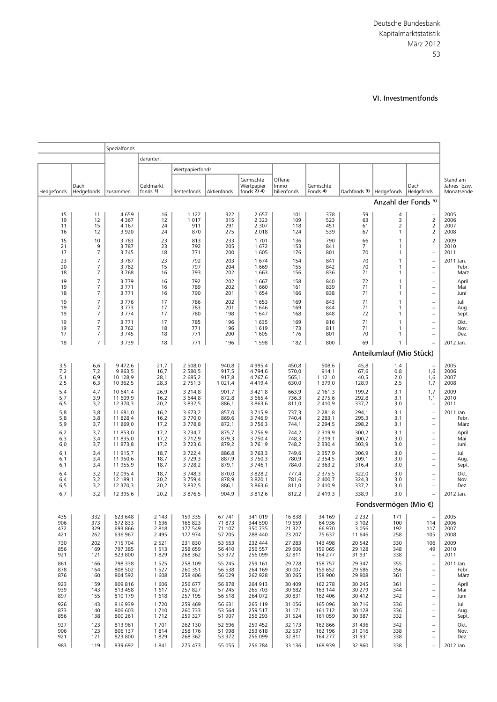|             |                                  | Spezialfonds         |                        |                        |                      |                                           |                                |                           |                    |                                |                                                      |                                        |
|-------------|----------------------------------|----------------------|------------------------|------------------------|----------------------|-------------------------------------------|--------------------------------|---------------------------|--------------------|--------------------------------|------------------------------------------------------|----------------------------------------|
|             |                                  |                      | darunter:              |                        |                      |                                           |                                |                           |                    |                                |                                                      |                                        |
|             |                                  |                      |                        | Wertpapierfonds        |                      |                                           |                                |                           |                    |                                |                                                      |                                        |
| Hedgefonds  | Dach-<br>Hedgefonds   zusammen   |                      | Geldmarkt-<br>fonds 1) | Rentenfonds            | Aktienfonds          | Gemischte<br>Wertpapier-<br>fonds $2)$ 4) | Offene<br>Immo-<br>bilienfonds | Gemischte<br>Fonds 4)     | Dachfonds 3)       | Hedgefonds   Hedgefonds        | Dach-                                                | Stand am<br>Jahres- bzw.<br>Monatsende |
|             |                                  |                      |                        |                        |                      |                                           |                                |                           |                    | Anzahl der Fonds <sup>5)</sup> |                                                      |                                        |
| 15          | 11                               | 4659                 | 16                     | 1 1 2 2                | 322                  | 2 6 5 7                                   | 101                            | 378                       | 59                 | 4                              |                                                      | 2005                                   |
| 19<br>11    | 12<br>15                         | 4 3 6 7<br>4 1 6 7   | 12<br>24               | 1017<br>911            | 315<br>291           | 2 3 2 3<br>2 3 0 7                        | 109<br>118                     | 523<br>451                | 63<br>61           | 3<br>$\overline{2}$            | $\frac{1}{2}$<br>$\overline{2}$                      | 2006<br>2007                           |
| 16          | 12                               | 3 9 2 0              | 24                     | 870                    | 275                  | 2018                                      | 124                            | 539                       | 67                 | $\mathbf{1}$                   | $\overline{2}$                                       | 2008                                   |
| 15<br>21    | 10<br>9                          | 3783<br>3787         | 23<br>23               | 813<br>792             | 233<br>205           | 1 7 0 1<br>1 672                          | 136<br>153                     | 790<br>841                | 66<br>71           | $\mathbf{1}$<br>$\mathbf{1}$   | $\overline{2}$<br>$\mathbf{1}$                       | 2009<br>2010                           |
| 17<br>23    | $\overline{7}$<br>$\overline{7}$ | 3745<br>3787         | 18<br>23               | 771<br>792             | 200<br>203           | 1 605<br>1674                             | 176<br>154                     | 801<br>841                | 70<br>70           | $\mathbf{1}$<br>$\mathbf{1}$   | $\overline{\phantom{a}}$<br>$\qquad \qquad -$        | 2011<br>2011 Jan.                      |
| 20<br>18    | $\overline{7}$<br>$\overline{7}$ | 3782<br>3768         | 15<br>16               | 797<br>793             | 204<br>202           | 1 6 6 9<br>1 6 6 3                        | 155<br>156                     | 842<br>836                | 70<br>71           | $\mathbf{1}$<br>$\mathbf{1}$   | $\equiv$<br>$\equiv$                                 | Febr.<br>März                          |
| 19          | $\overline{\phantom{a}}$         | 3779                 | 16                     | 792                    | 202                  | 1 6 6 7                                   | 158                            | 840                       | 72                 | $\mathbf{1}$                   | $\overline{\phantom{a}}$                             | April                                  |
| 19<br>18    | $\overline{7}$<br>$\overline{7}$ | 3771<br>3771         | 16<br>16               | 789<br>790             | 202<br>201           | 1660<br>1654                              | 161<br>166                     | 839<br>838                | 71<br>71           | $\mathbf{1}$<br>$\mathbf{1}$   | $\overline{\phantom{a}}$<br>÷,                       | Mai<br>Juni                            |
| 19          | $\overline{7}$<br>$\overline{7}$ | 3776<br>3 7 7 3      | 17<br>17               | 786<br>783             | 202<br>201           | 1 6 5 3                                   | 169<br>169                     | 843<br>844                | 71                 | $\mathbf{1}$                   | $\overline{\phantom{0}}$                             | Juli                                   |
| 19<br>19    | $\overline{7}$                   | 3 7 7 4              | 17                     | 780                    | 198                  | 1646<br>1647                              | 168                            | 848                       | 71<br>72           | $\mathbf{1}$<br>$\mathbf{1}$   | $\qquad \qquad -$<br>$\overline{\phantom{m}}$        | Aug.<br>Sept.                          |
| 19<br>19    | $\overline{7}$<br>7              | 3 7 7 1<br>3762      | 17<br>18               | 785<br>771             | 196<br>196           | 1 6 3 5<br>1619                           | 169<br>173                     | 816<br>811                | 71<br>71           | $\mathbf{1}$<br>$\mathbf{1}$   | $\qquad \qquad -$<br>$\overline{\phantom{a}}$        | Okt.<br>Nov.                           |
| 17          | $\overline{7}$                   | 3 7 4 5              | 18                     | 771                    | 200                  | 1 605                                     | 176                            | 801                       | 70                 | 1                              | $\overline{\phantom{a}}$                             | Dez.                                   |
| 18          | $\overline{7}$                   | 3739                 | 18                     | 771                    | 196                  | 1598                                      | 182                            | 800                       | 69                 | $\mathbf{1}$                   |                                                      | 2012 Jan.                              |
|             |                                  |                      |                        |                        |                      |                                           |                                |                           |                    | Anteilumlauf (Mio Stück)       |                                                      |                                        |
| 3,5<br>7,2  | 6,6<br>7,2                       | 9 4 7 2, 6<br>9863,5 | 21,7<br>16,7           | 2 508,0<br>2 580,5     | 940,8<br>917,5       | 4 9 9 5, 4<br>4 7 9 4, 6                  | 450,8<br>570,0                 | 508,6<br>914,1            | 45,8<br>67,6       | 1,4<br>0,8                     | $\overline{\phantom{a}}$<br>1,6                      | 2005<br>2006                           |
| 5,1<br>2,5  | 6,9<br>6,3                       | 10 128,9<br>10 362,5 | 28,1<br>28,3           | 2 685,2<br>2 7 5 1 , 3 | 917,8<br>1 0 2 1 , 4 | 4767,6<br>4 4 1 9 , 4                     | 565,1<br>630,0                 | 1 1 2 1 , 0<br>1 379,0    | 40,5<br>128,9      | 2,0<br>2,5                     | 1,6<br>1,7                                           | 2007<br>2008                           |
| 5,4<br>5,7  | 4,7<br>3,9                       | 10 641,4<br>11 609,9 | 26,9<br>16,2           | 3 2 1 4, 8<br>3 644,8  | 901,7<br>872,8       | 3 4 2 1, 8<br>3 665,4                     | 663,9<br>736,3                 | 2 161,3<br>2 2 7 5, 6     | 199,2<br>292,8     | 3,1<br>3,1                     | 1,7<br>1,1                                           | 2009<br>2010                           |
| 6, 5        | 3,2                              | 12 370,3             | 20,2                   | 3 8 3 2, 5             | 886,1                | 3 863,6                                   | 811,0                          | 2 4 1 0, 9                | 337,2              | 3,0                            | $\qquad \qquad -$                                    | 2011                                   |
| 5,8<br>5,8  | 3,8<br>3,8                       | 11 681,0<br>11 828,4 | 16,2<br>16,2           | 3 673,2<br>3770,0      | 857,0<br>869,6       | 3715,9<br>3746,9                          | 737,3<br>740,4                 | 2 2 8 1 , 8<br>2 2 8 3, 1 | 294,1<br>295,3     | 3,1<br>3,1                     | $\overline{\phantom{a}}$<br>$\overline{\phantom{a}}$ | 2011 Jan.<br>Febr.                     |
| 5,9<br>6,2  | 3,7<br>3,7                       | 11 869,0<br>11 853,0 | 17,2<br>17,2           | 3778,8<br>3 7 3 4 , 7  | 872,1<br>875,7       | 3756,3<br>3756,9                          | 744,1<br>744,2                 | 2 2 9 4, 5<br>2 3 1 9 , 9 | 298,2<br>300,2     | 3,1<br>3,1                     | $\overline{\phantom{a}}$<br>$\qquad \qquad -$        | März<br>April                          |
| 6,3         | 3,4<br>3,7                       | 11 835,0<br>11 873,8 | 17,2                   | 3712,9                 | 879,3                | 3 7 5 0, 4<br>3 7 6 1, 9                  | 748,3                          | 2 3 1 9 , 1<br>2 3 3 0, 4 | 300,7<br>303,9     | 3,0                            | $\overline{\phantom{a}}$<br>$\overline{\phantom{a}}$ | Mai<br>Juni                            |
| 6,0<br>6,1  | 3,4                              | 11 915,7             | 17,2<br>18,7           | 3723,6<br>3722,4       | 879,2<br>886,8       | 3 763,3                                   | 748,2<br>749,6                 | 2 3 5 7, 9                | 306,9              | 3,0<br>3,0                     | ÷,                                                   | Juli                                   |
| 6,1<br>6,1  | 3,4<br>3,4                       | 11 950,6<br>11 955,9 | 18,7<br>18,7           | 3729,3<br>3728,2       | 887,9<br>879,1       | 3 750,3<br>3 746,1                        | 780,9<br>784,0                 | 2 3 5 4, 5<br>2 3 6 3, 2  | 309,1<br>316,4     | 3,0<br>3,0                     | $\qquad \qquad -$<br>$\overline{\phantom{a}}$        | Aug.<br>Sept.                          |
| 6,4         | 3,2                              | 12 095,4             | 18,7                   | 3 7 4 8 , 3            | 870,0                | 3 828,2                                   | 777,4                          | 2 3 7 5 , 5               | 322,0              | 3,0                            | $\qquad \qquad -$                                    | Okt.                                   |
| 6,4<br>6, 5 | 3,2<br>3,2                       | 12 189,1<br>12 370,3 | 20,2<br>20,2           | 3759,4<br>3 8 3 2, 5   | 878,9<br>886,1       | 3 820,1<br>3 863,6                        | 781,6<br>811,0                 | 2 400,7<br>2 4 1 0, 9     | 324,3<br>337,2     | 3,0<br>3,0                     | $\overline{\phantom{0}}$<br>$\equiv$                 | Nov.<br>Dez.                           |
| 6,7         | 3,2                              | 12 395,6             | 20,2                   | 3 876,5                | 904,9                | 3 812,6                                   | 812,2                          | 2 4 1 9 , 3               | 338,9              | 3,0                            | $\equiv$                                             | 2012 Jan.                              |
|             |                                  |                      |                        |                        |                      |                                           |                                |                           |                    | Fondsvermögen (Mio €)          |                                                      |                                        |
| 435<br>906  | 332<br>373                       | 623 648<br>672 833   | 2 1 4 3<br>1636        | 159 335<br>166 823     | 67 741<br>71 873     | 341 019<br>344 590                        | 16838<br>19 659                | 34 169<br>64 936          | 2 2 3 2<br>3 1 0 2 | 171<br>100                     | $\equiv$<br>114                                      | 2005<br>2006                           |
| 472<br>421  | 329<br>262                       | 693 866<br>636 967   | 2818<br>2 4 9 5        | 177 549<br>177 974     | 71 107<br>57 205     | 350735<br>288 440                         | 21 3 22<br>23 207              | 66 970<br>75 637          | 3 0 5 6<br>11 646  | 192<br>258                     | 117<br>105                                           | 2007<br>2008                           |
| 730         | 202                              | 715 704              | 2 5 2 1                | 231 830                | 53 553               | 232 444                                   | 27 283                         | 143 498                   | 20 542             | 330                            | 106                                                  | 2009                                   |
| 856<br>921  | 169<br>121                       | 797 385<br>823 800   | 1513<br>1829           | 258 659<br>268 362     | 56 410<br>53 372     | 256 557<br>256 099                        | 29 606<br>32 811               | 159 065<br>164 277        | 29 128<br>31 931   | 348<br>338                     | 49<br>$\overline{\phantom{a}}$                       | 2010<br>2011                           |
| 861<br>878  | 166<br>164                       | 798 338<br>808 502   | 1 5 2 5<br>1527        | 258 109<br>260 351     | 55 245<br>56 538     | 259 161<br>264 169                        | 29728<br>30 007                | 158 757<br>159 652        | 29 347<br>29 5 86  | 355<br>356                     | $\overline{\phantom{a}}$<br>$\overline{\phantom{a}}$ | 2011 Jan.<br>Febr.                     |
| 876         | 160                              | 804 592              | 1608                   | 258 406                | 56 029               | 262 928                                   | 30 265                         | 158 900                   | 29 808             | 361                            | $\overline{\phantom{a}}$                             | März                                   |
| 923<br>939  | 159<br>143                       | 809 816<br>813 458   | 1606<br>1617           | 256 677<br>257 827     | 56 878<br>57 245     | 264 913<br>265 703                        | 30 409<br>30 682               | 162 278<br>163 144        | 30 245<br>30 279   | 361<br>344                     | $\overline{\phantom{a}}$<br>$\overline{\phantom{a}}$ | April<br>Mai                           |
| 897<br>926  | 155<br>143                       | 810 179<br>816 939   | 1618<br>1720           | 257 195<br>259 469     | 56 518<br>56 631     | 264 072<br>265 119                        | 30 831<br>31 0 56              | 162 406<br>165 096        | 30 412<br>30716    | 342<br>336                     | $\overline{\phantom{a}}$<br>$\overline{\phantom{m}}$ | Juni                                   |
| 873         | 140                              | 806 603              | 1710                   | 260 733                | 53 564               | 259 517                                   | 31 171                         | 161 712                   | 30 128             | 336                            | $\overline{\phantom{a}}$                             | Juli<br>Aug.                           |
| 856<br>927  | 138<br>123                       | 800 261<br>813 961   | 1712<br>1 7 0 1        | 259 327<br>262 130     | 51 907<br>52 696     | 256 293<br>259 452                        | 31 5 24<br>32 173              | 161 059<br>162 866        | 30 387<br>31 4 36  | 332<br>342                     | $\overline{\phantom{a}}$<br>$\overline{\phantom{a}}$ | Sept.<br>Okt.                          |
| 906<br>921  | 123<br>121                       | 806 137<br>823 800   | 1814<br>1829           | 258 176<br>268 362     | 51 998<br>53 372     | 253 618<br>256 099                        | 32 537<br>32 811               | 162 196<br>164 277        | 31 016<br>31 931   | 338<br>338                     | $\overline{\phantom{a}}$<br>$\overline{\phantom{a}}$ | Nov.<br>Dez.                           |
| 983         | 119                              | 839 692              | 1841                   | 275 473                | 55 055               | 256 784                                   | 33 136                         | 168 939                   | 32 860             | 338                            | $\overline{\phantom{0}}$                             | 2012 Jan.                              |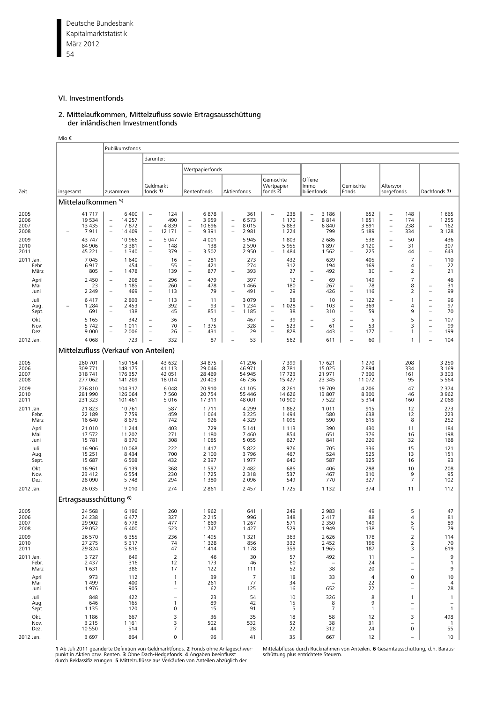Deutsche Bundesbank 54 Kapitalmarktstatistik März 2012

### VI. Investmentfonds

Mio €

#### 2. Mittelaufkommen, Mittelzufluss sowie Ertragsausschüttung der inländischen Investmentfonds

Publikumsfonds

|                                                                                                                                                                          |                                                                                                                                                                                                                                                  |                                                                                                                                                                                                               | darunter:                                                                                                                                                                                                                           |                                                                                                                                                                                                 |                                                                                                                                                                                                           |                                                                                                                                                                                                                                    |                                                                                                                                                                   |                                                                                                                                                                                                                                                                                      |                                                                                                                                                                                             |                                                                                                                                                                                                                                                        |
|--------------------------------------------------------------------------------------------------------------------------------------------------------------------------|--------------------------------------------------------------------------------------------------------------------------------------------------------------------------------------------------------------------------------------------------|---------------------------------------------------------------------------------------------------------------------------------------------------------------------------------------------------------------|-------------------------------------------------------------------------------------------------------------------------------------------------------------------------------------------------------------------------------------|-------------------------------------------------------------------------------------------------------------------------------------------------------------------------------------------------|-----------------------------------------------------------------------------------------------------------------------------------------------------------------------------------------------------------|------------------------------------------------------------------------------------------------------------------------------------------------------------------------------------------------------------------------------------|-------------------------------------------------------------------------------------------------------------------------------------------------------------------|--------------------------------------------------------------------------------------------------------------------------------------------------------------------------------------------------------------------------------------------------------------------------------------|---------------------------------------------------------------------------------------------------------------------------------------------------------------------------------------------|--------------------------------------------------------------------------------------------------------------------------------------------------------------------------------------------------------------------------------------------------------|
|                                                                                                                                                                          |                                                                                                                                                                                                                                                  |                                                                                                                                                                                                               | Wertpapierfonds                                                                                                                                                                                                                     |                                                                                                                                                                                                 |                                                                                                                                                                                                           |                                                                                                                                                                                                                                    |                                                                                                                                                                   |                                                                                                                                                                                                                                                                                      |                                                                                                                                                                                             |                                                                                                                                                                                                                                                        |
| Zeit                                                                                                                                                                     | insgesamt                                                                                                                                                                                                                                        | zusammen                                                                                                                                                                                                      | Geldmarkt-<br>fonds 1)                                                                                                                                                                                                              | Rentenfonds                                                                                                                                                                                     | Aktienfonds                                                                                                                                                                                               | Gemischte<br>Wertpapier-<br>fonds 2)                                                                                                                                                                                               | Offene<br>Immo-<br>bilienfonds                                                                                                                                    | Gemischte<br>Fonds                                                                                                                                                                                                                                                                   | Altersvor-<br>sorgefonds                                                                                                                                                                    | Dachfonds 3)                                                                                                                                                                                                                                           |
|                                                                                                                                                                          | Mittelaufkommen 5)                                                                                                                                                                                                                               |                                                                                                                                                                                                               |                                                                                                                                                                                                                                     |                                                                                                                                                                                                 |                                                                                                                                                                                                           |                                                                                                                                                                                                                                    |                                                                                                                                                                   |                                                                                                                                                                                                                                                                                      |                                                                                                                                                                                             |                                                                                                                                                                                                                                                        |
| 2005<br>2006<br>2007<br>2008<br>2009<br>2010<br>2011                                                                                                                     | 41 717<br>19 5 34<br>13 4 35<br>7911<br>43 747<br>84 906<br>45 221                                                                                                                                                                               | 6 4 0 0<br>14 257<br>$\overline{\phantom{a}}$<br>$\overline{\phantom{0}}$<br>7872<br>14 409<br>$\overline{\phantom{a}}$<br>10 966<br>13 381<br>1 3 4 0<br>$\overline{\phantom{a}}$                            | 124<br>$\overline{\phantom{a}}$<br>490<br>4839<br>$\overline{\phantom{a}}$<br>12 171<br>$\overline{\phantom{a}}$<br>5 0 4 7<br>$\overline{\phantom{a}}$<br>148<br>$\overline{\phantom{a}}$<br>379<br>$\overline{\phantom{0}}$       | 6878<br>3 9 5 9<br>$\overline{\phantom{a}}$<br>$\qquad \qquad -$<br>10 696<br>$\overline{\phantom{m}}$<br>9 3 9 1<br>4 0 0 1<br>138<br>3 5 0 2<br>$\overline{\phantom{a}}$                      | 361<br>6 5 7 3<br>$\overline{\phantom{a}}$<br>8015<br>$\overline{\phantom{a}}$<br>2981<br>$\overline{\phantom{a}}$<br>5 9 4 5<br>2 5 9 0<br>2 9 5 0                                                       | 238<br>1 170<br>5 8 6 3<br>1 2 2 4<br>1803<br>5 9 5 5<br>1 4 8 4<br>$\overline{\phantom{m}}$                                                                                                                                       | 3 1 8 6<br>8814<br>$\equiv$<br>6840<br>799<br>2 6 8 6<br>1897<br>1 5 6 2                                                                                          | 652<br>1851<br>3891<br>5 1 8 9<br>538<br>3 1 2 0<br>225<br>$\overline{\phantom{a}}$                                                                                                                                                                                                  | 148<br>$\overline{\phantom{m}}$<br>174<br>$\overline{\phantom{a}}$<br>$\overline{\phantom{0}}$<br>238<br>334<br>$\overline{\phantom{0}}$<br>50<br>$\overline{\phantom{0}}$<br>31<br>÷<br>44 | 1 6 6 5<br>1 2 5 5<br>162<br>3 1 2 8<br>436<br>307<br>643<br>$\qquad \qquad -$                                                                                                                                                                         |
| 2011 Jan.<br>Febr.<br>März                                                                                                                                               | 7 0 4 5<br>6917<br>805                                                                                                                                                                                                                           | 1 640<br>454<br>1 4 7 8<br>$\overline{\phantom{a}}$                                                                                                                                                           | 16<br>55<br>$\qquad \qquad -$<br>139                                                                                                                                                                                                | 281<br>$\qquad \qquad -$<br>421<br>$\overline{\phantom{0}}$<br>877<br>$\overline{\phantom{m}}$                                                                                                  | 273<br>274<br>393<br>$\overline{\phantom{a}}$                                                                                                                                                             | 432<br>312<br>27                                                                                                                                                                                                                   | 639<br>194<br>492                                                                                                                                                 | 405<br>169<br>30                                                                                                                                                                                                                                                                     | $\overline{7}$<br>4<br>$\overline{2}$                                                                                                                                                       | 110<br>22<br>$21$                                                                                                                                                                                                                                      |
| April<br>Mai<br>Juni<br>Juli<br>Aug.<br>Sept.<br>Okt.<br>Nov.<br>Dez.                                                                                                    | 2 4 5 0<br>23<br>2 2 4 9<br>6 4 1 7<br>1 2 8 4<br>691<br>5 1 6 5<br>5 7 4 2<br>9 0 0 0<br>4 0 6 8                                                                                                                                                | 208<br>$\overline{\phantom{a}}$<br>1 1 8 5<br>469<br>$\overline{\phantom{0}}$<br>2 8 0 3<br>2 4 5 3<br>$\qquad \qquad -$<br>138<br>$\equiv$<br>342<br>1011<br>$\qquad \qquad -$<br>2 0 0 6<br>$\equiv$<br>723 | 296<br>$\qquad \qquad -$<br>260<br>$\qquad \qquad -$<br>113<br>$\overline{\phantom{0}}$<br>113<br>$\qquad \qquad -$<br>392<br>45<br>36<br>$\overline{\phantom{m}}$<br>70<br>$\overline{\phantom{a}}$<br>26<br>÷,<br>332<br>$\equiv$ | 479<br>$\qquad \qquad -$<br>478<br>$\qquad \qquad -$<br>79<br>11<br>$\qquad \qquad -$<br>93<br>$\equiv$<br>851<br>13<br>1 3 7 5<br>$\qquad \qquad -$<br>431<br>$\equiv$<br>87                   | 397<br>1466<br>491<br>$\overline{\phantom{m}}$<br>3 0 7 9<br>1 2 3 4<br>$\overline{\phantom{a}}$<br>1 1 8 5<br>$\equiv$<br>467<br>328<br>29<br>$\overline{\phantom{0}}$<br>53<br>$\overline{\phantom{0}}$ | 12<br>180<br>29<br>$\overline{\phantom{0}}$<br>38<br>1 0 2 8<br>$\qquad \qquad -$<br>38<br>$\overline{\phantom{0}}$<br>39<br>$\overline{\phantom{0}}$<br>523<br>$\overline{\phantom{0}}$<br>828<br>$\overline{\phantom{0}}$<br>562 | 69<br>267<br>426<br>10<br>103<br>310<br>3<br>$\overline{\phantom{0}}$<br>61<br>$\overline{\phantom{a}}$<br>443<br>611                                             | 149<br>78<br>$\qquad \qquad -$<br>$\overline{\phantom{0}}$<br>116<br>122<br>$\overline{\phantom{0}}$<br>$\overline{\phantom{0}}$<br>369<br>59<br>$\overline{\phantom{0}}$<br>5<br>$\qquad \qquad -$<br>53<br>$\overline{\phantom{0}}$<br>177<br>$\overline{\phantom{0}}$<br>60<br>÷, | $\overline{7}$<br>8<br>$\overline{2}$<br>$\mathbf{1}$<br>4<br>9<br>5<br>3<br>1<br>1                                                                                                         | 46<br>31<br>$\overline{\phantom{0}}$<br>99<br>$\qquad \qquad -$<br>96<br>$\qquad \qquad -$<br>97<br>$\overline{\phantom{0}}$<br>70<br>$\overline{\phantom{0}}$<br>107<br>$\qquad \qquad -$<br>99<br>$\overline{\phantom{0}}$<br>$\equiv$<br>199<br>104 |
| 2012 Jan.                                                                                                                                                                | Mittelzufluss (Verkauf von Anteilen)                                                                                                                                                                                                             |                                                                                                                                                                                                               |                                                                                                                                                                                                                                     |                                                                                                                                                                                                 |                                                                                                                                                                                                           |                                                                                                                                                                                                                                    |                                                                                                                                                                   |                                                                                                                                                                                                                                                                                      |                                                                                                                                                                                             |                                                                                                                                                                                                                                                        |
| 2005<br>2006<br>2007<br>2008<br>2009<br>2010<br>2011<br>2011 Jan.<br>Febr.<br>März<br>April<br>Mai<br>Juni<br>Juli<br>Aug.<br>Sept.<br>Okt.<br>Nov.<br>Dez.<br>2012 Jan. | 260 701<br>309 771<br>318741<br>277 062<br>276810<br>281 990<br>231 323<br>21 823<br>22 189<br>16 640<br>21 010<br>17 572<br>15 781<br>16 906<br>15 2 5 1<br>15 687<br>16 961<br>23 412<br>28 090<br>26 035<br>Ertragsausschüttung <sup>6)</sup> | 150 154<br>148 175<br>176 357<br>141 209<br>104 317<br>126 064<br>101 461<br>10 761<br>7759<br>8675<br>11 2 4 4<br>11 202<br>8370<br>10 068<br>8434<br>6 5 0 8<br>6 1 3 9<br>6 5 5 4<br>5748<br>9010          | 43 632<br>41 113<br>42 051<br>18014<br>6 0 4 8<br>7 5 6 0<br>5016<br>587<br>459<br>742<br>403<br>271<br>308<br>222<br>700<br>432<br>368<br>230<br>294<br>274                                                                        | 34 875<br>29 046<br>28 4 69<br>20 403<br>20 910<br>20 754<br>17 311<br>1711<br>1 0 6 4<br>926<br>729<br>1 1 8 0<br>1 0 8 5<br>1 4 1 7<br>2 100<br>2 3 9 7<br>1 5 9 7<br>1725<br>1 3 8 0<br>2861 | 41 296<br>46 971<br>54 945<br>46 736<br>41 105<br>55 446<br>48 001<br>4 2 9 9<br>3 2 2 5<br>4 3 2 9<br>5 1 4 1<br>7 4 6 0<br>5 0 5 5<br>5 8 2 2<br>3796<br>1977<br>2 4 8 2<br>2 3 1 8<br>2096<br>2 4 5 7  | 7 3 9 9<br>8781<br>17 723<br>15 427<br>8 2 6 1<br>14 626<br>10 900<br>1862<br>1 4 9 4<br>1 0 9 5<br>1 1 1 3<br>854<br>627<br>976<br>467<br>640<br>686<br>537<br>549<br>1725                                                        | 17 621<br>15 0 25<br>21 971<br>23 345<br>19 709<br>13 807<br>7522<br>1011<br>580<br>590<br>390<br>651<br>841<br>705<br>524<br>587<br>406<br>467<br>770<br>1 1 3 2 | 1 2 7 0<br>2894<br>7 3 0 0<br>11 072<br>4 2 0 6<br>8 3 0 0<br>5 3 1 4<br>915<br>638<br>615<br>430<br>376<br>220<br>336<br>525<br>325<br>298<br>310<br>327<br>374                                                                                                                     | 208<br>334<br>161<br>95<br>47<br>46<br>160<br>12<br>12<br>8<br>11<br>16<br>32<br>15<br>13<br>16<br>10<br>9<br>$\overline{\phantom{a}}$<br>11                                                | 3 2 5 0<br>3 1 6 9<br>3 3 0 3<br>5 5 6 4<br>2 3 7 4<br>3 9 6 2<br>2 0 6 8<br>273<br>223<br>252<br>184<br>198<br>168<br>121<br>151<br>93<br>208<br>95<br>102<br>112                                                                                     |
| 2005<br>2006<br>2007<br>2008<br>2009<br>2010<br>2011<br>2011 Jan.<br>Febr.<br>März<br>April<br>Mai                                                                       | 24 568<br>24 2 38<br>29 902<br>29 052<br>26 570<br>27 275<br>29 824<br>3727<br>2 4 3 7<br>1631<br>973<br>1 4 9 9                                                                                                                                 | 6 1 9 6<br>6 477<br>6778<br>6 4 0 0<br>6 3 5 5<br>5 3 1 7<br>5816<br>649<br>316<br>386<br>112<br>400                                                                                                          | 260<br>327<br>477<br>523<br>236<br>74<br>47<br>$\overline{2}$<br>12<br>17<br>1<br>$\mathbf{1}$                                                                                                                                      | 1962<br>2 2 1 5<br>1869<br>1747<br>1495<br>1 3 2 8<br>1414<br>46<br>173<br>122<br>39<br>261                                                                                                     | 641<br>996<br>1 2 6 7<br>1 4 2 7<br>1 3 2 1<br>856<br>1 1 7 8<br>30<br>46<br>111<br>$\overline{7}$<br>77                                                                                                  | 249<br>348<br>571<br>529<br>363<br>332<br>359<br>57<br>60<br>52<br>18<br>34                                                                                                                                                        | 2983<br>2 4 1 7<br>2 3 5 0<br>1949<br>2 6 2 6<br>2 4 5 2<br>1 9 6 5<br>492<br>38<br>33                                                                            | 49<br>88<br>149<br>138<br>178<br>196<br>187<br>11<br>24<br>20<br>$\overline{4}$<br>22                                                                                                                                                                                                | 5<br>4<br>5<br>$\overline{2}$<br>$\overline{2}$<br>3<br>0                                                                                                                                   | 47<br>81<br>89<br>79<br>114<br>70<br>619<br>$\overline{9}$<br>$\overline{1}$<br>9<br>10<br>$\overline{4}$                                                                                                                                              |
| Juni<br>Juli<br>Aug.<br>Sept.<br>Okt.<br>Nov.                                                                                                                            | 1976<br>848<br>646<br>1 1 3 5<br>1 1 8 6<br>3 2 1 5                                                                                                                                                                                              | 905<br>422<br>165<br>120<br>667<br>1 1 6 1                                                                                                                                                                    | $\mathbf{1}$<br>0<br>3<br>3                                                                                                                                                                                                         | 62<br>23<br>89<br>15<br>36<br>502                                                                                                                                                               | 125<br>54<br>42<br>91<br>35<br>532                                                                                                                                                                        | 16<br>10<br>15<br>5<br>18<br>52                                                                                                                                                                                                    | 652<br>326<br>8<br>7<br>58<br>38                                                                                                                                  | 22<br>8<br>9<br>1<br>12<br>31                                                                                                                                                                                                                                                        | 1<br>3                                                                                                                                                                                      | 28<br>$\mathbf{1}$<br>$\overline{1}$<br>498<br>$\overline{1}$                                                                                                                                                                                          |
| Dez.<br>2012 Jan.                                                                                                                                                        | 10 550<br>3 6 9 7                                                                                                                                                                                                                                | 514<br>864                                                                                                                                                                                                    | $\overline{\phantom{a}}$<br>0                                                                                                                                                                                                       | 44<br>96                                                                                                                                                                                        | 28<br>41                                                                                                                                                                                                  | 22<br>35                                                                                                                                                                                                                           | 312<br>667                                                                                                                                                        | 24<br>12                                                                                                                                                                                                                                                                             | 0                                                                                                                                                                                           | 55<br>10                                                                                                                                                                                                                                               |

1 Ab Juli 2011 geänderte Definition von Geldmarktfonds. **2** Fonds ohne Anlageschwer- Mittelabflüsse durch Rücknahmen von Anteilen. **6** Gesamtausschüttung, d.h. Baraus-<br>punkt in Aktien bzw. Renten. 3 Ohne Dach-Hedgefonds. 4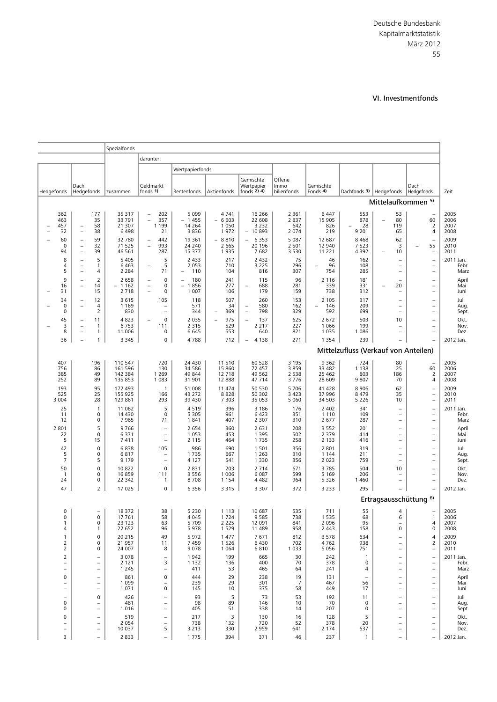Deutsche Bundesbank 55 Kapitalmarktstatistik März 2012

# VI. Investmentfonds

|                                                           |                                                                                  |                                                                                  | Spezialfonds                                              |                                               |                                                                                  |                                                       |                                       |                                                                                               |                                    |                                          |                                         |                                                                                                              |                                                                                                |                                   |
|-----------------------------------------------------------|----------------------------------------------------------------------------------|----------------------------------------------------------------------------------|-----------------------------------------------------------|-----------------------------------------------|----------------------------------------------------------------------------------|-------------------------------------------------------|---------------------------------------|-----------------------------------------------------------------------------------------------|------------------------------------|------------------------------------------|-----------------------------------------|--------------------------------------------------------------------------------------------------------------|------------------------------------------------------------------------------------------------|-----------------------------------|
|                                                           |                                                                                  |                                                                                  |                                                           | darunter:                                     |                                                                                  |                                                       |                                       |                                                                                               |                                    |                                          |                                         |                                                                                                              |                                                                                                |                                   |
|                                                           |                                                                                  |                                                                                  |                                                           |                                               |                                                                                  | Wertpapierfonds                                       |                                       |                                                                                               |                                    |                                          |                                         |                                                                                                              |                                                                                                |                                   |
| Hedgefonds                                                | Dach-<br>Hedgefonds                                                              |                                                                                  | zusammen                                                  | Geldmarkt-<br>fonds 1)                        |                                                                                  | Rentenfonds                                           | Aktienfonds                           | Gemischte<br>Wertpapier-<br>fonds 2) 4)                                                       | Offene<br>Immo-<br>bilienfonds     | Gemischte<br>Fonds 4)                    |                                         | Dachfonds 3)   Hedgefonds   Hedgefonds                                                                       | Dach-                                                                                          | Zeit                              |
|                                                           |                                                                                  |                                                                                  |                                                           |                                               |                                                                                  |                                                       |                                       |                                                                                               |                                    |                                          |                                         | Mittelaufkommen 5)                                                                                           |                                                                                                |                                   |
| 362<br>463<br>457<br>32                                   | $\overline{\phantom{a}}$<br>$\overline{\phantom{a}}$                             | 177<br>35<br>58<br>38                                                            | 35 317<br>33 791<br>21 307<br>6498                        | $\overline{\phantom{a}}$<br>$\qquad \qquad -$ | 202<br>357<br>1 1 9 9<br>21                                                      | 5 0 9 9<br>$-1455$<br>14 2 64<br>3836                 | 4 7 4 1<br>$-6603$<br>1 0 5 0<br>1972 | 16 26 6<br>22 608<br>3 2 3 2<br>$-10893$                                                      | 2 3 6 1<br>2837<br>642<br>2 0 7 4  | 6 4 4 7<br>15 905<br>826<br>219          | 553<br>878<br>28<br>9 2 0 1             | 53<br>80<br>119<br>65                                                                                        | $\qquad \qquad -$<br>60<br>$\overline{2}$<br>4                                                 | 2005<br>2006<br>2007<br>2008      |
| 60<br>0<br>94                                             | $\overline{\phantom{a}}$<br>$\overline{\phantom{a}}$<br>$\overline{\phantom{a}}$ | 59<br>32<br>39                                                                   | 32 780<br>71 525<br>46 5 61                               | $\qquad \qquad -$<br>$\equiv$                 | 442<br>993<br>287                                                                | 19 3 61<br>24 240<br>15 377                           | $-8810$<br>2 6 6 5<br>1935            | $-6353$<br>20 19 6<br>7682                                                                    | 5 0 8 7<br>2 5 0 1<br>3 5 3 0      | 12 687<br>12 940<br>11 221               | 8468<br>7 5 2 3<br>4 3 9 2              | 62<br>3<br>10                                                                                                | $\overline{\phantom{a}}$<br>55<br>$\qquad \qquad -$                                            | 2009<br>2010<br>2011              |
| 8<br>4<br>5                                               | $\overline{\phantom{a}}$<br>$\overline{\phantom{0}}$<br>$\overline{\phantom{a}}$ | 5<br>1<br>4                                                                      | 5 4 0 5<br>6463<br>2 2 8 4                                | L,                                            | 5<br>5<br>71                                                                     | 2 4 3 3<br>2 0 5 3<br>110<br>$\qquad \qquad -$        | 217<br>710<br>104                     | 2 4 3 2<br>3 2 2 5<br>816                                                                     | 75<br>296<br>307                   | 46<br>96<br>754                          | 162<br>108<br>285                       | $\qquad \qquad -$<br>$\qquad \qquad -$<br>$\qquad \qquad -$                                                  | $\overline{\phantom{0}}$<br>$\qquad \qquad -$<br>$\qquad \qquad -$                             | 2011 Jan.<br>Febr.<br>März        |
| 9<br>16<br>31                                             | $\overline{\phantom{0}}$<br>$\overline{\phantom{a}}$                             | $\overline{2}$<br>14<br>15                                                       | 2 6 5 8<br>1 1 6 2<br>$\overline{\phantom{0}}$<br>2 7 1 8 | $\overline{\phantom{0}}$<br>$\equiv$<br>L,    | $\mathsf 0$<br>0<br>0                                                            | 180<br>$\overline{\phantom{0}}$<br>$-1856$<br>1 0 0 7 | 241<br>277<br>106                     | 115<br>688<br>$\overline{\phantom{0}}$<br>179                                                 | 96<br>281<br>159                   | 2 1 1 6<br>339<br>738                    | 181<br>331<br>312                       | $\overline{\phantom{0}}$<br>20<br>$\qquad \qquad -$                                                          | $\qquad \qquad -$<br>$\qquad \qquad -$<br>$\qquad \qquad -$                                    | April<br>Mai<br>Juni              |
| 34<br>$\mathbf 0$<br>0<br>45                              | $\overline{\phantom{a}}$<br>÷,                                                   | 12<br>4<br>$\overline{2}$<br>11                                                  | 3615<br>1 1 6 9<br>830<br>4823                            |                                               | 105<br>۰<br>$\overline{\phantom{a}}$<br>0                                        | 118<br>571<br>344<br>2 0 3 5                          | 507<br>34<br>369<br>975               | 260<br>580<br>$\overline{\phantom{0}}$<br>$\bar{ }$<br>798<br>137<br>$\overline{\phantom{0}}$ | 153<br>162<br>329<br>625           | 2 1 0 5<br>146<br>592<br>2 672           | 317<br>209<br>699<br>503                | $\overline{\phantom{0}}$<br>$\overline{\phantom{a}}$<br>$\overline{\phantom{m}}$<br>10                       | $\qquad \qquad -$<br>$\qquad \qquad -$<br>$\qquad \qquad -$<br>$\qquad \qquad -$               | Juli<br>Aug.<br>Sept<br>Okt.      |
| 3<br>8<br>36                                              | $\overline{\phantom{a}}$<br>$\overline{\phantom{a}}$<br>÷,                       | $\mathbf{1}$<br>$\mathbf{1}$<br>$\mathbf{1}$                                     | 6753<br>11 006<br>3 3 4 5                                 |                                               | 111<br>0<br>0                                                                    | 2 3 1 5<br>6 6 4 5<br>4788                            | 529<br>553<br>712                     | 2 2 1 7<br>640<br>4 1 3 8<br>$\overline{\phantom{0}}$                                         | 227<br>821<br>271                  | 1 0 6 6<br>1 0 3 5<br>1 3 5 4            | 199<br>1 0 8 6<br>239                   | $\qquad \qquad -$<br>$\overline{\phantom{0}}$                                                                | $\qquad \qquad -$<br>$\overline{\phantom{0}}$                                                  | Nov.<br>Dez.<br>2012 Jan.         |
|                                                           |                                                                                  |                                                                                  |                                                           |                                               |                                                                                  |                                                       |                                       |                                                                                               |                                    |                                          | Mittelzufluss (Verkauf von Anteilen)    |                                                                                                              |                                                                                                |                                   |
| 407<br>756<br>385<br>252                                  |                                                                                  | 196<br>86<br>49<br>89                                                            | 110 547<br>161 596<br>142 384<br>135 853                  |                                               | 720<br>130<br>1 2 6 9<br>1 0 8 3<br>$\mathbf{1}$                                 | 24 4 30<br>34 5 86<br>49 844<br>31 901                | 11 510<br>15 860<br>12 718<br>12 888  | 60 528<br>72 457<br>49 5 62<br>47 714                                                         | 3 1 9 5<br>3859<br>2 5 3 8<br>3776 | 9 3 6 2<br>33 482<br>25 4 62<br>28 609   | 724<br>1 1 3 8<br>803<br>9807           | 80<br>25<br>186<br>70                                                                                        | 60<br>2<br>4                                                                                   | 2005<br>2006<br>2007<br>2008      |
| 193<br>525<br>3 0 0 4<br>25                               |                                                                                  | 95<br>25<br>28<br>$\mathbf{1}$                                                   | 172 493<br>155 925<br>129 861<br>11 062                   |                                               | 166<br>293<br>5                                                                  | 51 008<br>43 272<br>39 4 30<br>4519                   | 11 474<br>8828<br>7 3 0 3<br>396      | 50 530<br>50 302<br>35 053<br>3 1 8 6                                                         | 5706<br>3 4 2 3<br>5 0 6 0<br>176  | 41 428<br>37 996<br>34 503<br>2 4 0 2    | 8906<br>8 4 7 9<br>5 2 2 6<br>341       | 62<br>35<br>10                                                                                               | $\qquad \qquad -$<br>$\qquad \qquad -$<br>$\qquad \qquad -$                                    | 2009<br>2010<br>2011<br>2011 Jan. |
| 11<br>12<br>2 8 0 1                                       |                                                                                  | 0<br>0<br>5                                                                      | 14 4 30<br>7965<br>9766                                   |                                               | $\mathbf 0$<br>71<br>$\overline{\phantom{a}}$                                    | 5 3 0 5<br>1841<br>2 6 5 4                            | 961<br>407<br>360                     | 6 4 2 3<br>2 3 0 7<br>2 6 3 1                                                                 | 351<br>310<br>208                  | 1 1 1 0<br>2 677<br>3 5 5 2              | 109<br>287<br>201                       | $\qquad \qquad -$<br>$\overline{\phantom{a}}$<br>$\overline{\phantom{0}}$<br>$\overline{\phantom{a}}$        | $\qquad \qquad -$<br>$\overline{\phantom{a}}$<br>$\qquad \qquad -$<br>$\qquad \qquad -$        | Febr.<br>März<br>April            |
| 22<br>5<br>42                                             |                                                                                  | 0<br>15<br>0                                                                     | 6 3 7 1<br>7411<br>6838                                   |                                               | $\qquad \qquad -$<br>$\overline{\phantom{a}}$<br>105                             | 1 0 5 3<br>2 1 1 5<br>986                             | 453<br>464<br>690                     | 1 3 9 5<br>1 7 3 5<br>1 5 0 1                                                                 | 502<br>258<br>356                  | 2 3 7 9<br>2 1 3 3<br>2 8 0 1            | 414<br>416<br>319                       | ÷,<br>$\qquad \qquad -$<br>$\overline{\phantom{m}}$                                                          | $\equiv$<br>$\qquad \qquad -$<br>$\qquad \qquad -$                                             | Mai<br>Juni<br>Juli               |
| 5<br>$\overline{7}$<br>50                                 |                                                                                  | 0<br>5<br>0                                                                      | 6817<br>9 1 7 9<br>10822                                  |                                               | $\overline{\phantom{0}}$<br>$\overline{\phantom{a}}$<br>0                        | 1735<br>4 1 2 7<br>2831                               | 667<br>541<br>203                     | 1 2 6 3<br>1 3 3 0<br>2 7 1 4                                                                 | 310<br>356<br>671                  | 1 1 4 4<br>2 0 2 3<br>3785               | 211<br>759<br>504                       | $\overline{\phantom{m}}$<br>÷,<br>10                                                                         | $\overline{\phantom{0}}$<br>$\qquad \qquad -$<br>$\qquad \qquad -$                             | Aug.<br>Sept.<br>Okt.             |
| $\overline{1}$<br>24<br>47                                |                                                                                  | 0<br>0<br>$\overline{2}$                                                         | 16859<br>22 342<br>17 025                                 |                                               | 111<br>1<br>0                                                                    | 3 5 5 6<br>8708<br>6 3 5 6                            | 1 0 0 6<br>1 1 5 4<br>3 3 1 5         | 6 0 8 7<br>4 4 8 2<br>3 3 0 7                                                                 | 599<br>964<br>372                  | 5 1 6 9<br>5 3 2 6<br>3 2 3 3            | 206<br>1460<br>295                      | $\overline{\phantom{0}}$<br>$\equiv$                                                                         | $\overline{\phantom{0}}$<br>$\qquad \qquad -$<br>۳                                             | Nov.<br>Dez.<br>2012 Jan.         |
|                                                           |                                                                                  |                                                                                  |                                                           |                                               |                                                                                  |                                                       |                                       |                                                                                               |                                    |                                          |                                         | Ertragsausschüttung <sup>6)</sup>                                                                            |                                                                                                |                                   |
| 0 <sup>1</sup><br>0<br>1<br>4                             |                                                                                  | - 1<br>0<br>0<br>1                                                               | 18 372  <br>17 761<br>23 123<br>22 652                    |                                               | 38<br>58<br>63<br>96                                                             | 5 2 3 0<br>4 0 4 5<br>5709<br>5978                    | 1113<br>1724<br>2 2 2 5<br>1529       | 10 687<br>9 5 8 5<br>12 091<br>11 489                                                         | 535<br>738<br>841<br>958           | $711$  <br>1 5 3 5<br>2 0 9 6<br>2 4 4 3 | $55$  <br>68<br>95<br>158               | $4 \mid$<br>6<br>$\qquad \qquad -$<br>$\mathsf 0$                                                            | $\mathbf{1}$<br>4<br>0                                                                         | 2005<br>2006<br>2007<br>2008      |
| 1<br>2<br>2                                               |                                                                                  | 0<br>0<br>0                                                                      | 20 215<br>21 957<br>24 007                                |                                               | 49<br>11<br>8                                                                    | 5972<br>7459<br>9078                                  | 1 477<br>1526<br>1 0 6 4              | 7671<br>6430<br>6810                                                                          | 812<br>702<br>1 0 3 3              | 3 5 7 8<br>4762<br>5 0 5 6               | 634<br>938<br>751                       | $\qquad \qquad -$<br>$\overline{\phantom{a}}$<br>$\overline{\phantom{a}}$                                    | $\overline{4}$<br>2<br>$\overline{\phantom{a}}$                                                | 2009<br>2010<br>2011              |
| 2<br>$\qquad \qquad -$<br>$\qquad \qquad -$<br>0          |                                                                                  | $\overline{\phantom{0}}$<br>$\overline{\phantom{0}}$<br>$\overline{\phantom{0}}$ | 3 0 7 8<br>2 1 2 1<br>1 2 4 5<br>861                      |                                               | $\overline{\phantom{a}}$<br>3<br>$\overline{\phantom{a}}$                        | 1942<br>1 1 3 2<br>411<br>444                         | 199<br>136<br>53<br>29                | 665<br>400<br>465<br>238                                                                      | 30<br>70<br>64                     | 242<br>378<br>241                        | 1<br>0<br>4<br>$\overline{\phantom{a}}$ | $\overline{\phantom{m}}$<br>$\overline{\phantom{a}}$<br>$\overline{\phantom{m}}$<br>$\overline{\phantom{m}}$ | $\overline{\phantom{a}}$<br>$\overline{\phantom{a}}$<br>$\qquad \qquad -$                      | 2011 Jan.<br>Febr.<br>März        |
| $\overline{\phantom{0}}$<br>$\overline{\phantom{0}}$      |                                                                                  | $\overline{\phantom{0}}$<br>$\overline{\phantom{0}}$<br>0                        | 1 0 9 9<br>1 0 7 1<br>426                                 |                                               | 0<br>$\qquad \qquad -$<br>0<br>$\overline{\phantom{a}}$                          | 239<br>145<br>93                                      | 29<br>10<br>5                         | 301<br>375<br>73                                                                              | 19<br>$\overline{7}$<br>58<br>53   | 131<br>467<br>449<br>192                 | 56<br>17<br>11                          | $\overline{\phantom{m}}$<br>$\overline{\phantom{m}}$<br>$\overline{\phantom{m}}$                             | $\overline{\phantom{m}}$<br>$\overline{\phantom{m}}$<br>$\qquad \qquad -$<br>$\qquad \qquad -$ | April<br>Mai<br>Juni<br>Juli      |
| 0<br>0<br>0                                               |                                                                                  | $\overline{\phantom{0}}$<br>$\overline{\phantom{0}}$                             | 481<br>1016<br>519                                        |                                               | $\overline{\phantom{a}}$<br>$\overline{\phantom{a}}$<br>$\overline{\phantom{a}}$ | 98<br>405<br>217                                      | 89<br>51<br>3                         | 146<br>338<br>130                                                                             | 10<br>14<br>16                     | 70<br>207<br>128                         | 0<br>0<br>5                             | $\overline{\phantom{a}}$<br>$\overline{\phantom{0}}$<br>$\overline{\phantom{m}}$                             | $\qquad \qquad -$<br>$\qquad \qquad -$<br>$\qquad \qquad -$                                    | Aug.<br>Sept.<br>Okt.             |
| $\overline{\phantom{0}}$<br>$\overline{\phantom{0}}$<br>3 |                                                                                  | $\overline{\phantom{0}}$<br>$\overline{\phantom{0}}$<br>$\qquad \qquad -$        | 2 0 5 4<br>10 037<br>2 8 3 3                              |                                               | $\overline{\phantom{a}}$<br>5<br>$\overline{\phantom{0}}$                        | 738<br>3 2 1 3<br>1775                                | 132<br>330<br>394                     | 720<br>2959<br>371                                                                            | 52<br>641<br>46                    | 378<br>2 174<br>237                      | 20<br>637<br>$\mathbf{1}$               | $\overline{\phantom{a}}$<br>$\qquad \qquad -$<br>$\overline{\phantom{a}}$                                    | $\overline{\phantom{m}}$<br>$\qquad \qquad -$<br>$\overline{\phantom{m}}$                      | Nov.<br>Dez.<br>2012 Jan.         |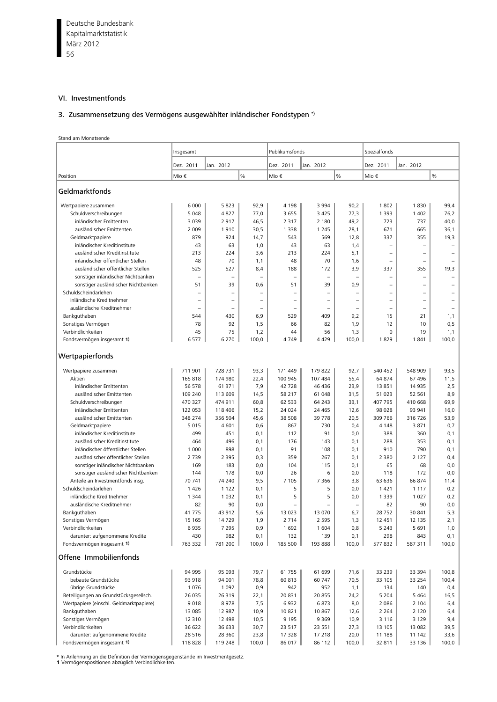Deutsche Bundesbank 56 Kapitalmarktstatistik März 2012

# VI. Investmentfonds

### 3. [Zusammensetzung des Vermögens ausgewählter inländischer Fondstypen \\*\)](#page-17-0)

Stand am Monatsende

|                                                  | Insgesamt                |                          |                               | Publikumsfonds                                       |                          |                          | Spezialfonds             |                                                      |                          |  |
|--------------------------------------------------|--------------------------|--------------------------|-------------------------------|------------------------------------------------------|--------------------------|--------------------------|--------------------------|------------------------------------------------------|--------------------------|--|
|                                                  | Dez. 2011                | Jan. 2012                |                               | Dez. 2011                                            | Jan. 2012                |                          | Dez. 2011                | Jan. 2012                                            |                          |  |
| Position                                         | Mio €                    |                          | $\%$                          | Mio €                                                |                          | $\frac{0}{0}$            | Mio €                    |                                                      | %                        |  |
|                                                  |                          |                          |                               |                                                      |                          |                          |                          |                                                      |                          |  |
| Geldmarktfonds                                   |                          |                          |                               |                                                      |                          |                          |                          |                                                      |                          |  |
| Wertpapiere zusammen                             | 6 0 0 0                  | 5823                     | 92,9                          | 4 1 9 8                                              | 3994                     | 90,2                     | 1802                     | 1830                                                 | 99,4                     |  |
| Schuldverschreibungen                            | 5 0 4 8                  | 4827                     | 77,0                          | 3 6 5 5                                              | 3 4 2 5                  | 77,3                     | 1 3 9 3                  | 1 4 0 2                                              | 76,2                     |  |
| inländischer Emittenten                          | 3 0 3 9                  | 2917                     | 46,5                          | 2 3 1 7                                              | 2 1 8 0                  | 49,2                     | 723                      | 737                                                  | 40,0                     |  |
| ausländischer Emittenten                         | 2 0 0 9                  | 1910                     | 30,5                          | 1 3 3 8                                              | 1 2 4 5                  | 28,1                     | 671                      | 665                                                  | 36,1                     |  |
| Geldmarktpapiere                                 | 879                      | 924                      | 14,7                          | 543                                                  | 569                      | 12,8                     | 337                      | 355                                                  | 19,3                     |  |
| inländischer Kreditinstitute                     | 43                       | 63                       | 1,0                           | 43                                                   | 63                       | 1,4                      | $\overline{\phantom{0}}$ | $\overline{\phantom{0}}$                             | $\overline{\phantom{0}}$ |  |
| ausländischer Kreditinstitute                    | 213                      | 224                      | 3,6                           | 213                                                  | 224                      | 5,1                      |                          | $\overline{\phantom{0}}$                             |                          |  |
| inländischer öffentlicher Stellen                | 48                       | 70                       | 1,1                           | 48                                                   | 70                       | 1,6                      | ۰                        | $\qquad \qquad -$                                    |                          |  |
| ausländischer öffentlicher Stellen               | 525                      | 527                      | 8,4                           | 188                                                  | 172                      | 3,9                      | 337                      | 355                                                  | 19,3                     |  |
| sonstiger inländischer Nichtbanken               | $\overline{\phantom{0}}$ | $\equiv$                 | $\overline{\phantom{0}}$      | $\overline{\phantom{0}}$                             | ۰                        | $\overline{\phantom{0}}$ | $\equiv$                 | $\overline{\phantom{0}}$                             | $\overline{\phantom{m}}$ |  |
| sonstiger ausländischer Nichtbanken              | 51                       | 39                       | 0,6                           | 51                                                   | 39                       | 0,9                      | $\overline{\phantom{0}}$ | ÷                                                    |                          |  |
| Schuldscheindarlehen<br>inländische Kreditnehmer | $\overline{\phantom{0}}$ | L.                       | ۳<br>$\overline{\phantom{0}}$ | $\overline{\phantom{0}}$<br>$\overline{\phantom{0}}$ | L.                       | $\equiv$                 | ۰<br>÷                   | $\overline{\phantom{0}}$<br>$\overline{\phantom{0}}$ |                          |  |
| ausländische Kreditnehmer                        |                          | $\overline{\phantom{0}}$ | $\overline{\phantom{0}}$      | L,                                                   | $\overline{\phantom{0}}$ | $\overline{\phantom{a}}$ | $\overline{\phantom{0}}$ | $\overline{\phantom{0}}$                             |                          |  |
| Bankguthaben                                     | 544                      | 430                      | 6,9                           | 529                                                  | 409                      | 9,2                      | 15                       | 21                                                   | 1,1                      |  |
| Sonstiges Vermögen                               | 78                       | 92                       | 1,5                           | 66                                                   | 82                       | 1,9                      | 12                       | 10                                                   | 0, 5                     |  |
| Verbindlichkeiten                                | 45                       | 75                       | 1,2                           | 44                                                   | 56                       | 1,3                      | 0                        | 19                                                   | 1,1                      |  |
| Fondsvermögen insgesamt 1)                       | 6577                     | 6 2 7 0                  | 100,0                         | 4749                                                 | 4429                     | 100,0                    | 1829                     | 1841                                                 | 100,0                    |  |
|                                                  |                          |                          |                               |                                                      |                          |                          |                          |                                                      |                          |  |
| Wertpapierfonds                                  |                          |                          |                               |                                                      |                          |                          |                          |                                                      |                          |  |
| Wertpapiere zusammen                             | 711 901                  | 728 731                  | 93,3                          | 171 449                                              | 179 822                  | 92,7                     | 540 452                  | 548 909                                              | 93,5                     |  |
| Aktien                                           | 165 818                  | 174 980                  | 22,4                          | 100 945                                              | 107 484                  | 55,4                     | 64 874                   | 67 496                                               | 11,5                     |  |
| inländischer Emittenten                          | 56 578                   | 61 371                   | 7,9                           | 42 728                                               | 46 436                   | 23,9                     | 13851                    | 14 9 35                                              | 2,5                      |  |
| ausländischer Emittenten                         | 109 240                  | 113 609                  | 14,5                          | 58 217                                               | 61 048                   | 31,5                     | 51 023                   | 52 561                                               | 8,9                      |  |
| Schuldverschreibungen                            | 470 327                  | 474 911                  | 60,8                          | 62 533                                               | 64 2 43                  | 33,1                     | 407 795                  | 410 668                                              | 69,9                     |  |
| inländischer Emittenten                          | 122 053                  | 118 406                  | 15,2                          | 24 0 24                                              | 24 4 65                  | 12,6                     | 98 0 28                  | 93 941                                               | 16,0                     |  |
| ausländischer Emittenten                         | 348 274                  | 356 504                  | 45,6                          | 38 508                                               | 39 7 78                  | 20,5                     | 309 766                  | 316 726                                              | 53,9                     |  |
| Geldmarktpapiere                                 | 5 0 1 5                  | 4601                     | 0,6                           | 867                                                  | 730                      | 0,4                      | 4 1 4 8                  | 3 8 7 1                                              | 0,7                      |  |
| inländischer Kreditinstitute                     | 499                      | 451                      | 0,1                           | 112                                                  | 91                       | 0,0                      | 388                      | 360                                                  | 0,1                      |  |
| ausländischer Kreditinstitute                    | 464                      | 496                      | 0,1                           | 176                                                  | 143                      | 0,1                      | 288                      | 353                                                  | 0,1                      |  |
| inländischer öffentlicher Stellen                | 1 0 0 0                  | 898                      | 0,1                           | 91                                                   | 108                      | 0,1                      | 910                      | 790                                                  | 0,1                      |  |
| ausländischer öffentlicher Stellen               | 2 7 3 9                  | 2 3 9 5                  | 0,3                           | 359                                                  | 267                      | 0,1                      | 2 3 8 0                  | 2 1 2 7                                              | 0,4                      |  |
| sonstiger inländischer Nichtbanken               | 169                      | 183                      | 0,0                           | 104                                                  | 115                      | 0,1                      | 65                       | 68                                                   | 0,0                      |  |
| sonstiger ausländischer Nichtbanken              | 144                      | 178                      | 0,0                           | 26                                                   | 6                        | 0,0                      | 118                      | 172                                                  | 0,0                      |  |
| Anteile an Investmentfonds insq.                 | 70 741                   | 74 240                   | 9,5                           | 7 1 0 5                                              | 7 3 6 6                  | 3,8                      | 63 636                   | 66 874                                               | 11,4                     |  |
| Schuldscheindarlehen<br>inländische Kreditnehmer | 1 4 2 6<br>1 3 4 4       | 1 1 2 2<br>1 0 3 2       | 0,1                           | 5<br>5                                               | 5<br>5                   | 0,0                      | 1421<br>1 3 3 9          | 1 1 1 7<br>1 0 2 7                                   | 0,2<br>0,2               |  |
| ausländische Kreditnehmer                        | 82                       | 90                       | 0,1<br>0,0                    |                                                      |                          | 0,0                      | 82                       | 90                                                   | 0,0                      |  |
| Bankguthaben                                     | 41 775                   | 43 912                   | 5,6                           | 13 023                                               | 13 0 70                  | 6.7                      | 28752                    | 30 841                                               | 5,3                      |  |
| Sonstiges Vermögen                               | 15 165                   | 14729                    | 1,9                           | 2 7 1 4                                              | 2 5 9 5                  | 1,3                      | 12 451                   | 12 135                                               | 2,1                      |  |
| Verbindlichkeiten                                | 6935                     | 7 2 9 5                  | 0,9                           | 1692                                                 | 1604                     | 0,8                      | 5 2 4 3                  | 5 6 9 1                                              | 1,0                      |  |
| darunter: aufgenommene Kredite                   | 430                      | 982                      | 0,1                           | 132                                                  | 139                      | 0,1                      | 298                      | 843                                                  | 0,1                      |  |
| Fondsvermögen insgesamt 1)                       | 763 332                  | 781 200                  | 100,0                         | 185 500                                              | 193 888                  | 100,0                    | 577832                   | 587 311                                              | 100,0                    |  |
| Offene Immobilienfonds                           |                          |                          |                               |                                                      |                          |                          |                          |                                                      |                          |  |
| Grundstücke                                      | 94 995                   | 95 093                   | 79,7                          | 61 755                                               | 61 699                   | 71,6                     | 33 239                   | 33 394                                               | 100,8                    |  |
| bebaute Grundstücke                              | 93 918                   | 94 001                   | 78,8                          | 60 813                                               | 60 747                   | 70,5                     | 33 105                   | 33 254                                               | 100,4                    |  |
| übrige Grundstücke                               | 1076                     | 1 0 9 2                  | 0,9                           | 942                                                  | 952                      | 1,1                      | 134                      | 140                                                  | 0,4                      |  |
| Beteiligungen an Grundstücksgesellsch.           | 26 035                   | 26 319                   | 22,1                          | 20 831                                               | 20855                    | 24,2                     | 5 2 0 4                  | 5 4 6 4                                              | 16,5                     |  |
| Wertpapiere (einschl. Geldmarktpapiere)          | 9018                     | 8978                     | 7,5                           | 6932                                                 | 6873                     | 8,0                      | 2 0 8 6                  | 2 1 0 4                                              | 6,4                      |  |
| Bankguthaben                                     | 13 085                   | 12 987                   | 10,9                          | 10821                                                | 10 867                   | 12,6                     | 2 2 6 4                  | 2 1 2 0                                              | 6,4                      |  |
| Sonstiges Vermögen                               | 12 310                   | 12 4 98                  | 10,5                          | 9 1 9 5                                              | 9 3 6 9                  | 10,9                     | 3 1 1 6                  | 3 1 2 9                                              | 9,4                      |  |
| Verbindlichkeiten                                | 36 622                   | 36 633                   | 30,7                          | 23 517                                               | 23 551                   | 27,3                     | 13 105                   | 13 082                                               | 39,5                     |  |
| darunter: aufgenommene Kredite                   | 28 5 16                  | 28 360                   | 23,8                          | 17 328                                               | 17 218                   | 20,0                     | 11 188                   | 11 142                                               | 33,6                     |  |
| Fondsvermögen insgesamt 1)                       | 118828                   | 119 248                  | 100,0                         | 86 017                                               | 86 112                   | 100,0                    | 32 811                   | 33 136                                               | 100,0                    |  |

**\*** In Anlehnung an die Definition der Vermögensgegenstände im Investmentgesetz. **1** Vermögenspositionen abzüglich Verbindlichkeiten.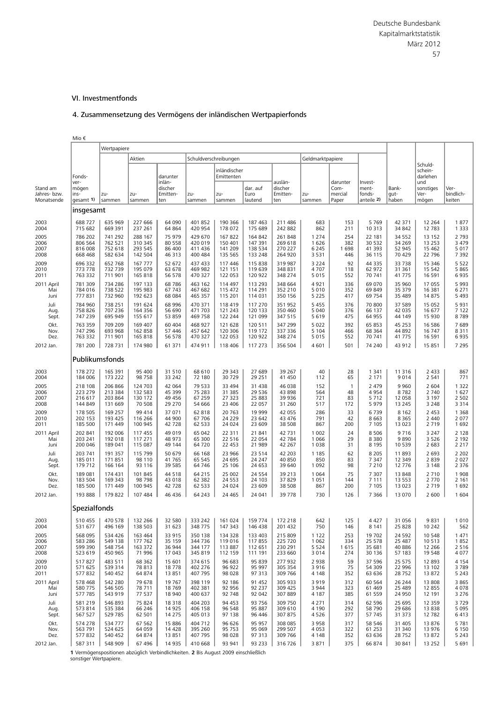# 4. Zusammensetzung des Vermögens der inländischen Wertpapierfonds

|                            | Mio €              |                    |                    |                    |                    |                       |                    |                    |                    |                    |                      |                    |                    |                     |
|----------------------------|--------------------|--------------------|--------------------|--------------------|--------------------|-----------------------|--------------------|--------------------|--------------------|--------------------|----------------------|--------------------|--------------------|---------------------|
|                            |                    | Wertpapiere        |                    |                    |                    |                       |                    |                    |                    |                    |                      |                    |                    |                     |
|                            |                    |                    | Aktien             |                    |                    | Schuldverschreibungen |                    |                    | Geldmarktpapiere   |                    |                      |                    |                    |                     |
|                            |                    |                    |                    |                    |                    | inländischer          |                    |                    |                    |                    |                      |                    | Schuld-<br>schein- |                     |
|                            | Fonds-<br>ver-     |                    |                    | darunter<br>inlän- |                    | Emittenten            |                    | auslän-            |                    | darunter           | Invest-              |                    | darlehen<br>und    |                     |
| Stand am                   | mögen              |                    |                    | discher            |                    |                       | dar. auf           | discher            |                    | Com-               | ment-                | Bank-              | sonstiges          | Ver-                |
| Jahres- bzw.<br>Monatsende | ins-<br>qesamt 1)  | zu-<br>sammen      | zu-<br>sammen      | Emitten-<br>ten    | zu-<br>sammen      | zu-<br>sammen         | Euro<br>lautend    | Emitten-<br>ten    | zu-<br>sammen      | mercial<br>Paper   | fonds-<br>anteile 2) | qut-<br>haben      | Ver-<br>mögen      | bindlich-<br>keiten |
|                            | insgesamt          |                    |                    |                    |                    |                       |                    |                    |                    |                    |                      |                    |                    |                     |
| 2003                       | 688 727            | 635 969            | 227 666            | 64 090             | 401 852            | 190 366               | 187 463            | 211 486            | 683                | 153                | 5769                 | 42 371             | 12 2 64            | 1877                |
| 2004                       | 715 682            | 669 391            | 237 261            | 64 864             | 420 954            | 178 072               | 175 689            | 242 882            | 862                | 211                | 10 313               | 34 842             | 12 783             | 1 3 3 3             |
| 2005<br>2006               | 786 202<br>806 564 | 741 292<br>762 521 | 288 167<br>310 345 | 75 979<br>80 558   | 429 670<br>420 019 | 167822<br>150 401     | 164 842<br>147 391 | 261 848<br>269 618 | 1 2 7 4<br>1626    | 254<br>382         | 22 181<br>30 532     | 34 552<br>34 269   | 13 152<br>13 2 5 3 | 2 793<br>3 479      |
| 2007<br>2008               | 816 008<br>668 468 | 752 618<br>582 634 | 293 545<br>142 504 | 86 400<br>46 313   | 411 436<br>400 484 | 141 209<br>135 565    | 138 534<br>133 248 | 270 227<br>264 920 | 6 2 4 5<br>3531    | 1698<br>446        | 41 393<br>36 115     | 52 945<br>70 429   | 15 4 62<br>22 796  | 5 017<br>7 392      |
| 2009                       | 696 332            | 652 768            | 167 777            | 52 672             | 437 433            | 117 446               | 115 838            | 319 987            | 3 2 2 4            | 92                 | 44 3 3 5             | 33 738             | 15 346             | 5 5 2 2             |
| 2010<br>2011               | 773 778<br>763 332 | 732 739<br>711 901 | 195 079<br>165 818 | 63 678<br>56 578   | 469 982<br>470 327 | 121 151<br>122 053    | 119 639<br>120 922 | 348 831<br>348 274 | 4707<br>5 0 1 5    | 118<br>552         | 62 972<br>70 741     | 31 361<br>41 775   | 15 542<br>16 591   | 5 8 6 5<br>6935     |
| 2011 April                 | 781 309            | 734 286            | 197 133            | 68 786             | 463 162            | 114 497               | 113 293            | 348 664            | 4921               | 336                | 69 070               | 35 960             | 17 055             | 5993                |
| Mai<br>Juni                | 784 016<br>777 831 | 738 522<br>732 960 | 195 983<br>192 623 | 67 743<br>68 084   | 467 682<br>465 357 | 115 472<br>115 201    | 114 291<br>114 031 | 352 210<br>350 156 | 5 0 1 0<br>5 2 2 5 | 352<br>417         | 69 849<br>69 754     | 35 379<br>35 489   | 16 381<br>14875    | 6 2 7 1<br>5 4 9 3  |
| Juli                       | 784 960            | 738 251            | 191 624            | 68 996             | 470 371            | 118 419               | 117 270            | 351 952            | 5 4 5 5            | 376                | 70 800               | 37 589             | 15 0 52            | 5931                |
| Aug.<br>Sept.              | 758 826<br>747 239 | 707 236<br>695 949 | 164 356<br>155 617 | 56 690<br>53 859   | 471 703<br>469 758 | 121 243<br>122 244    | 120 133<br>121 099 | 350 460<br>347 515 | 5 0 4 0<br>5619    | 376<br>475         | 66 137<br>64 955     | 42 035<br>44 149   | 16 677<br>15 9 30  | 7 1 2 2<br>8789     |
| Okt.                       | 763 359            | 709 209            | 169 407            | 60 40 4            | 468 927            | 121 628               | 120 511            | 347 299            | 5 0 2 2            | 392                | 65 853               | 45 253             | 16 5 86            | 7689                |
| Nov.<br>Dez.               | 747 296<br>763 332 | 693 968<br>711 901 | 162 858<br>165 818 | 57 446<br>56 578   | 457 642<br>470 327 | 120 306<br>122 053    | 119 172<br>120 922 | 337 336<br>348 274 | 5 1 0 4<br>5 0 1 5 | 466<br>552         | 68 364<br>70 741     | 44 892<br>41 775   | 16 747<br>16 591   | 8 3 1 1<br>6935     |
| 2012 Jan.                  | 781 200            | 728 731            | 174 980            | 61 371             | 474 911            | 118 406               | 117 273            | 356 504            | 4601               | 501                | 74 240               | 43 912             | 15 851             | 7 2 9 5             |
|                            | Publikumsfonds     |                    |                    |                    |                    |                       |                    |                    |                    |                    |                      |                    |                    |                     |
| 2003                       | 178 272            | 165 391            | 95 400             | 31510              | 68 610             | 29 343                | 27 689             | 39 267             | 40                 | 28                 | 1 3 4 1              | 11 316             | 2 4 3 3            | 867                 |
| 2004<br>2005               | 184 006<br>218 108 | 173 222<br>206 866 | 98 758<br>124 703  | 33 242<br>42 064   | 72 180<br>79 533   | 30729<br>33 4 94      | 29 251<br>31 4 38  | 41 450<br>46 038   | 112<br>152         | 65<br>$\mathbf{1}$ | 2 1 7 1<br>2 4 7 9   | 9 0 1 4<br>9 9 6 0 | 2 5 4 1<br>2 6 0 4 | 771                 |
| 2006                       | 223 279            | 213 384            | 132 583            | 45 399             | 75 283             | 31 385                | 29 5 36            | 43 898             | 564                | 48                 | 4954                 | 8782               | 2 7 4 0            | 1 322<br>1 627      |
| 2007<br>2008               | 216 617<br>144 849 | 203 864<br>131 669 | 130 172<br>70 508  | 49 45 6<br>29 270  | 67 259<br>54 666   | 27 323<br>23 40 6     | 25 883<br>22 057   | 39 936<br>31 260   | 721<br>517         | 83<br>172          | 5712<br>5979         | 12 058<br>13 2 45  | 3 1 9 7<br>3 2 4 8 | 2 5 0 2<br>3 3 1 4  |
| 2009<br>2010               | 178 505<br>202 153 | 169 257<br>193 425 | 99 414<br>116 266  | 37 071<br>44 900   | 62 818<br>67 706   | 20 763<br>24 2 29     | 19 999<br>23 642   | 42 055<br>43 476   | 286<br>791         | 33<br>42           | 6739<br>8 6 6 3      | 8 1 6 2<br>8 3 6 5 | 2 4 5 3<br>2 4 4 0 | 1 368<br>2 077      |
| 2011                       | 185 500            | 171 449            | 100 945            | 42 728             | 62 533             | 24 0 24               | 23 609             | 38 508             | 867                | 200                | 7 1 0 5              | 13 023             | 2 7 1 9            | 1692                |
| 2011 April<br>Mai          | 202 841<br>203 241 | 192 006<br>192 018 | 117 455<br>117 271 | 49 019<br>48 973   | 65 042<br>65 300   | 22 311<br>22 5 16     | 21 841<br>22 054   | 42 731<br>42 784   | 1 0 0 2<br>1 0 6 6 | 24<br>29           | 8 5 0 6<br>8 3 8 0   | 9716<br>9890       | 3 2 4 7<br>3 5 2 6 | 2 1 2 8<br>2 1 9 2  |
| Juni                       | 200 046            | 189 041            | 115 087            | 49 144             | 64 7 20            | 22 453                | 21 989             | 42 267             | 1038               | 31                 | 8 1 9 5              | 10 539             | 2 6 8 3            | 2 2 1 7             |
| Juli<br>Aug.               | 203 741<br>185 011 | 191 357<br>171851  | 115 799<br>98 110  | 50 679<br>41 765   | 66 168<br>65 545   | 23 966<br>24 695      | 23 5 14<br>24 247  | 42 203<br>40 850   | 1 1 8 5<br>850     | 62<br>83           | 8 2 0 5<br>7 3 4 7   | 11893<br>12 349    | 2 6 9 3<br>2839    | 2 2 0 2<br>2 0 2 7  |
| Sept.                      | 179 712            | 166 164            | 93 116             | 39 585             | 64 74 6            | 25 106                | 24 653             | 39 640             | 1 0 9 2            | 98                 | 7 2 1 0              | 12 776             | 3 1 4 8            | 2 3 7 6             |
| Okt.<br>Nov.               | 189 081<br>183 504 | 174 431<br>169 343 | 101 845<br>98 798  | 44 518<br>43 018   | 64 215<br>62 3 82  | 25 002<br>24 5 53     | 24 5 5 4<br>24 103 | 39 213<br>37 829   | 1 0 6 4<br>1 0 5 1 | 75<br>144          | 7 3 0 7<br>7 1 1 1   | 13 848<br>13 5 53  | 2 7 1 0<br>2 7 7 0 | 1908<br>2 1 6 1     |
| Dez.                       | 185 500            | 171 449            | 100 945            | 42 728             | 62 533             | 24 0 24               | 23 609             | 38 508             | 867                | 200                | 7 1 0 5              | 13 0 23            | 2 7 1 9            | 1692                |
| 2012 Jan.                  | 193 888            | 179 822            | 107 484            | 46 436             | 64 2 4 3           | 24 4 65               | 24 041             | 39 778             | 730                | 126                | 7 3 6 6              | 13 070             | 2 600              | 1604                |
|                            | Spezialfonds       |                    |                    |                    |                    |                       |                    |                    |                    |                    |                      |                    |                    |                     |
| 2003<br>2004               | 510 455<br>531 677 | 470 578<br>496 169 | 132 266<br>138 503 | 32 580<br>31 623   | 333 242<br>348 775 | 161 024<br>147 343    | 159 774<br>146 438 | 172 218<br>201 432 | 642<br>750         | 125<br>146         | 4427<br>8 1 4 1      | 31 056<br>25 828   | 9831<br>10 242     | 1010<br>562         |
| 2005                       | 568 095            | 534 426            | 163 464            | 33 915             | 350 138            | 134 328               | 133 403<br>117855  | 215 809            | 1 1 2 2            | 253                | 19 702               | 24 5 92            | 10 548             | 1 471               |
| 2006<br>2007               | 583 286<br>599 390 | 549 138<br>548 754 | 177 762<br>163 372 | 35 159<br>36 944   | 344 736<br>344 177 | 119 016<br>113 887    | 112 651            | 225 720<br>230 291 | 1 0 6 2<br>5 5 2 4 | 334<br>1615        | 25 578<br>35 681     | 25 487<br>40 886   | 10513<br>12 2 66   | 1852<br>2516        |
| 2008<br>2009               | 523 619<br>517827  | 450 965<br>483 511 | 71 996<br>68 3 62  | 17 043<br>15 601   | 345 819<br>374 615 | 112 159<br>96 683     | 111 191<br>95 839  | 233 660<br>277 932 | 3 0 1 4<br>2938    | 274<br>59          | 30 136<br>37 596     | 57 183<br>25 575   | 19 548<br>12 893   | 4077<br>4 1 5 4     |
| 2010                       | 571 625            | 539 314            | 78 813             | 18778              | 402 276            | 96 922                | 95 997             | 305 354            | 3916               | 75                 | 54 309               | 22 996             | 13 102             | 3789                |
| 2011<br>2011 April         | 577832<br>578 468  | 540 452<br>542 280 | 64 874<br>79 678   | 13851<br>19 7 67   | 407 795<br>398 119 | 98 0 28<br>92 186     | 97 313<br>91 452   | 309 766<br>305 933 | 4 1 4 8<br>3919    | 352<br>312         | 63 636<br>60 564     | 28 7 52<br>26 244  | 13 872<br>13 808   | 5 2 4 3<br>3865     |
| Mai                        | 580 775            | 546 505            | 78 711             | 18769              | 402 381            | 92 956<br>92 748      | 92 237             | 309 425            | 3 9 4 4            | 323                | 61 4 69              | 25 489             | 12 855             | 4078                |
| Juni<br>Juli               | 577 785<br>581 219 | 543 919<br>546 893 | 77 537<br>75 824   | 18 940<br>18 3 18  | 400 637<br>404 203 | 94 453                | 92 042<br>93 756   | 307 889<br>309 750 | 4 1 8 7<br>4 2 7 1 | 385<br>314         | 61 559<br>62 596     | 24 950<br>25 695   | 12 191<br>12 3 5 9 | 3 2 7 6<br>3729     |
| Aug.<br>Sept.              | 573 814<br>567 527 | 535 384<br>529 785 | 66 246<br>62 501   | 14 9 25<br>14 275  | 406 158<br>405 013 | 96 548<br>97 138      | 95 887<br>96 446   | 309 610<br>307 875 | 4 1 9 0<br>4526    | 292<br>377         | 58 790<br>57 745     | 29 686<br>31 373   | 13838<br>12 782    | 5 0 9 5<br>6413     |
| Okt.                       | 574 278            | 534 777            | 67 562             | 15 8 86            | 404 712            | 96 626                | 95 957             | 308 085            | 3958               | 317                | 58 546               | 31 405             | 13876              | 5781                |
| Nov.<br>Dez.               | 563 791<br>577832  | 524 625<br>540 452 | 64 059<br>64 874   | 14 4 28<br>13851   | 395 260<br>407 795 | 95 753<br>98 0 28     | 95 069<br>97 313   | 299 507<br>309 766 | 4 0 5 3<br>4 1 4 8 | 322<br>352         | 61 253<br>63 636     | 31 340<br>28 7 52  | 13 976<br>13872    | 6 1 5 0<br>5 2 4 3  |
| 2012 Jan.                  | 587 311            | 548 909            | 67 49 6            | 14 9 35            | 410 668            | 93 941                | 93 233             | 316 726            | 3871               | 375                | 66 874               | 30 841             | 13 2 5 2           | 5 6 9 1             |
|                            |                    |                    |                    |                    |                    |                       |                    |                    |                    |                    |                      |                    |                    |                     |

**1** Vermögenspositionen abzüglich Verbindlichkeiten. **2** Bis August 2009 einschließlich sonstiger Wertpapiere.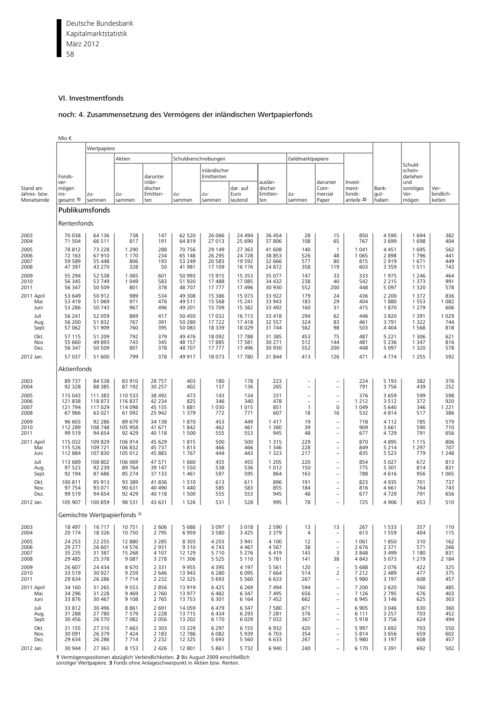Deutsche Bundesbank 58 Kapitalmarktstatistik März 2012

## VI. Investmentfonds

# noch: 4. Zusammensetzung des Vermögens der inländischen Wertpapierfonds

|                                        | Mio €                                 |                                         |                                          |                                          |                                     |                                       |                                          |                                     |                          |                              |                                       |                                       |                                  |                              |
|----------------------------------------|---------------------------------------|-----------------------------------------|------------------------------------------|------------------------------------------|-------------------------------------|---------------------------------------|------------------------------------------|-------------------------------------|--------------------------|------------------------------|---------------------------------------|---------------------------------------|----------------------------------|------------------------------|
|                                        |                                       | Wertpapiere                             |                                          |                                          |                                     |                                       |                                          |                                     |                          |                              |                                       |                                       |                                  |                              |
|                                        |                                       |                                         | Aktien                                   |                                          | Schuldverschreibungen               |                                       |                                          |                                     | Geldmarktpapiere         |                              |                                       |                                       | Schuld-                          |                              |
|                                        | Fonds-<br>ver-                        |                                         |                                          | darunter<br>inlän-                       |                                     | inländischer<br>Emittenten            |                                          | auslän-                             |                          | darunter                     | Invest-                               |                                       | schein-<br>darlehen<br>und       |                              |
| Stand am<br>Jahres- bzw.<br>Monatsende | mögen<br>ins-<br>gesamt 1)            | zu-<br>sammen                           | zu-<br>sammen                            | discher<br>Emitten-<br>ten               | zu-<br>sammen                       | zu-<br>sammen                         | dar. auf<br>Euro<br>lautend              | discher<br>Emitten-<br>ten          | zu-<br>sammen            | Com-<br>mercial<br>Paper     | ment-<br>fonds-<br>anteile 2)         | Bank-<br>qut-<br>haben                | sonstiges<br>Ver-<br>mögen       | Ver-<br>bindlich-<br>keiten  |
|                                        | Publikumsfonds                        |                                         |                                          |                                          |                                     |                                       |                                          |                                     |                          |                              |                                       |                                       |                                  |                              |
|                                        | Rentenfonds                           |                                         |                                          |                                          |                                     |                                       |                                          |                                     |                          |                              |                                       |                                       |                                  |                              |
| 2003                                   | 70 038                                | 64 136                                  | 738                                      | 147                                      | 62 520                              | 26 066                                | 24 4 94                                  | 36 454                              | 28                       | 15                           | 850                                   | 4590                                  | 1694                             | 382                          |
| 2004                                   | 71 504                                | 66 511                                  | 817                                      | 191                                      | 64 819                              | 27 013                                | 25 690                                   | 37 806                              | 108                      | 65                           | 767                                   | 3699                                  | 1698                             | 404                          |
| 2005                                   | 78 812                                | 73 228                                  | 1 2 9 0                                  | 288                                      | 70 756                              | 29 14 9                               | 27 363                                   | 41 608                              | 140                      | $\mathbf{1}$                 | 1 0 4 1                               | 4 4 5 1                               | 1695                             | 562                          |
| 2006                                   | 72 163                                | 67910                                   | 1 1 7 0                                  | 234                                      | 65 148                              | 26 295                                | 24 7 28                                  | 38 853                              | 526                      | 48                           | 1 0 6 5                               | 2898                                  | 1796                             | 441                          |
| 2007                                   | 59 589                                | 55 448                                  | 806                                      | 193                                      | 53 249                              | 20 583                                | 19 5 92                                  | 32 666                              | 577                      | 80                           | 815                                   | 2919                                  | 1671                             | 449                          |
| 2008                                   | 47 397                                | 43 270                                  | 328                                      | 50                                       | 41 981                              | 17 109                                | 16 17 6                                  | 24 872                              | 358                      | 119                          | 603                                   | 3 3 5 9                               | 1511                             | 743                          |
| 2009                                   | 55 294                                | 52 538                                  | 1 0 6 5                                  | 601                                      | 50 993                              | 15 915                                | 15 3 5 3                                 | 35 077                              | 147                      | 33                           | 333                                   | 1975                                  | 1 2 4 6                          | 464                          |
| 2010                                   | 56 345                                | 53 749                                  | 1 0 4 9                                  | 583                                      | 51 920                              | 17 488                                | 17 085                                   | 34 4 32                             | 238                      | 40                           | 542                                   | 2 2 1 5                               | 1 3 7 3                          | 991                          |
| 2011                                   | 56 347                                | 50 509                                  | 801                                      | 378                                      | 48 707                              | 17 777                                | 17 49 6                                  | 30 930                              | 552                      | 200                          | 448                                   | 5 0 9 7                               | 1 3 2 0                          | 578                          |
| 2011 April                             | 53 649                                | 50 912                                  | 989                                      | 534                                      | 49 308                              | 15 386                                | 15 073                                   | 33 922                              | 179                      | 24                           | 436                                   | 2 2 0 0                               | 1 3 7 2                          | 836                          |
| Mai                                    | 53 419                                | 51 069                                  | 971                                      | 476                                      | 49 5 11                             | 15 5 68                               | 15 241                                   | 33 943                              | 183                      | 29                           | 404                                   | 1880                                  | 1 5 5 3                          | 1 0 8 2                      |
| Juni                                   | 53 286                                | 50 743                                  | 967                                      | 496                                      | 49 201                              | 15 709                                | 15 3 8 2                                 | 33 492                              | 160                      | 31                           | 415                                   | 1870                                  | 1 2 7 9                          | 606                          |
| Juli                                   | 56 241                                | 52 059                                  | 869                                      | 417                                      | 50 450                              | 17 032                                | 16713                                    | 33 418                              | 294                      | 62                           | 446                                   | 3820                                  | 1 3 9 1                          | 1 0 2 9                      |
| Aug.                                   | 56 200                                | 51832                                   | 767                                      | 391                                      | 50 280                              | 17722                                 | 17418                                    | 32 557                              | 324                      | 83                           | 461                                   | 3791                                  | 1 3 2 2                          | 744                          |
| Sept.                                  | 57 062                                | 51 909                                  | 760                                      | 395                                      | 50 083                              | 18 3 3 9                              | 18 0 29                                  | 31 744                              | 562                      | 98                           | 503                                   | 4 4 0 4                               | 1 5 6 8                          | 818                          |
| Okt.                                   | 57 115                                | 51 209                                  | 792                                      | 379                                      | 49 476                              | 18 092                                | 17788                                    | 31 385                              | 453                      | 75                           | 487                                   | 5 2 2 1                               | 1 3 0 6                          | 621                          |
| Nov.                                   | 55 660                                | 49 893                                  | 743                                      | 345                                      | 48 157                              | 17885                                 | 17 581                                   | 30 271                              | 512                      | 144                          | 481                                   | 5 2 3 6                               | 1 3 4 7                          | 816                          |
| Dez.                                   | 56 347                                | 50 509                                  | 801                                      | 378                                      | 48 707                              | 17 777                                | 17496                                    | 30 930                              | 552                      | 200                          | 448                                   | 5 0 9 7                               | 1 3 2 0                          | 578                          |
| 2012 Jan.                              | 57 037                                | 51 600                                  | 799                                      | 378                                      | 49 917                              | 18 073                                | 17 780                                   | 31 844                              | 413                      | 126                          | 471                                   | 4774                                  | 1 2 5 5                          | 592                          |
|                                        | Aktienfonds                           |                                         |                                          |                                          |                                     |                                       |                                          |                                     |                          |                              |                                       |                                       |                                  |                              |
| 2003<br>2004                           | 89 737<br>92 328                      | 84 5 38<br>88 385                       | 83 910<br>87 192                         | 28757<br>30 257                          | 403<br>402                          | 180<br>137                            | 178<br>136                               | 223<br>265                          | $\overline{a}$           | $\equiv$                     | 224<br>791                            | 5 1 9 3<br>3756                       | 382<br>439                       | 376<br>252                   |
| 2005                                   | 115 043                               | 111 383                                 | 110 533                                  | 38 4 92                                  | 473                                 | 143                                   | 134                                      | 331                                 | $\qquad \qquad -$        | $\overline{\phantom{a}}$     | 376                                   | 3659                                  | 599                              | 598                          |
| 2006                                   | 121 838                               | 118873                                  | 116837                                   | 42 234                                   | 825                                 | 346                                   | 340                                      | 478                                 | $\overline{\phantom{0}}$ | $\qquad \qquad -$            | 1 2 1 2                               | 3512                                  | 372                              | 920                          |
| 2007                                   | 121 794                               | 117 029                                 | 114 098                                  | 45 155                                   | 1881                                | 1 0 3 0                               | 1015                                     | 851                                 | $\mathbf{1}$             | $\mathsf 0$                  | 1 0 4 9                               | 5 6 4 0                               | 346                              | 1 2 2 1                      |
| 2008                                   | 67 966                                | 63 0 21                                 | 61 092                                   | 25 942                                   | 1 3 7 9                             | 772                                   | 771                                      | 607                                 | 18                       | 16                           | 532                                   | 4814                                  | 517                              | 386                          |
| 2009                                   | 96 603                                | 92 286                                  | 89 679                                   | 34 138                                   | 1870                                | 453                                   | 449                                      | 1 4 1 7                             | 19                       | $\qquad \qquad -$            | 718                                   | 4 1 1 2                               | 785                              | 579                          |
| 2010                                   | 112 289                               | 108 748                                 | 105 958                                  | 41 671                                   | 1842                                | 462                                   | 461                                      | 1 3 8 0                             | 39                       | $\overline{\phantom{0}}$     | 909                                   | 3 6 6 1                               | 590                              | 710                          |
| 2011                                   | 99 519                                | 94 654                                  | 92 429                                   | 40 118                                   | 1 500                               | 555                                   | 553                                      | 945                                 | 48                       | $\overline{\phantom{0}}$     | 677                                   | 4729                                  | 791                              | 656                          |
| 2011 April                             | 115 032                               | 109 829                                 | 106 914                                  | 45 629                                   | 1815                                | 500                                   | 500                                      | 1 3 1 5                             | 229                      | $\qquad \qquad -$            | 870                                   | 4895                                  | 1 1 1 5                          | 806                          |
| Mai                                    | 115 526                               | 109 721                                 | 106 832                                  | 45 737                                   | 1813                                | 466                                   | 466                                      | 1 3 4 6                             | 228                      | $\overline{\phantom{0}}$     | 849                                   | 5 2 1 4                               | 1 2 9 7                          | 707                          |
| Juni                                   | 112 884                               | 107 830                                 | 105 012                                  | 45 883                                   | 1767                                | 444                                   | 443                                      | 1 3 2 3                             | 217                      | $\qquad \qquad -$            | 835                                   | 5 5 2 3                               | 779                              | 1 2 4 8                      |
| Juli                                   | 113 689                               | 108 802                                 | 106 069                                  | 47 571                                   | 1660                                | 455                                   | 455                                      | 1 2 0 5                             | 220                      | $\qquad \qquad -$            | 854                                   | 5 0 2 7                               | 672                              | 813                          |
| Aug.                                   | 97 523                                | 92 239                                  | 89 7 64                                  | 39 147                                   | 1 5 5 0                             | 538                                   | 536                                      | 1 0 1 2                             | 150                      | $\qquad \qquad -$            | 775                                   | 5 3 0 1                               | 814                              | 831                          |
| Sept.                                  | 92 194                                | 87 686                                  | 85 274                                   | 37 133                                   | 1461                                | 597                                   | 595                                      | 864                                 | 163                      | $\qquad \qquad -$            | 788                                   | 4616                                  | 956                              | 1 0 6 5                      |
| Okt.                                   | 100 811                               | 95 913                                  | 93 389                                   | 41836                                    | 1510                                | 613                                   | 611                                      | 896                                 | 191                      | $\qquad \qquad -$            | 823                                   | 4935                                  | 701                              | 737                          |
| Nov.                                   | 97 754                                | 93 071                                  | 90 631                                   | 40 490                                   | 1440                                | 585                                   | 583                                      | 855                                 | 184                      | $\qquad \qquad -$            | 816                                   | 4661                                  | 764                              | 743                          |
| Dez.                                   | 99 519                                | 94 654                                  | 92 429                                   | 40 118                                   | 1500                                | 555                                   | 553                                      | 945                                 | 48                       | $\qquad \qquad -$            | 677                                   | 4729                                  | 791                              | 656                          |
| 2012 Jan.                              | 105 907                               | 100 859                                 | 98 531                                   | 43 631                                   | 1526                                | 531                                   | 528                                      | 995                                 | 78                       | ÷,                           | 725                                   | 4 9 0 6                               | 653                              | 510                          |
|                                        |                                       | Gemischte Wertpapierfonds <sup>3)</sup> |                                          |                                          |                                     |                                       |                                          |                                     |                          |                              |                                       |                                       |                                  |                              |
| 2003                                   | 18 497                                | 16 717                                  | 10751                                    | 2 606                                    | 5 6 8 6                             | 3 0 9 7                               | 3018                                     | 2 5 9 0                             | 13                       | 13                           | 267                                   | 1 5 3 3                               | 357                              | 110                          |
| 2004                                   | 20 174                                | 18 3 26                                 | 10 750                                   | 2 7 9 5                                  | 6959                                | 3 5 8 0                               | 3 4 2 5                                  | 3 3 7 9                             | 4                        | $\overline{\phantom{a}}$     | 613                                   | 1 5 5 9                               | 404                              | 115                          |
| 2005<br>2006<br>2007<br>2008           | 24 253<br>29 277<br>35 235<br>29 4 85 | 22 255<br>26 601<br>31 387<br>25 378    | 12 880<br>14 5 7 6<br>15 2 68<br>9 0 8 7 | 3 2 8 5<br>2 9 3 1<br>4 1 0 7<br>3 2 7 8 | 8 3 0 3<br>9310<br>12 129<br>11 306 | 4 2 0 3<br>4743<br>5 7 1 0<br>5 5 2 5 | 3 9 4 1<br>4 4 6 7<br>5 2 7 6<br>5 1 1 0 | 4 100<br>4 5 6 7<br>6419<br>5 7 8 1 | 12<br>38<br>143<br>141   | $\qquad \qquad -$<br>3<br>38 | 1 0 6 1<br>2 6 7 6<br>3848<br>4 8 4 3 | 1850<br>2 3 7 1<br>3 4 9 9<br>5 0 7 3 | 310<br>571<br>1 1 8 0<br>1 2 1 9 | 162<br>266<br>831<br>2 1 8 4 |
| 2009                                   | 26 607                                | 24 4 34                                 | 8670                                     | 2 3 3 1                                  | 9955                                | 4 3 9 5                               | 4 1 9 7                                  | 5 5 6 1                             | 120                      | $\overline{\phantom{0}}$     | 5 6 8 8                               | 2 0 7 6                               | 422                              | 325                          |
| 2010                                   | 33 519                                | 30 927                                  | 9 2 5 9                                  | 2 6 4 6                                  | 13 943                              | 6 2 8 0                               | 6 0 9 5                                  | 7 6 6 4                             | 514                      | 2                            | 7 2 1 2                               | 2 4 8 9                               | 477                              | 375                          |
| 2011                                   | 29 634                                | 26 28 6                                 | 7714                                     | 2 2 3 2                                  | 12 3 25                             | 5 6 9 3                               | 5 5 6 0                                  | 6 6 3 3                             | 267                      | $\overline{\phantom{0}}$     | 5 9 8 0                               | 3 1 9 7                               | 608                              | 457                          |
| 2011 April                             | 34 160                                | 31 265                                  | 9 5 5 3                                  | 2856                                     | 13 9 19                             | 6 4 2 5                               | 6 2 6 9                                  | 7 4 9 4                             | 594                      | $\overline{\phantom{0}}$     | 7 200                                 | 2 6 2 0                               | 760                              | 485                          |
| Mai                                    | 34 296                                | 31 2 28                                 | 9 4 6 9                                  | 2 7 6 0                                  | 13 977                              | 6 4 8 2                               | 6 3 4 7                                  | 7 4 9 5                             | 656                      | $\qquad \qquad -$            | 7 1 2 6                               | 2 7 9 5                               | 676                              | 403                          |
| Juni                                   | 33 876                                | 30 467                                  | 9 1 0 8                                  | 2765                                     | 13753                               | 6 3 0 1                               | 6 1 6 4                                  | 7452                                | 662                      | $\qquad \qquad -$            | 6945                                  | 3 1 4 6                               | 625                              | 363                          |
| Juli                                   | 33 812                                | 30 4 96                                 | 8861                                     | 2 6 9 1                                  | 14 0 59                             | 6 4 7 9                               | 6 3 4 7                                  | 7 5 8 0                             | 671                      | $\qquad \qquad -$            | 6 9 0 5                               | 3 0 4 6                               | 630                              | 360                          |
| Aug.                                   | 31 288                                | 27 780                                  | 7579                                     | 2 2 2 8                                  | 13715                               | 6434                                  | 6 2 9 3                                  | 7 2 8 1                             | 376                      | $\overline{\phantom{0}}$     | 6 1 1 1                               | 3 2 5 7                               | 703                              | 452                          |
| Sept.                                  | 30 45 6                               | 26 570                                  | 7 0 8 2                                  | 2056                                     | 13 202                              | 6 1 7 0                               | 6029                                     | 7 0 3 2                             | 367                      | $\overline{\phantom{0}}$     | 5918                                  | 3756                                  | 624                              | 494                          |
| Okt.                                   | 31 155                                | 27 310                                  | 7 6 6 3                                  | 2 3 0 3                                  | 13 2 2 9                            | 6 2 9 7                               | 6 1 5 5                                  | 6932                                | 420                      | -                            | 5 9 9 7                               | 3 6 9 2                               | 703                              | 550                          |
| Nov.                                   | 30 091                                | 26 379                                  | 7424                                     | 2 1 8 3                                  | 12 786                              | 6 0 8 2                               | 5939                                     | 6 7 0 3                             | 354                      | $\overline{\phantom{0}}$     | 5814                                  | 3656                                  | 659                              | 602                          |
| Dez.                                   | 29 634                                | 26 28 6                                 | 7714                                     | 2 2 3 2                                  | 12 3 25                             | 5 6 9 3                               | 5 5 6 0                                  | 6 6 3 3                             | 267                      | $\qquad \qquad -$            | 5 9 8 0                               | 3 1 9 7                               | 608                              | 457                          |
| 2012 Jan.                              | 30 944                                | 27 363                                  | 8 1 5 3                                  | 2 4 2 6                                  | 12 801                              | 5 8 6 1                               | 5732                                     | 6940                                | 240                      | $\overline{\phantom{0}}$     | 6 1 7 0                               | 3 3 9 1                               | 692                              | 502                          |

**1** Vermögenspositionen abzüglich Verbindlichkeiten. **2** Bis August 2009 einschließlich sonstiger Wertpapiere. **3** Fonds ohne Anlageschwerpunkt in Aktien bzw. Renten.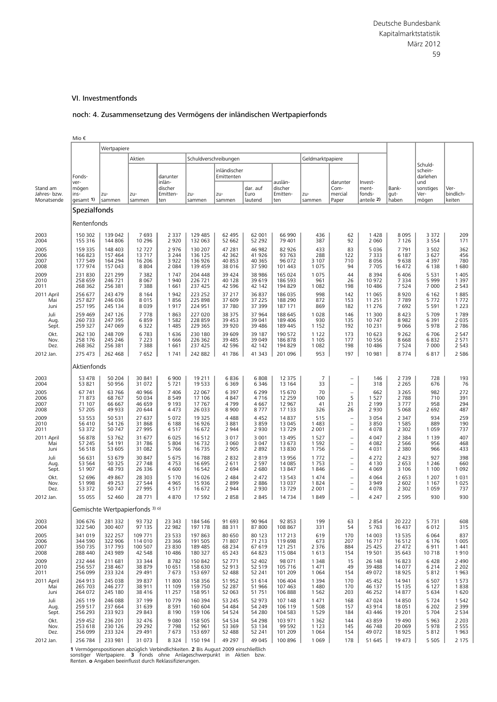# noch: 4. Zusammensetzung des Vermögens der inländischen Wertpapierfonds

|                            | Mio €              |                    |                                 |                    |                    |                       |                    |                    |                    |                                                      |                      |                    |                    |                    |
|----------------------------|--------------------|--------------------|---------------------------------|--------------------|--------------------|-----------------------|--------------------|--------------------|--------------------|------------------------------------------------------|----------------------|--------------------|--------------------|--------------------|
|                            |                    | Wertpapiere        |                                 |                    |                    |                       |                    |                    |                    |                                                      |                      |                    |                    |                    |
|                            |                    |                    | Aktien                          |                    |                    | Schuldverschreibungen |                    |                    | Geldmarktpapiere   |                                                      |                      |                    |                    |                    |
|                            |                    |                    |                                 |                    |                    | inländischer          |                    |                    |                    |                                                      |                      |                    | Schuld-<br>schein- |                    |
|                            | Fonds-<br>ver-     |                    |                                 | darunter<br>inlän- |                    | Emittenten            |                    | auslän-            |                    | darunter                                             | Invest-              |                    | darlehen<br>und    |                    |
| Stand am                   | mögen              |                    |                                 | discher            |                    |                       | dar. auf           | discher            |                    | Com-                                                 | ment-                | Bank-              | sonstiges          | Ver-<br>bindlich-  |
| Jahres- bzw.<br>Monatsende | ins-<br>qesamt 1)  | zu-<br>sammen      | zu-<br>sammen                   | Emitten-<br>ten    | zu-<br>sammen      | zu-<br>sammen         | Euro<br>lautend    | Emitten-<br>ten    | zu-<br>sammen      | mercial<br>Paper                                     | fonds-<br>anteile 2) | qut-<br>haben      | Ver-<br>mögen      | keiten             |
|                            | Spezialfonds       |                    |                                 |                    |                    |                       |                    |                    |                    |                                                      |                      |                    |                    |                    |
|                            | Rentenfonds        |                    |                                 |                    |                    |                       |                    |                    |                    |                                                      |                      |                    |                    |                    |
| 2003                       | 150 302            | 139 042            | 7693                            | 2 3 3 7            | 129 485            | 62 495                | 62 001             | 66 990             | 436                | 62                                                   | 1428                 | 8 0 9 5            | 3 3 7 2            | 209                |
| 2004                       | 155 316            | 144 806            | 10 296                          | 2 9 2 0            | 132 063            | 52 662                | 52 292             | 79 401             | 387                | 92                                                   | 2 0 6 0              | 7 1 2 6            | 3 5 5 4            | 171                |
| 2005<br>2006               | 159 335<br>166 823 | 148 403<br>157 464 | 12 727<br>13 717                | 2 9 7 6<br>3 2 4 4 | 130 207<br>136 125 | 47 281<br>42 3 62     | 46 982<br>41 926   | 82 926<br>93 763   | 433<br>288         | 83<br>122                                            | 5 0 3 6<br>7 3 3 3   | 7 7 9 1<br>6 187   | 3 5 0 2<br>3 6 2 7 | 362<br>456         |
| 2007<br>2008               | 177 549<br>177 974 | 164 294<br>157 043 | 16 20 6<br>8 8 0 4              | 3 9 2 2<br>2 0 8 4 | 136 926<br>139 459 | 40 853<br>38 016      | 40 365<br>37 590   | 96 072<br>101 443  | 3 1 0 7<br>1075    | 710<br>94                                            | 8056<br>7705         | 9638<br>16 472     | 4 3 9 7<br>6 1 3 8 | 780<br>1680        |
| 2009<br>2010               | 231 830<br>258 659 | 221 299<br>246 721 | 7 3 8 2<br>8 0 6 7              | 1 7 4 7<br>1940    | 204 448<br>226 721 | 39 4 24<br>40 128     | 38 986<br>39 619   | 165 024<br>186 593 | 1 0 7 5<br>961     | 44<br>26                                             | 8 3 9 4<br>10 972    | 6 4 0 6<br>7 3 3 4 | 5 5 3 1<br>5999    | 1 4 0 5<br>1 3 9 7 |
| 2011                       | 268 362            | 256 381            | 7 3 8 8                         | 1661               | 237 425            | 42 596                | 42 142             | 194 829            | 1 0 8 2            | 198                                                  | 10 4 86              | 7 5 2 4            | 7 0 0 0            | 2 5 4 3            |
| 2011 April<br>Mai          | 256 677<br>257 827 | 243 479<br>246 036 | 8 1 6 4<br>8 0 1 5              | 1942<br>1856       | 223 252<br>225 898 | 37 217<br>37 609      | 36 837<br>37 225   | 186 035<br>188 290 | 998<br>872         | 142<br>153                                           | 11 065<br>11 251     | 8920<br>7 7 8 9    | 6 1 6 2<br>5772    | 1885<br>1772       |
| Juni                       | 257 195            | 245 134            | 8 0 3 9                         | 1917               | 224 951            | 37 780                | 37 399             | 187 171            | 869                | 182                                                  | 11 276               | 7692               | 5 5 9 1            | 1 2 2 3            |
| Juli<br>Aug.               | 259 469<br>260 733 | 247 126<br>247 395 | 7778<br>6859                    | 1863<br>1582       | 227 020<br>228 859 | 38 375<br>39 453      | 37 964<br>39 041   | 188 645<br>189 406 | 1028<br>930        | 146<br>135                                           | 11 300<br>10 747     | 8 4 2 3<br>8 9 8 2 | 5 7 0 9<br>6 3 9 1 | 1789<br>2035       |
| Sept.<br>Okt.              | 259 327<br>262 130 | 247 069<br>248 709 | 6 3 2 2<br>6 7 8 3              | 1 4 8 5<br>1636    | 229 365<br>230 180 | 39 9 20<br>39 609     | 39 4 86<br>39 187  | 189 445<br>190 572 | 1 1 5 2<br>1 1 2 2 | 192<br>173                                           | 10 231<br>10 623     | 9 0 6 6<br>9 2 6 2 | 5978<br>6706       | 2 7 8 6<br>2 5 4 7 |
| Nov.                       | 258 176            | 245 246            | 7 2 2 3                         | 1666               | 226 362            | 39 4 85               | 39 049             | 186 878            | 1 1 0 5            | 177                                                  | 10 556               | 8 6 6 8            | 6832               | 2571               |
| Dez.<br>2012 Jan.          | 268 362<br>275 473 | 256 381<br>262 468 | 7 3 8 8<br>7652                 | 1661<br>1741       | 237 425<br>242 882 | 42 596<br>41786       | 42 142<br>41 343   | 194 829<br>201 096 | 1 0 8 2<br>953     | 198<br>197                                           | 10 4 86<br>10 981    | 7 5 2 4<br>8774    | 7 0 0 0<br>6817    | 2 5 4 3<br>2 5 8 6 |
|                            | Aktienfonds        |                    |                                 |                    |                    |                       |                    |                    |                    |                                                      |                      |                    |                    |                    |
| 2003<br>2004               | 53 478<br>53 821   | 50 204<br>50 956   | 30 841<br>31 072                | 6 9 0 0<br>5721    | 19 2 11<br>19 5 33 | 6836<br>6 3 6 9       | 6808<br>6 3 4 6    | 12 375<br>13 164   | 7<br>33            | $\qquad \qquad -$<br>$\overline{\phantom{a}}$        | 146<br>318           | 2 7 3 9<br>2 2 6 5 | 728<br>676         | 193<br>76          |
| 2005                       | 67 741             | 63 766             | 40 966                          | 7 4 0 6            | 22 067             | 6 3 9 7               | 6 2 9 9            | 15 670             | 70                 | $\overline{\phantom{0}}$                             | 662                  | 3 2 6 5            | 982                | 272                |
| 2006<br>2007               | 71 873<br>71 107   | 68 767<br>66 667   | 50 034<br>46 659                | 8 5 4 9<br>9 1 9 3 | 17 106<br>17 767   | 4 8 4 7<br>4799       | 4716<br>4667       | 12 259<br>12 967   | 100<br>41          | 5<br>21                                              | 1 5 2 7<br>2 1 9 9   | 2 7 8 8<br>3777    | 710<br>958         | 391<br>294         |
| 2008<br>2009               | 57 205<br>53 553   | 49 933<br>50 531   | 20 644<br>27 637                | 4 4 7 3<br>5 0 7 2 | 26 033<br>19 3 25  | 8 9 0 0<br>4 4 8 8    | 8777<br>4 4 5 2    | 17 133<br>14 8 37  | 326<br>515         | 26                                                   | 2 9 3 0<br>3 0 5 4   | 5 0 6 8<br>2 3 4 7 | 2 6 9 2<br>934     | 487<br>259         |
| 2010                       | 56 410             | 54 126             | 31 868                          | 6 1 8 8            | 16926              | 3881                  | 3859               | 13 045             | 1 4 8 3            | $\overline{\phantom{0}}$<br>$\overline{\phantom{0}}$ | 3850                 | 1 5 8 5            | 889                | 190                |
| 2011<br>2011 April         | 53 372<br>56 878   | 50 747<br>53 762   | 27 995<br>31 677                | 4517<br>6 0 2 5    | 16 672<br>16512    | 2 9 4 4<br>3 0 1 7    | 2 9 3 0<br>3 0 0 1 | 13729<br>13 4 95   | 2 0 0 1<br>1527    | $\overline{\phantom{0}}$<br>$\qquad \qquad -$        | 4078<br>4 0 4 7      | 2 3 0 2<br>2 3 8 4 | 1 0 5 9<br>1 1 3 9 | 737<br>407         |
| Mai<br>Juni                | 57 245<br>56 518   | 54 191<br>53 605   | 31 786<br>31 082                | 5 8 0 4<br>5766    | 16732<br>16 7 35   | 3 0 6 0<br>2 9 0 5    | 3 0 4 7<br>2892    | 13 673<br>13 8 30  | 1 5 9 2<br>1756    | $\overline{\phantom{0}}$<br>$\overline{\phantom{0}}$ | 4 0 8 2<br>4 0 3 1   | 2 5 6 6<br>2 3 8 0 | 956<br>966         | 468<br>433         |
| Juli                       | 56 631             | 53 679             | 30 847                          | 5 6 7 5            | 16 788             | 2832                  | 2819               | 13 956             | 1772               | $\qquad \qquad -$                                    | 4 2 7 2              | 2 4 2 3            | 927                | 398                |
| Aug.<br>Sept.              | 53 564<br>51 907   | 50 325<br>48 793   | 27 748<br>26 336                | 4753<br>4 600      | 16 695<br>16 542   | 2 6 1 1<br>2 6 9 4    | 2 5 9 7<br>2 6 8 0 | 14 085<br>13 847   | 1753<br>1846       | $\overline{\phantom{0}}$<br>$\overline{\phantom{0}}$ | 4 1 3 0<br>4 0 6 9   | 2 6 5 3<br>3 1 0 6 | 1 2 4 6<br>1 1 0 0 | 660<br>1 0 9 2     |
| Okt.                       | 52 696             | 49 867             | 28 30 3                         | 5 1 7 0            | 16 0 26            | 2 4 8 4               | 2 4 7 2            | 13 5 43            | 1474               | $\qquad \qquad -$                                    | 4 0 6 4              | 2 6 5 3            | 1 2 0 7            | 1 0 3 1            |
| Nov.<br>Dez.               | 51 998<br>53 372   | 49 253<br>50 747   | 27 544<br>27 995                | 4 9 6 5<br>4517    | 15 9 36<br>16 672  | 2899<br>2 9 4 4       | 2886<br>2 9 3 0    | 13 037<br>13729    | 1824<br>2 0 0 1    | $\overline{\phantom{0}}$<br>$\overline{\phantom{0}}$ | 3 9 4 9<br>4078      | 2 602<br>2 3 0 2   | 1 1 6 7<br>1 0 5 9 | 1 0 2 5<br>737     |
| 2012 Jan.                  | 55 055             | 52 460             | 28 771                          | 4870               | 17 592             | 2858                  | 2 8 4 5            | 14 7 34            | 1849               | $\equiv$                                             | 4 2 4 7              | 2 5 9 5            | 930                | 930                |
|                            |                    |                    | Gemischte Wertpapierfonds 3) o) |                    |                    |                       |                    |                    |                    |                                                      |                      |                    |                    |                    |
| 2003<br>2004               | 306 676<br>322 540 | 281 332<br>300 407 | 93 732<br>97 135                | 23 343<br>22 982   | 184 546<br>197 178 | 91 693<br>88 311      | 90 964<br>87 800   | 92 853<br>108 867  | 199<br>331         | 63<br>54                                             | 2854<br>5763         | 20 222<br>16 437   | 5731<br>6012       | 608<br>315         |
| 2005<br>2006               | 341 019<br>344 590 | 322 257<br>322 906 | 109 771<br>114 010              | 23 533<br>23 3 66  | 197 863<br>191 505 | 80 650<br>71 807      | 80 123<br>71 213   | 117 213<br>119 698 | 619<br>673         | 170<br>207                                           | 14 003<br>16717      | 13 5 35<br>16 512  | 6 0 6 4<br>6 1 7 6 | 837<br>1 0 0 5     |
| 2007<br>2008               | 350 735<br>288 440 | 317 793<br>243 989 | 100 507<br>42 548               | 23 830<br>10 4 86  | 189 485<br>180 327 | 68 2 34<br>65 243     | 67 619<br>64 823   | 121 251<br>115 084 | 2 3 7 6<br>1613    | 884<br>154                                           | 25 4 25<br>19 501    | 27 472<br>35 643   | 6911<br>10718      | 1 4 4 1<br>1910    |
| 2009                       | 232 444            | 211 681            | 33 344                          | 8782               | 150 842            | 52 771                | 52 402             | 98 071             | 1 3 4 8            | 15                                                   | 26 148               | 16823              | 6428               | 2 4 9 0            |
| 2010<br>2011               | 256 557<br>256 099 | 238 467<br>233 324 | 38 879<br>29 4 91               | 10 651<br>7673     | 158 630<br>153 697 | 52 913<br>52 488      | 52 519<br>52 241   | 105 716<br>101 209 | 1 4 7 1<br>1 0 6 4 | 49<br>154                                            | 39 488<br>49 072     | 14 077<br>18 9 25  | 6 2 1 4<br>5812    | 2 2 0 2<br>1963    |
| 2011 April                 | 264 913            | 245 038            | 39 837                          | 11800              | 158 356            | 51 952                | 51 614             | 106 404            | 1 3 9 4            | 170                                                  | 45 452               | 14 941             | 6 5 0 7            | 1573               |
| Mai<br>Juni                | 265 703<br>264 072 | 246 277<br>245 180 | 38 911<br>38 416                | 11 109<br>11 257   | 159 750<br>158 951 | 52 287<br>52 063      | 51 966<br>51 751   | 107 463<br>106 888 | 1480<br>1 5 6 2    | 170<br>203                                           | 46 137<br>46 252     | 15 135<br>14 877   | 6 1 2 7<br>5 6 3 4 | 1838<br>1 6 2 0    |
| Juli<br>Aug.               | 265 119<br>259 517 | 246 088<br>237 664 | 37 199<br>31 639                | 10779<br>8591      | 160 394<br>160 604 | 53 245<br>54 484      | 52 973<br>54 249   | 107 148<br>106 119 | 1 4 7 1<br>1508    | 168<br>157                                           | 47 024<br>43 914     | 14 850<br>18 051   | 5724<br>6 2 0 2    | 1 5 4 2<br>2 3 9 9 |
| Sept.                      | 256 293            | 233 923            | 29 843                          | 8 1 9 0            | 159 106            | 54 524                | 54 280             | 104 583            | 1529               | 184                                                  | 43 446               | 19 201             | 5 7 0 4            | 2 5 3 4            |
| Okt.<br>Nov.               | 259 452<br>253 618 | 236 201<br>230 126 | 32 476<br>29 29 2               | 9 0 8 0<br>7798    | 158 505<br>152 961 | 54 534<br>53 369      | 54 298<br>53 134   | 103 971<br>99 592  | 1 3 6 2<br>1 1 2 3 | 144<br>145                                           | 43 859<br>46 748     | 19 4 90<br>20 069  | 5 9 63<br>5978     | 2 2 0 3<br>2 5 5 5 |
| Dez.                       | 256 099            | 233 324            | 29 491                          | 7673               | 153 697            | 52 488<br>49 297      | 52 241             | 101 209            | 1 0 6 4            | 154                                                  | 49 072               | 18 925             | 5812               | 1963               |
| 2012 Jan.                  | 256 784            | 233 981            | 31 073                          | 8 3 2 4            | 150 194            |                       | 49 045             | 100 896            | 1 0 6 9            | 178                                                  | 51 645               | 19 473             | 5 5 0 5            | 2 1 7 5            |

1 Vermögenspositionen abzüglich Verbindlichkeiten. **2** Bis August 2009 einschließlich<br>sonstiger Wertpapiere. 3 Fonds ohne Anlageschwerpunkt in Aktien bzw.<br>Renten. **o** Angaben beeinflusst durch Reklassifizieru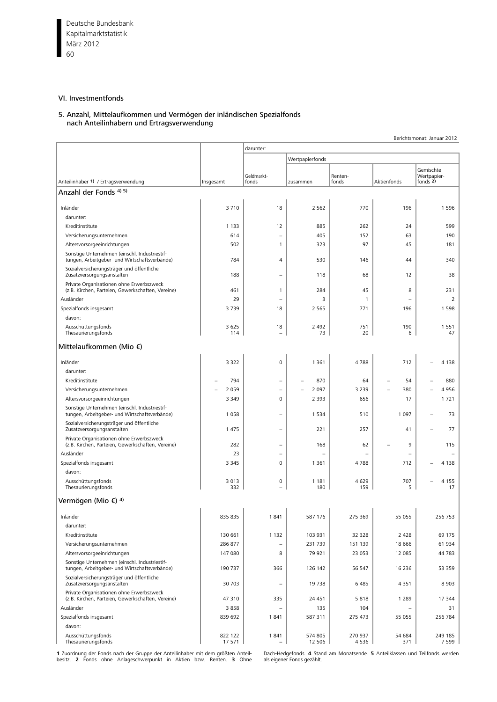Deutsche Bundesbank 60 Kapitalmarktstatistik März 2012

## VI. Investmentfonds

#### [5. Anzahl, Mittelaufkommen und Vermögen der inländischen Spezialfonds](#page-18-0) nach Anteilinhabern und Ertragsverwendung

|                                                                                                |                   | darunter:                |                   |                  |               |                                      |  |  |  |
|------------------------------------------------------------------------------------------------|-------------------|--------------------------|-------------------|------------------|---------------|--------------------------------------|--|--|--|
|                                                                                                |                   |                          | Wertpapierfonds   |                  |               |                                      |  |  |  |
| Anteilinhaber 1) / Ertragsverwendung                                                           | Insgesamt         | Geldmarkt-<br>fonds      | zusammen          | Renten-<br>fonds | Aktienfonds   | Gemischte<br>Wertpapier-<br>fonds 2) |  |  |  |
| Anzahl der Fonds 4) 5)                                                                         |                   |                          |                   |                  |               |                                      |  |  |  |
|                                                                                                | 3710              | 18                       |                   | 770              | 196           |                                      |  |  |  |
| Inländer<br>darunter:                                                                          |                   |                          | 2 5 6 2           |                  |               | 1 5 9 6                              |  |  |  |
| Kreditinstitute                                                                                | 1 1 3 3           | 12                       | 885               | 262              | 24            | 599                                  |  |  |  |
| Versicherungsunternehmen                                                                       | 614               | ÷                        | 405               | 152              | 63            | 190                                  |  |  |  |
| Altersvorsorgeeinrichtungen                                                                    | 502               | 1                        | 323               | 97               | 45            | 181                                  |  |  |  |
| Sonstige Unternehmen (einschl. Industriestif-                                                  |                   |                          |                   |                  |               |                                      |  |  |  |
| tungen, Arbeitgeber- und Wirtschaftsverbände)                                                  | 784               | 4                        | 530               | 146              | 44            | 340                                  |  |  |  |
| Sozialversicherungsträger und öffentliche<br>Zusatzversorgungsanstalten                        | 188               | ۳                        | 118               | 68               | 12            | 38                                   |  |  |  |
| Private Organisationen ohne Erwerbszweck<br>(z.B. Kirchen, Parteien, Gewerkschaften, Vereine)  | 461               | $\mathbf{1}$             | 284               | 45               | 8             | 231                                  |  |  |  |
| Ausländer                                                                                      | 29                |                          | 3                 | 1                |               | 2                                    |  |  |  |
| Spezialfonds insgesamt                                                                         | 3739              | 18                       | 2 5 6 5           | 771              | 196           | 1 5 9 8                              |  |  |  |
| davon:                                                                                         |                   |                          |                   |                  |               |                                      |  |  |  |
| Ausschüttungsfonds<br>Thesaurierungsfonds                                                      | 3 6 2 5<br>114    | 18                       | 2 4 9 2<br>73     | 751<br>20        | 190<br>6      | 1 5 5 1<br>47                        |  |  |  |
| Mittelaufkommen (Mio €)                                                                        |                   |                          |                   |                  |               |                                      |  |  |  |
| Inländer                                                                                       | 3 3 2 2           | 0                        | 1 3 6 1           | 4788             | 712           | 4 1 3 8                              |  |  |  |
| darunter:                                                                                      |                   |                          |                   |                  |               |                                      |  |  |  |
| Kreditinstitute                                                                                | 794               |                          | 870               | 64               | 54            | 880                                  |  |  |  |
| Versicherungsunternehmen                                                                       | 2 0 5 9           |                          | 2 0 9 7           | 3 2 3 9          | 380           | 4956                                 |  |  |  |
| Altersvorsorgeeinrichtungen                                                                    | 3 3 4 9           | 0                        | 2 3 9 3           | 656              | 17            | 1721                                 |  |  |  |
| Sonstige Unternehmen (einschl. Industriestif-<br>tungen, Arbeitgeber- und Wirtschaftsverbände) | 1 0 5 8           | ۳                        | 1 5 3 4           | 510              | 1 0 9 7       | 73                                   |  |  |  |
| Sozialversicherungsträger und öffentliche<br>Zusatzversorgungsanstalten                        | 1 4 7 5           | L,                       | 221               | 257              | 41            | 77                                   |  |  |  |
| Private Organisationen ohne Erwerbszweck<br>(z.B. Kirchen, Parteien, Gewerkschaften, Vereine)  | 282               |                          | 168               | 62               | 9             | 115                                  |  |  |  |
| Ausländer                                                                                      | 23                |                          |                   |                  |               |                                      |  |  |  |
| Spezialfonds insgesamt<br>davon:                                                               | 3 3 4 5           | 0                        | 1 3 6 1           | 4788             | 712           | 4 1 3 8                              |  |  |  |
| Ausschüttungsfonds<br>Thesaurierungsfonds                                                      | 3 0 1 3<br>332    | 0                        | 1 1 8 1<br>180    | 4629<br>159      | 707<br>5      | 4 1 5 5<br>17                        |  |  |  |
| Vermögen (Mio €) <sup>4)</sup>                                                                 |                   |                          |                   |                  |               |                                      |  |  |  |
| Inländer                                                                                       | 835 835           | 1 841                    | 587 176           | 275 369          | 55 כפ         | 256 753                              |  |  |  |
| darunter:                                                                                      |                   |                          |                   |                  |               |                                      |  |  |  |
| Kreditinstitute                                                                                | 130 661           | 1 1 3 2                  | 103 931           | 32 328           | 2 4 2 8       | 69 175                               |  |  |  |
| Versicherungsunternehmen                                                                       | 286 877           | $\overline{\phantom{0}}$ | 231 739           | 151 139          | 18 6 66       | 61 934                               |  |  |  |
| Altersvorsorgeeinrichtungen                                                                    | 147 080           | 8                        | 79 921            | 23 053           | 12 085        | 44 783                               |  |  |  |
| Sonstige Unternehmen (einschl. Industriestif-<br>tungen, Arbeitgeber- und Wirtschaftsverbände) | 190 737           | 366                      | 126 142           | 56 547           | 16 236        | 53 359                               |  |  |  |
| Sozialversicherungsträger und öffentliche<br>Zusatzversorgungsanstalten                        | 30 703            | $\qquad \qquad -$        | 19 738            | 6 4 8 5          | 4 3 5 1       | 8 9 0 3                              |  |  |  |
| Private Organisationen ohne Erwerbszweck<br>(z.B. Kirchen, Parteien, Gewerkschaften, Vereine)  | 47 310            | 335                      | 24 451            | 5818             | 1 2 8 9       | 17 344                               |  |  |  |
| Ausländer                                                                                      | 3858              |                          | 135               | 104              |               | 31                                   |  |  |  |
| Spezialfonds insgesamt                                                                         | 839 692           | 1841                     | 587 311           | 275 473          | 55 055        | 256 784                              |  |  |  |
| davon:                                                                                         |                   |                          |                   |                  |               |                                      |  |  |  |
| Ausschüttungsfonds<br>Thesaurierungsfonds                                                      | 822 122<br>17 571 | 1841                     | 574 805<br>12 506 | 270 937<br>4536  | 54 684<br>371 | 249 185<br>7 5 9 9                   |  |  |  |

**1** Zuordnung der Fonds nach der Gruppe der Anteilinhaber mit dem größten Anteil-<br>besitz. 2 Fonds ohne Anlageschwerpunkt in Aktien bzw. Renten. **3** Ohne

Dach-Hedgefonds. 4 Stand am Monatsende. **5** Anteilklassen und Teilfonds werden als eigener Fonds gezählt.

Berichtsmonat: Januar 2012